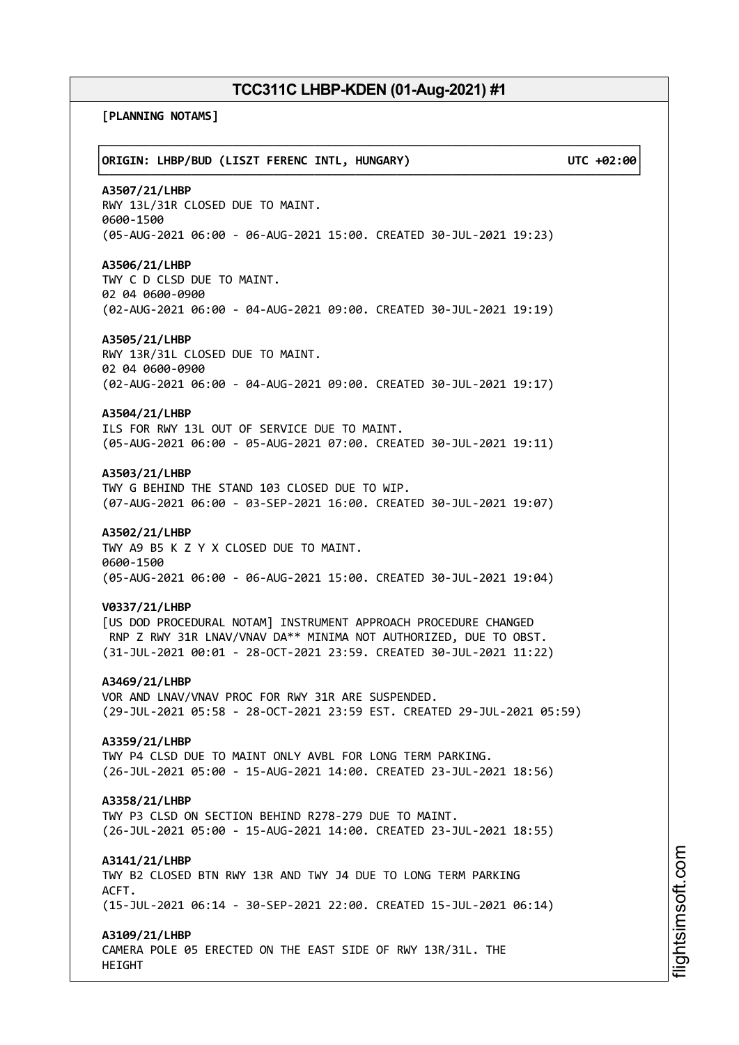**[PLANNING NOTAMS]**

┌──────────────────────────────────────────────────────────────────────────────┐ │**ORIGIN: LHBP/BUD (LISZT FERENC INTL, HUNGARY) UTC +02:00**│ └──────────────────────────────────────────────────────────────────────────────┘ **A3507/21/LHBP** RWY 13L/31R CLOSED DUE TO MAINT. 0600-1500 (05-AUG-2021 06:00 - 06-AUG-2021 15:00. CREATED 30-JUL-2021 19:23) **A3506/21/LHBP** TWY C D CLSD DUE TO MAINT. 02 04 0600-0900 (02-AUG-2021 06:00 - 04-AUG-2021 09:00. CREATED 30-JUL-2021 19:19) **A3505/21/LHBP** RWY 13R/31L CLOSED DUE TO MAINT. 02 04 0600-0900 (02-AUG-2021 06:00 - 04-AUG-2021 09:00. CREATED 30-JUL-2021 19:17) **A3504/21/LHBP** ILS FOR RWY 13L OUT OF SERVICE DUE TO MAINT. (05-AUG-2021 06:00 - 05-AUG-2021 07:00. CREATED 30-JUL-2021 19:11) **A3503/21/LHBP** TWY G BEHIND THE STAND 103 CLOSED DUE TO WIP. (07-AUG-2021 06:00 - 03-SEP-2021 16:00. CREATED 30-JUL-2021 19:07) **A3502/21/LHBP** TWY A9 B5 K Z Y X CLOSED DUE TO MAINT. 0600-1500 (05-AUG-2021 06:00 - 06-AUG-2021 15:00. CREATED 30-JUL-2021 19:04) **V0337/21/LHBP** [US DOD PROCEDURAL NOTAM] INSTRUMENT APPROACH PROCEDURE CHANGED RNP Z RWY 31R LNAV/VNAV DA\*\* MINIMA NOT AUTHORIZED, DUE TO OBST. (31-JUL-2021 00:01 - 28-OCT-2021 23:59. CREATED 30-JUL-2021 11:22) **A3469/21/LHBP** VOR AND LNAV/VNAV PROC FOR RWY 31R ARE SUSPENDED. (29-JUL-2021 05:58 - 28-OCT-2021 23:59 EST. CREATED 29-JUL-2021 05:59) **A3359/21/LHBP** TWY P4 CLSD DUE TO MAINT ONLY AVBL FOR LONG TERM PARKING. (26-JUL-2021 05:00 - 15-AUG-2021 14:00. CREATED 23-JUL-2021 18:56) **A3358/21/LHBP** TWY P3 CLSD ON SECTION BEHIND R278-279 DUE TO MAINT. (26-JUL-2021 05:00 - 15-AUG-2021 14:00. CREATED 23-JUL-2021 18:55) **A3141/21/LHBP** TWY B2 CLOSED BTN RWY 13R AND TWY J4 DUE TO LONG TERM PARKING ACFT. (15-JUL-2021 06:14 - 30-SEP-2021 22:00. CREATED 15-JUL-2021 06:14) **A3109/21/LHBP** CAMERA POLE 05 ERECTED ON THE EAST SIDE OF RWY 13R/31L. THE HEIGHT

m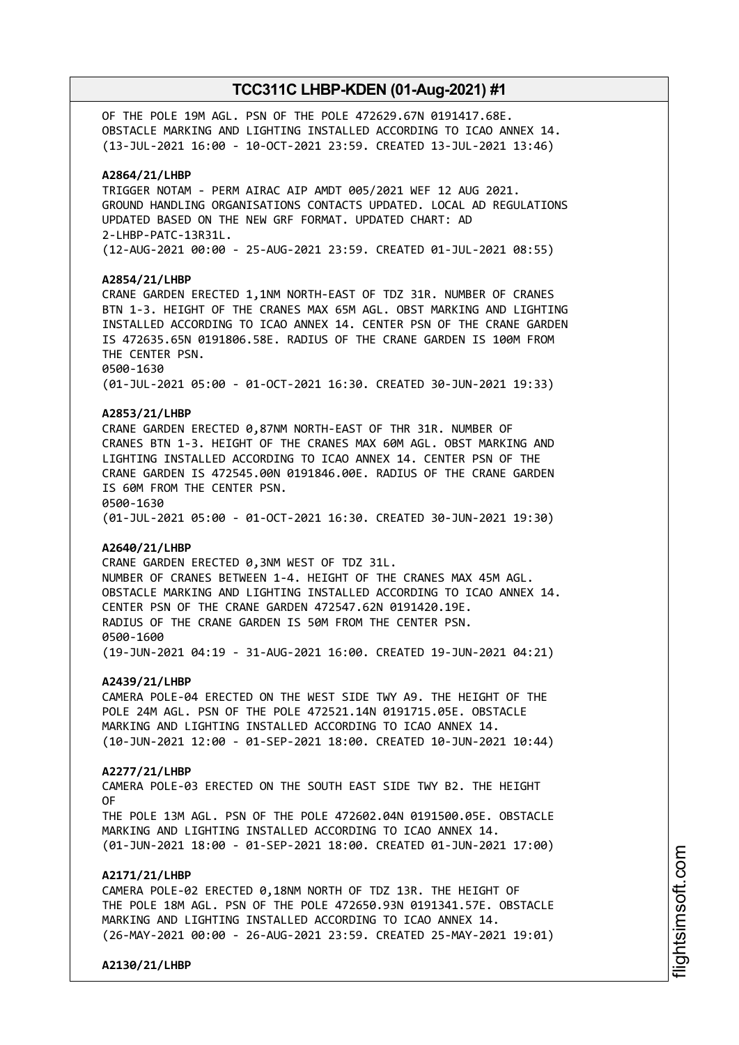OF THE POLE 19M AGL. PSN OF THE POLE 472629.67N 0191417.68E. OBSTACLE MARKING AND LIGHTING INSTALLED ACCORDING TO ICAO ANNEX 14. (13-JUL-2021 16:00 - 10-OCT-2021 23:59. CREATED 13-JUL-2021 13:46)

#### **A2864/21/LHBP**

TRIGGER NOTAM - PERM AIRAC AIP AMDT 005/2021 WEF 12 AUG 2021. GROUND HANDLING ORGANISATIONS CONTACTS UPDATED. LOCAL AD REGULATIONS UPDATED BASED ON THE NEW GRF FORMAT. UPDATED CHART: AD 2-LHBP-PATC-13R31L. (12-AUG-2021 00:00 - 25-AUG-2021 23:59. CREATED 01-JUL-2021 08:55)

#### **A2854/21/LHBP**

CRANE GARDEN ERECTED 1,1NM NORTH-EAST OF TDZ 31R. NUMBER OF CRANES BTN 1-3. HEIGHT OF THE CRANES MAX 65M AGL. OBST MARKING AND LIGHTING INSTALLED ACCORDING TO ICAO ANNEX 14. CENTER PSN OF THE CRANE GARDEN IS 472635.65N 0191806.58E. RADIUS OF THE CRANE GARDEN IS 100M FROM THE CENTER PSN. 0500-1630 (01-JUL-2021 05:00 - 01-OCT-2021 16:30. CREATED 30-JUN-2021 19:33)

## **A2853/21/LHBP**

CRANE GARDEN ERECTED 0,87NM NORTH-EAST OF THR 31R. NUMBER OF CRANES BTN 1-3. HEIGHT OF THE CRANES MAX 60M AGL. OBST MARKING AND LIGHTING INSTALLED ACCORDING TO ICAO ANNEX 14. CENTER PSN OF THE CRANE GARDEN IS 472545.00N 0191846.00E. RADIUS OF THE CRANE GARDEN IS 60M FROM THE CENTER PSN. 0500-1630 (01-JUL-2021 05:00 - 01-OCT-2021 16:30. CREATED 30-JUN-2021 19:30)

#### **A2640/21/LHBP**

CRANE GARDEN ERECTED 0,3NM WEST OF TDZ 31L. NUMBER OF CRANES BETWEEN 1-4. HEIGHT OF THE CRANES MAX 45M AGL. OBSTACLE MARKING AND LIGHTING INSTALLED ACCORDING TO ICAO ANNEX 14. CENTER PSN OF THE CRANE GARDEN 472547.62N 0191420.19E. RADIUS OF THE CRANE GARDEN IS 50M FROM THE CENTER PSN. 0500-1600 (19-JUN-2021 04:19 - 31-AUG-2021 16:00. CREATED 19-JUN-2021 04:21)

#### **A2439/21/LHBP**

CAMERA POLE-04 ERECTED ON THE WEST SIDE TWY A9. THE HEIGHT OF THE POLE 24M AGL. PSN OF THE POLE 472521.14N 0191715.05E. OBSTACLE MARKING AND LIGHTING INSTALLED ACCORDING TO ICAO ANNEX 14. (10-JUN-2021 12:00 - 01-SEP-2021 18:00. CREATED 10-JUN-2021 10:44)

#### **A2277/21/LHBP**

CAMERA POLE-03 ERECTED ON THE SOUTH EAST SIDE TWY B2. THE HEIGHT OF THE POLE 13M AGL. PSN OF THE POLE 472602.04N 0191500.05E. OBSTACLE MARKING AND LIGHTING INSTALLED ACCORDING TO ICAO ANNEX 14.

(01-JUN-2021 18:00 - 01-SEP-2021 18:00. CREATED 01-JUN-2021 17:00)

## **A2171/21/LHBP**

CAMERA POLE-02 ERECTED 0,18NM NORTH OF TDZ 13R. THE HEIGHT OF THE POLE 18M AGL. PSN OF THE POLE 472650.93N 0191341.57E. OBSTACLE MARKING AND LIGHTING INSTALLED ACCORDING TO ICAO ANNEX 14. (26-MAY-2021 00:00 - 26-AUG-2021 23:59. CREATED 25-MAY-2021 19:01)

**A2130/21/LHBP**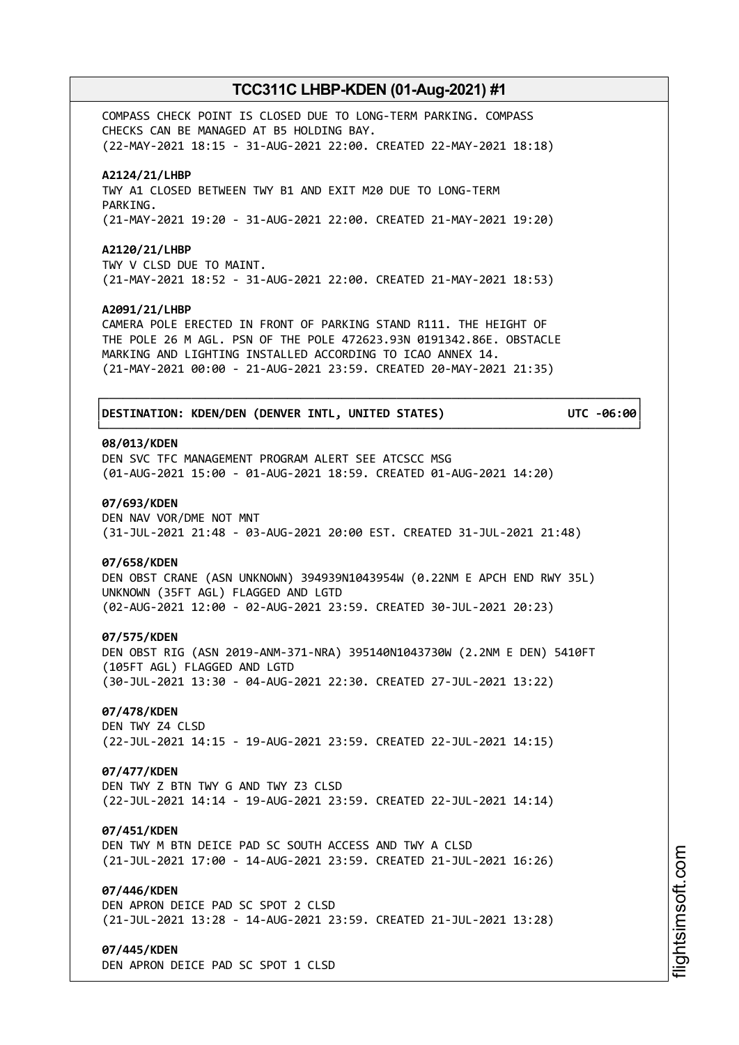COMPASS CHECK POINT IS CLOSED DUE TO LONG-TERM PARKING. COMPASS CHECKS CAN BE MANAGED AT B5 HOLDING BAY. (22-MAY-2021 18:15 - 31-AUG-2021 22:00. CREATED 22-MAY-2021 18:18)

#### **A2124/21/LHBP**

TWY A1 CLOSED BETWEEN TWY B1 AND EXIT M20 DUE TO LONG-TERM PARKING. (21-MAY-2021 19:20 - 31-AUG-2021 22:00. CREATED 21-MAY-2021 19:20)

#### **A2120/21/LHBP**

TWY V CLSD DUE TO MAINT. (21-MAY-2021 18:52 - 31-AUG-2021 22:00. CREATED 21-MAY-2021 18:53)

#### **A2091/21/LHBP**

CAMERA POLE ERECTED IN FRONT OF PARKING STAND R111. THE HEIGHT OF THE POLE 26 M AGL. PSN OF THE POLE 472623.93N 0191342.86E. OBSTACLE MARKING AND LIGHTING INSTALLED ACCORDING TO ICAO ANNEX 14. (21-MAY-2021 00:00 - 21-AUG-2021 23:59. CREATED 20-MAY-2021 21:35)

┌──────────────────────────────────────────────────────────────────────────────┐

└──────────────────────────────────────────────────────────────────────────────┘

#### │**DESTINATION: KDEN/DEN (DENVER INTL, UNITED STATES) UTC -06:00**│

#### **08/013/KDEN**

DEN SVC TFC MANAGEMENT PROGRAM ALERT SEE ATCSCC MSG (01-AUG-2021 15:00 - 01-AUG-2021 18:59. CREATED 01-AUG-2021 14:20)

#### **07/693/KDEN**

DEN NAV VOR/DME NOT MNT (31-JUL-2021 21:48 - 03-AUG-2021 20:00 EST. CREATED 31-JUL-2021 21:48)

#### **07/658/KDEN**

DEN OBST CRANE (ASN UNKNOWN) 394939N1043954W (0.22NM E APCH END RWY 35L) UNKNOWN (35FT AGL) FLAGGED AND LGTD (02-AUG-2021 12:00 - 02-AUG-2021 23:59. CREATED 30-JUL-2021 20:23)

#### **07/575/KDEN**

DEN OBST RIG (ASN 2019-ANM-371-NRA) 395140N1043730W (2.2NM E DEN) 5410FT (105FT AGL) FLAGGED AND LGTD (30-JUL-2021 13:30 - 04-AUG-2021 22:30. CREATED 27-JUL-2021 13:22)

## **07/478/KDEN**

DEN TWY Z4 CLSD (22-JUL-2021 14:15 - 19-AUG-2021 23:59. CREATED 22-JUL-2021 14:15)

## **07/477/KDEN**

DEN TWY Z BTN TWY G AND TWY Z3 CLSD (22-JUL-2021 14:14 - 19-AUG-2021 23:59. CREATED 22-JUL-2021 14:14)

#### **07/451/KDEN**

DEN TWY M BTN DEICE PAD SC SOUTH ACCESS AND TWY A CLSD (21-JUL-2021 17:00 - 14-AUG-2021 23:59. CREATED 21-JUL-2021 16:26)

## **07/446/KDEN**

DEN APRON DEICE PAD SC SPOT 2 CLSD (21-JUL-2021 13:28 - 14-AUG-2021 23:59. CREATED 21-JUL-2021 13:28)

#### **07/445/KDEN**

DEN APRON DEICE PAD SC SPOT 1 CLSD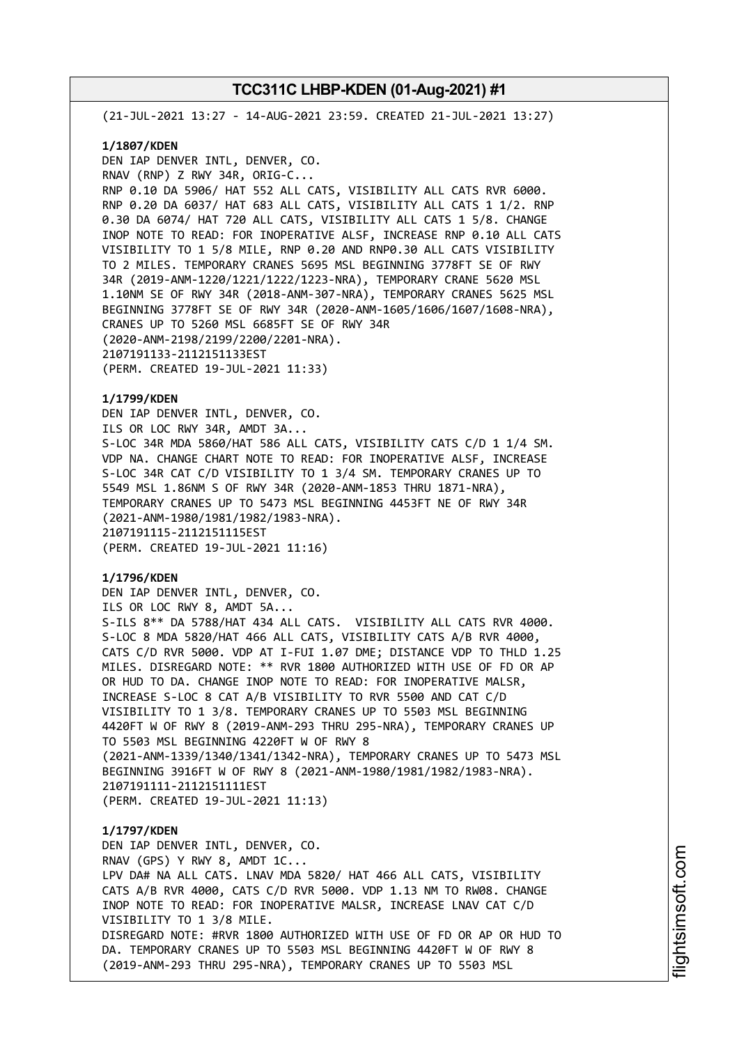(21-JUL-2021 13:27 - 14-AUG-2021 23:59. CREATED 21-JUL-2021 13:27)

#### **1/1807/KDEN**

DEN IAP DENVER INTL, DENVER, CO. RNAV (RNP) Z RWY 34R, ORIG-C... RNP 0.10 DA 5906/ HAT 552 ALL CATS, VISIBILITY ALL CATS RVR 6000. RNP 0.20 DA 6037/ HAT 683 ALL CATS, VISIBILITY ALL CATS 1 1/2. RNP 0.30 DA 6074/ HAT 720 ALL CATS, VISIBILITY ALL CATS 1 5/8. CHANGE INOP NOTE TO READ: FOR INOPERATIVE ALSF, INCREASE RNP 0.10 ALL CATS VISIBILITY TO 1 5/8 MILE, RNP 0.20 AND RNP0.30 ALL CATS VISIBILITY TO 2 MILES. TEMPORARY CRANES 5695 MSL BEGINNING 3778FT SE OF RWY 34R (2019-ANM-1220/1221/1222/1223-NRA), TEMPORARY CRANE 5620 MSL 1.10NM SE OF RWY 34R (2018-ANM-307-NRA), TEMPORARY CRANES 5625 MSL BEGINNING 3778FT SE OF RWY 34R (2020-ANM-1605/1606/1607/1608-NRA), CRANES UP TO 5260 MSL 6685FT SE OF RWY 34R (2020-ANM-2198/2199/2200/2201-NRA). 2107191133-2112151133EST (PERM. CREATED 19-JUL-2021 11:33)

## **1/1799/KDEN**

DEN IAP DENVER INTL, DENVER, CO. ILS OR LOC RWY 34R, AMDT 3A... S-LOC 34R MDA 5860/HAT 586 ALL CATS, VISIBILITY CATS C/D 1 1/4 SM. VDP NA. CHANGE CHART NOTE TO READ: FOR INOPERATIVE ALSF, INCREASE S-LOC 34R CAT C/D VISIBILITY TO 1 3/4 SM. TEMPORARY CRANES UP TO 5549 MSL 1.86NM S OF RWY 34R (2020-ANM-1853 THRU 1871-NRA), TEMPORARY CRANES UP TO 5473 MSL BEGINNING 4453FT NE OF RWY 34R (2021-ANM-1980/1981/1982/1983-NRA). 2107191115-2112151115EST (PERM. CREATED 19-JUL-2021 11:16)

#### **1/1796/KDEN**

DEN IAP DENVER INTL, DENVER, CO. ILS OR LOC RWY 8, AMDT 5A... S-ILS 8\*\* DA 5788/HAT 434 ALL CATS. VISIBILITY ALL CATS RVR 4000. S-LOC 8 MDA 5820/HAT 466 ALL CATS, VISIBILITY CATS A/B RVR 4000, CATS C/D RVR 5000. VDP AT I-FUI 1.07 DME; DISTANCE VDP TO THLD 1.25 MILES. DISREGARD NOTE: \*\* RVR 1800 AUTHORIZED WITH USE OF FD OR AP OR HUD TO DA. CHANGE INOP NOTE TO READ: FOR INOPERATIVE MALSR, INCREASE S-LOC 8 CAT A/B VISIBILITY TO RVR 5500 AND CAT C/D VISIBILITY TO 1 3/8. TEMPORARY CRANES UP TO 5503 MSL BEGINNING 4420FT W OF RWY 8 (2019-ANM-293 THRU 295-NRA), TEMPORARY CRANES UP TO 5503 MSL BEGINNING 4220FT W OF RWY 8 (2021-ANM-1339/1340/1341/1342-NRA), TEMPORARY CRANES UP TO 5473 MSL BEGINNING 3916FT W OF RWY 8 (2021-ANM-1980/1981/1982/1983-NRA). 2107191111-2112151111EST (PERM. CREATED 19-JUL-2021 11:13)

## **1/1797/KDEN** DEN IAP DENVER INTL, DENVER, CO. RNAV (GPS) Y RWY 8, AMDT 1C... LPV DA# NA ALL CATS. LNAV MDA 5820/ HAT 466 ALL CATS, VISIBILITY CATS A/B RVR 4000, CATS C/D RVR 5000. VDP 1.13 NM TO RW08. CHANGE INOP NOTE TO READ: FOR INOPERATIVE MALSR, INCREASE LNAV CAT C/D VISIBILITY TO 1 3/8 MILE. DISREGARD NOTE: #RVR 1800 AUTHORIZED WITH USE OF FD OR AP OR HUD TO DA. TEMPORARY CRANES UP TO 5503 MSL BEGINNING 4420FT W OF RWY 8 (2019-ANM-293 THRU 295-NRA), TEMPORARY CRANES UP TO 5503 MSL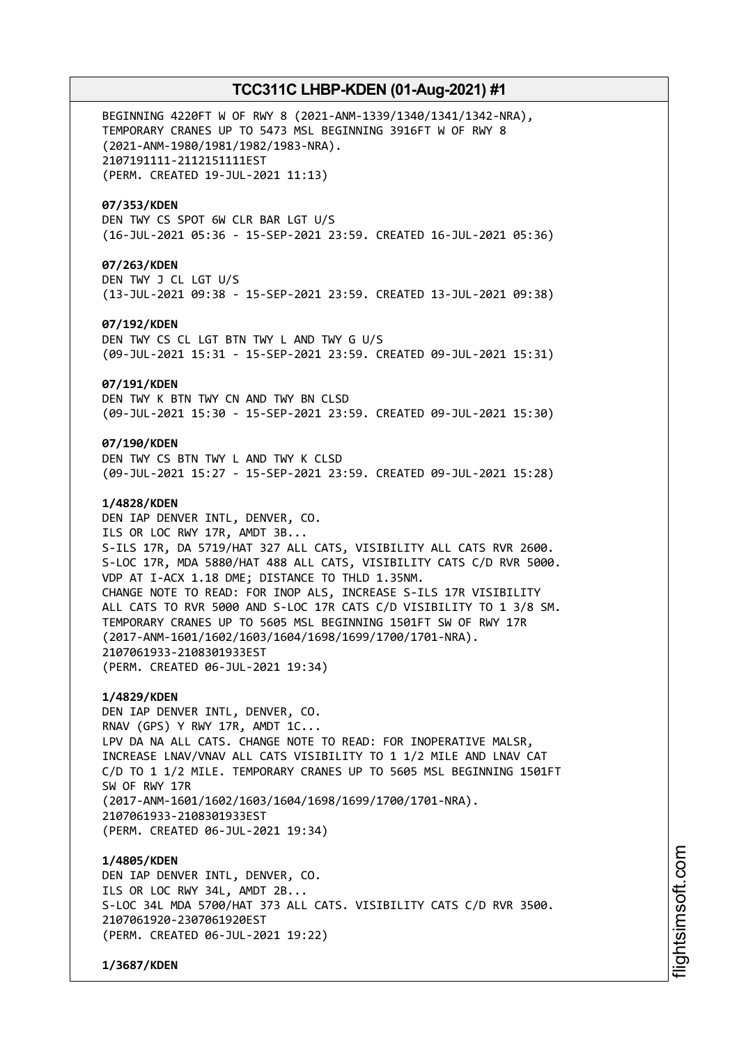BEGINNING 4220FT W OF RWY 8 (2021-ANM-1339/1340/1341/1342-NRA), TEMPORARY CRANES UP TO 5473 MSL BEGINNING 3916FT W OF RWY 8 (2021-ANM-1980/1981/1982/1983-NRA). 2107191111-2112151111EST (PERM. CREATED 19-JUL-2021 11:13)

#### **07/353/KDEN**

DEN TWY CS SPOT 6W CLR BAR LGT U/S (16-JUL-2021 05:36 - 15-SEP-2021 23:59. CREATED 16-JUL-2021 05:36)

## **07/263/KDEN**

DEN TWY J CL LGT U/S (13-JUL-2021 09:38 - 15-SEP-2021 23:59. CREATED 13-JUL-2021 09:38)

## **07/192/KDEN**

DEN TWY CS CL LGT BTN TWY L AND TWY G U/S (09-JUL-2021 15:31 - 15-SEP-2021 23:59. CREATED 09-JUL-2021 15:31)

#### **07/191/KDEN**

DEN TWY K BTN TWY CN AND TWY BN CLSD (09-JUL-2021 15:30 - 15-SEP-2021 23:59. CREATED 09-JUL-2021 15:30)

#### **07/190/KDEN**

DEN TWY CS BTN TWY L AND TWY K CLSD (09-JUL-2021 15:27 - 15-SEP-2021 23:59. CREATED 09-JUL-2021 15:28)

## **1/4828/KDEN**

DEN IAP DENVER INTL, DENVER, CO. ILS OR LOC RWY 17R, AMDT 3B... S-ILS 17R, DA 5719/HAT 327 ALL CATS, VISIBILITY ALL CATS RVR 2600. S-LOC 17R, MDA 5880/HAT 488 ALL CATS, VISIBILITY CATS C/D RVR 5000. VDP AT I-ACX 1.18 DME; DISTANCE TO THLD 1.35NM. CHANGE NOTE TO READ: FOR INOP ALS, INCREASE S-ILS 17R VISIBILITY ALL CATS TO RVR 5000 AND S-LOC 17R CATS C/D VISIBILITY TO 1 3/8 SM. TEMPORARY CRANES UP TO 5605 MSL BEGINNING 1501FT SW OF RWY 17R (2017-ANM-1601/1602/1603/1604/1698/1699/1700/1701-NRA). 2107061933-2108301933EST (PERM. CREATED 06-JUL-2021 19:34)

#### **1/4829/KDEN**

DEN IAP DENVER INTL, DENVER, CO. RNAV (GPS) Y RWY 17R, AMDT 1C... LPV DA NA ALL CATS. CHANGE NOTE TO READ: FOR INOPERATIVE MALSR, INCREASE LNAV/VNAV ALL CATS VISIBILITY TO 1 1/2 MILE AND LNAV CAT C/D TO 1 1/2 MILE. TEMPORARY CRANES UP TO 5605 MSL BEGINNING 1501FT SW OF RWY 17R (2017-ANM-1601/1602/1603/1604/1698/1699/1700/1701-NRA). 2107061933-2108301933EST (PERM. CREATED 06-JUL-2021 19:34)

#### **1/4805/KDEN**

DEN IAP DENVER INTL, DENVER, CO. ILS OR LOC RWY 34L, AMDT 2B... S-LOC 34L MDA 5700/HAT 373 ALL CATS. VISIBILITY CATS C/D RVR 3500. 2107061920-2307061920EST (PERM. CREATED 06-JUL-2021 19:22)

**1/3687/KDEN**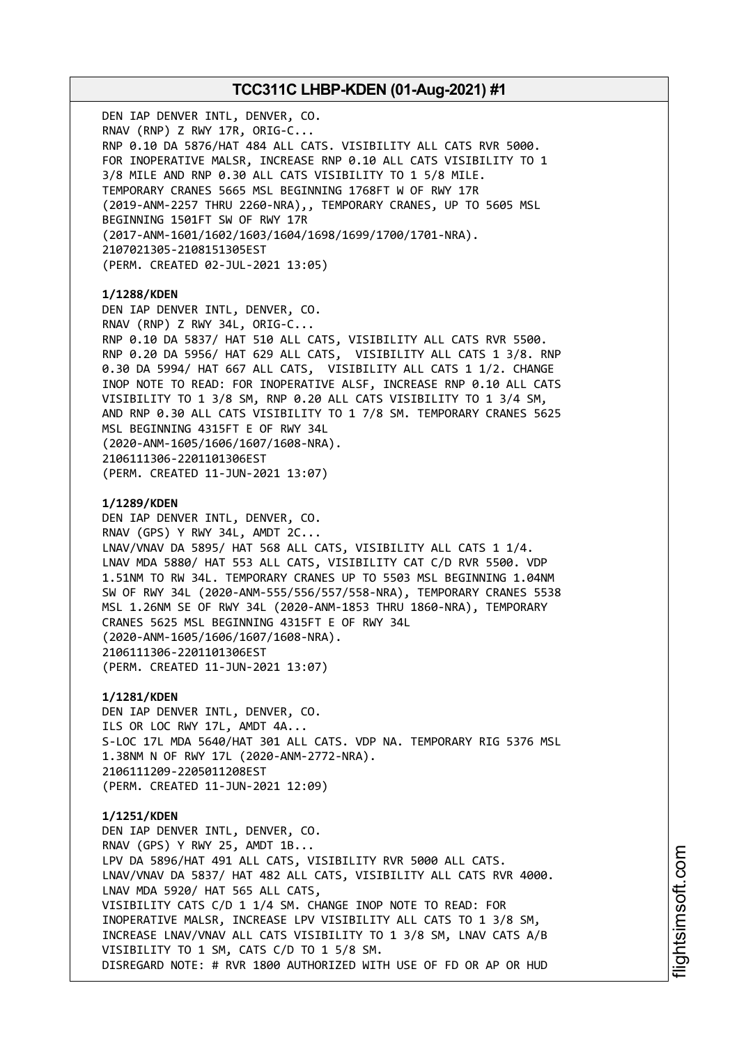DEN IAP DENVER INTL, DENVER, CO. RNAV (RNP) Z RWY 17R, ORIG-C... RNP 0.10 DA 5876/HAT 484 ALL CATS. VISIBILITY ALL CATS RVR 5000. FOR INOPERATIVE MALSR, INCREASE RNP 0.10 ALL CATS VISIBILITY TO 1 3/8 MILE AND RNP 0.30 ALL CATS VISIBILITY TO 1 5/8 MILE. TEMPORARY CRANES 5665 MSL BEGINNING 1768FT W OF RWY 17R (2019-ANM-2257 THRU 2260-NRA),, TEMPORARY CRANES, UP TO 5605 MSL BEGINNING 1501FT SW OF RWY 17R (2017-ANM-1601/1602/1603/1604/1698/1699/1700/1701-NRA). 2107021305-2108151305EST (PERM. CREATED 02-JUL-2021 13:05) **1/1288/KDEN** DEN IAP DENVER INTL, DENVER, CO. RNAV (RNP) Z RWY 34L, ORIG-C... RNP 0.10 DA 5837/ HAT 510 ALL CATS, VISIBILITY ALL CATS RVR 5500. RNP 0.20 DA 5956/ HAT 629 ALL CATS, VISIBILITY ALL CATS 1 3/8. RNP 0.30 DA 5994/ HAT 667 ALL CATS, VISIBILITY ALL CATS 1 1/2. CHANGE INOP NOTE TO READ: FOR INOPERATIVE ALSF, INCREASE RNP 0.10 ALL CATS VISIBILITY TO 1 3/8 SM, RNP 0.20 ALL CATS VISIBILITY TO 1 3/4 SM, AND RNP 0.30 ALL CATS VISIBILITY TO 1 7/8 SM. TEMPORARY CRANES 5625 MSL BEGINNING 4315FT E OF RWY 34L (2020-ANM-1605/1606/1607/1608-NRA). 2106111306-2201101306EST (PERM. CREATED 11-JUN-2021 13:07) **1/1289/KDEN** DEN IAP DENVER INTL, DENVER, CO. RNAV (GPS) Y RWY 34L, AMDT 2C... LNAV/VNAV DA 5895/ HAT 568 ALL CATS, VISIBILITY ALL CATS 1 1/4. LNAV MDA 5880/ HAT 553 ALL CATS, VISIBILITY CAT C/D RVR 5500. VDP 1.51NM TO RW 34L. TEMPORARY CRANES UP TO 5503 MSL BEGINNING 1.04NM SW OF RWY 34L (2020-ANM-555/556/557/558-NRA), TEMPORARY CRANES 5538 MSL 1.26NM SE OF RWY 34L (2020-ANM-1853 THRU 1860-NRA), TEMPORARY CRANES 5625 MSL BEGINNING 4315FT E OF RWY 34L (2020-ANM-1605/1606/1607/1608-NRA). 2106111306-2201101306EST (PERM. CREATED 11-JUN-2021 13:07) **1/1281/KDEN** DEN IAP DENVER INTL, DENVER, CO. ILS OR LOC RWY 17L, AMDT 4A... S-LOC 17L MDA 5640/HAT 301 ALL CATS. VDP NA. TEMPORARY RIG 5376 MSL 1.38NM N OF RWY 17L (2020-ANM-2772-NRA). 2106111209-2205011208EST (PERM. CREATED 11-JUN-2021 12:09) **1/1251/KDEN** DEN IAP DENVER INTL, DENVER, CO. RNAV (GPS) Y RWY 25, AMDT 1B... LPV DA 5896/HAT 491 ALL CATS, VISIBILITY RVR 5000 ALL CATS. LNAV/VNAV DA 5837/ HAT 482 ALL CATS, VISIBILITY ALL CATS RVR 4000. LNAV MDA 5920/ HAT 565 ALL CATS, VISIBILITY CATS C/D 1 1/4 SM. CHANGE INOP NOTE TO READ: FOR INOPERATIVE MALSR, INCREASE LPV VISIBILITY ALL CATS TO 1 3/8 SM, INCREASE LNAV/VNAV ALL CATS VISIBILITY TO 1 3/8 SM, LNAV CATS A/B VISIBILITY TO 1 SM, CATS C/D TO 1 5/8 SM. DISREGARD NOTE: # RVR 1800 AUTHORIZED WITH USE OF FD OR AP OR HUD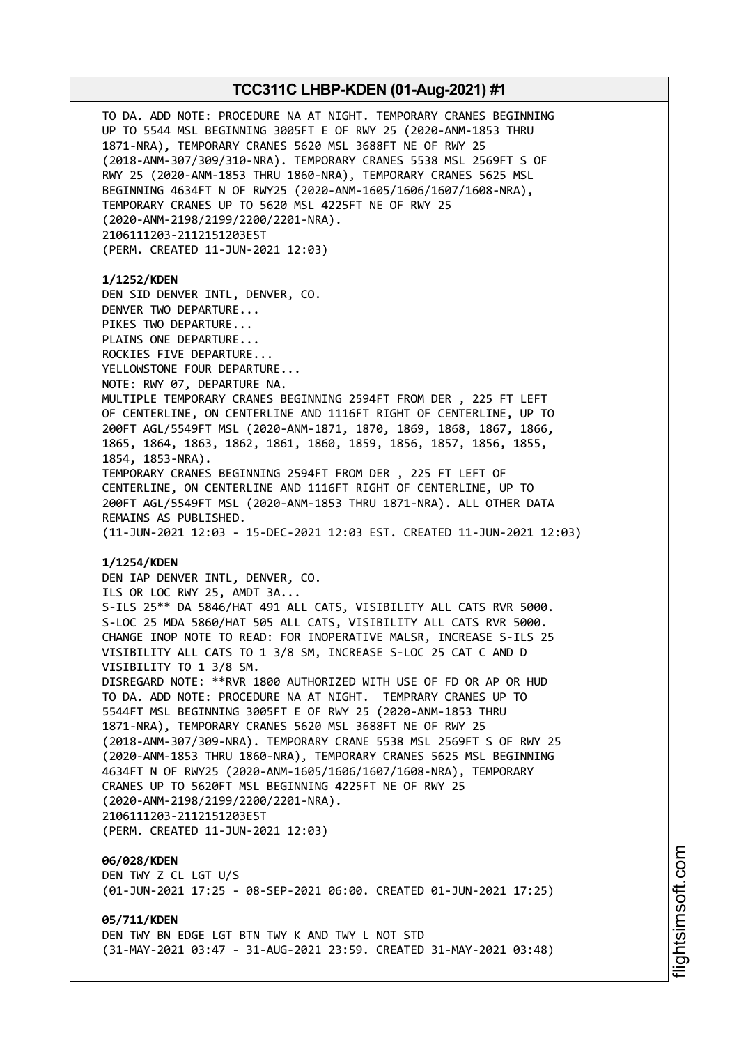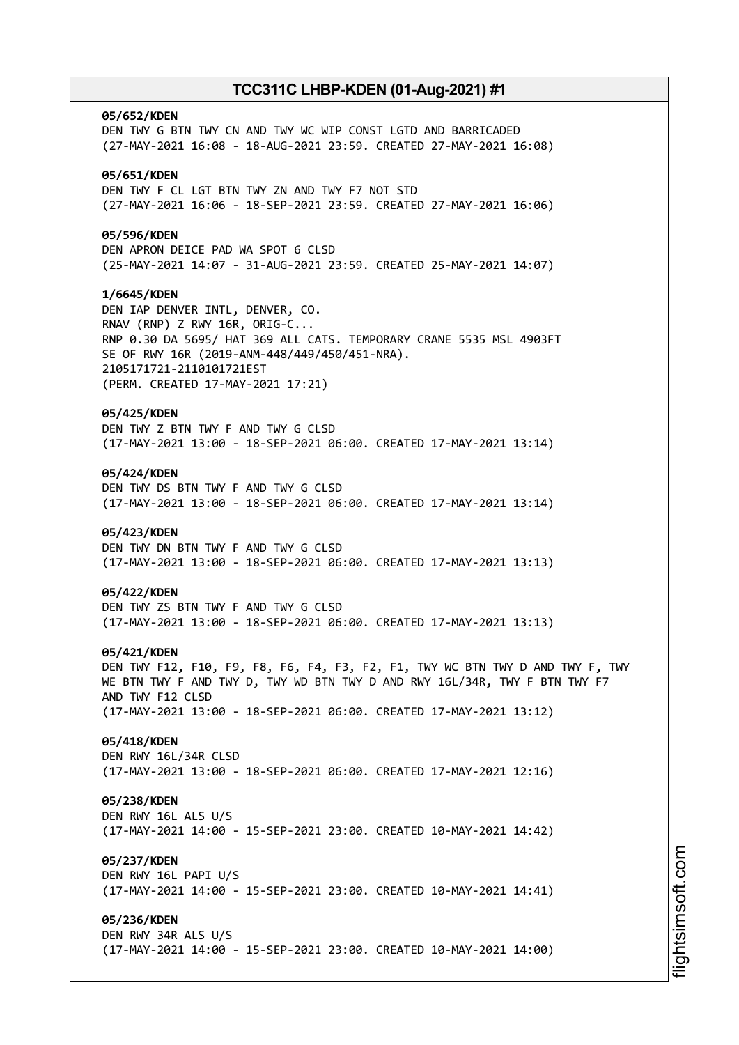# **05/652/KDEN** DEN TWY G BTN TWY CN AND TWY WC WIP CONST LGTD AND BARRICADED (27-MAY-2021 16:08 - 18-AUG-2021 23:59. CREATED 27-MAY-2021 16:08) **05/651/KDEN** DEN TWY F CL LGT BTN TWY ZN AND TWY F7 NOT STD (27-MAY-2021 16:06 - 18-SEP-2021 23:59. CREATED 27-MAY-2021 16:06) **05/596/KDEN** DEN APRON DEICE PAD WA SPOT 6 CLSD (25-MAY-2021 14:07 - 31-AUG-2021 23:59. CREATED 25-MAY-2021 14:07) **1/6645/KDEN** DEN IAP DENVER INTL, DENVER, CO. RNAV (RNP) Z RWY 16R, ORIG-C... RNP 0.30 DA 5695/ HAT 369 ALL CATS. TEMPORARY CRANE 5535 MSL 4903FT SE OF RWY 16R (2019-ANM-448/449/450/451-NRA). 2105171721-2110101721EST (PERM. CREATED 17-MAY-2021 17:21) **05/425/KDEN** DEN TWY Z BTN TWY F AND TWY G CLSD (17-MAY-2021 13:00 - 18-SEP-2021 06:00. CREATED 17-MAY-2021 13:14) **05/424/KDEN** DEN TWY DS BTN TWY F AND TWY G CLSD (17-MAY-2021 13:00 - 18-SEP-2021 06:00. CREATED 17-MAY-2021 13:14) **05/423/KDEN** DEN TWY DN BTN TWY F AND TWY G CLSD (17-MAY-2021 13:00 - 18-SEP-2021 06:00. CREATED 17-MAY-2021 13:13) **05/422/KDEN** DEN TWY ZS BTN TWY F AND TWY G CLSD (17-MAY-2021 13:00 - 18-SEP-2021 06:00. CREATED 17-MAY-2021 13:13) **05/421/KDEN** DEN TWY F12, F10, F9, F8, F6, F4, F3, F2, F1, TWY WC BTN TWY D AND TWY F, TWY WE BTN TWY F AND TWY D, TWY WD BTN TWY D AND RWY 16L/34R, TWY F BTN TWY F7 AND TWY F12 CLSD (17-MAY-2021 13:00 - 18-SEP-2021 06:00. CREATED 17-MAY-2021 13:12) **05/418/KDEN** DEN RWY 16L/34R CLSD (17-MAY-2021 13:00 - 18-SEP-2021 06:00. CREATED 17-MAY-2021 12:16) **05/238/KDEN** DEN RWY 16L ALS U/S (17-MAY-2021 14:00 - 15-SEP-2021 23:00. CREATED 10-MAY-2021 14:42) **05/237/KDEN** DEN RWY 16L PAPI U/S (17-MAY-2021 14:00 - 15-SEP-2021 23:00. CREATED 10-MAY-2021 14:41) **05/236/KDEN** DEN RWY 34R ALS U/S (17-MAY-2021 14:00 - 15-SEP-2021 23:00. CREATED 10-MAY-2021 14:00)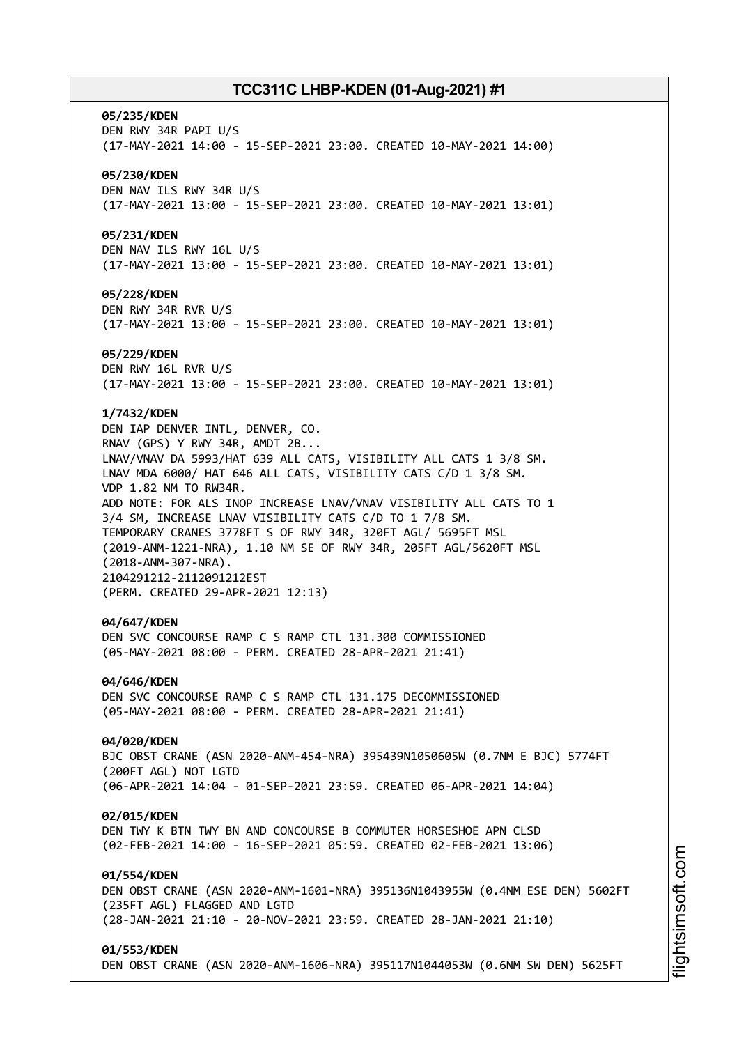#### **05/235/KDEN**

DEN RWY 34R PAPI U/S (17-MAY-2021 14:00 - 15-SEP-2021 23:00. CREATED 10-MAY-2021 14:00)

#### **05/230/KDEN**

DEN NAV ILS RWY 34R U/S (17-MAY-2021 13:00 - 15-SEP-2021 23:00. CREATED 10-MAY-2021 13:01)

#### **05/231/KDEN**

DEN NAV ILS RWY 16L U/S (17-MAY-2021 13:00 - 15-SEP-2021 23:00. CREATED 10-MAY-2021 13:01)

#### **05/228/KDEN**

DEN RWY 34R RVR U/S (17-MAY-2021 13:00 - 15-SEP-2021 23:00. CREATED 10-MAY-2021 13:01)

#### **05/229/KDEN**

DEN RWY 16L RVR U/S (17-MAY-2021 13:00 - 15-SEP-2021 23:00. CREATED 10-MAY-2021 13:01)

#### **1/7432/KDEN**

DEN IAP DENVER INTL, DENVER, CO. RNAV (GPS) Y RWY 34R, AMDT 2B... LNAV/VNAV DA 5993/HAT 639 ALL CATS, VISIBILITY ALL CATS 1 3/8 SM. LNAV MDA 6000/ HAT 646 ALL CATS, VISIBILITY CATS C/D 1 3/8 SM. VDP 1.82 NM TO RW34R. ADD NOTE: FOR ALS INOP INCREASE LNAV/VNAV VISIBILITY ALL CATS TO 1 3/4 SM, INCREASE LNAV VISIBILITY CATS C/D TO 1 7/8 SM. TEMPORARY CRANES 3778FT S OF RWY 34R, 320FT AGL/ 5695FT MSL (2019-ANM-1221-NRA), 1.10 NM SE OF RWY 34R, 205FT AGL/5620FT MSL (2018-ANM-307-NRA). 2104291212-2112091212EST (PERM. CREATED 29-APR-2021 12:13)

#### **04/647/KDEN**

DEN SVC CONCOURSE RAMP C S RAMP CTL 131.300 COMMISSIONED (05-MAY-2021 08:00 - PERM. CREATED 28-APR-2021 21:41)

#### **04/646/KDEN**

DEN SVC CONCOURSE RAMP C S RAMP CTL 131.175 DECOMMISSIONED (05-MAY-2021 08:00 - PERM. CREATED 28-APR-2021 21:41)

#### **04/020/KDEN**

BJC OBST CRANE (ASN 2020-ANM-454-NRA) 395439N1050605W (0.7NM E BJC) 5774FT (200FT AGL) NOT LGTD (06-APR-2021 14:04 - 01-SEP-2021 23:59. CREATED 06-APR-2021 14:04)

#### **02/015/KDEN**

DEN TWY K BTN TWY BN AND CONCOURSE B COMMUTER HORSESHOE APN CLSD (02-FEB-2021 14:00 - 16-SEP-2021 05:59. CREATED 02-FEB-2021 13:06)

## **01/554/KDEN**

DEN OBST CRANE (ASN 2020-ANM-1601-NRA) 395136N1043955W (0.4NM ESE DEN) 5602FT (235FT AGL) FLAGGED AND LGTD (28-JAN-2021 21:10 - 20-NOV-2021 23:59. CREATED 28-JAN-2021 21:10)

#### **01/553/KDEN**

DEN OBST CRANE (ASN 2020-ANM-1606-NRA) 395117N1044053W (0.6NM SW DEN) 5625FT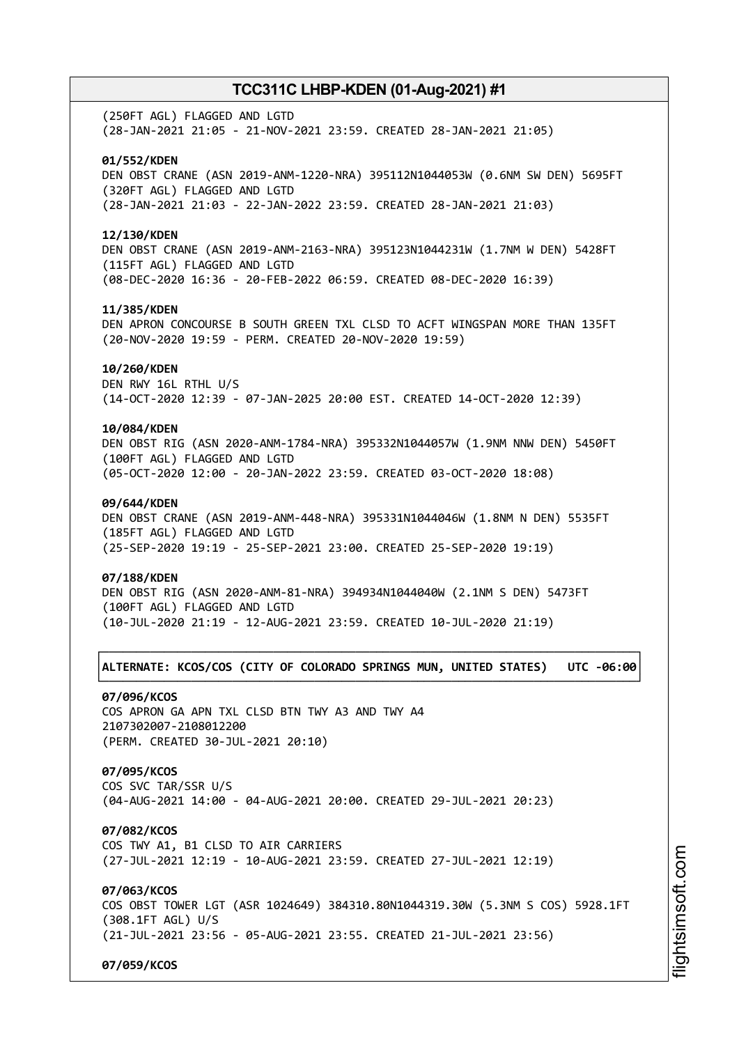(250FT AGL) FLAGGED AND LGTD (28-JAN-2021 21:05 - 21-NOV-2021 23:59. CREATED 28-JAN-2021 21:05)

#### **01/552/KDEN**

DEN OBST CRANE (ASN 2019-ANM-1220-NRA) 395112N1044053W (0.6NM SW DEN) 5695FT (320FT AGL) FLAGGED AND LGTD (28-JAN-2021 21:03 - 22-JAN-2022 23:59. CREATED 28-JAN-2021 21:03)

#### **12/130/KDEN**

DEN OBST CRANE (ASN 2019-ANM-2163-NRA) 395123N1044231W (1.7NM W DEN) 5428FT (115FT AGL) FLAGGED AND LGTD (08-DEC-2020 16:36 - 20-FEB-2022 06:59. CREATED 08-DEC-2020 16:39)

#### **11/385/KDEN**

DEN APRON CONCOURSE B SOUTH GREEN TXL CLSD TO ACFT WINGSPAN MORE THAN 135FT (20-NOV-2020 19:59 - PERM. CREATED 20-NOV-2020 19:59)

#### **10/260/KDEN**

DEN RWY 16L RTHL U/S (14-OCT-2020 12:39 - 07-JAN-2025 20:00 EST. CREATED 14-OCT-2020 12:39)

## **10/084/KDEN**

DEN OBST RIG (ASN 2020-ANM-1784-NRA) 395332N1044057W (1.9NM NNW DEN) 5450FT (100FT AGL) FLAGGED AND LGTD (05-OCT-2020 12:00 - 20-JAN-2022 23:59. CREATED 03-OCT-2020 18:08)

#### **09/644/KDEN**

DEN OBST CRANE (ASN 2019-ANM-448-NRA) 395331N1044046W (1.8NM N DEN) 5535FT (185FT AGL) FLAGGED AND LGTD (25-SEP-2020 19:19 - 25-SEP-2021 23:00. CREATED 25-SEP-2020 19:19)

#### **07/188/KDEN**

DEN OBST RIG (ASN 2020-ANM-81-NRA) 394934N1044040W (2.1NM S DEN) 5473FT (100FT AGL) FLAGGED AND LGTD (10-JUL-2020 21:19 - 12-AUG-2021 23:59. CREATED 10-JUL-2020 21:19)

## ┌──────────────────────────────────────────────────────────────────────────────┐ │**ALTERNATE: KCOS/COS (CITY OF COLORADO SPRINGS MUN, UNITED STATES) UTC -06:00**│ └──────────────────────────────────────────────────────────────────────────────┘

#### **07/096/KCOS**

COS APRON GA APN TXL CLSD BTN TWY A3 AND TWY A4 2107302007-2108012200 (PERM. CREATED 30-JUL-2021 20:10)

## **07/095/KCOS**

COS SVC TAR/SSR U/S (04-AUG-2021 14:00 - 04-AUG-2021 20:00. CREATED 29-JUL-2021 20:23)

#### **07/082/KCOS**

COS TWY A1, B1 CLSD TO AIR CARRIERS (27-JUL-2021 12:19 - 10-AUG-2021 23:59. CREATED 27-JUL-2021 12:19)

## **07/063/KCOS**

COS OBST TOWER LGT (ASR 1024649) 384310.80N1044319.30W (5.3NM S COS) 5928.1FT (308.1FT AGL) U/S (21-JUL-2021 23:56 - 05-AUG-2021 23:55. CREATED 21-JUL-2021 23:56)

**07/059/KCOS**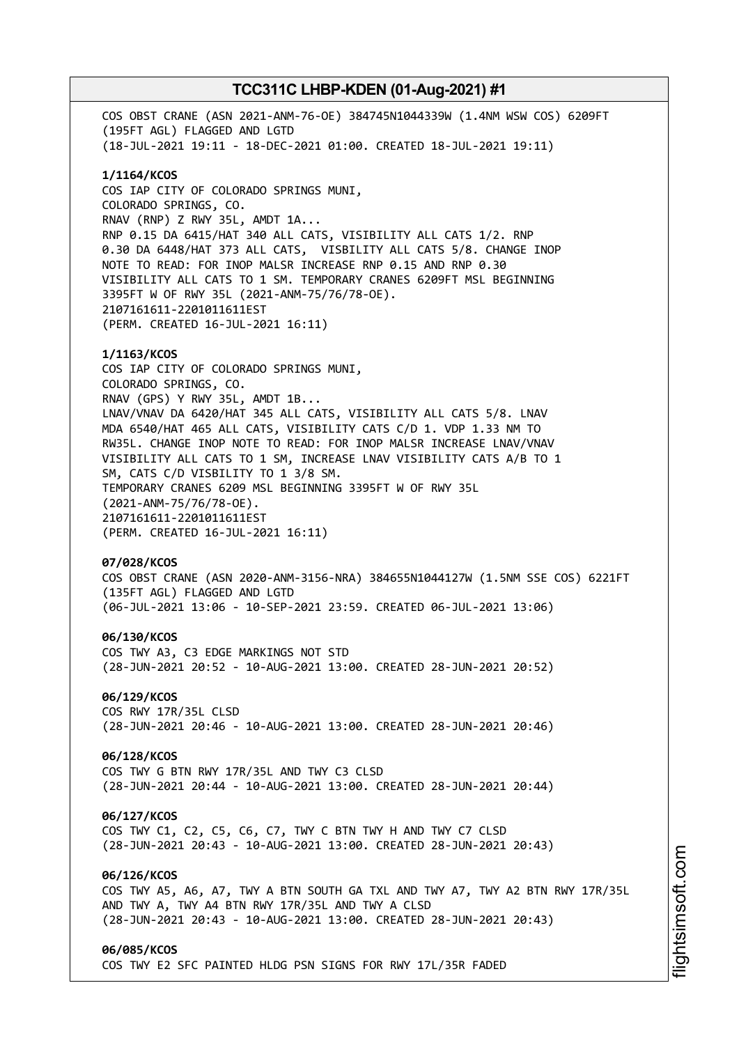COS OBST CRANE (ASN 2021-ANM-76-OE) 384745N1044339W (1.4NM WSW COS) 6209FT (195FT AGL) FLAGGED AND LGTD (18-JUL-2021 19:11 - 18-DEC-2021 01:00. CREATED 18-JUL-2021 19:11) **1/1164/KCOS** COS IAP CITY OF COLORADO SPRINGS MUNI, COLORADO SPRINGS, CO. RNAV (RNP) Z RWY 35L, AMDT 1A... RNP 0.15 DA 6415/HAT 340 ALL CATS, VISIBILITY ALL CATS 1/2. RNP 0.30 DA 6448/HAT 373 ALL CATS, VISBILITY ALL CATS 5/8. CHANGE INOP NOTE TO READ: FOR INOP MALSR INCREASE RNP 0.15 AND RNP 0.30 VISIBILITY ALL CATS TO 1 SM. TEMPORARY CRANES 6209FT MSL BEGINNING 3395FT W OF RWY 35L (2021-ANM-75/76/78-OE). 2107161611-2201011611EST (PERM. CREATED 16-JUL-2021 16:11) **1/1163/KCOS** COS IAP CITY OF COLORADO SPRINGS MUNI, COLORADO SPRINGS, CO. RNAV (GPS) Y RWY 35L, AMDT 1B... LNAV/VNAV DA 6420/HAT 345 ALL CATS, VISIBILITY ALL CATS 5/8. LNAV MDA 6540/HAT 465 ALL CATS, VISIBILITY CATS C/D 1. VDP 1.33 NM TO RW35L. CHANGE INOP NOTE TO READ: FOR INOP MALSR INCREASE LNAV/VNAV VISIBILITY ALL CATS TO 1 SM, INCREASE LNAV VISIBILITY CATS A/B TO 1 SM, CATS C/D VISBILITY TO 1 3/8 SM. TEMPORARY CRANES 6209 MSL BEGINNING 3395FT W OF RWY 35L (2021-ANM-75/76/78-OE). 2107161611-2201011611EST (PERM. CREATED 16-JUL-2021 16:11) **07/028/KCOS** COS OBST CRANE (ASN 2020-ANM-3156-NRA) 384655N1044127W (1.5NM SSE COS) 6221FT (135FT AGL) FLAGGED AND LGTD (06-JUL-2021 13:06 - 10-SEP-2021 23:59. CREATED 06-JUL-2021 13:06) **06/130/KCOS** COS TWY A3, C3 EDGE MARKINGS NOT STD (28-JUN-2021 20:52 - 10-AUG-2021 13:00. CREATED 28-JUN-2021 20:52) **06/129/KCOS** COS RWY 17R/35L CLSD (28-JUN-2021 20:46 - 10-AUG-2021 13:00. CREATED 28-JUN-2021 20:46) **06/128/KCOS** COS TWY G BTN RWY 17R/35L AND TWY C3 CLSD (28-JUN-2021 20:44 - 10-AUG-2021 13:00. CREATED 28-JUN-2021 20:44) **06/127/KCOS** COS TWY C1, C2, C5, C6, C7, TWY C BTN TWY H AND TWY C7 CLSD (28-JUN-2021 20:43 - 10-AUG-2021 13:00. CREATED 28-JUN-2021 20:43) **06/126/KCOS** COS TWY A5, A6, A7, TWY A BTN SOUTH GA TXL AND TWY A7, TWY A2 BTN RWY 17R/35L AND TWY A, TWY A4 BTN RWY 17R/35L AND TWY A CLSD (28-JUN-2021 20:43 - 10-AUG-2021 13:00. CREATED 28-JUN-2021 20:43) **06/085/KCOS** COS TWY E2 SFC PAINTED HLDG PSN SIGNS FOR RWY 17L/35R FADED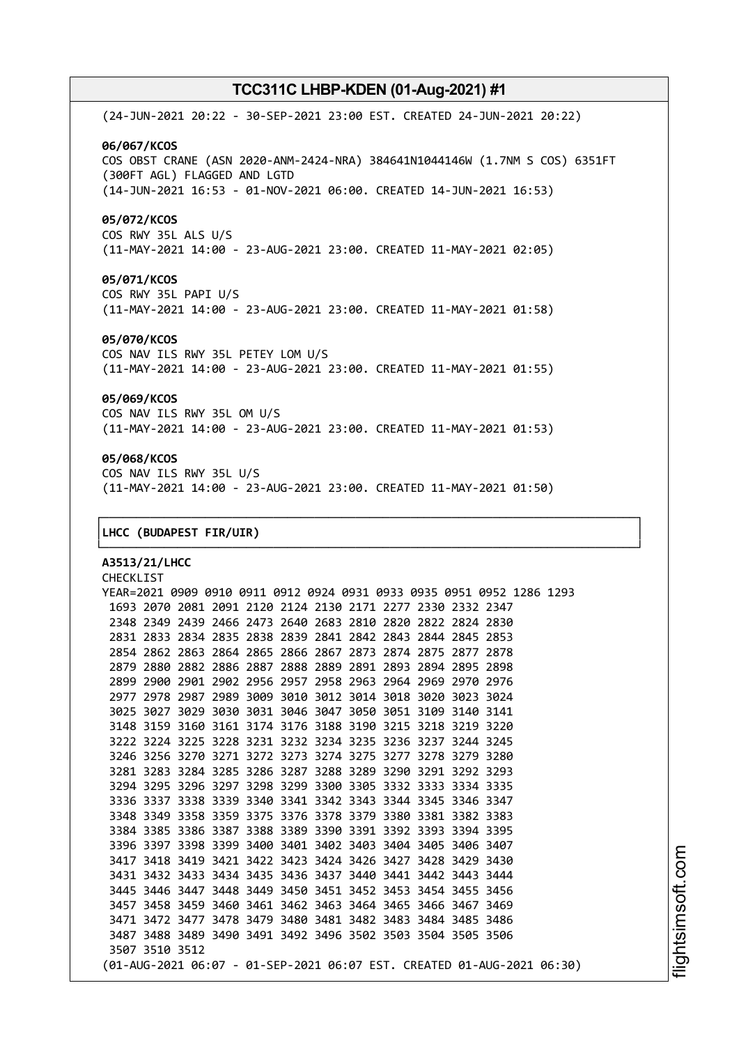(24-JUN-2021 20:22 - 30-SEP-2021 23:00 EST. CREATED 24-JUN-2021 20:22) **06/067/KCOS** COS OBST CRANE (ASN 2020-ANM-2424-NRA) 384641N1044146W (1.7NM S COS) 6351FT (300FT AGL) FLAGGED AND LGTD (14-JUN-2021 16:53 - 01-NOV-2021 06:00. CREATED 14-JUN-2021 16:53) **05/072/KCOS** COS RWY 35L ALS U/S (11-MAY-2021 14:00 - 23-AUG-2021 23:00. CREATED 11-MAY-2021 02:05)

**05/071/KCOS** COS RWY 35L PAPI U/S (11-MAY-2021 14:00 - 23-AUG-2021 23:00. CREATED 11-MAY-2021 01:58)

#### **05/070/KCOS**

COS NAV ILS RWY 35L PETEY LOM U/S (11-MAY-2021 14:00 - 23-AUG-2021 23:00. CREATED 11-MAY-2021 01:55)

## **05/069/KCOS**

COS NAV ILS RWY 35L OM U/S (11-MAY-2021 14:00 - 23-AUG-2021 23:00. CREATED 11-MAY-2021 01:53)

## **05/068/KCOS**

COS NAV ILS RWY 35L U/S (11-MAY-2021 14:00 - 23-AUG-2021 23:00. CREATED 11-MAY-2021 01:50)

┌──────────────────────────────────────────────────────────────────────────────┐

└──────────────────────────────────────────────────────────────────────────────┘

#### │**LHCC (BUDAPEST FIR/UIR)** │

**A3513/21/LHCC** CHECKLIST YEAR=2021 0909 0910 0911 0912 0924 0931 0933 0935 0951 0952 1286 1293 2070 2081 2091 2120 2124 2130 2171 2277 2330 2332 2347 2349 2439 2466 2473 2640 2683 2810 2820 2822 2824 2830 2833 2834 2835 2838 2839 2841 2842 2843 2844 2845 2853 2862 2863 2864 2865 2866 2867 2873 2874 2875 2877 2878 2880 2882 2886 2887 2888 2889 2891 2893 2894 2895 2898 2900 2901 2902 2956 2957 2958 2963 2964 2969 2970 2976 2978 2987 2989 3009 3010 3012 3014 3018 3020 3023 3024 3027 3029 3030 3031 3046 3047 3050 3051 3109 3140 3141 3159 3160 3161 3174 3176 3188 3190 3215 3218 3219 3220 3224 3225 3228 3231 3232 3234 3235 3236 3237 3244 3245 3256 3270 3271 3272 3273 3274 3275 3277 3278 3279 3280 3283 3284 3285 3286 3287 3288 3289 3290 3291 3292 3293 3295 3296 3297 3298 3299 3300 3305 3332 3333 3334 3335 3337 3338 3339 3340 3341 3342 3343 3344 3345 3346 3347 3349 3358 3359 3375 3376 3378 3379 3380 3381 3382 3383 3385 3386 3387 3388 3389 3390 3391 3392 3393 3394 3395 3397 3398 3399 3400 3401 3402 3403 3404 3405 3406 3407 3418 3419 3421 3422 3423 3424 3426 3427 3428 3429 3430 3432 3433 3434 3435 3436 3437 3440 3441 3442 3443 3444 3446 3447 3448 3449 3450 3451 3452 3453 3454 3455 3456 3458 3459 3460 3461 3462 3463 3464 3465 3466 3467 3469 3472 3477 3478 3479 3480 3481 3482 3483 3484 3485 3486 3488 3489 3490 3491 3492 3496 3502 3503 3504 3505 3506 3510 3512 (01-AUG-2021 06:07 - 01-SEP-2021 06:07 EST. CREATED 01-AUG-2021 06:30)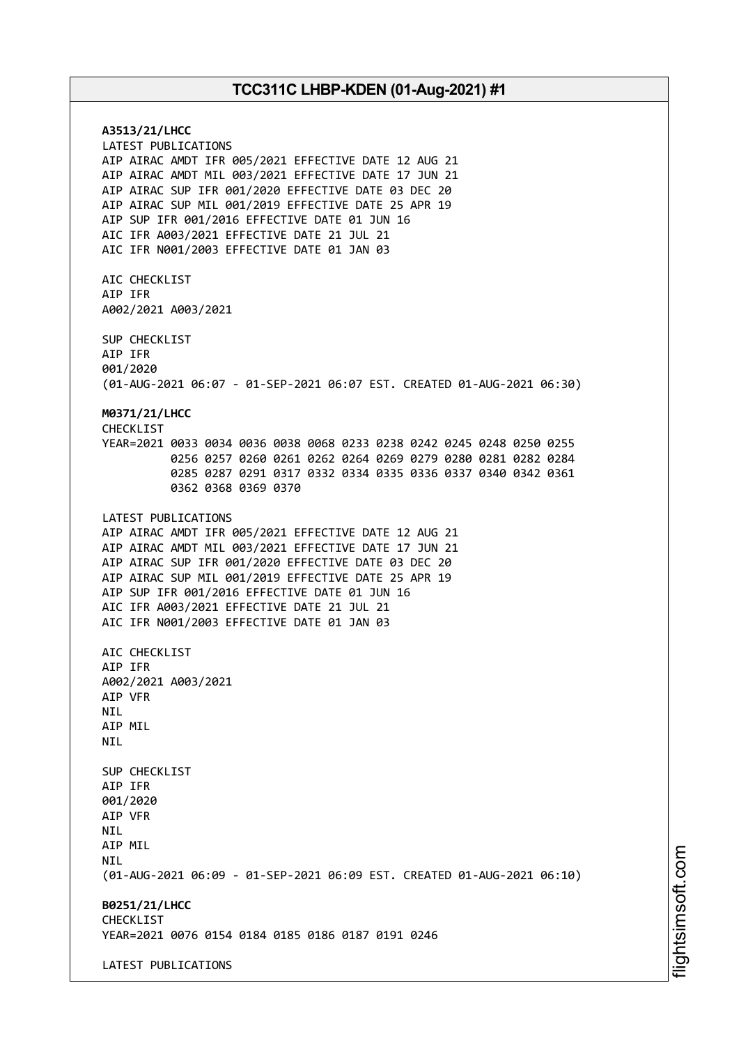**A3513/21/LHCC** LATEST PUBLICATIONS AIP AIRAC AMDT IFR 005/2021 EFFECTIVE DATE 12 AUG 21 AIP AIRAC AMDT MIL 003/2021 EFFECTIVE DATE 17 JUN 21 AIP AIRAC SUP IFR 001/2020 EFFECTIVE DATE 03 DEC 20 AIP AIRAC SUP MIL 001/2019 EFFECTIVE DATE 25 APR 19 AIP SUP IFR 001/2016 EFFECTIVE DATE 01 JUN 16 AIC IFR A003/2021 EFFECTIVE DATE 21 JUL 21 AIC IFR N001/2003 EFFECTIVE DATE 01 JAN 03 AIC CHECKLIST AIP IFR A002/2021 A003/2021 SUP CHECKLIST AIP IFR 001/2020 (01-AUG-2021 06:07 - 01-SEP-2021 06:07 EST. CREATED 01-AUG-2021 06:30) **M0371/21/LHCC** CHECKLIST YEAR=2021 0033 0034 0036 0038 0068 0233 0238 0242 0245 0248 0250 0255 0256 0257 0260 0261 0262 0264 0269 0279 0280 0281 0282 0284 0285 0287 0291 0317 0332 0334 0335 0336 0337 0340 0342 0361 0362 0368 0369 0370 LATEST PUBLICATIONS AIP AIRAC AMDT IFR 005/2021 EFFECTIVE DATE 12 AUG 21 AIP AIRAC AMDT MIL 003/2021 EFFECTIVE DATE 17 JUN 21 AIP AIRAC SUP IFR 001/2020 EFFECTIVE DATE 03 DEC 20 AIP AIRAC SUP MIL 001/2019 EFFECTIVE DATE 25 APR 19 AIP SUP IFR 001/2016 EFFECTIVE DATE 01 JUN 16 AIC IFR A003/2021 EFFECTIVE DATE 21 JUL 21 AIC IFR N001/2003 EFFECTIVE DATE 01 JAN 03 AIC CHECKLIST AIP IFR A002/2021 A003/2021 AIP VFR **NTL** AIP MIL NIL SUP CHECKLIST AIP IFR 001/2020 AIP VFR NIL AIP MIL **NTI** (01-AUG-2021 06:09 - 01-SEP-2021 06:09 EST. CREATED 01-AUG-2021 06:10) **B0251/21/LHCC** CHECKLIST YEAR=2021 0076 0154 0184 0185 0186 0187 0191 0246 LATEST PUBLICATIONS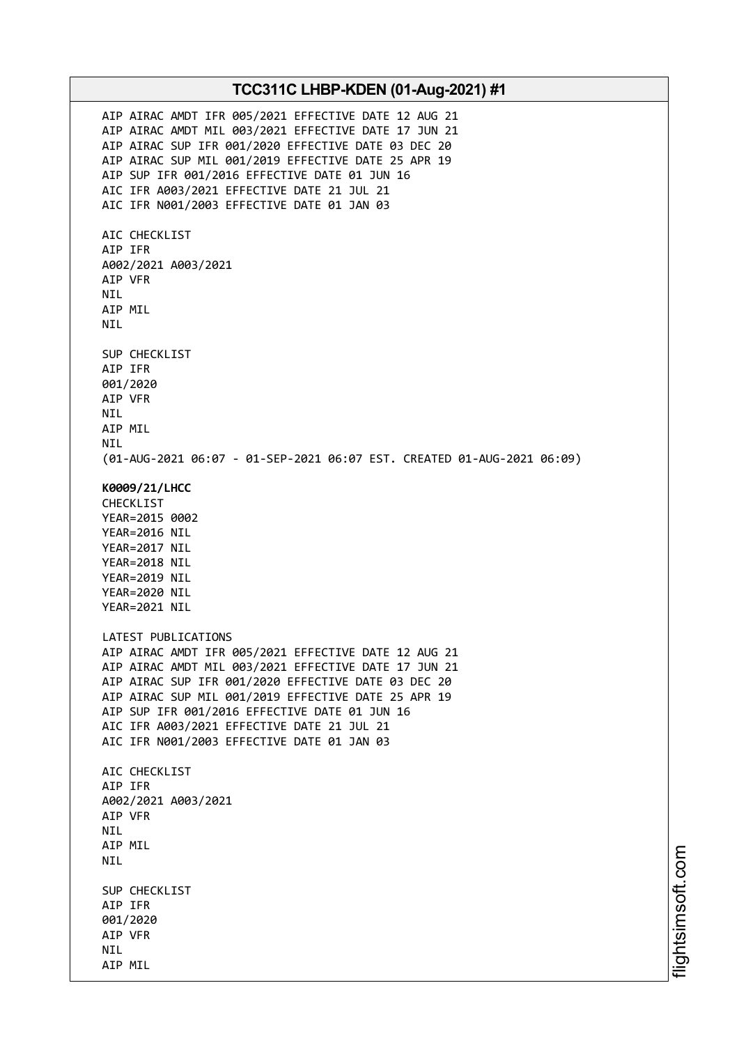AIP AIRAC AMDT IFR 005/2021 EFFECTIVE DATE 12 AUG 21 AIP AIRAC AMDT MIL 003/2021 EFFECTIVE DATE 17 JUN 21 AIP AIRAC SUP IFR 001/2020 EFFECTIVE DATE 03 DEC 20 AIP AIRAC SUP MIL 001/2019 EFFECTIVE DATE 25 APR 19 AIP SUP IFR 001/2016 EFFECTIVE DATE 01 JUN 16 AIC IFR A003/2021 EFFECTIVE DATE 21 JUL 21 AIC IFR N001/2003 EFFECTIVE DATE 01 JAN 03 AIC CHECKLIST AIP IFR A002/2021 A003/2021 AIP VFR NIL AIP MIL NIL SUP CHECKLIST AIP IFR 001/2020 AIP VFR NIL AIP MIL NIL (01-AUG-2021 06:07 - 01-SEP-2021 06:07 EST. CREATED 01-AUG-2021 06:09) **K0009/21/LHCC** CHECKLIST YEAR=2015 0002 YEAR=2016 NIL YEAR=2017 NIL YEAR=2018 NIL YEAR=2019 NIL YEAR=2020 NIL YEAR=2021 NIL LATEST PUBLICATIONS AIP AIRAC AMDT IFR 005/2021 EFFECTIVE DATE 12 AUG 21 AIP AIRAC AMDT MIL 003/2021 EFFECTIVE DATE 17 JUN 21 AIP AIRAC SUP IFR 001/2020 EFFECTIVE DATE 03 DEC 20 AIP AIRAC SUP MIL 001/2019 EFFECTIVE DATE 25 APR 19 AIP SUP IFR 001/2016 EFFECTIVE DATE 01 JUN 16 AIC IFR A003/2021 EFFECTIVE DATE 21 JUL 21 AIC IFR N001/2003 EFFECTIVE DATE 01 JAN 03 AIC CHECKLIST AIP IFR A002/2021 A003/2021 AIP VFR NIL AIP MIL NIL SUP CHECKLIST AIP IFR 001/2020 AIP VFR NIL AIP MIL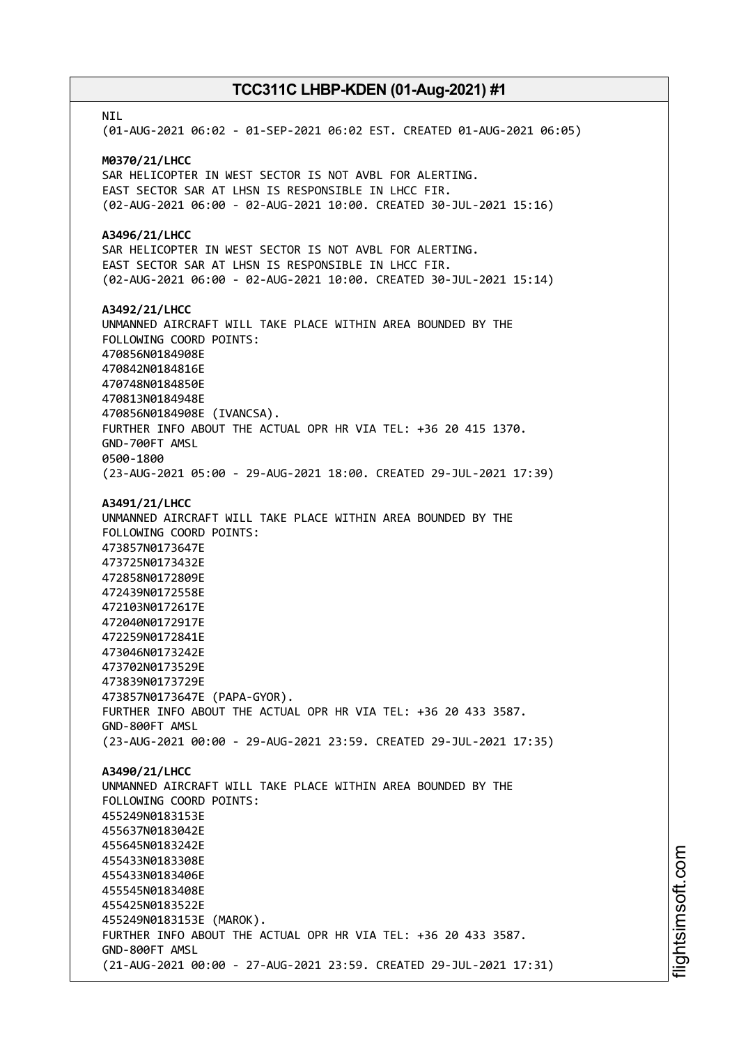**NTI** (01-AUG-2021 06:02 - 01-SEP-2021 06:02 EST. CREATED 01-AUG-2021 06:05) **M0370/21/LHCC** SAR HELICOPTER IN WEST SECTOR IS NOT AVBL FOR ALERTING. EAST SECTOR SAR AT LHSN IS RESPONSIBLE IN LHCC FIR. (02-AUG-2021 06:00 - 02-AUG-2021 10:00. CREATED 30-JUL-2021 15:16) **A3496/21/LHCC** SAR HELICOPTER IN WEST SECTOR IS NOT AVBL FOR ALERTING. EAST SECTOR SAR AT LHSN IS RESPONSIBLE IN LHCC FIR. (02-AUG-2021 06:00 - 02-AUG-2021 10:00. CREATED 30-JUL-2021 15:14) **A3492/21/LHCC** UNMANNED AIRCRAFT WILL TAKE PLACE WITHIN AREA BOUNDED BY THE FOLLOWING COORD POINTS: 470856N0184908E 470842N0184816E 470748N0184850E 470813N0184948E 470856N0184908E (IVANCSA). FURTHER INFO ABOUT THE ACTUAL OPR HR VIA TEL: +36 20 415 1370. GND-700FT AMSL 0500-1800 (23-AUG-2021 05:00 - 29-AUG-2021 18:00. CREATED 29-JUL-2021 17:39) **A3491/21/LHCC** UNMANNED AIRCRAFT WILL TAKE PLACE WITHIN AREA BOUNDED BY THE FOLLOWING COORD POINTS: 473857N0173647E 473725N0173432E 472858N0172809E 472439N0172558E 472103N0172617E 472040N0172917E 472259N0172841E 473046N0173242E 473702N0173529E 473839N0173729E 473857N0173647E (PAPA-GYOR). FURTHER INFO ABOUT THE ACTUAL OPR HR VIA TEL: +36 20 433 3587. GND-800FT AMSL (23-AUG-2021 00:00 - 29-AUG-2021 23:59. CREATED 29-JUL-2021 17:35) **A3490/21/LHCC** UNMANNED AIRCRAFT WILL TAKE PLACE WITHIN AREA BOUNDED BY THE FOLLOWING COORD POINTS: 455249N0183153E 455637N0183042E 455645N0183242E 455433N0183308E 455433N0183406E 455545N0183408E 455425N0183522E 455249N0183153E (MAROK). FURTHER INFO ABOUT THE ACTUAL OPR HR VIA TEL: +36 20 433 3587. GND-800FT AMSL (21-AUG-2021 00:00 - 27-AUG-2021 23:59. CREATED 29-JUL-2021 17:31)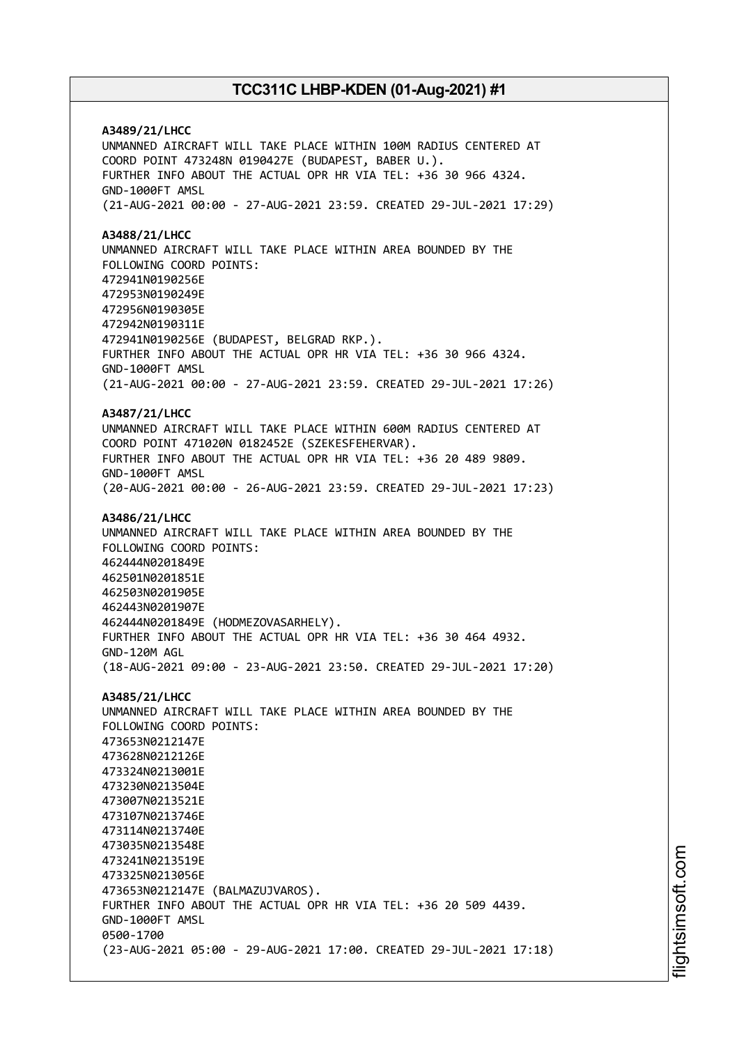**A3489/21/LHCC** UNMANNED AIRCRAFT WILL TAKE PLACE WITHIN 100M RADIUS CENTERED AT COORD POINT 473248N 0190427E (BUDAPEST, BABER U.). FURTHER INFO ABOUT THE ACTUAL OPR HR VIA TEL: +36 30 966 4324. GND-1000FT AMSL (21-AUG-2021 00:00 - 27-AUG-2021 23:59. CREATED 29-JUL-2021 17:29) **A3488/21/LHCC** UNMANNED AIRCRAFT WILL TAKE PLACE WITHIN AREA BOUNDED BY THE FOLLOWING COORD POINTS: 472941N0190256E 472953N0190249E 472956N0190305E 472942N0190311E 472941N0190256E (BUDAPEST, BELGRAD RKP.). FURTHER INFO ABOUT THE ACTUAL OPR HR VIA TEL: +36 30 966 4324. GND-1000FT AMSL (21-AUG-2021 00:00 - 27-AUG-2021 23:59. CREATED 29-JUL-2021 17:26) **A3487/21/LHCC** UNMANNED AIRCRAFT WILL TAKE PLACE WITHIN 600M RADIUS CENTERED AT COORD POINT 471020N 0182452E (SZEKESFEHERVAR). FURTHER INFO ABOUT THE ACTUAL OPR HR VIA TEL: +36 20 489 9809. GND-1000FT AMSL (20-AUG-2021 00:00 - 26-AUG-2021 23:59. CREATED 29-JUL-2021 17:23) **A3486/21/LHCC** UNMANNED AIRCRAFT WILL TAKE PLACE WITHIN AREA BOUNDED BY THE FOLLOWING COORD POINTS: 462444N0201849E 462501N0201851E 462503N0201905E 462443N0201907E 462444N0201849E (HODMEZOVASARHELY). FURTHER INFO ABOUT THE ACTUAL OPR HR VIA TEL: +36 30 464 4932. GND-120M AGL (18-AUG-2021 09:00 - 23-AUG-2021 23:50. CREATED 29-JUL-2021 17:20) **A3485/21/LHCC** UNMANNED AIRCRAFT WILL TAKE PLACE WITHIN AREA BOUNDED BY THE FOLLOWING COORD POINTS: 473653N0212147E 473628N0212126E 473324N0213001E 473230N0213504E 473007N0213521E 473107N0213746E 473114N0213740E 473035N0213548E 473241N0213519E 473325N0213056E 473653N0212147E (BALMAZUJVAROS). FURTHER INFO ABOUT THE ACTUAL OPR HR VIA TEL: +36 20 509 4439. GND-1000FT AMSL 0500-1700 (23-AUG-2021 05:00 - 29-AUG-2021 17:00. CREATED 29-JUL-2021 17:18)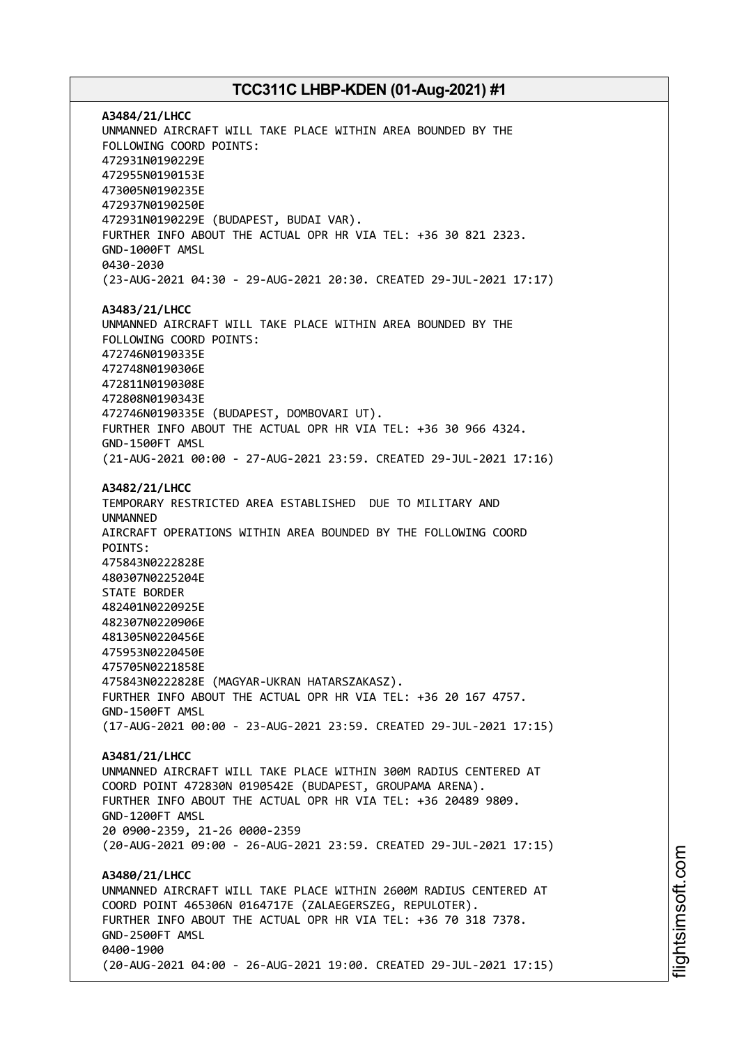**A3484/21/LHCC** UNMANNED AIRCRAFT WILL TAKE PLACE WITHIN AREA BOUNDED BY THE FOLLOWING COORD POINTS: 472931N0190229E 472955N0190153E 473005N0190235E 472937N0190250E 472931N0190229E (BUDAPEST, BUDAI VAR). FURTHER INFO ABOUT THE ACTUAL OPR HR VIA TEL: +36 30 821 2323. GND-1000FT AMSL 0430-2030 (23-AUG-2021 04:30 - 29-AUG-2021 20:30. CREATED 29-JUL-2021 17:17) **A3483/21/LHCC** UNMANNED AIRCRAFT WILL TAKE PLACE WITHIN AREA BOUNDED BY THE FOLLOWING COORD POINTS: 472746N0190335E 472748N0190306E 472811N0190308E 472808N0190343E 472746N0190335E (BUDAPEST, DOMBOVARI UT). FURTHER INFO ABOUT THE ACTUAL OPR HR VIA TEL: +36 30 966 4324. GND-1500FT AMSL (21-AUG-2021 00:00 - 27-AUG-2021 23:59. CREATED 29-JUL-2021 17:16) **A3482/21/LHCC** TEMPORARY RESTRICTED AREA ESTABLISHED DUE TO MILITARY AND UNMANNED AIRCRAFT OPERATIONS WITHIN AREA BOUNDED BY THE FOLLOWING COORD POINTS: 475843N0222828E 480307N0225204E STATE BORDER 482401N0220925E 482307N0220906E 481305N0220456E 475953N0220450E 475705N0221858E 475843N0222828E (MAGYAR-UKRAN HATARSZAKASZ). FURTHER INFO ABOUT THE ACTUAL OPR HR VIA TEL: +36 20 167 4757. GND-1500FT AMSL (17-AUG-2021 00:00 - 23-AUG-2021 23:59. CREATED 29-JUL-2021 17:15) **A3481/21/LHCC** UNMANNED AIRCRAFT WILL TAKE PLACE WITHIN 300M RADIUS CENTERED AT COORD POINT 472830N 0190542E (BUDAPEST, GROUPAMA ARENA). FURTHER INFO ABOUT THE ACTUAL OPR HR VIA TEL: +36 20489 9809. GND-1200FT AMSL 20 0900-2359, 21-26 0000-2359 (20-AUG-2021 09:00 - 26-AUG-2021 23:59. CREATED 29-JUL-2021 17:15) **A3480/21/LHCC** UNMANNED AIRCRAFT WILL TAKE PLACE WITHIN 2600M RADIUS CENTERED AT COORD POINT 465306N 0164717E (ZALAEGERSZEG, REPULOTER). FURTHER INFO ABOUT THE ACTUAL OPR HR VIA TEL: +36 70 318 7378. GND-2500FT AMSL 0400-1900 (20-AUG-2021 04:00 - 26-AUG-2021 19:00. CREATED 29-JUL-2021 17:15)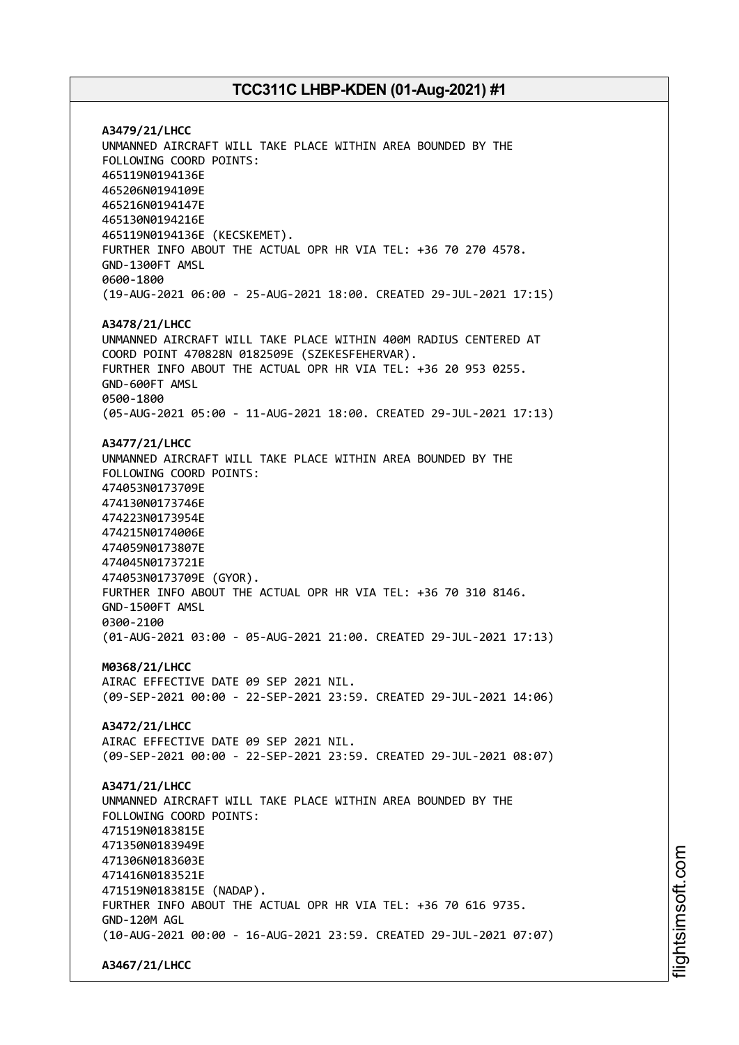**A3479/21/LHCC** UNMANNED AIRCRAFT WILL TAKE PLACE WITHIN AREA BOUNDED BY THE FOLLOWING COORD POINTS: 465119N0194136E 465206N0194109E 465216N0194147E 465130N0194216E 465119N0194136E (KECSKEMET). FURTHER INFO ABOUT THE ACTUAL OPR HR VIA TEL: +36 70 270 4578. GND-1300FT AMSL 0600-1800 (19-AUG-2021 06:00 - 25-AUG-2021 18:00. CREATED 29-JUL-2021 17:15) **A3478/21/LHCC** UNMANNED AIRCRAFT WILL TAKE PLACE WITHIN 400M RADIUS CENTERED AT COORD POINT 470828N 0182509E (SZEKESFEHERVAR). FURTHER INFO ABOUT THE ACTUAL OPR HR VIA TEL: +36 20 953 0255. GND-600FT AMSL 0500-1800 (05-AUG-2021 05:00 - 11-AUG-2021 18:00. CREATED 29-JUL-2021 17:13) **A3477/21/LHCC** UNMANNED AIRCRAFT WILL TAKE PLACE WITHIN AREA BOUNDED BY THE FOLLOWING COORD POINTS: 474053N0173709E 474130N0173746E 474223N0173954E 474215N0174006E 474059N0173807E 474045N0173721E 474053N0173709E (GYOR). FURTHER INFO ABOUT THE ACTUAL OPR HR VIA TEL: +36 70 310 8146. GND-1500FT AMSL 0300-2100 (01-AUG-2021 03:00 - 05-AUG-2021 21:00. CREATED 29-JUL-2021 17:13) **M0368/21/LHCC** AIRAC EFFECTIVE DATE 09 SEP 2021 NIL. (09-SEP-2021 00:00 - 22-SEP-2021 23:59. CREATED 29-JUL-2021 14:06) **A3472/21/LHCC** AIRAC EFFECTIVE DATE 09 SEP 2021 NIL. (09-SEP-2021 00:00 - 22-SEP-2021 23:59. CREATED 29-JUL-2021 08:07) **A3471/21/LHCC** UNMANNED AIRCRAFT WILL TAKE PLACE WITHIN AREA BOUNDED BY THE FOLLOWING COORD POINTS: 471519N0183815E 471350N0183949E 471306N0183603E 471416N0183521E 471519N0183815E (NADAP). FURTHER INFO ABOUT THE ACTUAL OPR HR VIA TEL: +36 70 616 9735. GND-120M AGL (10-AUG-2021 00:00 - 16-AUG-2021 23:59. CREATED 29-JUL-2021 07:07)

**A3467/21/LHCC**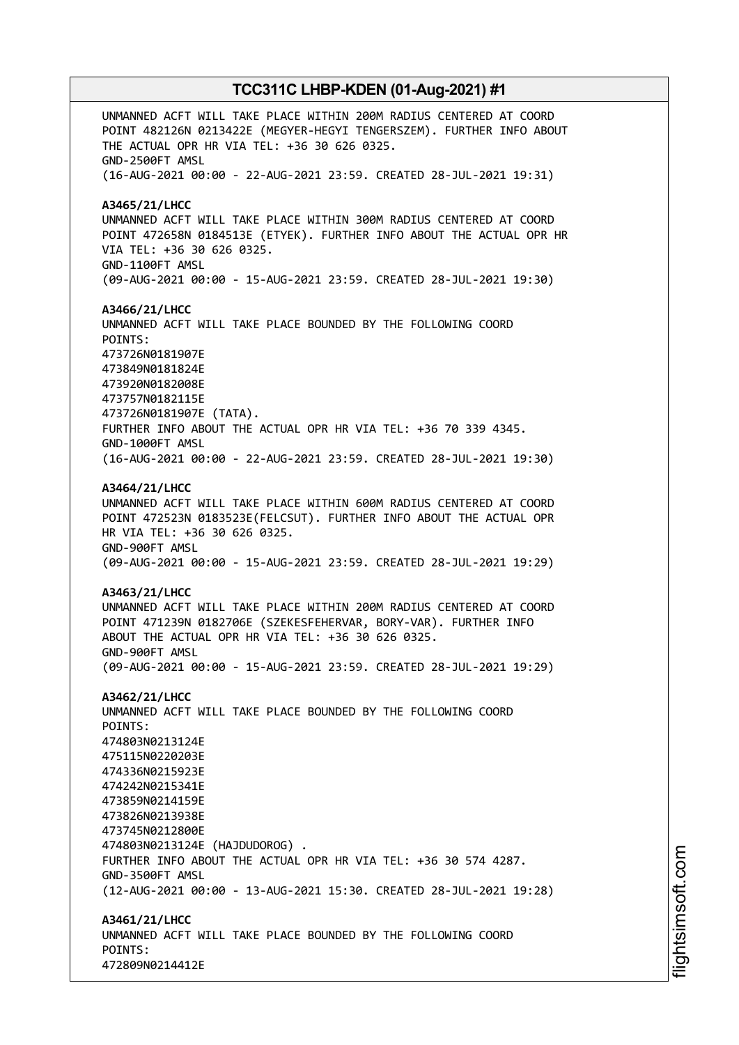UNMANNED ACFT WILL TAKE PLACE WITHIN 200M RADIUS CENTERED AT COORD POINT 482126N 0213422E (MEGYER-HEGYI TENGERSZEM). FURTHER INFO ABOUT THE ACTUAL OPR HR VIA TEL: +36 30 626 0325. GND-2500FT AMSL (16-AUG-2021 00:00 - 22-AUG-2021 23:59. CREATED 28-JUL-2021 19:31) **A3465/21/LHCC** UNMANNED ACFT WILL TAKE PLACE WITHIN 300M RADIUS CENTERED AT COORD POINT 472658N 0184513E (ETYEK). FURTHER INFO ABOUT THE ACTUAL OPR HR VIA TEL: +36 30 626 0325. GND-1100FT AMSL (09-AUG-2021 00:00 - 15-AUG-2021 23:59. CREATED 28-JUL-2021 19:30) **A3466/21/LHCC** UNMANNED ACFT WILL TAKE PLACE BOUNDED BY THE FOLLOWING COORD POINTS: 473726N0181907E 473849N0181824E 473920N0182008E 473757N0182115E 473726N0181907E (TATA). FURTHER INFO ABOUT THE ACTUAL OPR HR VIA TEL: +36 70 339 4345. GND-1000FT AMSL (16-AUG-2021 00:00 - 22-AUG-2021 23:59. CREATED 28-JUL-2021 19:30) **A3464/21/LHCC** UNMANNED ACFT WILL TAKE PLACE WITHIN 600M RADIUS CENTERED AT COORD POINT 472523N 0183523E(FELCSUT). FURTHER INFO ABOUT THE ACTUAL OPR HR VIA TEL: +36 30 626 0325. GND-900FT AMSL (09-AUG-2021 00:00 - 15-AUG-2021 23:59. CREATED 28-JUL-2021 19:29) **A3463/21/LHCC** UNMANNED ACFT WILL TAKE PLACE WITHIN 200M RADIUS CENTERED AT COORD POINT 471239N 0182706E (SZEKESFEHERVAR, BORY-VAR). FURTHER INFO ABOUT THE ACTUAL OPR HR VIA TEL: +36 30 626 0325. GND-900FT AMSL (09-AUG-2021 00:00 - 15-AUG-2021 23:59. CREATED 28-JUL-2021 19:29) **A3462/21/LHCC** UNMANNED ACFT WILL TAKE PLACE BOUNDED BY THE FOLLOWING COORD POINTS: 474803N0213124E 475115N0220203E 474336N0215923E 474242N0215341E 473859N0214159E 473826N0213938E 473745N0212800E 474803N0213124E (HAJDUDOROG) . FURTHER INFO ABOUT THE ACTUAL OPR HR VIA TEL: +36 30 574 4287. GND-3500FT AMSL (12-AUG-2021 00:00 - 13-AUG-2021 15:30. CREATED 28-JUL-2021 19:28) **A3461/21/LHCC** UNMANNED ACFT WILL TAKE PLACE BOUNDED BY THE FOLLOWING COORD POINTS: 472809N0214412E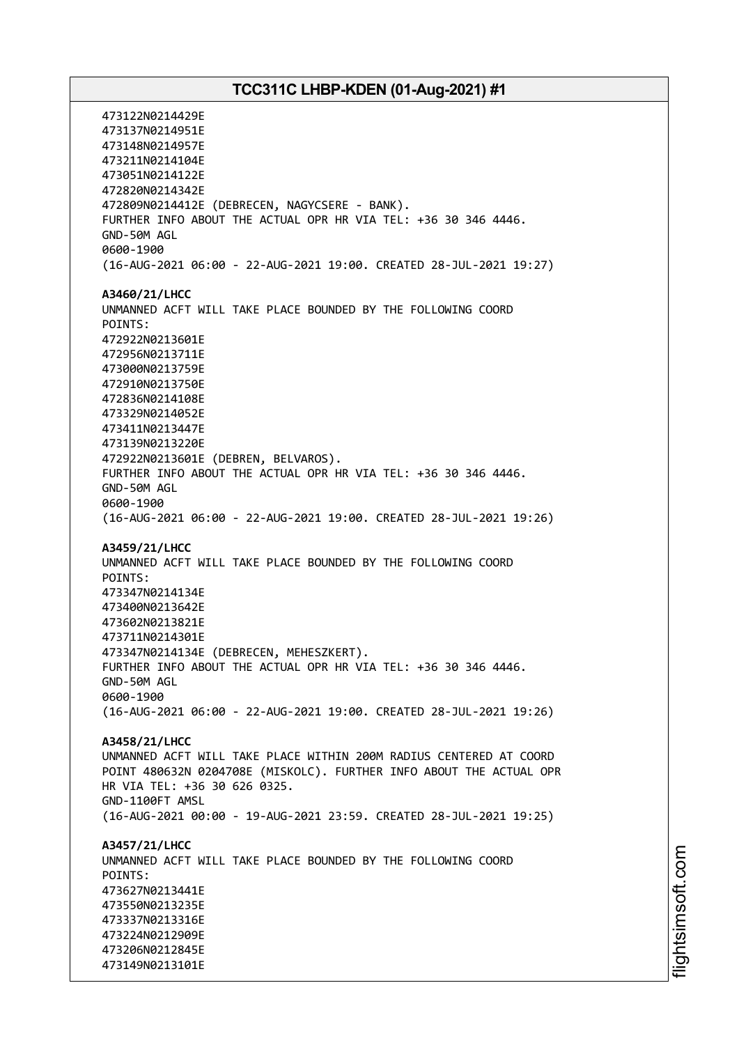473122N0214429E 473137N0214951E 473148N0214957E 473211N0214104E 473051N0214122E 472820N0214342E 472809N0214412E (DEBRECEN, NAGYCSERE - BANK). FURTHER INFO ABOUT THE ACTUAL OPR HR VIA TEL: +36 30 346 4446. GND-50M AGL 0600-1900 (16-AUG-2021 06:00 - 22-AUG-2021 19:00. CREATED 28-JUL-2021 19:27) **A3460/21/LHCC** UNMANNED ACFT WILL TAKE PLACE BOUNDED BY THE FOLLOWING COORD POINTS: 472922N0213601E 472956N0213711E 473000N0213759E 472910N0213750E 472836N0214108E 473329N0214052E 473411N0213447E 473139N0213220E 472922N0213601E (DEBREN, BELVAROS). FURTHER INFO ABOUT THE ACTUAL OPR HR VIA TEL: +36 30 346 4446. GND-50M AGL 0600-1900 (16-AUG-2021 06:00 - 22-AUG-2021 19:00. CREATED 28-JUL-2021 19:26) **A3459/21/LHCC** UNMANNED ACFT WILL TAKE PLACE BOUNDED BY THE FOLLOWING COORD POINTS: 473347N0214134E 473400N0213642E 473602N0213821E 473711N0214301E 473347N0214134E (DEBRECEN, MEHESZKERT). FURTHER INFO ABOUT THE ACTUAL OPR HR VIA TEL: +36 30 346 4446. GND-50M AGL 0600-1900 (16-AUG-2021 06:00 - 22-AUG-2021 19:00. CREATED 28-JUL-2021 19:26) **A3458/21/LHCC** UNMANNED ACFT WILL TAKE PLACE WITHIN 200M RADIUS CENTERED AT COORD POINT 480632N 0204708E (MISKOLC). FURTHER INFO ABOUT THE ACTUAL OPR HR VIA TEL: +36 30 626 0325. GND-1100FT AMSL (16-AUG-2021 00:00 - 19-AUG-2021 23:59. CREATED 28-JUL-2021 19:25) **A3457/21/LHCC** UNMANNED ACFT WILL TAKE PLACE BOUNDED BY THE FOLLOWING COORD POINTS: 473627N0213441E 473550N0213235E 473337N0213316E 473224N0212909E 473206N0212845E 473149N0213101E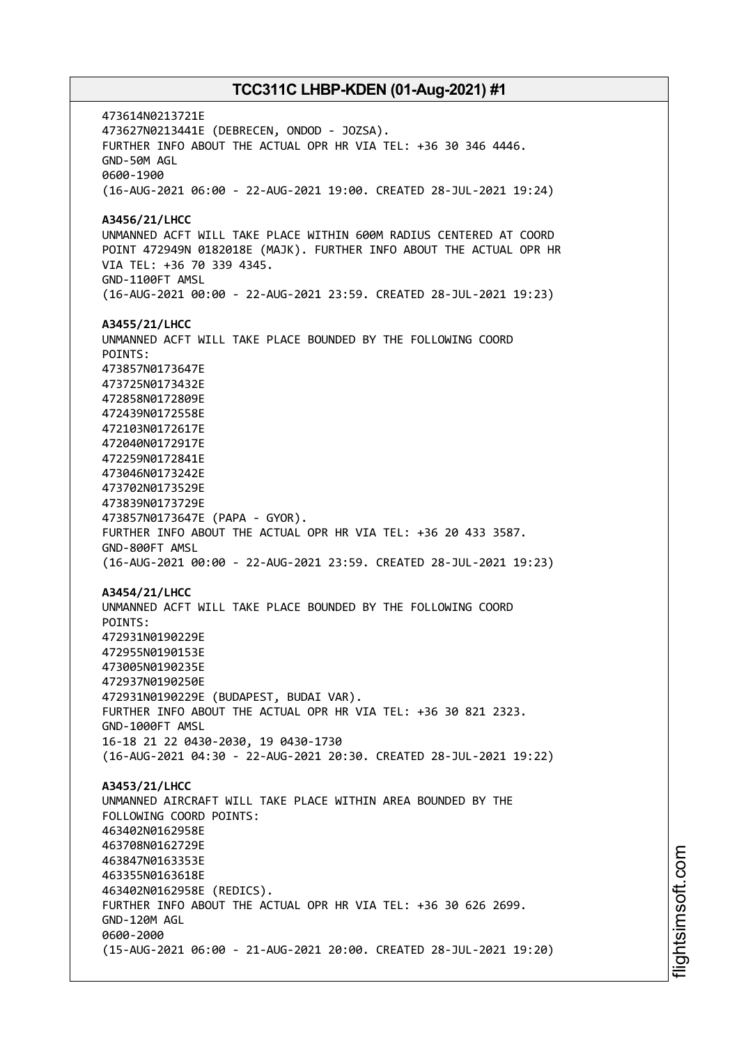473614N0213721E 473627N0213441E (DEBRECEN, ONDOD - JOZSA). FURTHER INFO ABOUT THE ACTUAL OPR HR VIA TEL: +36 30 346 4446. GND-50M AGL 0600-1900 (16-AUG-2021 06:00 - 22-AUG-2021 19:00. CREATED 28-JUL-2021 19:24) **A3456/21/LHCC** UNMANNED ACFT WILL TAKE PLACE WITHIN 600M RADIUS CENTERED AT COORD POINT 472949N 0182018E (MAJK). FURTHER INFO ABOUT THE ACTUAL OPR HR VIA TEL: +36 70 339 4345. GND-1100FT AMSL (16-AUG-2021 00:00 - 22-AUG-2021 23:59. CREATED 28-JUL-2021 19:23) **A3455/21/LHCC** UNMANNED ACFT WILL TAKE PLACE BOUNDED BY THE FOLLOWING COORD POINTS: 473857N0173647E 473725N0173432E 472858N0172809E 472439N0172558E 472103N0172617E 472040N0172917E 472259N0172841E 473046N0173242E 473702N0173529E 473839N0173729E 473857N0173647E (PAPA - GYOR). FURTHER INFO ABOUT THE ACTUAL OPR HR VIA TEL: +36 20 433 3587. GND-800FT AMSL (16-AUG-2021 00:00 - 22-AUG-2021 23:59. CREATED 28-JUL-2021 19:23) **A3454/21/LHCC** UNMANNED ACFT WILL TAKE PLACE BOUNDED BY THE FOLLOWING COORD POINTS: 472931N0190229E 472955N0190153E 473005N0190235E 472937N0190250E 472931N0190229E (BUDAPEST, BUDAI VAR). FURTHER INFO ABOUT THE ACTUAL OPR HR VIA TEL: +36 30 821 2323. GND-1000FT AMSL 16-18 21 22 0430-2030, 19 0430-1730 (16-AUG-2021 04:30 - 22-AUG-2021 20:30. CREATED 28-JUL-2021 19:22) **A3453/21/LHCC** UNMANNED AIRCRAFT WILL TAKE PLACE WITHIN AREA BOUNDED BY THE FOLLOWING COORD POINTS: 463402N0162958E 463708N0162729E 463847N0163353E 463355N0163618E 463402N0162958E (REDICS). FURTHER INFO ABOUT THE ACTUAL OPR HR VIA TEL: +36 30 626 2699. GND-120M AGL 0600-2000 (15-AUG-2021 06:00 - 21-AUG-2021 20:00. CREATED 28-JUL-2021 19:20)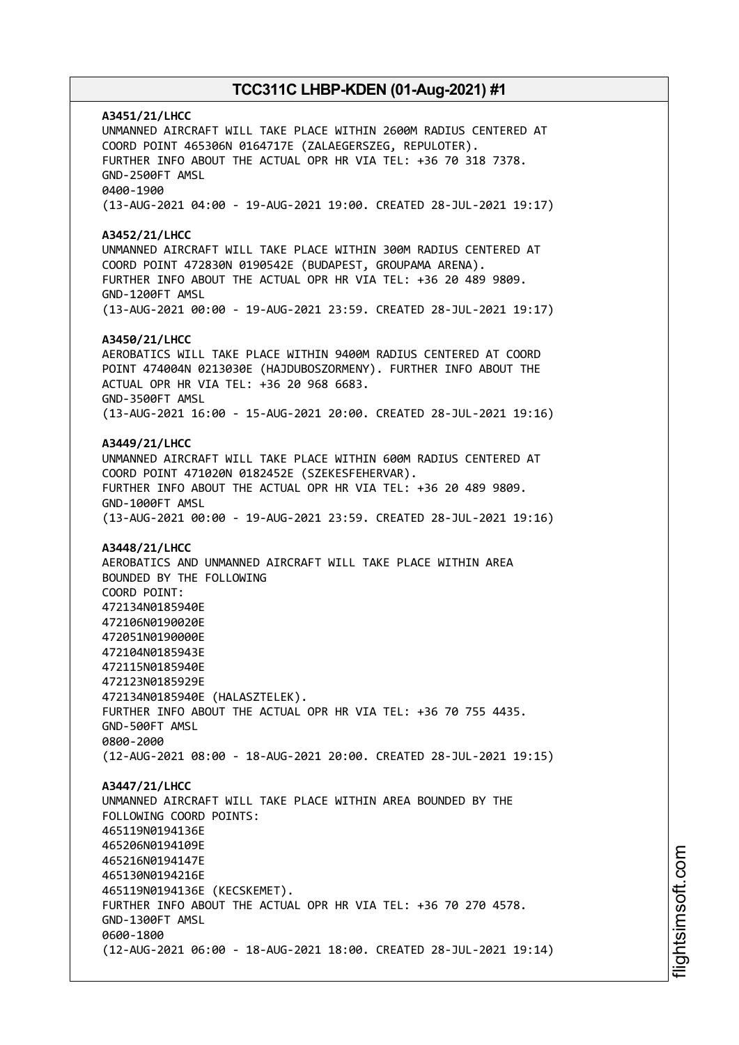**A3451/21/LHCC** UNMANNED AIRCRAFT WILL TAKE PLACE WITHIN 2600M RADIUS CENTERED AT COORD POINT 465306N 0164717E (ZALAEGERSZEG, REPULOTER). FURTHER INFO ABOUT THE ACTUAL OPR HR VIA TEL: +36 70 318 7378. GND-2500FT AMSL 0400-1900 (13-AUG-2021 04:00 - 19-AUG-2021 19:00. CREATED 28-JUL-2021 19:17) **A3452/21/LHCC** UNMANNED AIRCRAFT WILL TAKE PLACE WITHIN 300M RADIUS CENTERED AT COORD POINT 472830N 0190542E (BUDAPEST, GROUPAMA ARENA). FURTHER INFO ABOUT THE ACTUAL OPR HR VIA TEL: +36 20 489 9809. GND-1200FT AMSL (13-AUG-2021 00:00 - 19-AUG-2021 23:59. CREATED 28-JUL-2021 19:17) **A3450/21/LHCC** AEROBATICS WILL TAKE PLACE WITHIN 9400M RADIUS CENTERED AT COORD POINT 474004N 0213030E (HAJDUBOSZORMENY). FURTHER INFO ABOUT THE ACTUAL OPR HR VIA TEL: +36 20 968 6683. GND-3500FT AMSL (13-AUG-2021 16:00 - 15-AUG-2021 20:00. CREATED 28-JUL-2021 19:16) **A3449/21/LHCC** UNMANNED AIRCRAFT WILL TAKE PLACE WITHIN 600M RADIUS CENTERED AT COORD POINT 471020N 0182452E (SZEKESFEHERVAR). FURTHER INFO ABOUT THE ACTUAL OPR HR VIA TEL: +36 20 489 9809. GND-1000FT AMSL (13-AUG-2021 00:00 - 19-AUG-2021 23:59. CREATED 28-JUL-2021 19:16) **A3448/21/LHCC** AEROBATICS AND UNMANNED AIRCRAFT WILL TAKE PLACE WITHIN AREA BOUNDED BY THE FOLLOWING COORD POINT: 472134N0185940E 472106N0190020E 472051N0190000E 472104N0185943E 472115N0185940E 472123N0185929E 472134N0185940E (HALASZTELEK). FURTHER INFO ABOUT THE ACTUAL OPR HR VIA TEL: +36 70 755 4435. GND-500FT AMSL 0800-2000 (12-AUG-2021 08:00 - 18-AUG-2021 20:00. CREATED 28-JUL-2021 19:15) **A3447/21/LHCC** UNMANNED AIRCRAFT WILL TAKE PLACE WITHIN AREA BOUNDED BY THE FOLLOWING COORD POINTS: 465119N0194136E 465206N0194109E 465216N0194147E 465130N0194216E 465119N0194136E (KECSKEMET). FURTHER INFO ABOUT THE ACTUAL OPR HR VIA TEL: +36 70 270 4578. GND-1300FT AMSL 0600-1800 (12-AUG-2021 06:00 - 18-AUG-2021 18:00. CREATED 28-JUL-2021 19:14)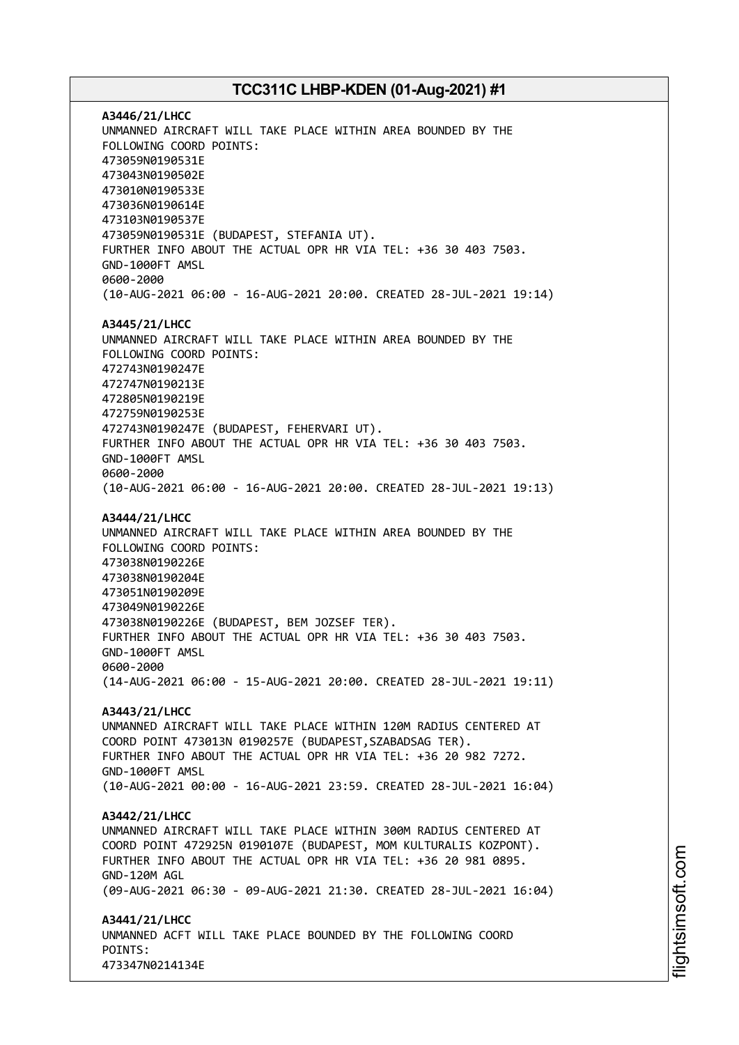**A3446/21/LHCC** UNMANNED AIRCRAFT WILL TAKE PLACE WITHIN AREA BOUNDED BY THE FOLLOWING COORD POINTS: 473059N0190531E 473043N0190502E 473010N0190533E 473036N0190614E 473103N0190537E 473059N0190531E (BUDAPEST, STEFANIA UT). FURTHER INFO ABOUT THE ACTUAL OPR HR VIA TEL: +36 30 403 7503. GND-1000FT AMSL 0600-2000 (10-AUG-2021 06:00 - 16-AUG-2021 20:00. CREATED 28-JUL-2021 19:14) **A3445/21/LHCC** UNMANNED AIRCRAFT WILL TAKE PLACE WITHIN AREA BOUNDED BY THE FOLLOWING COORD POINTS: 472743N0190247E 472747N0190213E 472805N0190219E 472759N0190253E 472743N0190247E (BUDAPEST, FEHERVARI UT). FURTHER INFO ABOUT THE ACTUAL OPR HR VIA TEL: +36 30 403 7503. GND-1000FT AMSL 0600-2000 (10-AUG-2021 06:00 - 16-AUG-2021 20:00. CREATED 28-JUL-2021 19:13) **A3444/21/LHCC** UNMANNED AIRCRAFT WILL TAKE PLACE WITHIN AREA BOUNDED BY THE FOLLOWING COORD POINTS: 473038N0190226E 473038N0190204E 473051N0190209E 473049N0190226E 473038N0190226E (BUDAPEST, BEM JOZSEF TER). FURTHER INFO ABOUT THE ACTUAL OPR HR VIA TEL: +36 30 403 7503. GND-1000FT AMSL 0600-2000 (14-AUG-2021 06:00 - 15-AUG-2021 20:00. CREATED 28-JUL-2021 19:11) **A3443/21/LHCC** UNMANNED AIRCRAFT WILL TAKE PLACE WITHIN 120M RADIUS CENTERED AT COORD POINT 473013N 0190257E (BUDAPEST,SZABADSAG TER). FURTHER INFO ABOUT THE ACTUAL OPR HR VIA TEL: +36 20 982 7272. GND-1000FT AMSL (10-AUG-2021 00:00 - 16-AUG-2021 23:59. CREATED 28-JUL-2021 16:04) **A3442/21/LHCC** UNMANNED AIRCRAFT WILL TAKE PLACE WITHIN 300M RADIUS CENTERED AT COORD POINT 472925N 0190107E (BUDAPEST, MOM KULTURALIS KOZPONT). FURTHER INFO ABOUT THE ACTUAL OPR HR VIA TEL: +36 20 981 0895. GND-120M AGL (09-AUG-2021 06:30 - 09-AUG-2021 21:30. CREATED 28-JUL-2021 16:04) **A3441/21/LHCC** UNMANNED ACFT WILL TAKE PLACE BOUNDED BY THE FOLLOWING COORD POINTS: 473347N0214134E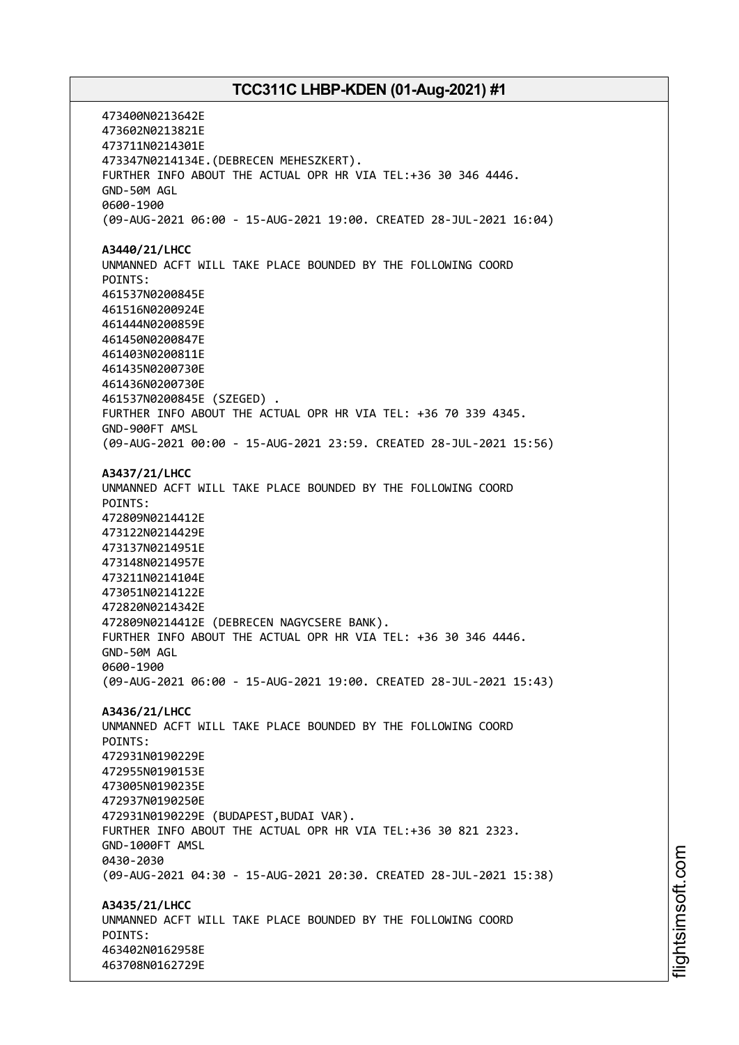473400N0213642E 473602N0213821E 473711N0214301E 473347N0214134E.(DEBRECEN MEHESZKERT). FURTHER INFO ABOUT THE ACTUAL OPR HR VIA TEL:+36 30 346 4446. GND-50M AGL 0600-1900 (09-AUG-2021 06:00 - 15-AUG-2021 19:00. CREATED 28-JUL-2021 16:04) **A3440/21/LHCC** UNMANNED ACFT WILL TAKE PLACE BOUNDED BY THE FOLLOWING COORD POINTS: 461537N0200845E 461516N0200924E 461444N0200859E 461450N0200847E 461403N0200811E 461435N0200730E 461436N0200730E 461537N0200845E (SZEGED) . FURTHER INFO ABOUT THE ACTUAL OPR HR VIA TEL: +36 70 339 4345. GND-900FT AMSL (09-AUG-2021 00:00 - 15-AUG-2021 23:59. CREATED 28-JUL-2021 15:56) **A3437/21/LHCC** UNMANNED ACFT WILL TAKE PLACE BOUNDED BY THE FOLLOWING COORD POINTS: 472809N0214412E 473122N0214429E 473137N0214951E 473148N0214957E 473211N0214104E 473051N0214122E 472820N0214342E 472809N0214412E (DEBRECEN NAGYCSERE BANK). FURTHER INFO ABOUT THE ACTUAL OPR HR VIA TEL: +36 30 346 4446. GND-50M AGL 0600-1900 (09-AUG-2021 06:00 - 15-AUG-2021 19:00. CREATED 28-JUL-2021 15:43) **A3436/21/LHCC** UNMANNED ACFT WILL TAKE PLACE BOUNDED BY THE FOLLOWING COORD POINTS: 472931N0190229E 472955N0190153E 473005N0190235E 472937N0190250E 472931N0190229E (BUDAPEST,BUDAI VAR). FURTHER INFO ABOUT THE ACTUAL OPR HR VIA TEL:+36 30 821 2323. GND-1000FT AMSL 0430-2030 (09-AUG-2021 04:30 - 15-AUG-2021 20:30. CREATED 28-JUL-2021 15:38) **A3435/21/LHCC** UNMANNED ACFT WILL TAKE PLACE BOUNDED BY THE FOLLOWING COORD POINTS: 463402N0162958E 463708N0162729E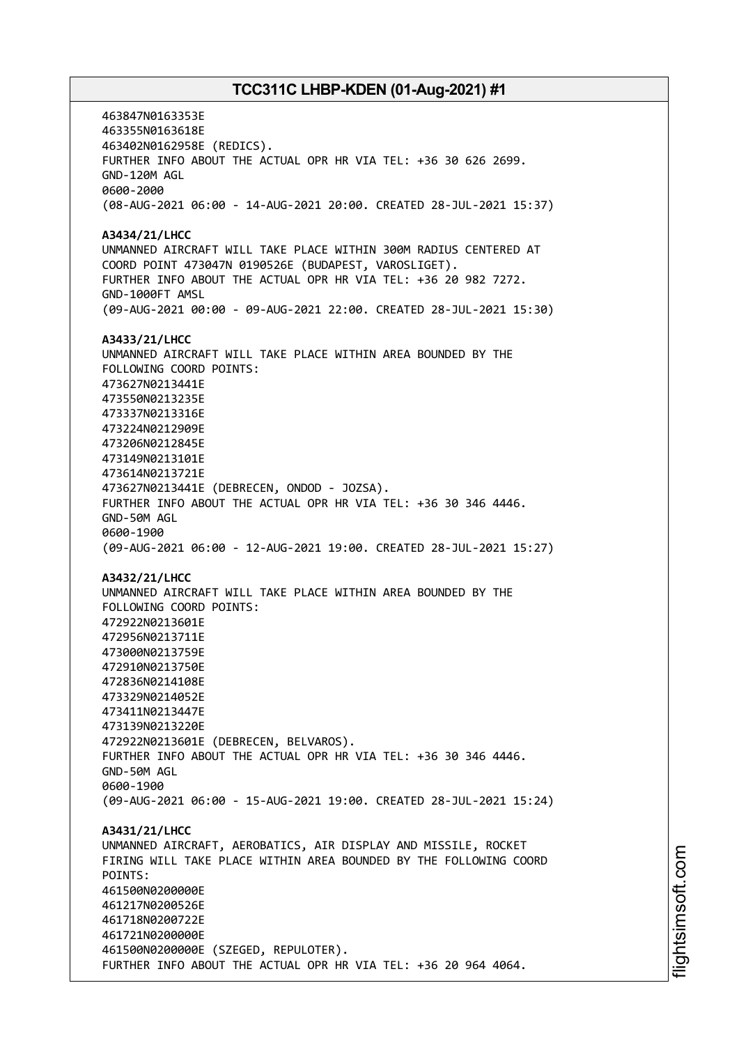463847N0163353E 463355N0163618E 463402N0162958E (REDICS). FURTHER INFO ABOUT THE ACTUAL OPR HR VIA TEL: +36 30 626 2699. GND-120M AGL 0600-2000 (08-AUG-2021 06:00 - 14-AUG-2021 20:00. CREATED 28-JUL-2021 15:37) **A3434/21/LHCC** UNMANNED AIRCRAFT WILL TAKE PLACE WITHIN 300M RADIUS CENTERED AT COORD POINT 473047N 0190526E (BUDAPEST, VAROSLIGET). FURTHER INFO ABOUT THE ACTUAL OPR HR VIA TEL: +36 20 982 7272. GND-1000FT AMSL (09-AUG-2021 00:00 - 09-AUG-2021 22:00. CREATED 28-JUL-2021 15:30) **A3433/21/LHCC** UNMANNED AIRCRAFT WILL TAKE PLACE WITHIN AREA BOUNDED BY THE FOLLOWING COORD POINTS: 473627N0213441E 473550N0213235E 473337N0213316E 473224N0212909E 473206N0212845E 473149N0213101E 473614N0213721E 473627N0213441E (DEBRECEN, ONDOD - JOZSA). FURTHER INFO ABOUT THE ACTUAL OPR HR VIA TEL: +36 30 346 4446. GND-50M AGL 0600-1900 (09-AUG-2021 06:00 - 12-AUG-2021 19:00. CREATED 28-JUL-2021 15:27) **A3432/21/LHCC** UNMANNED AIRCRAFT WILL TAKE PLACE WITHIN AREA BOUNDED BY THE FOLLOWING COORD POINTS: 472922N0213601E 472956N0213711E 473000N0213759E 472910N0213750E 472836N0214108E 473329N0214052E 473411N0213447E 473139N0213220E 472922N0213601E (DEBRECEN, BELVAROS). FURTHER INFO ABOUT THE ACTUAL OPR HR VIA TEL: +36 30 346 4446. GND-50M AGL 0600-1900 (09-AUG-2021 06:00 - 15-AUG-2021 19:00. CREATED 28-JUL-2021 15:24) **A3431/21/LHCC** UNMANNED AIRCRAFT, AEROBATICS, AIR DISPLAY AND MISSILE, ROCKET FIRING WILL TAKE PLACE WITHIN AREA BOUNDED BY THE FOLLOWING COORD POINTS: 461500N0200000E 461217N0200526E 461718N0200722E 461721N0200000E 461500N0200000E (SZEGED, REPULOTER). FURTHER INFO ABOUT THE ACTUAL OPR HR VIA TEL: +36 20 964 4064.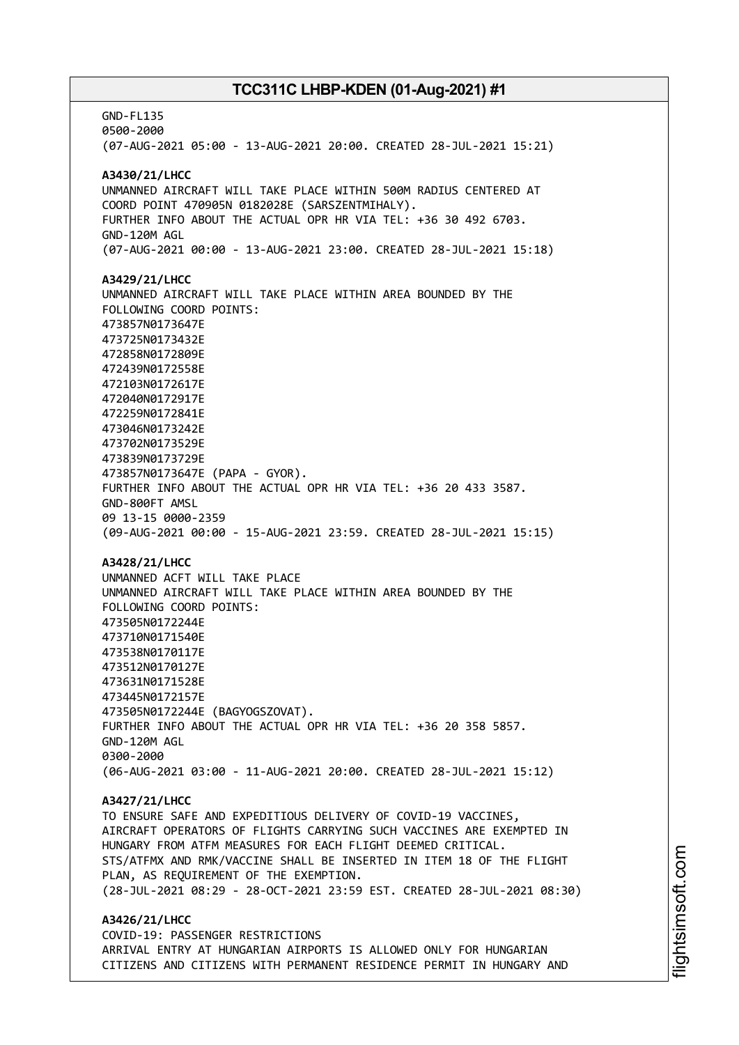GND-FL135 0500-2000 (07-AUG-2021 05:00 - 13-AUG-2021 20:00. CREATED 28-JUL-2021 15:21) **A3430/21/LHCC** UNMANNED AIRCRAFT WILL TAKE PLACE WITHIN 500M RADIUS CENTERED AT COORD POINT 470905N 0182028E (SARSZENTMIHALY). FURTHER INFO ABOUT THE ACTUAL OPR HR VIA TEL: +36 30 492 6703. GND-120M AGL (07-AUG-2021 00:00 - 13-AUG-2021 23:00. CREATED 28-JUL-2021 15:18) **A3429/21/LHCC** UNMANNED AIRCRAFT WILL TAKE PLACE WITHIN AREA BOUNDED BY THE FOLLOWING COORD POINTS: 473857N0173647E 473725N0173432E 472858N0172809E 472439N0172558E 472103N0172617E 472040N0172917E 472259N0172841E 473046N0173242E 473702N0173529E 473839N0173729E 473857N0173647E (PAPA - GYOR). FURTHER INFO ABOUT THE ACTUAL OPR HR VIA TEL: +36 20 433 3587. GND-800FT AMSL 09 13-15 0000-2359 (09-AUG-2021 00:00 - 15-AUG-2021 23:59. CREATED 28-JUL-2021 15:15) **A3428/21/LHCC** UNMANNED ACFT WILL TAKE PLACE UNMANNED AIRCRAFT WILL TAKE PLACE WITHIN AREA BOUNDED BY THE FOLLOWING COORD POINTS: 473505N0172244E 473710N0171540E 473538N0170117E 473512N0170127E 473631N0171528E 473445N0172157E 473505N0172244E (BAGYOGSZOVAT). FURTHER INFO ABOUT THE ACTUAL OPR HR VIA TEL: +36 20 358 5857. GND-120M AGL 0300-2000 (06-AUG-2021 03:00 - 11-AUG-2021 20:00. CREATED 28-JUL-2021 15:12) **A3427/21/LHCC** TO ENSURE SAFE AND EXPEDITIOUS DELIVERY OF COVID-19 VACCINES, AIRCRAFT OPERATORS OF FLIGHTS CARRYING SUCH VACCINES ARE EXEMPTED IN HUNGARY FROM ATFM MEASURES FOR EACH FLIGHT DEEMED CRITICAL. STS/ATFMX AND RMK/VACCINE SHALL BE INSERTED IN ITEM 18 OF THE FLIGHT PLAN, AS REQUIREMENT OF THE EXEMPTION. (28-JUL-2021 08:29 - 28-OCT-2021 23:59 EST. CREATED 28-JUL-2021 08:30) **A3426/21/LHCC** COVID-19: PASSENGER RESTRICTIONS ARRIVAL ENTRY AT HUNGARIAN AIRPORTS IS ALLOWED ONLY FOR HUNGARIAN CITIZENS AND CITIZENS WITH PERMANENT RESIDENCE PERMIT IN HUNGARY AND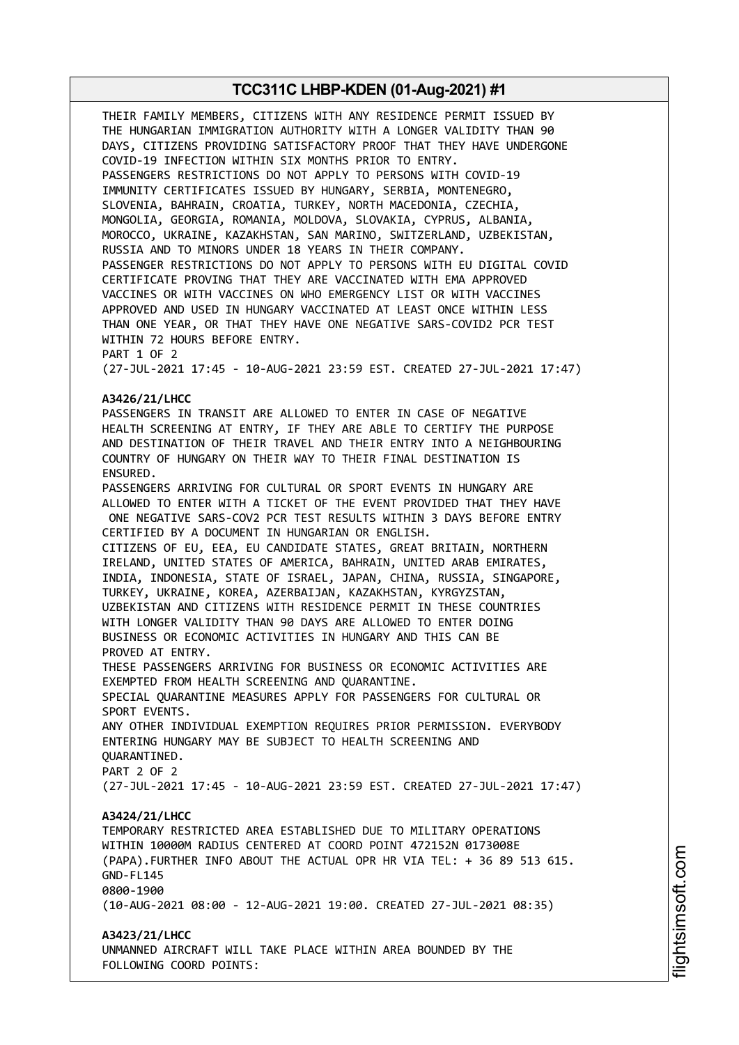THEIR FAMILY MEMBERS, CITIZENS WITH ANY RESIDENCE PERMIT ISSUED BY THE HUNGARIAN IMMIGRATION AUTHORITY WITH A LONGER VALIDITY THAN 90 DAYS, CITIZENS PROVIDING SATISFACTORY PROOF THAT THEY HAVE UNDERGONE COVID-19 INFECTION WITHIN SIX MONTHS PRIOR TO ENTRY. PASSENGERS RESTRICTIONS DO NOT APPLY TO PERSONS WITH COVID-19 IMMUNITY CERTIFICATES ISSUED BY HUNGARY, SERBIA, MONTENEGRO, SLOVENIA, BAHRAIN, CROATIA, TURKEY, NORTH MACEDONIA, CZECHIA, MONGOLIA, GEORGIA, ROMANIA, MOLDOVA, SLOVAKIA, CYPRUS, ALBANIA, MOROCCO, UKRAINE, KAZAKHSTAN, SAN MARINO, SWITZERLAND, UZBEKISTAN, RUSSIA AND TO MINORS UNDER 18 YEARS IN THEIR COMPANY. PASSENGER RESTRICTIONS DO NOT APPLY TO PERSONS WITH EU DIGITAL COVID CERTIFICATE PROVING THAT THEY ARE VACCINATED WITH EMA APPROVED VACCINES OR WITH VACCINES ON WHO EMERGENCY LIST OR WITH VACCINES APPROVED AND USED IN HUNGARY VACCINATED AT LEAST ONCE WITHIN LESS THAN ONE YEAR, OR THAT THEY HAVE ONE NEGATIVE SARS-COVID2 PCR TEST WITHIN 72 HOURS BEFORE ENTRY. PART 1 OF 2 (27-JUL-2021 17:45 - 10-AUG-2021 23:59 EST. CREATED 27-JUL-2021 17:47) **A3426/21/LHCC** PASSENGERS IN TRANSIT ARE ALLOWED TO ENTER IN CASE OF NEGATIVE HEALTH SCREENING AT ENTRY, IF THEY ARE ABLE TO CERTIFY THE PURPOSE AND DESTINATION OF THEIR TRAVEL AND THEIR ENTRY INTO A NEIGHBOURING COUNTRY OF HUNGARY ON THEIR WAY TO THEIR FINAL DESTINATION IS ENSURED. PASSENGERS ARRIVING FOR CULTURAL OR SPORT EVENTS IN HUNGARY ARE ALLOWED TO ENTER WITH A TICKET OF THE EVENT PROVIDED THAT THEY HAVE ONE NEGATIVE SARS-COV2 PCR TEST RESULTS WITHIN 3 DAYS BEFORE ENTRY CERTIFIED BY A DOCUMENT IN HUNGARIAN OR ENGLISH. CITIZENS OF EU, EEA, EU CANDIDATE STATES, GREAT BRITAIN, NORTHERN IRELAND, UNITED STATES OF AMERICA, BAHRAIN, UNITED ARAB EMIRATES, INDIA, INDONESIA, STATE OF ISRAEL, JAPAN, CHINA, RUSSIA, SINGAPORE, TURKEY, UKRAINE, KOREA, AZERBAIJAN, KAZAKHSTAN, KYRGYZSTAN, UZBEKISTAN AND CITIZENS WITH RESIDENCE PERMIT IN THESE COUNTRIES WITH LONGER VALIDITY THAN 90 DAYS ARE ALLOWED TO ENTER DOING BUSINESS OR ECONOMIC ACTIVITIES IN HUNGARY AND THIS CAN BE PROVED AT ENTRY. THESE PASSENGERS ARRIVING FOR BUSINESS OR ECONOMIC ACTIVITIES ARE EXEMPTED FROM HEALTH SCREENING AND QUARANTINE. SPECIAL QUARANTINE MEASURES APPLY FOR PASSENGERS FOR CULTURAL OR SPORT EVENTS. ANY OTHER INDIVIDUAL EXEMPTION REQUIRES PRIOR PERMISSION. EVERYBODY ENTERING HUNGARY MAY BE SUBJECT TO HEALTH SCREENING AND QUARANTINED. PART 2 OF 2 (27-JUL-2021 17:45 - 10-AUG-2021 23:59 EST. CREATED 27-JUL-2021 17:47) **A3424/21/LHCC** TEMPORARY RESTRICTED AREA ESTABLISHED DUE TO MILITARY OPERATIONS WITHIN 10000M RADIUS CENTERED AT COORD POINT 472152N 0173008E (PAPA).FURTHER INFO ABOUT THE ACTUAL OPR HR VIA TEL: + 36 89 513 615. GND-FL145 0800-1900 (10-AUG-2021 08:00 - 12-AUG-2021 19:00. CREATED 27-JUL-2021 08:35) **A3423/21/LHCC** UNMANNED AIRCRAFT WILL TAKE PLACE WITHIN AREA BOUNDED BY THE FOLLOWING COORD POINTS: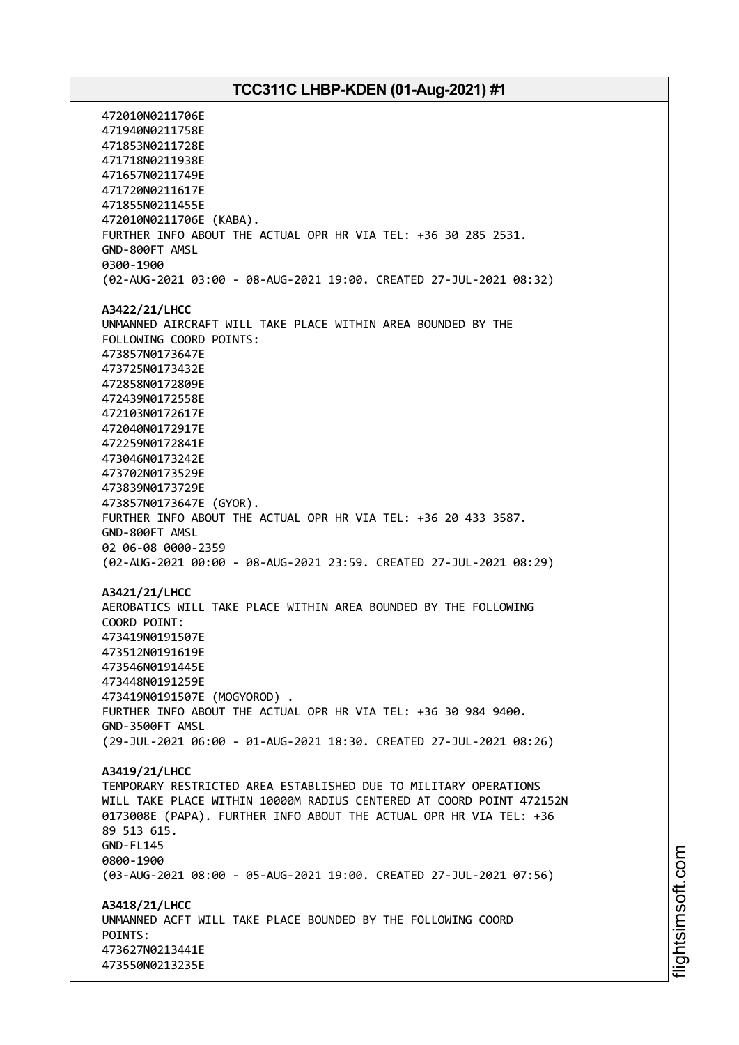472010N0211706E 471940N0211758E 471853N0211728E 471718N0211938E 471657N0211749E 471720N0211617E 471855N0211455E 472010N0211706E (KABA). FURTHER INFO ABOUT THE ACTUAL OPR HR VIA TEL: +36 30 285 2531. GND-800FT AMSL 0300-1900 (02-AUG-2021 03:00 - 08-AUG-2021 19:00. CREATED 27-JUL-2021 08:32) **A3422/21/LHCC** UNMANNED AIRCRAFT WILL TAKE PLACE WITHIN AREA BOUNDED BY THE FOLLOWING COORD POINTS: 473857N0173647E 473725N0173432E 472858N0172809E 472439N0172558E 472103N0172617E 472040N0172917E 472259N0172841E 473046N0173242E 473702N0173529E 473839N0173729E 473857N0173647E (GYOR). FURTHER INFO ABOUT THE ACTUAL OPR HR VIA TEL: +36 20 433 3587. GND-800FT AMSL 02 06-08 0000-2359 (02-AUG-2021 00:00 - 08-AUG-2021 23:59. CREATED 27-JUL-2021 08:29) **A3421/21/LHCC** AEROBATICS WILL TAKE PLACE WITHIN AREA BOUNDED BY THE FOLLOWING COORD POINT: 473419N0191507E 473512N0191619E 473546N0191445E 473448N0191259E 473419N0191507E (MOGYOROD) . FURTHER INFO ABOUT THE ACTUAL OPR HR VIA TEL: +36 30 984 9400. GND-3500FT AMSL (29-JUL-2021 06:00 - 01-AUG-2021 18:30. CREATED 27-JUL-2021 08:26) **A3419/21/LHCC** TEMPORARY RESTRICTED AREA ESTABLISHED DUE TO MILITARY OPERATIONS WILL TAKE PLACE WITHIN 10000M RADIUS CENTERED AT COORD POINT 472152N 0173008E (PAPA). FURTHER INFO ABOUT THE ACTUAL OPR HR VIA TEL: +36 89 513 615. GND-FL145 0800-1900 (03-AUG-2021 08:00 - 05-AUG-2021 19:00. CREATED 27-JUL-2021 07:56) **A3418/21/LHCC** UNMANNED ACFT WILL TAKE PLACE BOUNDED BY THE FOLLOWING COORD POINTS: 473627N0213441E 473550N0213235E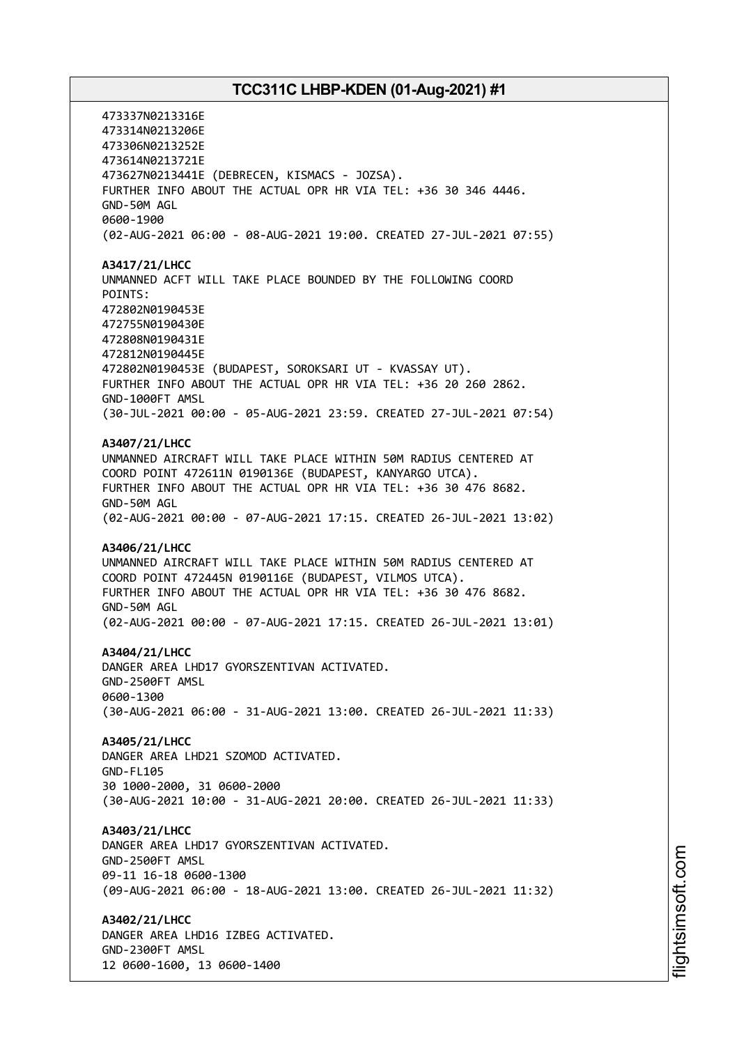473337N0213316E 473314N0213206E 473306N0213252E 473614N0213721E 473627N0213441E (DEBRECEN, KISMACS - JOZSA). FURTHER INFO ABOUT THE ACTUAL OPR HR VIA TEL: +36 30 346 4446. GND-50M AGL 0600-1900 (02-AUG-2021 06:00 - 08-AUG-2021 19:00. CREATED 27-JUL-2021 07:55) **A3417/21/LHCC** UNMANNED ACFT WILL TAKE PLACE BOUNDED BY THE FOLLOWING COORD POINTS: 472802N0190453E 472755N0190430E 472808N0190431E 472812N0190445E 472802N0190453E (BUDAPEST, SOROKSARI UT - KVASSAY UT). FURTHER INFO ABOUT THE ACTUAL OPR HR VIA TEL: +36 20 260 2862. GND-1000FT AMSL (30-JUL-2021 00:00 - 05-AUG-2021 23:59. CREATED 27-JUL-2021 07:54) **A3407/21/LHCC** UNMANNED AIRCRAFT WILL TAKE PLACE WITHIN 50M RADIUS CENTERED AT COORD POINT 472611N 0190136E (BUDAPEST, KANYARGO UTCA). FURTHER INFO ABOUT THE ACTUAL OPR HR VIA TEL: +36 30 476 8682. GND-50M AGL (02-AUG-2021 00:00 - 07-AUG-2021 17:15. CREATED 26-JUL-2021 13:02) **A3406/21/LHCC** UNMANNED AIRCRAFT WILL TAKE PLACE WITHIN 50M RADIUS CENTERED AT COORD POINT 472445N 0190116E (BUDAPEST, VILMOS UTCA). FURTHER INFO ABOUT THE ACTUAL OPR HR VIA TEL: +36 30 476 8682. GND-50M AGL (02-AUG-2021 00:00 - 07-AUG-2021 17:15. CREATED 26-JUL-2021 13:01) **A3404/21/LHCC** DANGER AREA LHD17 GYORSZENTIVAN ACTIVATED. GND-2500FT AMSL 0600-1300 (30-AUG-2021 06:00 - 31-AUG-2021 13:00. CREATED 26-JUL-2021 11:33) **A3405/21/LHCC** DANGER AREA LHD21 SZOMOD ACTIVATED. GND-FL105 30 1000-2000, 31 0600-2000 (30-AUG-2021 10:00 - 31-AUG-2021 20:00. CREATED 26-JUL-2021 11:33) **A3403/21/LHCC** DANGER AREA LHD17 GYORSZENTIVAN ACTIVATED. GND-2500FT AMSL 09-11 16-18 0600-1300 (09-AUG-2021 06:00 - 18-AUG-2021 13:00. CREATED 26-JUL-2021 11:32) **A3402/21/LHCC** DANGER AREA LHD16 IZBEG ACTIVATED. GND-2300FT AMSL 12 0600-1600, 13 0600-1400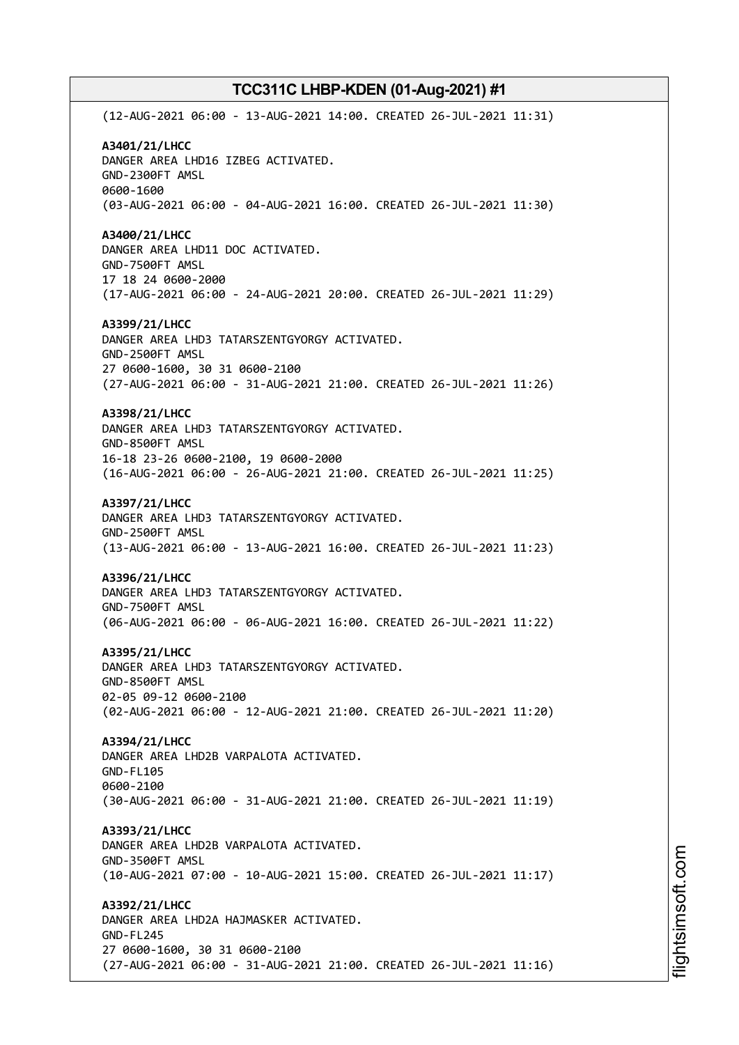(12-AUG-2021 06:00 - 13-AUG-2021 14:00. CREATED 26-JUL-2021 11:31) **A3401/21/LHCC** DANGER AREA LHD16 IZBEG ACTIVATED. GND-2300FT AMSL 0600-1600 (03-AUG-2021 06:00 - 04-AUG-2021 16:00. CREATED 26-JUL-2021 11:30) **A3400/21/LHCC** DANGER AREA LHD11 DOC ACTIVATED. GND-7500FT AMSL 17 18 24 0600-2000 (17-AUG-2021 06:00 - 24-AUG-2021 20:00. CREATED 26-JUL-2021 11:29) **A3399/21/LHCC** DANGER AREA LHD3 TATARSZENTGYORGY ACTIVATED. GND-2500FT AMSL 27 0600-1600, 30 31 0600-2100 (27-AUG-2021 06:00 - 31-AUG-2021 21:00. CREATED 26-JUL-2021 11:26) **A3398/21/LHCC** DANGER AREA LHD3 TATARSZENTGYORGY ACTIVATED. GND-8500FT AMSL 16-18 23-26 0600-2100, 19 0600-2000 (16-AUG-2021 06:00 - 26-AUG-2021 21:00. CREATED 26-JUL-2021 11:25) **A3397/21/LHCC** DANGER AREA LHD3 TATARSZENTGYORGY ACTIVATED. GND-2500FT AMSL (13-AUG-2021 06:00 - 13-AUG-2021 16:00. CREATED 26-JUL-2021 11:23) **A3396/21/LHCC** DANGER AREA LHD3 TATARSZENTGYORGY ACTIVATED. GND-7500FT AMSL (06-AUG-2021 06:00 - 06-AUG-2021 16:00. CREATED 26-JUL-2021 11:22) **A3395/21/LHCC** DANGER AREA LHD3 TATARSZENTGYORGY ACTIVATED. GND-8500FT AMSL 02-05 09-12 0600-2100 (02-AUG-2021 06:00 - 12-AUG-2021 21:00. CREATED 26-JUL-2021 11:20) **A3394/21/LHCC** DANGER AREA LHD2B VARPALOTA ACTIVATED. GND-FL105 0600-2100 (30-AUG-2021 06:00 - 31-AUG-2021 21:00. CREATED 26-JUL-2021 11:19) **A3393/21/LHCC** DANGER AREA LHD2B VARPALOTA ACTIVATED. GND-3500FT AMSL (10-AUG-2021 07:00 - 10-AUG-2021 15:00. CREATED 26-JUL-2021 11:17) **A3392/21/LHCC** DANGER AREA LHD2A HAJMASKER ACTIVATED. GND-FL245 27 0600-1600, 30 31 0600-2100 (27-AUG-2021 06:00 - 31-AUG-2021 21:00. CREATED 26-JUL-2021 11:16)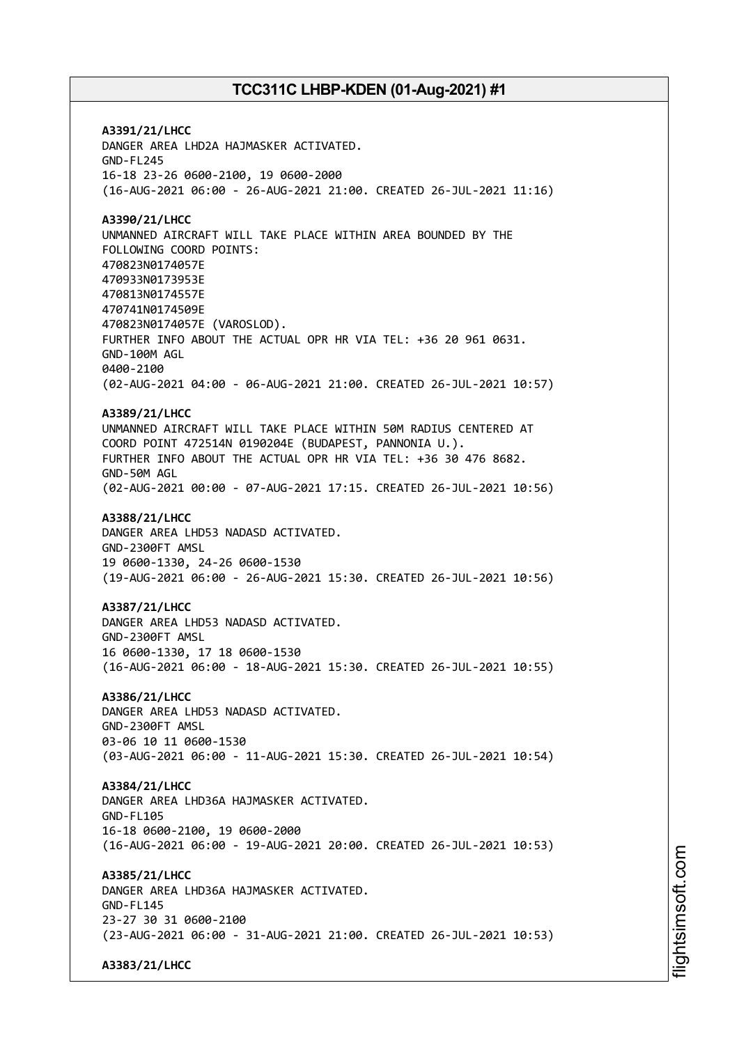**A3391/21/LHCC** DANGER AREA LHD2A HAJMASKER ACTIVATED. GND-FL245 16-18 23-26 0600-2100, 19 0600-2000 (16-AUG-2021 06:00 - 26-AUG-2021 21:00. CREATED 26-JUL-2021 11:16) **A3390/21/LHCC** UNMANNED AIRCRAFT WILL TAKE PLACE WITHIN AREA BOUNDED BY THE FOLLOWING COORD POINTS: 470823N0174057E 470933N0173953E 470813N0174557E 470741N0174509E 470823N0174057E (VAROSLOD). FURTHER INFO ABOUT THE ACTUAL OPR HR VIA TEL: +36 20 961 0631. GND-100M AGL 0400-2100 (02-AUG-2021 04:00 - 06-AUG-2021 21:00. CREATED 26-JUL-2021 10:57) **A3389/21/LHCC** UNMANNED AIRCRAFT WILL TAKE PLACE WITHIN 50M RADIUS CENTERED AT COORD POINT 472514N 0190204E (BUDAPEST, PANNONIA U.). FURTHER INFO ABOUT THE ACTUAL OPR HR VIA TEL: +36 30 476 8682. GND-50M AGL (02-AUG-2021 00:00 - 07-AUG-2021 17:15. CREATED 26-JUL-2021 10:56) **A3388/21/LHCC** DANGER AREA LHD53 NADASD ACTIVATED. GND-2300FT AMSL 19 0600-1330, 24-26 0600-1530 (19-AUG-2021 06:00 - 26-AUG-2021 15:30. CREATED 26-JUL-2021 10:56) **A3387/21/LHCC** DANGER AREA LHD53 NADASD ACTIVATED. GND-2300FT AMSL 16 0600-1330, 17 18 0600-1530 (16-AUG-2021 06:00 - 18-AUG-2021 15:30. CREATED 26-JUL-2021 10:55) **A3386/21/LHCC** DANGER AREA LHD53 NADASD ACTIVATED. GND-2300FT AMSL 03-06 10 11 0600-1530 (03-AUG-2021 06:00 - 11-AUG-2021 15:30. CREATED 26-JUL-2021 10:54) **A3384/21/LHCC** DANGER AREA LHD36A HAJMASKER ACTIVATED. GND-FL105 16-18 0600-2100, 19 0600-2000 (16-AUG-2021 06:00 - 19-AUG-2021 20:00. CREATED 26-JUL-2021 10:53) **A3385/21/LHCC** DANGER AREA LHD36A HAJMASKER ACTIVATED. GND-FL145 23-27 30 31 0600-2100 (23-AUG-2021 06:00 - 31-AUG-2021 21:00. CREATED 26-JUL-2021 10:53) **A3383/21/LHCC**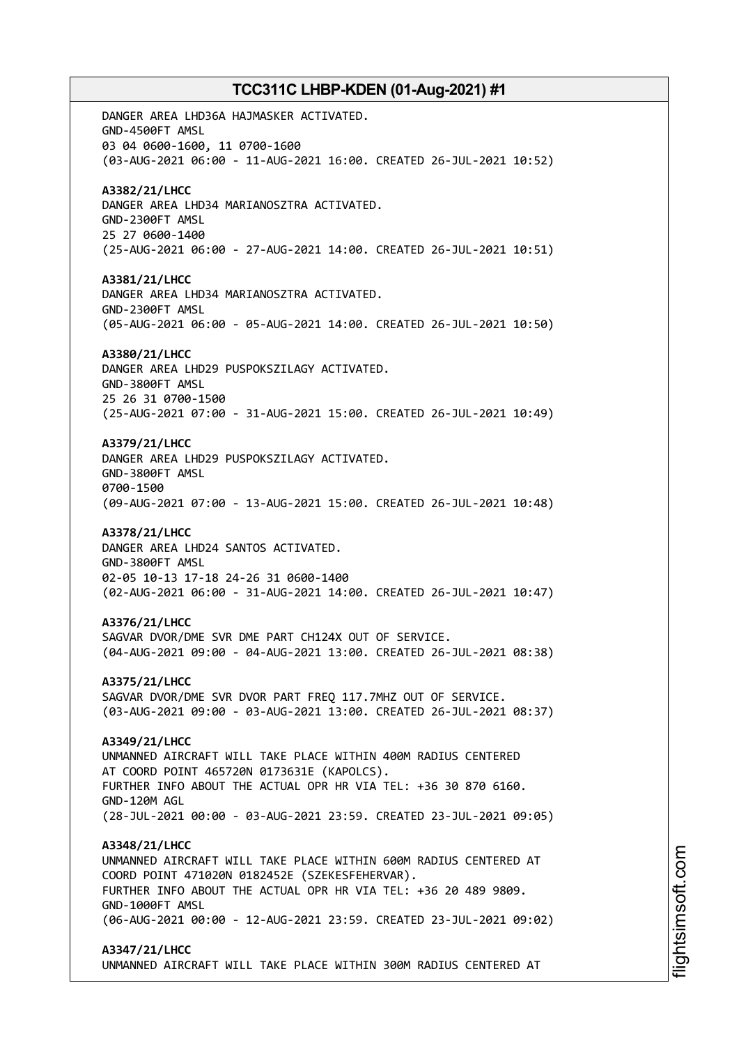DANGER AREA LHD36A HAJMASKER ACTIVATED. GND-4500FT AMSL 03 04 0600-1600, 11 0700-1600 (03-AUG-2021 06:00 - 11-AUG-2021 16:00. CREATED 26-JUL-2021 10:52) **A3382/21/LHCC** DANGER AREA LHD34 MARIANOSZTRA ACTIVATED. GND-2300FT AMSL 25 27 0600-1400 (25-AUG-2021 06:00 - 27-AUG-2021 14:00. CREATED 26-JUL-2021 10:51) **A3381/21/LHCC** DANGER AREA LHD34 MARIANOSZTRA ACTIVATED. GND-2300FT AMSL (05-AUG-2021 06:00 - 05-AUG-2021 14:00. CREATED 26-JUL-2021 10:50) **A3380/21/LHCC** DANGER AREA LHD29 PUSPOKSZILAGY ACTIVATED. GND-3800FT AMSL 25 26 31 0700-1500 (25-AUG-2021 07:00 - 31-AUG-2021 15:00. CREATED 26-JUL-2021 10:49) **A3379/21/LHCC** DANGER AREA LHD29 PUSPOKSZILAGY ACTIVATED. GND-3800FT AMSL 0700-1500 (09-AUG-2021 07:00 - 13-AUG-2021 15:00. CREATED 26-JUL-2021 10:48) **A3378/21/LHCC** DANGER AREA LHD24 SANTOS ACTIVATED. GND-3800FT AMSL 02-05 10-13 17-18 24-26 31 0600-1400 (02-AUG-2021 06:00 - 31-AUG-2021 14:00. CREATED 26-JUL-2021 10:47) **A3376/21/LHCC** SAGVAR DVOR/DME SVR DME PART CH124X OUT OF SERVICE. (04-AUG-2021 09:00 - 04-AUG-2021 13:00. CREATED 26-JUL-2021 08:38) **A3375/21/LHCC** SAGVAR DVOR/DME SVR DVOR PART FREQ 117.7MHZ OUT OF SERVICE. (03-AUG-2021 09:00 - 03-AUG-2021 13:00. CREATED 26-JUL-2021 08:37) **A3349/21/LHCC** UNMANNED AIRCRAFT WILL TAKE PLACE WITHIN 400M RADIUS CENTERED AT COORD POINT 465720N 0173631E (KAPOLCS). FURTHER INFO ABOUT THE ACTUAL OPR HR VIA TEL: +36 30 870 6160. GND-120M AGL (28-JUL-2021 00:00 - 03-AUG-2021 23:59. CREATED 23-JUL-2021 09:05) **A3348/21/LHCC** UNMANNED AIRCRAFT WILL TAKE PLACE WITHIN 600M RADIUS CENTERED AT COORD POINT 471020N 0182452E (SZEKESFEHERVAR). FURTHER INFO ABOUT THE ACTUAL OPR HR VIA TEL: +36 20 489 9809. GND-1000FT AMSL (06-AUG-2021 00:00 - 12-AUG-2021 23:59. CREATED 23-JUL-2021 09:02) **A3347/21/LHCC** UNMANNED AIRCRAFT WILL TAKE PLACE WITHIN 300M RADIUS CENTERED AT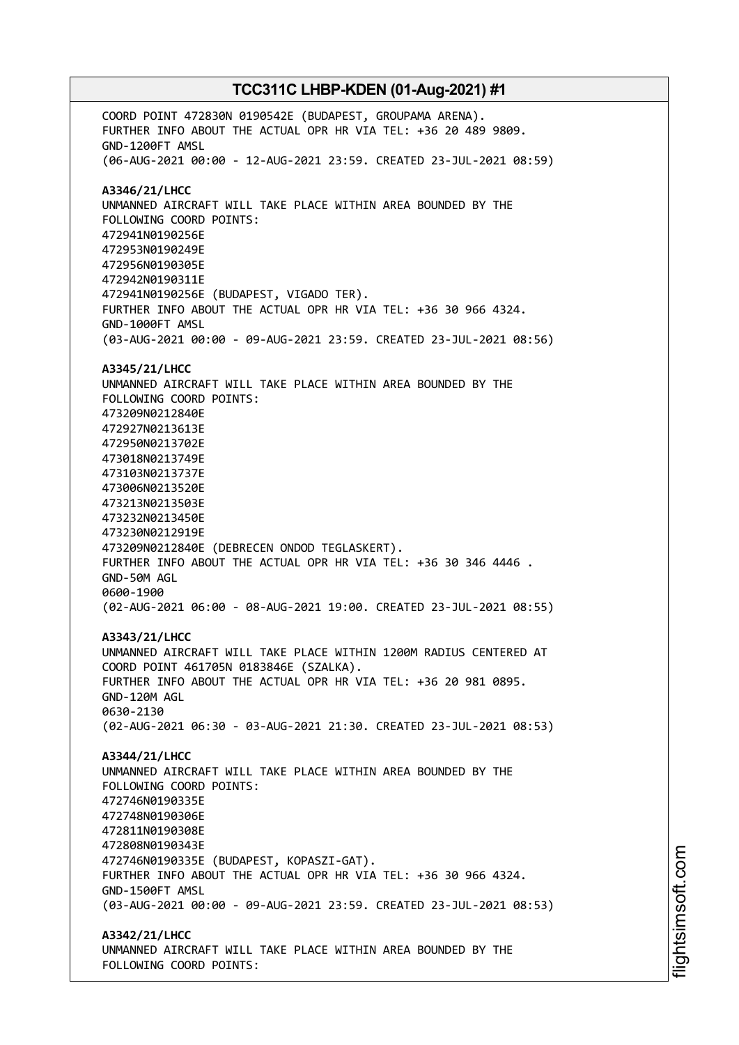COORD POINT 472830N 0190542E (BUDAPEST, GROUPAMA ARENA). FURTHER INFO ABOUT THE ACTUAL OPR HR VIA TEL: +36 20 489 9809. GND-1200FT AMSL (06-AUG-2021 00:00 - 12-AUG-2021 23:59. CREATED 23-JUL-2021 08:59) **A3346/21/LHCC** UNMANNED AIRCRAFT WILL TAKE PLACE WITHIN AREA BOUNDED BY THE FOLLOWING COORD POINTS: 472941N0190256E 472953N0190249E 472956N0190305E 472942N0190311E 472941N0190256E (BUDAPEST, VIGADO TER). FURTHER INFO ABOUT THE ACTUAL OPR HR VIA TEL: +36 30 966 4324. GND-1000FT AMSL (03-AUG-2021 00:00 - 09-AUG-2021 23:59. CREATED 23-JUL-2021 08:56) **A3345/21/LHCC** UNMANNED AIRCRAFT WILL TAKE PLACE WITHIN AREA BOUNDED BY THE FOLLOWING COORD POINTS: 473209N0212840E 472927N0213613E 472950N0213702E 473018N0213749E 473103N0213737E 473006N0213520E 473213N0213503E 473232N0213450E 473230N0212919E 473209N0212840E (DEBRECEN ONDOD TEGLASKERT). FURTHER INFO ABOUT THE ACTUAL OPR HR VIA TEL: +36 30 346 4446 . GND-50M AGL 0600-1900 (02-AUG-2021 06:00 - 08-AUG-2021 19:00. CREATED 23-JUL-2021 08:55) **A3343/21/LHCC** UNMANNED AIRCRAFT WILL TAKE PLACE WITHIN 1200M RADIUS CENTERED AT COORD POINT 461705N 0183846E (SZALKA). FURTHER INFO ABOUT THE ACTUAL OPR HR VIA TEL: +36 20 981 0895. GND-120M AGL 0630-2130 (02-AUG-2021 06:30 - 03-AUG-2021 21:30. CREATED 23-JUL-2021 08:53) **A3344/21/LHCC** UNMANNED AIRCRAFT WILL TAKE PLACE WITHIN AREA BOUNDED BY THE FOLLOWING COORD POINTS: 472746N0190335E 472748N0190306E 472811N0190308E 472808N0190343E 472746N0190335E (BUDAPEST, KOPASZI-GAT). FURTHER INFO ABOUT THE ACTUAL OPR HR VIA TEL: +36 30 966 4324. GND-1500FT AMSL (03-AUG-2021 00:00 - 09-AUG-2021 23:59. CREATED 23-JUL-2021 08:53) **A3342/21/LHCC** UNMANNED AIRCRAFT WILL TAKE PLACE WITHIN AREA BOUNDED BY THE FOLLOWING COORD POINTS: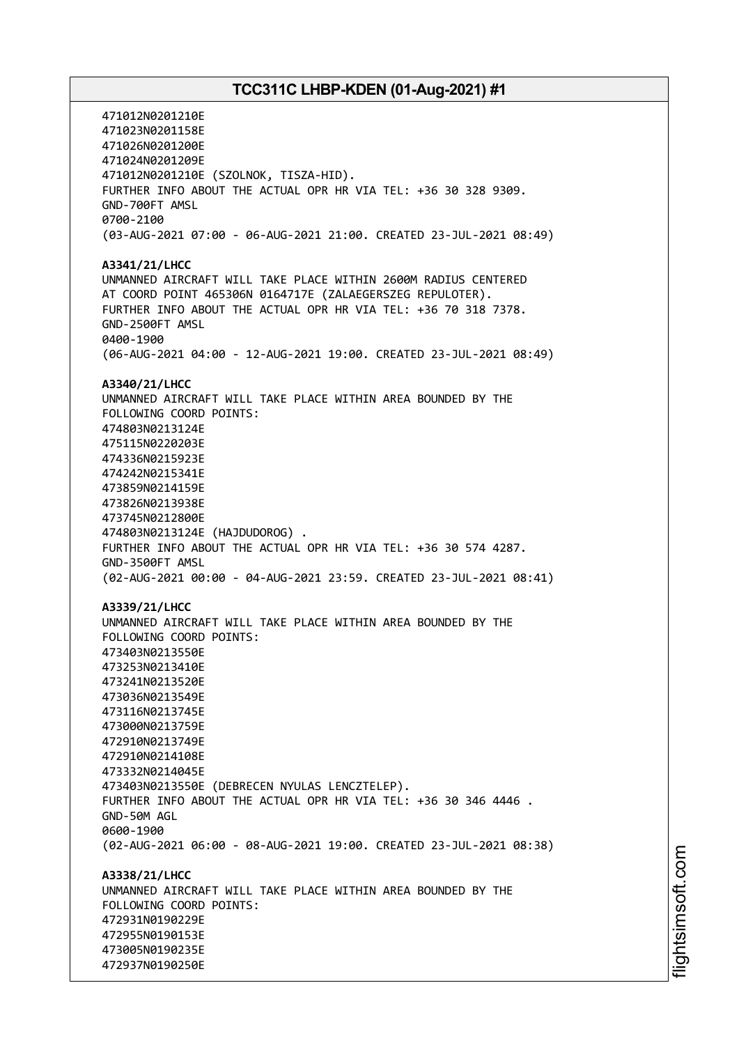471012N0201210E 471023N0201158E 471026N0201200E 471024N0201209E 471012N0201210E (SZOLNOK, TISZA-HID). FURTHER INFO ABOUT THE ACTUAL OPR HR VIA TEL: +36 30 328 9309. GND-700FT AMSL 0700-2100 (03-AUG-2021 07:00 - 06-AUG-2021 21:00. CREATED 23-JUL-2021 08:49) **A3341/21/LHCC** UNMANNED AIRCRAFT WILL TAKE PLACE WITHIN 2600M RADIUS CENTERED AT COORD POINT 465306N 0164717E (ZALAEGERSZEG REPULOTER). FURTHER INFO ABOUT THE ACTUAL OPR HR VIA TEL: +36 70 318 7378. GND-2500FT AMSL 0400-1900 (06-AUG-2021 04:00 - 12-AUG-2021 19:00. CREATED 23-JUL-2021 08:49) **A3340/21/LHCC** UNMANNED AIRCRAFT WILL TAKE PLACE WITHIN AREA BOUNDED BY THE FOLLOWING COORD POINTS: 474803N0213124E 475115N0220203E 474336N0215923E 474242N0215341E 473859N0214159E 473826N0213938E 473745N0212800E 474803N0213124E (HAJDUDOROG) . FURTHER INFO ABOUT THE ACTUAL OPR HR VIA TEL: +36 30 574 4287. GND-3500FT AMSL (02-AUG-2021 00:00 - 04-AUG-2021 23:59. CREATED 23-JUL-2021 08:41) **A3339/21/LHCC** UNMANNED AIRCRAFT WILL TAKE PLACE WITHIN AREA BOUNDED BY THE FOLLOWING COORD POINTS: 473403N0213550E 473253N0213410E 473241N0213520E 473036N0213549E 473116N0213745E 473000N0213759E 472910N0213749E 472910N0214108E 473332N0214045E 473403N0213550E (DEBRECEN NYULAS LENCZTELEP). FURTHER INFO ABOUT THE ACTUAL OPR HR VIA TEL: +36 30 346 4446 . GND-50M AGL 0600-1900 (02-AUG-2021 06:00 - 08-AUG-2021 19:00. CREATED 23-JUL-2021 08:38) **A3338/21/LHCC** UNMANNED AIRCRAFT WILL TAKE PLACE WITHIN AREA BOUNDED BY THE FOLLOWING COORD POINTS: 472931N0190229E 472955N0190153E 473005N0190235E 472937N0190250E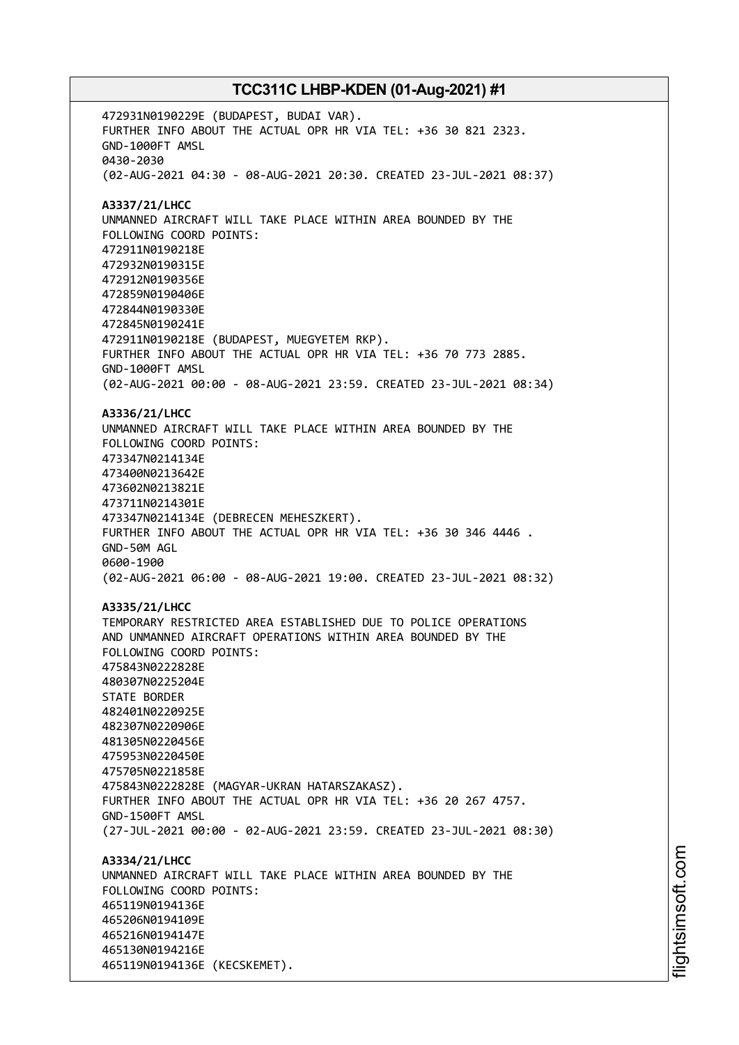472931N0190229E (BUDAPEST, BUDAI VAR). FURTHER INFO ABOUT THE ACTUAL OPR HR VIA TEL: +36 30 821 2323. GND-1000FT AMSL 0430-2030 (02-AUG-2021 04:30 - 08-AUG-2021 20:30. CREATED 23-JUL-2021 08:37) **A3337/21/LHCC** UNMANNED AIRCRAFT WILL TAKE PLACE WITHIN AREA BOUNDED BY THE FOLLOWING COORD POINTS: 472911N0190218E 472932N0190315E 472912N0190356E 472859N0190406E 472844N0190330E 472845N0190241E 472911N0190218E (BUDAPEST, MUEGYETEM RKP). FURTHER INFO ABOUT THE ACTUAL OPR HR VIA TEL: +36 70 773 2885. GND-1000FT AMSL (02-AUG-2021 00:00 - 08-AUG-2021 23:59. CREATED 23-JUL-2021 08:34) **A3336/21/LHCC** UNMANNED AIRCRAFT WILL TAKE PLACE WITHIN AREA BOUNDED BY THE FOLLOWING COORD POINTS: 473347N0214134E 473400N0213642E 473602N0213821E 473711N0214301E 473347N0214134E (DEBRECEN MEHESZKERT). FURTHER INFO ABOUT THE ACTUAL OPR HR VIA TEL: +36 30 346 4446 . GND-50M AGL 0600-1900 (02-AUG-2021 06:00 - 08-AUG-2021 19:00. CREATED 23-JUL-2021 08:32) **A3335/21/LHCC** TEMPORARY RESTRICTED AREA ESTABLISHED DUE TO POLICE OPERATIONS AND UNMANNED AIRCRAFT OPERATIONS WITHIN AREA BOUNDED BY THE FOLLOWING COORD POINTS: 475843N0222828E 480307N0225204E STATE BORDER 482401N0220925E 482307N0220906E 481305N0220456E 475953N0220450E 475705N0221858E 475843N0222828E (MAGYAR-UKRAN HATARSZAKASZ). FURTHER INFO ABOUT THE ACTUAL OPR HR VIA TEL: +36 20 267 4757. GND-1500FT AMSL (27-JUL-2021 00:00 - 02-AUG-2021 23:59. CREATED 23-JUL-2021 08:30) **A3334/21/LHCC** UNMANNED AIRCRAFT WILL TAKE PLACE WITHIN AREA BOUNDED BY THE FOLLOWING COORD POINTS: 465119N0194136E 465206N0194109E 465216N0194147E 465130N0194216E 465119N0194136E (KECSKEMET).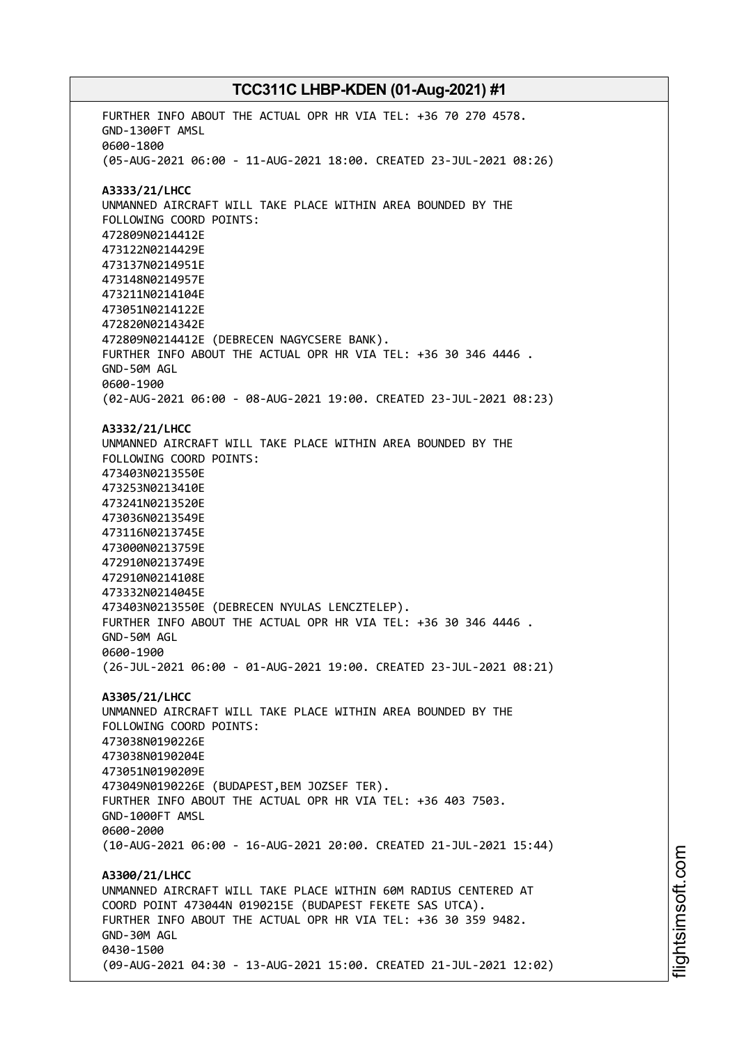FURTHER INFO ABOUT THE ACTUAL OPR HR VIA TEL: +36 70 270 4578. GND-1300FT AMSL 0600-1800 (05-AUG-2021 06:00 - 11-AUG-2021 18:00. CREATED 23-JUL-2021 08:26) **A3333/21/LHCC** UNMANNED AIRCRAFT WILL TAKE PLACE WITHIN AREA BOUNDED BY THE FOLLOWING COORD POINTS: 472809N0214412E 473122N0214429E 473137N0214951E 473148N0214957E 473211N0214104E 473051N0214122E 472820N0214342E 472809N0214412E (DEBRECEN NAGYCSERE BANK). FURTHER INFO ABOUT THE ACTUAL OPR HR VIA TEL: +36 30 346 4446 . GND-50M AGL 0600-1900 (02-AUG-2021 06:00 - 08-AUG-2021 19:00. CREATED 23-JUL-2021 08:23) **A3332/21/LHCC** UNMANNED AIRCRAFT WILL TAKE PLACE WITHIN AREA BOUNDED BY THE FOLLOWING COORD POINTS: 473403N0213550E 473253N0213410E 473241N0213520E 473036N0213549E 473116N0213745E 473000N0213759E 472910N0213749E 472910N0214108E 473332N0214045E 473403N0213550E (DEBRECEN NYULAS LENCZTELEP). FURTHER INFO ABOUT THE ACTUAL OPR HR VIA TEL: +36 30 346 4446 . GND-50M AGL 0600-1900 (26-JUL-2021 06:00 - 01-AUG-2021 19:00. CREATED 23-JUL-2021 08:21) **A3305/21/LHCC** UNMANNED AIRCRAFT WILL TAKE PLACE WITHIN AREA BOUNDED BY THE FOLLOWING COORD POINTS: 473038N0190226E 473038N0190204E 473051N0190209E 473049N0190226E (BUDAPEST,BEM JOZSEF TER). FURTHER INFO ABOUT THE ACTUAL OPR HR VIA TEL: +36 403 7503. GND-1000FT AMSL 0600-2000 (10-AUG-2021 06:00 - 16-AUG-2021 20:00. CREATED 21-JUL-2021 15:44) **A3300/21/LHCC** UNMANNED AIRCRAFT WILL TAKE PLACE WITHIN 60M RADIUS CENTERED AT COORD POINT 473044N 0190215E (BUDAPEST FEKETE SAS UTCA). FURTHER INFO ABOUT THE ACTUAL OPR HR VIA TEL: +36 30 359 9482. GND-30M AGL 0430-1500 (09-AUG-2021 04:30 - 13-AUG-2021 15:00. CREATED 21-JUL-2021 12:02)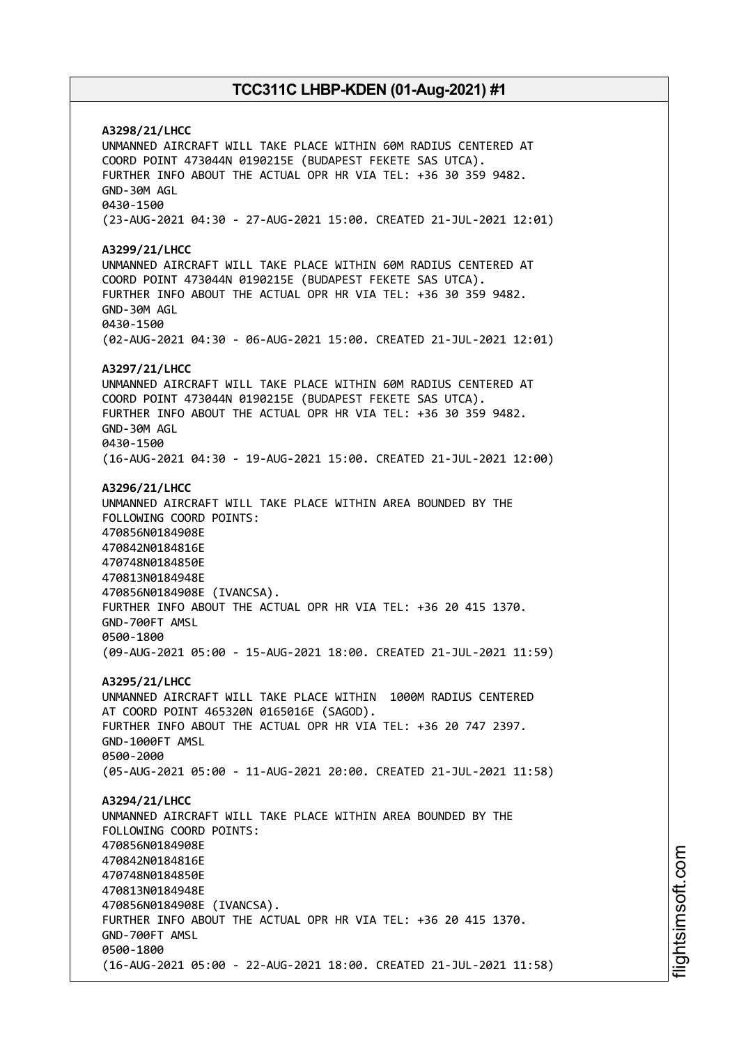**A3298/21/LHCC** UNMANNED AIRCRAFT WILL TAKE PLACE WITHIN 60M RADIUS CENTERED AT COORD POINT 473044N 0190215E (BUDAPEST FEKETE SAS UTCA). FURTHER INFO ABOUT THE ACTUAL OPR HR VIA TEL: +36 30 359 9482. GND-30M AGL 0430-1500 (23-AUG-2021 04:30 - 27-AUG-2021 15:00. CREATED 21-JUL-2021 12:01) **A3299/21/LHCC** UNMANNED AIRCRAFT WILL TAKE PLACE WITHIN 60M RADIUS CENTERED AT COORD POINT 473044N 0190215E (BUDAPEST FEKETE SAS UTCA). FURTHER INFO ABOUT THE ACTUAL OPR HR VIA TEL: +36 30 359 9482. GND-30M AGL 0430-1500 (02-AUG-2021 04:30 - 06-AUG-2021 15:00. CREATED 21-JUL-2021 12:01) **A3297/21/LHCC** UNMANNED AIRCRAFT WILL TAKE PLACE WITHIN 60M RADIUS CENTERED AT COORD POINT 473044N 0190215E (BUDAPEST FEKETE SAS UTCA). FURTHER INFO ABOUT THE ACTUAL OPR HR VIA TEL: +36 30 359 9482. GND-30M AGL 0430-1500 (16-AUG-2021 04:30 - 19-AUG-2021 15:00. CREATED 21-JUL-2021 12:00) **A3296/21/LHCC** UNMANNED AIRCRAFT WILL TAKE PLACE WITHIN AREA BOUNDED BY THE FOLLOWING COORD POINTS: 470856N0184908E 470842N0184816E 470748N0184850E 470813N0184948E 470856N0184908E (IVANCSA). FURTHER INFO ABOUT THE ACTUAL OPR HR VIA TEL: +36 20 415 1370. GND-700FT AMSL 0500-1800 (09-AUG-2021 05:00 - 15-AUG-2021 18:00. CREATED 21-JUL-2021 11:59) **A3295/21/LHCC** UNMANNED AIRCRAFT WILL TAKE PLACE WITHIN 1000M RADIUS CENTERED AT COORD POINT 465320N 0165016E (SAGOD). FURTHER INFO ABOUT THE ACTUAL OPR HR VIA TEL: +36 20 747 2397. GND-1000FT AMSL 0500-2000 (05-AUG-2021 05:00 - 11-AUG-2021 20:00. CREATED 21-JUL-2021 11:58) **A3294/21/LHCC** UNMANNED AIRCRAFT WILL TAKE PLACE WITHIN AREA BOUNDED BY THE FOLLOWING COORD POINTS: 470856N0184908E 470842N0184816E 470748N0184850E 470813N0184948E 470856N0184908E (IVANCSA). FURTHER INFO ABOUT THE ACTUAL OPR HR VIA TEL: +36 20 415 1370. GND-700FT AMSL 0500-1800 (16-AUG-2021 05:00 - 22-AUG-2021 18:00. CREATED 21-JUL-2021 11:58)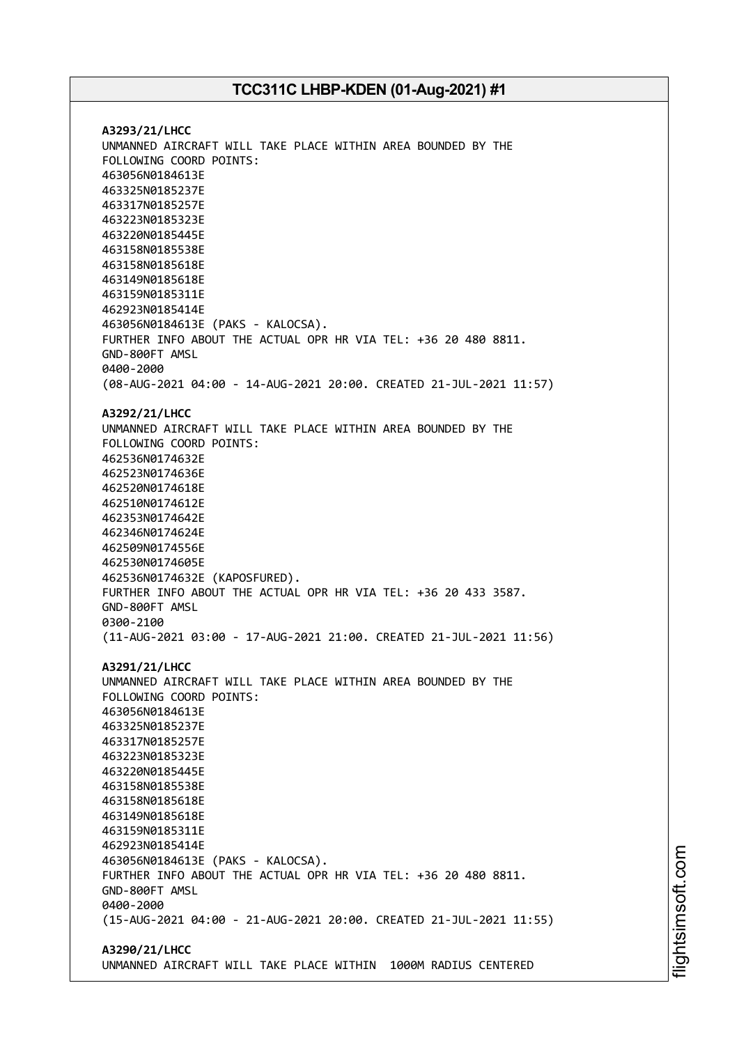**A3293/21/LHCC** UNMANNED AIRCRAFT WILL TAKE PLACE WITHIN AREA BOUNDED BY THE FOLLOWING COORD POINTS: 463056N0184613E 463325N0185237E 463317N0185257E 463223N0185323E 463220N0185445E 463158N0185538E 463158N0185618E 463149N0185618E 463159N0185311E 462923N0185414E 463056N0184613E (PAKS - KALOCSA). FURTHER INFO ABOUT THE ACTUAL OPR HR VIA TEL: +36 20 480 8811. GND-800FT AMSL 0400-2000 (08-AUG-2021 04:00 - 14-AUG-2021 20:00. CREATED 21-JUL-2021 11:57) **A3292/21/LHCC** UNMANNED AIRCRAFT WILL TAKE PLACE WITHIN AREA BOUNDED BY THE FOLLOWING COORD POINTS: 462536N0174632E 462523N0174636E 462520N0174618E 462510N0174612E 462353N0174642E 462346N0174624E 462509N0174556E 462530N0174605E 462536N0174632E (KAPOSFURED). FURTHER INFO ABOUT THE ACTUAL OPR HR VIA TEL: +36 20 433 3587. GND-800FT AMSL 0300-2100 (11-AUG-2021 03:00 - 17-AUG-2021 21:00. CREATED 21-JUL-2021 11:56) **A3291/21/LHCC** UNMANNED AIRCRAFT WILL TAKE PLACE WITHIN AREA BOUNDED BY THE FOLLOWING COORD POINTS: 463056N0184613E 463325N0185237E 463317N0185257E 463223N0185323E 463220N0185445E 463158N0185538E 463158N0185618E 463149N0185618E 463159N0185311E 462923N0185414E 463056N0184613E (PAKS - KALOCSA). FURTHER INFO ABOUT THE ACTUAL OPR HR VIA TEL: +36 20 480 8811. GND-800FT AMSL 0400-2000 (15-AUG-2021 04:00 - 21-AUG-2021 20:00. CREATED 21-JUL-2021 11:55) **A3290/21/LHCC**

UNMANNED AIRCRAFT WILL TAKE PLACE WITHIN 1000M RADIUS CENTERED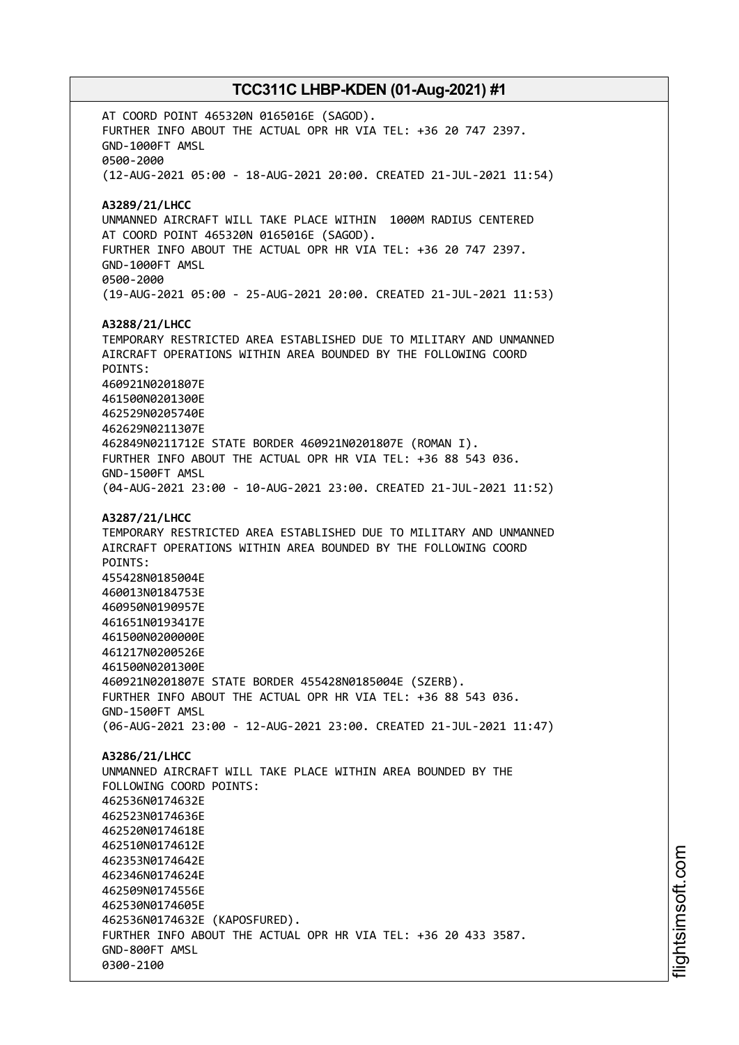AT COORD POINT 465320N 0165016E (SAGOD). FURTHER INFO ABOUT THE ACTUAL OPR HR VIA TEL: +36 20 747 2397. GND-1000FT AMSL 0500-2000 (12-AUG-2021 05:00 - 18-AUG-2021 20:00. CREATED 21-JUL-2021 11:54) **A3289/21/LHCC** UNMANNED AIRCRAFT WILL TAKE PLACE WITHIN 1000M RADIUS CENTERED AT COORD POINT 465320N 0165016E (SAGOD). FURTHER INFO ABOUT THE ACTUAL OPR HR VIA TEL: +36 20 747 2397. GND-1000FT AMSL 0500-2000 (19-AUG-2021 05:00 - 25-AUG-2021 20:00. CREATED 21-JUL-2021 11:53) **A3288/21/LHCC** TEMPORARY RESTRICTED AREA ESTABLISHED DUE TO MILITARY AND UNMANNED AIRCRAFT OPERATIONS WITHIN AREA BOUNDED BY THE FOLLOWING COORD POINTS: 460921N0201807E 461500N0201300E 462529N0205740E 462629N0211307E 462849N0211712E STATE BORDER 460921N0201807E (ROMAN I). FURTHER INFO ABOUT THE ACTUAL OPR HR VIA TEL: +36 88 543 036. GND-1500FT AMSL (04-AUG-2021 23:00 - 10-AUG-2021 23:00. CREATED 21-JUL-2021 11:52) **A3287/21/LHCC** TEMPORARY RESTRICTED AREA ESTABLISHED DUE TO MILITARY AND UNMANNED AIRCRAFT OPERATIONS WITHIN AREA BOUNDED BY THE FOLLOWING COORD POINTS: 455428N0185004E 460013N0184753E 460950N0190957E 461651N0193417E 461500N0200000E 461217N0200526E 461500N0201300E 460921N0201807E STATE BORDER 455428N0185004E (SZERB). FURTHER INFO ABOUT THE ACTUAL OPR HR VIA TEL: +36 88 543 036. GND-1500FT AMSL (06-AUG-2021 23:00 - 12-AUG-2021 23:00. CREATED 21-JUL-2021 11:47) **A3286/21/LHCC** UNMANNED AIRCRAFT WILL TAKE PLACE WITHIN AREA BOUNDED BY THE FOLLOWING COORD POINTS: 462536N0174632E 462523N0174636E 462520N0174618E 462510N0174612E 462353N0174642E 462346N0174624E 462509N0174556E 462530N0174605E 462536N0174632E (KAPOSFURED). FURTHER INFO ABOUT THE ACTUAL OPR HR VIA TEL: +36 20 433 3587. GND-800FT AMSL 0300-2100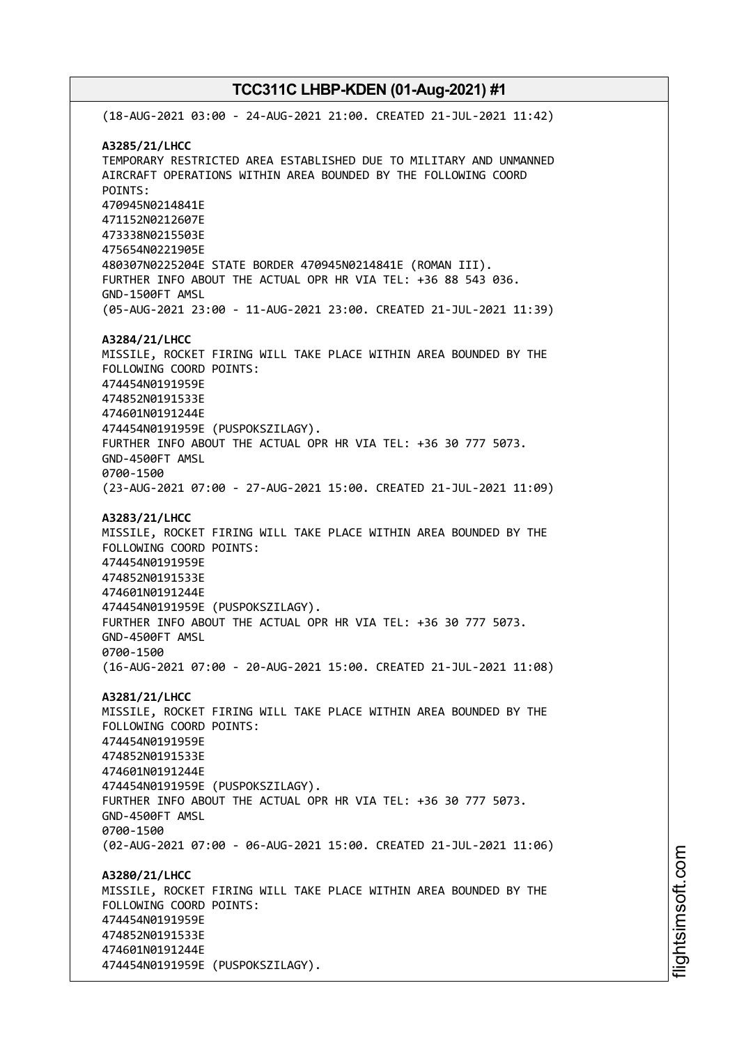(18-AUG-2021 03:00 - 24-AUG-2021 21:00. CREATED 21-JUL-2021 11:42) **A3285/21/LHCC** TEMPORARY RESTRICTED AREA ESTABLISHED DUE TO MILITARY AND UNMANNED AIRCRAFT OPERATIONS WITHIN AREA BOUNDED BY THE FOLLOWING COORD POINTS: 470945N0214841E 471152N0212607E 473338N0215503E 475654N0221905E 480307N0225204E STATE BORDER 470945N0214841E (ROMAN III). FURTHER INFO ABOUT THE ACTUAL OPR HR VIA TEL: +36 88 543 036. GND-1500FT AMSL (05-AUG-2021 23:00 - 11-AUG-2021 23:00. CREATED 21-JUL-2021 11:39) **A3284/21/LHCC** MISSILE, ROCKET FIRING WILL TAKE PLACE WITHIN AREA BOUNDED BY THE FOLLOWING COORD POINTS: 474454N0191959E 474852N0191533E 474601N0191244E 474454N0191959E (PUSPOKSZILAGY). FURTHER INFO ABOUT THE ACTUAL OPR HR VIA TEL: +36 30 777 5073. GND-4500FT AMSL 0700-1500 (23-AUG-2021 07:00 - 27-AUG-2021 15:00. CREATED 21-JUL-2021 11:09) **A3283/21/LHCC** MISSILE, ROCKET FIRING WILL TAKE PLACE WITHIN AREA BOUNDED BY THE FOLLOWING COORD POINTS: 474454N0191959E 474852N0191533E 474601N0191244E 474454N0191959E (PUSPOKSZILAGY). FURTHER INFO ABOUT THE ACTUAL OPR HR VIA TEL: +36 30 777 5073. GND-4500FT AMSL 0700-1500 (16-AUG-2021 07:00 - 20-AUG-2021 15:00. CREATED 21-JUL-2021 11:08) **A3281/21/LHCC** MISSILE, ROCKET FIRING WILL TAKE PLACE WITHIN AREA BOUNDED BY THE FOLLOWING COORD POINTS: 474454N0191959E 474852N0191533E 474601N0191244E 474454N0191959E (PUSPOKSZILAGY). FURTHER INFO ABOUT THE ACTUAL OPR HR VIA TEL: +36 30 777 5073. GND-4500FT AMSL 0700-1500 (02-AUG-2021 07:00 - 06-AUG-2021 15:00. CREATED 21-JUL-2021 11:06) **A3280/21/LHCC** MISSILE, ROCKET FIRING WILL TAKE PLACE WITHIN AREA BOUNDED BY THE FOLLOWING COORD POINTS: 474454N0191959E 474852N0191533E 474601N0191244E 474454N0191959E (PUSPOKSZILAGY).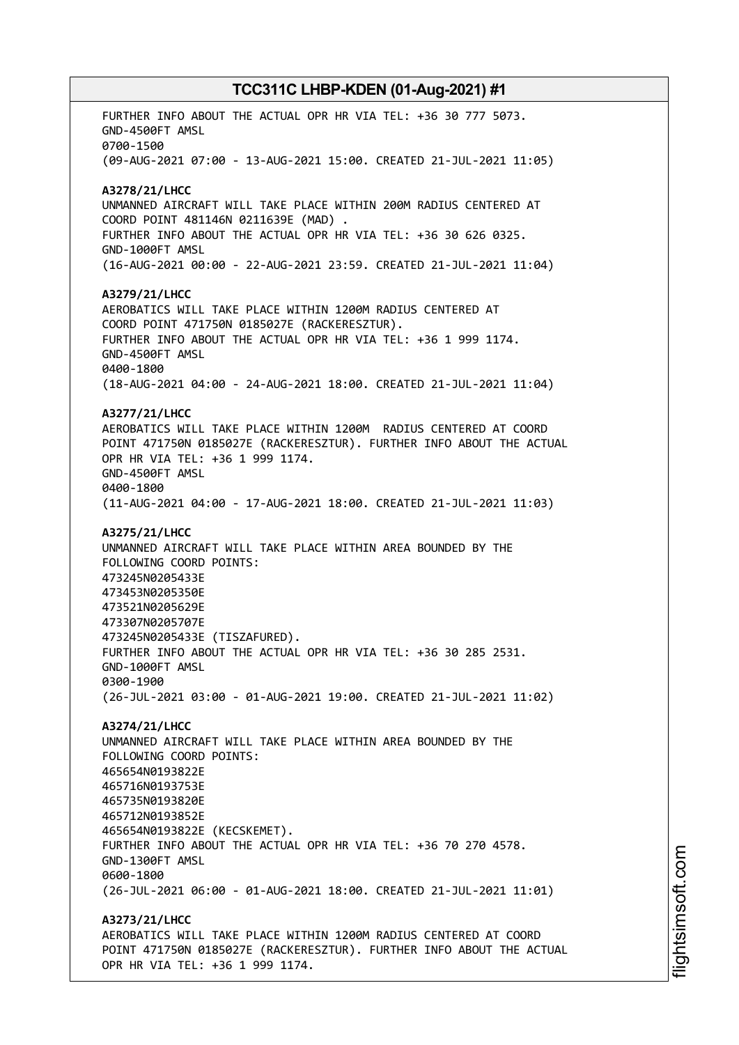FURTHER INFO ABOUT THE ACTUAL OPR HR VIA TEL: +36 30 777 5073. GND-4500FT AMSL 0700-1500 (09-AUG-2021 07:00 - 13-AUG-2021 15:00. CREATED 21-JUL-2021 11:05) **A3278/21/LHCC** UNMANNED AIRCRAFT WILL TAKE PLACE WITHIN 200M RADIUS CENTERED AT COORD POINT 481146N 0211639E (MAD) . FURTHER INFO ABOUT THE ACTUAL OPR HR VIA TEL: +36 30 626 0325. GND-1000FT AMSL (16-AUG-2021 00:00 - 22-AUG-2021 23:59. CREATED 21-JUL-2021 11:04) **A3279/21/LHCC** AEROBATICS WILL TAKE PLACE WITHIN 1200M RADIUS CENTERED AT COORD POINT 471750N 0185027E (RACKERESZTUR). FURTHER INFO ABOUT THE ACTUAL OPR HR VIA TEL: +36 1 999 1174. GND-4500FT AMSL 0400-1800 (18-AUG-2021 04:00 - 24-AUG-2021 18:00. CREATED 21-JUL-2021 11:04) **A3277/21/LHCC** AEROBATICS WILL TAKE PLACE WITHIN 1200M RADIUS CENTERED AT COORD POINT 471750N 0185027E (RACKERESZTUR). FURTHER INFO ABOUT THE ACTUAL OPR HR VIA TEL: +36 1 999 1174. GND-4500FT AMSL 0400-1800 (11-AUG-2021 04:00 - 17-AUG-2021 18:00. CREATED 21-JUL-2021 11:03) **A3275/21/LHCC** UNMANNED AIRCRAFT WILL TAKE PLACE WITHIN AREA BOUNDED BY THE FOLLOWING COORD POINTS: 473245N0205433E 473453N0205350E 473521N0205629E 473307N0205707E 473245N0205433E (TISZAFURED). FURTHER INFO ABOUT THE ACTUAL OPR HR VIA TEL: +36 30 285 2531. GND-1000FT AMSL 0300-1900 (26-JUL-2021 03:00 - 01-AUG-2021 19:00. CREATED 21-JUL-2021 11:02) **A3274/21/LHCC** UNMANNED AIRCRAFT WILL TAKE PLACE WITHIN AREA BOUNDED BY THE FOLLOWING COORD POINTS: 465654N0193822E 465716N0193753E 465735N0193820E 465712N0193852E 465654N0193822E (KECSKEMET). FURTHER INFO ABOUT THE ACTUAL OPR HR VIA TEL: +36 70 270 4578. GND-1300FT AMSL 0600-1800 (26-JUL-2021 06:00 - 01-AUG-2021 18:00. CREATED 21-JUL-2021 11:01) **A3273/21/LHCC** AEROBATICS WILL TAKE PLACE WITHIN 1200M RADIUS CENTERED AT COORD POINT 471750N 0185027E (RACKERESZTUR). FURTHER INFO ABOUT THE ACTUAL OPR HR VIA TEL: +36 1 999 1174.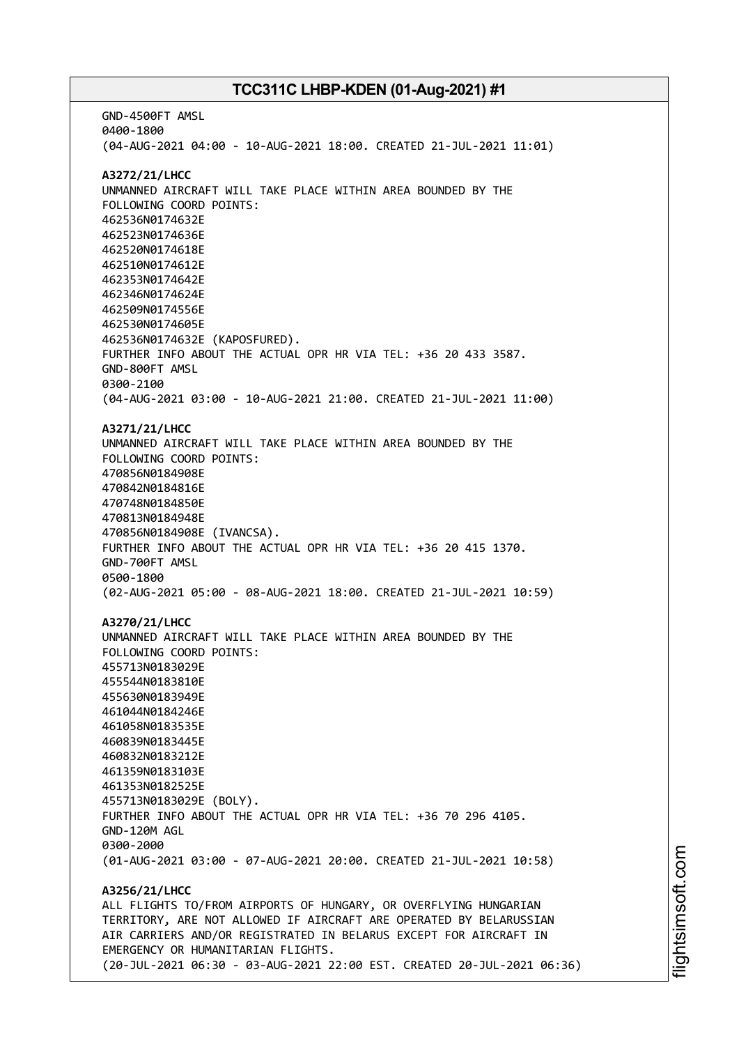GND-4500FT AMSL 0400-1800 (04-AUG-2021 04:00 - 10-AUG-2021 18:00. CREATED 21-JUL-2021 11:01) **A3272/21/LHCC** UNMANNED AIRCRAFT WILL TAKE PLACE WITHIN AREA BOUNDED BY THE FOLLOWING COORD POINTS: 462536N0174632E 462523N0174636E 462520N0174618E 462510N0174612E 462353N0174642E 462346N0174624E 462509N0174556E 462530N0174605E 462536N0174632E (KAPOSFURED). FURTHER INFO ABOUT THE ACTUAL OPR HR VIA TEL: +36 20 433 3587. GND-800FT AMSL 0300-2100 (04-AUG-2021 03:00 - 10-AUG-2021 21:00. CREATED 21-JUL-2021 11:00) **A3271/21/LHCC** UNMANNED AIRCRAFT WILL TAKE PLACE WITHIN AREA BOUNDED BY THE FOLLOWING COORD POINTS: 470856N0184908E 470842N0184816E 470748N0184850E 470813N0184948E 470856N0184908E (IVANCSA). FURTHER INFO ABOUT THE ACTUAL OPR HR VIA TEL: +36 20 415 1370. GND-700FT AMSL 0500-1800 (02-AUG-2021 05:00 - 08-AUG-2021 18:00. CREATED 21-JUL-2021 10:59) **A3270/21/LHCC** UNMANNED AIRCRAFT WILL TAKE PLACE WITHIN AREA BOUNDED BY THE FOLLOWING COORD POINTS: 455713N0183029E 455544N0183810E 455630N0183949E 461044N0184246E 461058N0183535E 460839N0183445E 460832N0183212E 461359N0183103E 461353N0182525E 455713N0183029E (BOLY). FURTHER INFO ABOUT THE ACTUAL OPR HR VIA TEL: +36 70 296 4105. GND-120M AGL 0300-2000 (01-AUG-2021 03:00 - 07-AUG-2021 20:00. CREATED 21-JUL-2021 10:58) **A3256/21/LHCC** ALL FLIGHTS TO/FROM AIRPORTS OF HUNGARY, OR OVERFLYING HUNGARIAN TERRITORY, ARE NOT ALLOWED IF AIRCRAFT ARE OPERATED BY BELARUSSIAN AIR CARRIERS AND/OR REGISTRATED IN BELARUS EXCEPT FOR AIRCRAFT IN EMERGENCY OR HUMANITARIAN FLIGHTS. (20-JUL-2021 06:30 - 03-AUG-2021 22:00 EST. CREATED 20-JUL-2021 06:36)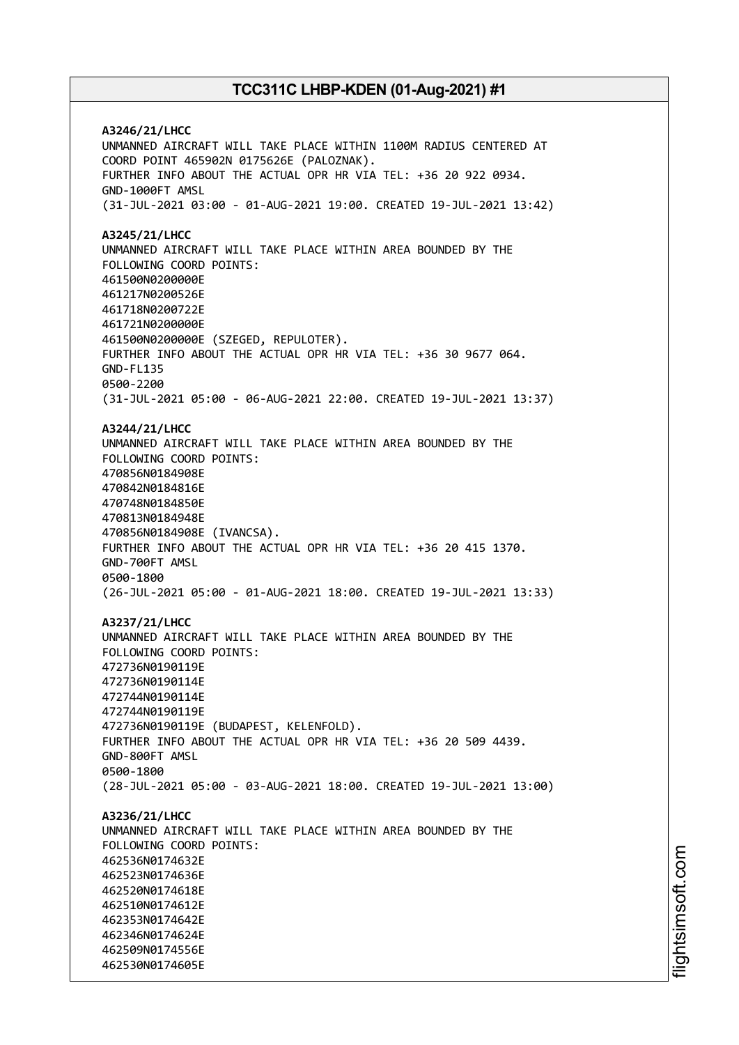**A3246/21/LHCC** UNMANNED AIRCRAFT WILL TAKE PLACE WITHIN 1100M RADIUS CENTERED AT COORD POINT 465902N 0175626E (PALOZNAK). FURTHER INFO ABOUT THE ACTUAL OPR HR VIA TEL: +36 20 922 0934. GND-1000FT AMSL (31-JUL-2021 03:00 - 01-AUG-2021 19:00. CREATED 19-JUL-2021 13:42) **A3245/21/LHCC** UNMANNED AIRCRAFT WILL TAKE PLACE WITHIN AREA BOUNDED BY THE FOLLOWING COORD POINTS: 461500N0200000E 461217N0200526E 461718N0200722E 461721N0200000E 461500N0200000E (SZEGED, REPULOTER). FURTHER INFO ABOUT THE ACTUAL OPR HR VIA TEL: +36 30 9677 064. GND-FL135 0500-2200 (31-JUL-2021 05:00 - 06-AUG-2021 22:00. CREATED 19-JUL-2021 13:37) **A3244/21/LHCC** UNMANNED AIRCRAFT WILL TAKE PLACE WITHIN AREA BOUNDED BY THE FOLLOWING COORD POINTS: 470856N0184908E 470842N0184816E 470748N0184850E 470813N0184948E 470856N0184908E (IVANCSA). FURTHER INFO ABOUT THE ACTUAL OPR HR VIA TEL: +36 20 415 1370. GND-700FT AMSL 0500-1800 (26-JUL-2021 05:00 - 01-AUG-2021 18:00. CREATED 19-JUL-2021 13:33) **A3237/21/LHCC** UNMANNED AIRCRAFT WILL TAKE PLACE WITHIN AREA BOUNDED BY THE FOLLOWING COORD POINTS: 472736N0190119E 472736N0190114E 472744N0190114E 472744N0190119E 472736N0190119E (BUDAPEST, KELENFOLD). FURTHER INFO ABOUT THE ACTUAL OPR HR VIA TEL: +36 20 509 4439. GND-800FT AMSL 0500-1800 (28-JUL-2021 05:00 - 03-AUG-2021 18:00. CREATED 19-JUL-2021 13:00) **A3236/21/LHCC** UNMANNED AIRCRAFT WILL TAKE PLACE WITHIN AREA BOUNDED BY THE FOLLOWING COORD POINTS: 462536N0174632E 462523N0174636E 462520N0174618E 462510N0174612E 462353N0174642E 462346N0174624E 462509N0174556E 462530N0174605E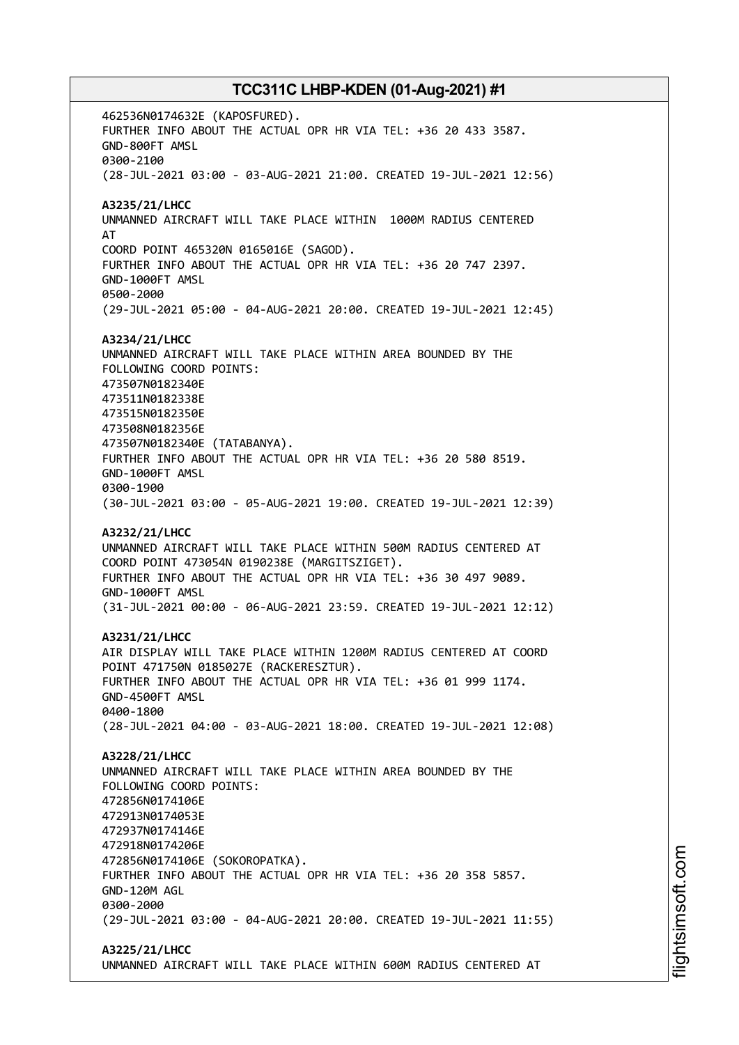462536N0174632E (KAPOSFURED). FURTHER INFO ABOUT THE ACTUAL OPR HR VIA TEL: +36 20 433 3587. GND-800FT AMSL 0300-2100 (28-JUL-2021 03:00 - 03-AUG-2021 21:00. CREATED 19-JUL-2021 12:56) **A3235/21/LHCC** UNMANNED AIRCRAFT WILL TAKE PLACE WITHIN 1000M RADIUS CENTERED AT COORD POINT 465320N 0165016E (SAGOD). FURTHER INFO ABOUT THE ACTUAL OPR HR VIA TEL: +36 20 747 2397. GND-1000FT AMSL 0500-2000 (29-JUL-2021 05:00 - 04-AUG-2021 20:00. CREATED 19-JUL-2021 12:45) **A3234/21/LHCC** UNMANNED AIRCRAFT WILL TAKE PLACE WITHIN AREA BOUNDED BY THE FOLLOWING COORD POINTS: 473507N0182340E 473511N0182338E 473515N0182350E 473508N0182356E 473507N0182340E (TATABANYA). FURTHER INFO ABOUT THE ACTUAL OPR HR VIA TEL: +36 20 580 8519. GND-1000FT AMSL 0300-1900 (30-JUL-2021 03:00 - 05-AUG-2021 19:00. CREATED 19-JUL-2021 12:39) **A3232/21/LHCC** UNMANNED AIRCRAFT WILL TAKE PLACE WITHIN 500M RADIUS CENTERED AT COORD POINT 473054N 0190238E (MARGITSZIGET). FURTHER INFO ABOUT THE ACTUAL OPR HR VIA TEL: +36 30 497 9089. GND-1000FT AMSL (31-JUL-2021 00:00 - 06-AUG-2021 23:59. CREATED 19-JUL-2021 12:12) **A3231/21/LHCC** AIR DISPLAY WILL TAKE PLACE WITHIN 1200M RADIUS CENTERED AT COORD POINT 471750N 0185027E (RACKERESZTUR). FURTHER INFO ABOUT THE ACTUAL OPR HR VIA TEL: +36 01 999 1174. GND-4500FT AMSL 0400-1800 (28-JUL-2021 04:00 - 03-AUG-2021 18:00. CREATED 19-JUL-2021 12:08) **A3228/21/LHCC** UNMANNED AIRCRAFT WILL TAKE PLACE WITHIN AREA BOUNDED BY THE FOLLOWING COORD POINTS: 472856N0174106E 472913N0174053E 472937N0174146E 472918N0174206E 472856N0174106E (SOKOROPATKA). FURTHER INFO ABOUT THE ACTUAL OPR HR VIA TEL: +36 20 358 5857. GND-120M AGL 0300-2000 (29-JUL-2021 03:00 - 04-AUG-2021 20:00. CREATED 19-JUL-2021 11:55) **A3225/21/LHCC**

UNMANNED AIRCRAFT WILL TAKE PLACE WITHIN 600M RADIUS CENTERED AT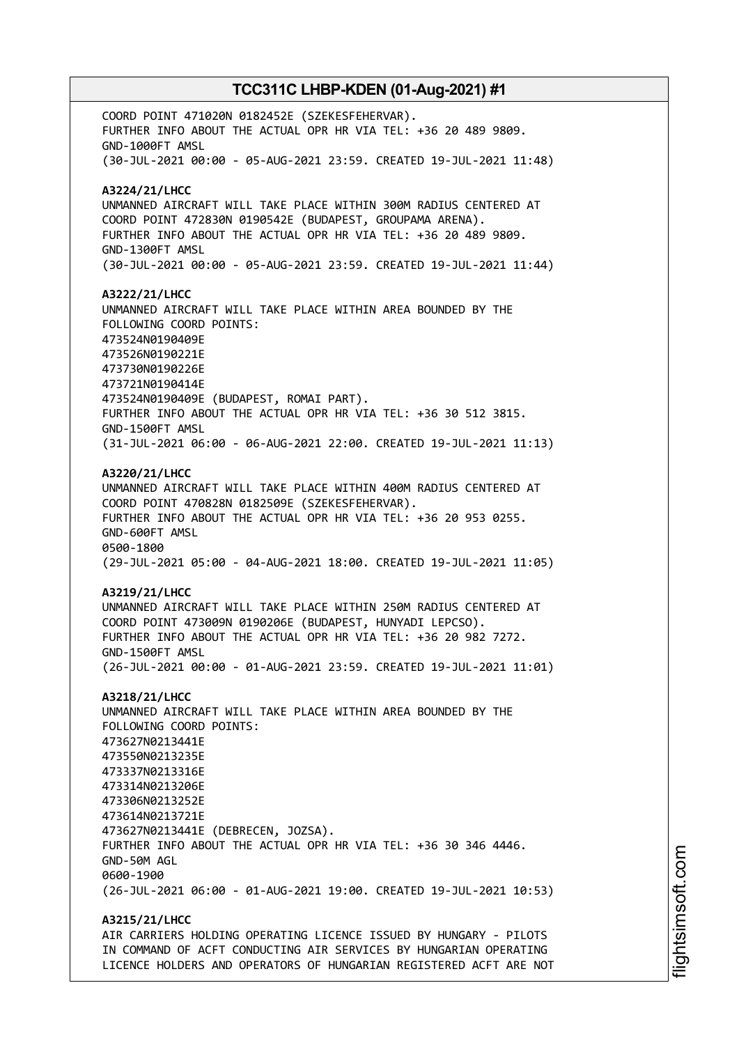COORD POINT 471020N 0182452E (SZEKESFEHERVAR). FURTHER INFO ABOUT THE ACTUAL OPR HR VIA TEL: +36 20 489 9809. GND-1000FT AMSL (30-JUL-2021 00:00 - 05-AUG-2021 23:59. CREATED 19-JUL-2021 11:48) **A3224/21/LHCC** UNMANNED AIRCRAFT WILL TAKE PLACE WITHIN 300M RADIUS CENTERED AT COORD POINT 472830N 0190542E (BUDAPEST, GROUPAMA ARENA). FURTHER INFO ABOUT THE ACTUAL OPR HR VIA TEL: +36 20 489 9809. GND-1300FT AMSL (30-JUL-2021 00:00 - 05-AUG-2021 23:59. CREATED 19-JUL-2021 11:44) **A3222/21/LHCC** UNMANNED AIRCRAFT WILL TAKE PLACE WITHIN AREA BOUNDED BY THE FOLLOWING COORD POINTS: 473524N0190409E 473526N0190221E 473730N0190226E 473721N0190414E 473524N0190409E (BUDAPEST, ROMAI PART). FURTHER INFO ABOUT THE ACTUAL OPR HR VIA TEL: +36 30 512 3815. GND-1500FT AMSL (31-JUL-2021 06:00 - 06-AUG-2021 22:00. CREATED 19-JUL-2021 11:13) **A3220/21/LHCC** UNMANNED AIRCRAFT WILL TAKE PLACE WITHIN 400M RADIUS CENTERED AT COORD POINT 470828N 0182509E (SZEKESFEHERVAR). FURTHER INFO ABOUT THE ACTUAL OPR HR VIA TEL: +36 20 953 0255. GND-600FT AMSL 0500-1800 (29-JUL-2021 05:00 - 04-AUG-2021 18:00. CREATED 19-JUL-2021 11:05) **A3219/21/LHCC** UNMANNED AIRCRAFT WILL TAKE PLACE WITHIN 250M RADIUS CENTERED AT COORD POINT 473009N 0190206E (BUDAPEST, HUNYADI LEPCSO). FURTHER INFO ABOUT THE ACTUAL OPR HR VIA TEL: +36 20 982 7272. GND-1500FT AMSL (26-JUL-2021 00:00 - 01-AUG-2021 23:59. CREATED 19-JUL-2021 11:01) **A3218/21/LHCC** UNMANNED AIRCRAFT WILL TAKE PLACE WITHIN AREA BOUNDED BY THE FOLLOWING COORD POINTS: 473627N0213441E 473550N0213235E 473337N0213316E 473314N0213206E 473306N0213252E 473614N0213721E 473627N0213441E (DEBRECEN, JOZSA). FURTHER INFO ABOUT THE ACTUAL OPR HR VIA TEL: +36 30 346 4446. GND-50M AGL 0600-1900 (26-JUL-2021 06:00 - 01-AUG-2021 19:00. CREATED 19-JUL-2021 10:53) **A3215/21/LHCC** AIR CARRIERS HOLDING OPERATING LICENCE ISSUED BY HUNGARY - PILOTS

IN COMMAND OF ACFT CONDUCTING AIR SERVICES BY HUNGARIAN OPERATING LICENCE HOLDERS AND OPERATORS OF HUNGARIAN REGISTERED ACFT ARE NOT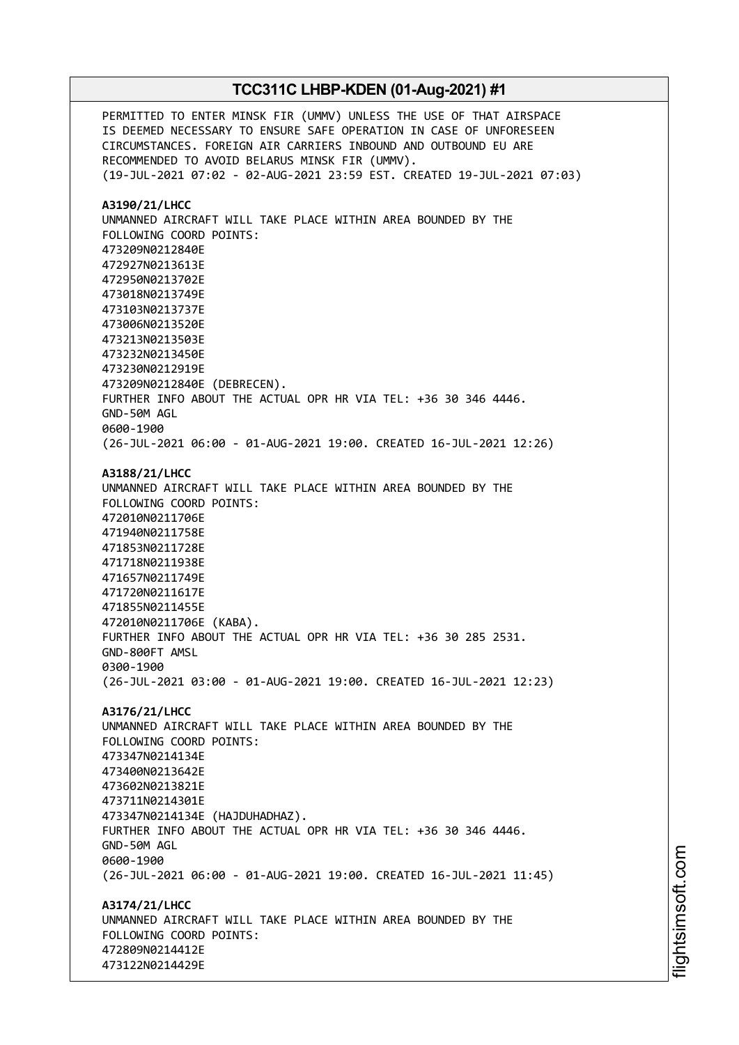PERMITTED TO ENTER MINSK FIR (UMMV) UNLESS THE USE OF THAT AIRSPACE IS DEEMED NECESSARY TO ENSURE SAFE OPERATION IN CASE OF UNFORESEEN CIRCUMSTANCES. FOREIGN AIR CARRIERS INBOUND AND OUTBOUND EU ARE RECOMMENDED TO AVOID BELARUS MINSK FIR (UMMV). (19-JUL-2021 07:02 - 02-AUG-2021 23:59 EST. CREATED 19-JUL-2021 07:03) **A3190/21/LHCC** UNMANNED AIRCRAFT WILL TAKE PLACE WITHIN AREA BOUNDED BY THE FOLLOWING COORD POINTS: 473209N0212840E 472927N0213613E 472950N0213702E 473018N0213749E 473103N0213737E 473006N0213520E 473213N0213503E 473232N0213450E 473230N0212919E 473209N0212840E (DEBRECEN). FURTHER INFO ABOUT THE ACTUAL OPR HR VIA TEL: +36 30 346 4446. GND-50M AGL 0600-1900 (26-JUL-2021 06:00 - 01-AUG-2021 19:00. CREATED 16-JUL-2021 12:26) **A3188/21/LHCC** UNMANNED AIRCRAFT WILL TAKE PLACE WITHIN AREA BOUNDED BY THE FOLLOWING COORD POINTS: 472010N0211706E 471940N0211758E 471853N0211728E 471718N0211938E 471657N0211749E 471720N0211617E 471855N0211455E 472010N0211706E (KABA). FURTHER INFO ABOUT THE ACTUAL OPR HR VIA TEL: +36 30 285 2531. GND-800FT AMSL 0300-1900 (26-JUL-2021 03:00 - 01-AUG-2021 19:00. CREATED 16-JUL-2021 12:23) **A3176/21/LHCC** UNMANNED AIRCRAFT WILL TAKE PLACE WITHIN AREA BOUNDED BY THE FOLLOWING COORD POINTS: 473347N0214134E 473400N0213642E 473602N0213821E 473711N0214301E 473347N0214134E (HAJDUHADHAZ). FURTHER INFO ABOUT THE ACTUAL OPR HR VIA TEL: +36 30 346 4446. GND-50M AGL 0600-1900 (26-JUL-2021 06:00 - 01-AUG-2021 19:00. CREATED 16-JUL-2021 11:45) **A3174/21/LHCC** UNMANNED AIRCRAFT WILL TAKE PLACE WITHIN AREA BOUNDED BY THE FOLLOWING COORD POINTS: 472809N0214412E 473122N0214429E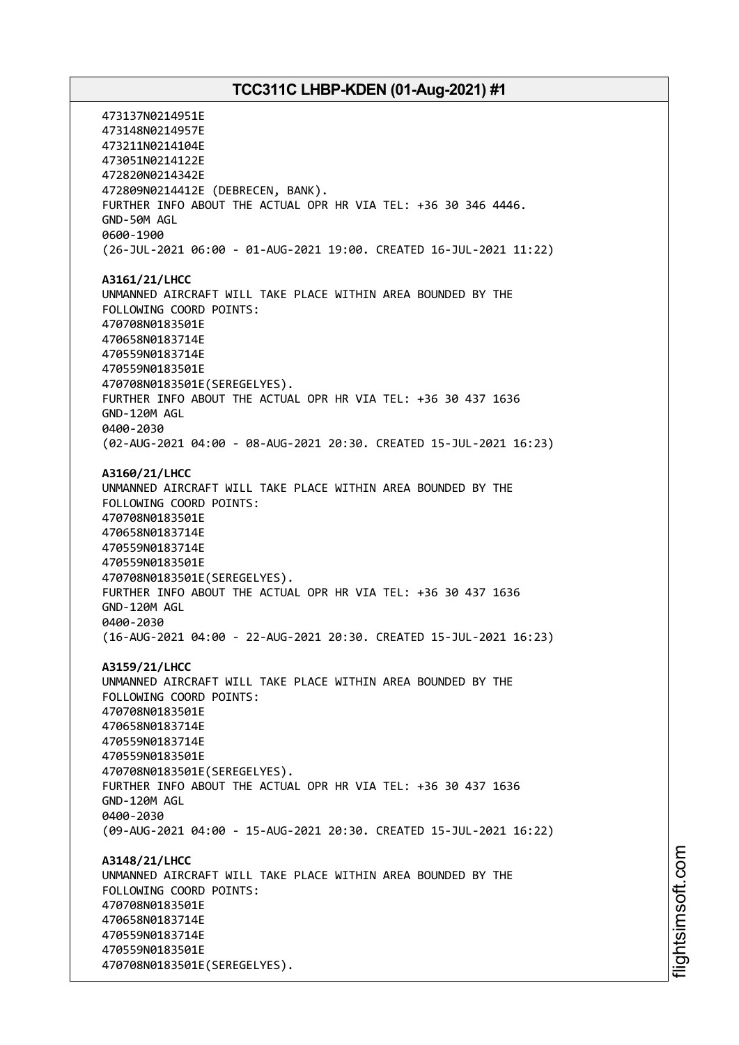473137N0214951E 473148N0214957E 473211N0214104E 473051N0214122E 472820N0214342E 472809N0214412E (DEBRECEN, BANK). FURTHER INFO ABOUT THE ACTUAL OPR HR VIA TEL: +36 30 346 4446. GND-50M AGL 0600-1900 (26-JUL-2021 06:00 - 01-AUG-2021 19:00. CREATED 16-JUL-2021 11:22) **A3161/21/LHCC** UNMANNED AIRCRAFT WILL TAKE PLACE WITHIN AREA BOUNDED BY THE FOLLOWING COORD POINTS: 470708N0183501E 470658N0183714E 470559N0183714E 470559N0183501E 470708N0183501E(SEREGELYES). FURTHER INFO ABOUT THE ACTUAL OPR HR VIA TEL: +36 30 437 1636 GND-120M AGL 0400-2030 (02-AUG-2021 04:00 - 08-AUG-2021 20:30. CREATED 15-JUL-2021 16:23) **A3160/21/LHCC** UNMANNED AIRCRAFT WILL TAKE PLACE WITHIN AREA BOUNDED BY THE FOLLOWING COORD POINTS: 470708N0183501E 470658N0183714E 470559N0183714E 470559N0183501E 470708N0183501E(SEREGELYES). FURTHER INFO ABOUT THE ACTUAL OPR HR VIA TEL: +36 30 437 1636 GND-120M AGL 0400-2030 (16-AUG-2021 04:00 - 22-AUG-2021 20:30. CREATED 15-JUL-2021 16:23) **A3159/21/LHCC** UNMANNED AIRCRAFT WILL TAKE PLACE WITHIN AREA BOUNDED BY THE FOLLOWING COORD POINTS: 470708N0183501E 470658N0183714E 470559N0183714E 470559N0183501E 470708N0183501E(SEREGELYES). FURTHER INFO ABOUT THE ACTUAL OPR HR VIA TEL: +36 30 437 1636 GND-120M AGL 0400-2030 (09-AUG-2021 04:00 - 15-AUG-2021 20:30. CREATED 15-JUL-2021 16:22) **A3148/21/LHCC** UNMANNED AIRCRAFT WILL TAKE PLACE WITHIN AREA BOUNDED BY THE FOLLOWING COORD POINTS: 470708N0183501E 470658N0183714E 470559N0183714E 470559N0183501E 470708N0183501E(SEREGELYES).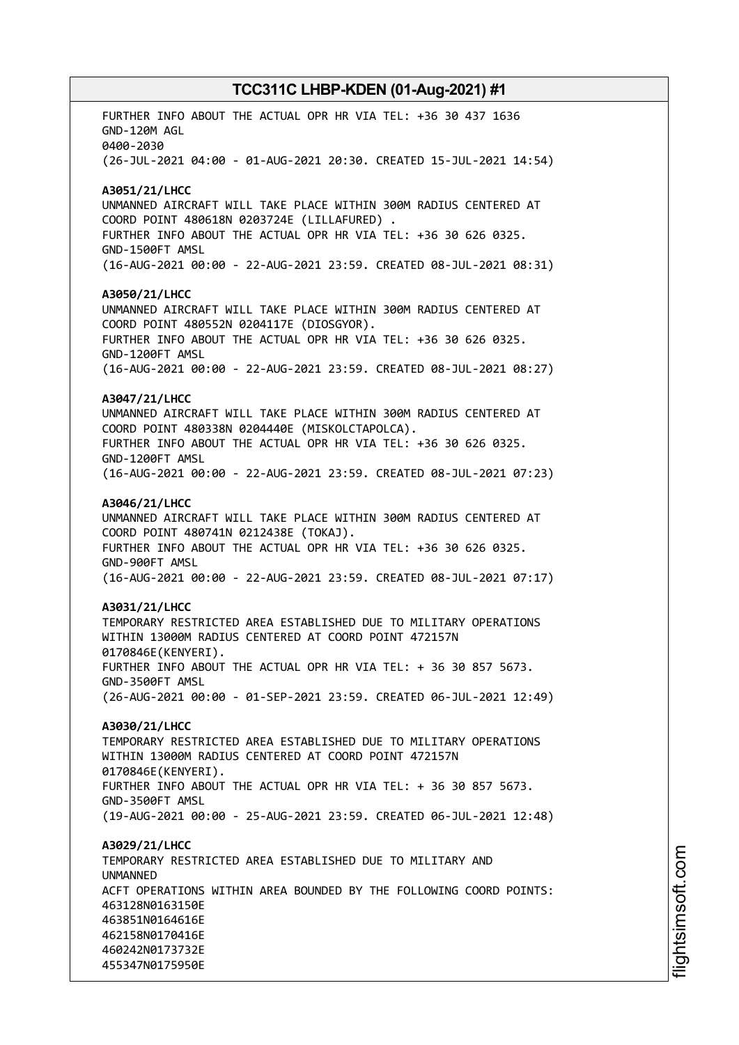FURTHER INFO ABOUT THE ACTUAL OPR HR VIA TEL: +36 30 437 1636 GND-120M AGL 0400-2030 (26-JUL-2021 04:00 - 01-AUG-2021 20:30. CREATED 15-JUL-2021 14:54) **A3051/21/LHCC** UNMANNED AIRCRAFT WILL TAKE PLACE WITHIN 300M RADIUS CENTERED AT COORD POINT 480618N 0203724E (LILLAFURED) . FURTHER INFO ABOUT THE ACTUAL OPR HR VIA TEL: +36 30 626 0325. GND-1500FT AMSL (16-AUG-2021 00:00 - 22-AUG-2021 23:59. CREATED 08-JUL-2021 08:31) **A3050/21/LHCC** UNMANNED AIRCRAFT WILL TAKE PLACE WITHIN 300M RADIUS CENTERED AT COORD POINT 480552N 0204117E (DIOSGYOR). FURTHER INFO ABOUT THE ACTUAL OPR HR VIA TEL: +36 30 626 0325. GND-1200FT AMSL (16-AUG-2021 00:00 - 22-AUG-2021 23:59. CREATED 08-JUL-2021 08:27) **A3047/21/LHCC** UNMANNED AIRCRAFT WILL TAKE PLACE WITHIN 300M RADIUS CENTERED AT COORD POINT 480338N 0204440E (MISKOLCTAPOLCA). FURTHER INFO ABOUT THE ACTUAL OPR HR VIA TEL: +36 30 626 0325. GND-1200FT AMSL (16-AUG-2021 00:00 - 22-AUG-2021 23:59. CREATED 08-JUL-2021 07:23) **A3046/21/LHCC** UNMANNED AIRCRAFT WILL TAKE PLACE WITHIN 300M RADIUS CENTERED AT COORD POINT 480741N 0212438E (TOKAJ). FURTHER INFO ABOUT THE ACTUAL OPR HR VIA TEL: +36 30 626 0325. GND-900FT AMSL (16-AUG-2021 00:00 - 22-AUG-2021 23:59. CREATED 08-JUL-2021 07:17) **A3031/21/LHCC** TEMPORARY RESTRICTED AREA ESTABLISHED DUE TO MILITARY OPERATIONS WITHIN 13000M RADIUS CENTERED AT COORD POINT 472157N 0170846E(KENYERI). FURTHER INFO ABOUT THE ACTUAL OPR HR VIA TEL: + 36 30 857 5673. GND-3500FT AMSL (26-AUG-2021 00:00 - 01-SEP-2021 23:59. CREATED 06-JUL-2021 12:49) **A3030/21/LHCC** TEMPORARY RESTRICTED AREA ESTABLISHED DUE TO MILITARY OPERATIONS WITHIN 13000M RADIUS CENTERED AT COORD POINT 472157N 0170846E(KENYERI). FURTHER INFO ABOUT THE ACTUAL OPR HR VIA TEL: + 36 30 857 5673. GND-3500FT AMSL (19-AUG-2021 00:00 - 25-AUG-2021 23:59. CREATED 06-JUL-2021 12:48) **A3029/21/LHCC** TEMPORARY RESTRICTED AREA ESTABLISHED DUE TO MILITARY AND **IINMANNED** ACFT OPERATIONS WITHIN AREA BOUNDED BY THE FOLLOWING COORD POINTS: 463128N0163150E 463851N0164616E 462158N0170416E 460242N0173732E 455347N0175950E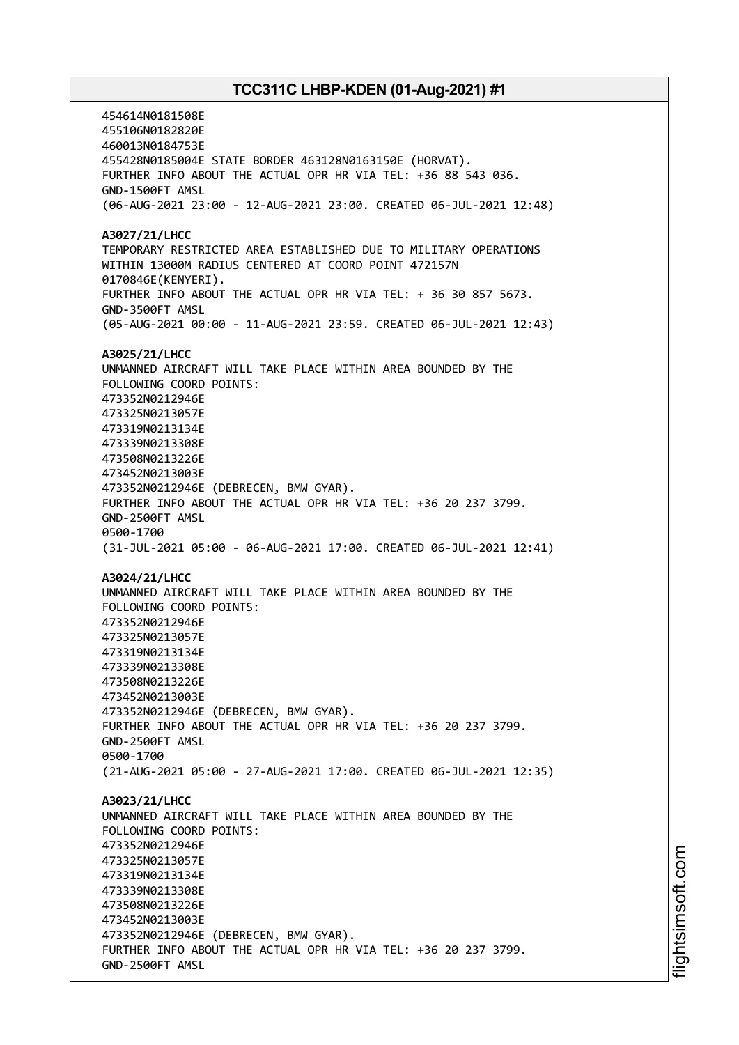454614N0181508E 455106N0182820E 460013N0184753E 455428N0185004E STATE BORDER 463128N0163150E (HORVAT). FURTHER INFO ABOUT THE ACTUAL OPR HR VIA TEL: +36 88 543 036. GND-1500FT AMSL (06-AUG-2021 23:00 - 12-AUG-2021 23:00. CREATED 06-JUL-2021 12:48) **A3027/21/LHCC** TEMPORARY RESTRICTED AREA ESTABLISHED DUE TO MILITARY OPERATIONS WITHIN 13000M RADIUS CENTERED AT COORD POINT 472157N 0170846E(KENYERI). FURTHER INFO ABOUT THE ACTUAL OPR HR VIA TEL: + 36 30 857 5673. GND-3500FT AMSL (05-AUG-2021 00:00 - 11-AUG-2021 23:59. CREATED 06-JUL-2021 12:43) **A3025/21/LHCC** UNMANNED AIRCRAFT WILL TAKE PLACE WITHIN AREA BOUNDED BY THE FOLLOWING COORD POINTS: 473352N0212946E 473325N0213057E 473319N0213134E 473339N0213308E 473508N0213226E 473452N0213003E 473352N0212946E (DEBRECEN, BMW GYAR). FURTHER INFO ABOUT THE ACTUAL OPR HR VIA TEL: +36 20 237 3799. GND-2500FT AMSL 0500-1700 (31-JUL-2021 05:00 - 06-AUG-2021 17:00. CREATED 06-JUL-2021 12:41) **A3024/21/LHCC** UNMANNED AIRCRAFT WILL TAKE PLACE WITHIN AREA BOUNDED BY THE FOLLOWING COORD POINTS: 473352N0212946E 473325N0213057E 473319N0213134E 473339N0213308E 473508N0213226E 473452N0213003E 473352N0212946E (DEBRECEN, BMW GYAR). FURTHER INFO ABOUT THE ACTUAL OPR HR VIA TEL: +36 20 237 3799. GND-2500FT AMSL 0500-1700 (21-AUG-2021 05:00 - 27-AUG-2021 17:00. CREATED 06-JUL-2021 12:35) **A3023/21/LHCC** UNMANNED AIRCRAFT WILL TAKE PLACE WITHIN AREA BOUNDED BY THE FOLLOWING COORD POINTS: 473352N0212946E 473325N0213057E 473319N0213134E 473339N0213308E 473508N0213226E 473452N0213003E 473352N0212946E (DEBRECEN, BMW GYAR). FURTHER INFO ABOUT THE ACTUAL OPR HR VIA TEL: +36 20 237 3799. GND-2500FT AMSL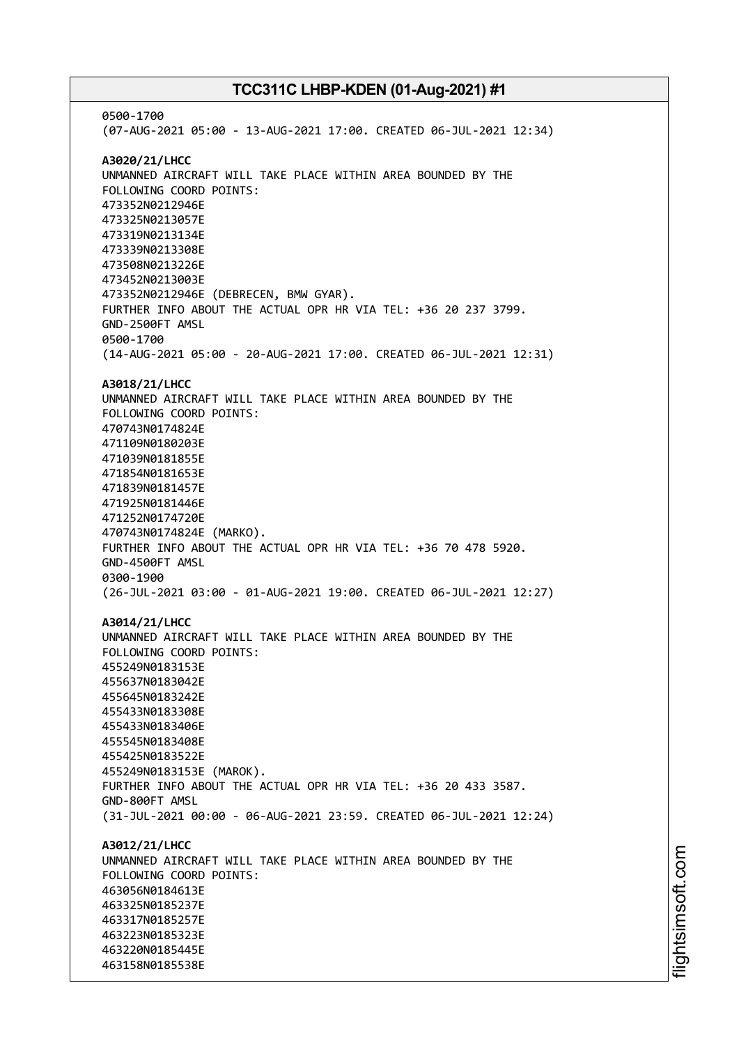0500-1700 (07-AUG-2021 05:00 - 13-AUG-2021 17:00. CREATED 06-JUL-2021 12:34) **A3020/21/LHCC** UNMANNED AIRCRAFT WILL TAKE PLACE WITHIN AREA BOUNDED BY THE FOLLOWING COORD POINTS: 473352N0212946E 473325N0213057E 473319N0213134E 473339N0213308E 473508N0213226E 473452N0213003E 473352N0212946E (DEBRECEN, BMW GYAR). FURTHER INFO ABOUT THE ACTUAL OPR HR VIA TEL: +36 20 237 3799. GND-2500FT AMSL 0500-1700 (14-AUG-2021 05:00 - 20-AUG-2021 17:00. CREATED 06-JUL-2021 12:31) **A3018/21/LHCC** UNMANNED AIRCRAFT WILL TAKE PLACE WITHIN AREA BOUNDED BY THE FOLLOWING COORD POINTS: 470743N0174824E 471109N0180203E 471039N0181855E 471854N0181653E 471839N0181457E 471925N0181446E 471252N0174720E 470743N0174824E (MARKO). FURTHER INFO ABOUT THE ACTUAL OPR HR VIA TEL: +36 70 478 5920. GND-4500FT AMSL 0300-1900 (26-JUL-2021 03:00 - 01-AUG-2021 19:00. CREATED 06-JUL-2021 12:27) **A3014/21/LHCC** UNMANNED AIRCRAFT WILL TAKE PLACE WITHIN AREA BOUNDED BY THE FOLLOWING COORD POINTS: 455249N0183153E 455637N0183042E 455645N0183242E 455433N0183308E 455433N0183406E 455545N0183408E 455425N0183522E 455249N0183153E (MAROK). FURTHER INFO ABOUT THE ACTUAL OPR HR VIA TEL: +36 20 433 3587. GND-800FT AMSL (31-JUL-2021 00:00 - 06-AUG-2021 23:59. CREATED 06-JUL-2021 12:24) **A3012/21/LHCC** UNMANNED AIRCRAFT WILL TAKE PLACE WITHIN AREA BOUNDED BY THE FOLLOWING COORD POINTS: 463056N0184613E 463325N0185237E 463317N0185257E 463223N0185323E 463220N0185445E 463158N0185538E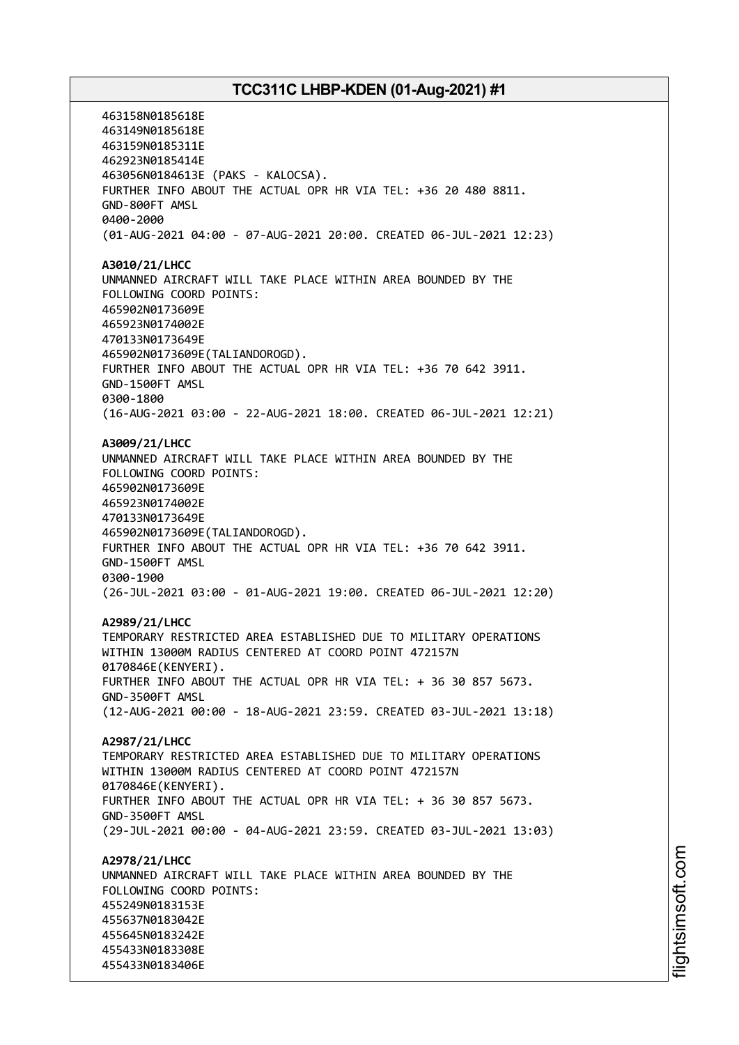463158N0185618E 463149N0185618E 463159N0185311E 462923N0185414E 463056N0184613E (PAKS - KALOCSA). FURTHER INFO ABOUT THE ACTUAL OPR HR VIA TEL: +36 20 480 8811. GND-800FT AMSL 0400-2000 (01-AUG-2021 04:00 - 07-AUG-2021 20:00. CREATED 06-JUL-2021 12:23) **A3010/21/LHCC** UNMANNED AIRCRAFT WILL TAKE PLACE WITHIN AREA BOUNDED BY THE FOLLOWING COORD POINTS: 465902N0173609E 465923N0174002E 470133N0173649E 465902N0173609E(TALIANDOROGD). FURTHER INFO ABOUT THE ACTUAL OPR HR VIA TEL: +36 70 642 3911. GND-1500FT AMSL 0300-1800 (16-AUG-2021 03:00 - 22-AUG-2021 18:00. CREATED 06-JUL-2021 12:21) **A3009/21/LHCC** UNMANNED AIRCRAFT WILL TAKE PLACE WITHIN AREA BOUNDED BY THE FOLLOWING COORD POINTS: 465902N0173609E 465923N0174002E 470133N0173649E 465902N0173609E(TALIANDOROGD). FURTHER INFO ABOUT THE ACTUAL OPR HR VIA TEL: +36 70 642 3911. GND-1500FT AMSL 0300-1900 (26-JUL-2021 03:00 - 01-AUG-2021 19:00. CREATED 06-JUL-2021 12:20) **A2989/21/LHCC** TEMPORARY RESTRICTED AREA ESTABLISHED DUE TO MILITARY OPERATIONS WITHIN 13000M RADIUS CENTERED AT COORD POINT 472157N 0170846E(KENYERI). FURTHER INFO ABOUT THE ACTUAL OPR HR VIA TEL: + 36 30 857 5673. GND-3500FT AMSL (12-AUG-2021 00:00 - 18-AUG-2021 23:59. CREATED 03-JUL-2021 13:18) **A2987/21/LHCC** TEMPORARY RESTRICTED AREA ESTABLISHED DUE TO MILITARY OPERATIONS WITHIN 13000M RADIUS CENTERED AT COORD POINT 472157N 0170846E(KENYERI). FURTHER INFO ABOUT THE ACTUAL OPR HR VIA TEL: + 36 30 857 5673. GND-3500FT AMSL (29-JUL-2021 00:00 - 04-AUG-2021 23:59. CREATED 03-JUL-2021 13:03) **A2978/21/LHCC** UNMANNED AIRCRAFT WILL TAKE PLACE WITHIN AREA BOUNDED BY THE FOLLOWING COORD POINTS: 455249N0183153E 455637N0183042E 455645N0183242E 455433N0183308E 455433N0183406E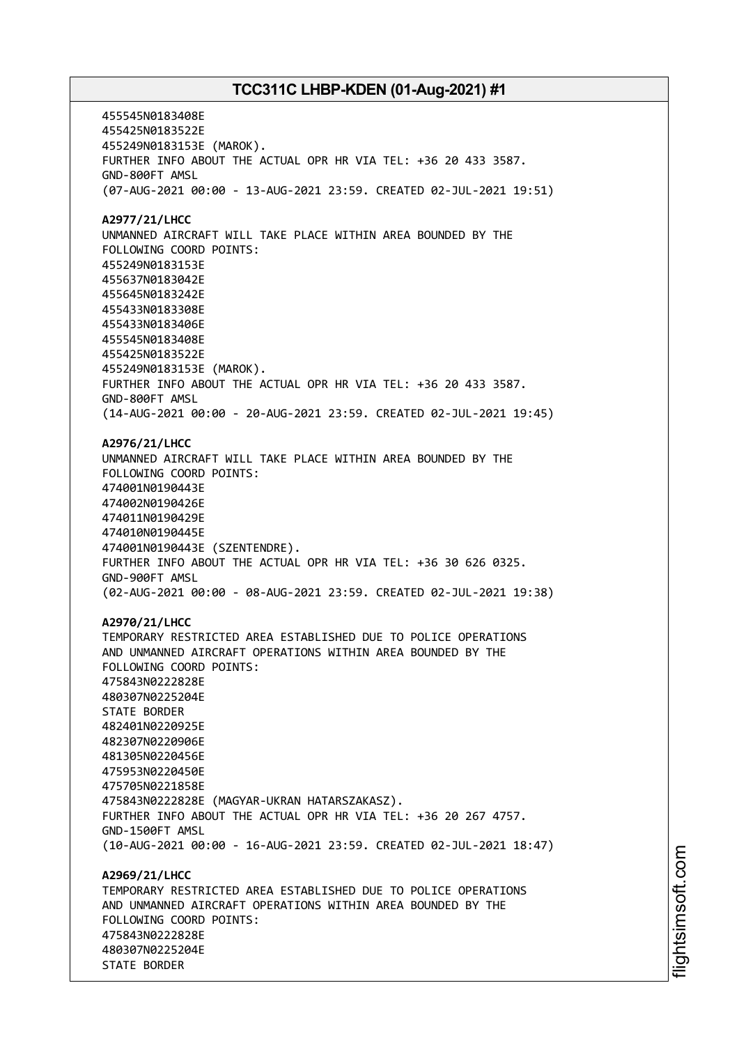455545N0183408E 455425N0183522E 455249N0183153E (MAROK). FURTHER INFO ABOUT THE ACTUAL OPR HR VIA TEL: +36 20 433 3587. GND-800FT AMSL (07-AUG-2021 00:00 - 13-AUG-2021 23:59. CREATED 02-JUL-2021 19:51) **A2977/21/LHCC** UNMANNED AIRCRAFT WILL TAKE PLACE WITHIN AREA BOUNDED BY THE FOLLOWING COORD POINTS: 455249N0183153E 455637N0183042E 455645N0183242E 455433N0183308E 455433N0183406E 455545N0183408E 455425N0183522E 455249N0183153E (MAROK). FURTHER INFO ABOUT THE ACTUAL OPR HR VIA TEL: +36 20 433 3587. GND-800FT AMSL (14-AUG-2021 00:00 - 20-AUG-2021 23:59. CREATED 02-JUL-2021 19:45) **A2976/21/LHCC** UNMANNED AIRCRAFT WILL TAKE PLACE WITHIN AREA BOUNDED BY THE FOLLOWING COORD POINTS: 474001N0190443E 474002N0190426E 474011N0190429E 474010N0190445E 474001N0190443E (SZENTENDRE). FURTHER INFO ABOUT THE ACTUAL OPR HR VIA TEL: +36 30 626 0325. GND-900FT AMSL (02-AUG-2021 00:00 - 08-AUG-2021 23:59. CREATED 02-JUL-2021 19:38) **A2970/21/LHCC** TEMPORARY RESTRICTED AREA ESTABLISHED DUE TO POLICE OPERATIONS AND UNMANNED AIRCRAFT OPERATIONS WITHIN AREA BOUNDED BY THE FOLLOWING COORD POINTS: 475843N0222828E 480307N0225204E STATE BORDER 482401N0220925E 482307N0220906E 481305N0220456E 475953N0220450E 475705N0221858E 475843N0222828E (MAGYAR-UKRAN HATARSZAKASZ). FURTHER INFO ABOUT THE ACTUAL OPR HR VIA TEL: +36 20 267 4757. GND-1500FT AMSL (10-AUG-2021 00:00 - 16-AUG-2021 23:59. CREATED 02-JUL-2021 18:47) **A2969/21/LHCC** TEMPORARY RESTRICTED AREA ESTABLISHED DUE TO POLICE OPERATIONS AND UNMANNED AIRCRAFT OPERATIONS WITHIN AREA BOUNDED BY THE FOLLOWING COORD POINTS: 475843N0222828E 480307N0225204E STATE BORDER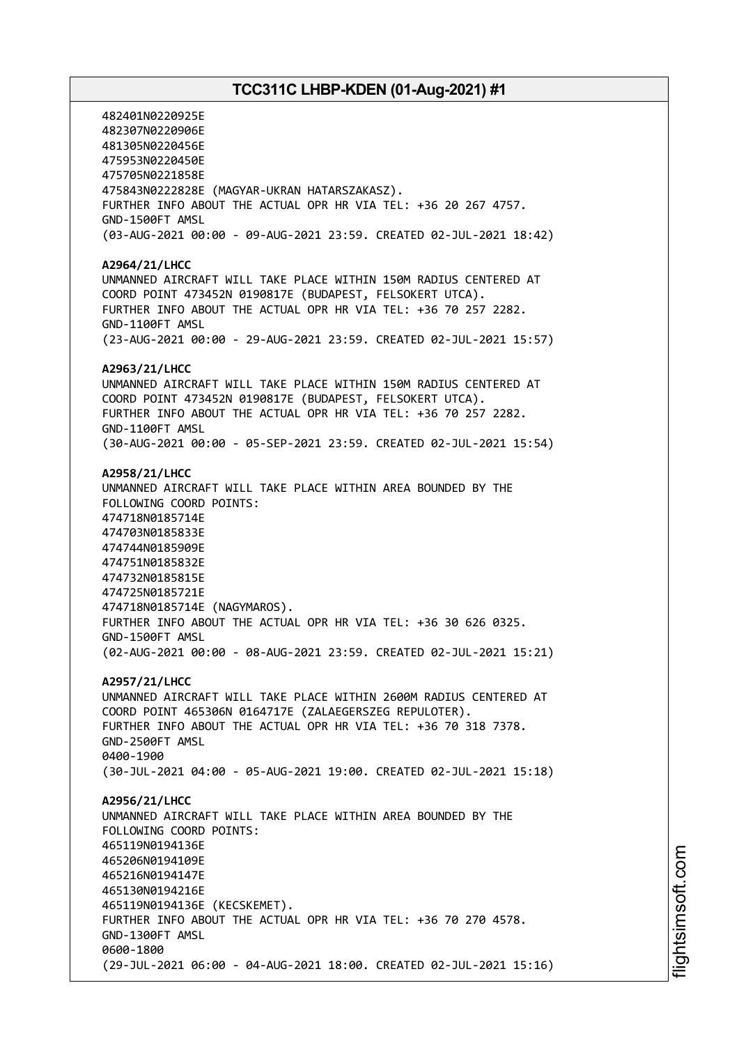482401N0220925E 482307N0220906E 481305N0220456E 475953N0220450E 475705N0221858E 475843N0222828E (MAGYAR-UKRAN HATARSZAKASZ). FURTHER INFO ABOUT THE ACTUAL OPR HR VIA TEL: +36 20 267 4757. GND-1500FT AMSL (03-AUG-2021 00:00 - 09-AUG-2021 23:59. CREATED 02-JUL-2021 18:42) **A2964/21/LHCC** UNMANNED AIRCRAFT WILL TAKE PLACE WITHIN 150M RADIUS CENTERED AT COORD POINT 473452N 0190817E (BUDAPEST, FELSOKERT UTCA). FURTHER INFO ABOUT THE ACTUAL OPR HR VIA TEL: +36 70 257 2282. GND-1100FT AMSL (23-AUG-2021 00:00 - 29-AUG-2021 23:59. CREATED 02-JUL-2021 15:57) **A2963/21/LHCC** UNMANNED AIRCRAFT WILL TAKE PLACE WITHIN 150M RADIUS CENTERED AT COORD POINT 473452N 0190817E (BUDAPEST, FELSOKERT UTCA). FURTHER INFO ABOUT THE ACTUAL OPR HR VIA TEL: +36 70 257 2282. GND-1100FT AMSL (30-AUG-2021 00:00 - 05-SEP-2021 23:59. CREATED 02-JUL-2021 15:54) **A2958/21/LHCC** UNMANNED AIRCRAFT WILL TAKE PLACE WITHIN AREA BOUNDED BY THE FOLLOWING COORD POINTS: 474718N0185714E 474703N0185833E 474744N0185909E 474751N0185832E 474732N0185815E 474725N0185721E 474718N0185714E (NAGYMAROS). FURTHER INFO ABOUT THE ACTUAL OPR HR VIA TEL: +36 30 626 0325. GND-1500FT AMSL (02-AUG-2021 00:00 - 08-AUG-2021 23:59. CREATED 02-JUL-2021 15:21) **A2957/21/LHCC** UNMANNED AIRCRAFT WILL TAKE PLACE WITHIN 2600M RADIUS CENTERED AT COORD POINT 465306N 0164717E (ZALAEGERSZEG REPULOTER). FURTHER INFO ABOUT THE ACTUAL OPR HR VIA TEL: +36 70 318 7378. GND-2500FT AMSL 0400-1900 (30-JUL-2021 04:00 - 05-AUG-2021 19:00. CREATED 02-JUL-2021 15:18) **A2956/21/LHCC** UNMANNED AIRCRAFT WILL TAKE PLACE WITHIN AREA BOUNDED BY THE FOLLOWING COORD POINTS: 465119N0194136E 465206N0194109E 465216N0194147E 465130N0194216E 465119N0194136E (KECSKEMET). FURTHER INFO ABOUT THE ACTUAL OPR HR VIA TEL: +36 70 270 4578. GND-1300FT AMSL 0600-1800 (29-JUL-2021 06:00 - 04-AUG-2021 18:00. CREATED 02-JUL-2021 15:16)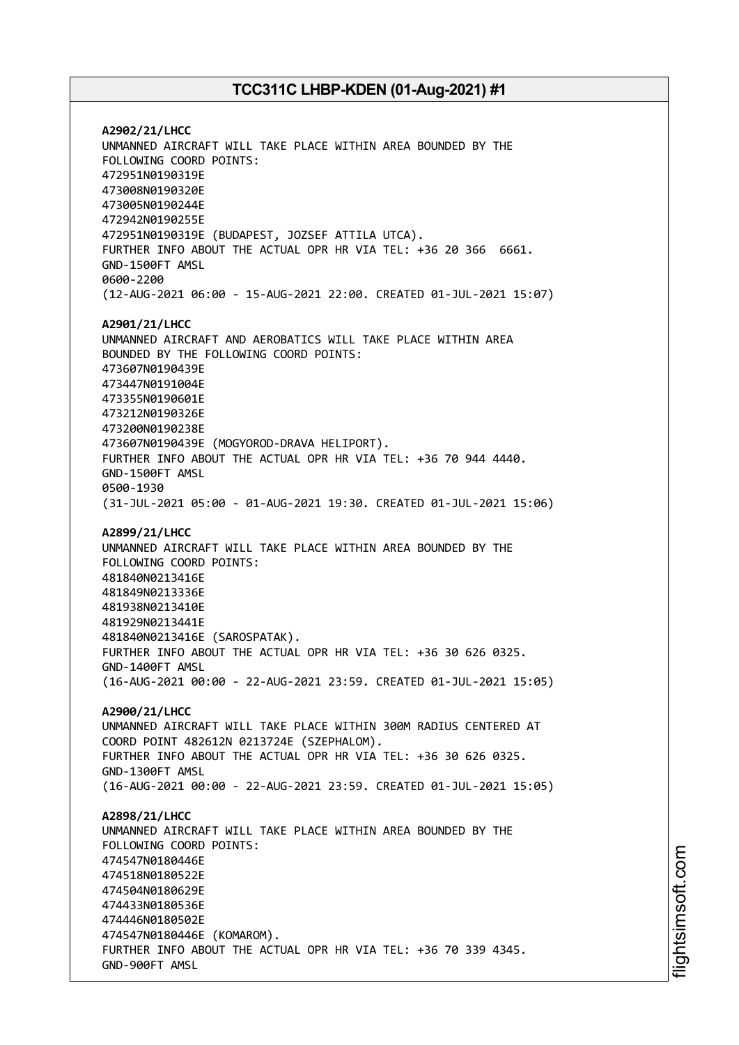**A2902/21/LHCC** UNMANNED AIRCRAFT WILL TAKE PLACE WITHIN AREA BOUNDED BY THE FOLLOWING COORD POINTS: 472951N0190319E 473008N0190320E 473005N0190244E 472942N0190255E 472951N0190319E (BUDAPEST, JOZSEF ATTILA UTCA). FURTHER INFO ABOUT THE ACTUAL OPR HR VIA TEL: +36 20 366 6661. GND-1500FT AMSL 0600-2200 (12-AUG-2021 06:00 - 15-AUG-2021 22:00. CREATED 01-JUL-2021 15:07) **A2901/21/LHCC** UNMANNED AIRCRAFT AND AEROBATICS WILL TAKE PLACE WITHIN AREA BOUNDED BY THE FOLLOWING COORD POINTS: 473607N0190439E 473447N0191004E 473355N0190601E 473212N0190326E 473200N0190238E 473607N0190439E (MOGYOROD-DRAVA HELIPORT). FURTHER INFO ABOUT THE ACTUAL OPR HR VIA TEL: +36 70 944 4440. GND-1500FT AMSL 0500-1930 (31-JUL-2021 05:00 - 01-AUG-2021 19:30. CREATED 01-JUL-2021 15:06) **A2899/21/LHCC** UNMANNED AIRCRAFT WILL TAKE PLACE WITHIN AREA BOUNDED BY THE FOLLOWING COORD POINTS: 481840N0213416E 481849N0213336E 481938N0213410E 481929N0213441E 481840N0213416E (SAROSPATAK). FURTHER INFO ABOUT THE ACTUAL OPR HR VIA TEL: +36 30 626 0325. GND-1400FT AMSL (16-AUG-2021 00:00 - 22-AUG-2021 23:59. CREATED 01-JUL-2021 15:05) **A2900/21/LHCC** UNMANNED AIRCRAFT WILL TAKE PLACE WITHIN 300M RADIUS CENTERED AT COORD POINT 482612N 0213724E (SZEPHALOM). FURTHER INFO ABOUT THE ACTUAL OPR HR VIA TEL: +36 30 626 0325. GND-1300FT AMSL (16-AUG-2021 00:00 - 22-AUG-2021 23:59. CREATED 01-JUL-2021 15:05) **A2898/21/LHCC** UNMANNED AIRCRAFT WILL TAKE PLACE WITHIN AREA BOUNDED BY THE FOLLOWING COORD POINTS: 474547N0180446E 474518N0180522E 474504N0180629E 474433N0180536E 474446N0180502E 474547N0180446E (KOMAROM). FURTHER INFO ABOUT THE ACTUAL OPR HR VIA TEL: +36 70 339 4345. GND-900FT AMSL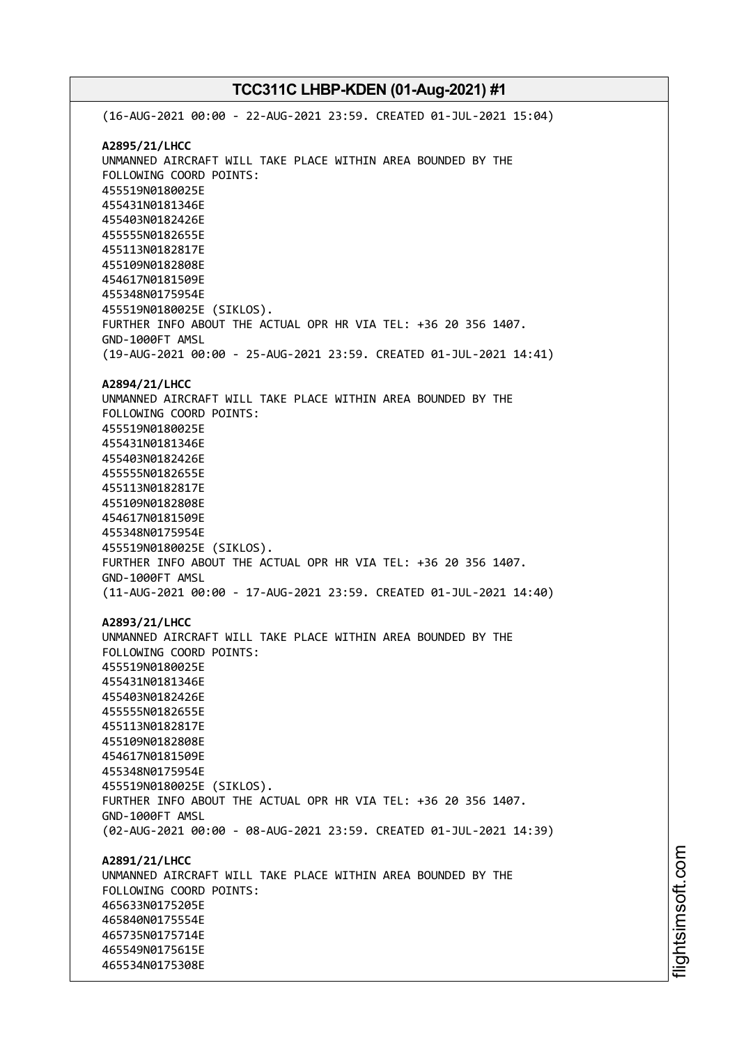(16-AUG-2021 00:00 - 22-AUG-2021 23:59. CREATED 01-JUL-2021 15:04) **A2895/21/LHCC** UNMANNED AIRCRAFT WILL TAKE PLACE WITHIN AREA BOUNDED BY THE FOLLOWING COORD POINTS: 455519N0180025E 455431N0181346E 455403N0182426E 455555N0182655E 455113N0182817E 455109N0182808E 454617N0181509E 455348N0175954E 455519N0180025E (SIKLOS). FURTHER INFO ABOUT THE ACTUAL OPR HR VIA TEL: +36 20 356 1407. GND-1000FT AMSL (19-AUG-2021 00:00 - 25-AUG-2021 23:59. CREATED 01-JUL-2021 14:41) **A2894/21/LHCC** UNMANNED AIRCRAFT WILL TAKE PLACE WITHIN AREA BOUNDED BY THE FOLLOWING COORD POINTS: 455519N0180025E 455431N0181346E 455403N0182426E 455555N0182655E 455113N0182817E 455109N0182808E 454617N0181509E 455348N0175954E 455519N0180025E (SIKLOS). FURTHER INFO ABOUT THE ACTUAL OPR HR VIA TEL: +36 20 356 1407. GND-1000FT AMSL (11-AUG-2021 00:00 - 17-AUG-2021 23:59. CREATED 01-JUL-2021 14:40) **A2893/21/LHCC** UNMANNED AIRCRAFT WILL TAKE PLACE WITHIN AREA BOUNDED BY THE FOLLOWING COORD POINTS: 455519N0180025E 455431N0181346E 455403N0182426E 455555N0182655E 455113N0182817E 455109N0182808E 454617N0181509E 455348N0175954E 455519N0180025E (SIKLOS). FURTHER INFO ABOUT THE ACTUAL OPR HR VIA TEL: +36 20 356 1407. GND-1000FT AMSL (02-AUG-2021 00:00 - 08-AUG-2021 23:59. CREATED 01-JUL-2021 14:39) **A2891/21/LHCC** UNMANNED AIRCRAFT WILL TAKE PLACE WITHIN AREA BOUNDED BY THE FOLLOWING COORD POINTS: 465633N0175205E 465840N0175554E 465735N0175714E 465549N0175615E 465534N0175308E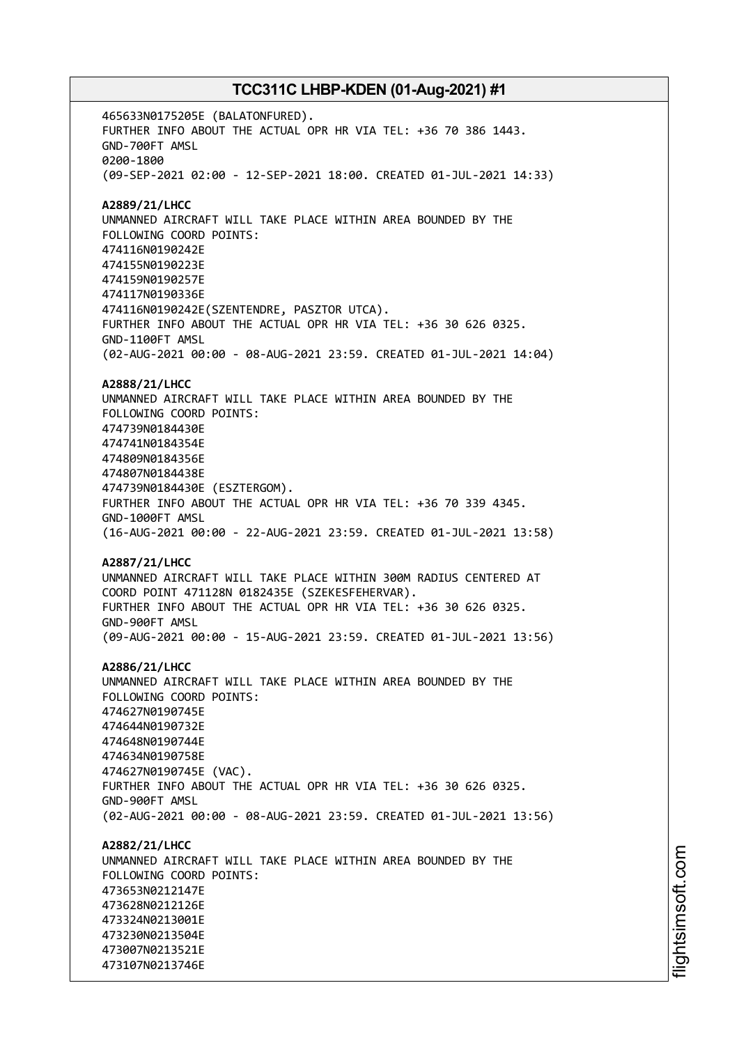465633N0175205E (BALATONFURED). FURTHER INFO ABOUT THE ACTUAL OPR HR VIA TEL: +36 70 386 1443. GND-700FT AMSL 0200-1800 (09-SEP-2021 02:00 - 12-SEP-2021 18:00. CREATED 01-JUL-2021 14:33) **A2889/21/LHCC** UNMANNED AIRCRAFT WILL TAKE PLACE WITHIN AREA BOUNDED BY THE FOLLOWING COORD POINTS: 474116N0190242E 474155N0190223E 474159N0190257E 474117N0190336E 474116N0190242E(SZENTENDRE, PASZTOR UTCA). FURTHER INFO ABOUT THE ACTUAL OPR HR VIA TEL: +36 30 626 0325. GND-1100FT AMSL (02-AUG-2021 00:00 - 08-AUG-2021 23:59. CREATED 01-JUL-2021 14:04) **A2888/21/LHCC** UNMANNED AIRCRAFT WILL TAKE PLACE WITHIN AREA BOUNDED BY THE FOLLOWING COORD POINTS: 474739N0184430E 474741N0184354E 474809N0184356E 474807N0184438E 474739N0184430E (ESZTERGOM). FURTHER INFO ABOUT THE ACTUAL OPR HR VIA TEL: +36 70 339 4345. GND-1000FT AMSL (16-AUG-2021 00:00 - 22-AUG-2021 23:59. CREATED 01-JUL-2021 13:58) **A2887/21/LHCC** UNMANNED AIRCRAFT WILL TAKE PLACE WITHIN 300M RADIUS CENTERED AT COORD POINT 471128N 0182435E (SZEKESFEHERVAR). FURTHER INFO ABOUT THE ACTUAL OPR HR VIA TEL: +36 30 626 0325. GND-900FT AMSL (09-AUG-2021 00:00 - 15-AUG-2021 23:59. CREATED 01-JUL-2021 13:56) **A2886/21/LHCC** UNMANNED AIRCRAFT WILL TAKE PLACE WITHIN AREA BOUNDED BY THE FOLLOWING COORD POINTS: 474627N0190745E 474644N0190732E 474648N0190744E 474634N0190758E 474627N0190745E (VAC). FURTHER INFO ABOUT THE ACTUAL OPR HR VIA TEL: +36 30 626 0325. GND-900FT AMSL (02-AUG-2021 00:00 - 08-AUG-2021 23:59. CREATED 01-JUL-2021 13:56) **A2882/21/LHCC** UNMANNED AIRCRAFT WILL TAKE PLACE WITHIN AREA BOUNDED BY THE FOLLOWING COORD POINTS: 473653N0212147E 473628N0212126E 473324N0213001E 473230N0213504E 473007N0213521E 473107N0213746E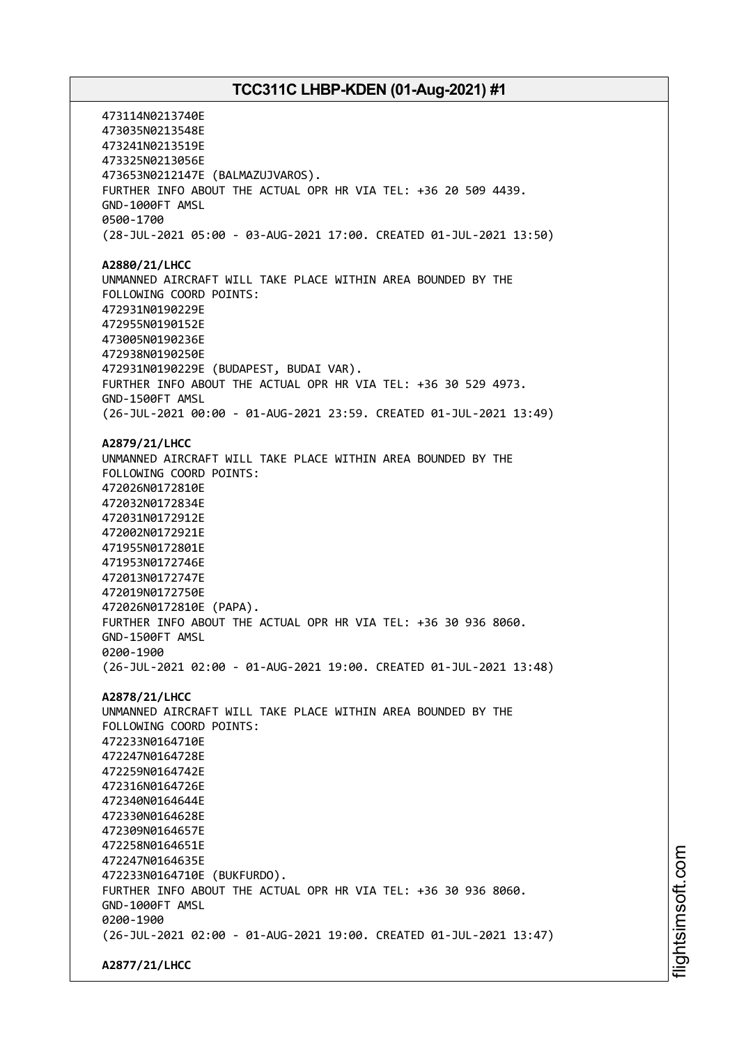473114N0213740E 473035N0213548E 473241N0213519E 473325N0213056E 473653N0212147E (BALMAZUJVAROS). FURTHER INFO ABOUT THE ACTUAL OPR HR VIA TEL: +36 20 509 4439. GND-1000FT AMSL 0500-1700 (28-JUL-2021 05:00 - 03-AUG-2021 17:00. CREATED 01-JUL-2021 13:50) **A2880/21/LHCC** UNMANNED AIRCRAFT WILL TAKE PLACE WITHIN AREA BOUNDED BY THE FOLLOWING COORD POINTS: 472931N0190229E 472955N0190152E 473005N0190236E 472938N0190250E 472931N0190229E (BUDAPEST, BUDAI VAR). FURTHER INFO ABOUT THE ACTUAL OPR HR VIA TEL: +36 30 529 4973. GND-1500FT AMSL (26-JUL-2021 00:00 - 01-AUG-2021 23:59. CREATED 01-JUL-2021 13:49) **A2879/21/LHCC** UNMANNED AIRCRAFT WILL TAKE PLACE WITHIN AREA BOUNDED BY THE FOLLOWING COORD POINTS: 472026N0172810E 472032N0172834E 472031N0172912E 472002N0172921E 471955N0172801E 471953N0172746E 472013N0172747E 472019N0172750E 472026N0172810E (PAPA). FURTHER INFO ABOUT THE ACTUAL OPR HR VIA TEL: +36 30 936 8060. GND-1500FT AMSL 0200-1900 (26-JUL-2021 02:00 - 01-AUG-2021 19:00. CREATED 01-JUL-2021 13:48) **A2878/21/LHCC** UNMANNED AIRCRAFT WILL TAKE PLACE WITHIN AREA BOUNDED BY THE FOLLOWING COORD POINTS: 472233N0164710E 472247N0164728E 472259N0164742E 472316N0164726E 472340N0164644E 472330N0164628E 472309N0164657E 472258N0164651E 472247N0164635E 472233N0164710E (BUKFURDO). FURTHER INFO ABOUT THE ACTUAL OPR HR VIA TEL: +36 30 936 8060. GND-1000FT AMSL 0200-1900 (26-JUL-2021 02:00 - 01-AUG-2021 19:00. CREATED 01-JUL-2021 13:47) **A2877/21/LHCC**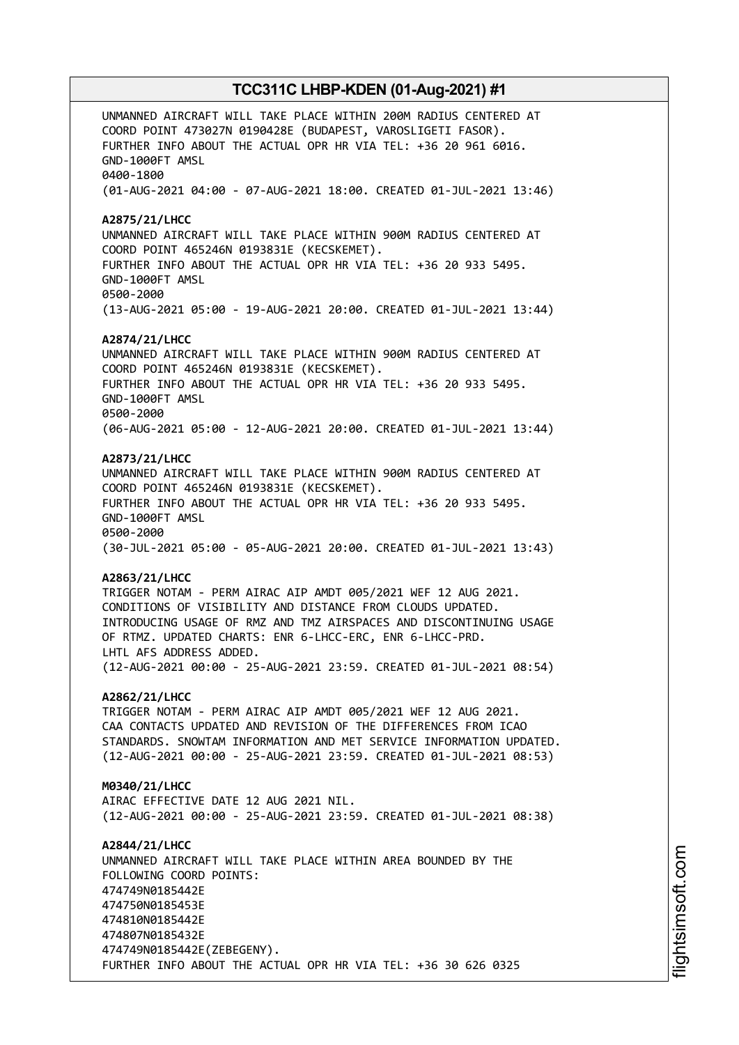UNMANNED AIRCRAFT WILL TAKE PLACE WITHIN 200M RADIUS CENTERED AT COORD POINT 473027N 0190428E (BUDAPEST, VAROSLIGETI FASOR). FURTHER INFO ABOUT THE ACTUAL OPR HR VIA TEL: +36 20 961 6016. GND-1000FT AMSL 0400-1800 (01-AUG-2021 04:00 - 07-AUG-2021 18:00. CREATED 01-JUL-2021 13:46) **A2875/21/LHCC** UNMANNED AIRCRAFT WILL TAKE PLACE WITHIN 900M RADIUS CENTERED AT COORD POINT 465246N 0193831E (KECSKEMET). FURTHER INFO ABOUT THE ACTUAL OPR HR VIA TEL: +36 20 933 5495. GND-1000FT AMSL 0500-2000 (13-AUG-2021 05:00 - 19-AUG-2021 20:00. CREATED 01-JUL-2021 13:44) **A2874/21/LHCC** UNMANNED AIRCRAFT WILL TAKE PLACE WITHIN 900M RADIUS CENTERED AT COORD POINT 465246N 0193831E (KECSKEMET). FURTHER INFO ABOUT THE ACTUAL OPR HR VIA TEL: +36 20 933 5495. GND-1000FT AMSL 0500-2000 (06-AUG-2021 05:00 - 12-AUG-2021 20:00. CREATED 01-JUL-2021 13:44) **A2873/21/LHCC** UNMANNED AIRCRAFT WILL TAKE PLACE WITHIN 900M RADIUS CENTERED AT COORD POINT 465246N 0193831E (KECSKEMET). FURTHER INFO ABOUT THE ACTUAL OPR HR VIA TEL: +36 20 933 5495. GND-1000FT AMSL 0500-2000 (30-JUL-2021 05:00 - 05-AUG-2021 20:00. CREATED 01-JUL-2021 13:43) **A2863/21/LHCC** TRIGGER NOTAM - PERM AIRAC AIP AMDT 005/2021 WEF 12 AUG 2021. CONDITIONS OF VISIBILITY AND DISTANCE FROM CLOUDS UPDATED. INTRODUCING USAGE OF RMZ AND TMZ AIRSPACES AND DISCONTINUING USAGE OF RTMZ. UPDATED CHARTS: ENR 6-LHCC-ERC, ENR 6-LHCC-PRD. LHTL AFS ADDRESS ADDED. (12-AUG-2021 00:00 - 25-AUG-2021 23:59. CREATED 01-JUL-2021 08:54) **A2862/21/LHCC** TRIGGER NOTAM - PERM AIRAC AIP AMDT 005/2021 WEF 12 AUG 2021. CAA CONTACTS UPDATED AND REVISION OF THE DIFFERENCES FROM ICAO STANDARDS. SNOWTAM INFORMATION AND MET SERVICE INFORMATION UPDATED. (12-AUG-2021 00:00 - 25-AUG-2021 23:59. CREATED 01-JUL-2021 08:53) **M0340/21/LHCC** AIRAC EFFECTIVE DATE 12 AUG 2021 NIL. (12-AUG-2021 00:00 - 25-AUG-2021 23:59. CREATED 01-JUL-2021 08:38) **A2844/21/LHCC** UNMANNED AIRCRAFT WILL TAKE PLACE WITHIN AREA BOUNDED BY THE FOLLOWING COORD POINTS: 474749N0185442E 474750N0185453E 474810N0185442E 474807N0185432E 474749N0185442E(ZEBEGENY). FURTHER INFO ABOUT THE ACTUAL OPR HR VIA TEL: +36 30 626 0325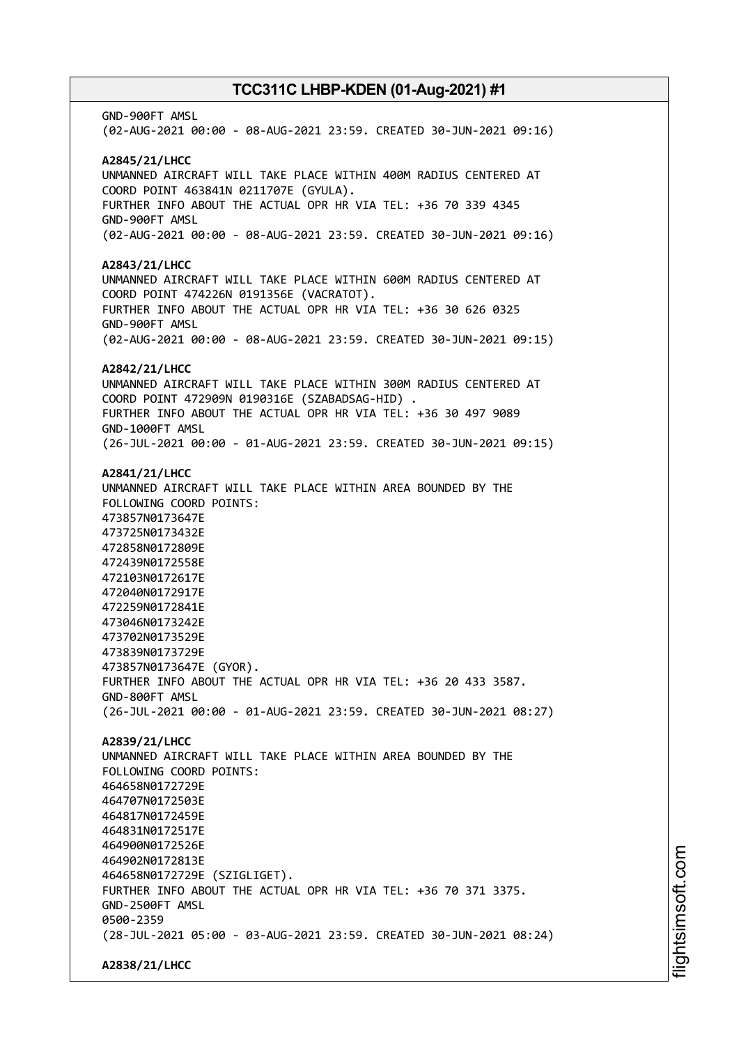GND-900FT AMSL (02-AUG-2021 00:00 - 08-AUG-2021 23:59. CREATED 30-JUN-2021 09:16) **A2845/21/LHCC** UNMANNED AIRCRAFT WILL TAKE PLACE WITHIN 400M RADIUS CENTERED AT COORD POINT 463841N 0211707E (GYULA). FURTHER INFO ABOUT THE ACTUAL OPR HR VIA TEL: +36 70 339 4345 GND-900FT AMSL (02-AUG-2021 00:00 - 08-AUG-2021 23:59. CREATED 30-JUN-2021 09:16) **A2843/21/LHCC** UNMANNED AIRCRAFT WILL TAKE PLACE WITHIN 600M RADIUS CENTERED AT COORD POINT 474226N 0191356E (VACRATOT). FURTHER INFO ABOUT THE ACTUAL OPR HR VIA TEL: +36 30 626 0325 GND-900FT AMSL (02-AUG-2021 00:00 - 08-AUG-2021 23:59. CREATED 30-JUN-2021 09:15) **A2842/21/LHCC** UNMANNED AIRCRAFT WILL TAKE PLACE WITHIN 300M RADIUS CENTERED AT COORD POINT 472909N 0190316E (SZABADSAG-HID) . FURTHER INFO ABOUT THE ACTUAL OPR HR VIA TEL: +36 30 497 9089 GND-1000FT AMSL (26-JUL-2021 00:00 - 01-AUG-2021 23:59. CREATED 30-JUN-2021 09:15) **A2841/21/LHCC** UNMANNED AIRCRAFT WILL TAKE PLACE WITHIN AREA BOUNDED BY THE FOLLOWING COORD POINTS: 473857N0173647E 473725N0173432E 472858N0172809E 472439N0172558E 472103N0172617E 472040N0172917E 472259N0172841E 473046N0173242E 473702N0173529E 473839N0173729E 473857N0173647E (GYOR). FURTHER INFO ABOUT THE ACTUAL OPR HR VIA TEL: +36 20 433 3587. GND-800FT AMSL (26-JUL-2021 00:00 - 01-AUG-2021 23:59. CREATED 30-JUN-2021 08:27) **A2839/21/LHCC** UNMANNED AIRCRAFT WILL TAKE PLACE WITHIN AREA BOUNDED BY THE FOLLOWING COORD POINTS: 464658N0172729E 464707N0172503E 464817N0172459E 464831N0172517E 464900N0172526E 464902N0172813E 464658N0172729E (SZIGLIGET). FURTHER INFO ABOUT THE ACTUAL OPR HR VIA TEL: +36 70 371 3375. GND-2500FT AMSL 0500-2359 (28-JUL-2021 05:00 - 03-AUG-2021 23:59. CREATED 30-JUN-2021 08:24) **A2838/21/LHCC**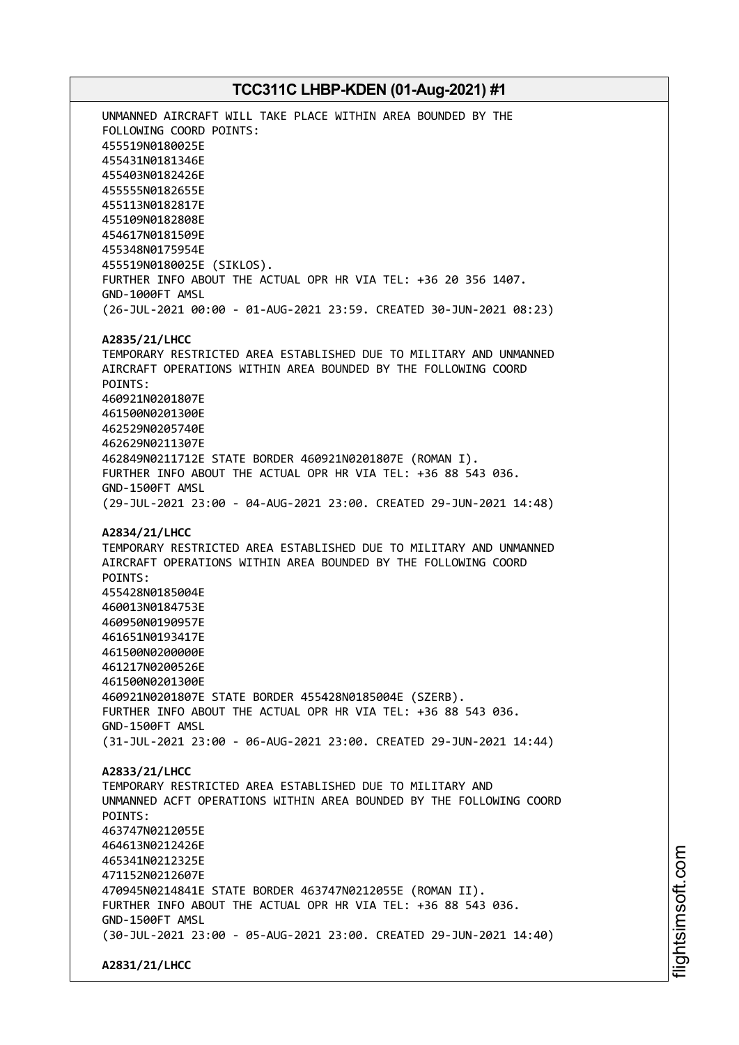UNMANNED AIRCRAFT WILL TAKE PLACE WITHIN AREA BOUNDED BY THE FOLLOWING COORD POINTS: 455519N0180025E 455431N0181346E 455403N0182426E 455555N0182655E 455113N0182817E 455109N0182808E 454617N0181509E 455348N0175954E 455519N0180025E (SIKLOS). FURTHER INFO ABOUT THE ACTUAL OPR HR VIA TEL: +36 20 356 1407. GND-1000FT AMSL (26-JUL-2021 00:00 - 01-AUG-2021 23:59. CREATED 30-JUN-2021 08:23) **A2835/21/LHCC** TEMPORARY RESTRICTED AREA ESTABLISHED DUE TO MILITARY AND UNMANNED AIRCRAFT OPERATIONS WITHIN AREA BOUNDED BY THE FOLLOWING COORD POINTS: 460921N0201807E 461500N0201300E 462529N0205740E 462629N0211307E 462849N0211712E STATE BORDER 460921N0201807E (ROMAN I). FURTHER INFO ABOUT THE ACTUAL OPR HR VIA TEL: +36 88 543 036. GND-1500FT AMSL (29-JUL-2021 23:00 - 04-AUG-2021 23:00. CREATED 29-JUN-2021 14:48) **A2834/21/LHCC** TEMPORARY RESTRICTED AREA ESTABLISHED DUE TO MILITARY AND UNMANNED AIRCRAFT OPERATIONS WITHIN AREA BOUNDED BY THE FOLLOWING COORD POINTS: 455428N0185004E 460013N0184753E 460950N0190957E 461651N0193417E 461500N0200000E 461217N0200526E 461500N0201300E 460921N0201807E STATE BORDER 455428N0185004E (SZERB). FURTHER INFO ABOUT THE ACTUAL OPR HR VIA TEL: +36 88 543 036. GND-1500FT AMSL (31-JUL-2021 23:00 - 06-AUG-2021 23:00. CREATED 29-JUN-2021 14:44) **A2833/21/LHCC** TEMPORARY RESTRICTED AREA ESTABLISHED DUE TO MILITARY AND UNMANNED ACFT OPERATIONS WITHIN AREA BOUNDED BY THE FOLLOWING COORD POINTS: 463747N0212055E 464613N0212426E 465341N0212325E 471152N0212607E 470945N0214841E STATE BORDER 463747N0212055E (ROMAN II). FURTHER INFO ABOUT THE ACTUAL OPR HR VIA TEL: +36 88 543 036. GND-1500FT AMSL (30-JUL-2021 23:00 - 05-AUG-2021 23:00. CREATED 29-JUN-2021 14:40) **A2831/21/LHCC**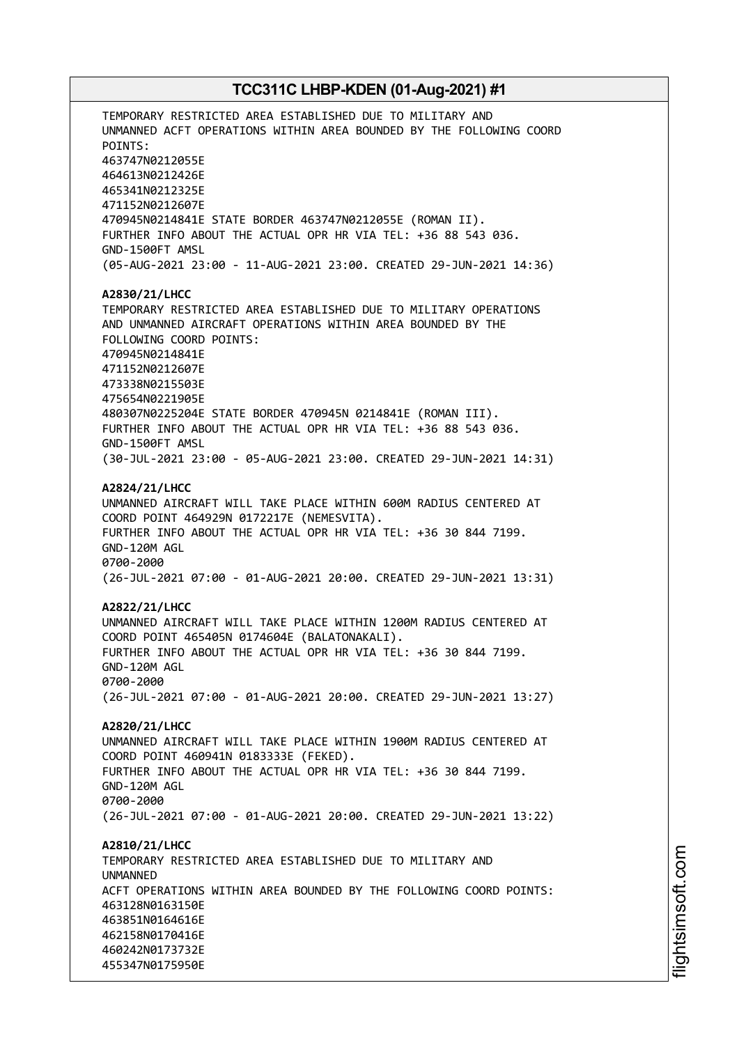TEMPORARY RESTRICTED AREA ESTABLISHED DUE TO MILITARY AND UNMANNED ACFT OPERATIONS WITHIN AREA BOUNDED BY THE FOLLOWING COORD POINTS: 463747N0212055E 464613N0212426E 465341N0212325E 471152N0212607E 470945N0214841E STATE BORDER 463747N0212055E (ROMAN II). FURTHER INFO ABOUT THE ACTUAL OPR HR VIA TEL: +36 88 543 036. GND-1500FT AMSL (05-AUG-2021 23:00 - 11-AUG-2021 23:00. CREATED 29-JUN-2021 14:36) **A2830/21/LHCC** TEMPORARY RESTRICTED AREA ESTABLISHED DUE TO MILITARY OPERATIONS AND UNMANNED AIRCRAFT OPERATIONS WITHIN AREA BOUNDED BY THE FOLLOWING COORD POINTS: 470945N0214841E 471152N0212607E 473338N0215503E 475654N0221905E 480307N0225204E STATE BORDER 470945N 0214841E (ROMAN III). FURTHER INFO ABOUT THE ACTUAL OPR HR VIA TEL: +36 88 543 036. GND-1500FT AMSL (30-JUL-2021 23:00 - 05-AUG-2021 23:00. CREATED 29-JUN-2021 14:31) **A2824/21/LHCC** UNMANNED AIRCRAFT WILL TAKE PLACE WITHIN 600M RADIUS CENTERED AT COORD POINT 464929N 0172217E (NEMESVITA). FURTHER INFO ABOUT THE ACTUAL OPR HR VIA TEL: +36 30 844 7199. GND-120M AGL 0700-2000 (26-JUL-2021 07:00 - 01-AUG-2021 20:00. CREATED 29-JUN-2021 13:31) **A2822/21/LHCC** UNMANNED AIRCRAFT WILL TAKE PLACE WITHIN 1200M RADIUS CENTERED AT COORD POINT 465405N 0174604E (BALATONAKALI). FURTHER INFO ABOUT THE ACTUAL OPR HR VIA TEL: +36 30 844 7199. GND-120M AGL 0700-2000 (26-JUL-2021 07:00 - 01-AUG-2021 20:00. CREATED 29-JUN-2021 13:27) **A2820/21/LHCC** UNMANNED AIRCRAFT WILL TAKE PLACE WITHIN 1900M RADIUS CENTERED AT COORD POINT 460941N 0183333E (FEKED). FURTHER INFO ABOUT THE ACTUAL OPR HR VIA TEL: +36 30 844 7199. GND-120M AGL 0700-2000 (26-JUL-2021 07:00 - 01-AUG-2021 20:00. CREATED 29-JUN-2021 13:22) **A2810/21/LHCC** TEMPORARY RESTRICTED AREA ESTABLISHED DUE TO MILITARY AND **IINMANNED** ACFT OPERATIONS WITHIN AREA BOUNDED BY THE FOLLOWING COORD POINTS: 463128N0163150E 463851N0164616E 462158N0170416E 460242N0173732E 455347N0175950E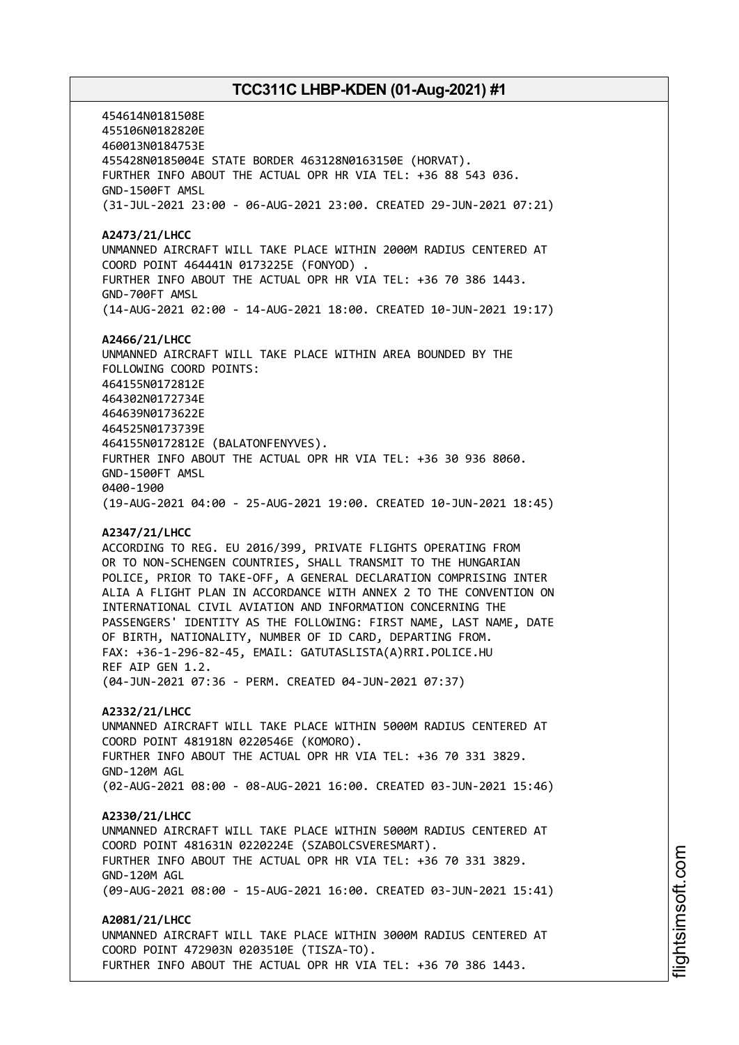454614N0181508E 455106N0182820E 460013N0184753E 455428N0185004E STATE BORDER 463128N0163150E (HORVAT). FURTHER INFO ABOUT THE ACTUAL OPR HR VIA TEL: +36 88 543 036. GND-1500FT AMSL (31-JUL-2021 23:00 - 06-AUG-2021 23:00. CREATED 29-JUN-2021 07:21) **A2473/21/LHCC** UNMANNED AIRCRAFT WILL TAKE PLACE WITHIN 2000M RADIUS CENTERED AT COORD POINT 464441N 0173225E (FONYOD) . FURTHER INFO ABOUT THE ACTUAL OPR HR VIA TEL: +36 70 386 1443. GND-700FT AMSL (14-AUG-2021 02:00 - 14-AUG-2021 18:00. CREATED 10-JUN-2021 19:17) **A2466/21/LHCC** UNMANNED AIRCRAFT WILL TAKE PLACE WITHIN AREA BOUNDED BY THE FOLLOWING COORD POINTS: 464155N0172812E 464302N0172734E 464639N0173622E 464525N0173739E 464155N0172812E (BALATONFENYVES). FURTHER INFO ABOUT THE ACTUAL OPR HR VIA TEL: +36 30 936 8060. GND-1500FT AMSL 0400-1900 (19-AUG-2021 04:00 - 25-AUG-2021 19:00. CREATED 10-JUN-2021 18:45) **A2347/21/LHCC** ACCORDING TO REG. EU 2016/399, PRIVATE FLIGHTS OPERATING FROM OR TO NON-SCHENGEN COUNTRIES, SHALL TRANSMIT TO THE HUNGARIAN POLICE, PRIOR TO TAKE-OFF, A GENERAL DECLARATION COMPRISING INTER ALIA A FLIGHT PLAN IN ACCORDANCE WITH ANNEX 2 TO THE CONVENTION ON INTERNATIONAL CIVIL AVIATION AND INFORMATION CONCERNING THE PASSENGERS' IDENTITY AS THE FOLLOWING: FIRST NAME, LAST NAME, DATE OF BIRTH, NATIONALITY, NUMBER OF ID CARD, DEPARTING FROM. FAX: +36-1-296-82-45, EMAIL: GATUTASLISTA(A)RRI.POLICE.HU REF AIP GEN 1.2. (04-JUN-2021 07:36 - PERM. CREATED 04-JUN-2021 07:37) **A2332/21/LHCC** UNMANNED AIRCRAFT WILL TAKE PLACE WITHIN 5000M RADIUS CENTERED AT COORD POINT 481918N 0220546E (KOMORO). FURTHER INFO ABOUT THE ACTUAL OPR HR VIA TEL: +36 70 331 3829.

GND-120M AGL (02-AUG-2021 08:00 - 08-AUG-2021 16:00. CREATED 03-JUN-2021 15:46)

#### **A2330/21/LHCC**

UNMANNED AIRCRAFT WILL TAKE PLACE WITHIN 5000M RADIUS CENTERED AT COORD POINT 481631N 0220224E (SZABOLCSVERESMART). FURTHER INFO ABOUT THE ACTUAL OPR HR VIA TEL: +36 70 331 3829. GND-120M AGL (09-AUG-2021 08:00 - 15-AUG-2021 16:00. CREATED 03-JUN-2021 15:41)

**A2081/21/LHCC** UNMANNED AIRCRAFT WILL TAKE PLACE WITHIN 3000M RADIUS CENTERED AT COORD POINT 472903N 0203510E (TISZA-TO). FURTHER INFO ABOUT THE ACTUAL OPR HR VIA TEL: +36 70 386 1443.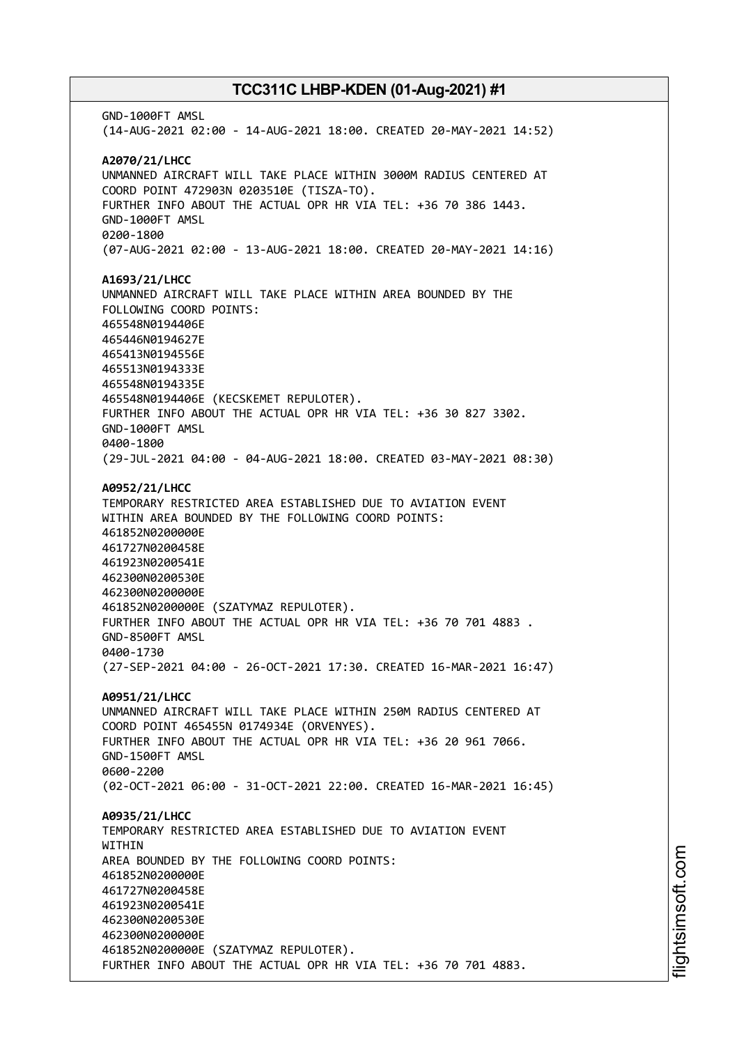GND-1000FT AMSL (14-AUG-2021 02:00 - 14-AUG-2021 18:00. CREATED 20-MAY-2021 14:52) **A2070/21/LHCC** UNMANNED AIRCRAFT WILL TAKE PLACE WITHIN 3000M RADIUS CENTERED AT COORD POINT 472903N 0203510E (TISZA-TO). FURTHER INFO ABOUT THE ACTUAL OPR HR VIA TEL: +36 70 386 1443. GND-1000FT AMSL 0200-1800 (07-AUG-2021 02:00 - 13-AUG-2021 18:00. CREATED 20-MAY-2021 14:16) **A1693/21/LHCC** UNMANNED AIRCRAFT WILL TAKE PLACE WITHIN AREA BOUNDED BY THE FOLLOWING COORD POINTS: 465548N0194406E 465446N0194627E 465413N0194556E 465513N0194333E 465548N0194335E 465548N0194406E (KECSKEMET REPULOTER). FURTHER INFO ABOUT THE ACTUAL OPR HR VIA TEL: +36 30 827 3302. GND-1000FT AMSL 0400-1800 (29-JUL-2021 04:00 - 04-AUG-2021 18:00. CREATED 03-MAY-2021 08:30) **A0952/21/LHCC** TEMPORARY RESTRICTED AREA ESTABLISHED DUE TO AVIATION EVENT WITHIN AREA BOUNDED BY THE FOLLOWING COORD POINTS: 461852N0200000E 461727N0200458E 461923N0200541E 462300N0200530E 462300N0200000E 461852N0200000E (SZATYMAZ REPULOTER). FURTHER INFO ABOUT THE ACTUAL OPR HR VIA TEL: +36 70 701 4883 . GND-8500FT AMSL 0400-1730 (27-SEP-2021 04:00 - 26-OCT-2021 17:30. CREATED 16-MAR-2021 16:47) **A0951/21/LHCC** UNMANNED AIRCRAFT WILL TAKE PLACE WITHIN 250M RADIUS CENTERED AT COORD POINT 465455N 0174934E (ORVENYES). FURTHER INFO ABOUT THE ACTUAL OPR HR VIA TEL: +36 20 961 7066. GND-1500FT AMSL 0600-2200 (02-OCT-2021 06:00 - 31-OCT-2021 22:00. CREATED 16-MAR-2021 16:45) **A0935/21/LHCC** TEMPORARY RESTRICTED AREA ESTABLISHED DUE TO AVIATION EVENT WITHIN AREA BOUNDED BY THE FOLLOWING COORD POINTS: 461852N0200000E 461727N0200458E 461923N0200541E 462300N0200530E 462300N0200000E 461852N0200000E (SZATYMAZ REPULOTER). FURTHER INFO ABOUT THE ACTUAL OPR HR VIA TEL: +36 70 701 4883.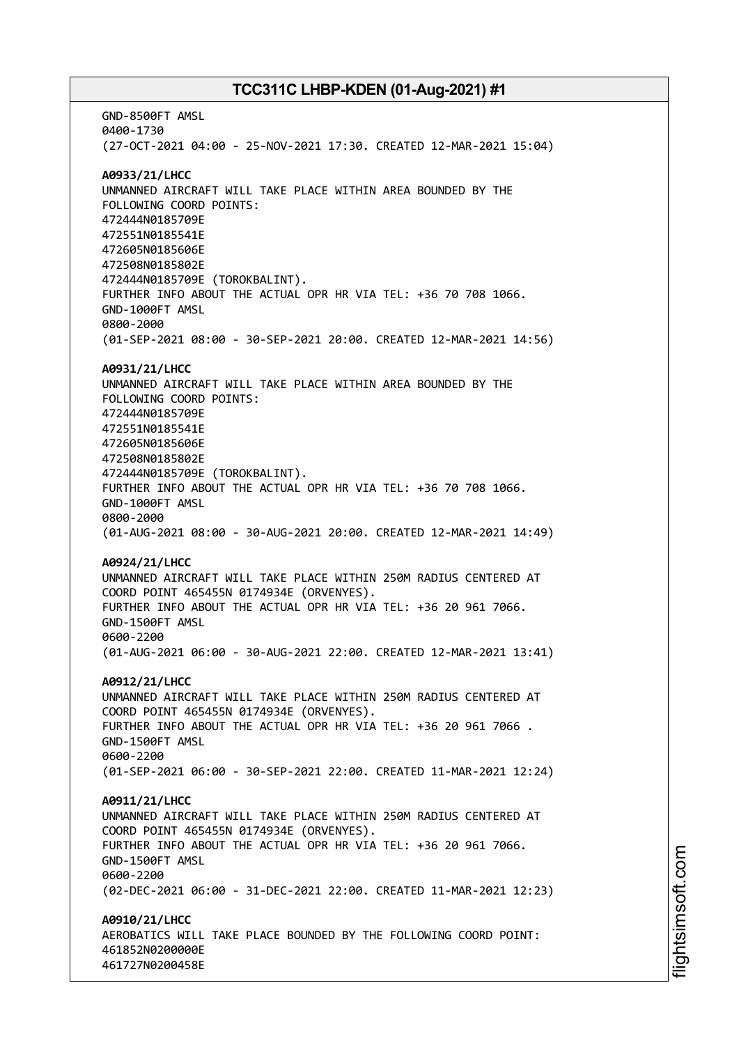GND-8500FT AMSL 0400-1730 (27-OCT-2021 04:00 - 25-NOV-2021 17:30. CREATED 12-MAR-2021 15:04) **A0933/21/LHCC** UNMANNED AIRCRAFT WILL TAKE PLACE WITHIN AREA BOUNDED BY THE FOLLOWING COORD POINTS: 472444N0185709E 472551N0185541E 472605N0185606E 472508N0185802E 472444N0185709E (TOROKBALINT). FURTHER INFO ABOUT THE ACTUAL OPR HR VIA TEL: +36 70 708 1066. GND-1000FT AMSL 0800-2000 (01-SEP-2021 08:00 - 30-SEP-2021 20:00. CREATED 12-MAR-2021 14:56) **A0931/21/LHCC** UNMANNED AIRCRAFT WILL TAKE PLACE WITHIN AREA BOUNDED BY THE FOLLOWING COORD POINTS: 472444N0185709E 472551N0185541E 472605N0185606E 472508N0185802E 472444N0185709E (TOROKBALINT). FURTHER INFO ABOUT THE ACTUAL OPR HR VIA TEL: +36 70 708 1066. GND-1000FT AMSL 0800-2000 (01-AUG-2021 08:00 - 30-AUG-2021 20:00. CREATED 12-MAR-2021 14:49) **A0924/21/LHCC** UNMANNED AIRCRAFT WILL TAKE PLACE WITHIN 250M RADIUS CENTERED AT COORD POINT 465455N 0174934E (ORVENYES). FURTHER INFO ABOUT THE ACTUAL OPR HR VIA TEL: +36 20 961 7066. GND-1500FT AMSL 0600-2200 (01-AUG-2021 06:00 - 30-AUG-2021 22:00. CREATED 12-MAR-2021 13:41) **A0912/21/LHCC** UNMANNED AIRCRAFT WILL TAKE PLACE WITHIN 250M RADIUS CENTERED AT COORD POINT 465455N 0174934E (ORVENYES). FURTHER INFO ABOUT THE ACTUAL OPR HR VIA TEL: +36 20 961 7066 . GND-1500FT AMSL 0600-2200 (01-SEP-2021 06:00 - 30-SEP-2021 22:00. CREATED 11-MAR-2021 12:24) **A0911/21/LHCC** UNMANNED AIRCRAFT WILL TAKE PLACE WITHIN 250M RADIUS CENTERED AT COORD POINT 465455N 0174934E (ORVENYES). FURTHER INFO ABOUT THE ACTUAL OPR HR VIA TEL: +36 20 961 7066. GND-1500FT AMSL 0600-2200 (02-DEC-2021 06:00 - 31-DEC-2021 22:00. CREATED 11-MAR-2021 12:23) **A0910/21/LHCC** AEROBATICS WILL TAKE PLACE BOUNDED BY THE FOLLOWING COORD POINT: 461852N0200000E 461727N0200458E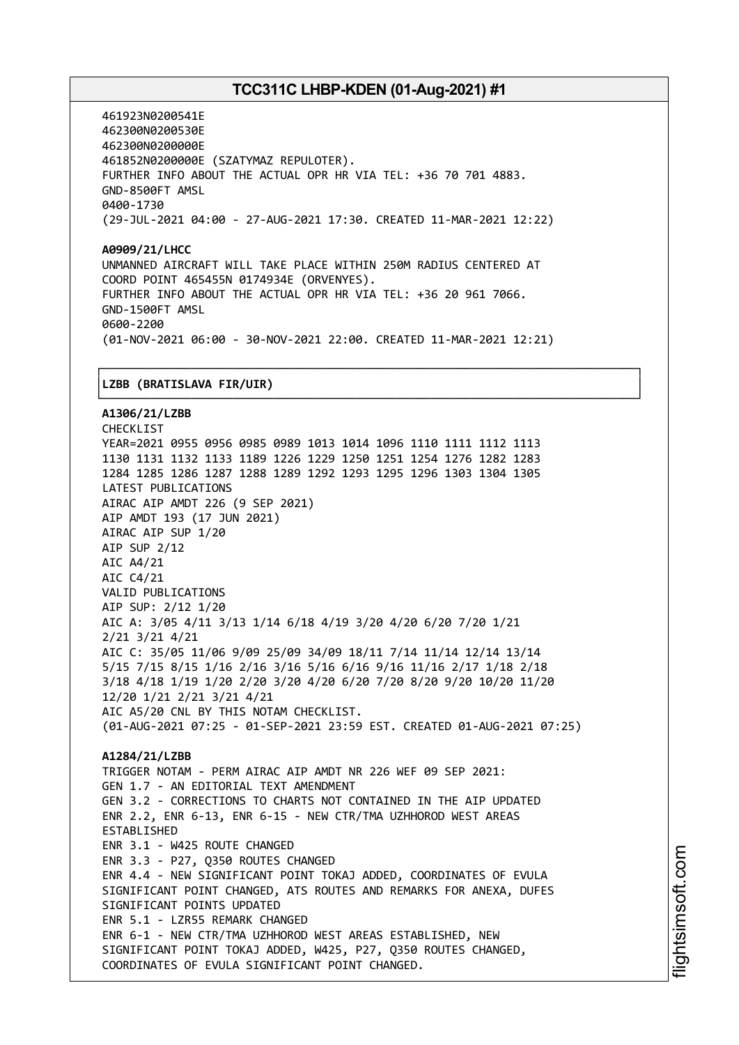461923N0200541E 462300N0200530E 462300N0200000E 461852N0200000E (SZATYMAZ REPULOTER). FURTHER INFO ABOUT THE ACTUAL OPR HR VIA TEL: +36 70 701 4883. GND-8500FT AMSL 0400-1730 (29-JUL-2021 04:00 - 27-AUG-2021 17:30. CREATED 11-MAR-2021 12:22)

**A0909/21/LHCC** UNMANNED AIRCRAFT WILL TAKE PLACE WITHIN 250M RADIUS CENTERED AT COORD POINT 465455N 0174934E (ORVENYES). FURTHER INFO ABOUT THE ACTUAL OPR HR VIA TEL: +36 20 961 7066. GND-1500FT AMSL 0600-2200 (01-NOV-2021 06:00 - 30-NOV-2021 22:00. CREATED 11-MAR-2021 12:21)

┌──────────────────────────────────────────────────────────────────────────────┐

#### │**LZBB (BRATISLAVA FIR/UIR)** │

└──────────────────────────────────────────────────────────────────────────────┘ **A1306/21/LZBB** CHECKLIST YEAR=2021 0955 0956 0985 0989 1013 1014 1096 1110 1111 1112 1113 1130 1131 1132 1133 1189 1226 1229 1250 1251 1254 1276 1282 1283 1284 1285 1286 1287 1288 1289 1292 1293 1295 1296 1303 1304 1305 LATEST PUBLICATIONS AIRAC AIP AMDT 226 (9 SEP 2021) AIP AMDT 193 (17 JUN 2021) AIRAC AIP SUP 1/20 AIP SUP 2/12 AIC A4/21 AIC C4/21 VALID PUBLICATIONS AIP SUP: 2/12 1/20 AIC A: 3/05 4/11 3/13 1/14 6/18 4/19 3/20 4/20 6/20 7/20 1/21 2/21 3/21 4/21 AIC C: 35/05 11/06 9/09 25/09 34/09 18/11 7/14 11/14 12/14 13/14 5/15 7/15 8/15 1/16 2/16 3/16 5/16 6/16 9/16 11/16 2/17 1/18 2/18 3/18 4/18 1/19 1/20 2/20 3/20 4/20 6/20 7/20 8/20 9/20 10/20 11/20 12/20 1/21 2/21 3/21 4/21 AIC A5/20 CNL BY THIS NOTAM CHECKLIST. (01-AUG-2021 07:25 - 01-SEP-2021 23:59 EST. CREATED 01-AUG-2021 07:25) **A1284/21/LZBB** TRIGGER NOTAM - PERM AIRAC AIP AMDT NR 226 WEF 09 SEP 2021: GEN 1.7 - AN EDITORIAL TEXT AMENDMENT GEN 3.2 - CORRECTIONS TO CHARTS NOT CONTAINED IN THE AIP UPDATED ENR 2.2, ENR 6-13, ENR 6-15 - NEW CTR/TMA UZHHOROD WEST AREAS ESTABLISHED ENR 3.1 - W425 ROUTE CHANGED ENR 3.3 - P27, Q350 ROUTES CHANGED ENR 4.4 - NEW SIGNIFICANT POINT TOKAJ ADDED, COORDINATES OF EVULA SIGNIFICANT POINT CHANGED, ATS ROUTES AND REMARKS FOR ANEXA, DUFES SIGNIFICANT POINTS UPDATED ENR 5.1 - LZR55 REMARK CHANGED ENR 6-1 - NEW CTR/TMA UZHHOROD WEST AREAS ESTABLISHED, NEW SIGNIFICANT POINT TOKAJ ADDED, W425, P27, Q350 ROUTES CHANGED, COORDINATES OF EVULA SIGNIFICANT POINT CHANGED.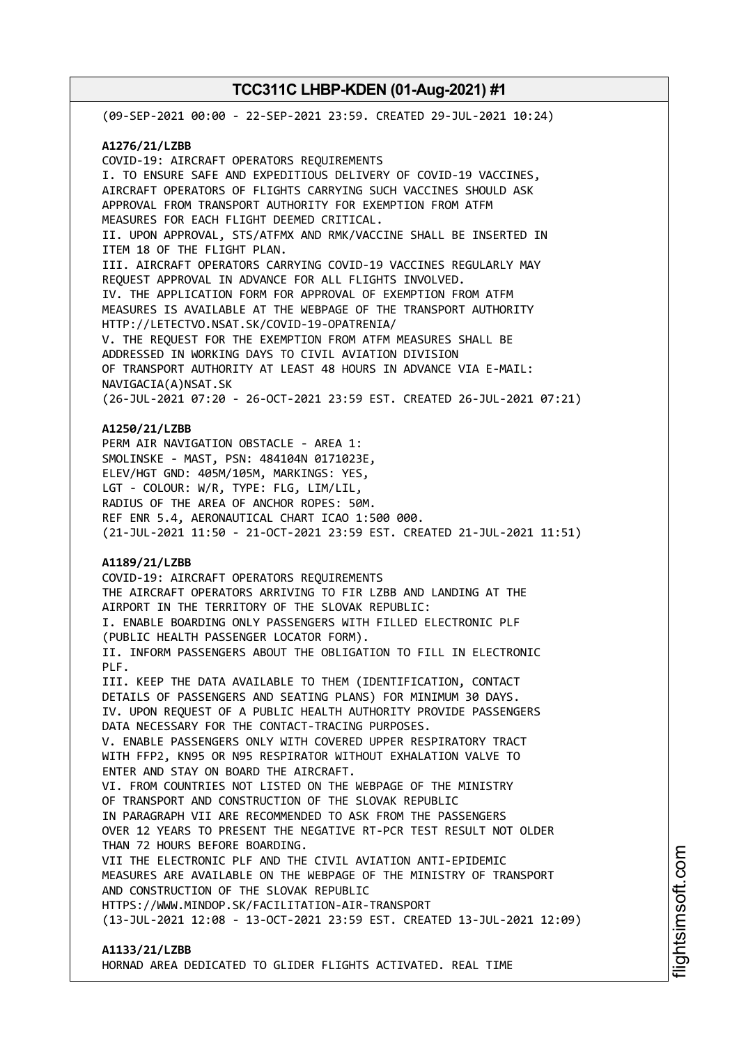(09-SEP-2021 00:00 - 22-SEP-2021 23:59. CREATED 29-JUL-2021 10:24) **A1276/21/LZBB** COVID-19: AIRCRAFT OPERATORS REQUIREMENTS I. TO ENSURE SAFE AND EXPEDITIOUS DELIVERY OF COVID-19 VACCINES, AIRCRAFT OPERATORS OF FLIGHTS CARRYING SUCH VACCINES SHOULD ASK APPROVAL FROM TRANSPORT AUTHORITY FOR EXEMPTION FROM ATFM MEASURES FOR EACH FLIGHT DEEMED CRITICAL. II. UPON APPROVAL, STS/ATFMX AND RMK/VACCINE SHALL BE INSERTED IN ITEM 18 OF THE FLIGHT PLAN. III. AIRCRAFT OPERATORS CARRYING COVID-19 VACCINES REGULARLY MAY REQUEST APPROVAL IN ADVANCE FOR ALL FLIGHTS INVOLVED. IV. THE APPLICATION FORM FOR APPROVAL OF EXEMPTION FROM ATFM MEASURES IS AVAILABLE AT THE WEBPAGE OF THE TRANSPORT AUTHORITY HTTP://LETECTVO.NSAT.SK/COVID-19-OPATRENIA/ V. THE REQUEST FOR THE EXEMPTION FROM ATFM MEASURES SHALL BE ADDRESSED IN WORKING DAYS TO CIVIL AVIATION DIVISION OF TRANSPORT AUTHORITY AT LEAST 48 HOURS IN ADVANCE VIA E-MAIL: NAVIGACIA(A)NSAT.SK (26-JUL-2021 07:20 - 26-OCT-2021 23:59 EST. CREATED 26-JUL-2021 07:21) **A1250/21/LZBB** PERM AIR NAVIGATION OBSTACLE - AREA 1: SMOLINSKE - MAST, PSN: 484104N 0171023E, ELEV/HGT GND: 405M/105M, MARKINGS: YES, LGT - COLOUR: W/R, TYPE: FLG, LIM/LIL, RADIUS OF THE AREA OF ANCHOR ROPES: 50M. REF ENR 5.4, AERONAUTICAL CHART ICAO 1:500 000. (21-JUL-2021 11:50 - 21-OCT-2021 23:59 EST. CREATED 21-JUL-2021 11:51) **A1189/21/LZBB** COVID-19: AIRCRAFT OPERATORS REQUIREMENTS THE AIRCRAFT OPERATORS ARRIVING TO FIR LZBB AND LANDING AT THE AIRPORT IN THE TERRITORY OF THE SLOVAK REPUBLIC: I. ENABLE BOARDING ONLY PASSENGERS WITH FILLED ELECTRONIC PLF (PUBLIC HEALTH PASSENGER LOCATOR FORM). II. INFORM PASSENGERS ABOUT THE OBLIGATION TO FILL IN ELECTRONIC PLF. III. KEEP THE DATA AVAILABLE TO THEM (IDENTIFICATION, CONTACT DETAILS OF PASSENGERS AND SEATING PLANS) FOR MINIMUM 30 DAYS. IV. UPON REQUEST OF A PUBLIC HEALTH AUTHORITY PROVIDE PASSENGERS DATA NECESSARY FOR THE CONTACT-TRACING PURPOSES. V. ENABLE PASSENGERS ONLY WITH COVERED UPPER RESPIRATORY TRACT WITH FFP2, KN95 OR N95 RESPIRATOR WITHOUT EXHALATION VALVE TO ENTER AND STAY ON BOARD THE AIRCRAFT. VI. FROM COUNTRIES NOT LISTED ON THE WEBPAGE OF THE MINISTRY OF TRANSPORT AND CONSTRUCTION OF THE SLOVAK REPUBLIC IN PARAGRAPH VII ARE RECOMMENDED TO ASK FROM THE PASSENGERS OVER 12 YEARS TO PRESENT THE NEGATIVE RT-PCR TEST RESULT NOT OLDER THAN 72 HOURS BEFORE BOARDING. VII THE ELECTRONIC PLF AND THE CIVIL AVIATION ANTI-EPIDEMIC MEASURES ARE AVAILABLE ON THE WEBPAGE OF THE MINISTRY OF TRANSPORT AND CONSTRUCTION OF THE SLOVAK REPUBLIC HTTPS://WWW.MINDOP.SK/FACILITATION-AIR-TRANSPORT (13-JUL-2021 12:08 - 13-OCT-2021 23:59 EST. CREATED 13-JUL-2021 12:09) **A1133/21/LZBB**

HORNAD AREA DEDICATED TO GLIDER FLIGHTS ACTIVATED. REAL TIME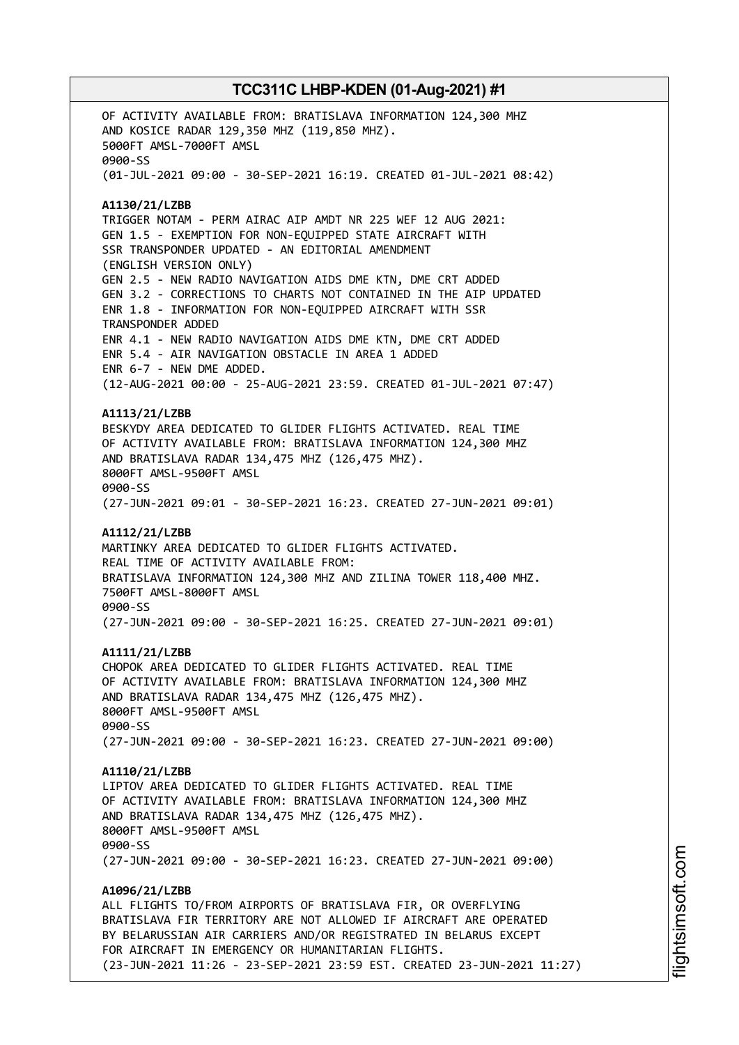OF ACTIVITY AVAILABLE FROM: BRATISLAVA INFORMATION 124,300 MHZ AND KOSICE RADAR 129,350 MHZ (119,850 MHZ). 5000FT AMSL-7000FT AMSL 0900-SS (01-JUL-2021 09:00 - 30-SEP-2021 16:19. CREATED 01-JUL-2021 08:42) **A1130/21/LZBB** TRIGGER NOTAM - PERM AIRAC AIP AMDT NR 225 WEF 12 AUG 2021: GEN 1.5 - EXEMPTION FOR NON-EQUIPPED STATE AIRCRAFT WITH SSR TRANSPONDER UPDATED - AN EDITORIAL AMENDMENT (ENGLISH VERSION ONLY) GEN 2.5 - NEW RADIO NAVIGATION AIDS DME KTN, DME CRT ADDED GEN 3.2 - CORRECTIONS TO CHARTS NOT CONTAINED IN THE AIP UPDATED ENR 1.8 - INFORMATION FOR NON-EQUIPPED AIRCRAFT WITH SSR TRANSPONDER ADDED ENR 4.1 - NEW RADIO NAVIGATION AIDS DME KTN, DME CRT ADDED ENR 5.4 - AIR NAVIGATION OBSTACLE IN AREA 1 ADDED ENR 6-7 - NEW DME ADDED. (12-AUG-2021 00:00 - 25-AUG-2021 23:59. CREATED 01-JUL-2021 07:47) **A1113/21/LZBB** BESKYDY AREA DEDICATED TO GLIDER FLIGHTS ACTIVATED. REAL TIME OF ACTIVITY AVAILABLE FROM: BRATISLAVA INFORMATION 124,300 MHZ AND BRATISLAVA RADAR 134,475 MHZ (126,475 MHZ). 8000FT AMSL-9500FT AMSL 0900-SS (27-JUN-2021 09:01 - 30-SEP-2021 16:23. CREATED 27-JUN-2021 09:01) **A1112/21/LZBB** MARTINKY AREA DEDICATED TO GLIDER FLIGHTS ACTIVATED. REAL TIME OF ACTIVITY AVAILABLE FROM: BRATISLAVA INFORMATION 124,300 MHZ AND ZILINA TOWER 118,400 MHZ. 7500FT AMSL-8000FT AMSL 0900-SS (27-JUN-2021 09:00 - 30-SEP-2021 16:25. CREATED 27-JUN-2021 09:01) **A1111/21/LZBB** CHOPOK AREA DEDICATED TO GLIDER FLIGHTS ACTIVATED. REAL TIME OF ACTIVITY AVAILABLE FROM: BRATISLAVA INFORMATION 124,300 MHZ AND BRATISLAVA RADAR 134,475 MHZ (126,475 MHZ). 8000FT AMSL-9500FT AMSL 0900-SS (27-JUN-2021 09:00 - 30-SEP-2021 16:23. CREATED 27-JUN-2021 09:00) **A1110/21/LZBB** LIPTOV AREA DEDICATED TO GLIDER FLIGHTS ACTIVATED. REAL TIME OF ACTIVITY AVAILABLE FROM: BRATISLAVA INFORMATION 124,300 MHZ AND BRATISLAVA RADAR 134,475 MHZ (126,475 MHZ). 8000FT AMSL-9500FT AMSL 0900-SS (27-JUN-2021 09:00 - 30-SEP-2021 16:23. CREATED 27-JUN-2021 09:00) **A1096/21/LZBB** ALL FLIGHTS TO/FROM AIRPORTS OF BRATISLAVA FIR, OR OVERFLYING BRATISLAVA FIR TERRITORY ARE NOT ALLOWED IF AIRCRAFT ARE OPERATED BY BELARUSSIAN AIR CARRIERS AND/OR REGISTRATED IN BELARUS EXCEPT FOR AIRCRAFT IN EMERGENCY OR HUMANITARIAN FLIGHTS. (23-JUN-2021 11:26 - 23-SEP-2021 23:59 EST. CREATED 23-JUN-2021 11:27)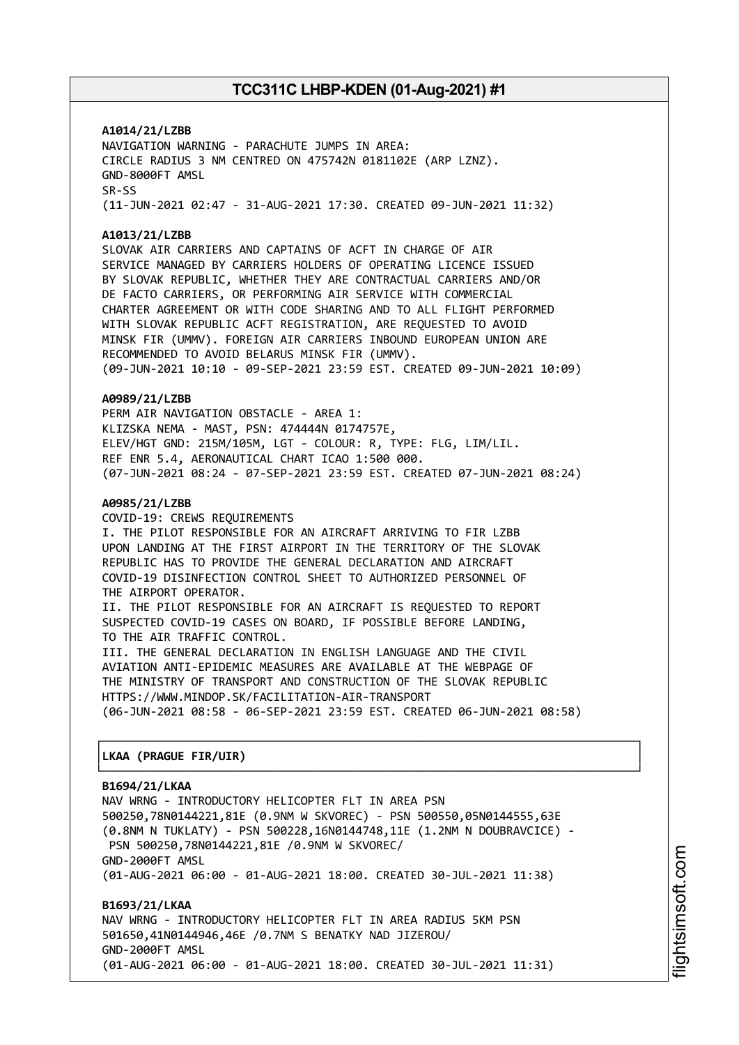**A1014/21/LZBB** NAVIGATION WARNING - PARACHUTE JUMPS IN AREA: CIRCLE RADIUS 3 NM CENTRED ON 475742N 0181102E (ARP LZNZ). GND-8000FT AMSL SR-SS (11-JUN-2021 02:47 - 31-AUG-2021 17:30. CREATED 09-JUN-2021 11:32)

#### **A1013/21/LZBB**

SLOVAK AIR CARRIERS AND CAPTAINS OF ACFT IN CHARGE OF AIR SERVICE MANAGED BY CARRIERS HOLDERS OF OPERATING LICENCE ISSUED BY SLOVAK REPUBLIC, WHETHER THEY ARE CONTRACTUAL CARRIERS AND/OR DE FACTO CARRIERS, OR PERFORMING AIR SERVICE WITH COMMERCIAL CHARTER AGREEMENT OR WITH CODE SHARING AND TO ALL FLIGHT PERFORMED WITH SLOVAK REPUBLIC ACFT REGISTRATION, ARE REQUESTED TO AVOID MINSK FIR (UMMV). FOREIGN AIR CARRIERS INBOUND EUROPEAN UNION ARE RECOMMENDED TO AVOID BELARUS MINSK FIR (UMMV). (09-JUN-2021 10:10 - 09-SEP-2021 23:59 EST. CREATED 09-JUN-2021 10:09)

#### **A0989/21/LZBB**

PERM AIR NAVIGATION OBSTACLE - AREA 1: KLIZSKA NEMA - MAST, PSN: 474444N 0174757E, ELEV/HGT GND: 215M/105M, LGT - COLOUR: R, TYPE: FLG, LIM/LIL. REF ENR 5.4, AERONAUTICAL CHART ICAO 1:500 000. (07-JUN-2021 08:24 - 07-SEP-2021 23:59 EST. CREATED 07-JUN-2021 08:24)

#### **A0985/21/LZBB**

COVID-19: CREWS REQUIREMENTS I. THE PILOT RESPONSIBLE FOR AN AIRCRAFT ARRIVING TO FIR LZBB UPON LANDING AT THE FIRST AIRPORT IN THE TERRITORY OF THE SLOVAK REPUBLIC HAS TO PROVIDE THE GENERAL DECLARATION AND AIRCRAFT COVID-19 DISINFECTION CONTROL SHEET TO AUTHORIZED PERSONNEL OF THE AIRPORT OPERATOR. II. THE PILOT RESPONSIBLE FOR AN AIRCRAFT IS REQUESTED TO REPORT SUSPECTED COVID-19 CASES ON BOARD, IF POSSIBLE BEFORE LANDING,

TO THE AIR TRAFFIC CONTROL. III. THE GENERAL DECLARATION IN ENGLISH LANGUAGE AND THE CIVIL AVIATION ANTI-EPIDEMIC MEASURES ARE AVAILABLE AT THE WEBPAGE OF THE MINISTRY OF TRANSPORT AND CONSTRUCTION OF THE SLOVAK REPUBLIC HTTPS://WWW.MINDOP.SK/FACILITATION-AIR-TRANSPORT (06-JUN-2021 08:58 - 06-SEP-2021 23:59 EST. CREATED 06-JUN-2021 08:58)

┌──────────────────────────────────────────────────────────────────────────────┐

└──────────────────────────────────────────────────────────────────────────────┘

#### │**LKAA (PRAGUE FIR/UIR)** │

#### **B1694/21/LKAA**

NAV WRNG - INTRODUCTORY HELICOPTER FLT IN AREA PSN 500250,78N0144221,81E (0.9NM W SKVOREC) - PSN 500550,05N0144555,63E (0.8NM N TUKLATY) - PSN 500228,16N0144748,11E (1.2NM N DOUBRAVCICE) - PSN 500250,78N0144221,81E /0.9NM W SKVOREC/ GND-2000FT AMSL (01-AUG-2021 06:00 - 01-AUG-2021 18:00. CREATED 30-JUL-2021 11:38)

**B1693/21/LKAA** NAV WRNG - INTRODUCTORY HELICOPTER FLT IN AREA RADIUS 5KM PSN 501650,41N0144946,46E /0.7NM S BENATKY NAD JIZEROU/ GND-2000FT AMSL (01-AUG-2021 06:00 - 01-AUG-2021 18:00. CREATED 30-JUL-2021 11:31)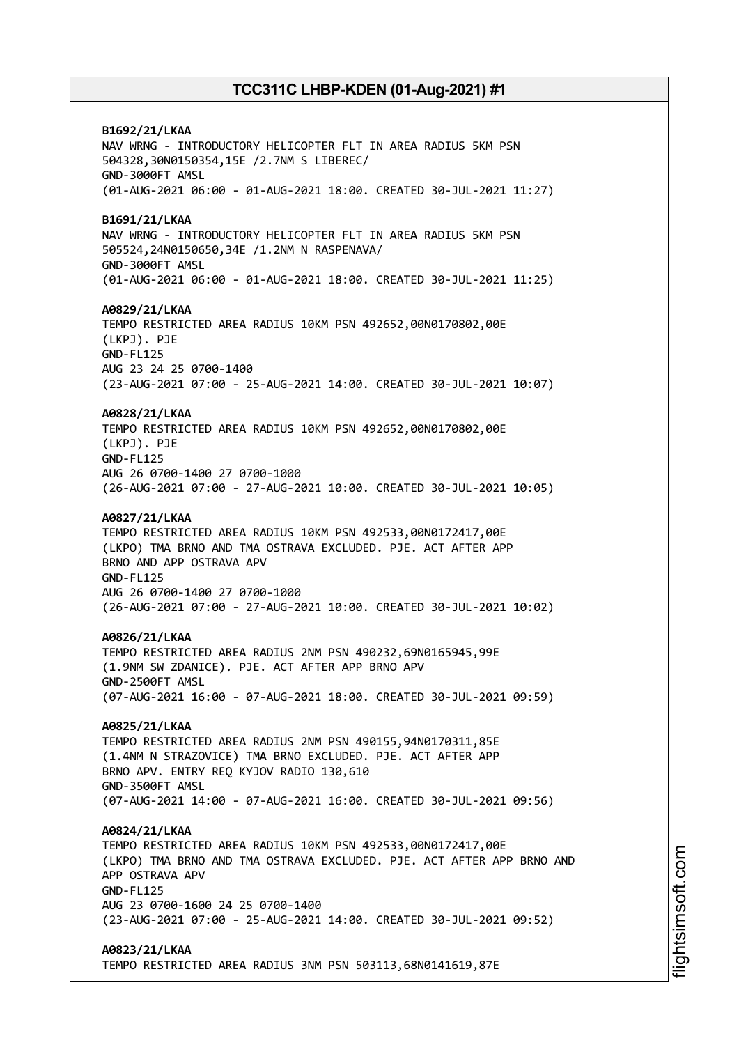**B1692/21/LKAA** NAV WRNG - INTRODUCTORY HELICOPTER FLT IN AREA RADIUS 5KM PSN 504328,30N0150354,15E /2.7NM S LIBEREC/ GND-3000FT AMSL (01-AUG-2021 06:00 - 01-AUG-2021 18:00. CREATED 30-JUL-2021 11:27) **B1691/21/LKAA** NAV WRNG - INTRODUCTORY HELICOPTER FLT IN AREA RADIUS 5KM PSN 505524,24N0150650,34E /1.2NM N RASPENAVA/ GND-3000FT AMSL (01-AUG-2021 06:00 - 01-AUG-2021 18:00. CREATED 30-JUL-2021 11:25) **A0829/21/LKAA** TEMPO RESTRICTED AREA RADIUS 10KM PSN 492652,00N0170802,00E (LKPJ). PJE GND-FL125 AUG 23 24 25 0700-1400 (23-AUG-2021 07:00 - 25-AUG-2021 14:00. CREATED 30-JUL-2021 10:07) **A0828/21/LKAA** TEMPO RESTRICTED AREA RADIUS 10KM PSN 492652,00N0170802,00E (LKPJ). PJE GND-FL125 AUG 26 0700-1400 27 0700-1000 (26-AUG-2021 07:00 - 27-AUG-2021 10:00. CREATED 30-JUL-2021 10:05) **A0827/21/LKAA** TEMPO RESTRICTED AREA RADIUS 10KM PSN 492533,00N0172417,00E (LKPO) TMA BRNO AND TMA OSTRAVA EXCLUDED. PJE. ACT AFTER APP BRNO AND APP OSTRAVA APV GND-FL125 AUG 26 0700-1400 27 0700-1000 (26-AUG-2021 07:00 - 27-AUG-2021 10:00. CREATED 30-JUL-2021 10:02) **A0826/21/LKAA** TEMPO RESTRICTED AREA RADIUS 2NM PSN 490232,69N0165945,99E (1.9NM SW ZDANICE). PJE. ACT AFTER APP BRNO APV GND-2500FT AMSL (07-AUG-2021 16:00 - 07-AUG-2021 18:00. CREATED 30-JUL-2021 09:59) **A0825/21/LKAA** TEMPO RESTRICTED AREA RADIUS 2NM PSN 490155,94N0170311,85E (1.4NM N STRAZOVICE) TMA BRNO EXCLUDED. PJE. ACT AFTER APP BRNO APV. ENTRY REQ KYJOV RADIO 130,610 GND-3500FT AMSL (07-AUG-2021 14:00 - 07-AUG-2021 16:00. CREATED 30-JUL-2021 09:56) **A0824/21/LKAA** TEMPO RESTRICTED AREA RADIUS 10KM PSN 492533,00N0172417,00E (LKPO) TMA BRNO AND TMA OSTRAVA EXCLUDED. PJE. ACT AFTER APP BRNO AND APP OSTRAVA APV GND-FL125 AUG 23 0700-1600 24 25 0700-1400 (23-AUG-2021 07:00 - 25-AUG-2021 14:00. CREATED 30-JUL-2021 09:52) **A0823/21/LKAA** TEMPO RESTRICTED AREA RADIUS 3NM PSN 503113,68N0141619,87E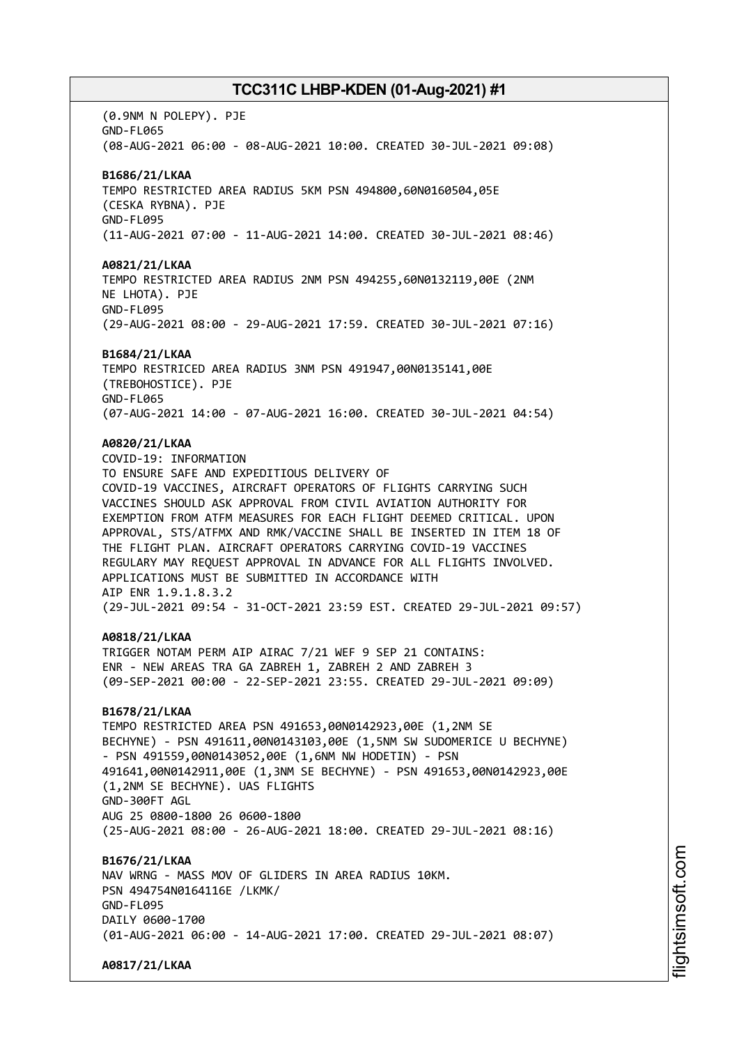(0.9NM N POLEPY). PJE GND-FL065 (08-AUG-2021 06:00 - 08-AUG-2021 10:00. CREATED 30-JUL-2021 09:08) **B1686/21/LKAA** TEMPO RESTRICTED AREA RADIUS 5KM PSN 494800,60N0160504,05E (CESKA RYBNA). PJE GND-FL095 (11-AUG-2021 07:00 - 11-AUG-2021 14:00. CREATED 30-JUL-2021 08:46) **A0821/21/LKAA** TEMPO RESTRICTED AREA RADIUS 2NM PSN 494255,60N0132119,00E (2NM NE LHOTA). PJE GND-FL095 (29-AUG-2021 08:00 - 29-AUG-2021 17:59. CREATED 30-JUL-2021 07:16) **B1684/21/LKAA** TEMPO RESTRICED AREA RADIUS 3NM PSN 491947,00N0135141,00E (TREBOHOSTICE). PJE GND-FL065 (07-AUG-2021 14:00 - 07-AUG-2021 16:00. CREATED 30-JUL-2021 04:54) **A0820/21/LKAA** COVID-19: INFORMATION TO ENSURE SAFE AND EXPEDITIOUS DELIVERY OF COVID-19 VACCINES, AIRCRAFT OPERATORS OF FLIGHTS CARRYING SUCH VACCINES SHOULD ASK APPROVAL FROM CIVIL AVIATION AUTHORITY FOR EXEMPTION FROM ATFM MEASURES FOR EACH FLIGHT DEEMED CRITICAL. UPON APPROVAL, STS/ATFMX AND RMK/VACCINE SHALL BE INSERTED IN ITEM 18 OF THE FLIGHT PLAN. AIRCRAFT OPERATORS CARRYING COVID-19 VACCINES REGULARY MAY REQUEST APPROVAL IN ADVANCE FOR ALL FLIGHTS INVOLVED. APPLICATIONS MUST BE SUBMITTED IN ACCORDANCE WITH AIP ENR 1.9.1.8.3.2 (29-JUL-2021 09:54 - 31-OCT-2021 23:59 EST. CREATED 29-JUL-2021 09:57) **A0818/21/LKAA** TRIGGER NOTAM PERM AIP AIRAC 7/21 WEF 9 SEP 21 CONTAINS: ENR - NEW AREAS TRA GA ZABREH 1, ZABREH 2 AND ZABREH 3 (09-SEP-2021 00:00 - 22-SEP-2021 23:55. CREATED 29-JUL-2021 09:09) **B1678/21/LKAA** TEMPO RESTRICTED AREA PSN 491653,00N0142923,00E (1,2NM SE BECHYNE) - PSN 491611,00N0143103,00E (1,5NM SW SUDOMERICE U BECHYNE) - PSN 491559,00N0143052,00E (1,6NM NW HODETIN) - PSN 491641,00N0142911,00E (1,3NM SE BECHYNE) - PSN 491653,00N0142923,00E (1,2NM SE BECHYNE). UAS FLIGHTS GND-300FT AGL AUG 25 0800-1800 26 0600-1800 (25-AUG-2021 08:00 - 26-AUG-2021 18:00. CREATED 29-JUL-2021 08:16) **B1676/21/LKAA** NAV WRNG - MASS MOV OF GLIDERS IN AREA RADIUS 10KM. PSN 494754N0164116E /LKMK/ GND-FL095 DATLY 0600-1700 (01-AUG-2021 06:00 - 14-AUG-2021 17:00. CREATED 29-JUL-2021 08:07) **A0817/21/LKAA**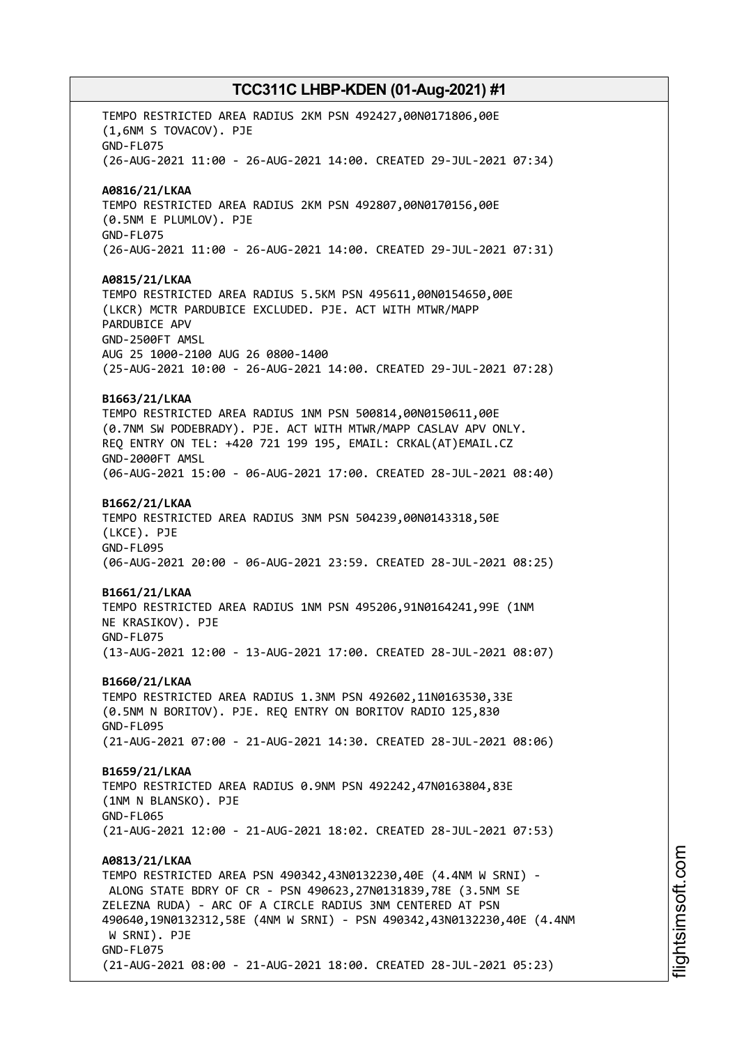TEMPO RESTRICTED AREA RADIUS 2KM PSN 492427,00N0171806,00E (1,6NM S TOVACOV). PJE GND-FL075 (26-AUG-2021 11:00 - 26-AUG-2021 14:00. CREATED 29-JUL-2021 07:34) **A0816/21/LKAA** TEMPO RESTRICTED AREA RADIUS 2KM PSN 492807,00N0170156,00E (0.5NM E PLUMLOV). PJE GND-FL075 (26-AUG-2021 11:00 - 26-AUG-2021 14:00. CREATED 29-JUL-2021 07:31) **A0815/21/LKAA** TEMPO RESTRICTED AREA RADIUS 5.5KM PSN 495611,00N0154650,00E (LKCR) MCTR PARDUBICE EXCLUDED. PJE. ACT WITH MTWR/MAPP PARDUBICE APV GND-2500FT AMSL AUG 25 1000-2100 AUG 26 0800-1400 (25-AUG-2021 10:00 - 26-AUG-2021 14:00. CREATED 29-JUL-2021 07:28) **B1663/21/LKAA** TEMPO RESTRICTED AREA RADIUS 1NM PSN 500814,00N0150611,00E (0.7NM SW PODEBRADY). PJE. ACT WITH MTWR/MAPP CASLAV APV ONLY. REQ ENTRY ON TEL: +420 721 199 195, EMAIL: CRKAL(AT)EMAIL.CZ GND-2000FT AMSL (06-AUG-2021 15:00 - 06-AUG-2021 17:00. CREATED 28-JUL-2021 08:40) **B1662/21/LKAA** TEMPO RESTRICTED AREA RADIUS 3NM PSN 504239,00N0143318,50E (LKCE). PJE GND-FL095 (06-AUG-2021 20:00 - 06-AUG-2021 23:59. CREATED 28-JUL-2021 08:25) **B1661/21/LKAA** TEMPO RESTRICTED AREA RADIUS 1NM PSN 495206,91N0164241,99E (1NM NE KRASIKOV). PJE GND-FL075 (13-AUG-2021 12:00 - 13-AUG-2021 17:00. CREATED 28-JUL-2021 08:07) **B1660/21/LKAA** TEMPO RESTRICTED AREA RADIUS 1.3NM PSN 492602,11N0163530,33E (0.5NM N BORITOV). PJE. REQ ENTRY ON BORITOV RADIO 125,830 GND-FL095 (21-AUG-2021 07:00 - 21-AUG-2021 14:30. CREATED 28-JUL-2021 08:06) **B1659/21/LKAA** TEMPO RESTRICTED AREA RADIUS 0.9NM PSN 492242,47N0163804,83E (1NM N BLANSKO). PJE GND-FL065 (21-AUG-2021 12:00 - 21-AUG-2021 18:02. CREATED 28-JUL-2021 07:53) **A0813/21/LKAA** TEMPO RESTRICTED AREA PSN 490342,43N0132230,40E (4.4NM W SRNI) - ALONG STATE BDRY OF CR - PSN 490623,27N0131839,78E (3.5NM SE ZELEZNA RUDA) - ARC OF A CIRCLE RADIUS 3NM CENTERED AT PSN 490640,19N0132312,58E (4NM W SRNI) - PSN 490342,43N0132230,40E (4.4NM W SRNI). PJE GND-FL075 (21-AUG-2021 08:00 - 21-AUG-2021 18:00. CREATED 28-JUL-2021 05:23)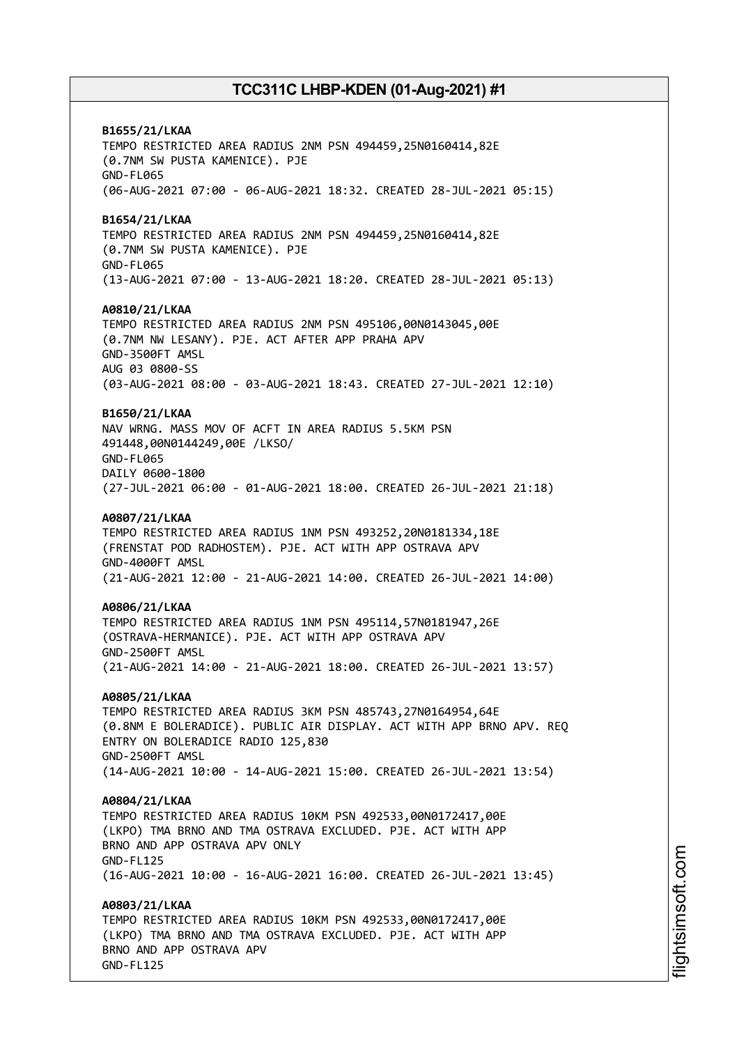**B1655/21/LKAA** TEMPO RESTRICTED AREA RADIUS 2NM PSN 494459,25N0160414,82E (0.7NM SW PUSTA KAMENICE). PJE GND-FL065 (06-AUG-2021 07:00 - 06-AUG-2021 18:32. CREATED 28-JUL-2021 05:15) **B1654/21/LKAA** TEMPO RESTRICTED AREA RADIUS 2NM PSN 494459,25N0160414,82E (0.7NM SW PUSTA KAMENICE). PJE GND-FL065 (13-AUG-2021 07:00 - 13-AUG-2021 18:20. CREATED 28-JUL-2021 05:13) **A0810/21/LKAA** TEMPO RESTRICTED AREA RADIUS 2NM PSN 495106,00N0143045,00E (0.7NM NW LESANY). PJE. ACT AFTER APP PRAHA APV GND-3500FT AMSL AUG 03 0800-SS (03-AUG-2021 08:00 - 03-AUG-2021 18:43. CREATED 27-JUL-2021 12:10) **B1650/21/LKAA** NAV WRNG. MASS MOV OF ACFT IN AREA RADIUS 5.5KM PSN 491448,00N0144249,00E /LKSO/ GND-FL065 DAILY 0600-1800 (27-JUL-2021 06:00 - 01-AUG-2021 18:00. CREATED 26-JUL-2021 21:18) **A0807/21/LKAA** TEMPO RESTRICTED AREA RADIUS 1NM PSN 493252,20N0181334,18E (FRENSTAT POD RADHOSTEM). PJE. ACT WITH APP OSTRAVA APV GND-4000FT AMSL (21-AUG-2021 12:00 - 21-AUG-2021 14:00. CREATED 26-JUL-2021 14:00) **A0806/21/LKAA** TEMPO RESTRICTED AREA RADIUS 1NM PSN 495114,57N0181947,26E (OSTRAVA-HERMANICE). PJE. ACT WITH APP OSTRAVA APV GND-2500FT AMSL (21-AUG-2021 14:00 - 21-AUG-2021 18:00. CREATED 26-JUL-2021 13:57) **A0805/21/LKAA** TEMPO RESTRICTED AREA RADIUS 3KM PSN 485743,27N0164954,64E (0.8NM E BOLERADICE). PUBLIC AIR DISPLAY. ACT WITH APP BRNO APV. REQ ENTRY ON BOLERADICE RADIO 125,830 GND-2500FT AMSL (14-AUG-2021 10:00 - 14-AUG-2021 15:00. CREATED 26-JUL-2021 13:54) **A0804/21/LKAA** TEMPO RESTRICTED AREA RADIUS 10KM PSN 492533,00N0172417,00E (LKPO) TMA BRNO AND TMA OSTRAVA EXCLUDED. PJE. ACT WITH APP BRNO AND APP OSTRAVA APV ONLY GND-FL125 (16-AUG-2021 10:00 - 16-AUG-2021 16:00. CREATED 26-JUL-2021 13:45) **A0803/21/LKAA** TEMPO RESTRICTED AREA RADIUS 10KM PSN 492533,00N0172417,00E (LKPO) TMA BRNO AND TMA OSTRAVA EXCLUDED. PJE. ACT WITH APP BRNO AND APP OSTRAVA APV GND-FL125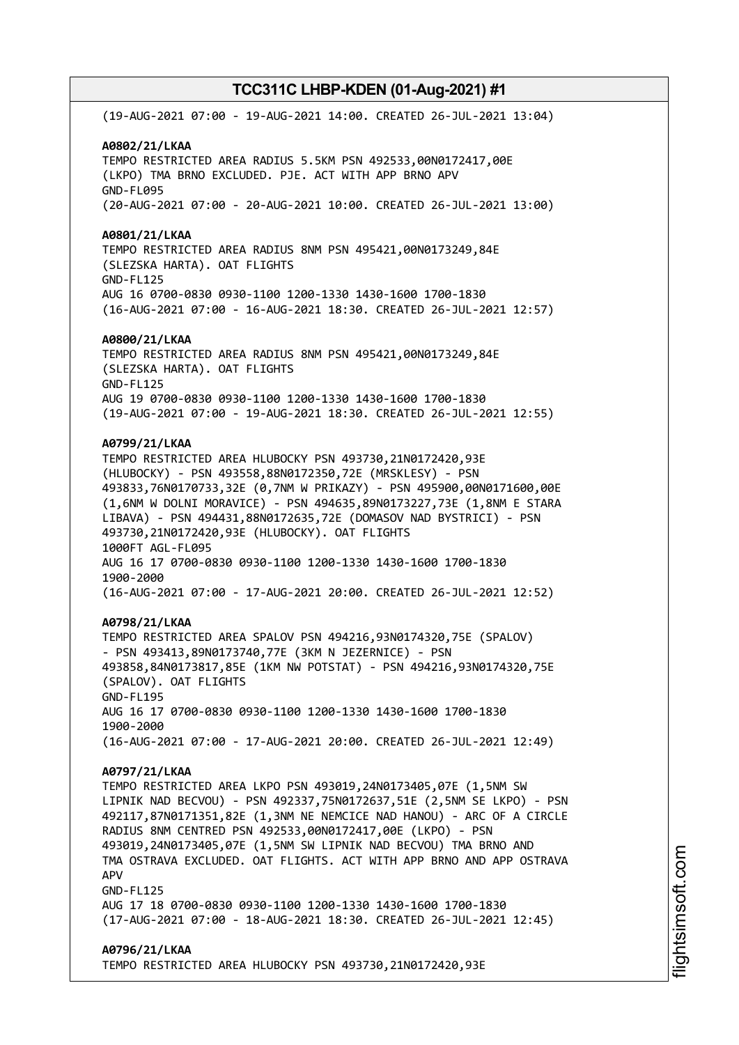(19-AUG-2021 07:00 - 19-AUG-2021 14:00. CREATED 26-JUL-2021 13:04) **A0802/21/LKAA** TEMPO RESTRICTED AREA RADIUS 5.5KM PSN 492533,00N0172417,00E (LKPO) TMA BRNO EXCLUDED. PJE. ACT WITH APP BRNO APV GND-FL095 (20-AUG-2021 07:00 - 20-AUG-2021 10:00. CREATED 26-JUL-2021 13:00) **A0801/21/LKAA** TEMPO RESTRICTED AREA RADIUS 8NM PSN 495421,00N0173249,84E (SLEZSKA HARTA). OAT FLIGHTS GND-FL125 AUG 16 0700-0830 0930-1100 1200-1330 1430-1600 1700-1830 (16-AUG-2021 07:00 - 16-AUG-2021 18:30. CREATED 26-JUL-2021 12:57) **A0800/21/LKAA** TEMPO RESTRICTED AREA RADIUS 8NM PSN 495421,00N0173249,84E (SLEZSKA HARTA). OAT FLIGHTS GND-FL125 AUG 19 0700-0830 0930-1100 1200-1330 1430-1600 1700-1830 (19-AUG-2021 07:00 - 19-AUG-2021 18:30. CREATED 26-JUL-2021 12:55) **A0799/21/LKAA** TEMPO RESTRICTED AREA HLUBOCKY PSN 493730,21N0172420,93E (HLUBOCKY) - PSN 493558,88N0172350,72E (MRSKLESY) - PSN 493833,76N0170733,32E (0,7NM W PRIKAZY) - PSN 495900,00N0171600,00E (1,6NM W DOLNI MORAVICE) - PSN 494635,89N0173227,73E (1,8NM E STARA LIBAVA) - PSN 494431,88N0172635,72E (DOMASOV NAD BYSTRICI) - PSN 493730,21N0172420,93E (HLUBOCKY). OAT FLIGHTS 1000FT AGL-FL095 AUG 16 17 0700-0830 0930-1100 1200-1330 1430-1600 1700-1830 1900-2000 (16-AUG-2021 07:00 - 17-AUG-2021 20:00. CREATED 26-JUL-2021 12:52) **A0798/21/LKAA** TEMPO RESTRICTED AREA SPALOV PSN 494216,93N0174320,75E (SPALOV) - PSN 493413,89N0173740,77E (3KM N JEZERNICE) - PSN 493858,84N0173817,85E (1KM NW POTSTAT) - PSN 494216,93N0174320,75E (SPALOV). OAT FLIGHTS GND-FL195 AUG 16 17 0700-0830 0930-1100 1200-1330 1430-1600 1700-1830 1900-2000 (16-AUG-2021 07:00 - 17-AUG-2021 20:00. CREATED 26-JUL-2021 12:49) **A0797/21/LKAA** TEMPO RESTRICTED AREA LKPO PSN 493019,24N0173405,07E (1,5NM SW LIPNIK NAD BECVOU) - PSN 492337,75N0172637,51E (2,5NM SE LKPO) - PSN 492117,87N0171351,82E (1,3NM NE NEMCICE NAD HANOU) - ARC OF A CIRCLE RADIUS 8NM CENTRED PSN 492533,00N0172417,00E (LKPO) - PSN 493019,24N0173405,07E (1,5NM SW LIPNIK NAD BECVOU) TMA BRNO AND TMA OSTRAVA EXCLUDED. OAT FLIGHTS. ACT WITH APP BRNO AND APP OSTRAVA APV GND-FL125 AUG 17 18 0700-0830 0930-1100 1200-1330 1430-1600 1700-1830 (17-AUG-2021 07:00 - 18-AUG-2021 18:30. CREATED 26-JUL-2021 12:45) **A0796/21/LKAA** TEMPO RESTRICTED AREA HLUBOCKY PSN 493730,21N0172420,93E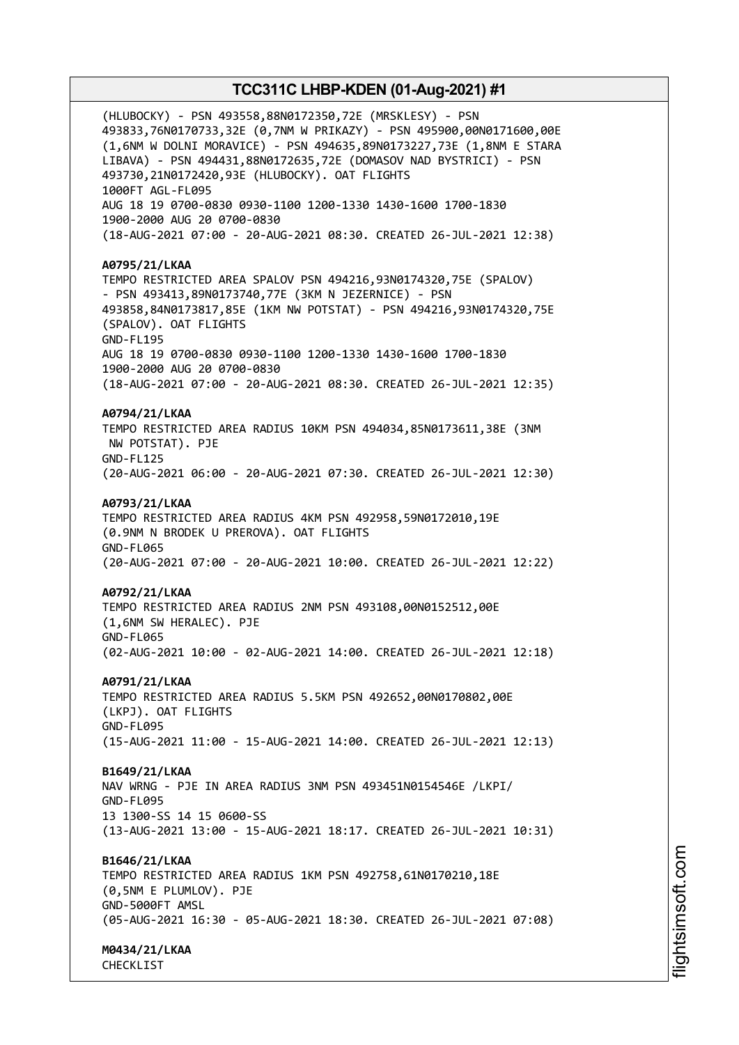(HLUBOCKY) - PSN 493558,88N0172350,72E (MRSKLESY) - PSN 493833,76N0170733,32E (0,7NM W PRIKAZY) - PSN 495900,00N0171600,00E (1,6NM W DOLNI MORAVICE) - PSN 494635,89N0173227,73E (1,8NM E STARA LIBAVA) - PSN 494431,88N0172635,72E (DOMASOV NAD BYSTRICI) - PSN 493730,21N0172420,93E (HLUBOCKY). OAT FLIGHTS 1000FT AGL-FL095 AUG 18 19 0700-0830 0930-1100 1200-1330 1430-1600 1700-1830 1900-2000 AUG 20 0700-0830 (18-AUG-2021 07:00 - 20-AUG-2021 08:30. CREATED 26-JUL-2021 12:38) **A0795/21/LKAA** TEMPO RESTRICTED AREA SPALOV PSN 494216,93N0174320,75E (SPALOV) - PSN 493413,89N0173740,77E (3KM N JEZERNICE) - PSN 493858,84N0173817,85E (1KM NW POTSTAT) - PSN 494216,93N0174320,75E (SPALOV). OAT FLIGHTS GND-FL195 AUG 18 19 0700-0830 0930-1100 1200-1330 1430-1600 1700-1830 1900-2000 AUG 20 0700-0830 (18-AUG-2021 07:00 - 20-AUG-2021 08:30. CREATED 26-JUL-2021 12:35) **A0794/21/LKAA** TEMPO RESTRICTED AREA RADIUS 10KM PSN 494034,85N0173611,38E (3NM NW POTSTAT). PJE GND-FL125 (20-AUG-2021 06:00 - 20-AUG-2021 07:30. CREATED 26-JUL-2021 12:30) **A0793/21/LKAA** TEMPO RESTRICTED AREA RADIUS 4KM PSN 492958,59N0172010,19E (0.9NM N BRODEK U PREROVA). OAT FLIGHTS GND-FL065 (20-AUG-2021 07:00 - 20-AUG-2021 10:00. CREATED 26-JUL-2021 12:22) **A0792/21/LKAA** TEMPO RESTRICTED AREA RADIUS 2NM PSN 493108,00N0152512,00E (1,6NM SW HERALEC). PJE GND-FL065 (02-AUG-2021 10:00 - 02-AUG-2021 14:00. CREATED 26-JUL-2021 12:18) **A0791/21/LKAA** TEMPO RESTRICTED AREA RADIUS 5.5KM PSN 492652,00N0170802,00E (LKPJ). OAT FLIGHTS GND-FL095 (15-AUG-2021 11:00 - 15-AUG-2021 14:00. CREATED 26-JUL-2021 12:13) **B1649/21/LKAA** NAV WRNG - PJE IN AREA RADIUS 3NM PSN 493451N0154546E /LKPI/ GND-FL095 13 1300-SS 14 15 0600-SS (13-AUG-2021 13:00 - 15-AUG-2021 18:17. CREATED 26-JUL-2021 10:31) **B1646/21/LKAA** TEMPO RESTRICTED AREA RADIUS 1KM PSN 492758,61N0170210,18E (0,5NM E PLUMLOV). PJE GND-5000FT AMSL (05-AUG-2021 16:30 - 05-AUG-2021 18:30. CREATED 26-JUL-2021 07:08) **M0434/21/LKAA**

CHECKLIST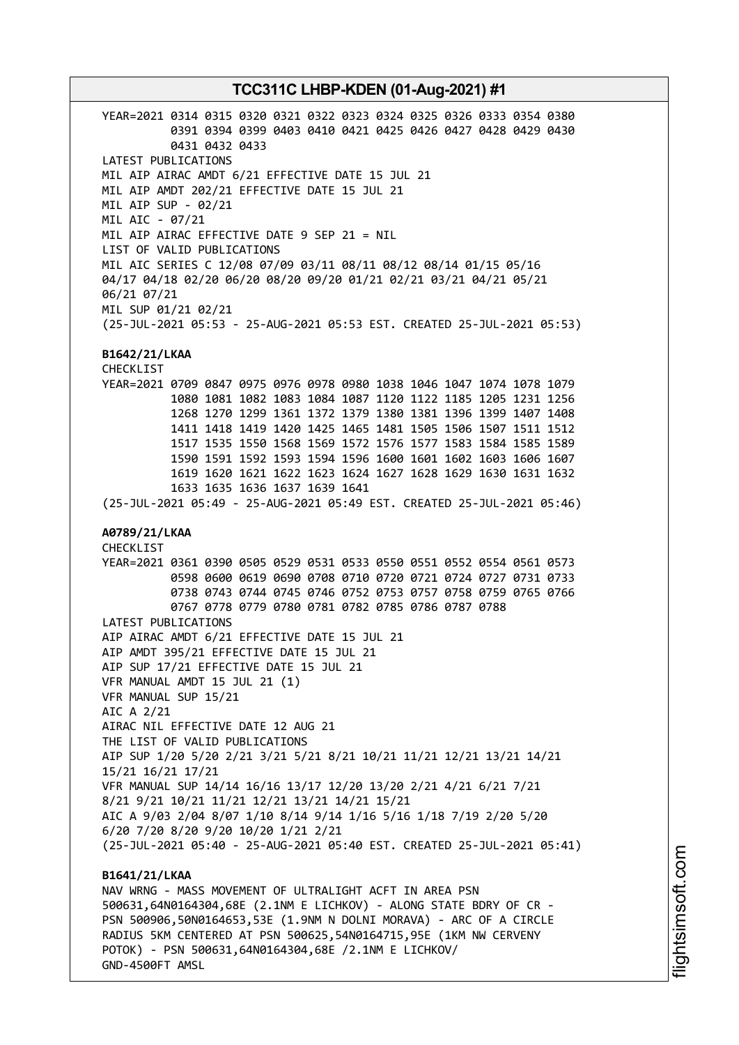YEAR=2021 0314 0315 0320 0321 0322 0323 0324 0325 0326 0333 0354 0380 0391 0394 0399 0403 0410 0421 0425 0426 0427 0428 0429 0430 0431 0432 0433 LATEST PUBLICATIONS MIL AIP AIRAC AMDT 6/21 EFFECTIVE DATE 15 JUL 21 MIL AIP AMDT 202/21 EFFECTIVE DATE 15 JUL 21 MIL AIP SUP - 02/21 MIL AIC - 07/21 MIL AIP AIRAC EFFECTIVE DATE 9 SEP 21 = NIL LIST OF VALID PUBLICATIONS MIL AIC SERIES C 12/08 07/09 03/11 08/11 08/12 08/14 01/15 05/16 04/17 04/18 02/20 06/20 08/20 09/20 01/21 02/21 03/21 04/21 05/21 06/21 07/21 MIL SUP 01/21 02/21 (25-JUL-2021 05:53 - 25-AUG-2021 05:53 EST. CREATED 25-JUL-2021 05:53) **B1642/21/LKAA** CHECKLIST YEAR=2021 0709 0847 0975 0976 0978 0980 1038 1046 1047 1074 1078 1079 1080 1081 1082 1083 1084 1087 1120 1122 1185 1205 1231 1256 1268 1270 1299 1361 1372 1379 1380 1381 1396 1399 1407 1408 1411 1418 1419 1420 1425 1465 1481 1505 1506 1507 1511 1512 1517 1535 1550 1568 1569 1572 1576 1577 1583 1584 1585 1589 1590 1591 1592 1593 1594 1596 1600 1601 1602 1603 1606 1607 1619 1620 1621 1622 1623 1624 1627 1628 1629 1630 1631 1632 1633 1635 1636 1637 1639 1641 (25-JUL-2021 05:49 - 25-AUG-2021 05:49 EST. CREATED 25-JUL-2021 05:46) **A0789/21/LKAA** CHECKLIST YEAR=2021 0361 0390 0505 0529 0531 0533 0550 0551 0552 0554 0561 0573 0598 0600 0619 0690 0708 0710 0720 0721 0724 0727 0731 0733 0738 0743 0744 0745 0746 0752 0753 0757 0758 0759 0765 0766 0767 0778 0779 0780 0781 0782 0785 0786 0787 0788 LATEST PUBLICATIONS AIP AIRAC AMDT 6/21 EFFECTIVE DATE 15 JUL 21 AIP AMDT 395/21 EFFECTIVE DATE 15 JUL 21 AIP SUP 17/21 EFFECTIVE DATE 15 JUL 21 VFR MANUAL AMDT 15 JUL 21 (1) VFR MANUAL SUP 15/21 AIC A 2/21 AIRAC NIL EFFECTIVE DATE 12 AUG 21 THE LIST OF VALID PUBLICATIONS AIP SUP 1/20 5/20 2/21 3/21 5/21 8/21 10/21 11/21 12/21 13/21 14/21 15/21 16/21 17/21 VFR MANUAL SUP 14/14 16/16 13/17 12/20 13/20 2/21 4/21 6/21 7/21 8/21 9/21 10/21 11/21 12/21 13/21 14/21 15/21 AIC A 9/03 2/04 8/07 1/10 8/14 9/14 1/16 5/16 1/18 7/19 2/20 5/20 6/20 7/20 8/20 9/20 10/20 1/21 2/21 (25-JUL-2021 05:40 - 25-AUG-2021 05:40 EST. CREATED 25-JUL-2021 05:41) **B1641/21/LKAA** NAV WRNG - MASS MOVEMENT OF ULTRALIGHT ACFT IN AREA PSN 500631,64N0164304,68E (2.1NM E LICHKOV) - ALONG STATE BDRY OF CR - PSN 500906,50N0164653,53E (1.9NM N DOLNI MORAVA) - ARC OF A CIRCLE RADIUS 5KM CENTERED AT PSN 500625,54N0164715,95E (1KM NW CERVENY POTOK) - PSN 500631,64N0164304,68E /2.1NM E LICHKOV/

GND-4500FT AMSL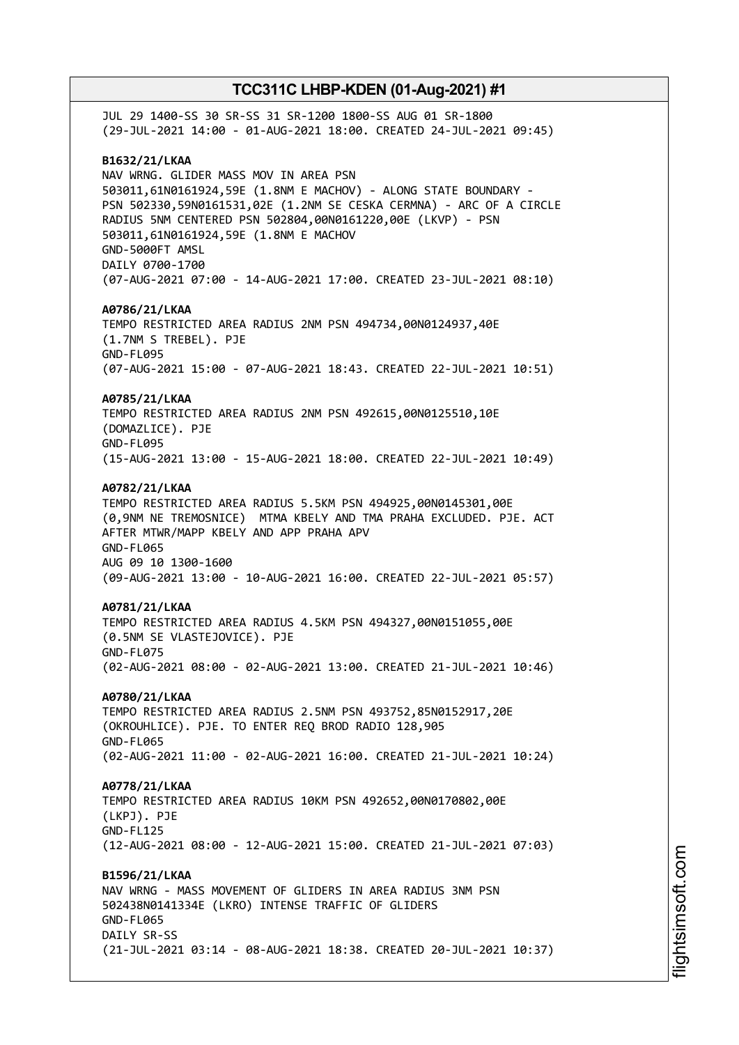JUL 29 1400-SS 30 SR-SS 31 SR-1200 1800-SS AUG 01 SR-1800 (29-JUL-2021 14:00 - 01-AUG-2021 18:00. CREATED 24-JUL-2021 09:45) **B1632/21/LKAA** NAV WRNG. GLIDER MASS MOV IN AREA PSN 503011,61N0161924,59E (1.8NM E MACHOV) - ALONG STATE BOUNDARY - PSN 502330,59N0161531,02E (1.2NM SE CESKA CERMNA) - ARC OF A CIRCLE RADIUS 5NM CENTERED PSN 502804,00N0161220,00E (LKVP) - PSN 503011,61N0161924,59E (1.8NM E MACHOV GND-5000FT AMSL DAILY 0700-1700 (07-AUG-2021 07:00 - 14-AUG-2021 17:00. CREATED 23-JUL-2021 08:10) **A0786/21/LKAA** TEMPO RESTRICTED AREA RADIUS 2NM PSN 494734,00N0124937,40E (1.7NM S TREBEL). PJE GND-FL095 (07-AUG-2021 15:00 - 07-AUG-2021 18:43. CREATED 22-JUL-2021 10:51) **A0785/21/LKAA** TEMPO RESTRICTED AREA RADIUS 2NM PSN 492615,00N0125510,10E (DOMAZLICE). PJE GND-FL095 (15-AUG-2021 13:00 - 15-AUG-2021 18:00. CREATED 22-JUL-2021 10:49) **A0782/21/LKAA** TEMPO RESTRICTED AREA RADIUS 5.5KM PSN 494925,00N0145301,00E (0,9NM NE TREMOSNICE) MTMA KBELY AND TMA PRAHA EXCLUDED. PJE. ACT AFTER MTWR/MAPP KBELY AND APP PRAHA APV GND-FL065 AUG 09 10 1300-1600 (09-AUG-2021 13:00 - 10-AUG-2021 16:00. CREATED 22-JUL-2021 05:57) **A0781/21/LKAA** TEMPO RESTRICTED AREA RADIUS 4.5KM PSN 494327,00N0151055,00E (0.5NM SE VLASTEJOVICE). PJE GND-FL075 (02-AUG-2021 08:00 - 02-AUG-2021 13:00. CREATED 21-JUL-2021 10:46) **A0780/21/LKAA** TEMPO RESTRICTED AREA RADIUS 2.5NM PSN 493752,85N0152917,20E (OKROUHLICE). PJE. TO ENTER REQ BROD RADIO 128,905 GND-FL065 (02-AUG-2021 11:00 - 02-AUG-2021 16:00. CREATED 21-JUL-2021 10:24) **A0778/21/LKAA** TEMPO RESTRICTED AREA RADIUS 10KM PSN 492652,00N0170802,00E (LKPJ). PJE GND-FL125 (12-AUG-2021 08:00 - 12-AUG-2021 15:00. CREATED 21-JUL-2021 07:03) **B1596/21/LKAA** NAV WRNG - MASS MOVEMENT OF GLIDERS IN AREA RADIUS 3NM PSN 502438N0141334E (LKRO) INTENSE TRAFFIC OF GLIDERS GND-FL065 DATLY SR-SS (21-JUL-2021 03:14 - 08-AUG-2021 18:38. CREATED 20-JUL-2021 10:37)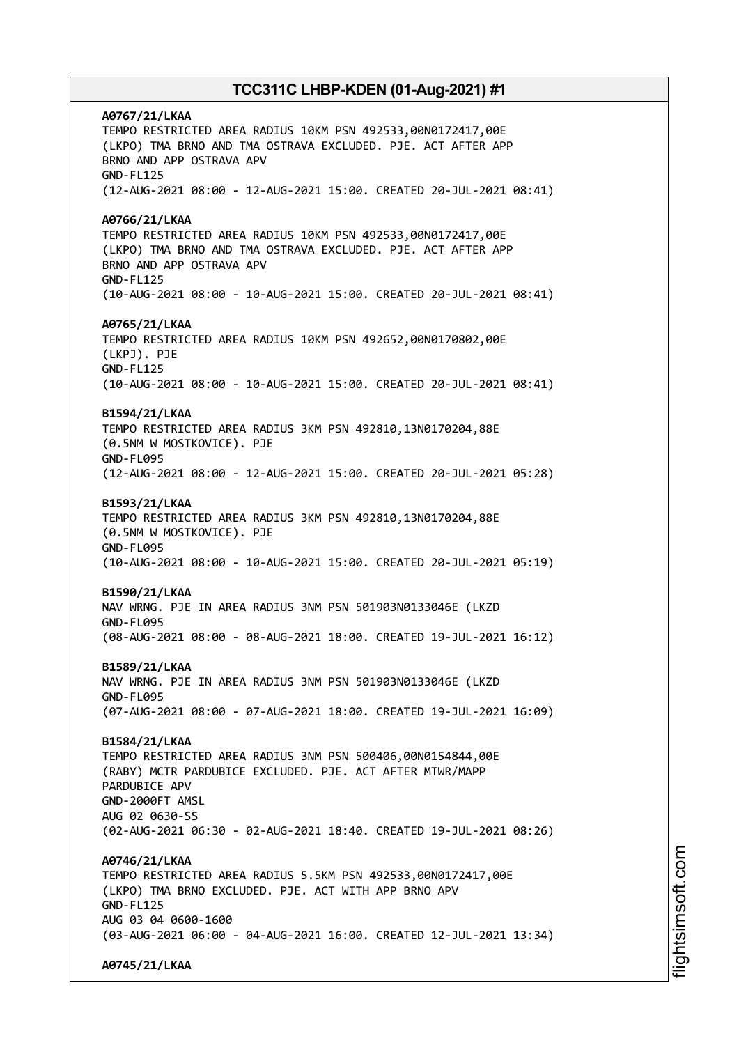**A0767/21/LKAA** TEMPO RESTRICTED AREA RADIUS 10KM PSN 492533,00N0172417,00E (LKPO) TMA BRNO AND TMA OSTRAVA EXCLUDED. PJE. ACT AFTER APP BRNO AND APP OSTRAVA APV GND-FL125 (12-AUG-2021 08:00 - 12-AUG-2021 15:00. CREATED 20-JUL-2021 08:41) **A0766/21/LKAA** TEMPO RESTRICTED AREA RADIUS 10KM PSN 492533,00N0172417,00E (LKPO) TMA BRNO AND TMA OSTRAVA EXCLUDED. PJE. ACT AFTER APP BRNO AND APP OSTRAVA APV GND-FL125 (10-AUG-2021 08:00 - 10-AUG-2021 15:00. CREATED 20-JUL-2021 08:41) **A0765/21/LKAA** TEMPO RESTRICTED AREA RADIUS 10KM PSN 492652,00N0170802,00E (LKPJ). PJE GND-FL125 (10-AUG-2021 08:00 - 10-AUG-2021 15:00. CREATED 20-JUL-2021 08:41) **B1594/21/LKAA** TEMPO RESTRICTED AREA RADIUS 3KM PSN 492810,13N0170204,88E (0.5NM W MOSTKOVICE). PJE GND-FL095 (12-AUG-2021 08:00 - 12-AUG-2021 15:00. CREATED 20-JUL-2021 05:28) **B1593/21/LKAA** TEMPO RESTRICTED AREA RADIUS 3KM PSN 492810,13N0170204,88E (0.5NM W MOSTKOVICE). PJE GND-FL095 (10-AUG-2021 08:00 - 10-AUG-2021 15:00. CREATED 20-JUL-2021 05:19) **B1590/21/LKAA** NAV WRNG. PJE IN AREA RADIUS 3NM PSN 501903N0133046E (LKZD GND-FL095 (08-AUG-2021 08:00 - 08-AUG-2021 18:00. CREATED 19-JUL-2021 16:12) **B1589/21/LKAA** NAV WRNG. PJE IN AREA RADIUS 3NM PSN 501903N0133046E (LKZD GND-FL095 (07-AUG-2021 08:00 - 07-AUG-2021 18:00. CREATED 19-JUL-2021 16:09) **B1584/21/LKAA** TEMPO RESTRICTED AREA RADIUS 3NM PSN 500406,00N0154844,00E (RABY) MCTR PARDUBICE EXCLUDED. PJE. ACT AFTER MTWR/MAPP PARDUBICE APV GND-2000FT AMSL AUG 02 0630-SS (02-AUG-2021 06:30 - 02-AUG-2021 18:40. CREATED 19-JUL-2021 08:26) **A0746/21/LKAA** TEMPO RESTRICTED AREA RADIUS 5.5KM PSN 492533,00N0172417,00E (LKPO) TMA BRNO EXCLUDED. PJE. ACT WITH APP BRNO APV GND-FL125 AUG 03 04 0600-1600 (03-AUG-2021 06:00 - 04-AUG-2021 16:00. CREATED 12-JUL-2021 13:34) **A0745/21/LKAA**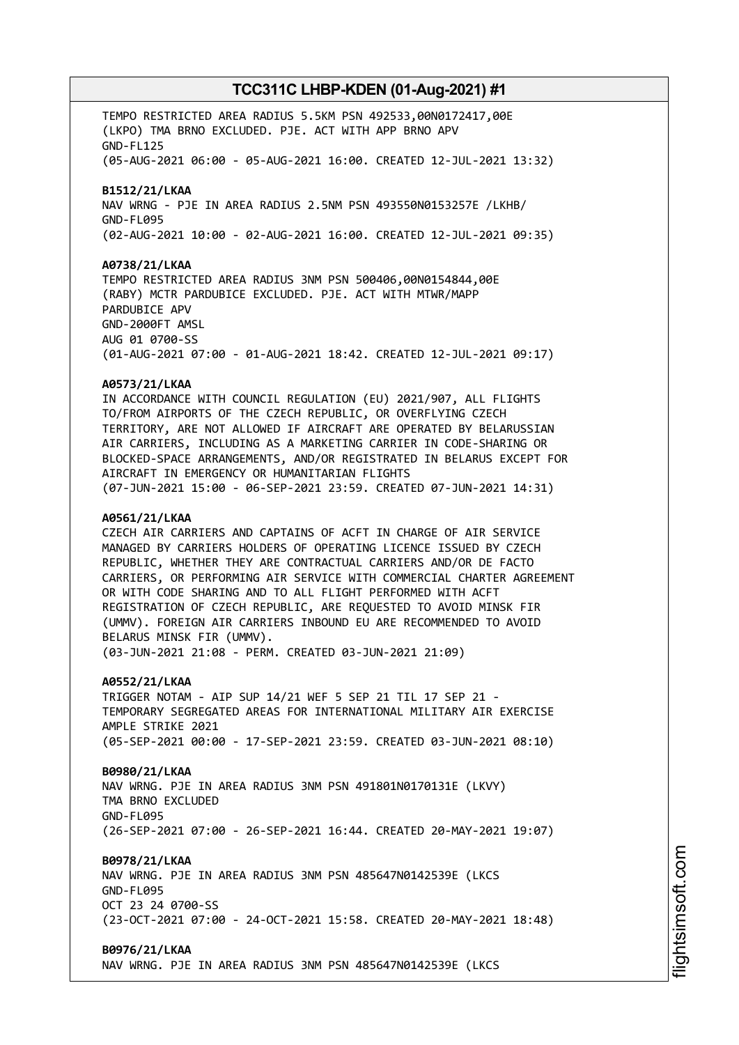TEMPO RESTRICTED AREA RADIUS 5.5KM PSN 492533,00N0172417,00E (LKPO) TMA BRNO EXCLUDED. PJE. ACT WITH APP BRNO APV GND-FL125 (05-AUG-2021 06:00 - 05-AUG-2021 16:00. CREATED 12-JUL-2021 13:32) **B1512/21/LKAA** NAV WRNG - PJE IN AREA RADIUS 2.5NM PSN 493550N0153257E /LKHB/ GND-FL095 (02-AUG-2021 10:00 - 02-AUG-2021 16:00. CREATED 12-JUL-2021 09:35) **A0738/21/LKAA** TEMPO RESTRICTED AREA RADIUS 3NM PSN 500406,00N0154844,00E (RABY) MCTR PARDUBICE EXCLUDED. PJE. ACT WITH MTWR/MAPP PARDUBICE APV GND-2000FT AMSL AUG 01 0700-SS (01-AUG-2021 07:00 - 01-AUG-2021 18:42. CREATED 12-JUL-2021 09:17) **A0573/21/LKAA** IN ACCORDANCE WITH COUNCIL REGULATION (EU) 2021/907, ALL FLIGHTS TO/FROM AIRPORTS OF THE CZECH REPUBLIC, OR OVERFLYING CZECH TERRITORY, ARE NOT ALLOWED IF AIRCRAFT ARE OPERATED BY BELARUSSIAN AIR CARRIERS, INCLUDING AS A MARKETING CARRIER IN CODE-SHARING OR BLOCKED-SPACE ARRANGEMENTS, AND/OR REGISTRATED IN BELARUS EXCEPT FOR AIRCRAFT IN EMERGENCY OR HUMANITARIAN FLIGHTS (07-JUN-2021 15:00 - 06-SEP-2021 23:59. CREATED 07-JUN-2021 14:31) **A0561/21/LKAA** CZECH AIR CARRIERS AND CAPTAINS OF ACFT IN CHARGE OF AIR SERVICE MANAGED BY CARRIERS HOLDERS OF OPERATING LICENCE ISSUED BY CZECH REPUBLIC, WHETHER THEY ARE CONTRACTUAL CARRIERS AND/OR DE FACTO CARRIERS, OR PERFORMING AIR SERVICE WITH COMMERCIAL CHARTER AGREEMENT OR WITH CODE SHARING AND TO ALL FLIGHT PERFORMED WITH ACFT REGISTRATION OF CZECH REPUBLIC, ARE REQUESTED TO AVOID MINSK FIR (UMMV). FOREIGN AIR CARRIERS INBOUND EU ARE RECOMMENDED TO AVOID BELARUS MINSK FIR (UMMV). (03-JUN-2021 21:08 - PERM. CREATED 03-JUN-2021 21:09) **A0552/21/LKAA** TRIGGER NOTAM - AIP SUP 14/21 WEF 5 SEP 21 TIL 17 SEP 21 - TEMPORARY SEGREGATED AREAS FOR INTERNATIONAL MILITARY AIR EXERCISE AMPLE STRIKE 2021 (05-SEP-2021 00:00 - 17-SEP-2021 23:59. CREATED 03-JUN-2021 08:10) **B0980/21/LKAA** NAV WRNG. PJE IN AREA RADIUS 3NM PSN 491801N0170131E (LKVY) TMA BRNO EXCLUDED GND-FL095 (26-SEP-2021 07:00 - 26-SEP-2021 16:44. CREATED 20-MAY-2021 19:07) **B0978/21/LKAA** NAV WRNG. PJE IN AREA RADIUS 3NM PSN 485647N0142539E (LKCS GND-FL095 OCT 23 24 0700-SS (23-OCT-2021 07:00 - 24-OCT-2021 15:58. CREATED 20-MAY-2021 18:48) **B0976/21/LKAA** NAV WRNG. PJE IN AREA RADIUS 3NM PSN 485647N0142539E (LKCS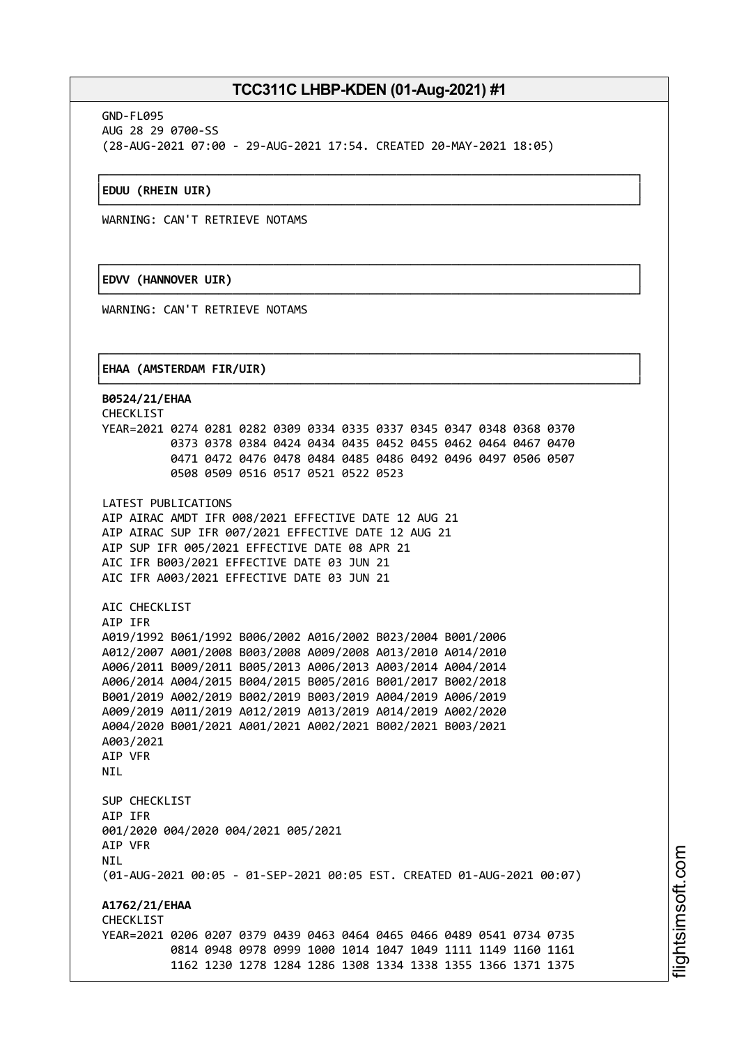┌──────────────────────────────────────────────────────────────────────────────┐

└──────────────────────────────────────────────────────────────────────────────┘

┌──────────────────────────────────────────────────────────────────────────────┐

└──────────────────────────────────────────────────────────────────────────────┘

┌──────────────────────────────────────────────────────────────────────────────┐

GND-FL095 AUG 28 29 0700-SS (28-AUG-2021 07:00 - 29-AUG-2021 17:54. CREATED 20-MAY-2021 18:05)

#### │**EDUU (RHEIN UIR)** │

WARNING: CAN'T RETRIEVE NOTAMS

### │**EDVV (HANNOVER UIR)** │

WARNING: CAN'T RETRIEVE NOTAMS

#### │**EHAA (AMSTERDAM FIR/UIR)** │

└──────────────────────────────────────────────────────────────────────────────┘ **B0524/21/EHAA** CHECKLIST YEAR=2021 0274 0281 0282 0309 0334 0335 0337 0345 0347 0348 0368 0370 0373 0378 0384 0424 0434 0435 0452 0455 0462 0464 0467 0470 0471 0472 0476 0478 0484 0485 0486 0492 0496 0497 0506 0507 0508 0509 0516 0517 0521 0522 0523 LATEST PUBLICATIONS AIP AIRAC AMDT IFR 008/2021 EFFECTIVE DATE 12 AUG 21 AIP AIRAC SUP IFR 007/2021 EFFECTIVE DATE 12 AUG 21 AIP SUP IFR 005/2021 EFFECTIVE DATE 08 APR 21 AIC IFR B003/2021 EFFECTIVE DATE 03 JUN 21 AIC IFR A003/2021 EFFECTIVE DATE 03 JUN 21 AIC CHECKLIST AIP IFR A019/1992 B061/1992 B006/2002 A016/2002 B023/2004 B001/2006 A012/2007 A001/2008 B003/2008 A009/2008 A013/2010 A014/2010 A006/2011 B009/2011 B005/2013 A006/2013 A003/2014 A004/2014 A006/2014 A004/2015 B004/2015 B005/2016 B001/2017 B002/2018 B001/2019 A002/2019 B002/2019 B003/2019 A004/2019 A006/2019 A009/2019 A011/2019 A012/2019 A013/2019 A014/2019 A002/2020 A004/2020 B001/2021 A001/2021 A002/2021 B002/2021 B003/2021 A003/2021 AIP VFR **NTI** SUP CHECKLIST AIP IFR 001/2020 004/2020 004/2021 005/2021 AIP VFR **NTI** (01-AUG-2021 00:05 - 01-SEP-2021 00:05 EST. CREATED 01-AUG-2021 00:07) **A1762/21/EHAA CHECKLIST** YEAR=2021 0206 0207 0379 0439 0463 0464 0465 0466 0489 0541 0734 0735 0814 0948 0978 0999 1000 1014 1047 1049 1111 1149 1160 1161 1162 1230 1278 1284 1286 1308 1334 1338 1355 1366 1371 1375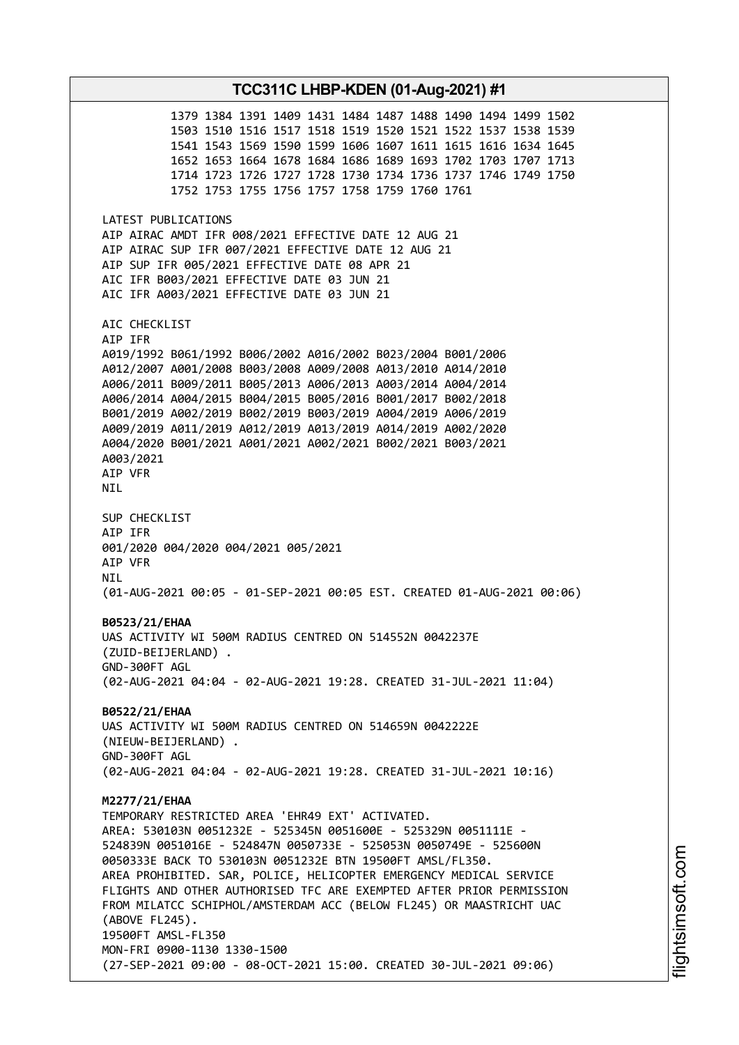1379 1384 1391 1409 1431 1484 1487 1488 1490 1494 1499 1502 1503 1510 1516 1517 1518 1519 1520 1521 1522 1537 1538 1539 1541 1543 1569 1590 1599 1606 1607 1611 1615 1616 1634 1645 1652 1653 1664 1678 1684 1686 1689 1693 1702 1703 1707 1713 1714 1723 1726 1727 1728 1730 1734 1736 1737 1746 1749 1750 1752 1753 1755 1756 1757 1758 1759 1760 1761 LATEST PUBLICATIONS AIP AIRAC AMDT IFR 008/2021 EFFECTIVE DATE 12 AUG 21 AIP AIRAC SUP IFR 007/2021 EFFECTIVE DATE 12 AUG 21 AIP SUP IFR 005/2021 EFFECTIVE DATE 08 APR 21 AIC IFR B003/2021 EFFECTIVE DATE 03 JUN 21 AIC IFR A003/2021 EFFECTIVE DATE 03 JUN 21 AIC CHECKLIST AIP IFR A019/1992 B061/1992 B006/2002 A016/2002 B023/2004 B001/2006 A012/2007 A001/2008 B003/2008 A009/2008 A013/2010 A014/2010 A006/2011 B009/2011 B005/2013 A006/2013 A003/2014 A004/2014 A006/2014 A004/2015 B004/2015 B005/2016 B001/2017 B002/2018 B001/2019 A002/2019 B002/2019 B003/2019 A004/2019 A006/2019 A009/2019 A011/2019 A012/2019 A013/2019 A014/2019 A002/2020 A004/2020 B001/2021 A001/2021 A002/2021 B002/2021 B003/2021 A003/2021 AIP VFR NIL SUP CHECKLIST AIP IFR 001/2020 004/2020 004/2021 005/2021 AIP VFR NIL (01-AUG-2021 00:05 - 01-SEP-2021 00:05 EST. CREATED 01-AUG-2021 00:06) **B0523/21/EHAA** UAS ACTIVITY WI 500M RADIUS CENTRED ON 514552N 0042237E (ZUID-BEIJERLAND) . GND-300FT AGL (02-AUG-2021 04:04 - 02-AUG-2021 19:28. CREATED 31-JUL-2021 11:04) **B0522/21/EHAA** UAS ACTIVITY WI 500M RADIUS CENTRED ON 514659N 0042222E (NIEUW-BEIJERLAND) . GND-300FT AGL (02-AUG-2021 04:04 - 02-AUG-2021 19:28. CREATED 31-JUL-2021 10:16) **M2277/21/EHAA** TEMPORARY RESTRICTED AREA 'EHR49 EXT' ACTIVATED. AREA: 530103N 0051232E - 525345N 0051600E - 525329N 0051111E - 524839N 0051016E - 524847N 0050733E - 525053N 0050749E - 525600N 0050333E BACK TO 530103N 0051232E BTN 19500FT AMSL/FL350. AREA PROHIBITED. SAR, POLICE, HELICOPTER EMERGENCY MEDICAL SERVICE FLIGHTS AND OTHER AUTHORISED TFC ARE EXEMPTED AFTER PRIOR PERMISSION FROM MILATCC SCHIPHOL/AMSTERDAM ACC (BELOW FL245) OR MAASTRICHT UAC (ABOVE FL245). 19500FT AMSL-FL350 MON-FRI 0900-1130 1330-1500 (27-SEP-2021 09:00 - 08-OCT-2021 15:00. CREATED 30-JUL-2021 09:06)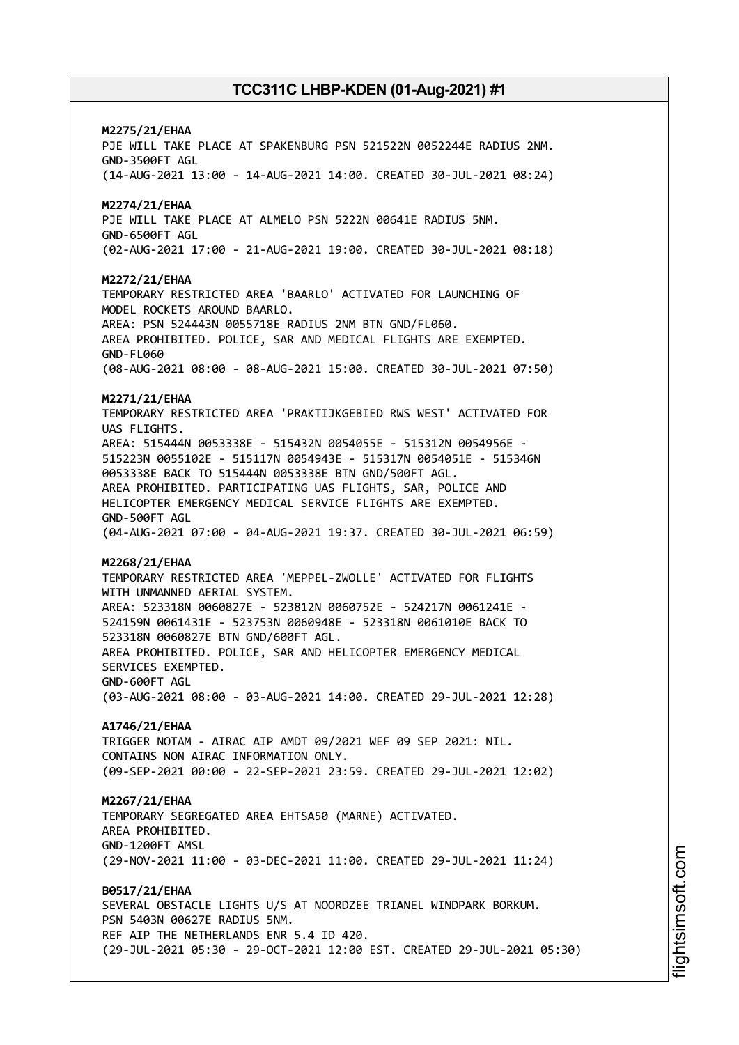# **M2275/21/EHAA** PJE WILL TAKE PLACE AT SPAKENBURG PSN 521522N 0052244E RADIUS 2NM. GND-3500FT AGL (14-AUG-2021 13:00 - 14-AUG-2021 14:00. CREATED 30-JUL-2021 08:24) **M2274/21/EHAA** PJE WILL TAKE PLACE AT ALMELO PSN 5222N 00641E RADIUS 5NM. GND-6500FT AGL (02-AUG-2021 17:00 - 21-AUG-2021 19:00. CREATED 30-JUL-2021 08:18) **M2272/21/EHAA** TEMPORARY RESTRICTED AREA 'BAARLO' ACTIVATED FOR LAUNCHING OF MODEL ROCKETS AROUND BAARLO. AREA: PSN 524443N 0055718E RADIUS 2NM BTN GND/FL060. AREA PROHIBITED. POLICE, SAR AND MEDICAL FLIGHTS ARE EXEMPTED. GND-FL060 (08-AUG-2021 08:00 - 08-AUG-2021 15:00. CREATED 30-JUL-2021 07:50) **M2271/21/EHAA** TEMPORARY RESTRICTED AREA 'PRAKTIJKGEBIED RWS WEST' ACTIVATED FOR UAS FLIGHTS. AREA: 515444N 0053338E - 515432N 0054055E - 515312N 0054956E - 515223N 0055102E - 515117N 0054943E - 515317N 0054051E - 515346N 0053338E BACK TO 515444N 0053338E BTN GND/500FT AGL. AREA PROHIBITED. PARTICIPATING UAS FLIGHTS, SAR, POLICE AND HELICOPTER EMERGENCY MEDICAL SERVICE FLIGHTS ARE EXEMPTED. GND-500FT AGL (04-AUG-2021 07:00 - 04-AUG-2021 19:37. CREATED 30-JUL-2021 06:59) **M2268/21/EHAA** TEMPORARY RESTRICTED AREA 'MEPPEL-ZWOLLE' ACTIVATED FOR FLIGHTS WITH UNMANNED AERIAL SYSTEM. AREA: 523318N 0060827E - 523812N 0060752E - 524217N 0061241E - 524159N 0061431E - 523753N 0060948E - 523318N 0061010E BACK TO 523318N 0060827E BTN GND/600FT AGL. AREA PROHIBITED. POLICE, SAR AND HELICOPTER EMERGENCY MEDICAL SERVICES EXEMPTED. GND-600FT AGL (03-AUG-2021 08:00 - 03-AUG-2021 14:00. CREATED 29-JUL-2021 12:28) **A1746/21/EHAA** TRIGGER NOTAM - AIRAC AIP AMDT 09/2021 WEF 09 SEP 2021: NIL. CONTAINS NON ATRAC INFORMATION ONLY. (09-SEP-2021 00:00 - 22-SEP-2021 23:59. CREATED 29-JUL-2021 12:02) **M2267/21/EHAA** TEMPORARY SEGREGATED AREA EHTSA50 (MARNE) ACTIVATED. AREA PROHIBITED. GND-1200FT AMSL (29-NOV-2021 11:00 - 03-DEC-2021 11:00. CREATED 29-JUL-2021 11:24) **B0517/21/EHAA** SEVERAL OBSTACLE LIGHTS U/S AT NOORDZEE TRIANEL WINDPARK BORKUM. PSN 5403N 00627E RADIUS 5NM. REF AIP THE NETHERLANDS ENR 5.4 ID 420. (29-JUL-2021 05:30 - 29-OCT-2021 12:00 EST. CREATED 29-JUL-2021 05:30)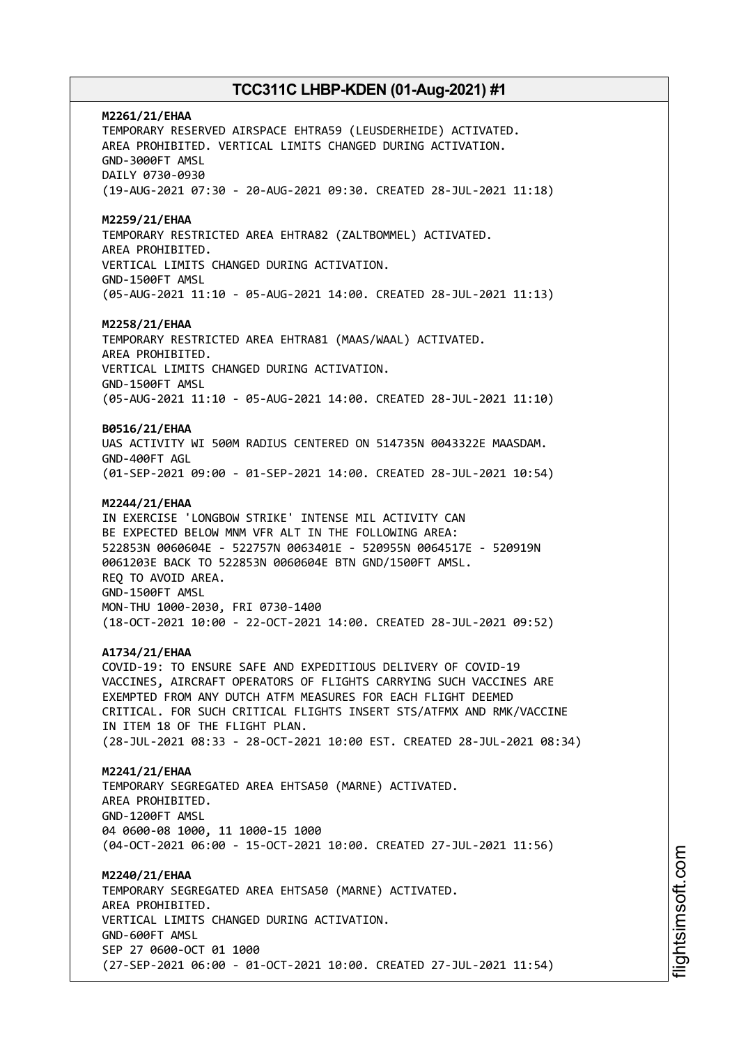**M2261/21/EHAA** TEMPORARY RESERVED AIRSPACE EHTRA59 (LEUSDERHEIDE) ACTIVATED. AREA PROHIBITED. VERTICAL LIMITS CHANGED DURING ACTIVATION. GND-3000FT AMSL DAILY 0730-0930 (19-AUG-2021 07:30 - 20-AUG-2021 09:30. CREATED 28-JUL-2021 11:18) **M2259/21/EHAA** TEMPORARY RESTRICTED AREA EHTRA82 (ZALTBOMMEL) ACTIVATED. AREA PROHIBITED. VERTICAL LIMITS CHANGED DURING ACTIVATION. GND-1500FT AMSL (05-AUG-2021 11:10 - 05-AUG-2021 14:00. CREATED 28-JUL-2021 11:13) **M2258/21/EHAA** TEMPORARY RESTRICTED AREA EHTRA81 (MAAS/WAAL) ACTIVATED. AREA PROHIBITED. VERTICAL LIMITS CHANGED DURING ACTIVATION. GND-1500FT AMSL (05-AUG-2021 11:10 - 05-AUG-2021 14:00. CREATED 28-JUL-2021 11:10) **B0516/21/EHAA** UAS ACTIVITY WI 500M RADIUS CENTERED ON 514735N 0043322E MAASDAM. GND-400FT AGL (01-SEP-2021 09:00 - 01-SEP-2021 14:00. CREATED 28-JUL-2021 10:54) **M2244/21/EHAA** IN EXERCISE 'LONGBOW STRIKE' INTENSE MIL ACTIVITY CAN BE EXPECTED BELOW MNM VFR ALT IN THE FOLLOWING AREA: 522853N 0060604E - 522757N 0063401E - 520955N 0064517E - 520919N 0061203E BACK TO 522853N 0060604E BTN GND/1500FT AMSL. REQ TO AVOID AREA. GND-1500FT AMSL MON-THU 1000-2030, FRI 0730-1400 (18-OCT-2021 10:00 - 22-OCT-2021 14:00. CREATED 28-JUL-2021 09:52) **A1734/21/EHAA** COVID-19: TO ENSURE SAFE AND EXPEDITIOUS DELIVERY OF COVID-19 VACCINES, AIRCRAFT OPERATORS OF FLIGHTS CARRYING SUCH VACCINES ARE EXEMPTED FROM ANY DUTCH ATFM MEASURES FOR EACH FLIGHT DEEMED CRITICAL. FOR SUCH CRITICAL FLIGHTS INSERT STS/ATFMX AND RMK/VACCINE IN ITEM 18 OF THE FLIGHT PLAN. (28-JUL-2021 08:33 - 28-OCT-2021 10:00 EST. CREATED 28-JUL-2021 08:34) **M2241/21/EHAA** TEMPORARY SEGREGATED AREA EHTSA50 (MARNE) ACTIVATED. AREA PROHIBITED. GND-1200FT AMSL 04 0600-08 1000, 11 1000-15 1000 (04-OCT-2021 06:00 - 15-OCT-2021 10:00. CREATED 27-JUL-2021 11:56) **M2240/21/EHAA** TEMPORARY SEGREGATED AREA EHTSA50 (MARNE) ACTIVATED. AREA PROHIBITED. VERTICAL LIMITS CHANGED DURING ACTIVATION. GND-600FT AMSL SEP 27 0600-OCT 01 1000 (27-SEP-2021 06:00 - 01-OCT-2021 10:00. CREATED 27-JUL-2021 11:54)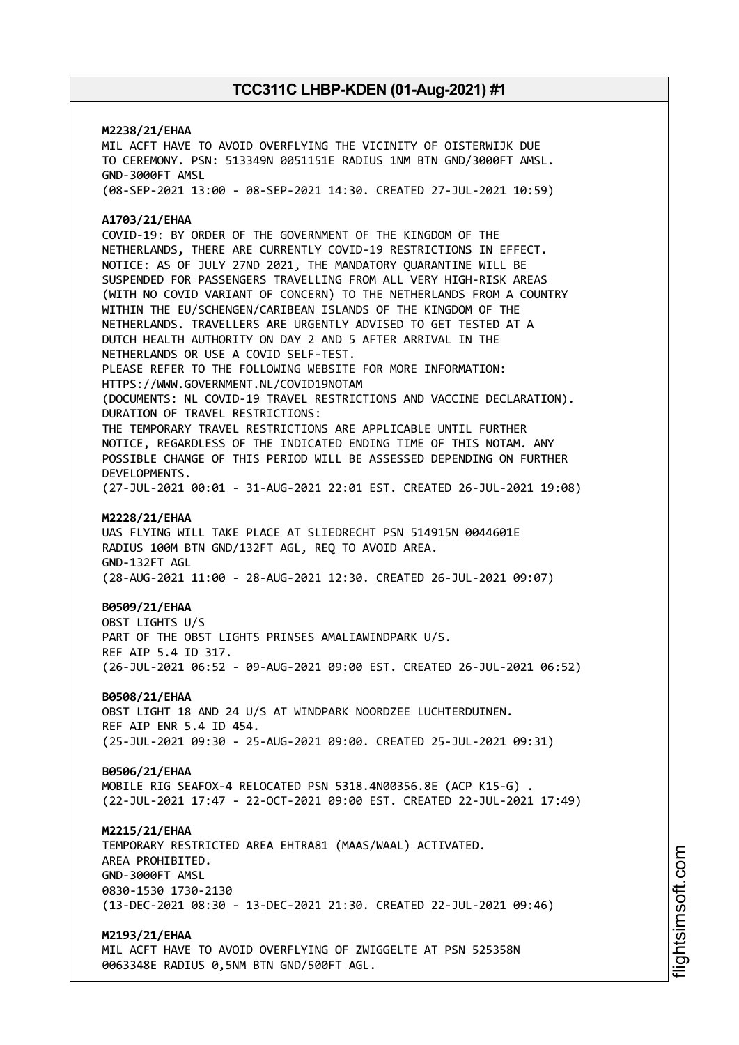# **M2238/21/EHAA** MIL ACFT HAVE TO AVOID OVERFLYING THE VICINITY OF OISTERWIJK DUE TO CEREMONY. PSN: 513349N 0051151E RADIUS 1NM BTN GND/3000FT AMSL. GND-3000FT AMSL (08-SEP-2021 13:00 - 08-SEP-2021 14:30. CREATED 27-JUL-2021 10:59) **A1703/21/EHAA** COVID-19: BY ORDER OF THE GOVERNMENT OF THE KINGDOM OF THE NETHERLANDS, THERE ARE CURRENTLY COVID-19 RESTRICTIONS IN EFFECT. NOTICE: AS OF JULY 27ND 2021, THE MANDATORY QUARANTINE WILL BE SUSPENDED FOR PASSENGERS TRAVELLING FROM ALL VERY HIGH-RISK AREAS (WITH NO COVID VARIANT OF CONCERN) TO THE NETHERLANDS FROM A COUNTRY WITHIN THE EU/SCHENGEN/CARIBEAN ISLANDS OF THE KINGDOM OF THE NETHERLANDS. TRAVELLERS ARE URGENTLY ADVISED TO GET TESTED AT A DUTCH HEALTH AUTHORITY ON DAY 2 AND 5 AFTER ARRIVAL IN THE NETHERLANDS OR USE A COVID SELF-TEST. PLEASE REFER TO THE FOLLOWING WEBSITE FOR MORE INFORMATION: HTTPS://WWW.GOVERNMENT.NL/COVID19NOTAM (DOCUMENTS: NL COVID-19 TRAVEL RESTRICTIONS AND VACCINE DECLARATION). DURATION OF TRAVEL RESTRICTIONS: THE TEMPORARY TRAVEL RESTRICTIONS ARE APPLICABLE UNTIL FURTHER NOTICE, REGARDLESS OF THE INDICATED ENDING TIME OF THIS NOTAM. ANY POSSIBLE CHANGE OF THIS PERIOD WILL BE ASSESSED DEPENDING ON FURTHER DEVELOPMENTS. (27-JUL-2021 00:01 - 31-AUG-2021 22:01 EST. CREATED 26-JUL-2021 19:08) **M2228/21/EHAA** UAS FLYING WILL TAKE PLACE AT SLIEDRECHT PSN 514915N 0044601E RADIUS 100M BTN GND/132FT AGL, REQ TO AVOID AREA. GND-132FT AGL (28-AUG-2021 11:00 - 28-AUG-2021 12:30. CREATED 26-JUL-2021 09:07) **B0509/21/EHAA** OBST LIGHTS U/S PART OF THE OBST LIGHTS PRINSES AMALIAWINDPARK U/S. REF AIP 5.4 ID 317. (26-JUL-2021 06:52 - 09-AUG-2021 09:00 EST. CREATED 26-JUL-2021 06:52) **B0508/21/EHAA** OBST LIGHT 18 AND 24 U/S AT WINDPARK NOORDZEE LUCHTERDUINEN. REF AIP ENR 5.4 ID 454. (25-JUL-2021 09:30 - 25-AUG-2021 09:00. CREATED 25-JUL-2021 09:31) **B0506/21/EHAA** MOBILE RIG SEAFOX-4 RELOCATED PSN 5318.4N00356.8E (ACP K15-G) . (22-JUL-2021 17:47 - 22-OCT-2021 09:00 EST. CREATED 22-JUL-2021 17:49) **M2215/21/EHAA** TEMPORARY RESTRICTED AREA EHTRA81 (MAAS/WAAL) ACTIVATED. AREA PROHIBITED. GND-3000FT AMSL 0830-1530 1730-2130 (13-DEC-2021 08:30 - 13-DEC-2021 21:30. CREATED 22-JUL-2021 09:46) **M2193/21/EHAA**

MIL ACFT HAVE TO AVOID OVERFLYING OF ZWIGGELTE AT PSN 525358N 0063348E RADIUS 0,5NM BTN GND/500FT AGL.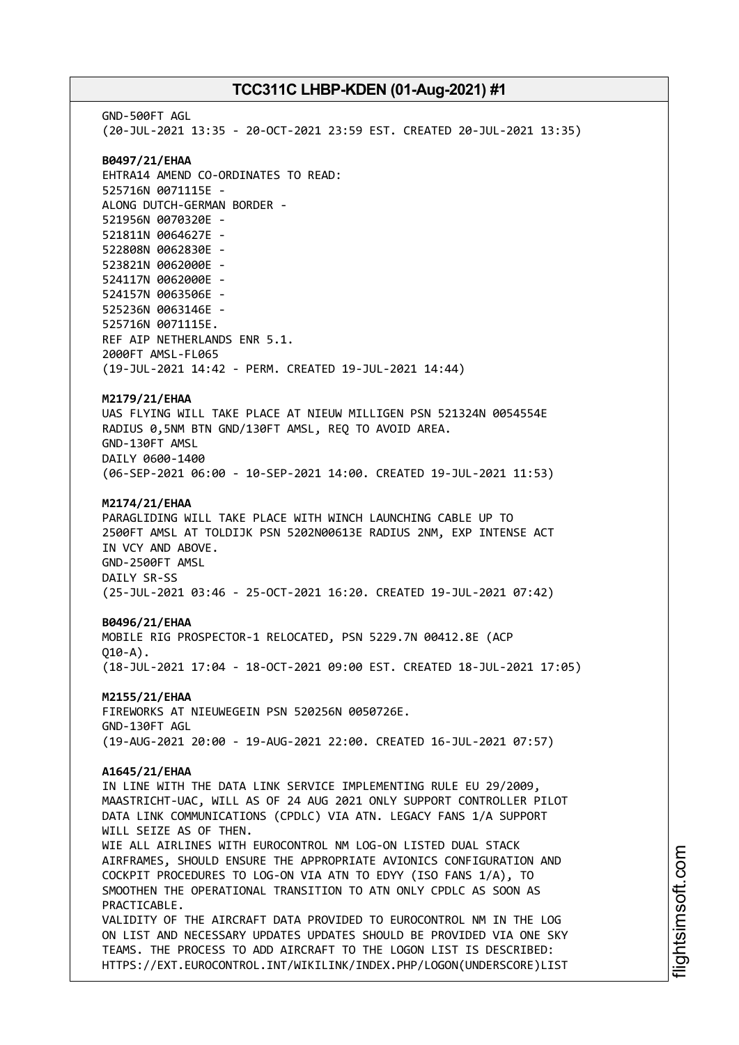GND-500FT AGL (20-JUL-2021 13:35 - 20-OCT-2021 23:59 EST. CREATED 20-JUL-2021 13:35) **B0497/21/EHAA** EHTRA14 AMEND CO-ORDINATES TO READ: 525716N 0071115E - ALONG DUTCH-GERMAN BORDER - 521956N 0070320E - 521811N 0064627E - 522808N 0062830E - 523821N 0062000E - 524117N 0062000E - 524157N 0063506E - 525236N 0063146E - 525716N 0071115E. REF AIP NETHERLANDS ENR 5.1. 2000FT AMSL-FL065 (19-JUL-2021 14:42 - PERM. CREATED 19-JUL-2021 14:44) **M2179/21/EHAA** UAS FLYING WILL TAKE PLACE AT NIEUW MILLIGEN PSN 521324N 0054554E RADIUS 0,5NM BTN GND/130FT AMSL, REQ TO AVOID AREA. GND-130FT AMSL DAILY 0600-1400 (06-SEP-2021 06:00 - 10-SEP-2021 14:00. CREATED 19-JUL-2021 11:53) **M2174/21/EHAA** PARAGLIDING WILL TAKE PLACE WITH WINCH LAUNCHING CABLE UP TO 2500FT AMSL AT TOLDIJK PSN 5202N00613E RADIUS 2NM, EXP INTENSE ACT IN VCY AND ABOVE. GND-2500FT AMSL DAILY SR-SS (25-JUL-2021 03:46 - 25-OCT-2021 16:20. CREATED 19-JUL-2021 07:42) **B0496/21/EHAA** MOBILE RIG PROSPECTOR-1 RELOCATED, PSN 5229.7N 00412.8E (ACP  $010 - A$ ). (18-JUL-2021 17:04 - 18-OCT-2021 09:00 EST. CREATED 18-JUL-2021 17:05) **M2155/21/EHAA** FIREWORKS AT NIEUWEGEIN PSN 520256N 0050726E. GND-130FT AGL (19-AUG-2021 20:00 - 19-AUG-2021 22:00. CREATED 16-JUL-2021 07:57) **A1645/21/EHAA** IN LINE WITH THE DATA LINK SERVICE IMPLEMENTING RULE EU 29/2009, MAASTRICHT-UAC, WILL AS OF 24 AUG 2021 ONLY SUPPORT CONTROLLER PILOT DATA LINK COMMUNICATIONS (CPDLC) VIA ATN. LEGACY FANS 1/A SUPPORT WILL SEIZE AS OF THEN. WIE ALL AIRLINES WITH EUROCONTROL NM LOG-ON LISTED DUAL STACK AIRFRAMES, SHOULD ENSURE THE APPROPRIATE AVIONICS CONFIGURATION AND COCKPIT PROCEDURES TO LOG-ON VIA ATN TO EDYY (ISO FANS 1/A), TO SMOOTHEN THE OPERATIONAL TRANSITION TO ATN ONLY CPDLC AS SOON AS PRACTICABLE. VALIDITY OF THE AIRCRAFT DATA PROVIDED TO EUROCONTROL NM IN THE LOG ON LIST AND NECESSARY UPDATES UPDATES SHOULD BE PROVIDED VIA ONE SKY TEAMS. THE PROCESS TO ADD AIRCRAFT TO THE LOGON LIST IS DESCRIBED: HTTPS://EXT.EUROCONTROL.INT/WIKILINK/INDEX.PHP/LOGON(UNDERSCORE)LIST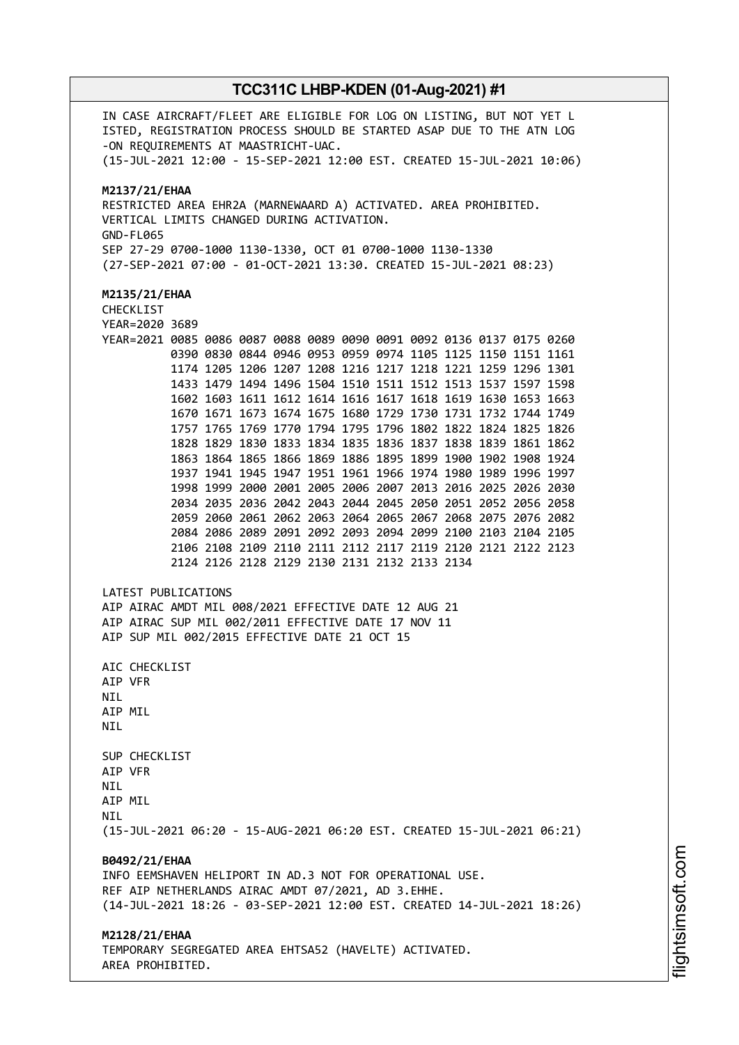IN CASE AIRCRAFT/FLEET ARE ELIGIBLE FOR LOG ON LISTING, BUT NOT YET L ISTED, REGISTRATION PROCESS SHOULD BE STARTED ASAP DUE TO THE ATN LOG -ON REQUIREMENTS AT MAASTRICHT-UAC. (15-JUL-2021 12:00 - 15-SEP-2021 12:00 EST. CREATED 15-JUL-2021 10:06) **M2137/21/EHAA** RESTRICTED AREA EHR2A (MARNEWAARD A) ACTIVATED. AREA PROHIBITED. VERTICAL LIMITS CHANGED DURING ACTIVATION. GND-FL065 SEP 27-29 0700-1000 1130-1330, OCT 01 0700-1000 1130-1330 (27-SEP-2021 07:00 - 01-OCT-2021 13:30. CREATED 15-JUL-2021 08:23) **M2135/21/EHAA** CHECKLIST YEAR=2020 3689 YEAR=2021 0085 0086 0087 0088 0089 0090 0091 0092 0136 0137 0175 0260 0390 0830 0844 0946 0953 0959 0974 1105 1125 1150 1151 1161 1174 1205 1206 1207 1208 1216 1217 1218 1221 1259 1296 1301 1433 1479 1494 1496 1504 1510 1511 1512 1513 1537 1597 1598 1602 1603 1611 1612 1614 1616 1617 1618 1619 1630 1653 1663 1670 1671 1673 1674 1675 1680 1729 1730 1731 1732 1744 1749 1757 1765 1769 1770 1794 1795 1796 1802 1822 1824 1825 1826 1828 1829 1830 1833 1834 1835 1836 1837 1838 1839 1861 1862 1863 1864 1865 1866 1869 1886 1895 1899 1900 1902 1908 1924 1937 1941 1945 1947 1951 1961 1966 1974 1980 1989 1996 1997 1998 1999 2000 2001 2005 2006 2007 2013 2016 2025 2026 2030 2034 2035 2036 2042 2043 2044 2045 2050 2051 2052 2056 2058 2059 2060 2061 2062 2063 2064 2065 2067 2068 2075 2076 2082 2084 2086 2089 2091 2092 2093 2094 2099 2100 2103 2104 2105 2106 2108 2109 2110 2111 2112 2117 2119 2120 2121 2122 2123 2124 2126 2128 2129 2130 2131 2132 2133 2134 LATEST PUBLICATIONS AIP AIRAC AMDT MIL 008/2021 EFFECTIVE DATE 12 AUG 21 AIP AIRAC SUP MIL 002/2011 EFFECTIVE DATE 17 NOV 11 AIP SUP MIL 002/2015 EFFECTIVE DATE 21 OCT 15 AIC CHECKLIST AIP VFR NIL AIP MIL **NTI** SUP CHECKLIST AIP VFR **NTI** AIP MIL **NTI** (15-JUL-2021 06:20 - 15-AUG-2021 06:20 EST. CREATED 15-JUL-2021 06:21) **B0492/21/EHAA** INFO EEMSHAVEN HELIPORT IN AD.3 NOT FOR OPERATIONAL USE. REF AIP NETHERLANDS AIRAC AMDT 07/2021, AD 3.EHHE. (14-JUL-2021 18:26 - 03-SEP-2021 12:00 EST. CREATED 14-JUL-2021 18:26) **M2128/21/EHAA** TEMPORARY SEGREGATED AREA EHTSA52 (HAVELTE) ACTIVATED. AREA PROHIBITED.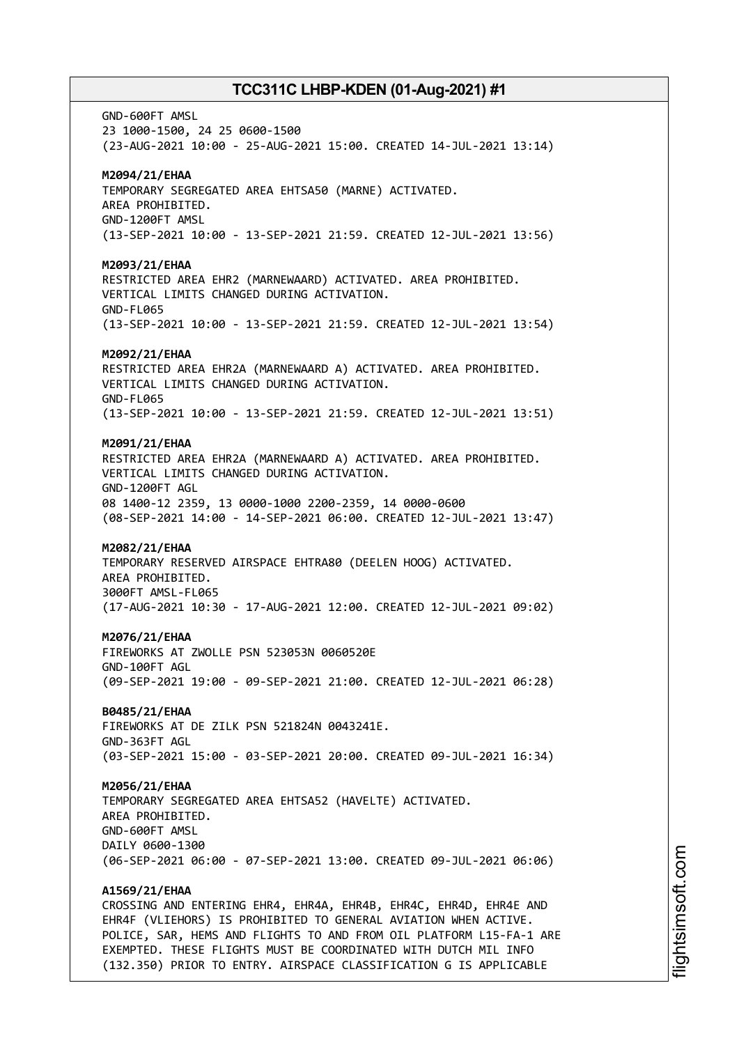GND-600FT AMSL 23 1000-1500, 24 25 0600-1500 (23-AUG-2021 10:00 - 25-AUG-2021 15:00. CREATED 14-JUL-2021 13:14) **M2094/21/EHAA** TEMPORARY SEGREGATED AREA EHTSA50 (MARNE) ACTIVATED. AREA PROHIBITED. GND-1200FT AMSL (13-SEP-2021 10:00 - 13-SEP-2021 21:59. CREATED 12-JUL-2021 13:56) **M2093/21/EHAA** RESTRICTED AREA EHR2 (MARNEWAARD) ACTIVATED. AREA PROHIBITED. VERTICAL LIMITS CHANGED DURING ACTIVATION. GND-FL065 (13-SEP-2021 10:00 - 13-SEP-2021 21:59. CREATED 12-JUL-2021 13:54) **M2092/21/EHAA** RESTRICTED AREA EHR2A (MARNEWAARD A) ACTIVATED. AREA PROHIBITED. VERTICAL LIMITS CHANGED DURING ACTIVATION. GND-FL065 (13-SEP-2021 10:00 - 13-SEP-2021 21:59. CREATED 12-JUL-2021 13:51) **M2091/21/EHAA** RESTRICTED AREA EHR2A (MARNEWAARD A) ACTIVATED. AREA PROHIBITED. VERTICAL LIMITS CHANGED DURING ACTIVATION. GND-1200FT AGL 08 1400-12 2359, 13 0000-1000 2200-2359, 14 0000-0600 (08-SEP-2021 14:00 - 14-SEP-2021 06:00. CREATED 12-JUL-2021 13:47) **M2082/21/EHAA** TEMPORARY RESERVED AIRSPACE EHTRA80 (DEELEN HOOG) ACTIVATED. AREA PROHIBITED. 3000FT AMSL-FL065 (17-AUG-2021 10:30 - 17-AUG-2021 12:00. CREATED 12-JUL-2021 09:02) **M2076/21/EHAA** FIREWORKS AT ZWOLLE PSN 523053N 0060520E GND-100FT AGL (09-SEP-2021 19:00 - 09-SEP-2021 21:00. CREATED 12-JUL-2021 06:28) **B0485/21/EHAA** FIREWORKS AT DE ZILK PSN 521824N 0043241E. GND-363FT AGL (03-SEP-2021 15:00 - 03-SEP-2021 20:00. CREATED 09-JUL-2021 16:34) **M2056/21/EHAA** TEMPORARY SEGREGATED AREA EHTSA52 (HAVELTE) ACTIVATED. AREA PROHIBITED. GND-600FT AMSL DAILY 0600-1300 (06-SEP-2021 06:00 - 07-SEP-2021 13:00. CREATED 09-JUL-2021 06:06) **A1569/21/EHAA** CROSSING AND ENTERING EHR4, EHR4A, EHR4B, EHR4C, EHR4D, EHR4E AND EHR4F (VLIEHORS) IS PROHIBITED TO GENERAL AVIATION WHEN ACTIVE. POLICE, SAR, HEMS AND FLIGHTS TO AND FROM OIL PLATFORM L15-FA-1 ARE EXEMPTED. THESE FLIGHTS MUST BE COORDINATED WITH DUTCH MIL INFO

(132.350) PRIOR TO ENTRY. AIRSPACE CLASSIFICATION G IS APPLICABLE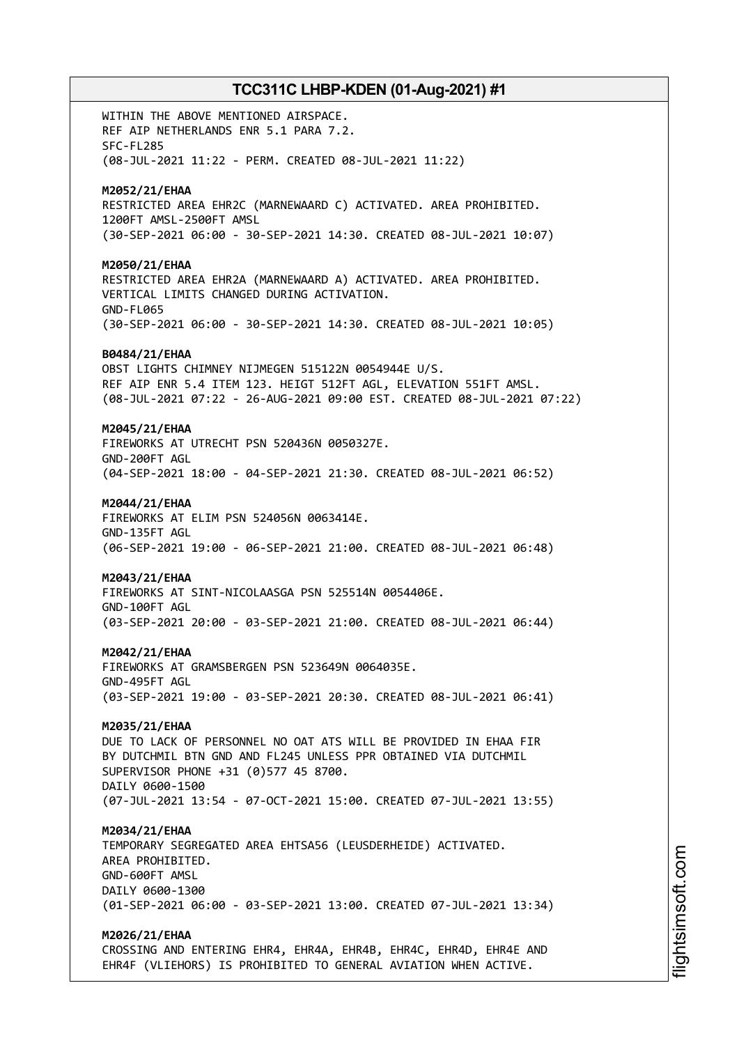WITHIN THE ABOVE MENTIONED AIRSPACE. REF AIP NETHERLANDS ENR 5.1 PARA 7.2. SFC-FL285 (08-JUL-2021 11:22 - PERM. CREATED 08-JUL-2021 11:22) **M2052/21/EHAA** RESTRICTED AREA EHR2C (MARNEWAARD C) ACTIVATED. AREA PROHIBITED. 1200FT AMSL-2500FT AMSL (30-SEP-2021 06:00 - 30-SEP-2021 14:30. CREATED 08-JUL-2021 10:07) **M2050/21/EHAA** RESTRICTED AREA EHR2A (MARNEWAARD A) ACTIVATED. AREA PROHIBITED. VERTICAL LIMITS CHANGED DURING ACTIVATION. GND-FL065 (30-SEP-2021 06:00 - 30-SEP-2021 14:30. CREATED 08-JUL-2021 10:05) **B0484/21/EHAA** OBST LIGHTS CHIMNEY NIJMEGEN 515122N 0054944E U/S. REF AIP ENR 5.4 ITEM 123. HEIGT 512FT AGL, ELEVATION 551FT AMSL. (08-JUL-2021 07:22 - 26-AUG-2021 09:00 EST. CREATED 08-JUL-2021 07:22) **M2045/21/EHAA** FIREWORKS AT UTRECHT PSN 520436N 0050327E. GND-200FT AGL (04-SEP-2021 18:00 - 04-SEP-2021 21:30. CREATED 08-JUL-2021 06:52) **M2044/21/EHAA** FIREWORKS AT ELIM PSN 524056N 0063414E. GND-135FT AGL (06-SEP-2021 19:00 - 06-SEP-2021 21:00. CREATED 08-JUL-2021 06:48) **M2043/21/EHAA** FIREWORKS AT SINT-NICOLAASGA PSN 525514N 0054406E. GND-100FT AGL (03-SEP-2021 20:00 - 03-SEP-2021 21:00. CREATED 08-JUL-2021 06:44) **M2042/21/EHAA** FIREWORKS AT GRAMSBERGEN PSN 523649N 0064035E. GND-495FT AGL (03-SEP-2021 19:00 - 03-SEP-2021 20:30. CREATED 08-JUL-2021 06:41) **M2035/21/EHAA** DUE TO LACK OF PERSONNEL NO OAT ATS WILL BE PROVIDED IN EHAA FIR BY DUTCHMIL BTN GND AND FL245 UNLESS PPR OBTAINED VIA DUTCHMIL SUPERVISOR PHONE +31 (0)577 45 8700. DAILY 0600-1500 (07-JUL-2021 13:54 - 07-OCT-2021 15:00. CREATED 07-JUL-2021 13:55) **M2034/21/EHAA** TEMPORARY SEGREGATED AREA EHTSA56 (LEUSDERHEIDE) ACTIVATED. AREA PROHIBITED. GND-600FT AMSL DAILY 0600-1300 (01-SEP-2021 06:00 - 03-SEP-2021 13:00. CREATED 07-JUL-2021 13:34) **M2026/21/EHAA**

CROSSING AND ENTERING EHR4, EHR4A, EHR4B, EHR4C, EHR4D, EHR4E AND EHR4F (VLIEHORS) IS PROHIBITED TO GENERAL AVIATION WHEN ACTIVE.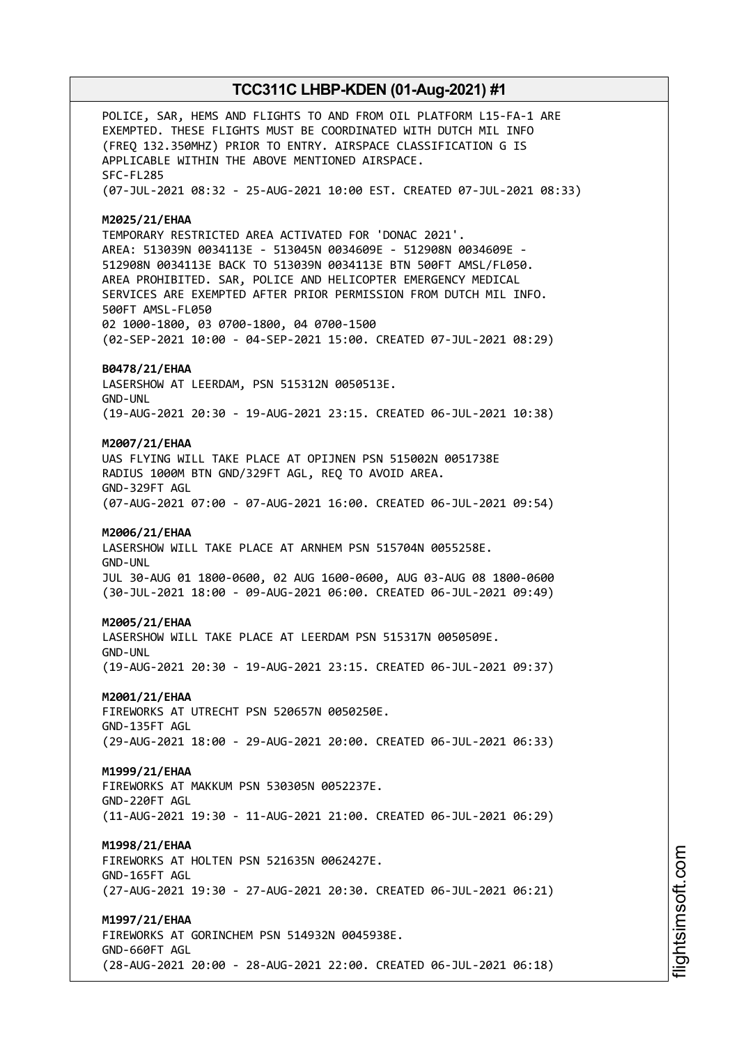POLICE, SAR, HEMS AND FLIGHTS TO AND FROM OIL PLATFORM L15-FA-1 ARE EXEMPTED. THESE FLIGHTS MUST BE COORDINATED WITH DUTCH MIL INFO (FREQ 132.350MHZ) PRIOR TO ENTRY. AIRSPACE CLASSIFICATION G IS APPLICABLE WITHIN THE ABOVE MENTIONED AIRSPACE. SFC-FL285 (07-JUL-2021 08:32 - 25-AUG-2021 10:00 EST. CREATED 07-JUL-2021 08:33) **M2025/21/EHAA** TEMPORARY RESTRICTED AREA ACTIVATED FOR 'DONAC 2021'. AREA: 513039N 0034113E - 513045N 0034609E - 512908N 0034609E - 512908N 0034113E BACK TO 513039N 0034113E BTN 500FT AMSL/FL050. AREA PROHIBITED. SAR, POLICE AND HELICOPTER EMERGENCY MEDICAL SERVICES ARE EXEMPTED AFTER PRIOR PERMISSION FROM DUTCH MIL INFO. 500FT AMSL-FL050 02 1000-1800, 03 0700-1800, 04 0700-1500 (02-SEP-2021 10:00 - 04-SEP-2021 15:00. CREATED 07-JUL-2021 08:29) **B0478/21/EHAA** LASERSHOW AT LEERDAM, PSN 515312N 0050513E. GND-UNL (19-AUG-2021 20:30 - 19-AUG-2021 23:15. CREATED 06-JUL-2021 10:38) **M2007/21/EHAA** UAS FLYING WILL TAKE PLACE AT OPIJNEN PSN 515002N 0051738E RADIUS 1000M BTN GND/329FT AGL, REQ TO AVOID AREA. GND-329FT AGL (07-AUG-2021 07:00 - 07-AUG-2021 16:00. CREATED 06-JUL-2021 09:54) **M2006/21/EHAA** LASERSHOW WILL TAKE PLACE AT ARNHEM PSN 515704N 0055258E. GND-UNL JUL 30-AUG 01 1800-0600, 02 AUG 1600-0600, AUG 03-AUG 08 1800-0600 (30-JUL-2021 18:00 - 09-AUG-2021 06:00. CREATED 06-JUL-2021 09:49) **M2005/21/EHAA** LASERSHOW WILL TAKE PLACE AT LEERDAM PSN 515317N 0050509E. GND-UNL (19-AUG-2021 20:30 - 19-AUG-2021 23:15. CREATED 06-JUL-2021 09:37) **M2001/21/EHAA** FIREWORKS AT UTRECHT PSN 520657N 0050250E. GND-135FT AGL (29-AUG-2021 18:00 - 29-AUG-2021 20:00. CREATED 06-JUL-2021 06:33) **M1999/21/EHAA** FIREWORKS AT MAKKUM PSN 530305N 0052237E. GND-220FT AGL (11-AUG-2021 19:30 - 11-AUG-2021 21:00. CREATED 06-JUL-2021 06:29) **M1998/21/EHAA** FIREWORKS AT HOLTEN PSN 521635N 0062427E. GND-165FT AGL (27-AUG-2021 19:30 - 27-AUG-2021 20:30. CREATED 06-JUL-2021 06:21) **M1997/21/EHAA** FIREWORKS AT GORINCHEM PSN 514932N 0045938E. GND-660FT AGL (28-AUG-2021 20:00 - 28-AUG-2021 22:00. CREATED 06-JUL-2021 06:18)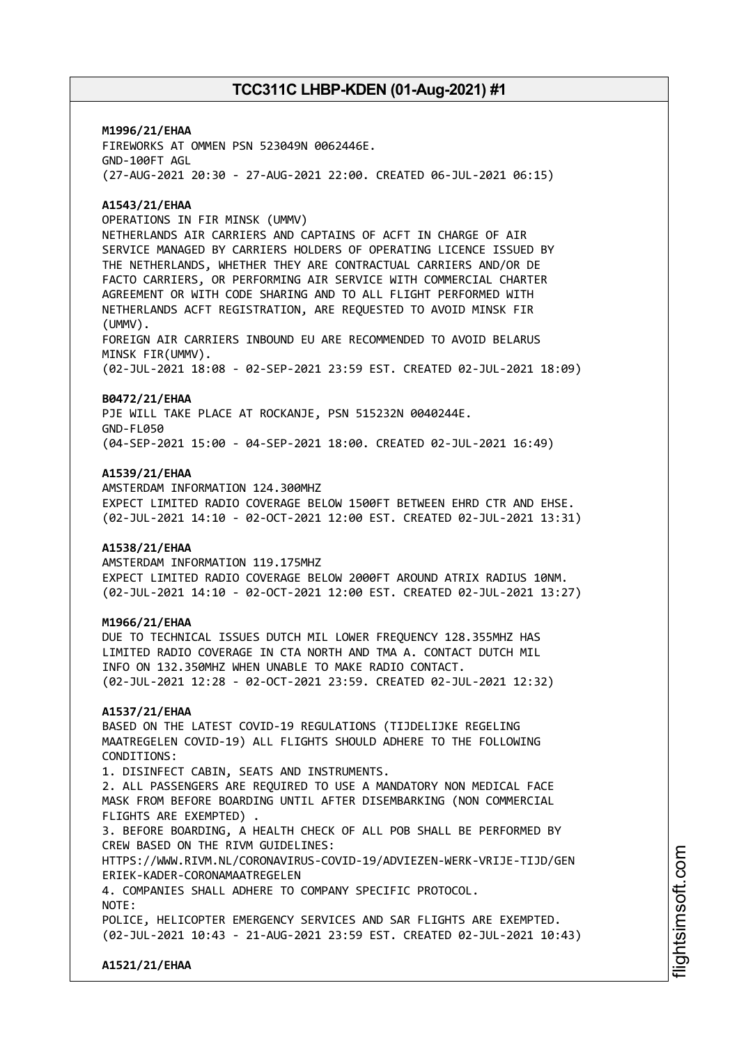**M1996/21/EHAA** FIREWORKS AT OMMEN PSN 523049N 0062446E. GND-100FT AGL (27-AUG-2021 20:30 - 27-AUG-2021 22:00. CREATED 06-JUL-2021 06:15)

### **A1543/21/EHAA**

OPERATIONS IN FIR MINSK (UMMV)

NETHERLANDS AIR CARRIERS AND CAPTAINS OF ACFT IN CHARGE OF AIR SERVICE MANAGED BY CARRIERS HOLDERS OF OPERATING LICENCE ISSUED BY THE NETHERLANDS, WHETHER THEY ARE CONTRACTUAL CARRIERS AND/OR DE FACTO CARRIERS, OR PERFORMING AIR SERVICE WITH COMMERCIAL CHARTER AGREEMENT OR WITH CODE SHARING AND TO ALL FLIGHT PERFORMED WITH NETHERLANDS ACFT REGISTRATION, ARE REQUESTED TO AVOID MINSK FIR (UMMV).

FOREIGN AIR CARRIERS INBOUND EU ARE RECOMMENDED TO AVOID BELARUS MINSK FIR(UMMV).

(02-JUL-2021 18:08 - 02-SEP-2021 23:59 EST. CREATED 02-JUL-2021 18:09)

#### **B0472/21/EHAA**

PJE WILL TAKE PLACE AT ROCKANJE, PSN 515232N 0040244E. GND-FL050 (04-SEP-2021 15:00 - 04-SEP-2021 18:00. CREATED 02-JUL-2021 16:49)

#### **A1539/21/EHAA**

AMSTERDAM INFORMATION 124.300MHZ EXPECT LIMITED RADIO COVERAGE BELOW 1500FT BETWEEN EHRD CTR AND EHSE. (02-JUL-2021 14:10 - 02-OCT-2021 12:00 EST. CREATED 02-JUL-2021 13:31)

### **A1538/21/EHAA**

AMSTERDAM INFORMATION 119.175MHZ EXPECT LIMITED RADIO COVERAGE BELOW 2000FT AROUND ATRIX RADIUS 10NM. (02-JUL-2021 14:10 - 02-OCT-2021 12:00 EST. CREATED 02-JUL-2021 13:27)

#### **M1966/21/EHAA**

DUE TO TECHNICAL ISSUES DUTCH MIL LOWER FREQUENCY 128.355MHZ HAS LIMITED RADIO COVERAGE IN CTA NORTH AND TMA A. CONTACT DUTCH MIL INFO ON 132.350MHZ WHEN UNABLE TO MAKE RADIO CONTACT. (02-JUL-2021 12:28 - 02-OCT-2021 23:59. CREATED 02-JUL-2021 12:32)

#### **A1537/21/EHAA**

BASED ON THE LATEST COVID-19 REGULATIONS (TIJDELIJKE REGELING MAATREGELEN COVID-19) ALL FLIGHTS SHOULD ADHERE TO THE FOLLOWING CONDITIONS:

1. DISINFECT CABIN, SEATS AND INSTRUMENTS. 2. ALL PASSENGERS ARE REQUIRED TO USE A MANDATORY NON MEDICAL FACE MASK FROM BEFORE BOARDING UNTIL AFTER DISEMBARKING (NON COMMERCIAL FLIGHTS ARE EXEMPTED) .

3. BEFORE BOARDING, A HEALTH CHECK OF ALL POB SHALL BE PERFORMED BY CREW BASED ON THE RIVM GUIDELINES:

HTTPS://WWW.RIVM.NL/CORONAVIRUS-COVID-19/ADVIEZEN-WERK-VRIJE-TIJD/GEN ERIEK-KADER-CORONAMAATREGELEN

4. COMPANIES SHALL ADHERE TO COMPANY SPECIFIC PROTOCOL.

NOTE:

POLICE, HELICOPTER EMERGENCY SERVICES AND SAR FLIGHTS ARE EXEMPTED. (02-JUL-2021 10:43 - 21-AUG-2021 23:59 EST. CREATED 02-JUL-2021 10:43)

**A1521/21/EHAA**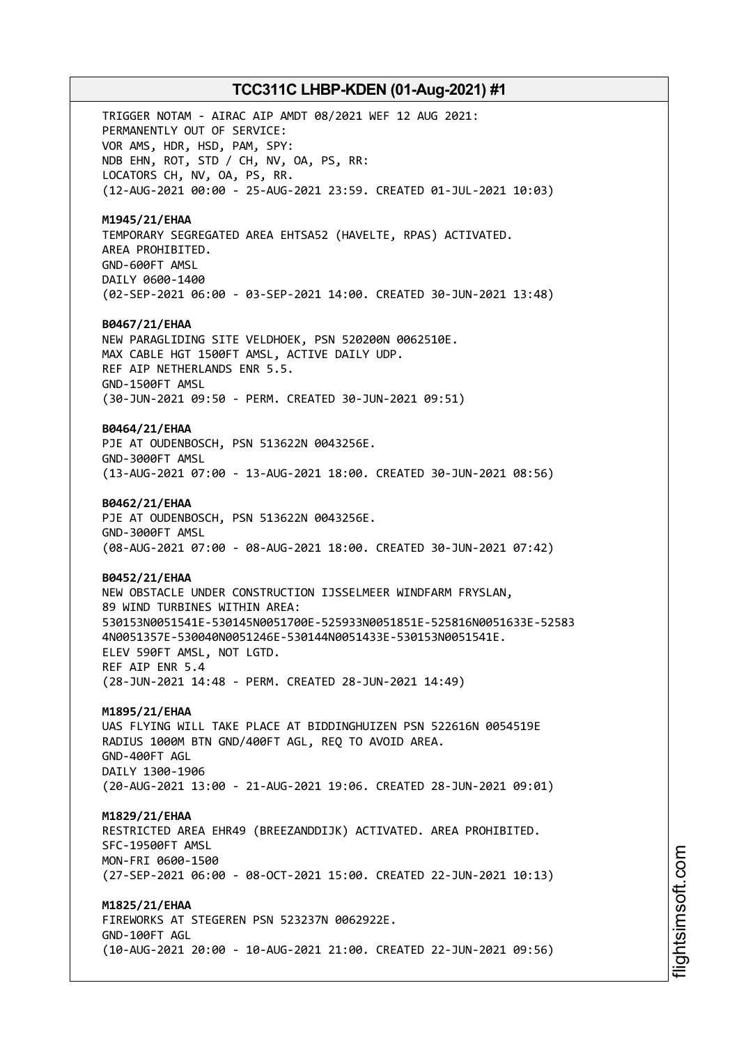TRIGGER NOTAM - AIRAC AIP AMDT 08/2021 WEF 12 AUG 2021: PERMANENTLY OUT OF SERVICE: VOR AMS, HDR, HSD, PAM, SPY: NDB EHN, ROT, STD / CH, NV, OA, PS, RR: LOCATORS CH, NV, OA, PS, RR. (12-AUG-2021 00:00 - 25-AUG-2021 23:59. CREATED 01-JUL-2021 10:03) **M1945/21/EHAA** TEMPORARY SEGREGATED AREA EHTSA52 (HAVELTE, RPAS) ACTIVATED. AREA PROHIBITED. GND-600FT AMSL DAILY 0600-1400 (02-SEP-2021 06:00 - 03-SEP-2021 14:00. CREATED 30-JUN-2021 13:48) **B0467/21/EHAA** NEW PARAGLIDING SITE VELDHOEK, PSN 520200N 0062510E. MAX CABLE HGT 1500FT AMSL, ACTIVE DAILY UDP. REF AIP NETHERLANDS ENR 5.5. GND-1500FT AMSL (30-JUN-2021 09:50 - PERM. CREATED 30-JUN-2021 09:51) **B0464/21/EHAA** PJE AT OUDENBOSCH, PSN 513622N 0043256E. GND-3000FT AMSL (13-AUG-2021 07:00 - 13-AUG-2021 18:00. CREATED 30-JUN-2021 08:56) **B0462/21/EHAA** PJE AT OUDENBOSCH, PSN 513622N 0043256E. GND-3000FT AMSL (08-AUG-2021 07:00 - 08-AUG-2021 18:00. CREATED 30-JUN-2021 07:42) **B0452/21/EHAA** NEW OBSTACLE UNDER CONSTRUCTION IJSSELMEER WINDFARM FRYSLAN, 89 WIND TURBINES WITHIN AREA: 530153N0051541E-530145N0051700E-525933N0051851E-525816N0051633E-52583 4N0051357E-530040N0051246E-530144N0051433E-530153N0051541E. ELEV 590FT AMSL, NOT LGTD. REF AIP ENR 5.4 (28-JUN-2021 14:48 - PERM. CREATED 28-JUN-2021 14:49) **M1895/21/EHAA** UAS FLYING WILL TAKE PLACE AT BIDDINGHUIZEN PSN 522616N 0054519E RADIUS 1000M BTN GND/400FT AGL, REQ TO AVOID AREA. GND-400FT AGL DAILY 1300-1906 (20-AUG-2021 13:00 - 21-AUG-2021 19:06. CREATED 28-JUN-2021 09:01) **M1829/21/EHAA** RESTRICTED AREA EHR49 (BREEZANDDIJK) ACTIVATED. AREA PROHIBITED. SFC-19500FT AMSL MON-FRI 0600-1500 (27-SEP-2021 06:00 - 08-OCT-2021 15:00. CREATED 22-JUN-2021 10:13) **M1825/21/EHAA** FIREWORKS AT STEGEREN PSN 523237N 0062922E. GND-100FT AGL

(10-AUG-2021 20:00 - 10-AUG-2021 21:00. CREATED 22-JUN-2021 09:56)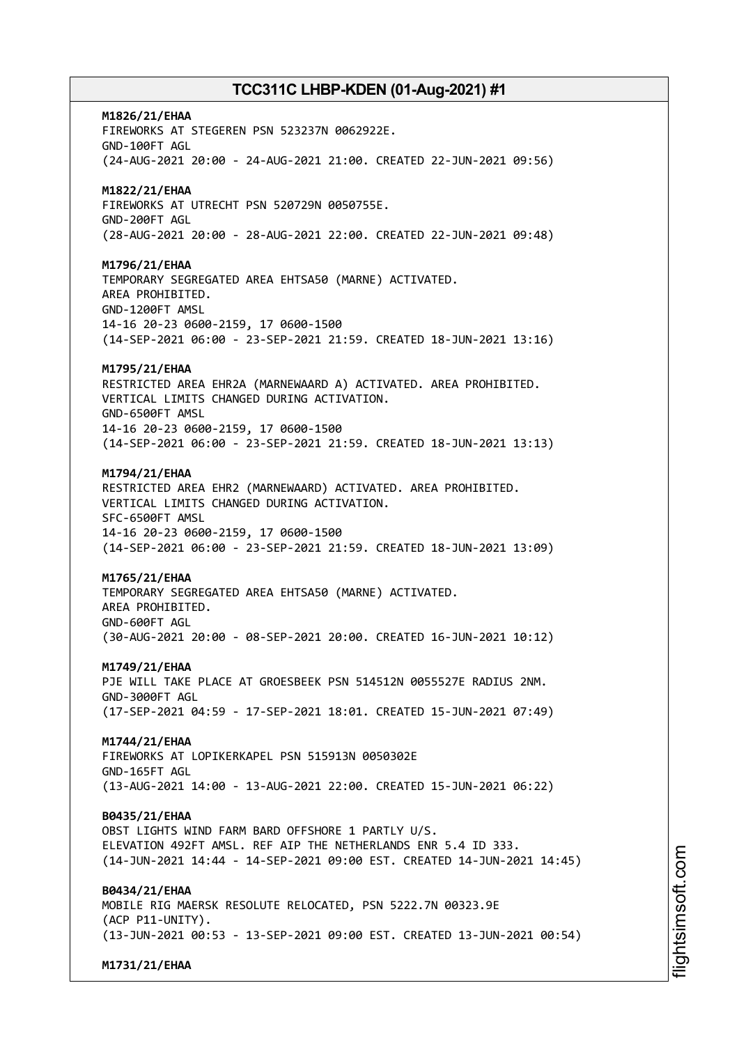**M1826/21/EHAA** FIREWORKS AT STEGEREN PSN 523237N 0062922E. GND-100FT AGL (24-AUG-2021 20:00 - 24-AUG-2021 21:00. CREATED 22-JUN-2021 09:56) **M1822/21/EHAA** FIREWORKS AT UTRECHT PSN 520729N 0050755E. GND-200FT AGL (28-AUG-2021 20:00 - 28-AUG-2021 22:00. CREATED 22-JUN-2021 09:48) **M1796/21/EHAA** TEMPORARY SEGREGATED AREA EHTSA50 (MARNE) ACTIVATED. AREA PROHIBITED. GND-1200FT AMSL 14-16 20-23 0600-2159, 17 0600-1500 (14-SEP-2021 06:00 - 23-SEP-2021 21:59. CREATED 18-JUN-2021 13:16) **M1795/21/EHAA** RESTRICTED AREA EHR2A (MARNEWAARD A) ACTIVATED. AREA PROHIBITED. VERTICAL LIMITS CHANGED DURING ACTIVATION. GND-6500FT AMSL 14-16 20-23 0600-2159, 17 0600-1500 (14-SEP-2021 06:00 - 23-SEP-2021 21:59. CREATED 18-JUN-2021 13:13) **M1794/21/EHAA** RESTRICTED AREA EHR2 (MARNEWAARD) ACTIVATED. AREA PROHIBITED. VERTICAL LIMITS CHANGED DURING ACTIVATION. SFC-6500FT AMSL 14-16 20-23 0600-2159, 17 0600-1500 (14-SEP-2021 06:00 - 23-SEP-2021 21:59. CREATED 18-JUN-2021 13:09) **M1765/21/EHAA** TEMPORARY SEGREGATED AREA EHTSA50 (MARNE) ACTIVATED. AREA PROHIBITED. GND-600FT AGL (30-AUG-2021 20:00 - 08-SEP-2021 20:00. CREATED 16-JUN-2021 10:12) **M1749/21/EHAA** PJE WILL TAKE PLACE AT GROESBEEK PSN 514512N 0055527E RADIUS 2NM. GND-3000FT AGL (17-SEP-2021 04:59 - 17-SEP-2021 18:01. CREATED 15-JUN-2021 07:49) **M1744/21/EHAA** FIREWORKS AT LOPIKERKAPEL PSN 515913N 0050302E GND-165FT AGL (13-AUG-2021 14:00 - 13-AUG-2021 22:00. CREATED 15-JUN-2021 06:22) **B0435/21/EHAA** OBST LIGHTS WIND FARM BARD OFFSHORE 1 PARTLY U/S. ELEVATION 492FT AMSL. REF AIP THE NETHERLANDS ENR 5.4 ID 333. (14-JUN-2021 14:44 - 14-SEP-2021 09:00 EST. CREATED 14-JUN-2021 14:45) **B0434/21/EHAA** MOBILE RIG MAERSK RESOLUTE RELOCATED, PSN 5222.7N 00323.9E (ACP P11-UNITY). (13-JUN-2021 00:53 - 13-SEP-2021 09:00 EST. CREATED 13-JUN-2021 00:54)

**M1731/21/EHAA**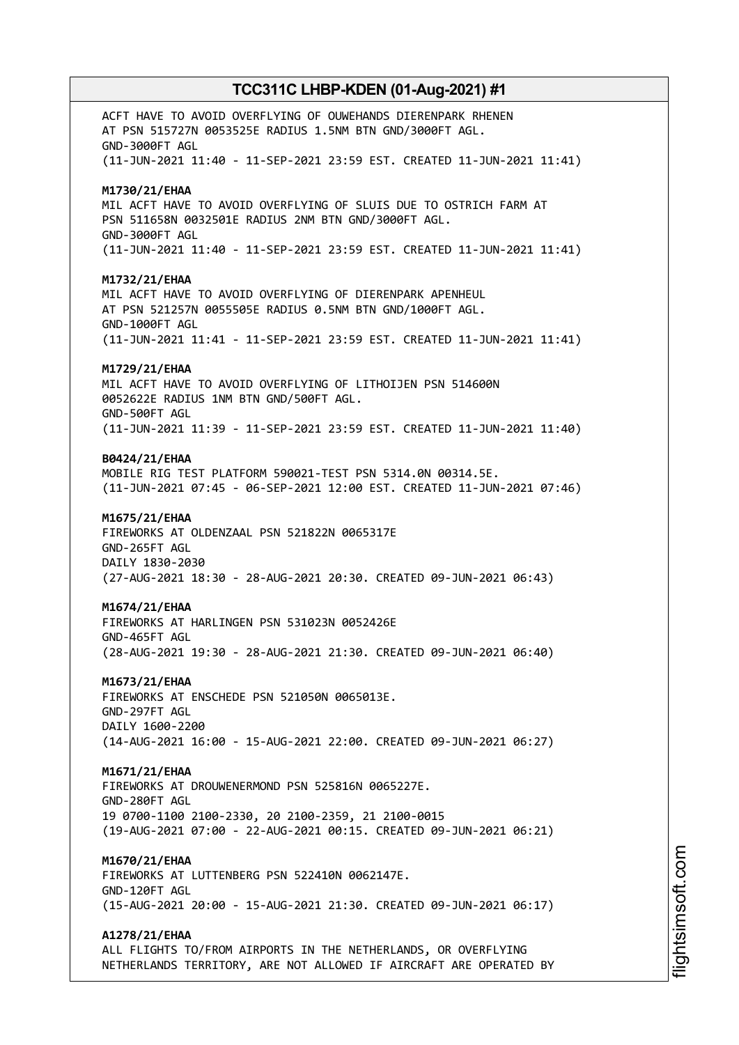ACFT HAVE TO AVOID OVERFLYING OF OUWEHANDS DIERENPARK RHENEN AT PSN 515727N 0053525E RADIUS 1.5NM BTN GND/3000FT AGL. GND-3000FT AGL (11-JUN-2021 11:40 - 11-SEP-2021 23:59 EST. CREATED 11-JUN-2021 11:41) **M1730/21/EHAA** MIL ACFT HAVE TO AVOID OVERFLYING OF SLUIS DUE TO OSTRICH FARM AT PSN 511658N 0032501E RADIUS 2NM BTN GND/3000FT AGL. GND-3000FT AGL (11-JUN-2021 11:40 - 11-SEP-2021 23:59 EST. CREATED 11-JUN-2021 11:41) **M1732/21/EHAA** MIL ACFT HAVE TO AVOID OVERFLYING OF DIERENPARK APENHEUL AT PSN 521257N 0055505E RADIUS 0.5NM BTN GND/1000FT AGL. GND-1000FT AGL (11-JUN-2021 11:41 - 11-SEP-2021 23:59 EST. CREATED 11-JUN-2021 11:41) **M1729/21/EHAA** MIL ACFT HAVE TO AVOID OVERFLYING OF LITHOIJEN PSN 514600N 0052622E RADIUS 1NM BTN GND/500FT AGL. GND-500FT AGL (11-JUN-2021 11:39 - 11-SEP-2021 23:59 EST. CREATED 11-JUN-2021 11:40) **B0424/21/EHAA** MOBILE RIG TEST PLATFORM 590021-TEST PSN 5314.0N 00314.5E. (11-JUN-2021 07:45 - 06-SEP-2021 12:00 EST. CREATED 11-JUN-2021 07:46) **M1675/21/EHAA** FIREWORKS AT OLDENZAAL PSN 521822N 0065317E GND-265FT AGL DAILY 1830-2030 (27-AUG-2021 18:30 - 28-AUG-2021 20:30. CREATED 09-JUN-2021 06:43) **M1674/21/EHAA** FIREWORKS AT HARLINGEN PSN 531023N 0052426E GND-465FT AGL (28-AUG-2021 19:30 - 28-AUG-2021 21:30. CREATED 09-JUN-2021 06:40) **M1673/21/EHAA** FIREWORKS AT ENSCHEDE PSN 521050N 0065013E. GND-297FT AGL DAILY 1600-2200 (14-AUG-2021 16:00 - 15-AUG-2021 22:00. CREATED 09-JUN-2021 06:27) **M1671/21/EHAA** FIREWORKS AT DROUWENERMOND PSN 525816N 0065227E. GND-280FT AGL 19 0700-1100 2100-2330, 20 2100-2359, 21 2100-0015 (19-AUG-2021 07:00 - 22-AUG-2021 00:15. CREATED 09-JUN-2021 06:21) **M1670/21/EHAA** FIREWORKS AT LUTTENBERG PSN 522410N 0062147E. GND-120FT AGL (15-AUG-2021 20:00 - 15-AUG-2021 21:30. CREATED 09-JUN-2021 06:17) **A1278/21/EHAA** ALL FLIGHTS TO/FROM AIRPORTS IN THE NETHERLANDS, OR OVERFLYING NETHERLANDS TERRITORY, ARE NOT ALLOWED IF AIRCRAFT ARE OPERATED BY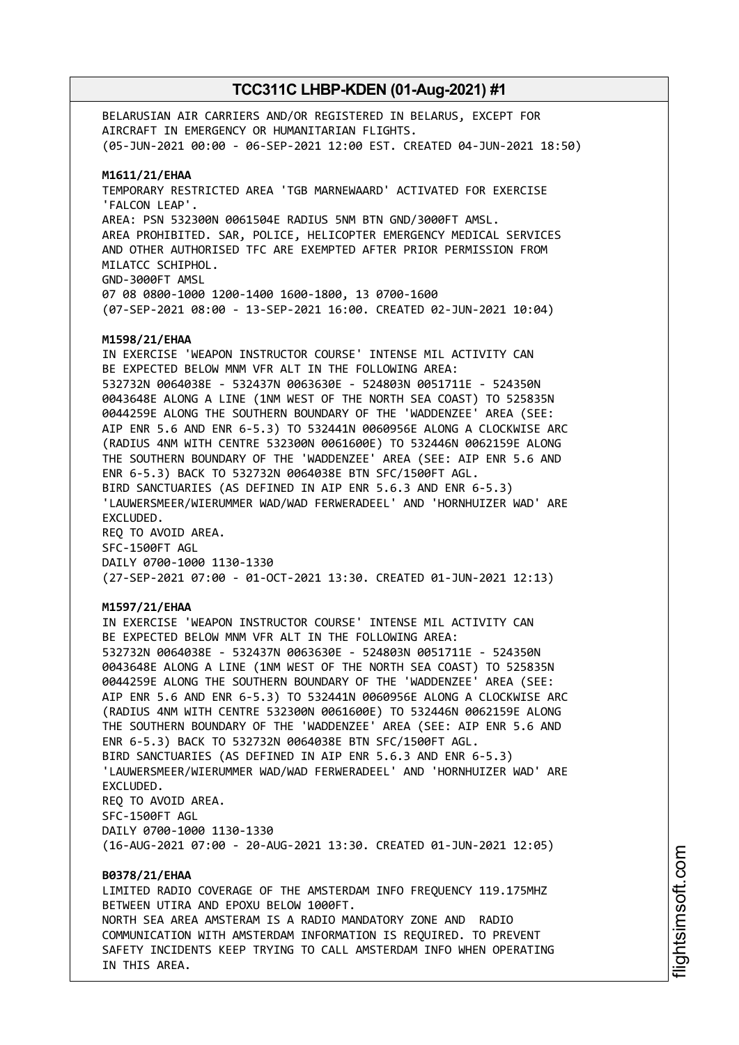BELARUSIAN AIR CARRIERS AND/OR REGISTERED IN BELARUS, EXCEPT FOR AIRCRAFT IN EMERGENCY OR HUMANITARIAN FLIGHTS. (05-JUN-2021 00:00 - 06-SEP-2021 12:00 EST. CREATED 04-JUN-2021 18:50) **M1611/21/EHAA** TEMPORARY RESTRICTED AREA 'TGB MARNEWAARD' ACTIVATED FOR EXERCISE 'FALCON LEAP'. AREA: PSN 532300N 0061504E RADIUS 5NM BTN GND/3000FT AMSL. AREA PROHIBITED. SAR, POLICE, HELICOPTER EMERGENCY MEDICAL SERVICES AND OTHER AUTHORISED TFC ARE EXEMPTED AFTER PRIOR PERMISSION FROM MILATCC SCHIPHOL. GND-3000FT AMSL 07 08 0800-1000 1200-1400 1600-1800, 13 0700-1600 (07-SEP-2021 08:00 - 13-SEP-2021 16:00. CREATED 02-JUN-2021 10:04) **M1598/21/EHAA** IN EXERCISE 'WEAPON INSTRUCTOR COURSE' INTENSE MIL ACTIVITY CAN BE EXPECTED BELOW MNM VFR ALT IN THE FOLLOWING AREA: 532732N 0064038E - 532437N 0063630E - 524803N 0051711E - 524350N 0043648E ALONG A LINE (1NM WEST OF THE NORTH SEA COAST) TO 525835N 0044259E ALONG THE SOUTHERN BOUNDARY OF THE 'WADDENZEE' AREA (SEE: AIP ENR 5.6 AND ENR 6-5.3) TO 532441N 0060956E ALONG A CLOCKWISE ARC (RADIUS 4NM WITH CENTRE 532300N 0061600E) TO 532446N 0062159E ALONG THE SOUTHERN BOUNDARY OF THE 'WADDENZEE' AREA (SEE: AIP ENR 5.6 AND ENR 6-5.3) BACK TO 532732N 0064038E BTN SFC/1500FT AGL. BIRD SANCTUARIES (AS DEFINED IN AIP ENR 5.6.3 AND ENR 6-5.3) 'LAUWERSMEER/WIERUMMER WAD/WAD FERWERADEEL' AND 'HORNHUIZER WAD' ARE EXCLUDED. REQ TO AVOID AREA. SFC-1500FT AGL DAILY 0700-1000 1130-1330 (27-SEP-2021 07:00 - 01-OCT-2021 13:30. CREATED 01-JUN-2021 12:13) **M1597/21/EHAA** IN EXERCISE 'WEAPON INSTRUCTOR COURSE' INTENSE MIL ACTIVITY CAN BE EXPECTED BELOW MNM VFR ALT IN THE FOLLOWING AREA: 532732N 0064038E - 532437N 0063630E - 524803N 0051711E - 524350N 0043648E ALONG A LINE (1NM WEST OF THE NORTH SEA COAST) TO 525835N 0044259E ALONG THE SOUTHERN BOUNDARY OF THE 'WADDENZEE' AREA (SEE: AIP ENR 5.6 AND ENR 6-5.3) TO 532441N 0060956E ALONG A CLOCKWISE ARC (RADIUS 4NM WITH CENTRE 532300N 0061600E) TO 532446N 0062159E ALONG THE SOUTHERN BOUNDARY OF THE 'WADDENZEE' AREA (SEE: AIP ENR 5.6 AND ENR 6-5.3) BACK TO 532732N 0064038E BTN SFC/1500FT AGL. BIRD SANCTUARIES (AS DEFINED IN AIP ENR 5.6.3 AND ENR 6-5.3) 'LAUWERSMEER/WIERUMMER WAD/WAD FERWERADEEL' AND 'HORNHUIZER WAD' ARE EXCLUDED. REQ TO AVOID AREA. SFC-1500FT AGL DAILY 0700-1000 1130-1330 (16-AUG-2021 07:00 - 20-AUG-2021 13:30. CREATED 01-JUN-2021 12:05) **B0378/21/EHAA** LIMITED RADIO COVERAGE OF THE AMSTERDAM INFO FREQUENCY 119.175MHZ BETWEEN UTIRA AND EPOXU BELOW 1000FT. NORTH SEA AREA AMSTERAM IS A RADIO MANDATORY ZONE AND RADIO COMMUNICATION WITH AMSTERDAM INFORMATION IS REQUIRED. TO PREVENT

SAFETY INCIDENTS KEEP TRYING TO CALL AMSTERDAM INFO WHEN OPERATING

IN THIS AREA.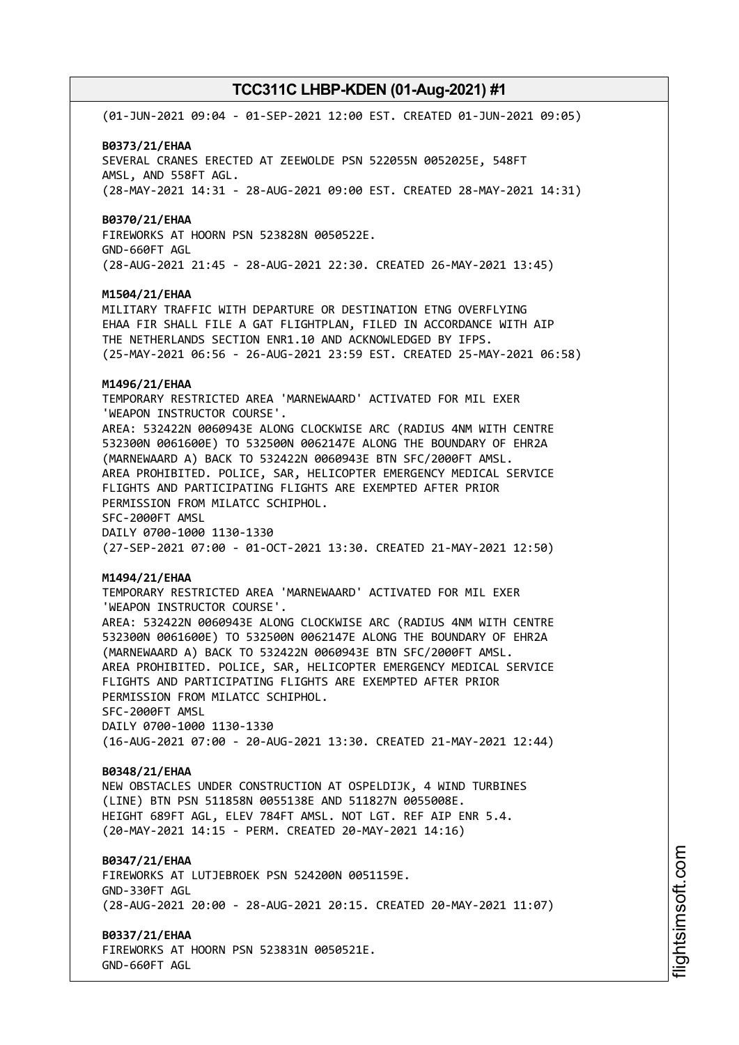(01-JUN-2021 09:04 - 01-SEP-2021 12:00 EST. CREATED 01-JUN-2021 09:05)

#### **B0373/21/EHAA**

SEVERAL CRANES ERECTED AT ZEEWOLDE PSN 522055N 0052025E, 548FT AMSL, AND 558FT AGL. (28-MAY-2021 14:31 - 28-AUG-2021 09:00 EST. CREATED 28-MAY-2021 14:31)

#### **B0370/21/EHAA**

FIREWORKS AT HOORN PSN 523828N 0050522E. GND-660FT AGL (28-AUG-2021 21:45 - 28-AUG-2021 22:30. CREATED 26-MAY-2021 13:45)

#### **M1504/21/EHAA**

MILITARY TRAFFIC WITH DEPARTURE OR DESTINATION ETNG OVERFLYING EHAA FIR SHALL FILE A GAT FLIGHTPLAN, FILED IN ACCORDANCE WITH AIP THE NETHERLANDS SECTION ENR1.10 AND ACKNOWLEDGED BY IFPS. (25-MAY-2021 06:56 - 26-AUG-2021 23:59 EST. CREATED 25-MAY-2021 06:58)

#### **M1496/21/EHAA**

TEMPORARY RESTRICTED AREA 'MARNEWAARD' ACTIVATED FOR MIL EXER 'WEAPON INSTRUCTOR COURSE'. AREA: 532422N 0060943E ALONG CLOCKWISE ARC (RADIUS 4NM WITH CENTRE 532300N 0061600E) TO 532500N 0062147E ALONG THE BOUNDARY OF EHR2A (MARNEWAARD A) BACK TO 532422N 0060943E BTN SFC/2000FT AMSL.

AREA PROHIBITED. POLICE, SAR, HELICOPTER EMERGENCY MEDICAL SERVICE FLIGHTS AND PARTICIPATING FLIGHTS ARE EXEMPTED AFTER PRIOR PERMISSION FROM MILATCC SCHIPHOL. SFC-2000FT AMSL

DAILY 0700-1000 1130-1330 (27-SEP-2021 07:00 - 01-OCT-2021 13:30. CREATED 21-MAY-2021 12:50)

#### **M1494/21/EHAA**

TEMPORARY RESTRICTED AREA 'MARNEWAARD' ACTIVATED FOR MIL EXER 'WEAPON INSTRUCTOR COURSE'. AREA: 532422N 0060943E ALONG CLOCKWISE ARC (RADIUS 4NM WITH CENTRE 532300N 0061600E) TO 532500N 0062147E ALONG THE BOUNDARY OF EHR2A (MARNEWAARD A) BACK TO 532422N 0060943E BTN SFC/2000FT AMSL. AREA PROHIBITED. POLICE, SAR, HELICOPTER EMERGENCY MEDICAL SERVICE FLIGHTS AND PARTICIPATING FLIGHTS ARE EXEMPTED AFTER PRIOR PERMISSION FROM MILATCC SCHIPHOL. SFC-2000FT AMSL DAILY 0700-1000 1130-1330 (16-AUG-2021 07:00 - 20-AUG-2021 13:30. CREATED 21-MAY-2021 12:44)

#### **B0348/21/EHAA**

NEW OBSTACLES UNDER CONSTRUCTION AT OSPELDIJK, 4 WIND TURBINES (LINE) BTN PSN 511858N 0055138E AND 511827N 0055008E. HEIGHT 689FT AGL, ELEV 784FT AMSL. NOT LGT. REF AIP ENR 5.4. (20-MAY-2021 14:15 - PERM. CREATED 20-MAY-2021 14:16)

#### **B0347/21/EHAA**

FIREWORKS AT LUTJEBROEK PSN 524200N 0051159E. GND-330FT AGL (28-AUG-2021 20:00 - 28-AUG-2021 20:15. CREATED 20-MAY-2021 11:07)

**B0337/21/EHAA**

FIREWORKS AT HOORN PSN 523831N 0050521E. GND-660FT AGL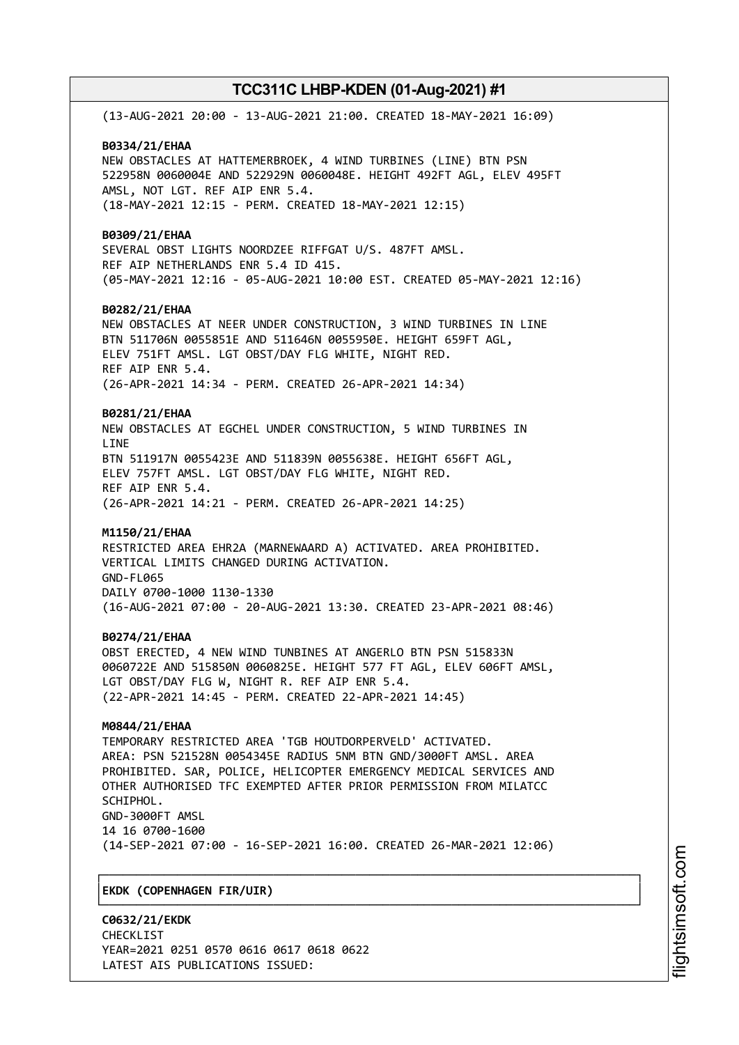(13-AUG-2021 20:00 - 13-AUG-2021 21:00. CREATED 18-MAY-2021 16:09) **B0334/21/EHAA** NEW OBSTACLES AT HATTEMERBROEK, 4 WIND TURBINES (LINE) BTN PSN 522958N 0060004E AND 522929N 0060048E. HEIGHT 492FT AGL, ELEV 495FT AMSL, NOT LGT. REF AIP ENR 5.4. (18-MAY-2021 12:15 - PERM. CREATED 18-MAY-2021 12:15) **B0309/21/EHAA** SEVERAL OBST LIGHTS NOORDZEE RIFFGAT U/S. 487FT AMSL. REF AIP NETHERLANDS ENR 5.4 ID 415. (05-MAY-2021 12:16 - 05-AUG-2021 10:00 EST. CREATED 05-MAY-2021 12:16) **B0282/21/EHAA** NEW OBSTACLES AT NEER UNDER CONSTRUCTION, 3 WIND TURBINES IN LINE BTN 511706N 0055851E AND 511646N 0055950E. HEIGHT 659FT AGL, ELEV 751FT AMSL. LGT OBST/DAY FLG WHITE, NIGHT RED. REF AIP ENR 5.4. (26-APR-2021 14:34 - PERM. CREATED 26-APR-2021 14:34) **B0281/21/EHAA** NEW OBSTACLES AT EGCHEL UNDER CONSTRUCTION, 5 WIND TURBINES IN **LTNF** BTN 511917N 0055423E AND 511839N 0055638E. HEIGHT 656FT AGL, ELEV 757FT AMSL. LGT OBST/DAY FLG WHITE, NIGHT RED. REF AIP ENR 5.4. (26-APR-2021 14:21 - PERM. CREATED 26-APR-2021 14:25) **M1150/21/EHAA** RESTRICTED AREA EHR2A (MARNEWAARD A) ACTIVATED. AREA PROHIBITED. VERTICAL LIMITS CHANGED DURING ACTIVATION. GND-FL065 DAILY 0700-1000 1130-1330 (16-AUG-2021 07:00 - 20-AUG-2021 13:30. CREATED 23-APR-2021 08:46) **B0274/21/EHAA** OBST ERECTED, 4 NEW WIND TUNBINES AT ANGERLO BTN PSN 515833N 0060722E AND 515850N 0060825E. HEIGHT 577 FT AGL, ELEV 606FT AMSL, LGT OBST/DAY FLG W, NIGHT R. REF AIP ENR 5.4. (22-APR-2021 14:45 - PERM. CREATED 22-APR-2021 14:45) **M0844/21/EHAA** TEMPORARY RESTRICTED AREA 'TGB HOUTDORPERVELD' ACTIVATED. AREA: PSN 521528N 0054345E RADIUS 5NM BTN GND/3000FT AMSL. AREA PROHIBITED. SAR, POLICE, HELICOPTER EMERGENCY MEDICAL SERVICES AND OTHER AUTHORISED TFC EXEMPTED AFTER PRIOR PERMISSION FROM MILATCC SCHIPHOL. GND-3000FT AMSL 14 16 0700-1600 (14-SEP-2021 07:00 - 16-SEP-2021 16:00. CREATED 26-MAR-2021 12:06) ┌──────────────────────────────────────────────────────────────────────────────┐ │**EKDK (COPENHAGEN FIR/UIR)** │

└──────────────────────────────────────────────────────────────────────────────┘

**C0632/21/EKDK** CHECKL<sub>TST</sub> YEAR=2021 0251 0570 0616 0617 0618 0622 LATEST AIS PUBLICATIONS ISSUED: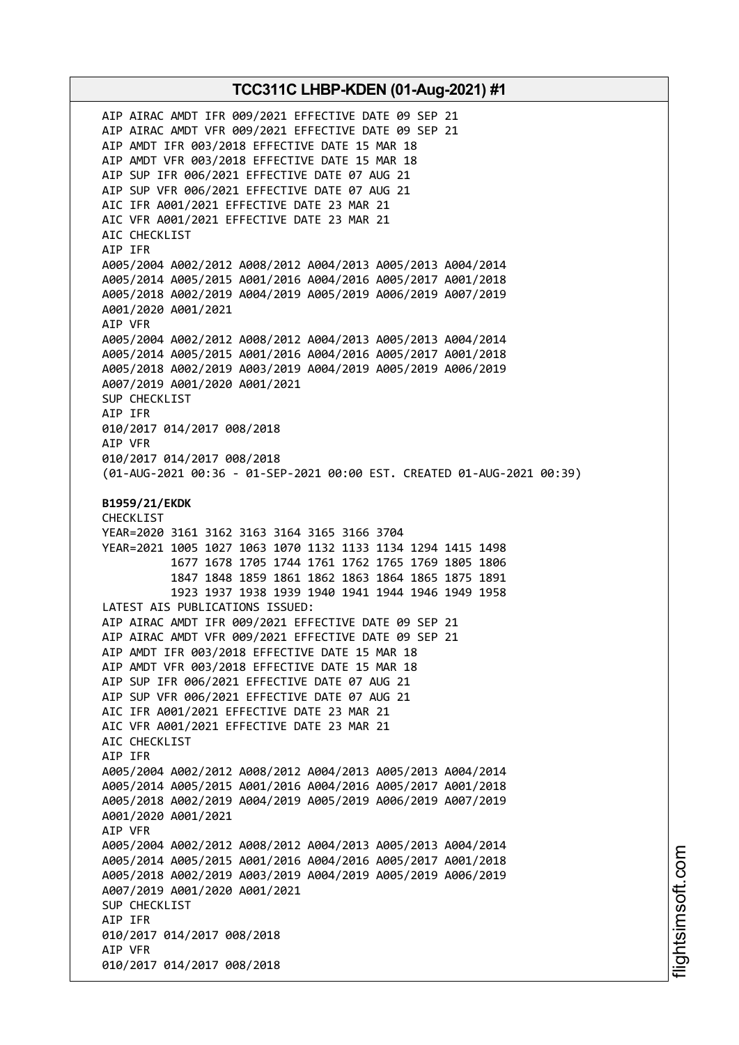AIP AIRAC AMDT IFR 009/2021 EFFECTIVE DATE 09 SEP 21 AIP AIRAC AMDT VFR 009/2021 EFFECTIVE DATE 09 SEP 21 AIP AMDT IFR 003/2018 EFFECTIVE DATE 15 MAR 18 AIP AMDT VFR 003/2018 EFFECTIVE DATE 15 MAR 18 AIP SUP IFR 006/2021 EFFECTIVE DATE 07 AUG 21 AIP SUP VFR 006/2021 EFFECTIVE DATE 07 AUG 21 AIC IFR A001/2021 EFFECTIVE DATE 23 MAR 21 AIC VFR A001/2021 EFFECTIVE DATE 23 MAR 21 AIC CHECKLIST AIP IFR A005/2004 A002/2012 A008/2012 A004/2013 A005/2013 A004/2014 A005/2014 A005/2015 A001/2016 A004/2016 A005/2017 A001/2018 A005/2018 A002/2019 A004/2019 A005/2019 A006/2019 A007/2019 A001/2020 A001/2021 AIP VFR A005/2004 A002/2012 A008/2012 A004/2013 A005/2013 A004/2014 A005/2014 A005/2015 A001/2016 A004/2016 A005/2017 A001/2018 A005/2018 A002/2019 A003/2019 A004/2019 A005/2019 A006/2019 A007/2019 A001/2020 A001/2021 SUP CHECKLIST AIP IFR 010/2017 014/2017 008/2018 AIP VFR 010/2017 014/2017 008/2018 (01-AUG-2021 00:36 - 01-SEP-2021 00:00 EST. CREATED 01-AUG-2021 00:39) **B1959/21/EKDK** CHECKLIST YEAR=2020 3161 3162 3163 3164 3165 3166 3704 YEAR=2021 1005 1027 1063 1070 1132 1133 1134 1294 1415 1498 1677 1678 1705 1744 1761 1762 1765 1769 1805 1806 1847 1848 1859 1861 1862 1863 1864 1865 1875 1891 1923 1937 1938 1939 1940 1941 1944 1946 1949 1958 LATEST AIS PUBLICATIONS ISSUED: AIP AIRAC AMDT IFR 009/2021 EFFECTIVE DATE 09 SEP 21 AIP AIRAC AMDT VFR 009/2021 EFFECTIVE DATE 09 SEP 21 AIP AMDT IFR 003/2018 EFFECTIVE DATE 15 MAR 18 AIP AMDT VFR 003/2018 EFFECTIVE DATE 15 MAR 18 AIP SUP IFR 006/2021 EFFECTIVE DATE 07 AUG 21 AIP SUP VFR 006/2021 EFFECTIVE DATE 07 AUG 21 AIC IFR A001/2021 EFFECTIVE DATE 23 MAR 21 AIC VFR A001/2021 EFFECTIVE DATE 23 MAR 21 AIC CHECKLIST AIP IFR A005/2004 A002/2012 A008/2012 A004/2013 A005/2013 A004/2014 A005/2014 A005/2015 A001/2016 A004/2016 A005/2017 A001/2018 A005/2018 A002/2019 A004/2019 A005/2019 A006/2019 A007/2019 A001/2020 A001/2021 AIP VFR A005/2004 A002/2012 A008/2012 A004/2013 A005/2013 A004/2014 A005/2014 A005/2015 A001/2016 A004/2016 A005/2017 A001/2018 A005/2018 A002/2019 A003/2019 A004/2019 A005/2019 A006/2019 A007/2019 A001/2020 A001/2021 SUP CHECKLIST AIP IFR 010/2017 014/2017 008/2018 AIP VFR 010/2017 014/2017 008/2018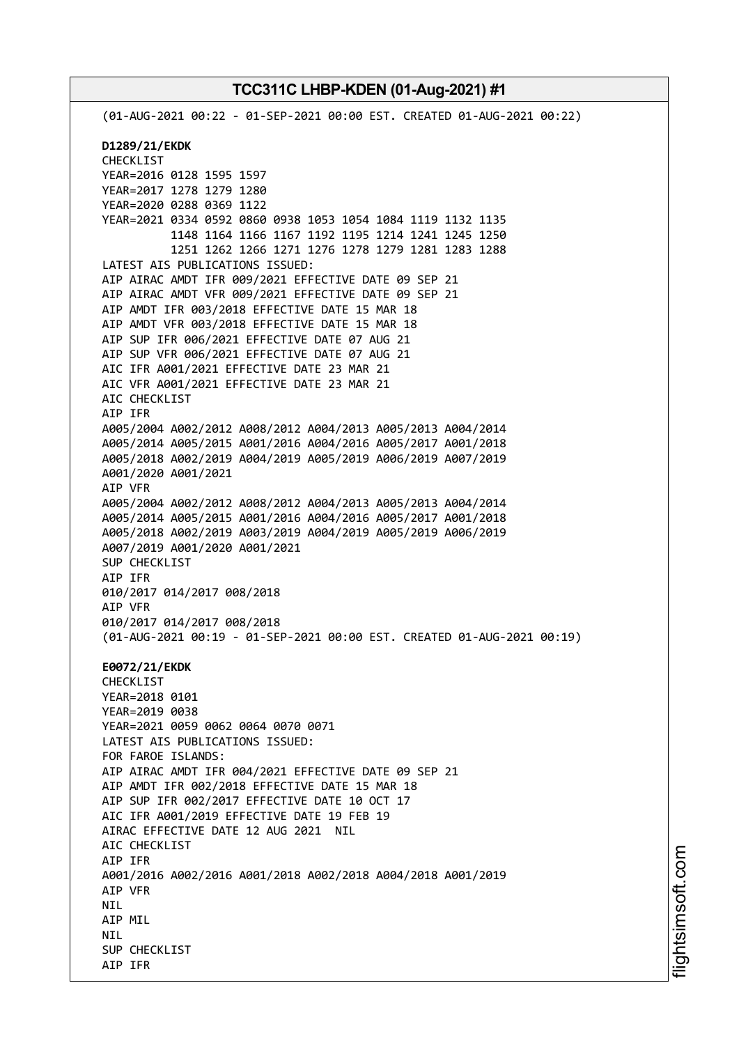(01-AUG-2021 00:22 - 01-SEP-2021 00:00 EST. CREATED 01-AUG-2021 00:22) **D1289/21/EKDK** CHECKLIST YEAR=2016 0128 1595 1597 YEAR=2017 1278 1279 1280 YEAR=2020 0288 0369 1122 YEAR=2021 0334 0592 0860 0938 1053 1054 1084 1119 1132 1135 1148 1164 1166 1167 1192 1195 1214 1241 1245 1250 1251 1262 1266 1271 1276 1278 1279 1281 1283 1288 LATEST AIS PUBLICATIONS ISSUED: AIP AIRAC AMDT IFR 009/2021 EFFECTIVE DATE 09 SEP 21 AIP AIRAC AMDT VFR 009/2021 EFFECTIVE DATE 09 SEP 21 AIP AMDT IFR 003/2018 EFFECTIVE DATE 15 MAR 18 AIP AMDT VFR 003/2018 EFFECTIVE DATE 15 MAR 18 AIP SUP IFR 006/2021 EFFECTIVE DATE 07 AUG 21 AIP SUP VFR 006/2021 EFFECTIVE DATE 07 AUG 21 AIC IFR A001/2021 EFFECTIVE DATE 23 MAR 21 AIC VFR A001/2021 EFFECTIVE DATE 23 MAR 21 AIC CHECKLIST AIP IFR A005/2004 A002/2012 A008/2012 A004/2013 A005/2013 A004/2014 A005/2014 A005/2015 A001/2016 A004/2016 A005/2017 A001/2018 A005/2018 A002/2019 A004/2019 A005/2019 A006/2019 A007/2019 A001/2020 A001/2021 AIP VFR A005/2004 A002/2012 A008/2012 A004/2013 A005/2013 A004/2014 A005/2014 A005/2015 A001/2016 A004/2016 A005/2017 A001/2018 A005/2018 A002/2019 A003/2019 A004/2019 A005/2019 A006/2019 A007/2019 A001/2020 A001/2021 SUP CHECKLIST AIP IFR 010/2017 014/2017 008/2018 AIP VFR 010/2017 014/2017 008/2018 (01-AUG-2021 00:19 - 01-SEP-2021 00:00 EST. CREATED 01-AUG-2021 00:19) **E0072/21/EKDK** CHECKLIST YEAR=2018 0101 YEAR=2019 0038 YEAR=2021 0059 0062 0064 0070 0071 LATEST AIS PUBLICATIONS ISSUED: FOR FAROE ISLANDS: AIP AIRAC AMDT IFR 004/2021 EFFECTIVE DATE 09 SEP 21 AIP AMDT IFR 002/2018 EFFECTIVE DATE 15 MAR 18 AIP SUP IFR 002/2017 EFFECTIVE DATE 10 OCT 17 AIC IFR A001/2019 EFFECTIVE DATE 19 FEB 19 AIRAC EFFECTIVE DATE 12 AUG 2021 NIL AIC CHECKLIST AIP IFR A001/2016 A002/2016 A001/2018 A002/2018 A004/2018 A001/2019 AIP VFR **NTI** AIP MIL **NTI** SUP CHECKLIST AIP IFR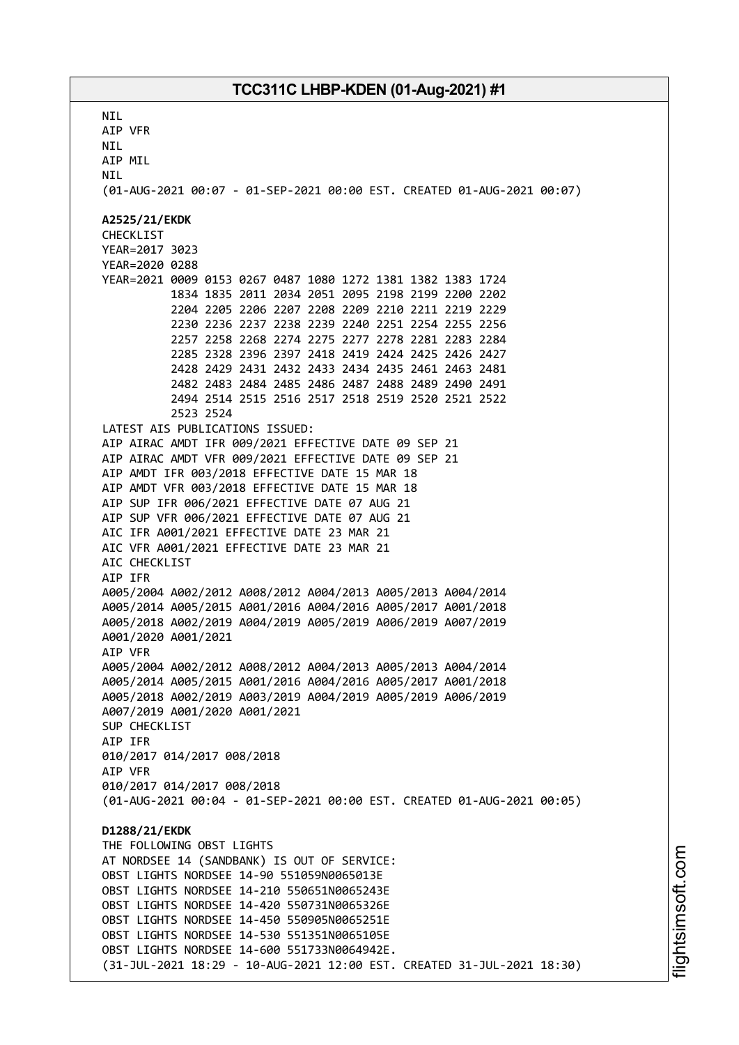**NTI** AIP VFR NIL AIP MIL **NTI** (01-AUG-2021 00:07 - 01-SEP-2021 00:00 EST. CREATED 01-AUG-2021 00:07) **A2525/21/EKDK** CHECKLIST YEAR=2017 3023 YEAR=2020 0288 YEAR=2021 0009 0153 0267 0487 1080 1272 1381 1382 1383 1724 1834 1835 2011 2034 2051 2095 2198 2199 2200 2202 2204 2205 2206 2207 2208 2209 2210 2211 2219 2229 2230 2236 2237 2238 2239 2240 2251 2254 2255 2256 2257 2258 2268 2274 2275 2277 2278 2281 2283 2284 2285 2328 2396 2397 2418 2419 2424 2425 2426 2427 2428 2429 2431 2432 2433 2434 2435 2461 2463 2481 2482 2483 2484 2485 2486 2487 2488 2489 2490 2491 2494 2514 2515 2516 2517 2518 2519 2520 2521 2522 2523 2524 LATEST AIS PUBLICATIONS ISSUED: AIP AIRAC AMDT IFR 009/2021 EFFECTIVE DATE 09 SEP 21 AIP AIRAC AMDT VFR 009/2021 EFFECTIVE DATE 09 SEP 21 AIP AMDT IFR 003/2018 EFFECTIVE DATE 15 MAR 18 AIP AMDT VFR 003/2018 EFFECTIVE DATE 15 MAR 18 AIP SUP IFR 006/2021 EFFECTIVE DATE 07 AUG 21 AIP SUP VFR 006/2021 EFFECTIVE DATE 07 AUG 21 AIC IFR A001/2021 EFFECTIVE DATE 23 MAR 21 AIC VFR A001/2021 EFFECTIVE DATE 23 MAR 21 AIC CHECKLIST AIP IFR A005/2004 A002/2012 A008/2012 A004/2013 A005/2013 A004/2014 A005/2014 A005/2015 A001/2016 A004/2016 A005/2017 A001/2018 A005/2018 A002/2019 A004/2019 A005/2019 A006/2019 A007/2019 A001/2020 A001/2021 AIP VFR A005/2004 A002/2012 A008/2012 A004/2013 A005/2013 A004/2014 A005/2014 A005/2015 A001/2016 A004/2016 A005/2017 A001/2018 A005/2018 A002/2019 A003/2019 A004/2019 A005/2019 A006/2019 A007/2019 A001/2020 A001/2021 SUP CHECKLIST AIP IFR 010/2017 014/2017 008/2018 AIP VFR 010/2017 014/2017 008/2018 (01-AUG-2021 00:04 - 01-SEP-2021 00:00 EST. CREATED 01-AUG-2021 00:05) **D1288/21/EKDK** THE FOLLOWING OBST LIGHTS AT NORDSEE 14 (SANDBANK) IS OUT OF SERVICE: OBST LIGHTS NORDSEE 14-90 551059N0065013E OBST LIGHTS NORDSEE 14-210 550651N0065243E OBST LIGHTS NORDSEE 14-420 550731N0065326E OBST LIGHTS NORDSEE 14-450 550905N0065251E OBST LIGHTS NORDSEE 14-530 551351N0065105E OBST LIGHTS NORDSEE 14-600 551733N0064942E. (31-JUL-2021 18:29 - 10-AUG-2021 12:00 EST. CREATED 31-JUL-2021 18:30)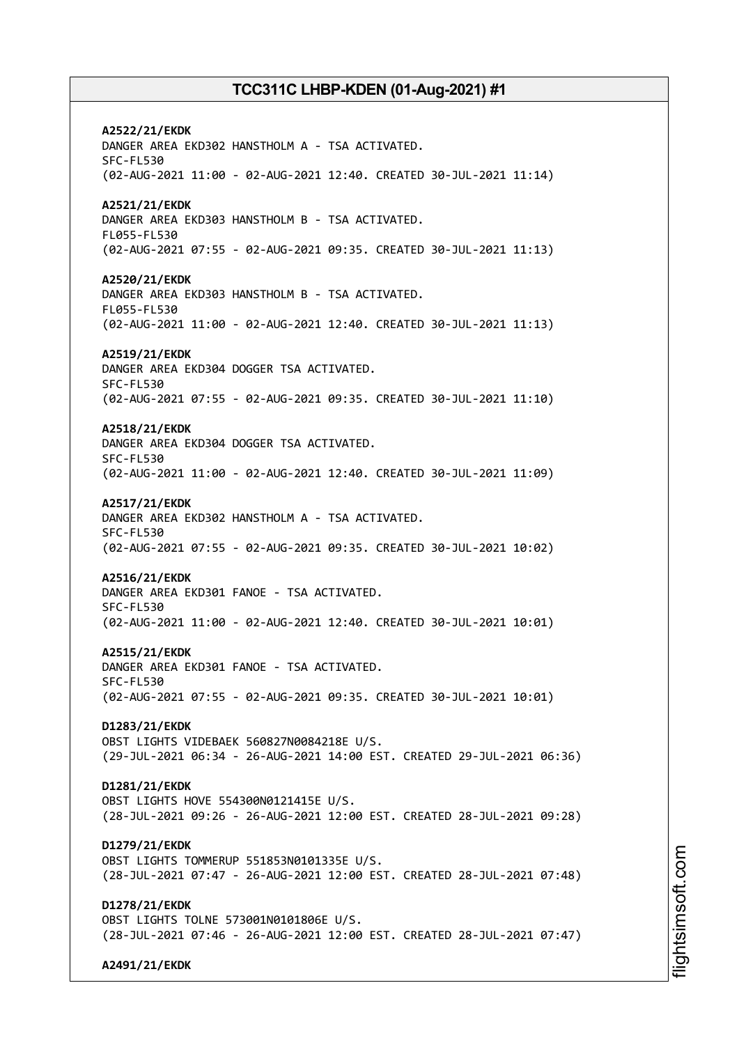**A2522/21/EKDK** DANGER AREA EKD302 HANSTHOLM A - TSA ACTIVATED. SFC-FL530 (02-AUG-2021 11:00 - 02-AUG-2021 12:40. CREATED 30-JUL-2021 11:14) **A2521/21/EKDK** DANGER AREA EKD303 HANSTHOLM B - TSA ACTIVATED. FL055-FL530 (02-AUG-2021 07:55 - 02-AUG-2021 09:35. CREATED 30-JUL-2021 11:13) **A2520/21/EKDK** DANGER AREA EKD303 HANSTHOLM B - TSA ACTIVATED. FL055-FL530 (02-AUG-2021 11:00 - 02-AUG-2021 12:40. CREATED 30-JUL-2021 11:13) **A2519/21/EKDK** DANGER AREA EKD304 DOGGER TSA ACTIVATED. SFC-FL530 (02-AUG-2021 07:55 - 02-AUG-2021 09:35. CREATED 30-JUL-2021 11:10) **A2518/21/EKDK** DANGER AREA EKD304 DOGGER TSA ACTIVATED. SFC-FL530 (02-AUG-2021 11:00 - 02-AUG-2021 12:40. CREATED 30-JUL-2021 11:09) **A2517/21/EKDK** DANGER AREA EKD302 HANSTHOLM A - TSA ACTIVATED. SFC-FL530 (02-AUG-2021 07:55 - 02-AUG-2021 09:35. CREATED 30-JUL-2021 10:02) **A2516/21/EKDK** DANGER AREA EKD301 FANOE - TSA ACTIVATED. SFC-FL530 (02-AUG-2021 11:00 - 02-AUG-2021 12:40. CREATED 30-JUL-2021 10:01) **A2515/21/EKDK** DANGER AREA EKD301 FANOE - TSA ACTIVATED. SFC-FL530 (02-AUG-2021 07:55 - 02-AUG-2021 09:35. CREATED 30-JUL-2021 10:01) **D1283/21/EKDK** OBST LIGHTS VIDEBAEK 560827N0084218E U/S. (29-JUL-2021 06:34 - 26-AUG-2021 14:00 EST. CREATED 29-JUL-2021 06:36) **D1281/21/EKDK** OBST LIGHTS HOVE 554300N0121415E U/S. (28-JUL-2021 09:26 - 26-AUG-2021 12:00 EST. CREATED 28-JUL-2021 09:28) **D1279/21/EKDK** OBST LIGHTS TOMMERUP 551853N0101335E U/S. (28-JUL-2021 07:47 - 26-AUG-2021 12:00 EST. CREATED 28-JUL-2021 07:48) **D1278/21/EKDK** OBST LIGHTS TOLNE 573001N0101806E U/S. (28-JUL-2021 07:46 - 26-AUG-2021 12:00 EST. CREATED 28-JUL-2021 07:47) **A2491/21/EKDK**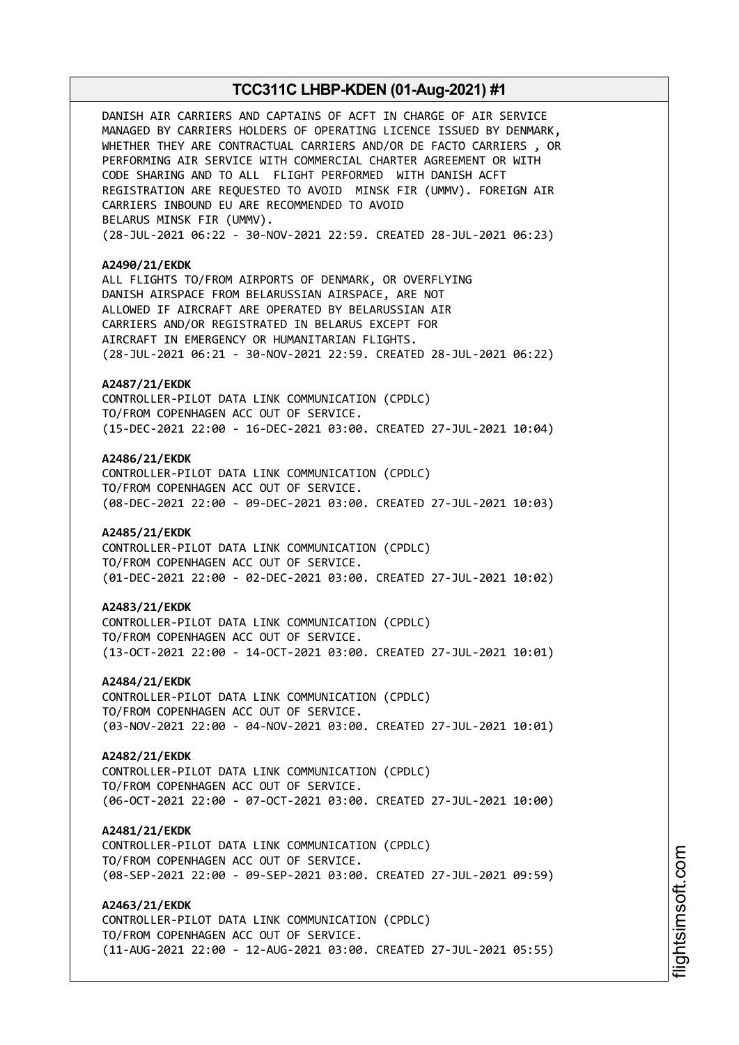DANISH AIR CARRIERS AND CAPTAINS OF ACFT IN CHARGE OF AIR SERVICE MANAGED BY CARRIERS HOLDERS OF OPERATING LICENCE ISSUED BY DENMARK, WHETHER THEY ARE CONTRACTUAL CARRIERS AND/OR DE FACTO CARRIERS , OR PERFORMING AIR SERVICE WITH COMMERCIAL CHARTER AGREEMENT OR WITH CODE SHARING AND TO ALL FLIGHT PERFORMED WITH DANISH ACFT REGISTRATION ARE REQUESTED TO AVOID MINSK FIR (UMMV). FOREIGN AIR CARRIERS INBOUND EU ARE RECOMMENDED TO AVOID BELARUS MINSK FIR (UMMV). (28-JUL-2021 06:22 - 30-NOV-2021 22:59. CREATED 28-JUL-2021 06:23) **A2490/21/EKDK** ALL FLIGHTS TO/FROM AIRPORTS OF DENMARK, OR OVERFLYING DANISH AIRSPACE FROM BELARUSSIAN AIRSPACE, ARE NOT ALLOWED IF AIRCRAFT ARE OPERATED BY BELARUSSIAN AIR CARRIERS AND/OR REGISTRATED IN BELARUS EXCEPT FOR AIRCRAFT IN EMERGENCY OR HUMANITARIAN FLIGHTS. (28-JUL-2021 06:21 - 30-NOV-2021 22:59. CREATED 28-JUL-2021 06:22) **A2487/21/EKDK** CONTROLLER-PILOT DATA LINK COMMUNICATION (CPDLC) TO/FROM COPENHAGEN ACC OUT OF SERVICE. (15-DEC-2021 22:00 - 16-DEC-2021 03:00. CREATED 27-JUL-2021 10:04) **A2486/21/EKDK** CONTROLLER-PILOT DATA LINK COMMUNICATION (CPDLC) TO/FROM COPENHAGEN ACC OUT OF SERVICE. (08-DEC-2021 22:00 - 09-DEC-2021 03:00. CREATED 27-JUL-2021 10:03) **A2485/21/EKDK** CONTROLLER-PILOT DATA LINK COMMUNICATION (CPDLC) TO/FROM COPENHAGEN ACC OUT OF SERVICE. (01-DEC-2021 22:00 - 02-DEC-2021 03:00. CREATED 27-JUL-2021 10:02) **A2483/21/EKDK** CONTROLLER-PILOT DATA LINK COMMUNICATION (CPDLC) TO/FROM COPENHAGEN ACC OUT OF SERVICE. (13-OCT-2021 22:00 - 14-OCT-2021 03:00. CREATED 27-JUL-2021 10:01) **A2484/21/EKDK** CONTROLLER-PILOT DATA LINK COMMUNICATION (CPDLC) TO/FROM COPENHAGEN ACC OUT OF SERVICE. (03-NOV-2021 22:00 - 04-NOV-2021 03:00. CREATED 27-JUL-2021 10:01) **A2482/21/EKDK** CONTROLLER-PILOT DATA LINK COMMUNICATION (CPDLC) TO/FROM COPENHAGEN ACC OUT OF SERVICE. (06-OCT-2021 22:00 - 07-OCT-2021 03:00. CREATED 27-JUL-2021 10:00) **A2481/21/EKDK** CONTROLLER-PILOT DATA LINK COMMUNICATION (CPDLC) TO/FROM COPENHAGEN ACC OUT OF SERVICE. (08-SEP-2021 22:00 - 09-SEP-2021 03:00. CREATED 27-JUL-2021 09:59) **A2463/21/EKDK** CONTROLLER-PILOT DATA LINK COMMUNICATION (CPDLC) TO/FROM COPENHAGEN ACC OUT OF SERVICE. (11-AUG-2021 22:00 - 12-AUG-2021 03:00. CREATED 27-JUL-2021 05:55)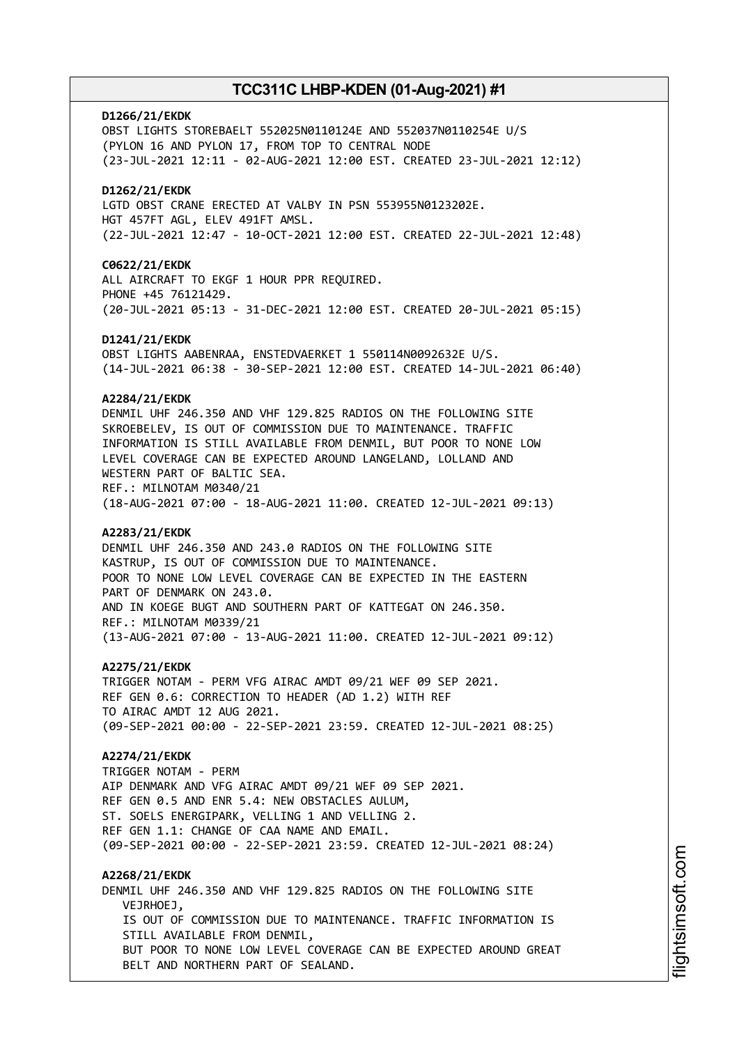# **D1266/21/EKDK** OBST LIGHTS STOREBAELT 552025N0110124E AND 552037N0110254E U/S (PYLON 16 AND PYLON 17, FROM TOP TO CENTRAL NODE (23-JUL-2021 12:11 - 02-AUG-2021 12:00 EST. CREATED 23-JUL-2021 12:12) **D1262/21/EKDK** LGTD OBST CRANE ERECTED AT VALBY IN PSN 553955N0123202E. HGT 457FT AGL, ELEV 491FT AMSL. (22-JUL-2021 12:47 - 10-OCT-2021 12:00 EST. CREATED 22-JUL-2021 12:48) **C0622/21/EKDK** ALL AIRCRAFT TO EKGF 1 HOUR PPR REQUIRED. PHONE +45 76121429. (20-JUL-2021 05:13 - 31-DEC-2021 12:00 EST. CREATED 20-JUL-2021 05:15) **D1241/21/EKDK** OBST LIGHTS AABENRAA, ENSTEDVAERKET 1 550114N0092632E U/S. (14-JUL-2021 06:38 - 30-SEP-2021 12:00 EST. CREATED 14-JUL-2021 06:40) **A2284/21/EKDK** DENMIL UHF 246.350 AND VHF 129.825 RADIOS ON THE FOLLOWING SITE SKROEBELEV, IS OUT OF COMMISSION DUE TO MAINTENANCE. TRAFFIC INFORMATION IS STILL AVAILABLE FROM DENMIL, BUT POOR TO NONE LOW LEVEL COVERAGE CAN BE EXPECTED AROUND LANGELAND, LOLLAND AND WESTERN PART OF BALTIC SEA. REF.: MILNOTAM M0340/21 (18-AUG-2021 07:00 - 18-AUG-2021 11:00. CREATED 12-JUL-2021 09:13) **A2283/21/EKDK** DENMIL UHF 246.350 AND 243.0 RADIOS ON THE FOLLOWING SITE KASTRUP, IS OUT OF COMMISSION DUE TO MAINTENANCE. POOR TO NONE LOW LEVEL COVERAGE CAN BE EXPECTED IN THE EASTERN PART OF DENMARK ON 243.0. AND IN KOEGE BUGT AND SOUTHERN PART OF KATTEGAT ON 246.350. REF.: MILNOTAM M0339/21 (13-AUG-2021 07:00 - 13-AUG-2021 11:00. CREATED 12-JUL-2021 09:12) **A2275/21/EKDK** TRIGGER NOTAM - PERM VFG AIRAC AMDT 09/21 WEF 09 SEP 2021. REF GEN 0.6: CORRECTION TO HEADER (AD 1.2) WITH REF TO AIRAC AMDT 12 AUG 2021. (09-SEP-2021 00:00 - 22-SEP-2021 23:59. CREATED 12-JUL-2021 08:25) **A2274/21/EKDK** TRIGGER NOTAM - PERM AIP DENMARK AND VFG AIRAC AMDT 09/21 WEF 09 SEP 2021. REF GEN 0.5 AND ENR 5.4: NEW OBSTACLES AULUM, ST. SOELS ENERGIPARK, VELLING 1 AND VELLING 2. REF GEN 1.1: CHANGE OF CAA NAME AND EMAIL. (09-SEP-2021 00:00 - 22-SEP-2021 23:59. CREATED 12-JUL-2021 08:24) **A2268/21/EKDK** DENMIL UHF 246.350 AND VHF 129.825 RADIOS ON THE FOLLOWING SITE VEJRHOEJ, IS OUT OF COMMISSION DUE TO MAINTENANCE. TRAFFIC INFORMATION IS STILL AVAILABLE FROM DENMIL, BUT POOR TO NONE LOW LEVEL COVERAGE CAN BE EXPECTED AROUND GREAT BELT AND NORTHERN PART OF SEALAND.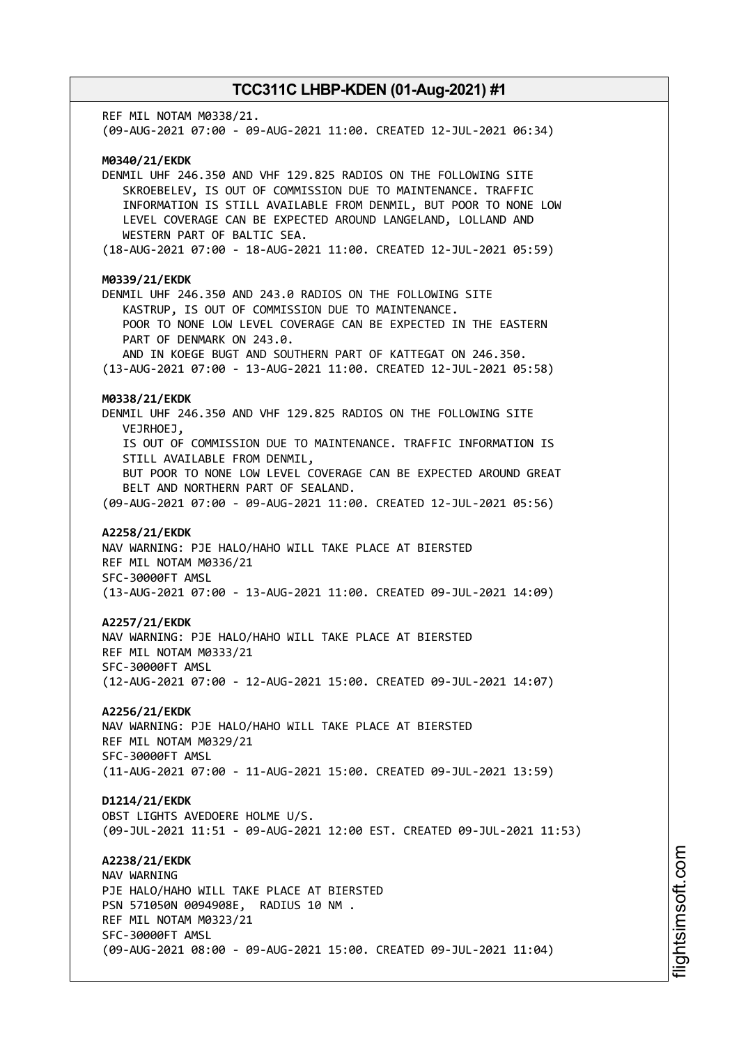REF MIL NOTAM M0338/21. (09-AUG-2021 07:00 - 09-AUG-2021 11:00. CREATED 12-JUL-2021 06:34) **M0340/21/EKDK** DENMIL UHF 246.350 AND VHF 129.825 RADIOS ON THE FOLLOWING SITE SKROEBELEV, IS OUT OF COMMISSION DUE TO MAINTENANCE. TRAFFIC INFORMATION IS STILL AVAILABLE FROM DENMIL, BUT POOR TO NONE LOW LEVEL COVERAGE CAN BE EXPECTED AROUND LANGELAND, LOLLAND AND WESTERN PART OF BALTIC SEA. (18-AUG-2021 07:00 - 18-AUG-2021 11:00. CREATED 12-JUL-2021 05:59) **M0339/21/EKDK** DENMIL UHF 246.350 AND 243.0 RADIOS ON THE FOLLOWING SITE KASTRUP, IS OUT OF COMMISSION DUE TO MAINTENANCE. POOR TO NONE LOW LEVEL COVERAGE CAN BE EXPECTED IN THE EASTERN PART OF DENMARK ON 243.0. AND IN KOEGE BUGT AND SOUTHERN PART OF KATTEGAT ON 246.350. (13-AUG-2021 07:00 - 13-AUG-2021 11:00. CREATED 12-JUL-2021 05:58) **M0338/21/EKDK** DENMIL UHF 246.350 AND VHF 129.825 RADIOS ON THE FOLLOWING SITE VEJRHOEJ, IS OUT OF COMMISSION DUE TO MAINTENANCE. TRAFFIC INFORMATION IS STILL AVAILABLE FROM DENMIL, BUT POOR TO NONE LOW LEVEL COVERAGE CAN BE EXPECTED AROUND GREAT BELT AND NORTHERN PART OF SEALAND. (09-AUG-2021 07:00 - 09-AUG-2021 11:00. CREATED 12-JUL-2021 05:56) **A2258/21/EKDK** NAV WARNING: PJE HALO/HAHO WILL TAKE PLACE AT BIERSTED REF MIL NOTAM M0336/21 SFC-30000FT AMSL (13-AUG-2021 07:00 - 13-AUG-2021 11:00. CREATED 09-JUL-2021 14:09) **A2257/21/EKDK** NAV WARNING: PJE HALO/HAHO WILL TAKE PLACE AT BIERSTED REF MIL NOTAM M0333/21 SFC-30000FT AMSL (12-AUG-2021 07:00 - 12-AUG-2021 15:00. CREATED 09-JUL-2021 14:07) **A2256/21/EKDK** NAV WARNING: PJE HALO/HAHO WILL TAKE PLACE AT BIERSTED REF MIL NOTAM M0329/21 SFC-30000FT AMSL (11-AUG-2021 07:00 - 11-AUG-2021 15:00. CREATED 09-JUL-2021 13:59) **D1214/21/EKDK** OBST LIGHTS AVEDOERE HOLME U/S. (09-JUL-2021 11:51 - 09-AUG-2021 12:00 EST. CREATED 09-JUL-2021 11:53) **A2238/21/EKDK** NAV WARNING PJE HALO/HAHO WILL TAKE PLACE AT BIERSTED PSN 571050N 0094908E, RADIUS 10 NM . REF MIL NOTAM M0323/21 SFC-30000FT AMSL (09-AUG-2021 08:00 - 09-AUG-2021 15:00. CREATED 09-JUL-2021 11:04)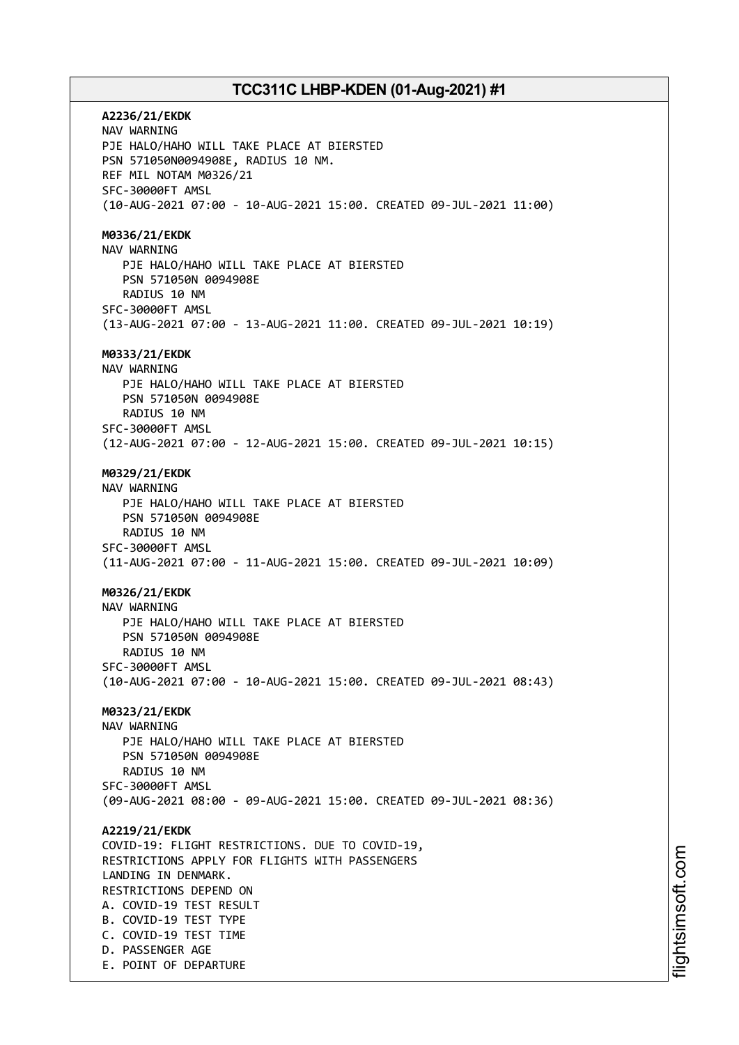**A2236/21/EKDK** NAV WARNING PJE HALO/HAHO WILL TAKE PLACE AT BIERSTED PSN 571050N0094908E, RADIUS 10 NM. REF MIL NOTAM M0326/21 SFC-30000FT AMSL (10-AUG-2021 07:00 - 10-AUG-2021 15:00. CREATED 09-JUL-2021 11:00) **M0336/21/EKDK** NAV WARNING PJE HALO/HAHO WILL TAKE PLACE AT BIERSTED PSN 571050N 0094908E RADIUS 10 NM SFC-30000FT AMSL (13-AUG-2021 07:00 - 13-AUG-2021 11:00. CREATED 09-JUL-2021 10:19) **M0333/21/EKDK** NAV WARNING PJE HALO/HAHO WILL TAKE PLACE AT BIERSTED PSN 571050N 0094908E RADIUS 10 NM SFC-30000FT AMSL (12-AUG-2021 07:00 - 12-AUG-2021 15:00. CREATED 09-JUL-2021 10:15) **M0329/21/EKDK** NAV WARNING PJE HALO/HAHO WILL TAKE PLACE AT BIERSTED PSN 571050N 0094908E RADIUS 10 NM SFC-30000FT AMSL (11-AUG-2021 07:00 - 11-AUG-2021 15:00. CREATED 09-JUL-2021 10:09) **M0326/21/EKDK** NAV WARNING PJE HALO/HAHO WILL TAKE PLACE AT BIERSTED PSN 571050N 0094908E RADIUS 10 NM SFC-30000FT AMSL (10-AUG-2021 07:00 - 10-AUG-2021 15:00. CREATED 09-JUL-2021 08:43) **M0323/21/EKDK** NAV WARNING PJE HALO/HAHO WILL TAKE PLACE AT BIERSTED PSN 571050N 0094908E RADIUS 10 NM SFC-30000FT AMSL (09-AUG-2021 08:00 - 09-AUG-2021 15:00. CREATED 09-JUL-2021 08:36) **A2219/21/EKDK** COVID-19: FLIGHT RESTRICTIONS. DUE TO COVID-19, RESTRICTIONS APPLY FOR FLIGHTS WITH PASSENGERS LANDING IN DENMARK. RESTRICTIONS DEPEND ON A. COVID-19 TEST RESULT B. COVID-19 TEST TYPE C. COVID-19 TEST TIME D. PASSENGER AGE E. POINT OF DEPARTURE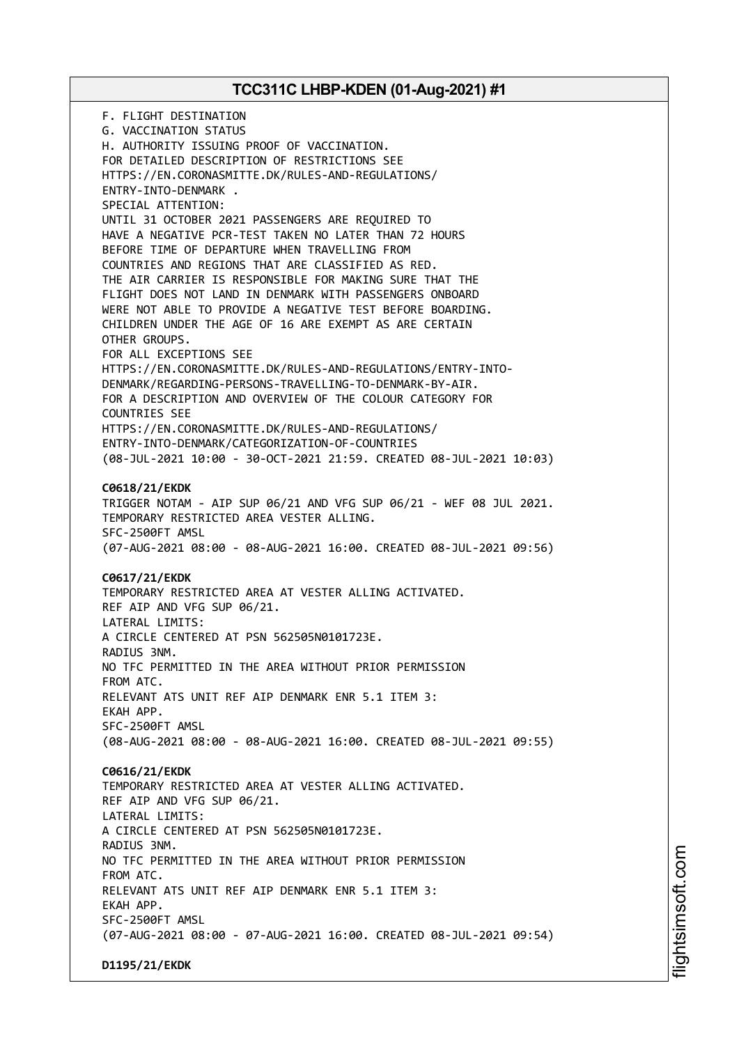F. FLIGHT DESTINATION G. VACCINATION STATUS H. AUTHORITY ISSUING PROOF OF VACCINATION. FOR DETAILED DESCRIPTION OF RESTRICTIONS SEE HTTPS://EN.CORONASMITTE.DK/RULES-AND-REGULATIONS/ ENTRY-INTO-DENMARK . SPECIAL ATTENTION: UNTIL 31 OCTOBER 2021 PASSENGERS ARE REQUIRED TO HAVE A NEGATIVE PCR-TEST TAKEN NO LATER THAN 72 HOURS BEFORE TIME OF DEPARTURE WHEN TRAVELLING FROM COUNTRIES AND REGIONS THAT ARE CLASSIFIED AS RED. THE AIR CARRIER IS RESPONSIBLE FOR MAKING SURE THAT THE FLIGHT DOES NOT LAND IN DENMARK WITH PASSENGERS ONBOARD WERE NOT ABLE TO PROVIDE A NEGATIVE TEST BEFORE BOARDING. CHILDREN UNDER THE AGE OF 16 ARE EXEMPT AS ARE CERTAIN OTHER GROUPS. FOR ALL EXCEPTIONS SEE HTTPS://EN.CORONASMITTE.DK/RULES-AND-REGULATIONS/ENTRY-INTO-DENMARK/REGARDING-PERSONS-TRAVELLING-TO-DENMARK-BY-AIR. FOR A DESCRIPTION AND OVERVIEW OF THE COLOUR CATEGORY FOR COUNTRIES SEE HTTPS://EN.CORONASMITTE.DK/RULES-AND-REGULATIONS/ ENTRY-INTO-DENMARK/CATEGORIZATION-OF-COUNTRIES (08-JUL-2021 10:00 - 30-OCT-2021 21:59. CREATED 08-JUL-2021 10:03) **C0618/21/EKDK** TRIGGER NOTAM - AIP SUP 06/21 AND VFG SUP 06/21 - WEF 08 JUL 2021. TEMPORARY RESTRICTED AREA VESTER ALLING. SFC-2500FT AMSL (07-AUG-2021 08:00 - 08-AUG-2021 16:00. CREATED 08-JUL-2021 09:56) **C0617/21/EKDK** TEMPORARY RESTRICTED AREA AT VESTER ALLING ACTIVATED. REF AIP AND VFG SUP 06/21. LATERAL LIMITS: A CIRCLE CENTERED AT PSN 562505N0101723E. RADIUS 3NM. NO TFC PERMITTED IN THE AREA WITHOUT PRIOR PERMISSION FROM ATC. RELEVANT ATS UNIT REF AIP DENMARK ENR 5.1 ITEM 3: EKAH APP. SFC-2500FT AMSL (08-AUG-2021 08:00 - 08-AUG-2021 16:00. CREATED 08-JUL-2021 09:55) **C0616/21/EKDK** TEMPORARY RESTRICTED AREA AT VESTER ALLING ACTIVATED. REF AIP AND VFG SUP 06/21. LATERAL LIMITS: A CIRCLE CENTERED AT PSN 562505N0101723E. RADIUS 3NM. NO TFC PERMITTED IN THE AREA WITHOUT PRIOR PERMISSION FROM ATC. RELEVANT ATS UNIT REF AIP DENMARK ENR 5.1 ITEM 3: EKAH APP. SFC-2500FT AMSL (07-AUG-2021 08:00 - 07-AUG-2021 16:00. CREATED 08-JUL-2021 09:54) **D1195/21/EKDK**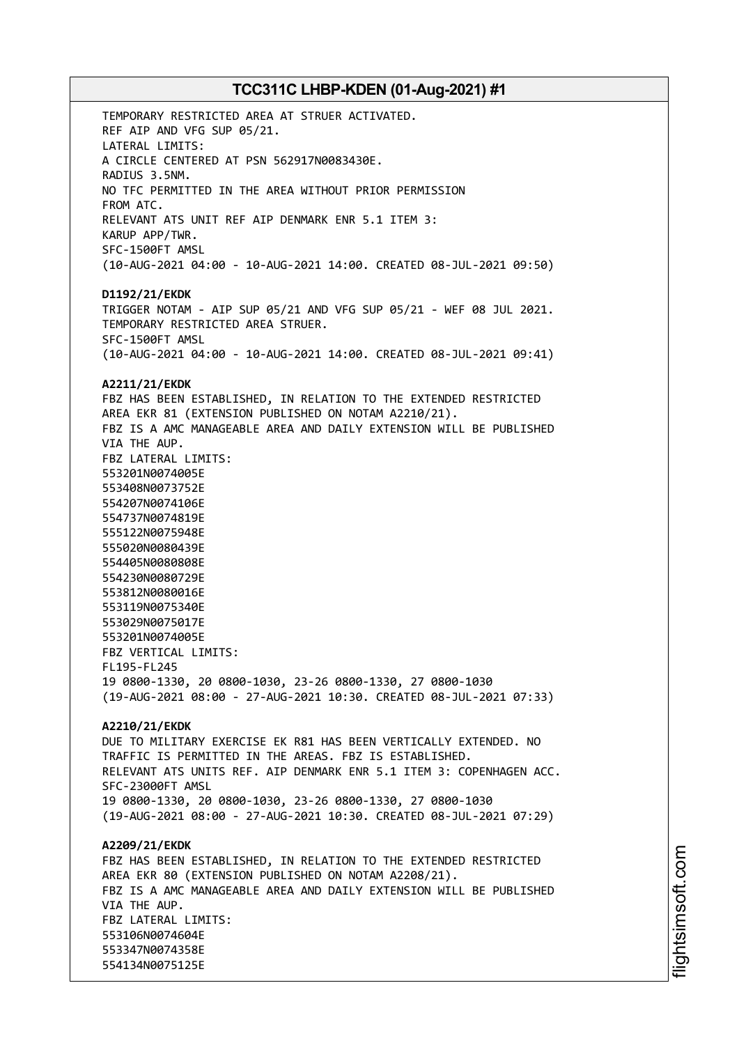TEMPORARY RESTRICTED AREA AT STRUER ACTIVATED. REF AIP AND VFG SUP 05/21. LATERAL LIMITS: A CIRCLE CENTERED AT PSN 562917N0083430E. RADIUS 3.5NM. NO TFC PERMITTED IN THE AREA WITHOUT PRIOR PERMISSION FROM ATC. RELEVANT ATS UNIT REF AIP DENMARK ENR 5.1 ITEM 3: KARUP APP/TWR. SFC-1500FT AMSL (10-AUG-2021 04:00 - 10-AUG-2021 14:00. CREATED 08-JUL-2021 09:50) **D1192/21/EKDK** TRIGGER NOTAM - AIP SUP 05/21 AND VFG SUP 05/21 - WEF 08 JUL 2021. TEMPORARY RESTRICTED AREA STRUER. SFC-1500FT AMSL (10-AUG-2021 04:00 - 10-AUG-2021 14:00. CREATED 08-JUL-2021 09:41) **A2211/21/EKDK** FBZ HAS BEEN ESTABLISHED, IN RELATION TO THE EXTENDED RESTRICTED AREA EKR 81 (EXTENSION PUBLISHED ON NOTAM A2210/21). FBZ IS A AMC MANAGEABLE AREA AND DAILY EXTENSION WILL BE PUBLISHED VIA THE AUP. FBZ LATERAL LIMITS: 553201N0074005E 553408N0073752E 554207N0074106E 554737N0074819E 555122N0075948E 555020N0080439E 554405N0080808E 554230N0080729E 553812N0080016E 553119N0075340E 553029N0075017E 553201N0074005E FBZ VERTICAL LIMITS: FL195-FL245 19 0800-1330, 20 0800-1030, 23-26 0800-1330, 27 0800-1030 (19-AUG-2021 08:00 - 27-AUG-2021 10:30. CREATED 08-JUL-2021 07:33) **A2210/21/EKDK** DUE TO MILITARY EXERCISE EK R81 HAS BEEN VERTICALLY EXTENDED. NO TRAFFIC IS PERMITTED IN THE AREAS. FBZ IS ESTABLISHED. RELEVANT ATS UNITS REF. AIP DENMARK ENR 5.1 ITEM 3: COPENHAGEN ACC. SFC-23000FT AMSL 19 0800-1330, 20 0800-1030, 23-26 0800-1330, 27 0800-1030 (19-AUG-2021 08:00 - 27-AUG-2021 10:30. CREATED 08-JUL-2021 07:29) **A2209/21/EKDK** FBZ HAS BEEN ESTABLISHED, IN RELATION TO THE EXTENDED RESTRICTED AREA EKR 80 (EXTENSION PUBLISHED ON NOTAM A2208/21). FBZ IS A AMC MANAGEABLE AREA AND DAILY EXTENSION WILL BE PUBLISHED VIA THE AUP. FBZ LATERAL LIMITS: 553106N0074604E 553347N0074358E 554134N0075125E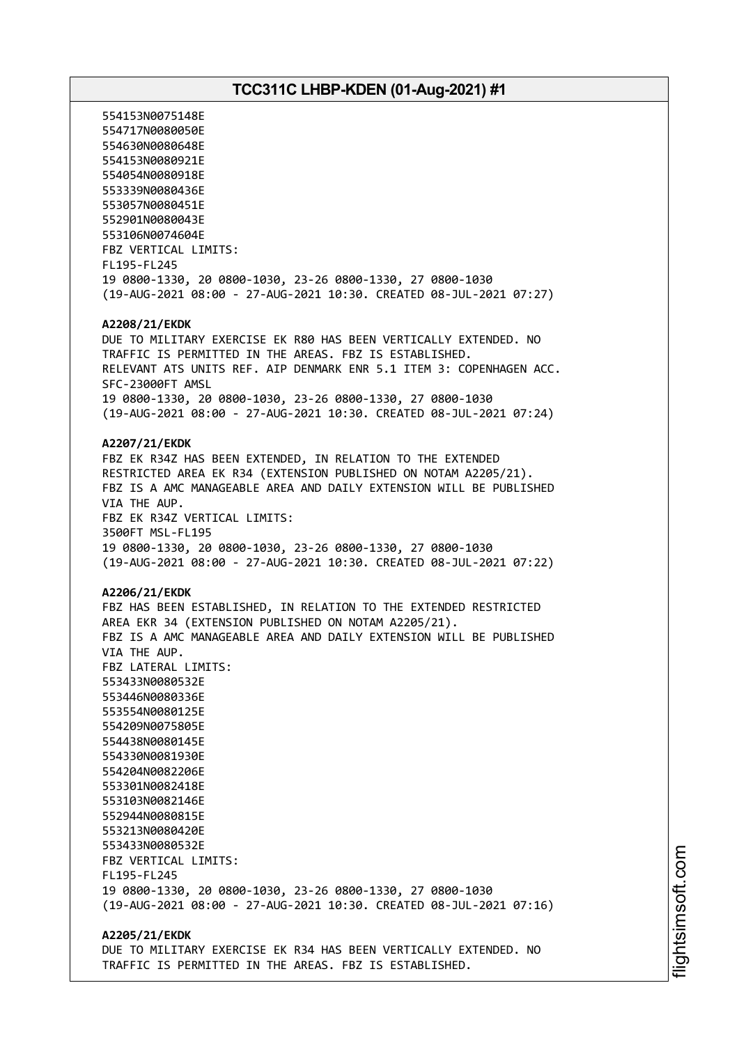554153N0075148E 554717N0080050E 554630N0080648E 554153N0080921E 554054N0080918E 553339N0080436E 553057N0080451E 552901N0080043E 553106N0074604E FBZ VERTICAL LIMITS: FL195-FL245 19 0800-1330, 20 0800-1030, 23-26 0800-1330, 27 0800-1030 (19-AUG-2021 08:00 - 27-AUG-2021 10:30. CREATED 08-JUL-2021 07:27) **A2208/21/EKDK** DUE TO MILITARY EXERCISE EK R80 HAS BEEN VERTICALLY EXTENDED. NO TRAFFIC IS PERMITTED IN THE AREAS. FBZ IS ESTABLISHED. RELEVANT ATS UNITS REF. AIP DENMARK ENR 5.1 ITEM 3: COPENHAGEN ACC. SFC-23000FT AMSL 19 0800-1330, 20 0800-1030, 23-26 0800-1330, 27 0800-1030 (19-AUG-2021 08:00 - 27-AUG-2021 10:30. CREATED 08-JUL-2021 07:24) **A2207/21/EKDK** FBZ EK R34Z HAS BEEN EXTENDED, IN RELATION TO THE EXTENDED RESTRICTED AREA EK R34 (EXTENSION PUBLISHED ON NOTAM A2205/21). FBZ IS A AMC MANAGEABLE AREA AND DAILY EXTENSION WILL BE PUBLISHED VIA THE AUP. FBZ EK R34Z VERTICAL LIMITS: 3500FT MSL-FL195 19 0800-1330, 20 0800-1030, 23-26 0800-1330, 27 0800-1030 (19-AUG-2021 08:00 - 27-AUG-2021 10:30. CREATED 08-JUL-2021 07:22) **A2206/21/EKDK** FBZ HAS BEEN ESTABLISHED, IN RELATION TO THE EXTENDED RESTRICTED AREA EKR 34 (EXTENSION PUBLISHED ON NOTAM A2205/21). FBZ IS A AMC MANAGEABLE AREA AND DAILY EXTENSION WILL BE PUBLISHED VIA THE AUP. FBZ LATERAL LIMITS: 553433N0080532E 553446N0080336E 553554N0080125E 554209N0075805E 554438N0080145E 554330N0081930E 554204N0082206E 553301N0082418E 553103N0082146E 552944N0080815E 553213N0080420E 553433N0080532E FBZ VERTICAL LIMITS: FL195-FL245 19 0800-1330, 20 0800-1030, 23-26 0800-1330, 27 0800-1030 (19-AUG-2021 08:00 - 27-AUG-2021 10:30. CREATED 08-JUL-2021 07:16) **A2205/21/EKDK**

DUE TO MILITARY EXERCISE EK R34 HAS BEEN VERTICALLY EXTENDED. NO TRAFFIC IS PERMITTED IN THE AREAS. FBZ IS ESTABLISHED.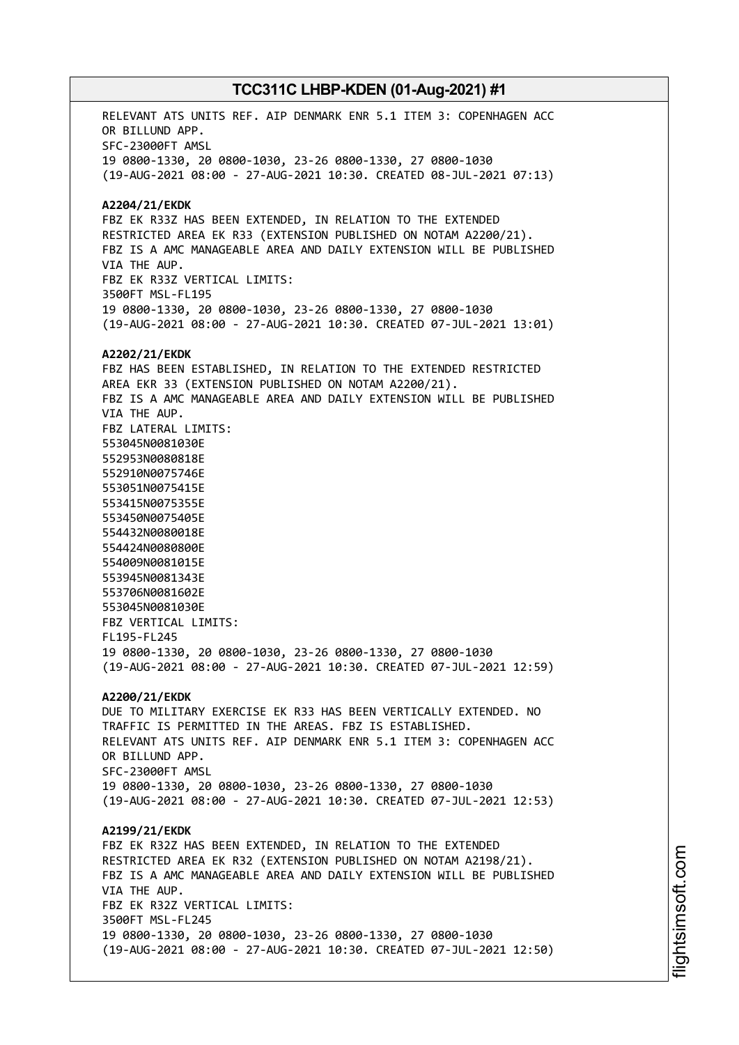RELEVANT ATS UNITS REF. AIP DENMARK ENR 5.1 ITEM 3: COPENHAGEN ACC OR BILLUND APP. SFC-23000FT AMSL 19 0800-1330, 20 0800-1030, 23-26 0800-1330, 27 0800-1030 (19-AUG-2021 08:00 - 27-AUG-2021 10:30. CREATED 08-JUL-2021 07:13) **A2204/21/EKDK** FBZ EK R33Z HAS BEEN EXTENDED, IN RELATION TO THE EXTENDED RESTRICTED AREA EK R33 (EXTENSION PUBLISHED ON NOTAM A2200/21). FBZ IS A AMC MANAGEABLE AREA AND DAILY EXTENSION WILL BE PUBLISHED VIA THE AUP. FBZ EK R33Z VERTICAL LIMITS: 3500FT MSL-FL195 19 0800-1330, 20 0800-1030, 23-26 0800-1330, 27 0800-1030 (19-AUG-2021 08:00 - 27-AUG-2021 10:30. CREATED 07-JUL-2021 13:01) **A2202/21/EKDK** FBZ HAS BEEN ESTABLISHED, IN RELATION TO THE EXTENDED RESTRICTED AREA EKR 33 (EXTENSION PUBLISHED ON NOTAM A2200/21). FBZ IS A AMC MANAGEABLE AREA AND DAILY EXTENSION WILL BE PUBLISHED VIA THE AUP. FBZ LATERAL LIMITS: 553045N0081030E 552953N0080818E 552910N0075746E 553051N0075415E 553415N0075355E 553450N0075405E 554432N0080018E 554424N0080800E 554009N0081015E 553945N0081343E 553706N0081602E 553045N0081030E FBZ VERTICAL LIMITS: FL195-FL245 19 0800-1330, 20 0800-1030, 23-26 0800-1330, 27 0800-1030 (19-AUG-2021 08:00 - 27-AUG-2021 10:30. CREATED 07-JUL-2021 12:59) **A2200/21/EKDK** DUE TO MILITARY EXERCISE EK R33 HAS BEEN VERTICALLY EXTENDED. NO TRAFFIC IS PERMITTED IN THE AREAS. FBZ IS ESTABLISHED. RELEVANT ATS UNITS REF. AIP DENMARK ENR 5.1 ITEM 3: COPENHAGEN ACC OR BILLUND APP. SFC-23000FT AMSL 19 0800-1330, 20 0800-1030, 23-26 0800-1330, 27 0800-1030 (19-AUG-2021 08:00 - 27-AUG-2021 10:30. CREATED 07-JUL-2021 12:53) **A2199/21/EKDK** FBZ EK R32Z HAS BEEN EXTENDED, IN RELATION TO THE EXTENDED RESTRICTED AREA EK R32 (EXTENSION PUBLISHED ON NOTAM A2198/21). FBZ IS A AMC MANAGEABLE AREA AND DAILY EXTENSION WILL BE PUBLISHED VIA THE AUP. FBZ EK R32Z VERTICAL LIMITS: 3500FT MSL-FL245 19 0800-1330, 20 0800-1030, 23-26 0800-1330, 27 0800-1030 (19-AUG-2021 08:00 - 27-AUG-2021 10:30. CREATED 07-JUL-2021 12:50)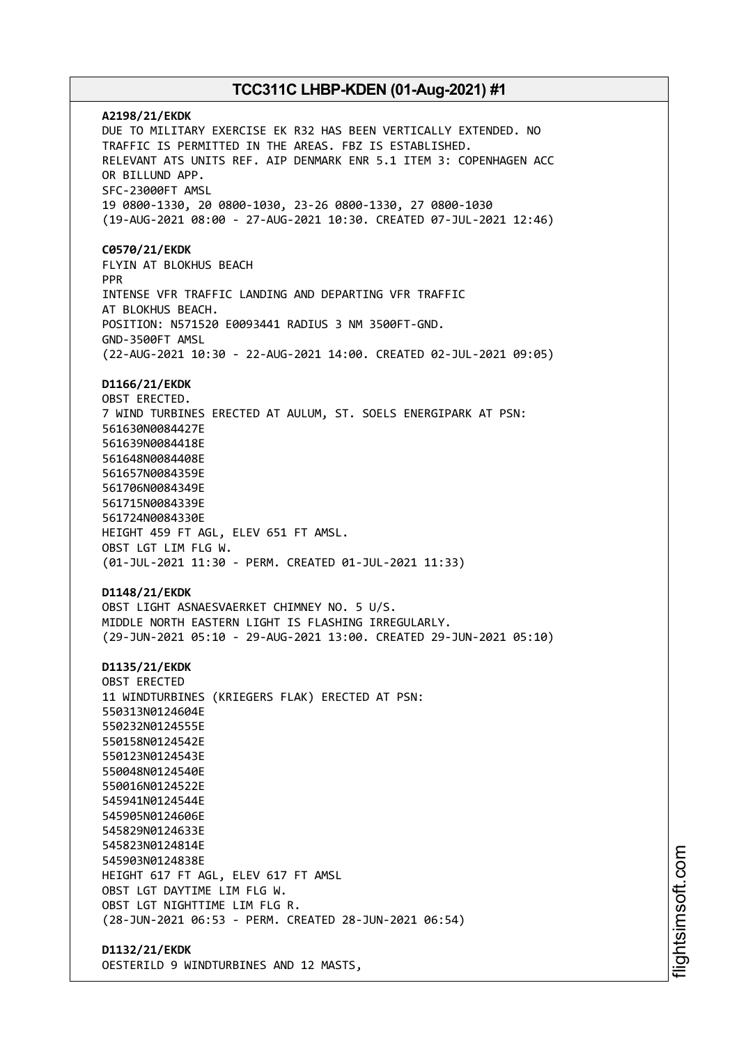**A2198/21/EKDK** DUE TO MILITARY EXERCISE EK R32 HAS BEEN VERTICALLY EXTENDED. NO TRAFFIC IS PERMITTED IN THE AREAS. FBZ IS ESTABLISHED. RELEVANT ATS UNITS REF. AIP DENMARK ENR 5.1 ITEM 3: COPENHAGEN ACC OR BILLUND APP. SFC-23000FT AMSL 19 0800-1330, 20 0800-1030, 23-26 0800-1330, 27 0800-1030 (19-AUG-2021 08:00 - 27-AUG-2021 10:30. CREATED 07-JUL-2021 12:46) **C0570/21/EKDK** FLYIN AT BLOKHUS BEACH PPR INTENSE VFR TRAFFIC LANDING AND DEPARTING VFR TRAFFIC AT BLOKHUS BEACH. POSITION: N571520 E0093441 RADIUS 3 NM 3500FT-GND. GND-3500FT AMSL (22-AUG-2021 10:30 - 22-AUG-2021 14:00. CREATED 02-JUL-2021 09:05) **D1166/21/EKDK** OBST ERECTED. 7 WIND TURBINES ERECTED AT AULUM, ST. SOELS ENERGIPARK AT PSN: 561630N0084427E 561639N0084418E 561648N0084408E 561657N0084359E 561706N0084349E 561715N0084339E 561724N0084330E HEIGHT 459 FT AGL, ELEV 651 FT AMSL. OBST LGT LIM FLG W. (01-JUL-2021 11:30 - PERM. CREATED 01-JUL-2021 11:33) **D1148/21/EKDK** OBST LIGHT ASNAESVAERKET CHIMNEY NO. 5 U/S. MIDDLE NORTH EASTERN LIGHT IS FLASHING IRREGULARLY. (29-JUN-2021 05:10 - 29-AUG-2021 13:00. CREATED 29-JUN-2021 05:10) **D1135/21/EKDK** OBST ERECTED 11 WINDTURBINES (KRIEGERS FLAK) ERECTED AT PSN: 550313N0124604E 550232N0124555E 550158N0124542E 550123N0124543E 550048N0124540E 550016N0124522E 545941N0124544E 545905N0124606E 545829N0124633E 545823N0124814E 545903N0124838E HEIGHT 617 FT AGL, ELEV 617 FT AMSL OBST LGT DAYTIME LIM FLG W. OBST LGT NIGHTTIME LIM FLG R. (28-JUN-2021 06:53 - PERM. CREATED 28-JUN-2021 06:54) **D1132/21/EKDK**

OESTERILD 9 WINDTURBINES AND 12 MASTS,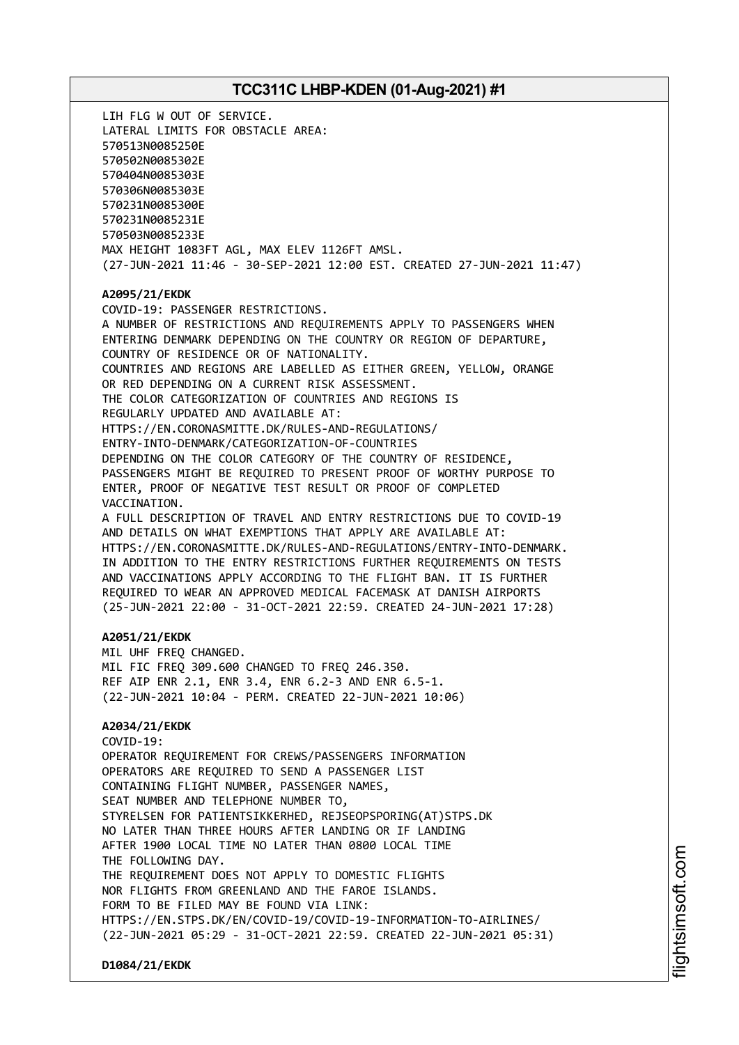LIH FLG W OUT OF SERVICE. LATERAL LIMITS FOR OBSTACLE AREA: 570513N0085250E 570502N0085302E 570404N0085303E 570306N0085303E 570231N0085300E 570231N0085231E 570503N0085233E MAX HEIGHT 1083FT AGL, MAX ELEV 1126FT AMSL. (27-JUN-2021 11:46 - 30-SEP-2021 12:00 EST. CREATED 27-JUN-2021 11:47) **A2095/21/EKDK** COVID-19: PASSENGER RESTRICTIONS. A NUMBER OF RESTRICTIONS AND REQUIREMENTS APPLY TO PASSENGERS WHEN ENTERING DENMARK DEPENDING ON THE COUNTRY OR REGION OF DEPARTURE, COUNTRY OF RESIDENCE OR OF NATIONALITY. COUNTRIES AND REGIONS ARE LABELLED AS EITHER GREEN, YELLOW, ORANGE OR RED DEPENDING ON A CURRENT RISK ASSESSMENT. THE COLOR CATEGORIZATION OF COUNTRIES AND REGIONS IS REGULARLY UPDATED AND AVAILABLE AT: HTTPS://EN.CORONASMITTE.DK/RULES-AND-REGULATIONS/ ENTRY-INTO-DENMARK/CATEGORIZATION-OF-COUNTRIES DEPENDING ON THE COLOR CATEGORY OF THE COUNTRY OF RESIDENCE, PASSENGERS MIGHT BE REQUIRED TO PRESENT PROOF OF WORTHY PURPOSE TO ENTER, PROOF OF NEGATIVE TEST RESULT OR PROOF OF COMPLETED VACCINATION. A FULL DESCRIPTION OF TRAVEL AND ENTRY RESTRICTIONS DUE TO COVID-19 AND DETAILS ON WHAT EXEMPTIONS THAT APPLY ARE AVAILABLE AT: HTTPS://EN.CORONASMITTE.DK/RULES-AND-REGULATIONS/ENTRY-INTO-DENMARK. IN ADDITION TO THE ENTRY RESTRICTIONS FURTHER REQUIREMENTS ON TESTS AND VACCINATIONS APPLY ACCORDING TO THE FLIGHT BAN. IT IS FURTHER REQUIRED TO WEAR AN APPROVED MEDICAL FACEMASK AT DANISH AIRPORTS (25-JUN-2021 22:00 - 31-OCT-2021 22:59. CREATED 24-JUN-2021 17:28) **A2051/21/EKDK** MIL UHF FREQ CHANGED. MIL FIC FREQ 309.600 CHANGED TO FREQ 246.350. REF AIP ENR 2.1, ENR 3.4, ENR 6.2-3 AND ENR 6.5-1. (22-JUN-2021 10:04 - PERM. CREATED 22-JUN-2021 10:06) **A2034/21/EKDK** COVID-19: OPERATOR REQUIREMENT FOR CREWS/PASSENGERS INFORMATION OPERATORS ARE REQUIRED TO SEND A PASSENGER LIST CONTAINING FLIGHT NUMBER, PASSENGER NAMES, SEAT NUMBER AND TELEPHONE NUMBER TO, STYRELSEN FOR PATIENTSIKKERHED, REJSEOPSPORING(AT)STPS.DK NO LATER THAN THREE HOURS AFTER LANDING OR IF LANDING AFTER 1900 LOCAL TIME NO LATER THAN 0800 LOCAL TIME THE FOLLOWING DAY. THE REQUIREMENT DOES NOT APPLY TO DOMESTIC FLIGHTS NOR FLIGHTS FROM GREENLAND AND THE FAROE ISLANDS. FORM TO BE FILED MAY BE FOUND VIA LINK: HTTPS://EN.STPS.DK/EN/COVID-19/COVID-19-INFORMATION-TO-AIRLINES/ (22-JUN-2021 05:29 - 31-OCT-2021 22:59. CREATED 22-JUN-2021 05:31)

**D1084/21/EKDK**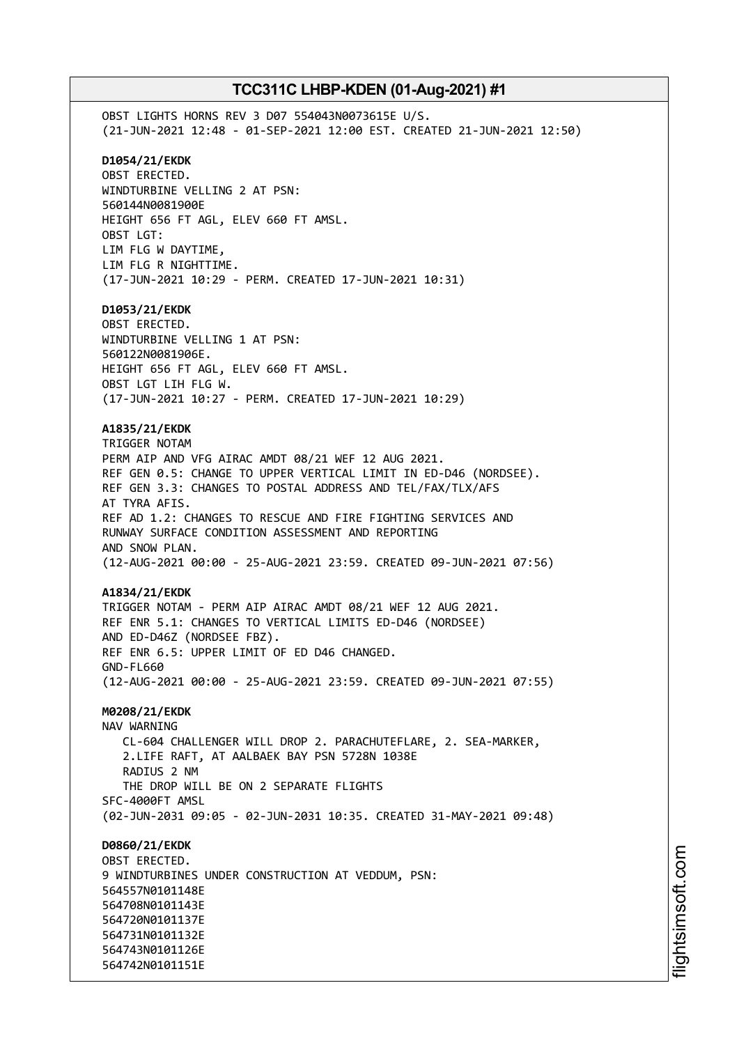OBST LIGHTS HORNS REV 3 D07 554043N0073615E U/S. (21-JUN-2021 12:48 - 01-SEP-2021 12:00 EST. CREATED 21-JUN-2021 12:50) **D1054/21/EKDK** OBST ERECTED. WINDTURBINE VELLING 2 AT PSN: 560144N0081900E HEIGHT 656 FT AGL, ELEV 660 FT AMSL. OBST LGT: LIM FLG W DAYTIME, LIM FLG R NIGHTTIME. (17-JUN-2021 10:29 - PERM. CREATED 17-JUN-2021 10:31) **D1053/21/EKDK** OBST ERECTED. WINDTURBINE VELLING 1 AT PSN: 560122N0081906E. HEIGHT 656 FT AGL, ELEV 660 FT AMSL. OBST LGT LIH FLG W. (17-JUN-2021 10:27 - PERM. CREATED 17-JUN-2021 10:29) **A1835/21/EKDK** TRIGGER NOTAM PERM AIP AND VFG AIRAC AMDT 08/21 WEF 12 AUG 2021. REF GEN 0.5: CHANGE TO UPPER VERTICAL LIMIT IN ED-D46 (NORDSEE). REF GEN 3.3: CHANGES TO POSTAL ADDRESS AND TEL/FAX/TLX/AFS AT TYRA AFIS. REF AD 1.2: CHANGES TO RESCUE AND FIRE FIGHTING SERVICES AND RUNWAY SURFACE CONDITION ASSESSMENT AND REPORTING AND SNOW PLAN. (12-AUG-2021 00:00 - 25-AUG-2021 23:59. CREATED 09-JUN-2021 07:56) **A1834/21/EKDK** TRIGGER NOTAM - PERM AIP AIRAC AMDT 08/21 WEF 12 AUG 2021. REF ENR 5.1: CHANGES TO VERTICAL LIMITS ED-D46 (NORDSEE) AND ED-D46Z (NORDSEE FBZ). REF ENR 6.5: UPPER LIMIT OF ED D46 CHANGED. GND-FL660 (12-AUG-2021 00:00 - 25-AUG-2021 23:59. CREATED 09-JUN-2021 07:55) **M0208/21/EKDK** NAV WARNING CL-604 CHALLENGER WILL DROP 2. PARACHUTEFLARE, 2. SEA-MARKER, 2.LIFE RAFT, AT AALBAEK BAY PSN 5728N 1038E RADIUS 2 NM THE DROP WILL BE ON 2 SEPARATE FLIGHTS SFC-4000FT AMSL (02-JUN-2031 09:05 - 02-JUN-2031 10:35. CREATED 31-MAY-2021 09:48) **D0860/21/EKDK** OBST ERECTED. 9 WINDTURBINES UNDER CONSTRUCTION AT VEDDUM, PSN: 564557N0101148E 564708N0101143E 564720N0101137E 564731N0101132E 564743N0101126E 564742N0101151E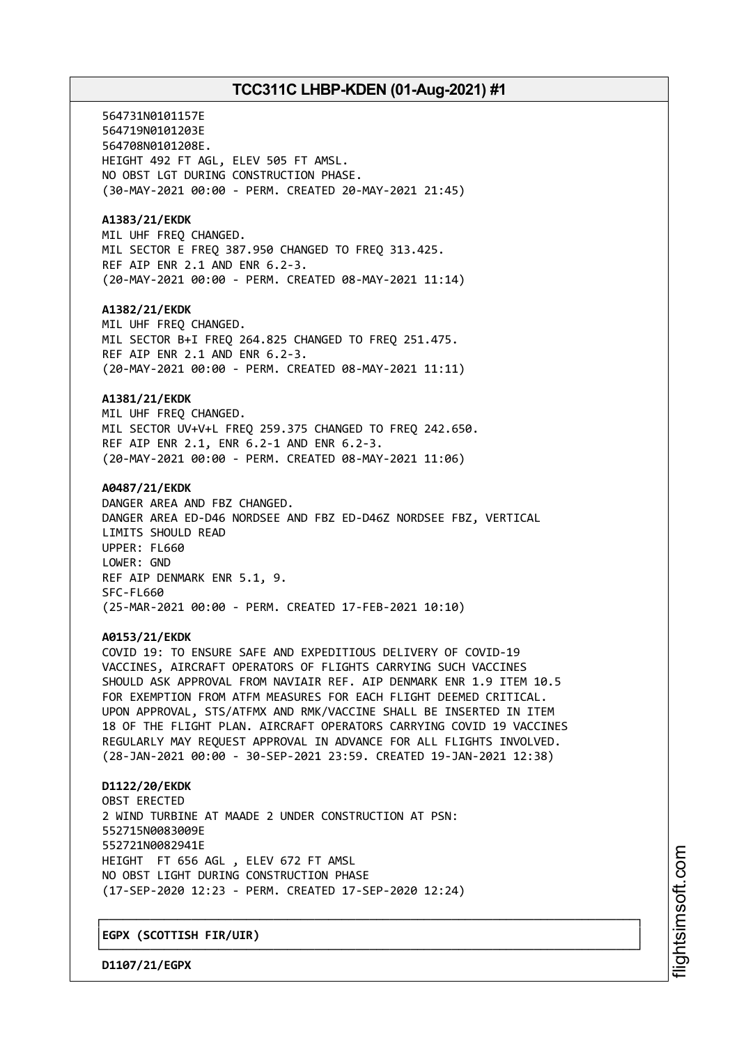564731N0101157E 564719N0101203E 564708N0101208E. HEIGHT 492 FT AGL, ELEV 505 FT AMSL. NO OBST LGT DURING CONSTRUCTION PHASE. (30-MAY-2021 00:00 - PERM. CREATED 20-MAY-2021 21:45) **A1383/21/EKDK** MIL UHF FREQ CHANGED. MIL SECTOR E FREQ 387.950 CHANGED TO FREQ 313.425. REF AIP ENR 2.1 AND ENR 6.2-3. (20-MAY-2021 00:00 - PERM. CREATED 08-MAY-2021 11:14) **A1382/21/EKDK** MIL UHF FREQ CHANGED. MIL SECTOR B+I FREQ 264.825 CHANGED TO FREQ 251.475. REF AIP ENR 2.1 AND ENR 6.2-3. (20-MAY-2021 00:00 - PERM. CREATED 08-MAY-2021 11:11) **A1381/21/EKDK** MIL UHF FREQ CHANGED. MIL SECTOR UV+V+L FREQ 259.375 CHANGED TO FREQ 242.650. REF AIP ENR 2.1, ENR 6.2-1 AND ENR 6.2-3. (20-MAY-2021 00:00 - PERM. CREATED 08-MAY-2021 11:06) **A0487/21/EKDK** DANGER AREA AND FBZ CHANGED. DANGER AREA ED-D46 NORDSEE AND FBZ ED-D46Z NORDSEE FBZ, VERTICAL LIMITS SHOULD READ UPPER: FL660 LOWER: GND REF AIP DENMARK ENR 5.1, 9. SFC-FL660 (25-MAR-2021 00:00 - PERM. CREATED 17-FEB-2021 10:10) **A0153/21/EKDK** COVID 19: TO ENSURE SAFE AND EXPEDITIOUS DELIVERY OF COVID-19 VACCINES, AIRCRAFT OPERATORS OF FLIGHTS CARRYING SUCH VACCINES SHOULD ASK APPROVAL FROM NAVIAIR REF. AIP DENMARK ENR 1.9 ITEM 10.5 FOR EXEMPTION FROM ATFM MEASURES FOR EACH FLIGHT DEEMED CRITICAL. UPON APPROVAL, STS/ATFMX AND RMK/VACCINE SHALL BE INSERTED IN ITEM 18 OF THE FLIGHT PLAN. AIRCRAFT OPERATORS CARRYING COVID 19 VACCINES REGULARLY MAY REQUEST APPROVAL IN ADVANCE FOR ALL FLIGHTS INVOLVED. (28-JAN-2021 00:00 - 30-SEP-2021 23:59. CREATED 19-JAN-2021 12:38) **D1122/20/EKDK** OBST ERECTED 2 WIND TURBINE AT MAADE 2 UNDER CONSTRUCTION AT PSN: 552715N0083009E 552721N0082941E HEIGHT FT 656 AGL , ELEV 672 FT AMSL NO OBST LIGHT DURING CONSTRUCTION PHASE (17-SEP-2020 12:23 - PERM. CREATED 17-SEP-2020 12:24)

┌──────────────────────────────────────────────────────────────────────────────┐

└──────────────────────────────────────────────────────────────────────────────┘

│**EGPX (SCOTTISH FIR/UIR)** │

**D1107/21/EGPX**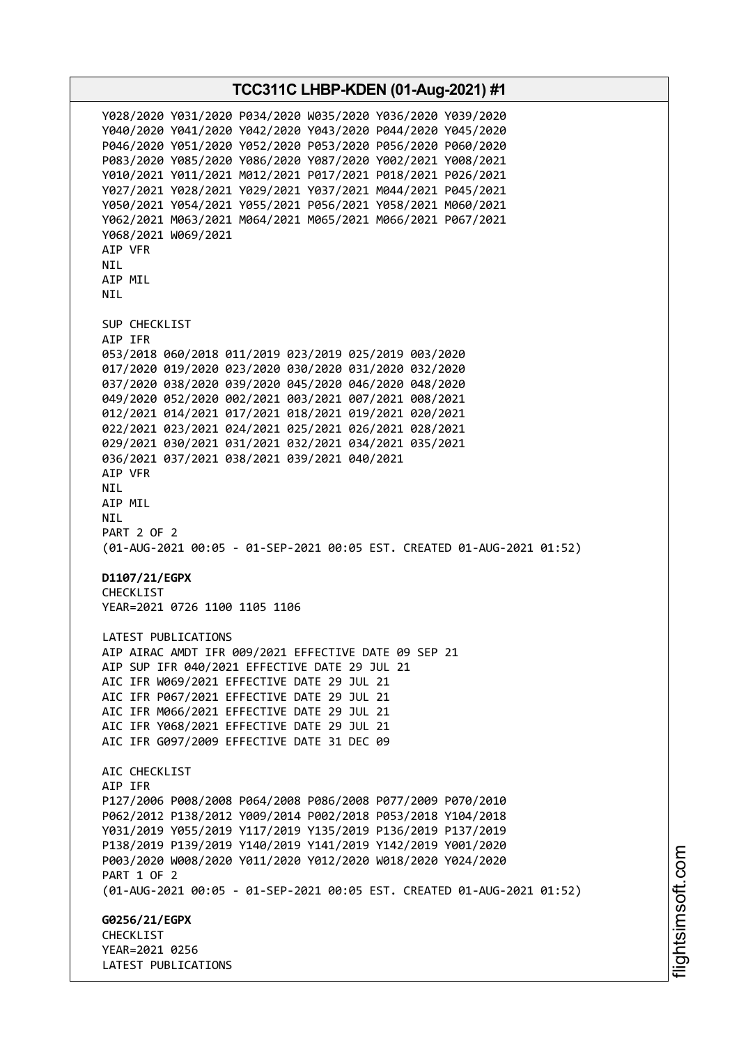**TCC311C LHBP-KDEN (01-Aug-2021) #1** Y028/2020 Y031/2020 P034/2020 W035/2020 Y036/2020 Y039/2020 Y040/2020 Y041/2020 Y042/2020 Y043/2020 P044/2020 Y045/2020 P046/2020 Y051/2020 Y052/2020 P053/2020 P056/2020 P060/2020 P083/2020 Y085/2020 Y086/2020 Y087/2020 Y002/2021 Y008/2021 Y010/2021 Y011/2021 M012/2021 P017/2021 P018/2021 P026/2021 Y027/2021 Y028/2021 Y029/2021 Y037/2021 M044/2021 P045/2021 Y050/2021 Y054/2021 Y055/2021 P056/2021 Y058/2021 M060/2021 Y062/2021 M063/2021 M064/2021 M065/2021 M066/2021 P067/2021 Y068/2021 W069/2021 AIP VFR NIL AIP MIL NIL SUP CHECKLIST AIP IFR 053/2018 060/2018 011/2019 023/2019 025/2019 003/2020 017/2020 019/2020 023/2020 030/2020 031/2020 032/2020 037/2020 038/2020 039/2020 045/2020 046/2020 048/2020 049/2020 052/2020 002/2021 003/2021 007/2021 008/2021 012/2021 014/2021 017/2021 018/2021 019/2021 020/2021 022/2021 023/2021 024/2021 025/2021 026/2021 028/2021 029/2021 030/2021 031/2021 032/2021 034/2021 035/2021 036/2021 037/2021 038/2021 039/2021 040/2021 AIP VFR NIL AIP MIL NIL PART 2 OF 2 (01-AUG-2021 00:05 - 01-SEP-2021 00:05 EST. CREATED 01-AUG-2021 01:52) **D1107/21/EGPX** CHECKLIST YEAR=2021 0726 1100 1105 1106 LATEST PUBLICATIONS AIP AIRAC AMDT IFR 009/2021 EFFECTIVE DATE 09 SEP 21 AIP SUP IFR 040/2021 EFFECTIVE DATE 29 JUL 21 AIC IFR W069/2021 EFFECTIVE DATE 29 JUL 21 AIC IFR P067/2021 EFFECTIVE DATE 29 JUL 21 AIC IFR M066/2021 EFFECTIVE DATE 29 JUL 21 AIC IFR Y068/2021 EFFECTIVE DATE 29 JUL 21 AIC IFR G097/2009 EFFECTIVE DATE 31 DEC 09 ATC CHECKLIST AIP IFR P127/2006 P008/2008 P064/2008 P086/2008 P077/2009 P070/2010 P062/2012 P138/2012 Y009/2014 P002/2018 P053/2018 Y104/2018 Y031/2019 Y055/2019 Y117/2019 Y135/2019 P136/2019 P137/2019 P138/2019 P139/2019 Y140/2019 Y141/2019 Y142/2019 Y001/2020 P003/2020 W008/2020 Y011/2020 Y012/2020 W018/2020 Y024/2020 PART 1 OF 2 (01-AUG-2021 00:05 - 01-SEP-2021 00:05 EST. CREATED 01-AUG-2021 01:52) **G0256/21/EGPX CHECKLIST** YEAR=2021 0256 LATEST PUBLICATIONS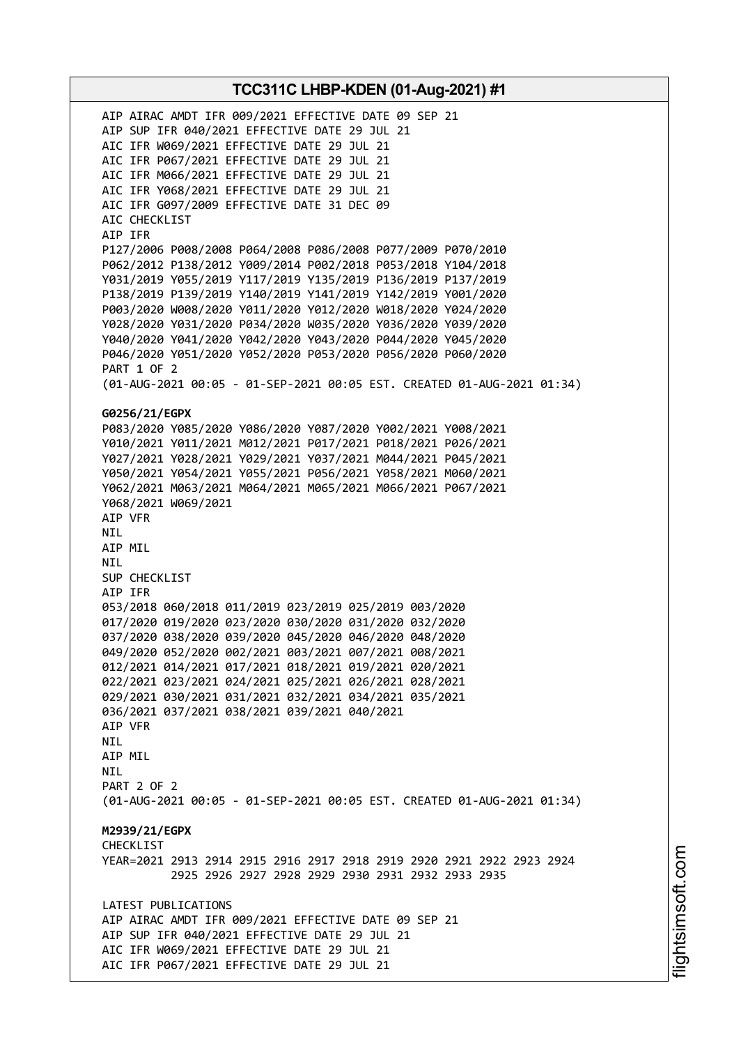AIP AIRAC AMDT IFR 009/2021 EFFECTIVE DATE 09 SEP 21 AIP SUP IFR 040/2021 EFFECTIVE DATE 29 JUL 21 AIC IFR W069/2021 EFFECTIVE DATE 29 JUL 21 AIC IFR P067/2021 EFFECTIVE DATE 29 JUL 21 AIC IFR M066/2021 EFFECTIVE DATE 29 JUL 21 AIC IFR Y068/2021 EFFECTIVE DATE 29 JUL 21 AIC IFR G097/2009 EFFECTIVE DATE 31 DEC 09 AIC CHECKLIST AIP IFR P127/2006 P008/2008 P064/2008 P086/2008 P077/2009 P070/2010 P062/2012 P138/2012 Y009/2014 P002/2018 P053/2018 Y104/2018 Y031/2019 Y055/2019 Y117/2019 Y135/2019 P136/2019 P137/2019 P138/2019 P139/2019 Y140/2019 Y141/2019 Y142/2019 Y001/2020 P003/2020 W008/2020 Y011/2020 Y012/2020 W018/2020 Y024/2020 Y028/2020 Y031/2020 P034/2020 W035/2020 Y036/2020 Y039/2020 Y040/2020 Y041/2020 Y042/2020 Y043/2020 P044/2020 Y045/2020 P046/2020 Y051/2020 Y052/2020 P053/2020 P056/2020 P060/2020 PART 1 OF 2 (01-AUG-2021 00:05 - 01-SEP-2021 00:05 EST. CREATED 01-AUG-2021 01:34) **G0256/21/EGPX** P083/2020 Y085/2020 Y086/2020 Y087/2020 Y002/2021 Y008/2021 Y010/2021 Y011/2021 M012/2021 P017/2021 P018/2021 P026/2021 Y027/2021 Y028/2021 Y029/2021 Y037/2021 M044/2021 P045/2021 Y050/2021 Y054/2021 Y055/2021 P056/2021 Y058/2021 M060/2021 Y062/2021 M063/2021 M064/2021 M065/2021 M066/2021 P067/2021 Y068/2021 W069/2021 AIP VFR NIL AIP MIL NIL SUP CHECKLIST AIP IFR 053/2018 060/2018 011/2019 023/2019 025/2019 003/2020 017/2020 019/2020 023/2020 030/2020 031/2020 032/2020 037/2020 038/2020 039/2020 045/2020 046/2020 048/2020 049/2020 052/2020 002/2021 003/2021 007/2021 008/2021 012/2021 014/2021 017/2021 018/2021 019/2021 020/2021 022/2021 023/2021 024/2021 025/2021 026/2021 028/2021 029/2021 030/2021 031/2021 032/2021 034/2021 035/2021 036/2021 037/2021 038/2021 039/2021 040/2021 AIP VFR NIL AIP MIL **NTI** PART 2 OF 2 (01-AUG-2021 00:05 - 01-SEP-2021 00:05 EST. CREATED 01-AUG-2021 01:34) **M2939/21/EGPX** CHECKLIST YEAR=2021 2913 2914 2915 2916 2917 2918 2919 2920 2921 2922 2923 2924 2925 2926 2927 2928 2929 2930 2931 2932 2933 2935 LATEST PUBLICATIONS AIP AIRAC AMDT IFR 009/2021 EFFECTIVE DATE 09 SEP 21 AIP SUP IFR 040/2021 EFFECTIVE DATE 29 JUL 21 AIC IFR W069/2021 EFFECTIVE DATE 29 JUL 21 AIC IFR P067/2021 EFFECTIVE DATE 29 JUL 21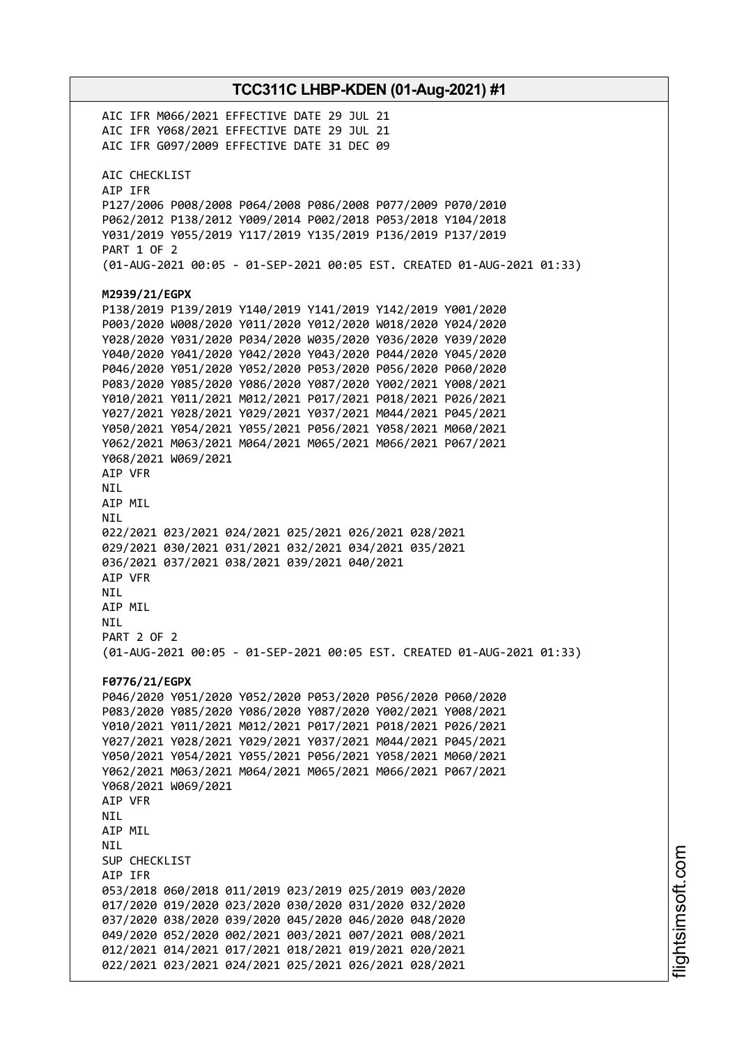**TCC311C LHBP-KDEN (01-Aug-2021) #1** AIC IFR M066/2021 EFFECTIVE DATE 29 JUL 21 AIC IFR Y068/2021 EFFECTIVE DATE 29 JUL 21 AIC IFR G097/2009 EFFECTIVE DATE 31 DEC 09 AIC CHECKLIST AIP IFR P127/2006 P008/2008 P064/2008 P086/2008 P077/2009 P070/2010 P062/2012 P138/2012 Y009/2014 P002/2018 P053/2018 Y104/2018 Y031/2019 Y055/2019 Y117/2019 Y135/2019 P136/2019 P137/2019 PART 1 OF 2 (01-AUG-2021 00:05 - 01-SEP-2021 00:05 EST. CREATED 01-AUG-2021 01:33) **M2939/21/EGPX** P138/2019 P139/2019 Y140/2019 Y141/2019 Y142/2019 Y001/2020 P003/2020 W008/2020 Y011/2020 Y012/2020 W018/2020 Y024/2020 Y028/2020 Y031/2020 P034/2020 W035/2020 Y036/2020 Y039/2020 Y040/2020 Y041/2020 Y042/2020 Y043/2020 P044/2020 Y045/2020 P046/2020 Y051/2020 Y052/2020 P053/2020 P056/2020 P060/2020 P083/2020 Y085/2020 Y086/2020 Y087/2020 Y002/2021 Y008/2021 Y010/2021 Y011/2021 M012/2021 P017/2021 P018/2021 P026/2021 Y027/2021 Y028/2021 Y029/2021 Y037/2021 M044/2021 P045/2021 Y050/2021 Y054/2021 Y055/2021 P056/2021 Y058/2021 M060/2021 Y062/2021 M063/2021 M064/2021 M065/2021 M066/2021 P067/2021 Y068/2021 W069/2021 AIP VFR NIL AIP MIL NIL 022/2021 023/2021 024/2021 025/2021 026/2021 028/2021 029/2021 030/2021 031/2021 032/2021 034/2021 035/2021 036/2021 037/2021 038/2021 039/2021 040/2021 AIP VFR NIL AIP MIL NIL PART 2 OF 2 (01-AUG-2021 00:05 - 01-SEP-2021 00:05 EST. CREATED 01-AUG-2021 01:33) **F0776/21/EGPX** P046/2020 Y051/2020 Y052/2020 P053/2020 P056/2020 P060/2020 P083/2020 Y085/2020 Y086/2020 Y087/2020 Y002/2021 Y008/2021 Y010/2021 Y011/2021 M012/2021 P017/2021 P018/2021 P026/2021 Y027/2021 Y028/2021 Y029/2021 Y037/2021 M044/2021 P045/2021 Y050/2021 Y054/2021 Y055/2021 P056/2021 Y058/2021 M060/2021 Y062/2021 M063/2021 M064/2021 M065/2021 M066/2021 P067/2021 Y068/2021 W069/2021 AIP VFR **NTI** AIP MIL NIL SUP CHECKLIST AIP IFR 053/2018 060/2018 011/2019 023/2019 025/2019 003/2020 017/2020 019/2020 023/2020 030/2020 031/2020 032/2020 037/2020 038/2020 039/2020 045/2020 046/2020 048/2020 049/2020 052/2020 002/2021 003/2021 007/2021 008/2021 012/2021 014/2021 017/2021 018/2021 019/2021 020/2021 022/2021 023/2021 024/2021 025/2021 026/2021 028/2021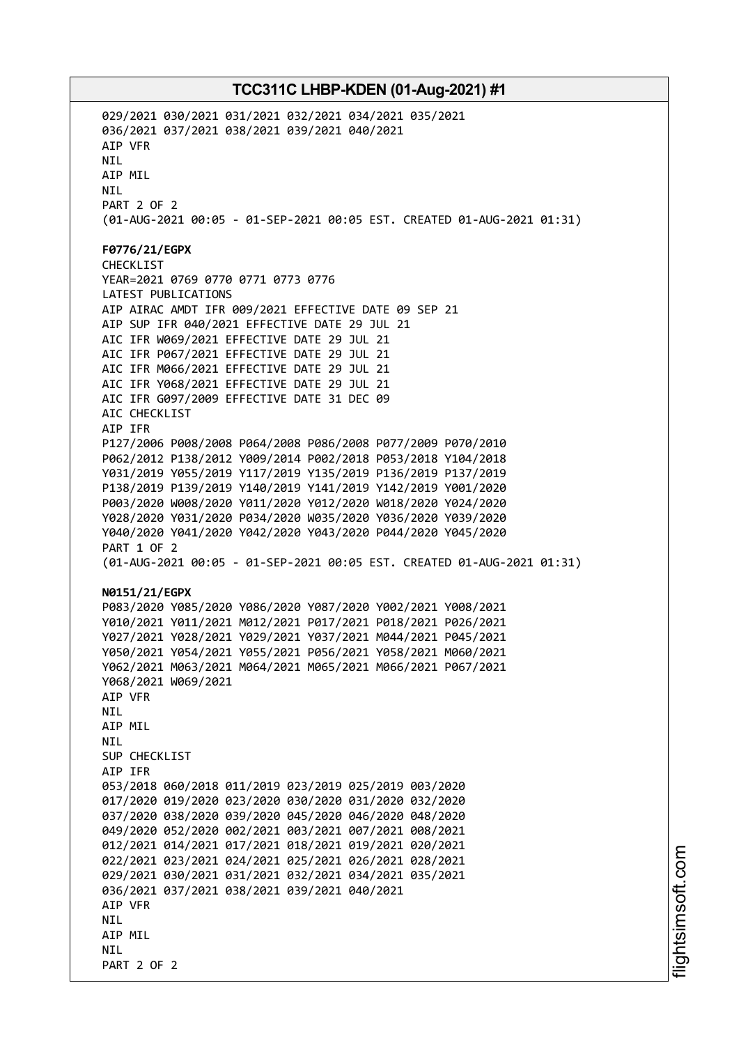029/2021 030/2021 031/2021 032/2021 034/2021 035/2021 036/2021 037/2021 038/2021 039/2021 040/2021 AIP VFR NIL AIP MIL NIL PART 2 OF 2 (01-AUG-2021 00:05 - 01-SEP-2021 00:05 EST. CREATED 01-AUG-2021 01:31) **F0776/21/EGPX** CHECKLIST YEAR=2021 0769 0770 0771 0773 0776 LATEST PUBLICATIONS AIP AIRAC AMDT IFR 009/2021 EFFECTIVE DATE 09 SEP 21 AIP SUP IFR 040/2021 EFFECTIVE DATE 29 JUL 21 AIC IFR W069/2021 EFFECTIVE DATE 29 JUL 21 AIC IFR P067/2021 EFFECTIVE DATE 29 JUL 21 AIC IFR M066/2021 EFFECTIVE DATE 29 JUL 21 AIC IFR Y068/2021 EFFECTIVE DATE 29 JUL 21 AIC IFR G097/2009 EFFECTIVE DATE 31 DEC 09 AIC CHECKLIST AIP IFR P127/2006 P008/2008 P064/2008 P086/2008 P077/2009 P070/2010 P062/2012 P138/2012 Y009/2014 P002/2018 P053/2018 Y104/2018 Y031/2019 Y055/2019 Y117/2019 Y135/2019 P136/2019 P137/2019 P138/2019 P139/2019 Y140/2019 Y141/2019 Y142/2019 Y001/2020 P003/2020 W008/2020 Y011/2020 Y012/2020 W018/2020 Y024/2020 Y028/2020 Y031/2020 P034/2020 W035/2020 Y036/2020 Y039/2020 Y040/2020 Y041/2020 Y042/2020 Y043/2020 P044/2020 Y045/2020 PART 1 OF 2 (01-AUG-2021 00:05 - 01-SEP-2021 00:05 EST. CREATED 01-AUG-2021 01:31) **N0151/21/EGPX** P083/2020 Y085/2020 Y086/2020 Y087/2020 Y002/2021 Y008/2021 Y010/2021 Y011/2021 M012/2021 P017/2021 P018/2021 P026/2021 Y027/2021 Y028/2021 Y029/2021 Y037/2021 M044/2021 P045/2021 Y050/2021 Y054/2021 Y055/2021 P056/2021 Y058/2021 M060/2021 Y062/2021 M063/2021 M064/2021 M065/2021 M066/2021 P067/2021 Y068/2021 W069/2021 AIP VFR **NTI** AIP MIL NIL SUP CHECKLIST AIP IFR 053/2018 060/2018 011/2019 023/2019 025/2019 003/2020 017/2020 019/2020 023/2020 030/2020 031/2020 032/2020 037/2020 038/2020 039/2020 045/2020 046/2020 048/2020 049/2020 052/2020 002/2021 003/2021 007/2021 008/2021 012/2021 014/2021 017/2021 018/2021 019/2021 020/2021 022/2021 023/2021 024/2021 025/2021 026/2021 028/2021 029/2021 030/2021 031/2021 032/2021 034/2021 035/2021 036/2021 037/2021 038/2021 039/2021 040/2021 AIP VFR **NTI** AIP MIL **NTI** PART 2 OF 2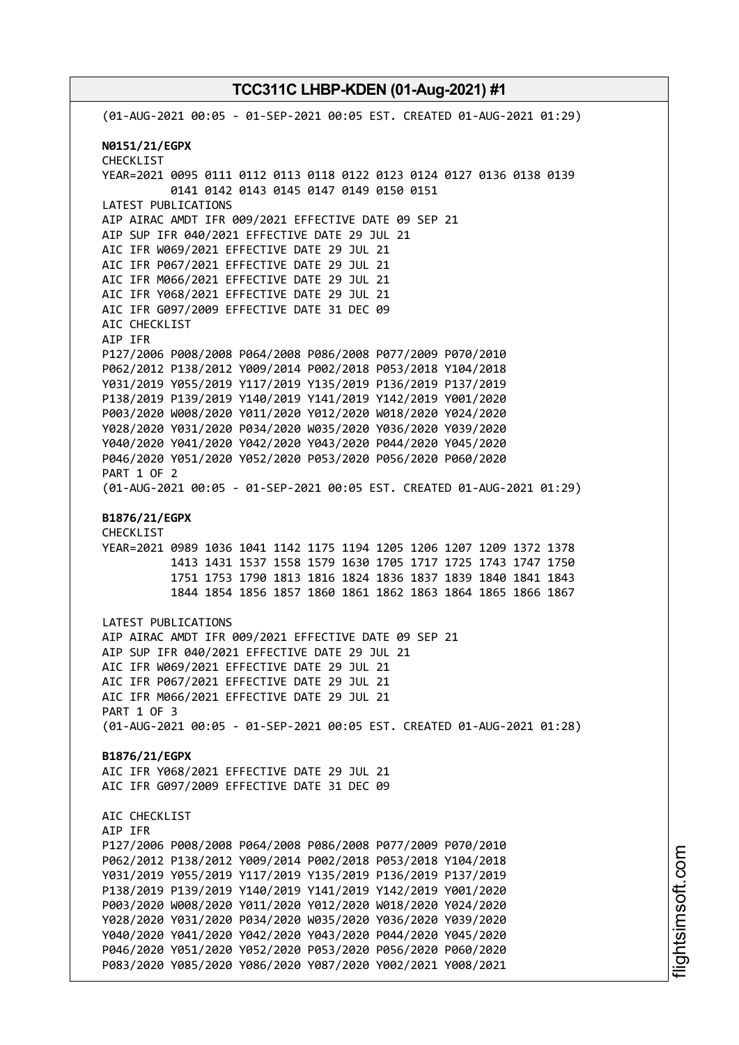(01-AUG-2021 00:05 - 01-SEP-2021 00:05 EST. CREATED 01-AUG-2021 01:29) **N0151/21/EGPX** CHECKLIST YEAR=2021 0095 0111 0112 0113 0118 0122 0123 0124 0127 0136 0138 0139 0141 0142 0143 0145 0147 0149 0150 0151 LATEST PUBLICATIONS AIP AIRAC AMDT IFR 009/2021 EFFECTIVE DATE 09 SEP 21 AIP SUP IFR 040/2021 EFFECTIVE DATE 29 JUL 21 AIC IFR W069/2021 EFFECTIVE DATE 29 JUL 21 AIC IFR P067/2021 EFFECTIVE DATE 29 JUL 21 AIC IFR M066/2021 EFFECTIVE DATE 29 JUL 21 AIC IFR Y068/2021 EFFECTIVE DATE 29 JUL 21 AIC IFR G097/2009 EFFECTIVE DATE 31 DEC 09 AIC CHECKLIST AIP IFR P127/2006 P008/2008 P064/2008 P086/2008 P077/2009 P070/2010 P062/2012 P138/2012 Y009/2014 P002/2018 P053/2018 Y104/2018 Y031/2019 Y055/2019 Y117/2019 Y135/2019 P136/2019 P137/2019 P138/2019 P139/2019 Y140/2019 Y141/2019 Y142/2019 Y001/2020 P003/2020 W008/2020 Y011/2020 Y012/2020 W018/2020 Y024/2020 Y028/2020 Y031/2020 P034/2020 W035/2020 Y036/2020 Y039/2020 Y040/2020 Y041/2020 Y042/2020 Y043/2020 P044/2020 Y045/2020 P046/2020 Y051/2020 Y052/2020 P053/2020 P056/2020 P060/2020 PART 1 OF 2 (01-AUG-2021 00:05 - 01-SEP-2021 00:05 EST. CREATED 01-AUG-2021 01:29) **B1876/21/EGPX** CHECKLIST YEAR=2021 0989 1036 1041 1142 1175 1194 1205 1206 1207 1209 1372 1378 1413 1431 1537 1558 1579 1630 1705 1717 1725 1743 1747 1750 1751 1753 1790 1813 1816 1824 1836 1837 1839 1840 1841 1843 1844 1854 1856 1857 1860 1861 1862 1863 1864 1865 1866 1867 LATEST PUBLICATIONS AIP AIRAC AMDT IFR 009/2021 EFFECTIVE DATE 09 SEP 21 AIP SUP IFR 040/2021 EFFECTIVE DATE 29 JUL 21 AIC IFR W069/2021 EFFECTIVE DATE 29 JUL 21 AIC IFR P067/2021 EFFECTIVE DATE 29 JUL 21 AIC IFR M066/2021 EFFECTIVE DATE 29 JUL 21 PART 1 OF 3 (01-AUG-2021 00:05 - 01-SEP-2021 00:05 EST. CREATED 01-AUG-2021 01:28) **B1876/21/EGPX** AIC IFR Y068/2021 EFFECTIVE DATE 29 JUL 21 AIC IFR G097/2009 EFFECTIVE DATE 31 DEC 09 AIC CHECKLIST AIP IFR P127/2006 P008/2008 P064/2008 P086/2008 P077/2009 P070/2010 P062/2012 P138/2012 Y009/2014 P002/2018 P053/2018 Y104/2018 Y031/2019 Y055/2019 Y117/2019 Y135/2019 P136/2019 P137/2019 P138/2019 P139/2019 Y140/2019 Y141/2019 Y142/2019 Y001/2020 P003/2020 W008/2020 Y011/2020 Y012/2020 W018/2020 Y024/2020 Y028/2020 Y031/2020 P034/2020 W035/2020 Y036/2020 Y039/2020 Y040/2020 Y041/2020 Y042/2020 Y043/2020 P044/2020 Y045/2020 P046/2020 Y051/2020 Y052/2020 P053/2020 P056/2020 P060/2020 P083/2020 Y085/2020 Y086/2020 Y087/2020 Y002/2021 Y008/2021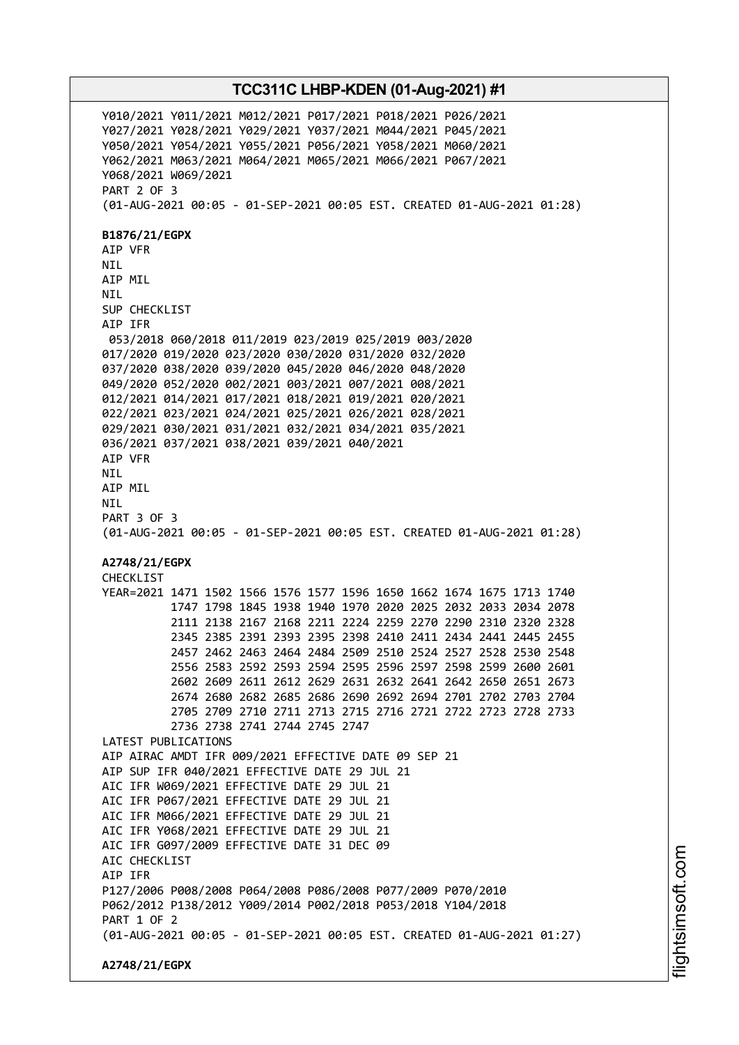Y010/2021 Y011/2021 M012/2021 P017/2021 P018/2021 P026/2021 Y027/2021 Y028/2021 Y029/2021 Y037/2021 M044/2021 P045/2021 Y050/2021 Y054/2021 Y055/2021 P056/2021 Y058/2021 M060/2021 Y062/2021 M063/2021 M064/2021 M065/2021 M066/2021 P067/2021 Y068/2021 W069/2021 PART 2 OF 3 (01-AUG-2021 00:05 - 01-SEP-2021 00:05 EST. CREATED 01-AUG-2021 01:28) **B1876/21/EGPX** AIP VFR NIL AIP MIL NIL SUP CHECKLIST AIP IFR 053/2018 060/2018 011/2019 023/2019 025/2019 003/2020 017/2020 019/2020 023/2020 030/2020 031/2020 032/2020 037/2020 038/2020 039/2020 045/2020 046/2020 048/2020 049/2020 052/2020 002/2021 003/2021 007/2021 008/2021 012/2021 014/2021 017/2021 018/2021 019/2021 020/2021 022/2021 023/2021 024/2021 025/2021 026/2021 028/2021 029/2021 030/2021 031/2021 032/2021 034/2021 035/2021 036/2021 037/2021 038/2021 039/2021 040/2021 AIP VFR NIL AIP MIL **NTI** PART 3 OF 3 (01-AUG-2021 00:05 - 01-SEP-2021 00:05 EST. CREATED 01-AUG-2021 01:28) **A2748/21/EGPX** CHECKLIST YEAR=2021 1471 1502 1566 1576 1577 1596 1650 1662 1674 1675 1713 1740 1747 1798 1845 1938 1940 1970 2020 2025 2032 2033 2034 2078 2111 2138 2167 2168 2211 2224 2259 2270 2290 2310 2320 2328 2345 2385 2391 2393 2395 2398 2410 2411 2434 2441 2445 2455 2457 2462 2463 2464 2484 2509 2510 2524 2527 2528 2530 2548 2556 2583 2592 2593 2594 2595 2596 2597 2598 2599 2600 2601 2602 2609 2611 2612 2629 2631 2632 2641 2642 2650 2651 2673 2674 2680 2682 2685 2686 2690 2692 2694 2701 2702 2703 2704 2705 2709 2710 2711 2713 2715 2716 2721 2722 2723 2728 2733 2736 2738 2741 2744 2745 2747 LATEST PUBLICATIONS AIP AIRAC AMDT IFR 009/2021 EFFECTIVE DATE 09 SEP 21 AIP SUP IFR 040/2021 EFFECTIVE DATE 29 JUL 21 AIC IFR W069/2021 EFFECTIVE DATE 29 JUL 21 AIC IFR P067/2021 EFFECTIVE DATE 29 JUL 21 AIC IFR M066/2021 EFFECTIVE DATE 29 JUL 21 AIC IFR Y068/2021 EFFECTIVE DATE 29 JUL 21 AIC IFR G097/2009 EFFECTIVE DATE 31 DEC 09 AIC CHECKLIST AIP IFR P127/2006 P008/2008 P064/2008 P086/2008 P077/2009 P070/2010 P062/2012 P138/2012 Y009/2014 P002/2018 P053/2018 Y104/2018 PART 1 OF 2 (01-AUG-2021 00:05 - 01-SEP-2021 00:05 EST. CREATED 01-AUG-2021 01:27) **A2748/21/EGPX**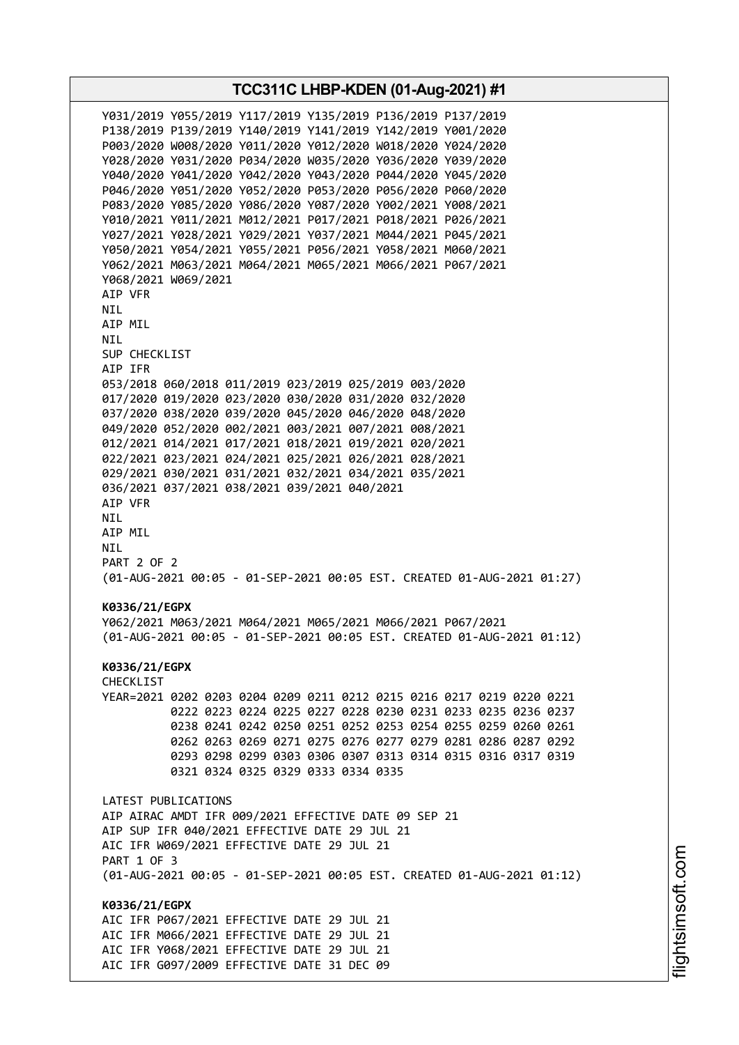**TCC311C LHBP-KDEN (01-Aug-2021) #1** Y031/2019 Y055/2019 Y117/2019 Y135/2019 P136/2019 P137/2019 P138/2019 P139/2019 Y140/2019 Y141/2019 Y142/2019 Y001/2020 P003/2020 W008/2020 Y011/2020 Y012/2020 W018/2020 Y024/2020 Y028/2020 Y031/2020 P034/2020 W035/2020 Y036/2020 Y039/2020 Y040/2020 Y041/2020 Y042/2020 Y043/2020 P044/2020 Y045/2020 P046/2020 Y051/2020 Y052/2020 P053/2020 P056/2020 P060/2020 P083/2020 Y085/2020 Y086/2020 Y087/2020 Y002/2021 Y008/2021 Y010/2021 Y011/2021 M012/2021 P017/2021 P018/2021 P026/2021 Y027/2021 Y028/2021 Y029/2021 Y037/2021 M044/2021 P045/2021 Y050/2021 Y054/2021 Y055/2021 P056/2021 Y058/2021 M060/2021 Y062/2021 M063/2021 M064/2021 M065/2021 M066/2021 P067/2021 Y068/2021 W069/2021 AIP VFR NIL AIP MIL NIL SUP CHECKLIST AIP IFR 053/2018 060/2018 011/2019 023/2019 025/2019 003/2020 017/2020 019/2020 023/2020 030/2020 031/2020 032/2020 037/2020 038/2020 039/2020 045/2020 046/2020 048/2020 049/2020 052/2020 002/2021 003/2021 007/2021 008/2021 012/2021 014/2021 017/2021 018/2021 019/2021 020/2021 022/2021 023/2021 024/2021 025/2021 026/2021 028/2021 029/2021 030/2021 031/2021 032/2021 034/2021 035/2021 036/2021 037/2021 038/2021 039/2021 040/2021 AIP VFR NIL AIP MIL NIL PART 2 OF 2 (01-AUG-2021 00:05 - 01-SEP-2021 00:05 EST. CREATED 01-AUG-2021 01:27) **K0336/21/EGPX** Y062/2021 M063/2021 M064/2021 M065/2021 M066/2021 P067/2021 (01-AUG-2021 00:05 - 01-SEP-2021 00:05 EST. CREATED 01-AUG-2021 01:12) **K0336/21/EGPX** CHECKLIST YEAR=2021 0202 0203 0204 0209 0211 0212 0215 0216 0217 0219 0220 0221 0222 0223 0224 0225 0227 0228 0230 0231 0233 0235 0236 0237 0238 0241 0242 0250 0251 0252 0253 0254 0255 0259 0260 0261 0262 0263 0269 0271 0275 0276 0277 0279 0281 0286 0287 0292 0293 0298 0299 0303 0306 0307 0313 0314 0315 0316 0317 0319 0321 0324 0325 0329 0333 0334 0335 LATEST PUBLICATIONS AIP AIRAC AMDT IFR 009/2021 EFFECTIVE DATE 09 SEP 21 AIP SUP IFR 040/2021 EFFECTIVE DATE 29 JUL 21 AIC IFR W069/2021 EFFECTIVE DATE 29 JUL 21 PART 1 OF 3 (01-AUG-2021 00:05 - 01-SEP-2021 00:05 EST. CREATED 01-AUG-2021 01:12) **K0336/21/EGPX** AIC IFR P067/2021 EFFECTIVE DATE 29 JUL 21 AIC IFR M066/2021 EFFECTIVE DATE 29 JUL 21 AIC IFR Y068/2021 EFFECTIVE DATE 29 JUL 21 AIC IFR G097/2009 EFFECTIVE DATE 31 DEC 09

i⊒<br>⊫ htsim soft.c o

m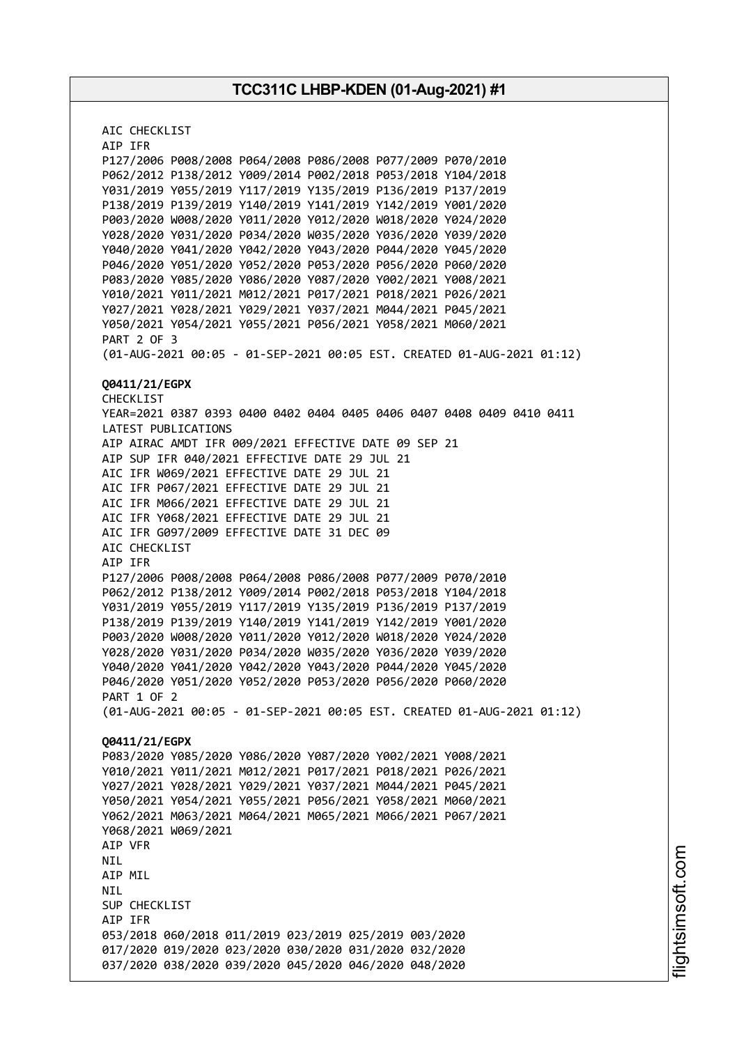AIC CHECKLIST AIP IFR P127/2006 P008/2008 P064/2008 P086/2008 P077/2009 P070/2010 P062/2012 P138/2012 Y009/2014 P002/2018 P053/2018 Y104/2018 Y031/2019 Y055/2019 Y117/2019 Y135/2019 P136/2019 P137/2019 P138/2019 P139/2019 Y140/2019 Y141/2019 Y142/2019 Y001/2020 P003/2020 W008/2020 Y011/2020 Y012/2020 W018/2020 Y024/2020 Y028/2020 Y031/2020 P034/2020 W035/2020 Y036/2020 Y039/2020 Y040/2020 Y041/2020 Y042/2020 Y043/2020 P044/2020 Y045/2020 P046/2020 Y051/2020 Y052/2020 P053/2020 P056/2020 P060/2020 P083/2020 Y085/2020 Y086/2020 Y087/2020 Y002/2021 Y008/2021 Y010/2021 Y011/2021 M012/2021 P017/2021 P018/2021 P026/2021 Y027/2021 Y028/2021 Y029/2021 Y037/2021 M044/2021 P045/2021 Y050/2021 Y054/2021 Y055/2021 P056/2021 Y058/2021 M060/2021 PART 2 OF 3 (01-AUG-2021 00:05 - 01-SEP-2021 00:05 EST. CREATED 01-AUG-2021 01:12) **Q0411/21/EGPX** CHECKLIST YEAR=2021 0387 0393 0400 0402 0404 0405 0406 0407 0408 0409 0410 0411 LATEST PUBLICATIONS AIP AIRAC AMDT IFR 009/2021 EFFECTIVE DATE 09 SEP 21 AIP SUP IFR 040/2021 EFFECTIVE DATE 29 JUL 21 AIC IFR W069/2021 EFFECTIVE DATE 29 JUL 21 AIC IFR P067/2021 EFFECTIVE DATE 29 JUL 21 AIC IFR M066/2021 EFFECTIVE DATE 29 JUL 21 AIC IFR Y068/2021 EFFECTIVE DATE 29 JUL 21 AIC IFR G097/2009 EFFECTIVE DATE 31 DEC 09 AIC CHECKLIST AIP IFR P127/2006 P008/2008 P064/2008 P086/2008 P077/2009 P070/2010 P062/2012 P138/2012 Y009/2014 P002/2018 P053/2018 Y104/2018 Y031/2019 Y055/2019 Y117/2019 Y135/2019 P136/2019 P137/2019 P138/2019 P139/2019 Y140/2019 Y141/2019 Y142/2019 Y001/2020 P003/2020 W008/2020 Y011/2020 Y012/2020 W018/2020 Y024/2020 Y028/2020 Y031/2020 P034/2020 W035/2020 Y036/2020 Y039/2020 Y040/2020 Y041/2020 Y042/2020 Y043/2020 P044/2020 Y045/2020 P046/2020 Y051/2020 Y052/2020 P053/2020 P056/2020 P060/2020 PART 1 OF 2 (01-AUG-2021 00:05 - 01-SEP-2021 00:05 EST. CREATED 01-AUG-2021 01:12) **Q0411/21/EGPX** P083/2020 Y085/2020 Y086/2020 Y087/2020 Y002/2021 Y008/2021 Y010/2021 Y011/2021 M012/2021 P017/2021 P018/2021 P026/2021 Y027/2021 Y028/2021 Y029/2021 Y037/2021 M044/2021 P045/2021 Y050/2021 Y054/2021 Y055/2021 P056/2021 Y058/2021 M060/2021 Y062/2021 M063/2021 M064/2021 M065/2021 M066/2021 P067/2021 Y068/2021 W069/2021 AIP VFR NIL AIP MIL NIL SUP CHECKLIST AIP IFR 053/2018 060/2018 011/2019 023/2019 025/2019 003/2020 017/2020 019/2020 023/2020 030/2020 031/2020 032/2020 037/2020 038/2020 039/2020 045/2020 046/2020 048/2020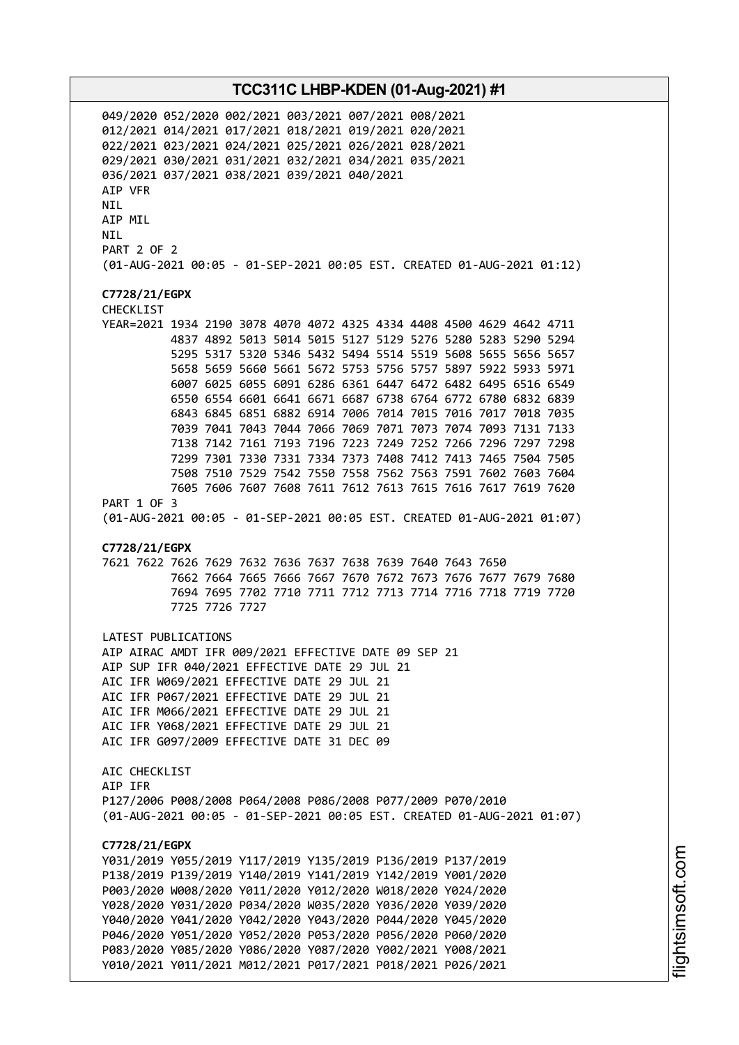049/2020 052/2020 002/2021 003/2021 007/2021 008/2021 012/2021 014/2021 017/2021 018/2021 019/2021 020/2021 022/2021 023/2021 024/2021 025/2021 026/2021 028/2021 029/2021 030/2021 031/2021 032/2021 034/2021 035/2021 036/2021 037/2021 038/2021 039/2021 040/2021 AIP VFR NIL AIP MIL NIL PART 2 OF 2 (01-AUG-2021 00:05 - 01-SEP-2021 00:05 EST. CREATED 01-AUG-2021 01:12) **C7728/21/EGPX** CHECKLIST YEAR=2021 1934 2190 3078 4070 4072 4325 4334 4408 4500 4629 4642 4711 4837 4892 5013 5014 5015 5127 5129 5276 5280 5283 5290 5294 5295 5317 5320 5346 5432 5494 5514 5519 5608 5655 5656 5657 5658 5659 5660 5661 5672 5753 5756 5757 5897 5922 5933 5971 6007 6025 6055 6091 6286 6361 6447 6472 6482 6495 6516 6549 6550 6554 6601 6641 6671 6687 6738 6764 6772 6780 6832 6839 6843 6845 6851 6882 6914 7006 7014 7015 7016 7017 7018 7035 7039 7041 7043 7044 7066 7069 7071 7073 7074 7093 7131 7133 7138 7142 7161 7193 7196 7223 7249 7252 7266 7296 7297 7298 7299 7301 7330 7331 7334 7373 7408 7412 7413 7465 7504 7505 7508 7510 7529 7542 7550 7558 7562 7563 7591 7602 7603 7604 7605 7606 7607 7608 7611 7612 7613 7615 7616 7617 7619 7620 PART 1 OF 3 (01-AUG-2021 00:05 - 01-SEP-2021 00:05 EST. CREATED 01-AUG-2021 01:07) **C7728/21/EGPX** 7621 7622 7626 7629 7632 7636 7637 7638 7639 7640 7643 7650 7662 7664 7665 7666 7667 7670 7672 7673 7676 7677 7679 7680 7694 7695 7702 7710 7711 7712 7713 7714 7716 7718 7719 7720 7725 7726 7727 LATEST PUBLICATIONS AIP AIRAC AMDT IFR 009/2021 EFFECTIVE DATE 09 SEP 21 AIP SUP IFR 040/2021 EFFECTIVE DATE 29 JUL 21 AIC IFR W069/2021 EFFECTIVE DATE 29 JUL 21 AIC IFR P067/2021 EFFECTIVE DATE 29 JUL 21 AIC IFR M066/2021 EFFECTIVE DATE 29 JUL 21 AIC IFR Y068/2021 EFFECTIVE DATE 29 JUL 21 AIC IFR G097/2009 EFFECTIVE DATE 31 DEC 09 AIC CHECKLIST AIP IFR P127/2006 P008/2008 P064/2008 P086/2008 P077/2009 P070/2010 (01-AUG-2021 00:05 - 01-SEP-2021 00:05 EST. CREATED 01-AUG-2021 01:07) **C7728/21/EGPX** Y031/2019 Y055/2019 Y117/2019 Y135/2019 P136/2019 P137/2019 P138/2019 P139/2019 Y140/2019 Y141/2019 Y142/2019 Y001/2020 P003/2020 W008/2020 Y011/2020 Y012/2020 W018/2020 Y024/2020 Y028/2020 Y031/2020 P034/2020 W035/2020 Y036/2020 Y039/2020 Y040/2020 Y041/2020 Y042/2020 Y043/2020 P044/2020 Y045/2020 P046/2020 Y051/2020 Y052/2020 P053/2020 P056/2020 P060/2020 P083/2020 Y085/2020 Y086/2020 Y087/2020 Y002/2021 Y008/2021 Y010/2021 Y011/2021 M012/2021 P017/2021 P018/2021 P026/2021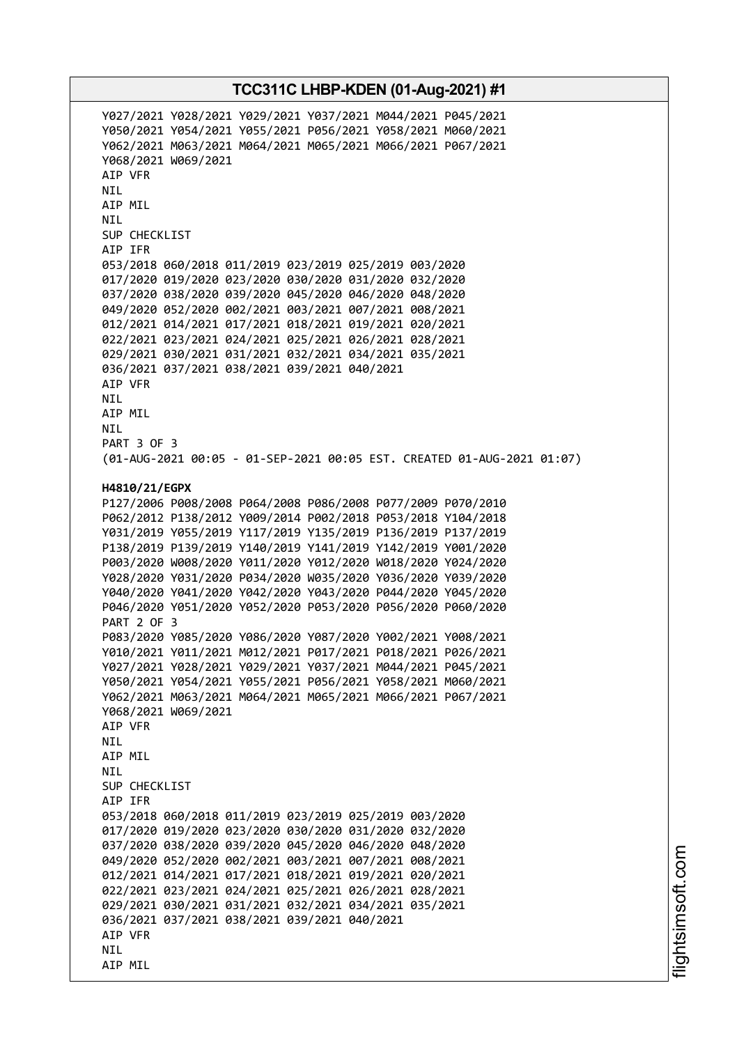Y027/2021 Y028/2021 Y029/2021 Y037/2021 M044/2021 P045/2021 Y050/2021 Y054/2021 Y055/2021 P056/2021 Y058/2021 M060/2021 Y062/2021 M063/2021 M064/2021 M065/2021 M066/2021 P067/2021 Y068/2021 W069/2021 AIP VFR NIL AIP MIL NIL SUP CHECKLIST AIP IFR 053/2018 060/2018 011/2019 023/2019 025/2019 003/2020 017/2020 019/2020 023/2020 030/2020 031/2020 032/2020 037/2020 038/2020 039/2020 045/2020 046/2020 048/2020 049/2020 052/2020 002/2021 003/2021 007/2021 008/2021 012/2021 014/2021 017/2021 018/2021 019/2021 020/2021 022/2021 023/2021 024/2021 025/2021 026/2021 028/2021 029/2021 030/2021 031/2021 032/2021 034/2021 035/2021 036/2021 037/2021 038/2021 039/2021 040/2021 AIP VFR NIL AIP MIL NIL PART 3 OF 3 (01-AUG-2021 00:05 - 01-SEP-2021 00:05 EST. CREATED 01-AUG-2021 01:07) **H4810/21/EGPX** P127/2006 P008/2008 P064/2008 P086/2008 P077/2009 P070/2010 P062/2012 P138/2012 Y009/2014 P002/2018 P053/2018 Y104/2018 Y031/2019 Y055/2019 Y117/2019 Y135/2019 P136/2019 P137/2019 P138/2019 P139/2019 Y140/2019 Y141/2019 Y142/2019 Y001/2020 P003/2020 W008/2020 Y011/2020 Y012/2020 W018/2020 Y024/2020 Y028/2020 Y031/2020 P034/2020 W035/2020 Y036/2020 Y039/2020 Y040/2020 Y041/2020 Y042/2020 Y043/2020 P044/2020 Y045/2020 P046/2020 Y051/2020 Y052/2020 P053/2020 P056/2020 P060/2020 PART 2 OF 3 P083/2020 Y085/2020 Y086/2020 Y087/2020 Y002/2021 Y008/2021 Y010/2021 Y011/2021 M012/2021 P017/2021 P018/2021 P026/2021 Y027/2021 Y028/2021 Y029/2021 Y037/2021 M044/2021 P045/2021 Y050/2021 Y054/2021 Y055/2021 P056/2021 Y058/2021 M060/2021 Y062/2021 M063/2021 M064/2021 M065/2021 M066/2021 P067/2021 Y068/2021 W069/2021 AIP VFR NIL AIP MIL **NTI** SUP CHECKLIST AIP IFR 053/2018 060/2018 011/2019 023/2019 025/2019 003/2020 017/2020 019/2020 023/2020 030/2020 031/2020 032/2020 037/2020 038/2020 039/2020 045/2020 046/2020 048/2020 049/2020 052/2020 002/2021 003/2021 007/2021 008/2021 012/2021 014/2021 017/2021 018/2021 019/2021 020/2021 022/2021 023/2021 024/2021 025/2021 026/2021 028/2021 029/2021 030/2021 031/2021 032/2021 034/2021 035/2021 036/2021 037/2021 038/2021 039/2021 040/2021 AIP VFR NIL AIP MIL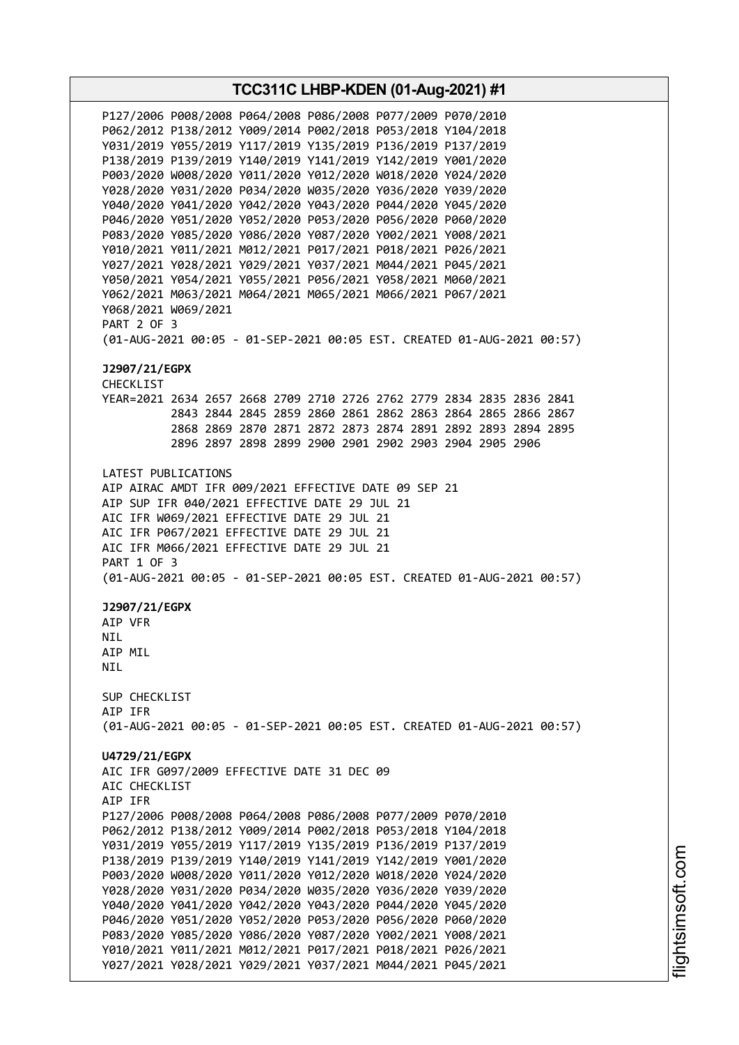**TCC311C LHBP-KDEN (01-Aug-2021) #1** P127/2006 P008/2008 P064/2008 P086/2008 P077/2009 P070/2010 P062/2012 P138/2012 Y009/2014 P002/2018 P053/2018 Y104/2018 Y031/2019 Y055/2019 Y117/2019 Y135/2019 P136/2019 P137/2019 P138/2019 P139/2019 Y140/2019 Y141/2019 Y142/2019 Y001/2020 P003/2020 W008/2020 Y011/2020 Y012/2020 W018/2020 Y024/2020 Y028/2020 Y031/2020 P034/2020 W035/2020 Y036/2020 Y039/2020 Y040/2020 Y041/2020 Y042/2020 Y043/2020 P044/2020 Y045/2020 P046/2020 Y051/2020 Y052/2020 P053/2020 P056/2020 P060/2020 P083/2020 Y085/2020 Y086/2020 Y087/2020 Y002/2021 Y008/2021 Y010/2021 Y011/2021 M012/2021 P017/2021 P018/2021 P026/2021 Y027/2021 Y028/2021 Y029/2021 Y037/2021 M044/2021 P045/2021 Y050/2021 Y054/2021 Y055/2021 P056/2021 Y058/2021 M060/2021 Y062/2021 M063/2021 M064/2021 M065/2021 M066/2021 P067/2021 Y068/2021 W069/2021 PART 2 OF 3 (01-AUG-2021 00:05 - 01-SEP-2021 00:05 EST. CREATED 01-AUG-2021 00:57) **J2907/21/EGPX** CHECKLIST YEAR=2021 2634 2657 2668 2709 2710 2726 2762 2779 2834 2835 2836 2841 2843 2844 2845 2859 2860 2861 2862 2863 2864 2865 2866 2867 2868 2869 2870 2871 2872 2873 2874 2891 2892 2893 2894 2895 2896 2897 2898 2899 2900 2901 2902 2903 2904 2905 2906 LATEST PUBLICATIONS AIP AIRAC AMDT IFR 009/2021 EFFECTIVE DATE 09 SEP 21 AIP SUP IFR 040/2021 EFFECTIVE DATE 29 JUL 21 AIC IFR W069/2021 EFFECTIVE DATE 29 JUL 21 AIC IFR P067/2021 EFFECTIVE DATE 29 JUL 21 AIC IFR M066/2021 EFFECTIVE DATE 29 JUL 21 PART 1 OF 3 (01-AUG-2021 00:05 - 01-SEP-2021 00:05 EST. CREATED 01-AUG-2021 00:57) **J2907/21/EGPX** AIP VFR **NTL** AIP MIL NIL SUP CHECKLIST AIP IFR (01-AUG-2021 00:05 - 01-SEP-2021 00:05 EST. CREATED 01-AUG-2021 00:57) **U4729/21/EGPX** AIC IFR G097/2009 EFFECTIVE DATE 31 DEC 09 AIC CHECKLIST AIP IFR P127/2006 P008/2008 P064/2008 P086/2008 P077/2009 P070/2010 P062/2012 P138/2012 Y009/2014 P002/2018 P053/2018 Y104/2018 Y031/2019 Y055/2019 Y117/2019 Y135/2019 P136/2019 P137/2019 P138/2019 P139/2019 Y140/2019 Y141/2019 Y142/2019 Y001/2020 P003/2020 W008/2020 Y011/2020 Y012/2020 W018/2020 Y024/2020 Y028/2020 Y031/2020 P034/2020 W035/2020 Y036/2020 Y039/2020 Y040/2020 Y041/2020 Y042/2020 Y043/2020 P044/2020 Y045/2020 P046/2020 Y051/2020 Y052/2020 P053/2020 P056/2020 P060/2020 P083/2020 Y085/2020 Y086/2020 Y087/2020 Y002/2021 Y008/2021 Y010/2021 Y011/2021 M012/2021 P017/2021 P018/2021 P026/2021 Y027/2021 Y028/2021 Y029/2021 Y037/2021 M044/2021 P045/2021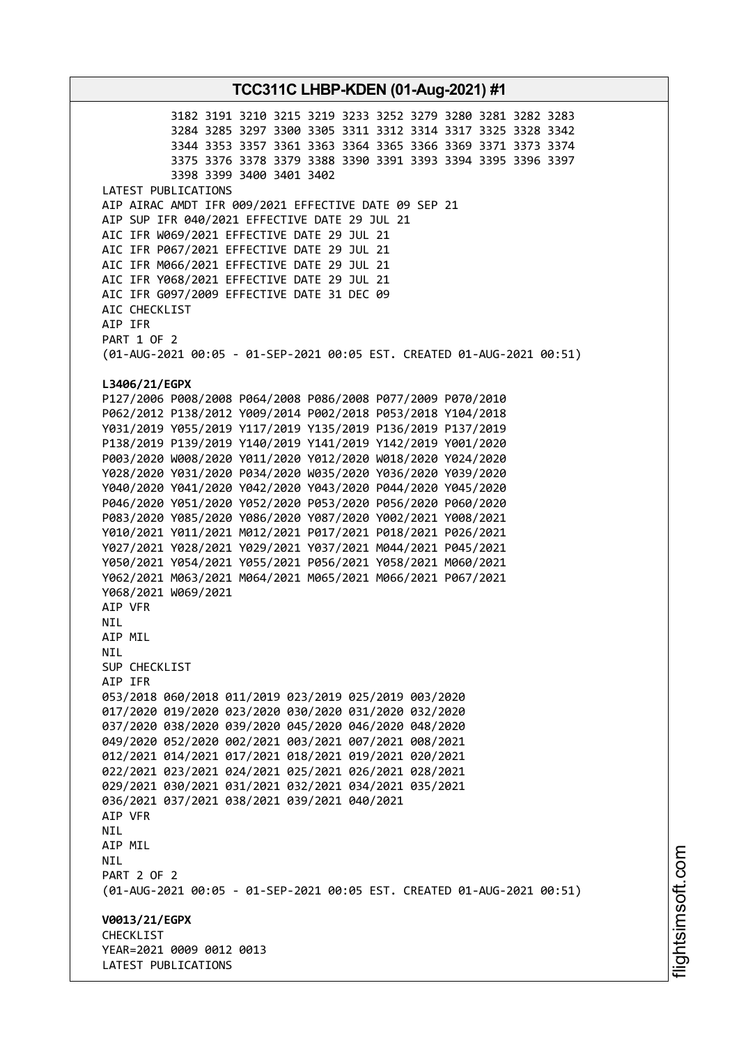3182 3191 3210 3215 3219 3233 3252 3279 3280 3281 3282 3283 3284 3285 3297 3300 3305 3311 3312 3314 3317 3325 3328 3342 3344 3353 3357 3361 3363 3364 3365 3366 3369 3371 3373 3374 3375 3376 3378 3379 3388 3390 3391 3393 3394 3395 3396 3397 3398 3399 3400 3401 3402 LATEST PUBLICATIONS AIP AIRAC AMDT IFR 009/2021 EFFECTIVE DATE 09 SEP 21 AIP SUP IFR 040/2021 EFFECTIVE DATE 29 JUL 21 AIC IFR W069/2021 EFFECTIVE DATE 29 JUL 21 AIC IFR P067/2021 EFFECTIVE DATE 29 JUL 21 AIC IFR M066/2021 EFFECTIVE DATE 29 JUL 21 AIC IFR Y068/2021 EFFECTIVE DATE 29 JUL 21 AIC IFR G097/2009 EFFECTIVE DATE 31 DEC 09 AIC CHECKLIST AIP IFR PART 1 OF 2 (01-AUG-2021 00:05 - 01-SEP-2021 00:05 EST. CREATED 01-AUG-2021 00:51) **L3406/21/EGPX** P127/2006 P008/2008 P064/2008 P086/2008 P077/2009 P070/2010 P062/2012 P138/2012 Y009/2014 P002/2018 P053/2018 Y104/2018 Y031/2019 Y055/2019 Y117/2019 Y135/2019 P136/2019 P137/2019 P138/2019 P139/2019 Y140/2019 Y141/2019 Y142/2019 Y001/2020 P003/2020 W008/2020 Y011/2020 Y012/2020 W018/2020 Y024/2020 Y028/2020 Y031/2020 P034/2020 W035/2020 Y036/2020 Y039/2020 Y040/2020 Y041/2020 Y042/2020 Y043/2020 P044/2020 Y045/2020 P046/2020 Y051/2020 Y052/2020 P053/2020 P056/2020 P060/2020 P083/2020 Y085/2020 Y086/2020 Y087/2020 Y002/2021 Y008/2021 Y010/2021 Y011/2021 M012/2021 P017/2021 P018/2021 P026/2021 Y027/2021 Y028/2021 Y029/2021 Y037/2021 M044/2021 P045/2021 Y050/2021 Y054/2021 Y055/2021 P056/2021 Y058/2021 M060/2021 Y062/2021 M063/2021 M064/2021 M065/2021 M066/2021 P067/2021 Y068/2021 W069/2021 AIP VFR NIL AIP MIL NIL SUP CHECKLIST AIP IFR 053/2018 060/2018 011/2019 023/2019 025/2019 003/2020 017/2020 019/2020 023/2020 030/2020 031/2020 032/2020 037/2020 038/2020 039/2020 045/2020 046/2020 048/2020 049/2020 052/2020 002/2021 003/2021 007/2021 008/2021 012/2021 014/2021 017/2021 018/2021 019/2021 020/2021 022/2021 023/2021 024/2021 025/2021 026/2021 028/2021 029/2021 030/2021 031/2021 032/2021 034/2021 035/2021 036/2021 037/2021 038/2021 039/2021 040/2021 AIP VFR NIL AIP MIL NIL PART 2 OF 2 (01-AUG-2021 00:05 - 01-SEP-2021 00:05 EST. CREATED 01-AUG-2021 00:51) **V0013/21/EGPX CHECKLIST** YEAR=2021 0009 0012 0013 LATEST PUBLICATIONS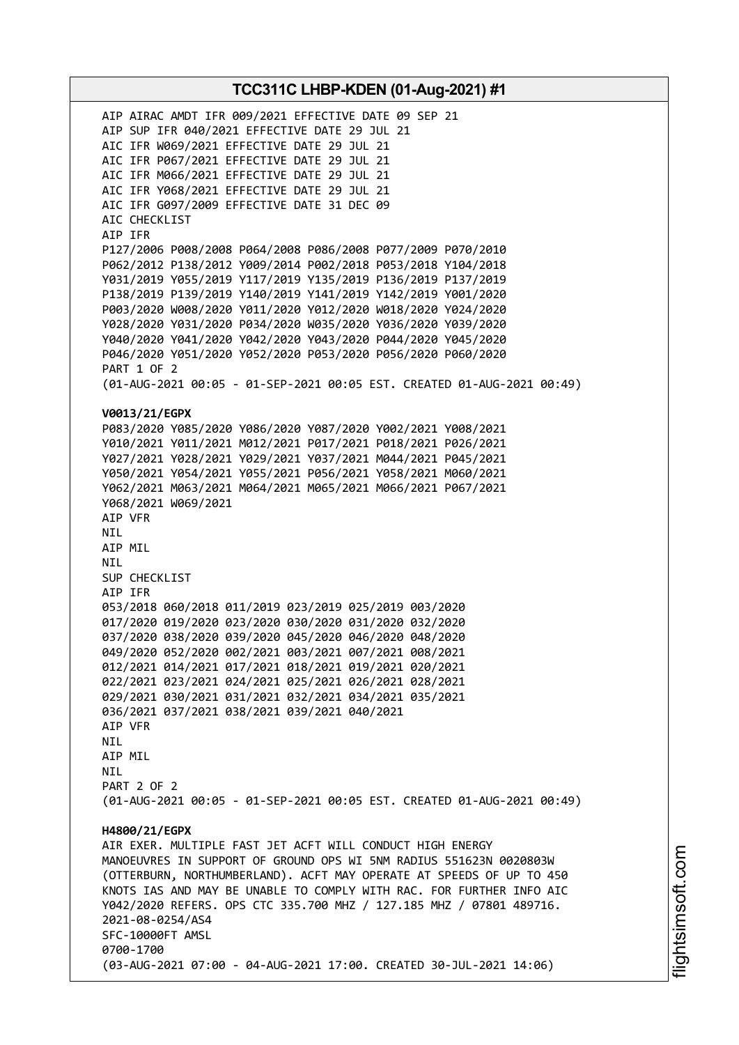AIP AIRAC AMDT IFR 009/2021 EFFECTIVE DATE 09 SEP 21 AIP SUP IFR 040/2021 EFFECTIVE DATE 29 JUL 21 AIC IFR W069/2021 EFFECTIVE DATE 29 JUL 21 AIC IFR P067/2021 EFFECTIVE DATE 29 JUL 21 AIC IFR M066/2021 EFFECTIVE DATE 29 JUL 21 AIC IFR Y068/2021 EFFECTIVE DATE 29 JUL 21 AIC IFR G097/2009 EFFECTIVE DATE 31 DEC 09 AIC CHECKLIST AIP IFR P127/2006 P008/2008 P064/2008 P086/2008 P077/2009 P070/2010 P062/2012 P138/2012 Y009/2014 P002/2018 P053/2018 Y104/2018 Y031/2019 Y055/2019 Y117/2019 Y135/2019 P136/2019 P137/2019 P138/2019 P139/2019 Y140/2019 Y141/2019 Y142/2019 Y001/2020 P003/2020 W008/2020 Y011/2020 Y012/2020 W018/2020 Y024/2020 Y028/2020 Y031/2020 P034/2020 W035/2020 Y036/2020 Y039/2020 Y040/2020 Y041/2020 Y042/2020 Y043/2020 P044/2020 Y045/2020 P046/2020 Y051/2020 Y052/2020 P053/2020 P056/2020 P060/2020 PART 1 OF 2 (01-AUG-2021 00:05 - 01-SEP-2021 00:05 EST. CREATED 01-AUG-2021 00:49) **V0013/21/EGPX** P083/2020 Y085/2020 Y086/2020 Y087/2020 Y002/2021 Y008/2021 Y010/2021 Y011/2021 M012/2021 P017/2021 P018/2021 P026/2021 Y027/2021 Y028/2021 Y029/2021 Y037/2021 M044/2021 P045/2021 Y050/2021 Y054/2021 Y055/2021 P056/2021 Y058/2021 M060/2021 Y062/2021 M063/2021 M064/2021 M065/2021 M066/2021 P067/2021 Y068/2021 W069/2021 AIP VFR NIL AIP MIL NIL SUP CHECKLIST AIP IFR 053/2018 060/2018 011/2019 023/2019 025/2019 003/2020 017/2020 019/2020 023/2020 030/2020 031/2020 032/2020 037/2020 038/2020 039/2020 045/2020 046/2020 048/2020 049/2020 052/2020 002/2021 003/2021 007/2021 008/2021 012/2021 014/2021 017/2021 018/2021 019/2021 020/2021 022/2021 023/2021 024/2021 025/2021 026/2021 028/2021 029/2021 030/2021 031/2021 032/2021 034/2021 035/2021 036/2021 037/2021 038/2021 039/2021 040/2021 AIP VFR NIL AIP MIL **NTI** PART 2 OF 2 (01-AUG-2021 00:05 - 01-SEP-2021 00:05 EST. CREATED 01-AUG-2021 00:49) **H4800/21/EGPX** AIR EXER. MULTIPLE FAST JET ACFT WILL CONDUCT HIGH ENERGY MANOEUVRES IN SUPPORT OF GROUND OPS WI 5NM RADIUS 551623N 0020803W (OTTERBURN, NORTHUMBERLAND). ACFT MAY OPERATE AT SPEEDS OF UP TO 450 KNOTS IAS AND MAY BE UNABLE TO COMPLY WITH RAC. FOR FURTHER INFO AIC Y042/2020 REFERS. OPS CTC 335.700 MHZ / 127.185 MHZ / 07801 489716. 2021-08-0254/AS4 SFC-10000FT AMSL 0700-1700 (03-AUG-2021 07:00 - 04-AUG-2021 17:00. CREATED 30-JUL-2021 14:06)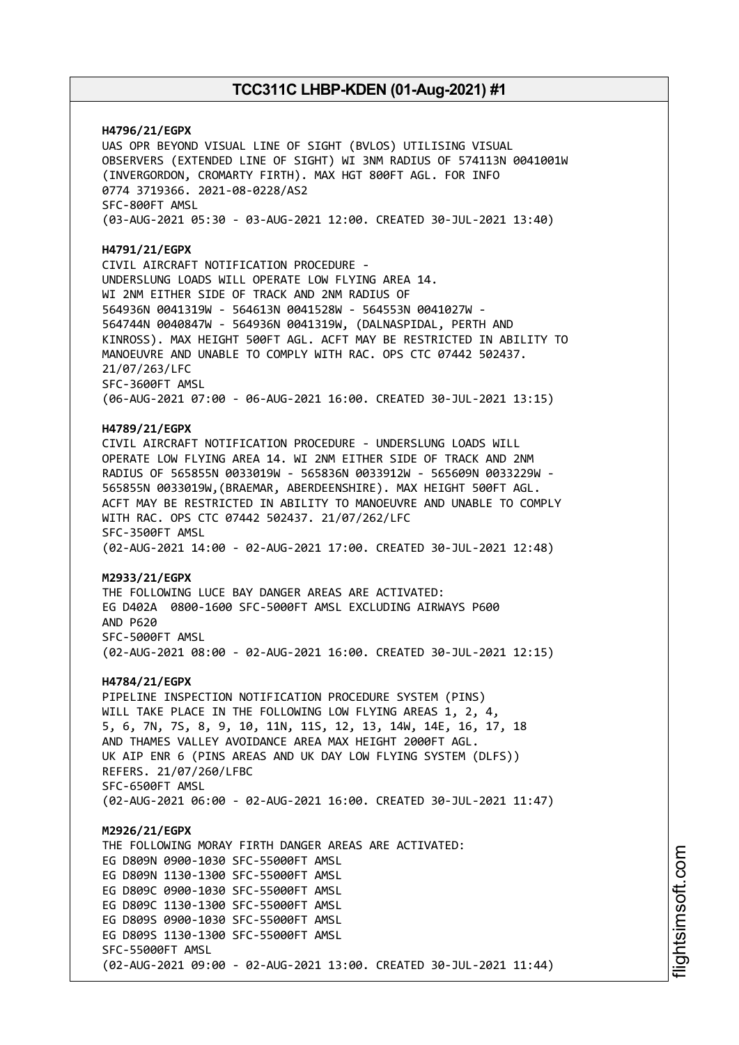**H4796/21/EGPX** UAS OPR BEYOND VISUAL LINE OF SIGHT (BVLOS) UTILISING VISUAL OBSERVERS (EXTENDED LINE OF SIGHT) WI 3NM RADIUS OF 574113N 0041001W (INVERGORDON, CROMARTY FIRTH). MAX HGT 800FT AGL. FOR INFO 0774 3719366. 2021-08-0228/AS2 SFC-800FT AMSL (03-AUG-2021 05:30 - 03-AUG-2021 12:00. CREATED 30-JUL-2021 13:40) **H4791/21/EGPX** CIVIL AIRCRAFT NOTIFICATION PROCEDURE - UNDERSLUNG LOADS WILL OPERATE LOW FLYING AREA 14. WI 2NM EITHER SIDE OF TRACK AND 2NM RADIUS OF 564936N 0041319W - 564613N 0041528W - 564553N 0041027W - 564744N 0040847W - 564936N 0041319W, (DALNASPIDAL, PERTH AND KINROSS). MAX HEIGHT 500FT AGL. ACFT MAY BE RESTRICTED IN ABILITY TO MANOEUVRE AND UNABLE TO COMPLY WITH RAC. OPS CTC 07442 502437. 21/07/263/LFC SFC-3600FT AMSL (06-AUG-2021 07:00 - 06-AUG-2021 16:00. CREATED 30-JUL-2021 13:15) **H4789/21/EGPX** CIVIL AIRCRAFT NOTIFICATION PROCEDURE - UNDERSLUNG LOADS WILL OPERATE LOW FLYING AREA 14. WI 2NM EITHER SIDE OF TRACK AND 2NM RADIUS OF 565855N 0033019W - 565836N 0033912W - 565609N 0033229W - 565855N 0033019W,(BRAEMAR, ABERDEENSHIRE). MAX HEIGHT 500FT AGL. ACFT MAY BE RESTRICTED IN ABILITY TO MANOEUVRE AND UNABLE TO COMPLY WITH RAC. OPS CTC 07442 502437. 21/07/262/LFC SFC-3500FT AMSL (02-AUG-2021 14:00 - 02-AUG-2021 17:00. CREATED 30-JUL-2021 12:48) **M2933/21/EGPX** THE FOLLOWING LUCE BAY DANGER AREAS ARE ACTIVATED: EG D402A 0800-1600 SFC-5000FT AMSL EXCLUDING AIRWAYS P600 AND P620 SFC-5000FT AMSL (02-AUG-2021 08:00 - 02-AUG-2021 16:00. CREATED 30-JUL-2021 12:15) **H4784/21/EGPX** PIPELINE INSPECTION NOTIFICATION PROCEDURE SYSTEM (PINS) WILL TAKE PLACE IN THE FOLLOWING LOW FLYING AREAS 1, 2, 4, 5, 6, 7N, 7S, 8, 9, 10, 11N, 11S, 12, 13, 14W, 14E, 16, 17, 18 AND THAMES VALLEY AVOIDANCE AREA MAX HEIGHT 2000FT AGL. UK AIP ENR 6 (PINS AREAS AND UK DAY LOW FLYING SYSTEM (DLFS)) REFERS. 21/07/260/LFBC SFC-6500FT AMSL (02-AUG-2021 06:00 - 02-AUG-2021 16:00. CREATED 30-JUL-2021 11:47) **M2926/21/EGPX** THE FOLLOWING MORAY FIRTH DANGER AREAS ARE ACTIVATED: EG D809N 0900-1030 SFC-55000FT AMSL EG D809N 1130-1300 SFC-55000FT AMSL EG D809C 0900-1030 SFC-55000FT AMSL EG D809C 1130-1300 SFC-55000FT AMSL EG D809S 0900-1030 SFC-55000FT AMSL EG D809S 1130-1300 SFC-55000FT AMSL SFC-55000FT AMSL (02-AUG-2021 09:00 - 02-AUG-2021 13:00. CREATED 30-JUL-2021 11:44)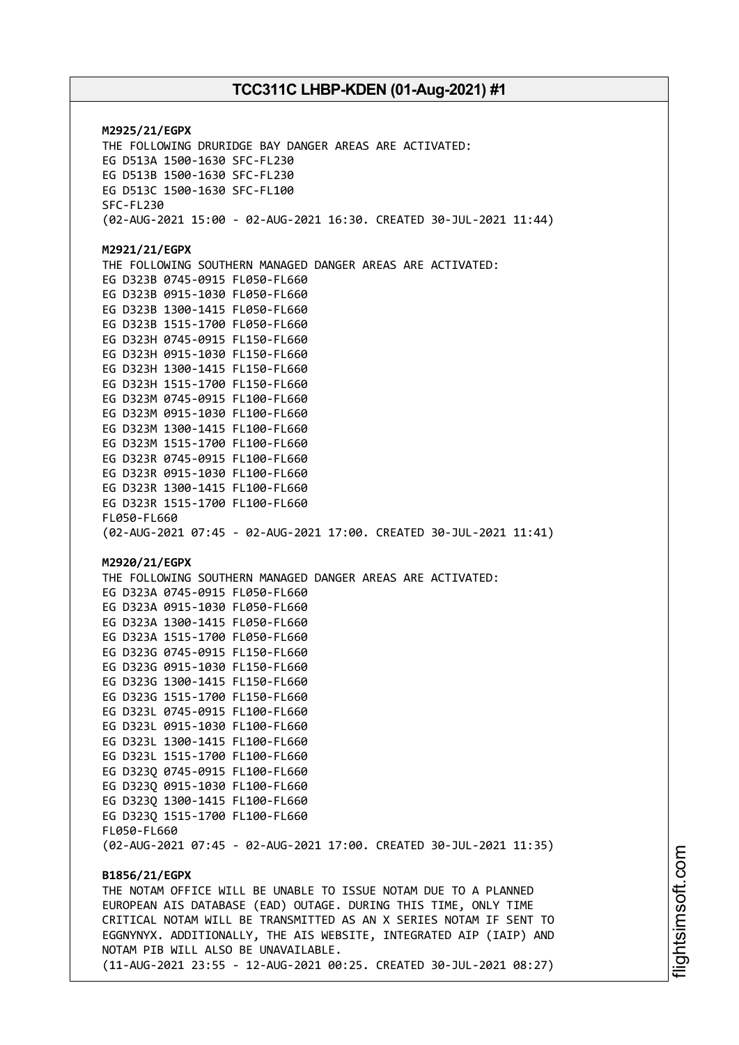**M2925/21/EGPX** THE FOLLOWING DRURIDGE BAY DANGER AREAS ARE ACTIVATED: EG D513A 1500-1630 SFC-FL230 EG D513B 1500-1630 SFC-FL230 EG D513C 1500-1630 SFC-FL100 SFC-FL230 (02-AUG-2021 15:00 - 02-AUG-2021 16:30. CREATED 30-JUL-2021 11:44) **M2921/21/EGPX** THE FOLLOWING SOUTHERN MANAGED DANGER AREAS ARE ACTIVATED: EG D323B 0745-0915 FL050-FL660 EG D323B 0915-1030 FL050-FL660 EG D323B 1300-1415 FL050-FL660 EG D323B 1515-1700 FL050-FL660 EG D323H 0745-0915 FL150-FL660 EG D323H 0915-1030 FL150-FL660 EG D323H 1300-1415 FL150-FL660 EG D323H 1515-1700 FL150-FL660 EG D323M 0745-0915 FL100-FL660 EG D323M 0915-1030 FL100-FL660 EG D323M 1300-1415 FL100-FL660 EG D323M 1515-1700 FL100-FL660 EG D323R 0745-0915 FL100-FL660 EG D323R 0915-1030 FL100-FL660 EG D323R 1300-1415 FL100-FL660 EG D323R 1515-1700 FL100-FL660 FL050-FL660 (02-AUG-2021 07:45 - 02-AUG-2021 17:00. CREATED 30-JUL-2021 11:41) **M2920/21/EGPX** THE FOLLOWING SOUTHERN MANAGED DANGER AREAS ARE ACTIVATED: EG D323A 0745-0915 FL050-FL660 EG D323A 0915-1030 FL050-FL660 EG D323A 1300-1415 FL050-FL660 EG D323A 1515-1700 FL050-FL660 EG D323G 0745-0915 FL150-FL660 EG D323G 0915-1030 FL150-FL660 EG D323G 1300-1415 FL150-FL660 EG D323G 1515-1700 FL150-FL660 EG D323L 0745-0915 FL100-FL660 EG D323L 0915-1030 FL100-FL660 EG D323L 1300-1415 FL100-FL660 EG D323L 1515-1700 FL100-FL660 EG D323Q 0745-0915 FL100-FL660 EG D323Q 0915-1030 FL100-FL660 EG D323Q 1300-1415 FL100-FL660 EG D323Q 1515-1700 FL100-FL660 FL050-FL660 (02-AUG-2021 07:45 - 02-AUG-2021 17:00. CREATED 30-JUL-2021 11:35) **B1856/21/EGPX** THE NOTAM OFFICE WILL BE UNABLE TO ISSUE NOTAM DUE TO A PLANNED EUROPEAN AIS DATABASE (EAD) OUTAGE. DURING THIS TIME, ONLY TIME CRITICAL NOTAM WILL BE TRANSMITTED AS AN X SERIES NOTAM IF SENT TO EGGNYNYX. ADDITIONALLY, THE AIS WEBSITE, INTEGRATED AIP (IAIP) AND NOTAM PIB WILL ALSO BE UNAVAILABLE. (11-AUG-2021 23:55 - 12-AUG-2021 00:25. CREATED 30-JUL-2021 08:27)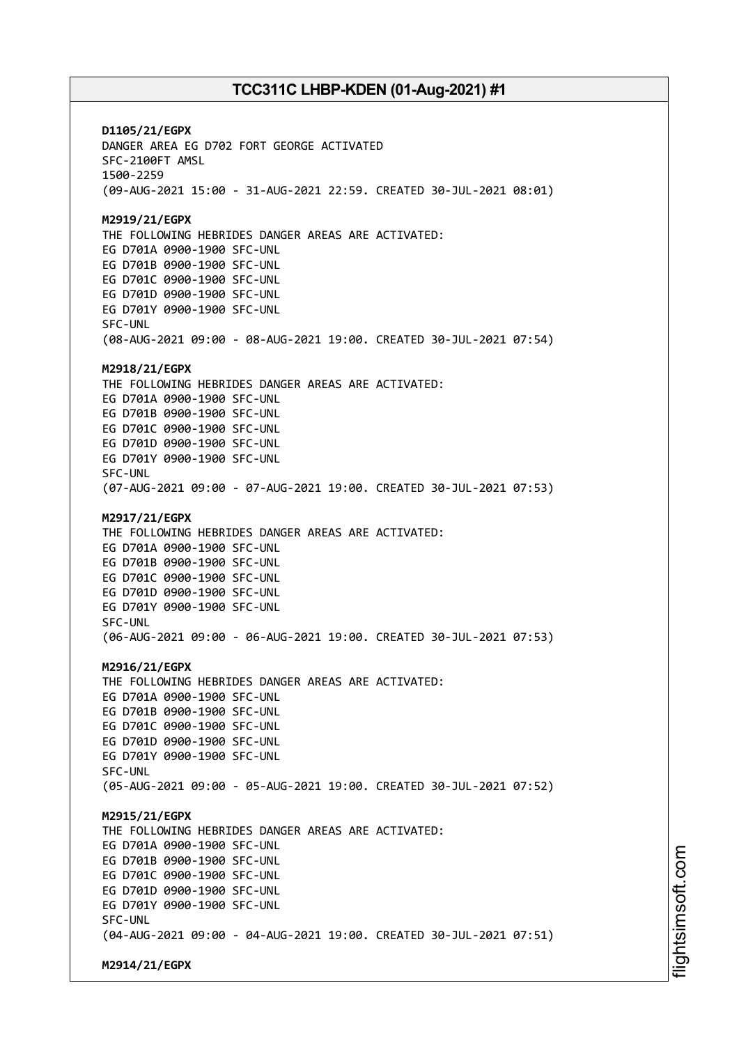**D1105/21/EGPX** DANGER AREA EG D702 FORT GEORGE ACTIVATED SFC-2100FT AMSL 1500-2259 (09-AUG-2021 15:00 - 31-AUG-2021 22:59. CREATED 30-JUL-2021 08:01) **M2919/21/EGPX** THE FOLLOWING HEBRIDES DANGER AREAS ARE ACTIVATED: EG D701A 0900-1900 SFC-UNL EG D701B 0900-1900 SFC-UNL EG D701C 0900-1900 SFC-UNL EG D701D 0900-1900 SFC-UNL EG D701Y 0900-1900 SFC-UNL SFC-UNL (08-AUG-2021 09:00 - 08-AUG-2021 19:00. CREATED 30-JUL-2021 07:54) **M2918/21/EGPX** THE FOLLOWING HEBRIDES DANGER AREAS ARE ACTIVATED: EG D701A 0900-1900 SFC-UNL EG D701B 0900-1900 SFC-UNL EG D701C 0900-1900 SFC-UNL EG D701D 0900-1900 SFC-UNL EG D701Y 0900-1900 SFC-UNL SFC-UNL (07-AUG-2021 09:00 - 07-AUG-2021 19:00. CREATED 30-JUL-2021 07:53) **M2917/21/EGPX** THE FOLLOWING HEBRIDES DANGER AREAS ARE ACTIVATED: EG D701A 0900-1900 SFC-UNL EG D701B 0900-1900 SFC-UNL EG D701C 0900-1900 SFC-UNL EG D701D 0900-1900 SFC-UNL EG D701Y 0900-1900 SFC-UNL SFC-UNL (06-AUG-2021 09:00 - 06-AUG-2021 19:00. CREATED 30-JUL-2021 07:53) **M2916/21/EGPX** THE FOLLOWING HEBRIDES DANGER AREAS ARE ACTIVATED: EG D701A 0900-1900 SFC-UNL EG D701B 0900-1900 SFC-UNL EG D701C 0900-1900 SFC-UNL EG D701D 0900-1900 SFC-UNL EG D701Y 0900-1900 SFC-UNL SFC-UNL (05-AUG-2021 09:00 - 05-AUG-2021 19:00. CREATED 30-JUL-2021 07:52) **M2915/21/EGPX** THE FOLLOWING HEBRIDES DANGER AREAS ARE ACTIVATED: EG D701A 0900-1900 SFC-UNL EG D701B 0900-1900 SFC-UNL EG D701C 0900-1900 SFC-UNL EG D701D 0900-1900 SFC-UNL EG D701Y 0900-1900 SFC-UNL SFC-UNL (04-AUG-2021 09:00 - 04-AUG-2021 19:00. CREATED 30-JUL-2021 07:51) **M2914/21/EGPX**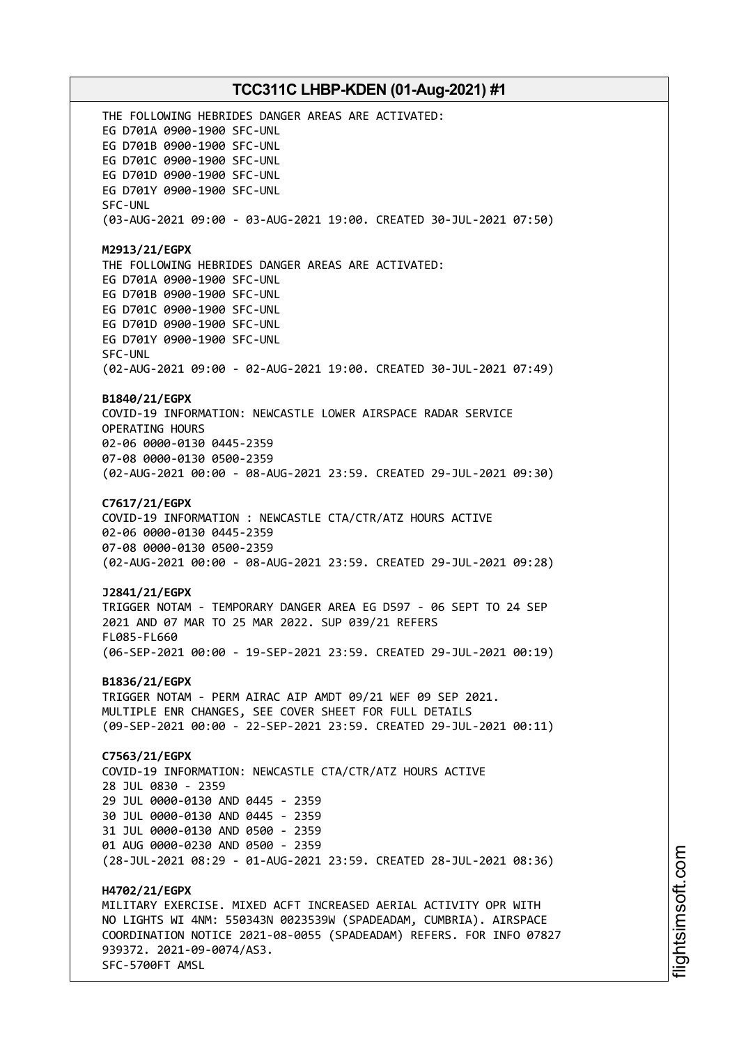THE FOLLOWING HEBRIDES DANGER AREAS ARE ACTIVATED: EG D701A 0900-1900 SFC-UNL EG D701B 0900-1900 SFC-UNL EG D701C 0900-1900 SFC-UNL EG D701D 0900-1900 SFC-UNL EG D701Y 0900-1900 SFC-UNL SFC-UNL (03-AUG-2021 09:00 - 03-AUG-2021 19:00. CREATED 30-JUL-2021 07:50) **M2913/21/EGPX** THE FOLLOWING HEBRIDES DANGER AREAS ARE ACTIVATED: EG D701A 0900-1900 SFC-UNL EG D701B 0900-1900 SFC-UNL EG D701C 0900-1900 SFC-UNL EG D701D 0900-1900 SFC-UNL EG D701Y 0900-1900 SFC-UNL SFC-UNL (02-AUG-2021 09:00 - 02-AUG-2021 19:00. CREATED 30-JUL-2021 07:49) **B1840/21/EGPX** COVID-19 INFORMATION: NEWCASTLE LOWER AIRSPACE RADAR SERVICE OPERATING HOURS 02-06 0000-0130 0445-2359 07-08 0000-0130 0500-2359 (02-AUG-2021 00:00 - 08-AUG-2021 23:59. CREATED 29-JUL-2021 09:30) **C7617/21/EGPX** COVID-19 INFORMATION : NEWCASTLE CTA/CTR/ATZ HOURS ACTIVE 02-06 0000-0130 0445-2359 07-08 0000-0130 0500-2359 (02-AUG-2021 00:00 - 08-AUG-2021 23:59. CREATED 29-JUL-2021 09:28) **J2841/21/EGPX** TRIGGER NOTAM - TEMPORARY DANGER AREA EG D597 - 06 SEPT TO 24 SEP 2021 AND 07 MAR TO 25 MAR 2022. SUP 039/21 REFERS FL085-FL660 (06-SEP-2021 00:00 - 19-SEP-2021 23:59. CREATED 29-JUL-2021 00:19) **B1836/21/EGPX** TRIGGER NOTAM - PERM AIRAC AIP AMDT 09/21 WEF 09 SEP 2021. MULTIPLE ENR CHANGES, SEE COVER SHEET FOR FULL DETAILS (09-SEP-2021 00:00 - 22-SEP-2021 23:59. CREATED 29-JUL-2021 00:11) **C7563/21/EGPX** COVID-19 INFORMATION: NEWCASTLE CTA/CTR/ATZ HOURS ACTIVE 28 JUL 0830 - 2359 29 JUL 0000-0130 AND 0445 - 2359 30 JUL 0000-0130 AND 0445 - 2359 31 JUL 0000-0130 AND 0500 - 2359 01 AUG 0000-0230 AND 0500 - 2359 (28-JUL-2021 08:29 - 01-AUG-2021 23:59. CREATED 28-JUL-2021 08:36) **H4702/21/EGPX** MILITARY EXERCISE. MIXED ACFT INCREASED AERIAL ACTIVITY OPR WITH NO LIGHTS WI 4NM: 550343N 0023539W (SPADEADAM, CUMBRIA). AIRSPACE COORDINATION NOTICE 2021-08-0055 (SPADEADAM) REFERS. FOR INFO 07827 939372. 2021-09-0074/AS3. SFC-5700FT AMSL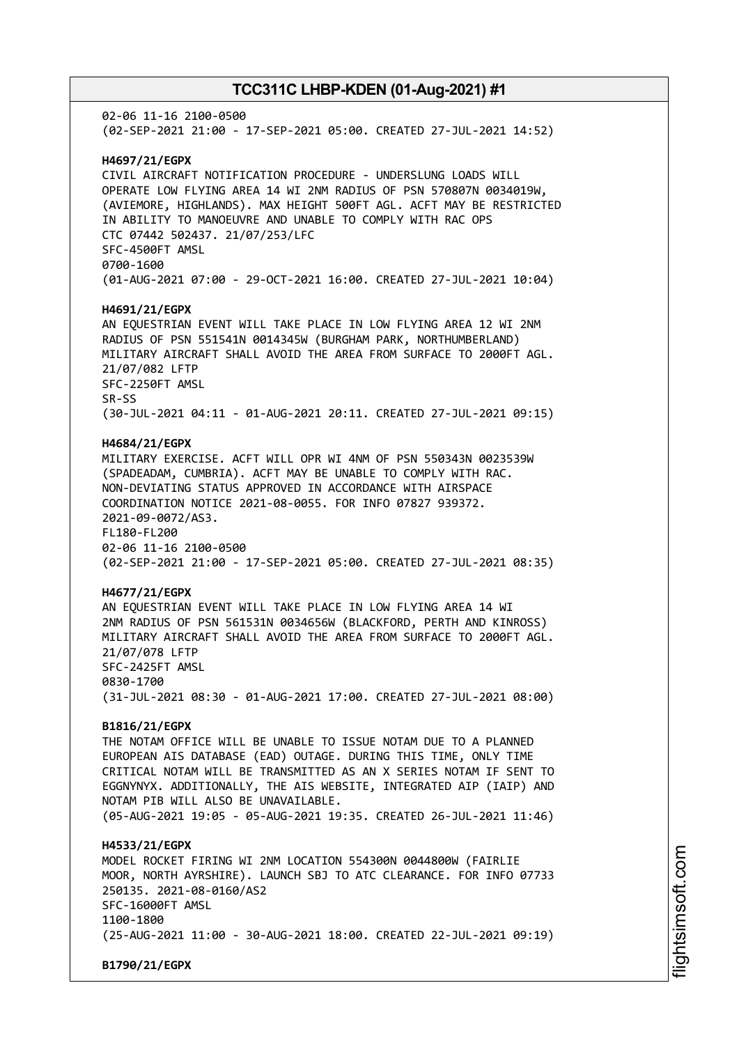02-06 11-16 2100-0500 (02-SEP-2021 21:00 - 17-SEP-2021 05:00. CREATED 27-JUL-2021 14:52) **H4697/21/EGPX** CIVIL AIRCRAFT NOTIFICATION PROCEDURE - UNDERSLUNG LOADS WILL OPERATE LOW FLYING AREA 14 WI 2NM RADIUS OF PSN 570807N 0034019W, (AVIEMORE, HIGHLANDS). MAX HEIGHT 500FT AGL. ACFT MAY BE RESTRICTED IN ABILITY TO MANOEUVRE AND UNABLE TO COMPLY WITH RAC OPS CTC 07442 502437. 21/07/253/LFC SFC-4500FT AMSL 0700-1600 (01-AUG-2021 07:00 - 29-OCT-2021 16:00. CREATED 27-JUL-2021 10:04) **H4691/21/EGPX** AN EQUESTRIAN EVENT WILL TAKE PLACE IN LOW FLYING AREA 12 WI 2NM RADIUS OF PSN 551541N 0014345W (BURGHAM PARK, NORTHUMBERLAND) MILITARY AIRCRAFT SHALL AVOID THE AREA FROM SURFACE TO 2000FT AGL. 21/07/082 LFTP SFC-2250FT AMSL SR-SS (30-JUL-2021 04:11 - 01-AUG-2021 20:11. CREATED 27-JUL-2021 09:15) **H4684/21/EGPX** MILITARY EXERCISE. ACFT WILL OPR WI 4NM OF PSN 550343N 0023539W (SPADEADAM, CUMBRIA). ACFT MAY BE UNABLE TO COMPLY WITH RAC. NON-DEVIATING STATUS APPROVED IN ACCORDANCE WITH AIRSPACE COORDINATION NOTICE 2021-08-0055. FOR INFO 07827 939372. 2021-09-0072/AS3. FL180-FL200 02-06 11-16 2100-0500 (02-SEP-2021 21:00 - 17-SEP-2021 05:00. CREATED 27-JUL-2021 08:35) **H4677/21/EGPX** AN EQUESTRIAN EVENT WILL TAKE PLACE IN LOW FLYING AREA 14 WI 2NM RADIUS OF PSN 561531N 0034656W (BLACKFORD, PERTH AND KINROSS) MILITARY AIRCRAFT SHALL AVOID THE AREA FROM SURFACE TO 2000FT AGL. 21/07/078 LFTP SFC-2425FT AMSL 0830-1700 (31-JUL-2021 08:30 - 01-AUG-2021 17:00. CREATED 27-JUL-2021 08:00) **B1816/21/EGPX** THE NOTAM OFFICE WILL BE UNABLE TO ISSUE NOTAM DUE TO A PLANNED EUROPEAN AIS DATABASE (EAD) OUTAGE. DURING THIS TIME, ONLY TIME CRITICAL NOTAM WILL BE TRANSMITTED AS AN X SERIES NOTAM IF SENT TO EGGNYNYX. ADDITIONALLY, THE AIS WEBSITE, INTEGRATED AIP (IAIP) AND NOTAM PIB WILL ALSO BE UNAVAILABLE. (05-AUG-2021 19:05 - 05-AUG-2021 19:35. CREATED 26-JUL-2021 11:46) **H4533/21/EGPX** MODEL ROCKET FIRING WI 2NM LOCATION 554300N 0044800W (FAIRLIE MOOR, NORTH AYRSHIRE). LAUNCH SBJ TO ATC CLEARANCE. FOR INFO 07733 250135. 2021-08-0160/AS2 SFC-16000FT AMSL 1100-1800 (25-AUG-2021 11:00 - 30-AUG-2021 18:00. CREATED 22-JUL-2021 09:19) **B1790/21/EGPX**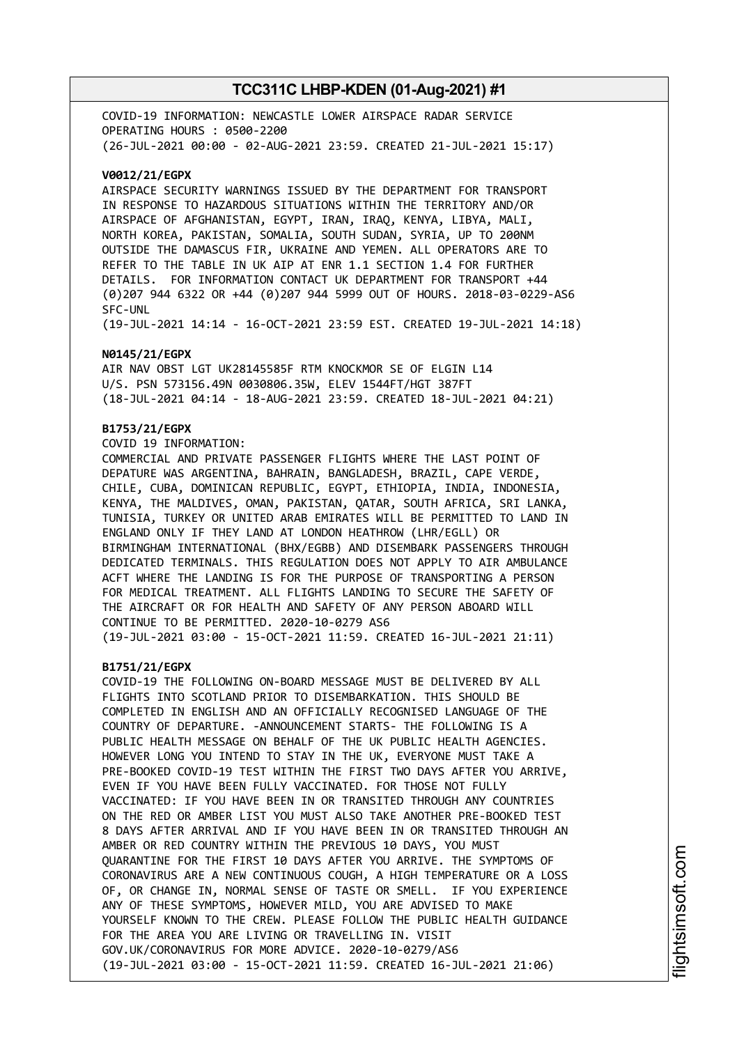COVID-19 INFORMATION: NEWCASTLE LOWER AIRSPACE RADAR SERVICE OPERATING HOURS : 0500-2200 (26-JUL-2021 00:00 - 02-AUG-2021 23:59. CREATED 21-JUL-2021 15:17)

#### **V0012/21/EGPX**

AIRSPACE SECURITY WARNINGS ISSUED BY THE DEPARTMENT FOR TRANSPORT IN RESPONSE TO HAZARDOUS SITUATIONS WITHIN THE TERRITORY AND/OR AIRSPACE OF AFGHANISTAN, EGYPT, IRAN, IRAQ, KENYA, LIBYA, MALI, NORTH KOREA, PAKISTAN, SOMALIA, SOUTH SUDAN, SYRIA, UP TO 200NM OUTSIDE THE DAMASCUS FIR, UKRAINE AND YEMEN. ALL OPERATORS ARE TO REFER TO THE TABLE IN UK AIP AT ENR 1.1 SECTION 1.4 FOR FURTHER DETAILS. FOR INFORMATION CONTACT UK DEPARTMENT FOR TRANSPORT +44 (0)207 944 6322 OR +44 (0)207 944 5999 OUT OF HOURS. 2018-03-0229-AS6 SFC-UNL

(19-JUL-2021 14:14 - 16-OCT-2021 23:59 EST. CREATED 19-JUL-2021 14:18)

#### **N0145/21/EGPX**

AIR NAV OBST LGT UK28145585F RTM KNOCKMOR SE OF ELGIN L14 U/S. PSN 573156.49N 0030806.35W, ELEV 1544FT/HGT 387FT (18-JUL-2021 04:14 - 18-AUG-2021 23:59. CREATED 18-JUL-2021 04:21)

#### **B1753/21/EGPX**

COVID 19 INFORMATION:

COMMERCIAL AND PRIVATE PASSENGER FLIGHTS WHERE THE LAST POINT OF DEPATURE WAS ARGENTINA, BAHRAIN, BANGLADESH, BRAZIL, CAPE VERDE, CHILE, CUBA, DOMINICAN REPUBLIC, EGYPT, ETHIOPIA, INDIA, INDONESIA, KENYA, THE MALDIVES, OMAN, PAKISTAN, QATAR, SOUTH AFRICA, SRI LANKA, TUNISIA, TURKEY OR UNITED ARAB EMIRATES WILL BE PERMITTED TO LAND IN ENGLAND ONLY IF THEY LAND AT LONDON HEATHROW (LHR/EGLL) OR BIRMINGHAM INTERNATIONAL (BHX/EGBB) AND DISEMBARK PASSENGERS THROUGH DEDICATED TERMINALS. THIS REGULATION DOES NOT APPLY TO AIR AMBULANCE ACFT WHERE THE LANDING IS FOR THE PURPOSE OF TRANSPORTING A PERSON FOR MEDICAL TREATMENT. ALL FLIGHTS LANDING TO SECURE THE SAFETY OF THE AIRCRAFT OR FOR HEALTH AND SAFETY OF ANY PERSON ABOARD WILL CONTINUE TO BE PERMITTED. 2020-10-0279 AS6 (19-JUL-2021 03:00 - 15-OCT-2021 11:59. CREATED 16-JUL-2021 21:11)

#### **B1751/21/EGPX**

COVID-19 THE FOLLOWING ON-BOARD MESSAGE MUST BE DELIVERED BY ALL FLIGHTS INTO SCOTLAND PRIOR TO DISEMBARKATION. THIS SHOULD BE COMPLETED IN ENGLISH AND AN OFFICIALLY RECOGNISED LANGUAGE OF THE COUNTRY OF DEPARTURE. -ANNOUNCEMENT STARTS- THE FOLLOWING IS A PUBLIC HEALTH MESSAGE ON BEHALF OF THE UK PUBLIC HEALTH AGENCIES. HOWEVER LONG YOU INTEND TO STAY IN THE UK, EVERYONE MUST TAKE A PRE-BOOKED COVID-19 TEST WITHIN THE FIRST TWO DAYS AFTER YOU ARRIVE, EVEN IF YOU HAVE BEEN FULLY VACCINATED. FOR THOSE NOT FULLY VACCINATED: IF YOU HAVE BEEN IN OR TRANSITED THROUGH ANY COUNTRIES ON THE RED OR AMBER LIST YOU MUST ALSO TAKE ANOTHER PRE-BOOKED TEST 8 DAYS AFTER ARRIVAL AND IF YOU HAVE BEEN IN OR TRANSITED THROUGH AN AMBER OR RED COUNTRY WITHIN THE PREVIOUS 10 DAYS, YOU MUST QUARANTINE FOR THE FIRST 10 DAYS AFTER YOU ARRIVE. THE SYMPTOMS OF CORONAVIRUS ARE A NEW CONTINUOUS COUGH, A HIGH TEMPERATURE OR A LOSS OF, OR CHANGE IN, NORMAL SENSE OF TASTE OR SMELL. IF YOU EXPERIENCE ANY OF THESE SYMPTOMS, HOWEVER MILD, YOU ARE ADVISED TO MAKE YOURSELF KNOWN TO THE CREW. PLEASE FOLLOW THE PUBLIC HEALTH GUIDANCE FOR THE AREA YOU ARE LIVING OR TRAVELLING IN. VISIT GOV.UK/CORONAVIRUS FOR MORE ADVICE. 2020-10-0279/AS6 (19-JUL-2021 03:00 - 15-OCT-2021 11:59. CREATED 16-JUL-2021 21:06)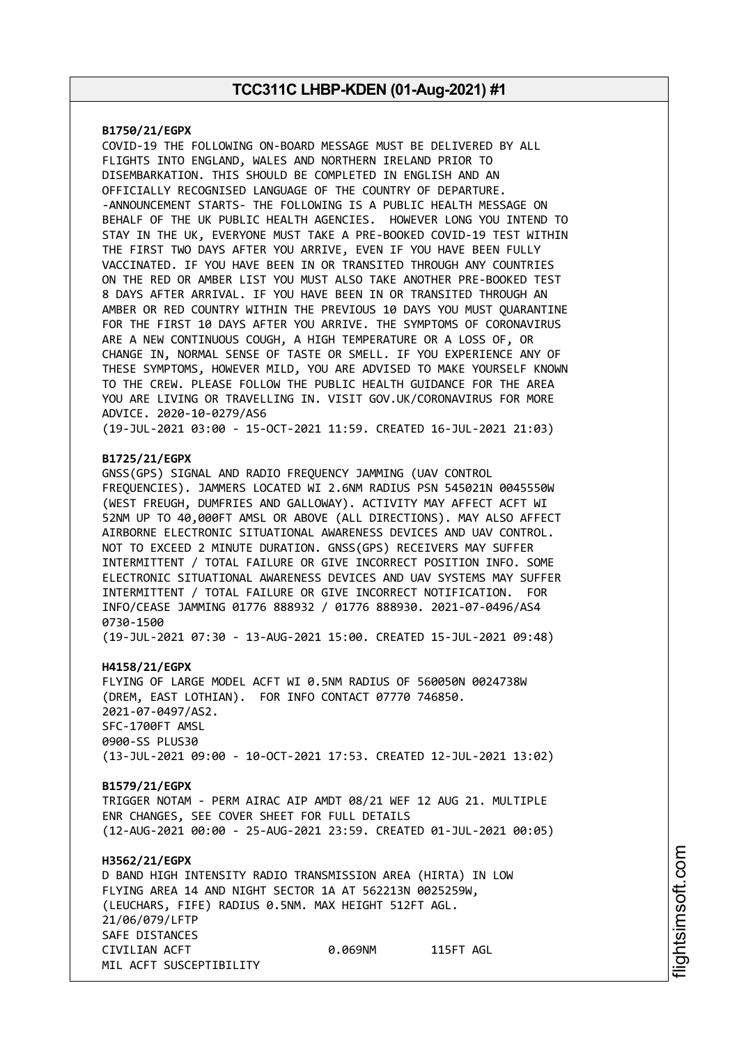#### **B1750/21/EGPX**

COVID-19 THE FOLLOWING ON-BOARD MESSAGE MUST BE DELIVERED BY ALL FLIGHTS INTO ENGLAND, WALES AND NORTHERN IRELAND PRIOR TO DISEMBARKATION. THIS SHOULD BE COMPLETED IN ENGLISH AND AN OFFICIALLY RECOGNISED LANGUAGE OF THE COUNTRY OF DEPARTURE. -ANNOUNCEMENT STARTS- THE FOLLOWING IS A PUBLIC HEALTH MESSAGE ON BEHALF OF THE UK PUBLIC HEALTH AGENCIES. HOWEVER LONG YOU INTEND TO STAY IN THE UK, EVERYONE MUST TAKE A PRE-BOOKED COVID-19 TEST WITHIN THE FIRST TWO DAYS AFTER YOU ARRIVE, EVEN IF YOU HAVE BEEN FULLY VACCINATED. IF YOU HAVE BEEN IN OR TRANSITED THROUGH ANY COUNTRIES ON THE RED OR AMBER LIST YOU MUST ALSO TAKE ANOTHER PRE-BOOKED TEST 8 DAYS AFTER ARRIVAL. IF YOU HAVE BEEN IN OR TRANSITED THROUGH AN AMBER OR RED COUNTRY WITHIN THE PREVIOUS 10 DAYS YOU MUST QUARANTINE FOR THE FIRST 10 DAYS AFTER YOU ARRIVE. THE SYMPTOMS OF CORONAVIRUS ARE A NEW CONTINUOUS COUGH, A HIGH TEMPERATURE OR A LOSS OF, OR CHANGE IN, NORMAL SENSE OF TASTE OR SMELL. IF YOU EXPERIENCE ANY OF THESE SYMPTOMS, HOWEVER MILD, YOU ARE ADVISED TO MAKE YOURSELF KNOWN TO THE CREW. PLEASE FOLLOW THE PUBLIC HEALTH GUIDANCE FOR THE AREA YOU ARE LIVING OR TRAVELLING IN. VISIT GOV.UK/CORONAVIRUS FOR MORE ADVICE. 2020-10-0279/AS6

(19-JUL-2021 03:00 - 15-OCT-2021 11:59. CREATED 16-JUL-2021 21:03)

#### **B1725/21/EGPX**

GNSS(GPS) SIGNAL AND RADIO FREQUENCY JAMMING (UAV CONTROL FREQUENCIES). JAMMERS LOCATED WI 2.6NM RADIUS PSN 545021N 0045550W (WEST FREUGH, DUMFRIES AND GALLOWAY). ACTIVITY MAY AFFECT ACFT WI 52NM UP TO 40,000FT AMSL OR ABOVE (ALL DIRECTIONS). MAY ALSO AFFECT AIRBORNE ELECTRONIC SITUATIONAL AWARENESS DEVICES AND UAV CONTROL. NOT TO EXCEED 2 MINUTE DURATION. GNSS(GPS) RECEIVERS MAY SUFFER INTERMITTENT / TOTAL FAILURE OR GIVE INCORRECT POSITION INFO. SOME ELECTRONIC SITUATIONAL AWARENESS DEVICES AND UAV SYSTEMS MAY SUFFER INTERMITTENT / TOTAL FAILURE OR GIVE INCORRECT NOTIFICATION. FOR INFO/CEASE JAMMING 01776 888932 / 01776 888930. 2021-07-0496/AS4 0730-1500

(19-JUL-2021 07:30 - 13-AUG-2021 15:00. CREATED 15-JUL-2021 09:48)

#### **H4158/21/EGPX**

FLYING OF LARGE MODEL ACFT WI 0.5NM RADIUS OF 560050N 0024738W (DREM, EAST LOTHIAN). FOR INFO CONTACT 07770 746850. 2021-07-0497/AS2. SFC-1700FT AMSL 0900-SS PLUS30 (13-JUL-2021 09:00 - 10-OCT-2021 17:53. CREATED 12-JUL-2021 13:02)

#### **B1579/21/EGPX**

TRIGGER NOTAM - PERM AIRAC AIP AMDT 08/21 WEF 12 AUG 21. MULTIPLE ENR CHANGES, SEE COVER SHEET FOR FULL DETAILS (12-AUG-2021 00:00 - 25-AUG-2021 23:59. CREATED 01-JUL-2021 00:05)

### **H3562/21/EGPX** D BAND HIGH INTENSITY RADIO TRANSMISSION AREA (HIRTA) IN LOW FLYING AREA 14 AND NIGHT SECTOR 1A AT 562213N 0025259W, (LEUCHARS, FIFE) RADIUS 0.5NM. MAX HEIGHT 512FT AGL. 21/06/079/LFTP SAFE DISTANCES CIVILIAN ACFT 0.069NM 115FT AGL MIL ACFT SUSCEPTIBILITY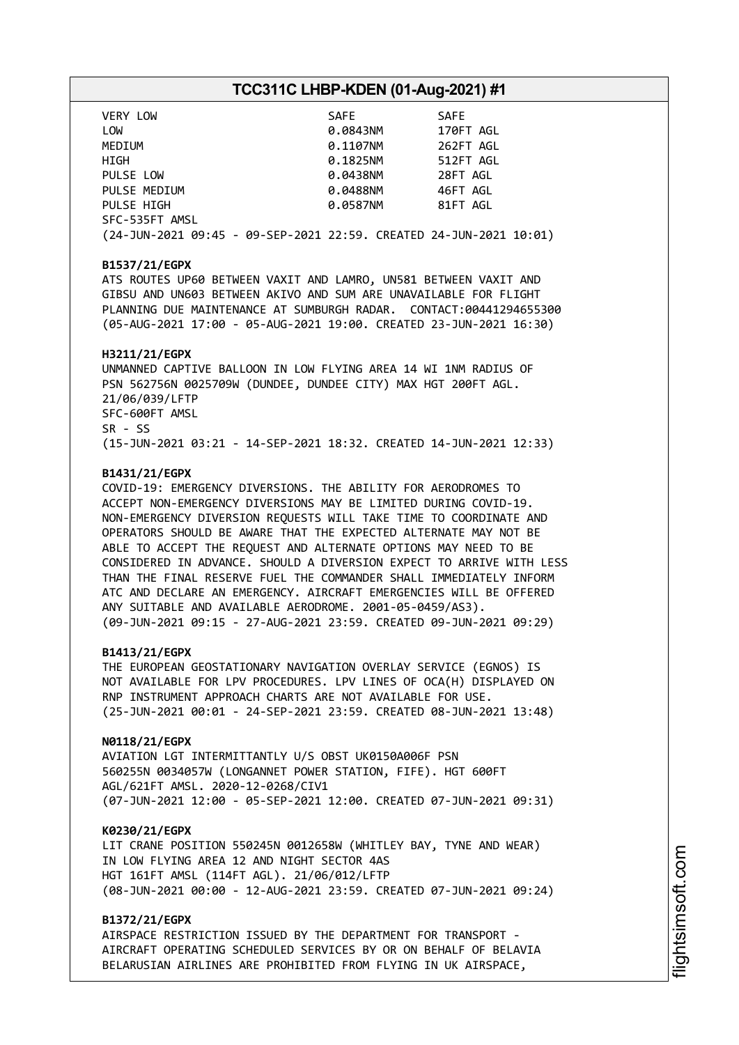| VERY LOW                                                           | SAFE     | <b>SAFE</b> |
|--------------------------------------------------------------------|----------|-------------|
| LOW                                                                | 0.0843NM | 170FT AGL   |
| MEDIUM                                                             | 0.1107NM | 262FT AGL   |
| <b>HIGH</b>                                                        | 0.1825NM | 512FT AGL   |
| PULSE LOW                                                          | 0.0438NM | 28FT AGL    |
| PULSE MEDIUM                                                       | 0.0488NM | 46FT AGL    |
| PULSE HIGH                                                         | 0.0587NM | 81FT AGL    |
| SFC-535FT AMSL                                                     |          |             |
| (24-JUN-2021 09:45 - 09-SEP-2021 22:59. CREATED 24-JUN-2021 10:01) |          |             |

#### **B1537/21/EGPX**

ATS ROUTES UP60 BETWEEN VAXIT AND LAMRO, UN581 BETWEEN VAXIT AND GIBSU AND UN603 BETWEEN AKIVO AND SUM ARE UNAVAILABLE FOR FLIGHT PLANNING DUE MAINTENANCE AT SUMBURGH RADAR. CONTACT:00441294655300 (05-AUG-2021 17:00 - 05-AUG-2021 19:00. CREATED 23-JUN-2021 16:30)

#### **H3211/21/EGPX**

UNMANNED CAPTIVE BALLOON IN LOW FLYING AREA 14 WI 1NM RADIUS OF PSN 562756N 0025709W (DUNDEE, DUNDEE CITY) MAX HGT 200FT AGL. 21/06/039/LFTP SFC-600FT AMSL SR - SS (15-JUN-2021 03:21 - 14-SEP-2021 18:32. CREATED 14-JUN-2021 12:33)

#### **B1431/21/EGPX**

COVID-19: EMERGENCY DIVERSIONS. THE ABILITY FOR AERODROMES TO ACCEPT NON-EMERGENCY DIVERSIONS MAY BE LIMITED DURING COVID-19. NON-EMERGENCY DIVERSION REQUESTS WILL TAKE TIME TO COORDINATE AND OPERATORS SHOULD BE AWARE THAT THE EXPECTED ALTERNATE MAY NOT BE ABLE TO ACCEPT THE REQUEST AND ALTERNATE OPTIONS MAY NEED TO BE CONSIDERED IN ADVANCE. SHOULD A DIVERSION EXPECT TO ARRIVE WITH LESS THAN THE FINAL RESERVE FUEL THE COMMANDER SHALL IMMEDIATELY INFORM ATC AND DECLARE AN EMERGENCY. AIRCRAFT EMERGENCIES WILL BE OFFERED ANY SUITABLE AND AVAILABLE AERODROME. 2001-05-0459/AS3). (09-JUN-2021 09:15 - 27-AUG-2021 23:59. CREATED 09-JUN-2021 09:29)

#### **B1413/21/EGPX**

THE EUROPEAN GEOSTATIONARY NAVIGATION OVERLAY SERVICE (EGNOS) IS NOT AVAILABLE FOR LPV PROCEDURES. LPV LINES OF OCA(H) DISPLAYED ON RNP INSTRUMENT APPROACH CHARTS ARE NOT AVAILABLE FOR USE. (25-JUN-2021 00:01 - 24-SEP-2021 23:59. CREATED 08-JUN-2021 13:48)

#### **N0118/21/EGPX**

AVIATION LGT INTERMITTANTLY U/S OBST UK0150A006F PSN 560255N 0034057W (LONGANNET POWER STATION, FIFE). HGT 600FT AGL/621FT AMSL. 2020-12-0268/CIV1 (07-JUN-2021 12:00 - 05-SEP-2021 12:00. CREATED 07-JUN-2021 09:31)

#### **K0230/21/EGPX**

LIT CRANE POSITION 550245N 0012658W (WHITLEY BAY, TYNE AND WEAR) IN LOW FLYING AREA 12 AND NIGHT SECTOR 4AS HGT 161FT AMSL (114FT AGL). 21/06/012/LFTP (08-JUN-2021 00:00 - 12-AUG-2021 23:59. CREATED 07-JUN-2021 09:24)

#### **B1372/21/EGPX**

AIRSPACE RESTRICTION ISSUED BY THE DEPARTMENT FOR TRANSPORT - AIRCRAFT OPERATING SCHEDULED SERVICES BY OR ON BEHALF OF BELAVIA BELARUSIAN AIRLINES ARE PROHIBITED FROM FLYING IN UK AIRSPACE,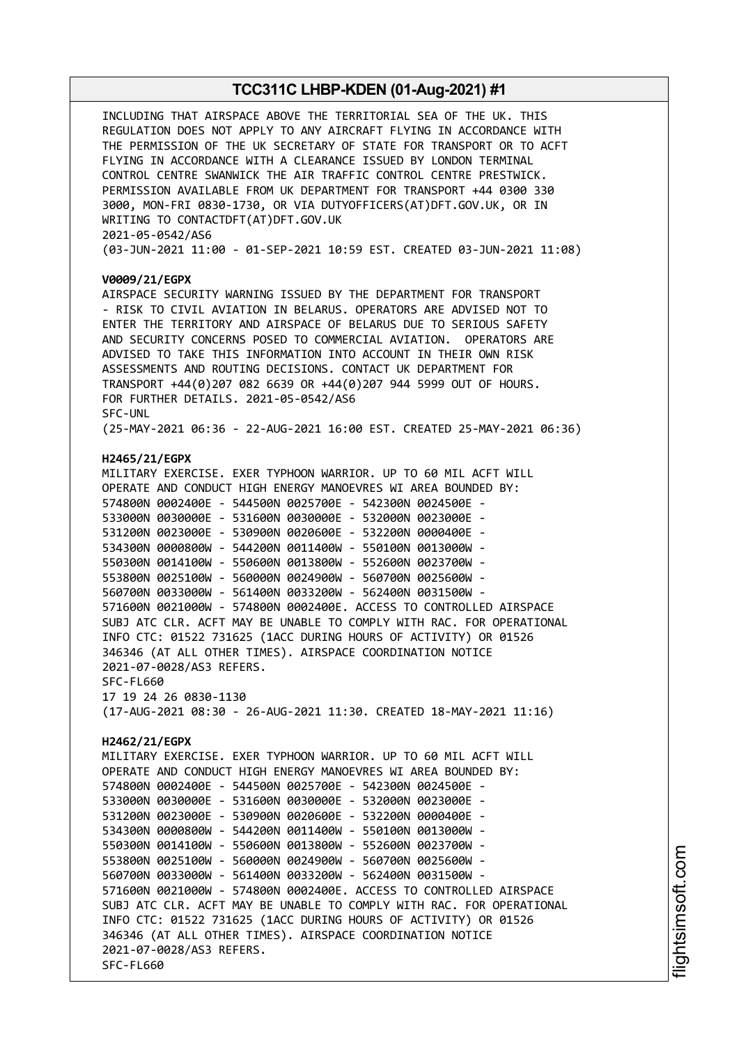INCLUDING THAT AIRSPACE ABOVE THE TERRITORIAL SEA OF THE UK. THIS REGULATION DOES NOT APPLY TO ANY AIRCRAFT FLYING IN ACCORDANCE WITH THE PERMISSION OF THE UK SECRETARY OF STATE FOR TRANSPORT OR TO ACFT FLYING IN ACCORDANCE WITH A CLEARANCE ISSUED BY LONDON TERMINAL CONTROL CENTRE SWANWICK THE AIR TRAFFIC CONTROL CENTRE PRESTWICK. PERMISSION AVAILABLE FROM UK DEPARTMENT FOR TRANSPORT +44 0300 330 3000, MON-FRI 0830-1730, OR VIA DUTYOFFICERS(AT)DFT.GOV.UK, OR IN WRITING TO CONTACTDFT(AT)DFT.GOV.UK 2021-05-0542/AS6 (03-JUN-2021 11:00 - 01-SEP-2021 10:59 EST. CREATED 03-JUN-2021 11:08) **V0009/21/EGPX** AIRSPACE SECURITY WARNING ISSUED BY THE DEPARTMENT FOR TRANSPORT - RISK TO CIVIL AVIATION IN BELARUS. OPERATORS ARE ADVISED NOT TO ENTER THE TERRITORY AND AIRSPACE OF BELARUS DUE TO SERIOUS SAFETY AND SECURITY CONCERNS POSED TO COMMERCIAL AVIATION. OPERATORS ARE ADVISED TO TAKE THIS INFORMATION INTO ACCOUNT IN THEIR OWN RISK ASSESSMENTS AND ROUTING DECISIONS. CONTACT UK DEPARTMENT FOR TRANSPORT +44(0)207 082 6639 OR +44(0)207 944 5999 OUT OF HOURS. FOR FURTHER DETAILS. 2021-05-0542/AS6 SFC-UNL (25-MAY-2021 06:36 - 22-AUG-2021 16:00 EST. CREATED 25-MAY-2021 06:36) **H2465/21/EGPX** MILITARY EXERCISE. EXER TYPHOON WARRIOR. UP TO 60 MIL ACFT WILL OPERATE AND CONDUCT HIGH ENERGY MANOEVRES WI AREA BOUNDED BY: 574800N 0002400E - 544500N 0025700E - 542300N 0024500E - 533000N 0030000E - 531600N 0030000E - 532000N 0023000E - 531200N 0023000E - 530900N 0020600E - 532200N 0000400E - 534300N 0000800W - 544200N 0011400W - 550100N 0013000W - 550300N 0014100W - 550600N 0013800W - 552600N 0023700W - 553800N 0025100W - 560000N 0024900W - 560700N 0025600W - 560700N 0033000W - 561400N 0033200W - 562400N 0031500W - 571600N 0021000W - 574800N 0002400E. ACCESS TO CONTROLLED AIRSPACE SUBJ ATC CLR. ACFT MAY BE UNABLE TO COMPLY WITH RAC. FOR OPERATIONAL INFO CTC: 01522 731625 (1ACC DURING HOURS OF ACTIVITY) OR 01526 346346 (AT ALL OTHER TIMES). AIRSPACE COORDINATION NOTICE 2021-07-0028/AS3 REFERS. SFC-FL660 17 19 24 26 0830-1130 (17-AUG-2021 08:30 - 26-AUG-2021 11:30. CREATED 18-MAY-2021 11:16) **H2462/21/EGPX** MILITARY EXERCISE. EXER TYPHOON WARRIOR. UP TO 60 MIL ACFT WILL OPERATE AND CONDUCT HIGH ENERGY MANOEVRES WI AREA BOUNDED BY: 574800N 0002400E - 544500N 0025700E - 542300N 0024500E - 533000N 0030000E - 531600N 0030000E - 532000N 0023000E - 531200N 0023000E - 530900N 0020600E - 532200N 0000400E - 534300N 0000800W - 544200N 0011400W - 550100N 0013000W - 550300N 0014100W - 550600N 0013800W - 552600N 0023700W - 553800N 0025100W - 560000N 0024900W - 560700N 0025600W - 560700N 0033000W - 561400N 0033200W - 562400N 0031500W - 571600N 0021000W - 574800N 0002400E. ACCESS TO CONTROLLED AIRSPACE SUBJ ATC CLR. ACFT MAY BE UNABLE TO COMPLY WITH RAC. FOR OPERATIONAL INFO CTC: 01522 731625 (1ACC DURING HOURS OF ACTIVITY) OR 01526 346346 (AT ALL OTHER TIMES). AIRSPACE COORDINATION NOTICE 2021-07-0028/AS3 REFERS. SFC-FL660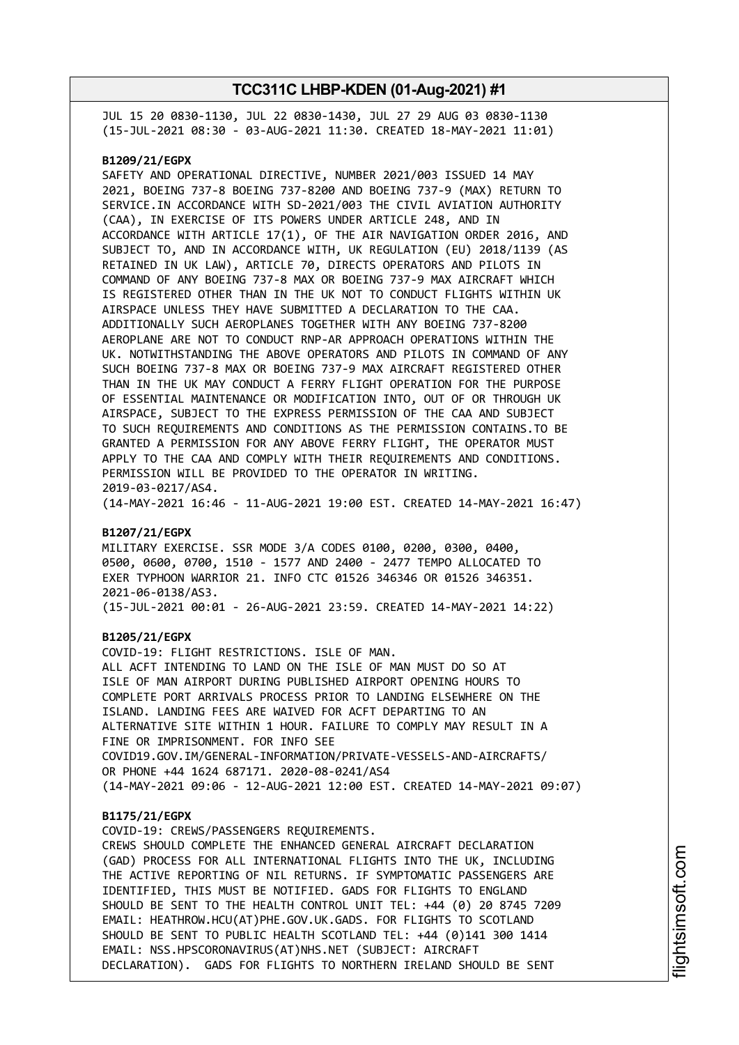JUL 15 20 0830-1130, JUL 22 0830-1430, JUL 27 29 AUG 03 0830-1130 (15-JUL-2021 08:30 - 03-AUG-2021 11:30. CREATED 18-MAY-2021 11:01)

#### **B1209/21/EGPX**

SAFETY AND OPERATIONAL DIRECTIVE, NUMBER 2021/003 ISSUED 14 MAY 2021, BOEING 737-8 BOEING 737-8200 AND BOEING 737-9 (MAX) RETURN TO SERVICE.IN ACCORDANCE WITH SD-2021/003 THE CIVIL AVIATION AUTHORITY (CAA), IN EXERCISE OF ITS POWERS UNDER ARTICLE 248, AND IN ACCORDANCE WITH ARTICLE 17(1), OF THE AIR NAVIGATION ORDER 2016, AND SUBJECT TO, AND IN ACCORDANCE WITH, UK REGULATION (EU) 2018/1139 (AS RETAINED IN UK LAW), ARTICLE 70, DIRECTS OPERATORS AND PILOTS IN COMMAND OF ANY BOEING 737-8 MAX OR BOEING 737-9 MAX AIRCRAFT WHICH IS REGISTERED OTHER THAN IN THE UK NOT TO CONDUCT FLIGHTS WITHIN UK AIRSPACE UNLESS THEY HAVE SUBMITTED A DECLARATION TO THE CAA. ADDITIONALLY SUCH AEROPLANES TOGETHER WITH ANY BOEING 737-8200 AEROPLANE ARE NOT TO CONDUCT RNP-AR APPROACH OPERATIONS WITHIN THE UK. NOTWITHSTANDING THE ABOVE OPERATORS AND PILOTS IN COMMAND OF ANY SUCH BOEING 737-8 MAX OR BOEING 737-9 MAX AIRCRAFT REGISTERED OTHER THAN IN THE UK MAY CONDUCT A FERRY FLIGHT OPERATION FOR THE PURPOSE OF ESSENTIAL MAINTENANCE OR MODIFICATION INTO, OUT OF OR THROUGH UK AIRSPACE, SUBJECT TO THE EXPRESS PERMISSION OF THE CAA AND SUBJECT TO SUCH REQUIREMENTS AND CONDITIONS AS THE PERMISSION CONTAINS.TO BE GRANTED A PERMISSION FOR ANY ABOVE FERRY FLIGHT, THE OPERATOR MUST APPLY TO THE CAA AND COMPLY WITH THEIR REQUIREMENTS AND CONDITIONS. PERMISSION WILL BE PROVIDED TO THE OPERATOR IN WRITING. 2019-03-0217/AS4.

(14-MAY-2021 16:46 - 11-AUG-2021 19:00 EST. CREATED 14-MAY-2021 16:47)

#### **B1207/21/EGPX**

MILITARY EXERCISE. SSR MODE 3/A CODES 0100, 0200, 0300, 0400, 0500, 0600, 0700, 1510 - 1577 AND 2400 - 2477 TEMPO ALLOCATED TO EXER TYPHOON WARRIOR 21. INFO CTC 01526 346346 OR 01526 346351. 2021-06-0138/AS3. (15-JUL-2021 00:01 - 26-AUG-2021 23:59. CREATED 14-MAY-2021 14:22)

#### **B1205/21/EGPX**

COVID-19: FLIGHT RESTRICTIONS. ISLE OF MAN. ALL ACFT INTENDING TO LAND ON THE ISLE OF MAN MUST DO SO AT ISLE OF MAN AIRPORT DURING PUBLISHED AIRPORT OPENING HOURS TO COMPLETE PORT ARRIVALS PROCESS PRIOR TO LANDING ELSEWHERE ON THE ISLAND. LANDING FEES ARE WAIVED FOR ACFT DEPARTING TO AN ALTERNATIVE SITE WITHIN 1 HOUR. FAILURE TO COMPLY MAY RESULT IN A FINE OR IMPRISONMENT. FOR INFO SEE COVID19.GOV.IM/GENERAL-INFORMATION/PRIVATE-VESSELS-AND-AIRCRAFTS/ OR PHONE +44 1624 687171. 2020-08-0241/AS4 (14-MAY-2021 09:06 - 12-AUG-2021 12:00 EST. CREATED 14-MAY-2021 09:07)

#### **B1175/21/EGPX**

COVID-19: CREWS/PASSENGERS REQUIREMENTS. CREWS SHOULD COMPLETE THE ENHANCED GENERAL AIRCRAFT DECLARATION (GAD) PROCESS FOR ALL INTERNATIONAL FLIGHTS INTO THE UK, INCLUDING THE ACTIVE REPORTING OF NIL RETURNS. IF SYMPTOMATIC PASSENGERS ARE IDENTIFIED, THIS MUST BE NOTIFIED. GADS FOR FLIGHTS TO ENGLAND SHOULD BE SENT TO THE HEALTH CONTROL UNIT TEL: +44 (0) 20 8745 7209 EMAIL: HEATHROW.HCU(AT)PHE.GOV.UK.GADS. FOR FLIGHTS TO SCOTLAND SHOULD BE SENT TO PUBLIC HEALTH SCOTLAND TEL: +44 (0)141 300 1414 EMAIL: NSS.HPSCORONAVIRUS(AT)NHS.NET (SUBJECT: AIRCRAFT DECLARATION). GADS FOR FLIGHTS TO NORTHERN IRELAND SHOULD BE SENT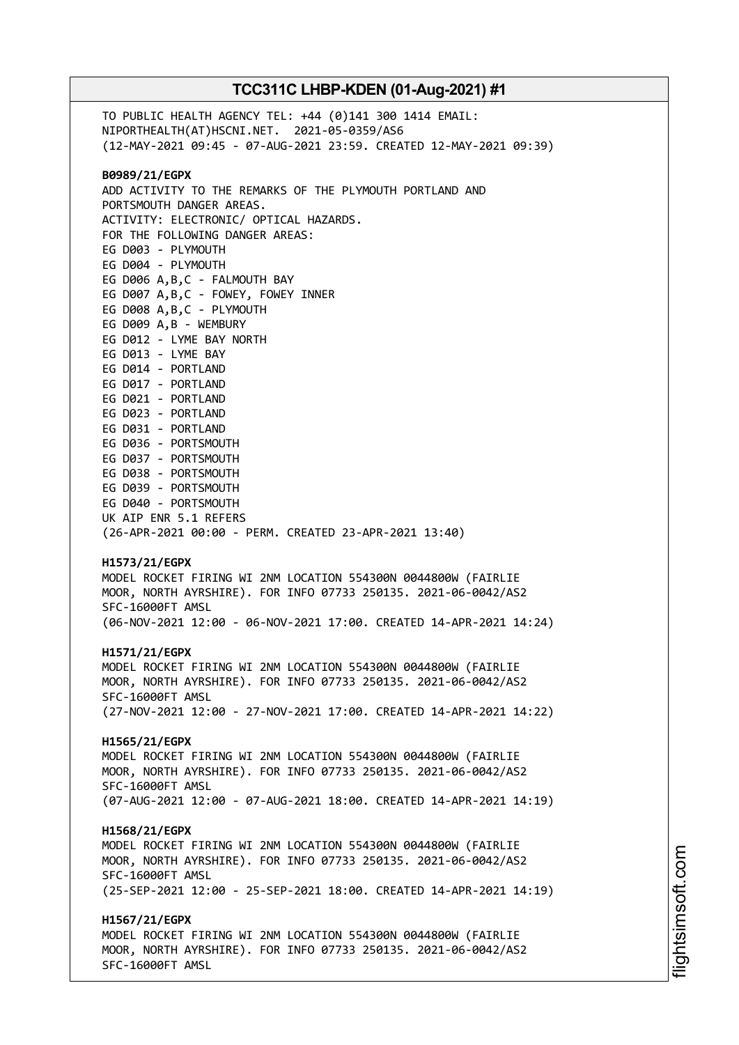TO PUBLIC HEALTH AGENCY TEL: +44 (0)141 300 1414 EMAIL: NIPORTHEALTH(AT)HSCNI.NET. 2021-05-0359/AS6 (12-MAY-2021 09:45 - 07-AUG-2021 23:59. CREATED 12-MAY-2021 09:39) **B0989/21/EGPX** ADD ACTIVITY TO THE REMARKS OF THE PLYMOUTH PORTLAND AND PORTSMOUTH DANGER AREAS. ACTIVITY: ELECTRONIC/ OPTICAL HAZARDS. FOR THE FOLLOWING DANGER AREAS: EG D003 - PLYMOUTH EG D004 - PLYMOUTH EG D006 A,B,C - FALMOUTH BAY EG D007 A,B,C - FOWEY, FOWEY INNER EG D008 A,B,C - PLYMOUTH EG D009 A,B - WEMBURY EG D012 - LYME BAY NORTH EG D013 - LYME BAY EG D014 - PORTLAND EG D017 - PORTLAND EG D021 - PORTLAND EG D023 - PORTLAND EG D031 - PORTLAND EG D036 - PORTSMOUTH EG D037 - PORTSMOUTH EG D038 - PORTSMOUTH EG D039 - PORTSMOUTH EG D040 - PORTSMOUTH UK AIP ENR 5.1 REFERS (26-APR-2021 00:00 - PERM. CREATED 23-APR-2021 13:40) **H1573/21/EGPX** MODEL ROCKET FIRING WI 2NM LOCATION 554300N 0044800W (FAIRLIE MOOR, NORTH AYRSHIRE). FOR INFO 07733 250135. 2021-06-0042/AS2 SFC-16000FT AMSL (06-NOV-2021 12:00 - 06-NOV-2021 17:00. CREATED 14-APR-2021 14:24) **H1571/21/EGPX** MODEL ROCKET FIRING WI 2NM LOCATION 554300N 0044800W (FAIRLIE MOOR, NORTH AYRSHIRE). FOR INFO 07733 250135. 2021-06-0042/AS2 SFC-16000FT AMSL (27-NOV-2021 12:00 - 27-NOV-2021 17:00. CREATED 14-APR-2021 14:22) **H1565/21/EGPX** MODEL ROCKET FIRING WI 2NM LOCATION 554300N 0044800W (FAIRLIE MOOR, NORTH AYRSHIRE). FOR INFO 07733 250135. 2021-06-0042/AS2 SFC-16000FT AMSL (07-AUG-2021 12:00 - 07-AUG-2021 18:00. CREATED 14-APR-2021 14:19) **H1568/21/EGPX** MODEL ROCKET FIRING WI 2NM LOCATION 554300N 0044800W (FAIRLIE MOOR, NORTH AYRSHIRE). FOR INFO 07733 250135. 2021-06-0042/AS2 SFC-16000FT AMSL (25-SEP-2021 12:00 - 25-SEP-2021 18:00. CREATED 14-APR-2021 14:19) **H1567/21/EGPX** MODEL ROCKET FIRING WI 2NM LOCATION 554300N 0044800W (FAIRLIE MOOR, NORTH AYRSHIRE). FOR INFO 07733 250135. 2021-06-0042/AS2 SFC-16000FT AMSL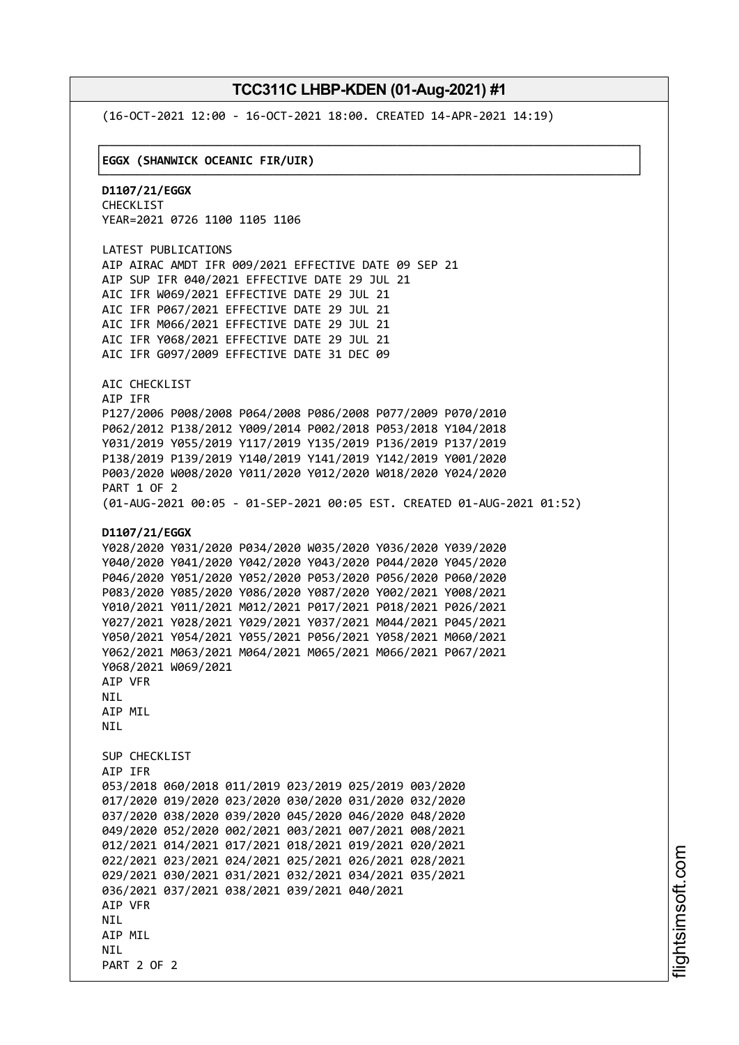└──────────────────────────────────────────────────────────────────────────────┘

(16-OCT-2021 12:00 - 16-OCT-2021 18:00. CREATED 14-APR-2021 14:19)

#### ┌──────────────────────────────────────────────────────────────────────────────┐ │**EGGX (SHANWICK OCEANIC FIR/UIR)** │

**D1107/21/EGGX** CHECKLIST YEAR=2021 0726 1100 1105 1106

LATEST PUBLICATIONS AIP AIRAC AMDT IFR 009/2021 EFFECTIVE DATE 09 SEP 21 AIP SUP IFR 040/2021 EFFECTIVE DATE 29 JUL 21 AIC IFR W069/2021 EFFECTIVE DATE 29 JUL 21 AIC IFR P067/2021 EFFECTIVE DATE 29 JUL 21 AIC IFR M066/2021 EFFECTIVE DATE 29 JUL 21 AIC IFR Y068/2021 EFFECTIVE DATE 29 JUL 21 AIC IFR G097/2009 EFFECTIVE DATE 31 DEC 09

AIC CHECKLIST AIP IFR P127/2006 P008/2008 P064/2008 P086/2008 P077/2009 P070/2010 P062/2012 P138/2012 Y009/2014 P002/2018 P053/2018 Y104/2018 Y031/2019 Y055/2019 Y117/2019 Y135/2019 P136/2019 P137/2019 P138/2019 P139/2019 Y140/2019 Y141/2019 Y142/2019 Y001/2020 P003/2020 W008/2020 Y011/2020 Y012/2020 W018/2020 Y024/2020 PART 1 OF 2 (01-AUG-2021 00:05 - 01-SEP-2021 00:05 EST. CREATED 01-AUG-2021 01:52)

#### **D1107/21/EGGX**

```
Y028/2020 Y031/2020 P034/2020 W035/2020 Y036/2020 Y039/2020
Y040/2020 Y041/2020 Y042/2020 Y043/2020 P044/2020 Y045/2020
P046/2020 Y051/2020 Y052/2020 P053/2020 P056/2020 P060/2020
P083/2020 Y085/2020 Y086/2020 Y087/2020 Y002/2021 Y008/2021
Y010/2021 Y011/2021 M012/2021 P017/2021 P018/2021 P026/2021
Y027/2021 Y028/2021 Y029/2021 Y037/2021 M044/2021 P045/2021
Y050/2021 Y054/2021 Y055/2021 P056/2021 Y058/2021 M060/2021
Y062/2021 M063/2021 M064/2021 M065/2021 M066/2021 P067/2021
Y068/2021 W069/2021
AIP VFR
NIL
AIP MIL
NTI
SUP CHECKLIST
AIP IFR
053/2018 060/2018 011/2019 023/2019 025/2019 003/2020
017/2020 019/2020 023/2020 030/2020 031/2020 032/2020
037/2020 038/2020 039/2020 045/2020 046/2020 048/2020
049/2020 052/2020 002/2021 003/2021 007/2021 008/2021
012/2021 014/2021 017/2021 018/2021 019/2021 020/2021
022/2021 023/2021 024/2021 025/2021 026/2021 028/2021
029/2021 030/2021 031/2021 032/2021 034/2021 035/2021
036/2021 037/2021 038/2021 039/2021 040/2021
AIP VFR
NTI
AIP MIL
NTI
PART 2 OF 2
```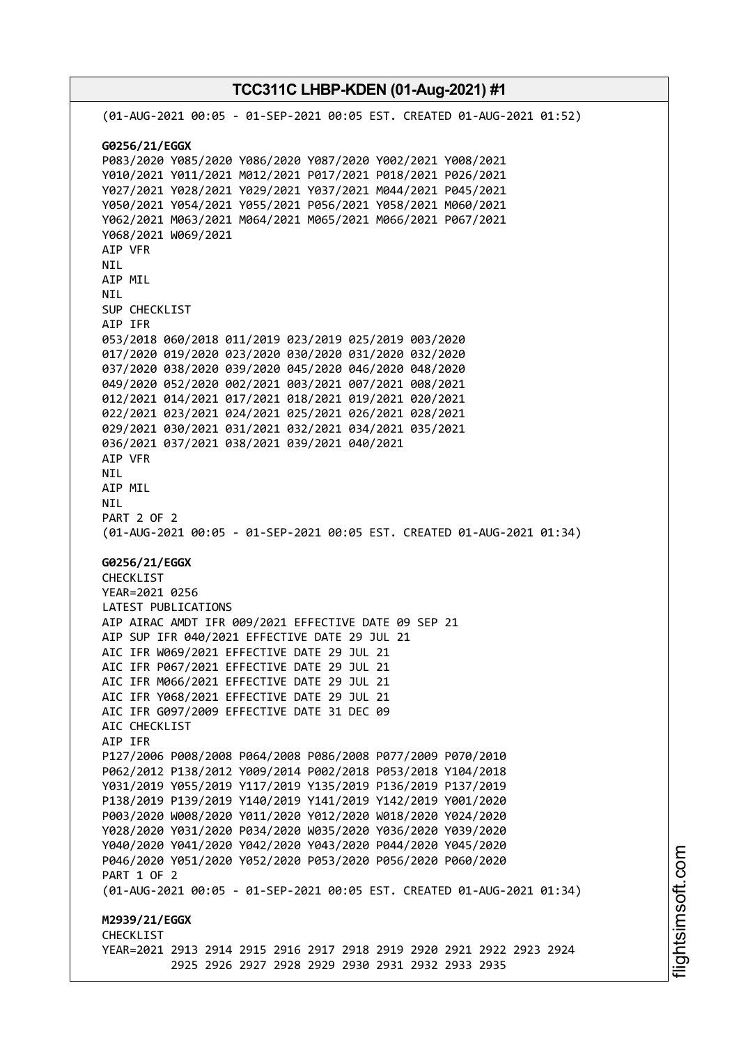**TCC311C LHBP-KDEN (01-Aug-2021) #1** (01-AUG-2021 00:05 - 01-SEP-2021 00:05 EST. CREATED 01-AUG-2021 01:52) **G0256/21/EGGX** P083/2020 Y085/2020 Y086/2020 Y087/2020 Y002/2021 Y008/2021 Y010/2021 Y011/2021 M012/2021 P017/2021 P018/2021 P026/2021 Y027/2021 Y028/2021 Y029/2021 Y037/2021 M044/2021 P045/2021 Y050/2021 Y054/2021 Y055/2021 P056/2021 Y058/2021 M060/2021 Y062/2021 M063/2021 M064/2021 M065/2021 M066/2021 P067/2021 Y068/2021 W069/2021 AIP VFR NIL AIP MIL NIL SUP CHECKLIST AIP IFR 053/2018 060/2018 011/2019 023/2019 025/2019 003/2020 017/2020 019/2020 023/2020 030/2020 031/2020 032/2020 037/2020 038/2020 039/2020 045/2020 046/2020 048/2020 049/2020 052/2020 002/2021 003/2021 007/2021 008/2021 012/2021 014/2021 017/2021 018/2021 019/2021 020/2021 022/2021 023/2021 024/2021 025/2021 026/2021 028/2021 029/2021 030/2021 031/2021 032/2021 034/2021 035/2021 036/2021 037/2021 038/2021 039/2021 040/2021 AIP VFR NIL AIP MIL NIL PART 2 OF 2 (01-AUG-2021 00:05 - 01-SEP-2021 00:05 EST. CREATED 01-AUG-2021 01:34) **G0256/21/EGGX** CHECKLIST YEAR=2021 0256 LATEST PUBLICATIONS AIP AIRAC AMDT IFR 009/2021 EFFECTIVE DATE 09 SEP 21 AIP SUP IFR 040/2021 EFFECTIVE DATE 29 JUL 21 AIC IFR W069/2021 EFFECTIVE DATE 29 JUL 21 AIC IFR P067/2021 EFFECTIVE DATE 29 JUL 21 AIC IFR M066/2021 EFFECTIVE DATE 29 JUL 21 AIC IFR Y068/2021 EFFECTIVE DATE 29 JUL 21 AIC IFR G097/2009 EFFECTIVE DATE 31 DEC 09 AIC CHECKLIST AIP IFR P127/2006 P008/2008 P064/2008 P086/2008 P077/2009 P070/2010 P062/2012 P138/2012 Y009/2014 P002/2018 P053/2018 Y104/2018 Y031/2019 Y055/2019 Y117/2019 Y135/2019 P136/2019 P137/2019 P138/2019 P139/2019 Y140/2019 Y141/2019 Y142/2019 Y001/2020 P003/2020 W008/2020 Y011/2020 Y012/2020 W018/2020 Y024/2020 Y028/2020 Y031/2020 P034/2020 W035/2020 Y036/2020 Y039/2020 Y040/2020 Y041/2020 Y042/2020 Y043/2020 P044/2020 Y045/2020 P046/2020 Y051/2020 Y052/2020 P053/2020 P056/2020 P060/2020 PART 1 OF 2 (01-AUG-2021 00:05 - 01-SEP-2021 00:05 EST. CREATED 01-AUG-2021 01:34) **M2939/21/EGGX CHECKLIST** YEAR=2021 2913 2914 2915 2916 2917 2918 2919 2920 2921 2922 2923 2924 2925 2926 2927 2928 2929 2930 2931 2932 2933 2935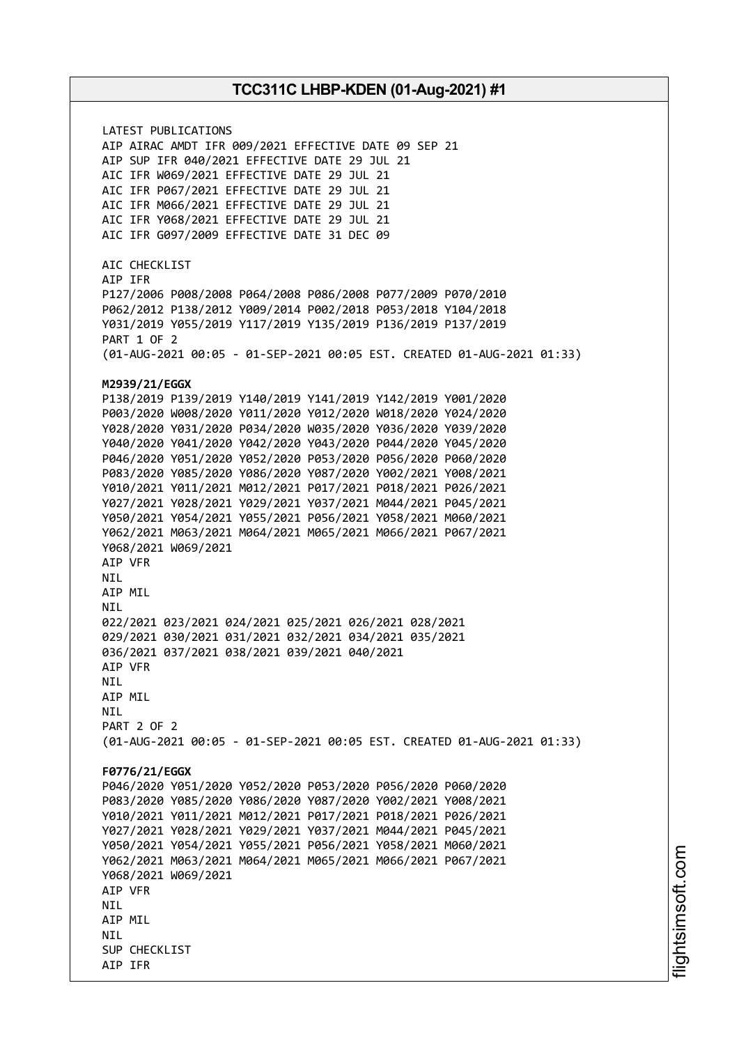LATEST PUBLICATIONS AIP AIRAC AMDT IFR 009/2021 EFFECTIVE DATE 09 SEP 21 AIP SUP IFR 040/2021 EFFECTIVE DATE 29 JUL 21 AIC IFR W069/2021 EFFECTIVE DATE 29 JUL 21 AIC IFR P067/2021 EFFECTIVE DATE 29 JUL 21 AIC IFR M066/2021 EFFECTIVE DATE 29 JUL 21 AIC IFR Y068/2021 EFFECTIVE DATE 29 JUL 21 AIC IFR G097/2009 EFFECTIVE DATE 31 DEC 09 AIC CHECKLIST AIP IFR P127/2006 P008/2008 P064/2008 P086/2008 P077/2009 P070/2010 P062/2012 P138/2012 Y009/2014 P002/2018 P053/2018 Y104/2018 Y031/2019 Y055/2019 Y117/2019 Y135/2019 P136/2019 P137/2019 PART 1 OF 2 (01-AUG-2021 00:05 - 01-SEP-2021 00:05 EST. CREATED 01-AUG-2021 01:33) **M2939/21/EGGX** P138/2019 P139/2019 Y140/2019 Y141/2019 Y142/2019 Y001/2020 P003/2020 W008/2020 Y011/2020 Y012/2020 W018/2020 Y024/2020 Y028/2020 Y031/2020 P034/2020 W035/2020 Y036/2020 Y039/2020 Y040/2020 Y041/2020 Y042/2020 Y043/2020 P044/2020 Y045/2020 P046/2020 Y051/2020 Y052/2020 P053/2020 P056/2020 P060/2020 P083/2020 Y085/2020 Y086/2020 Y087/2020 Y002/2021 Y008/2021 Y010/2021 Y011/2021 M012/2021 P017/2021 P018/2021 P026/2021 Y027/2021 Y028/2021 Y029/2021 Y037/2021 M044/2021 P045/2021 Y050/2021 Y054/2021 Y055/2021 P056/2021 Y058/2021 M060/2021 Y062/2021 M063/2021 M064/2021 M065/2021 M066/2021 P067/2021 Y068/2021 W069/2021 AIP VFR NIL AIP MIL NIL 022/2021 023/2021 024/2021 025/2021 026/2021 028/2021 029/2021 030/2021 031/2021 032/2021 034/2021 035/2021 036/2021 037/2021 038/2021 039/2021 040/2021 AIP VFR NIL AIP MIL **NTI** PART 2 OF 2 (01-AUG-2021 00:05 - 01-SEP-2021 00:05 EST. CREATED 01-AUG-2021 01:33) **F0776/21/EGGX** P046/2020 Y051/2020 Y052/2020 P053/2020 P056/2020 P060/2020 P083/2020 Y085/2020 Y086/2020 Y087/2020 Y002/2021 Y008/2021 Y010/2021 Y011/2021 M012/2021 P017/2021 P018/2021 P026/2021 Y027/2021 Y028/2021 Y029/2021 Y037/2021 M044/2021 P045/2021 Y050/2021 Y054/2021 Y055/2021 P056/2021 Y058/2021 M060/2021 Y062/2021 M063/2021 M064/2021 M065/2021 M066/2021 P067/2021 Y068/2021 W069/2021 AIP VFR **NTI** AIP MIL **NTI** SUP CHECKLIST AIP IFR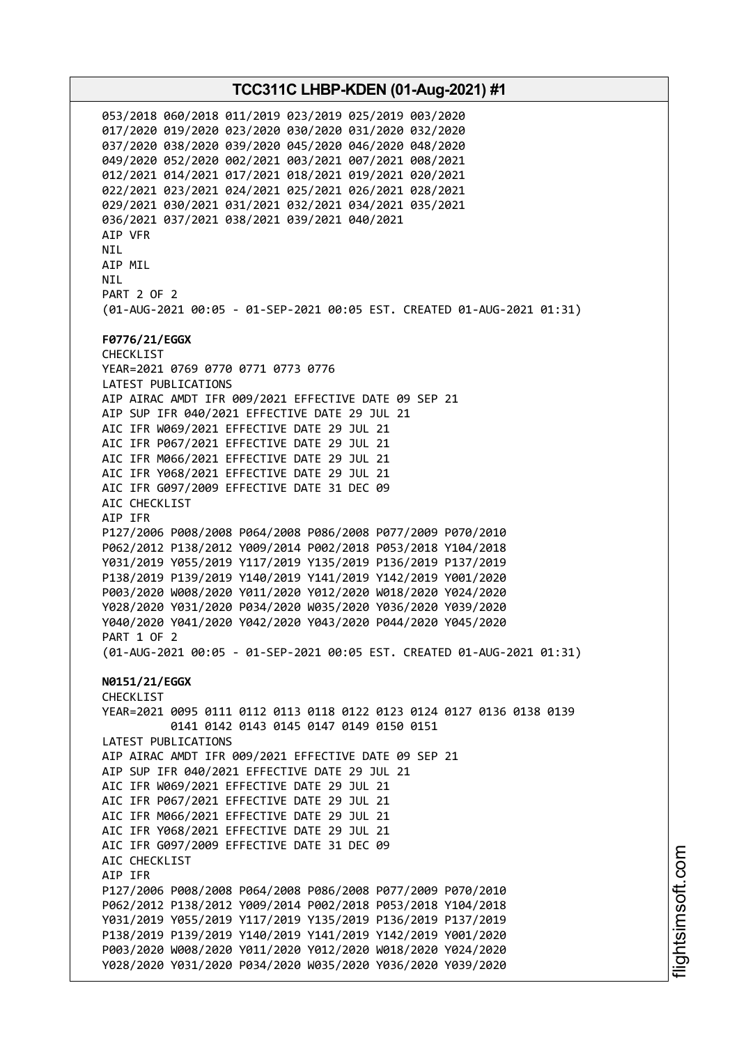053/2018 060/2018 011/2019 023/2019 025/2019 003/2020 017/2020 019/2020 023/2020 030/2020 031/2020 032/2020 037/2020 038/2020 039/2020 045/2020 046/2020 048/2020 049/2020 052/2020 002/2021 003/2021 007/2021 008/2021 012/2021 014/2021 017/2021 018/2021 019/2021 020/2021 022/2021 023/2021 024/2021 025/2021 026/2021 028/2021 029/2021 030/2021 031/2021 032/2021 034/2021 035/2021 036/2021 037/2021 038/2021 039/2021 040/2021 AIP VFR NIL AIP MIL **NTI** PART 2 OF 2 (01-AUG-2021 00:05 - 01-SEP-2021 00:05 EST. CREATED 01-AUG-2021 01:31) **F0776/21/EGGX** CHECKLIST YEAR=2021 0769 0770 0771 0773 0776 LATEST PUBLICATIONS AIP AIRAC AMDT IFR 009/2021 EFFECTIVE DATE 09 SEP 21 AIP SUP IFR 040/2021 EFFECTIVE DATE 29 JUL 21 AIC IFR W069/2021 EFFECTIVE DATE 29 JUL 21 AIC IFR P067/2021 EFFECTIVE DATE 29 JUL 21 AIC IFR M066/2021 EFFECTIVE DATE 29 JUL 21 AIC IFR Y068/2021 EFFECTIVE DATE 29 JUL 21 AIC IFR G097/2009 EFFECTIVE DATE 31 DEC 09 AIC CHECKLIST AIP IFR P127/2006 P008/2008 P064/2008 P086/2008 P077/2009 P070/2010 P062/2012 P138/2012 Y009/2014 P002/2018 P053/2018 Y104/2018 Y031/2019 Y055/2019 Y117/2019 Y135/2019 P136/2019 P137/2019 P138/2019 P139/2019 Y140/2019 Y141/2019 Y142/2019 Y001/2020 P003/2020 W008/2020 Y011/2020 Y012/2020 W018/2020 Y024/2020 Y028/2020 Y031/2020 P034/2020 W035/2020 Y036/2020 Y039/2020 Y040/2020 Y041/2020 Y042/2020 Y043/2020 P044/2020 Y045/2020 PART 1 OF 2 (01-AUG-2021 00:05 - 01-SEP-2021 00:05 EST. CREATED 01-AUG-2021 01:31) **N0151/21/EGGX** CHECKLIST YEAR=2021 0095 0111 0112 0113 0118 0122 0123 0124 0127 0136 0138 0139 0141 0142 0143 0145 0147 0149 0150 0151 LATEST PUBLICATIONS AIP AIRAC AMDT IFR 009/2021 EFFECTIVE DATE 09 SEP 21 AIP SUP IFR 040/2021 EFFECTIVE DATE 29 JUL 21 AIC IFR W069/2021 EFFECTIVE DATE 29 JUL 21 AIC IFR P067/2021 EFFECTIVE DATE 29 JUL 21 AIC IFR M066/2021 EFFECTIVE DATE 29 JUL 21 AIC IFR Y068/2021 EFFECTIVE DATE 29 JUL 21 AIC IFR G097/2009 EFFECTIVE DATE 31 DEC 09 AIC CHECKLIST AIP IFR P127/2006 P008/2008 P064/2008 P086/2008 P077/2009 P070/2010 P062/2012 P138/2012 Y009/2014 P002/2018 P053/2018 Y104/2018 Y031/2019 Y055/2019 Y117/2019 Y135/2019 P136/2019 P137/2019 P138/2019 P139/2019 Y140/2019 Y141/2019 Y142/2019 Y001/2020 P003/2020 W008/2020 Y011/2020 Y012/2020 W018/2020 Y024/2020 Y028/2020 Y031/2020 P034/2020 W035/2020 Y036/2020 Y039/2020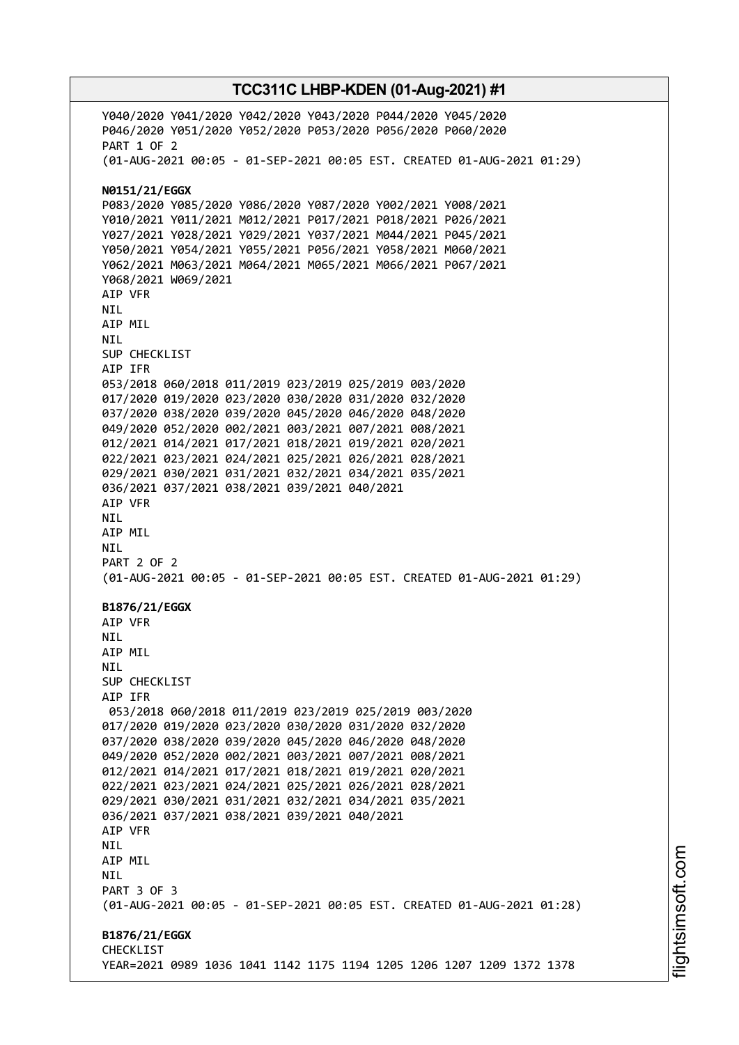Y040/2020 Y041/2020 Y042/2020 Y043/2020 P044/2020 Y045/2020 P046/2020 Y051/2020 Y052/2020 P053/2020 P056/2020 P060/2020 PART 1 OF 2 (01-AUG-2021 00:05 - 01-SEP-2021 00:05 EST. CREATED 01-AUG-2021 01:29) **N0151/21/EGGX** P083/2020 Y085/2020 Y086/2020 Y087/2020 Y002/2021 Y008/2021 Y010/2021 Y011/2021 M012/2021 P017/2021 P018/2021 P026/2021 Y027/2021 Y028/2021 Y029/2021 Y037/2021 M044/2021 P045/2021 Y050/2021 Y054/2021 Y055/2021 P056/2021 Y058/2021 M060/2021 Y062/2021 M063/2021 M064/2021 M065/2021 M066/2021 P067/2021 Y068/2021 W069/2021 AIP VFR NIL AIP MIL NIL SUP CHECKLIST AIP IFR 053/2018 060/2018 011/2019 023/2019 025/2019 003/2020 017/2020 019/2020 023/2020 030/2020 031/2020 032/2020 037/2020 038/2020 039/2020 045/2020 046/2020 048/2020 049/2020 052/2020 002/2021 003/2021 007/2021 008/2021 012/2021 014/2021 017/2021 018/2021 019/2021 020/2021 022/2021 023/2021 024/2021 025/2021 026/2021 028/2021 029/2021 030/2021 031/2021 032/2021 034/2021 035/2021 036/2021 037/2021 038/2021 039/2021 040/2021 AIP VFR NIL AIP MIL NIL PART 2 OF 2 (01-AUG-2021 00:05 - 01-SEP-2021 00:05 EST. CREATED 01-AUG-2021 01:29) **B1876/21/EGGX** AIP VFR **NTI** AIP MIL **NTI** SUP CHECKLIST AIP IFR 053/2018 060/2018 011/2019 023/2019 025/2019 003/2020 017/2020 019/2020 023/2020 030/2020 031/2020 032/2020 037/2020 038/2020 039/2020 045/2020 046/2020 048/2020 049/2020 052/2020 002/2021 003/2021 007/2021 008/2021 012/2021 014/2021 017/2021 018/2021 019/2021 020/2021 022/2021 023/2021 024/2021 025/2021 026/2021 028/2021 029/2021 030/2021 031/2021 032/2021 034/2021 035/2021 036/2021 037/2021 038/2021 039/2021 040/2021 AIP VFR NIL AIP MIL **NTL** PART 3 OF 3 (01-AUG-2021 00:05 - 01-SEP-2021 00:05 EST. CREATED 01-AUG-2021 01:28) **B1876/21/EGGX** CHECKLIST YEAR=2021 0989 1036 1041 1142 1175 1194 1205 1206 1207 1209 1372 1378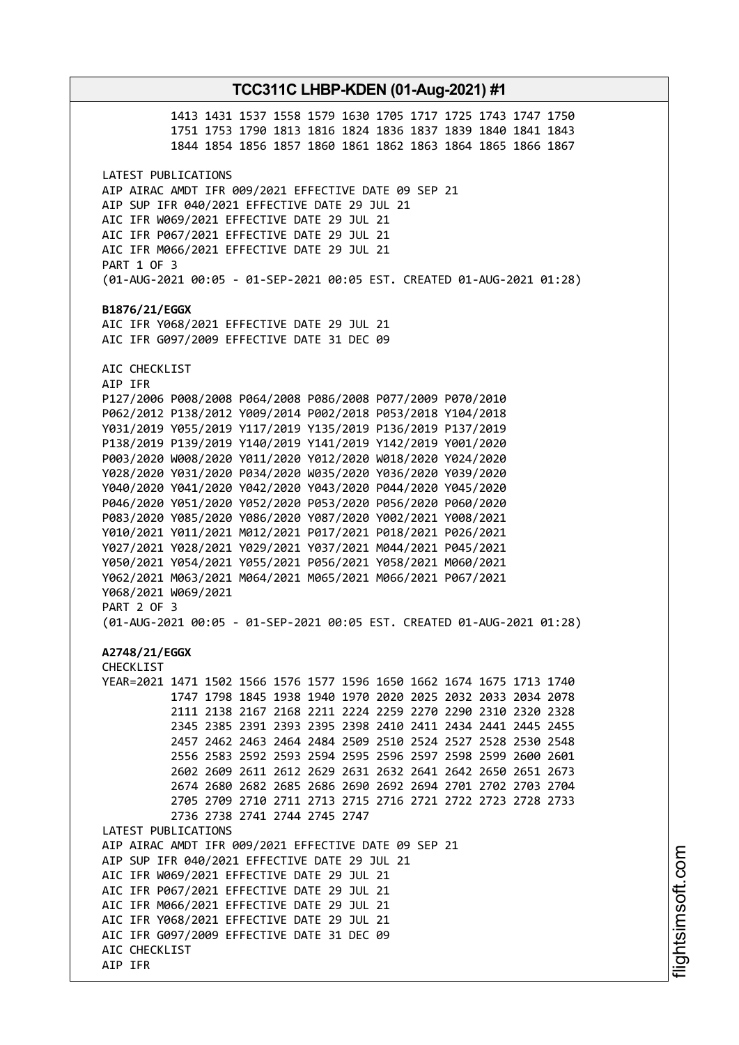# **TCC311C LHBP-KDEN (01-Aug-2021) #1** 1413 1431 1537 1558 1579 1630 1705 1717 1725 1743 1747 1750 1751 1753 1790 1813 1816 1824 1836 1837 1839 1840 1841 1843 1844 1854 1856 1857 1860 1861 1862 1863 1864 1865 1866 1867 LATEST PUBLICATIONS AIP AIRAC AMDT IFR 009/2021 EFFECTIVE DATE 09 SEP 21 AIP SUP IFR 040/2021 EFFECTIVE DATE 29 JUL 21 AIC IFR W069/2021 EFFECTIVE DATE 29 JUL 21 AIC IFR P067/2021 EFFECTIVE DATE 29 JUL 21 AIC IFR M066/2021 EFFECTIVE DATE 29 JUL 21 PART 1 OF 3 (01-AUG-2021 00:05 - 01-SEP-2021 00:05 EST. CREATED 01-AUG-2021 01:28) **B1876/21/EGGX** AIC IFR Y068/2021 EFFECTIVE DATE 29 JUL 21 AIC IFR G097/2009 EFFECTIVE DATE 31 DEC 09 AIC CHECKLIST AIP IFR P127/2006 P008/2008 P064/2008 P086/2008 P077/2009 P070/2010 P062/2012 P138/2012 Y009/2014 P002/2018 P053/2018 Y104/2018 Y031/2019 Y055/2019 Y117/2019 Y135/2019 P136/2019 P137/2019 P138/2019 P139/2019 Y140/2019 Y141/2019 Y142/2019 Y001/2020 P003/2020 W008/2020 Y011/2020 Y012/2020 W018/2020 Y024/2020 Y028/2020 Y031/2020 P034/2020 W035/2020 Y036/2020 Y039/2020 Y040/2020 Y041/2020 Y042/2020 Y043/2020 P044/2020 Y045/2020 P046/2020 Y051/2020 Y052/2020 P053/2020 P056/2020 P060/2020 P083/2020 Y085/2020 Y086/2020 Y087/2020 Y002/2021 Y008/2021 Y010/2021 Y011/2021 M012/2021 P017/2021 P018/2021 P026/2021 Y027/2021 Y028/2021 Y029/2021 Y037/2021 M044/2021 P045/2021 Y050/2021 Y054/2021 Y055/2021 P056/2021 Y058/2021 M060/2021 Y062/2021 M063/2021 M064/2021 M065/2021 M066/2021 P067/2021 Y068/2021 W069/2021 PART 2 OF 3 (01-AUG-2021 00:05 - 01-SEP-2021 00:05 EST. CREATED 01-AUG-2021 01:28) **A2748/21/EGGX** CHECKLIST YEAR=2021 1471 1502 1566 1576 1577 1596 1650 1662 1674 1675 1713 1740 1747 1798 1845 1938 1940 1970 2020 2025 2032 2033 2034 2078 2111 2138 2167 2168 2211 2224 2259 2270 2290 2310 2320 2328 2345 2385 2391 2393 2395 2398 2410 2411 2434 2441 2445 2455 2457 2462 2463 2464 2484 2509 2510 2524 2527 2528 2530 2548 2556 2583 2592 2593 2594 2595 2596 2597 2598 2599 2600 2601 2602 2609 2611 2612 2629 2631 2632 2641 2642 2650 2651 2673 2674 2680 2682 2685 2686 2690 2692 2694 2701 2702 2703 2704 2705 2709 2710 2711 2713 2715 2716 2721 2722 2723 2728 2733 2736 2738 2741 2744 2745 2747 LATEST PUBLICATIONS AIP AIRAC AMDT IFR 009/2021 EFFECTIVE DATE 09 SEP 21 AIP SUP IFR 040/2021 EFFECTIVE DATE 29 JUL 21 AIC IFR W069/2021 EFFECTIVE DATE 29 JUL 21 AIC IFR P067/2021 EFFECTIVE DATE 29 JUL 21 AIC IFR M066/2021 EFFECTIVE DATE 29 JUL 21 AIC IFR Y068/2021 EFFECTIVE DATE 29 JUL 21 AIC IFR G097/2009 EFFECTIVE DATE 31 DEC 09 AIC CHECKLIST AIP IFR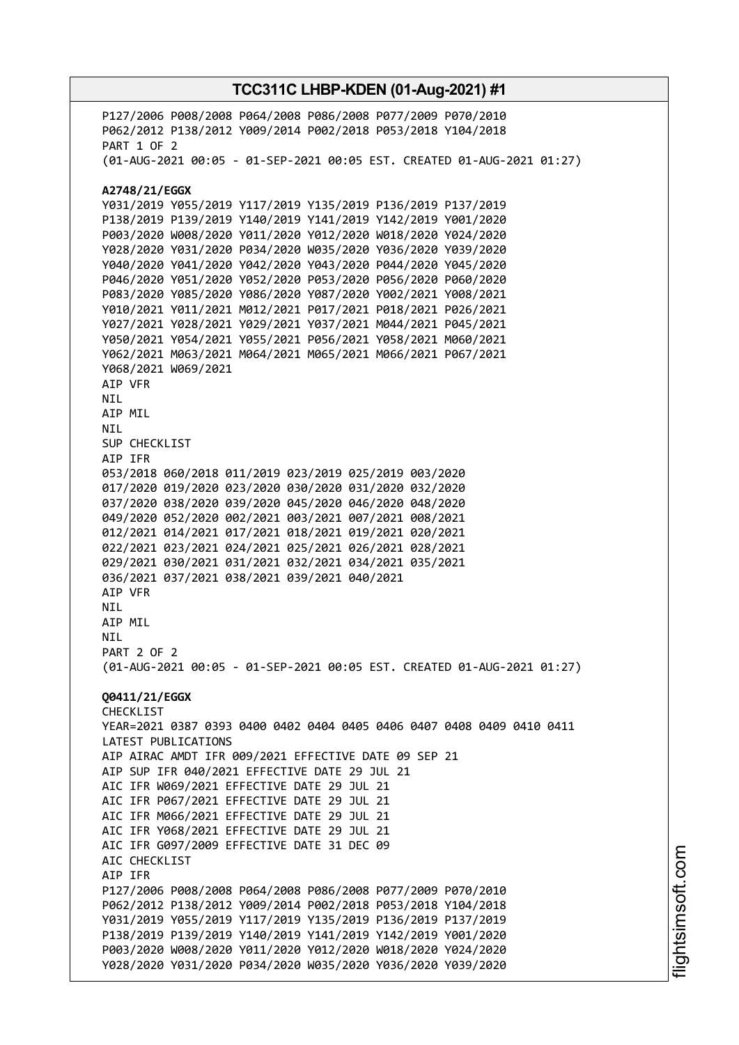P127/2006 P008/2008 P064/2008 P086/2008 P077/2009 P070/2010 P062/2012 P138/2012 Y009/2014 P002/2018 P053/2018 Y104/2018 PART 1 OF 2 (01-AUG-2021 00:05 - 01-SEP-2021 00:05 EST. CREATED 01-AUG-2021 01:27) **A2748/21/EGGX** Y031/2019 Y055/2019 Y117/2019 Y135/2019 P136/2019 P137/2019 P138/2019 P139/2019 Y140/2019 Y141/2019 Y142/2019 Y001/2020 P003/2020 W008/2020 Y011/2020 Y012/2020 W018/2020 Y024/2020 Y028/2020 Y031/2020 P034/2020 W035/2020 Y036/2020 Y039/2020 Y040/2020 Y041/2020 Y042/2020 Y043/2020 P044/2020 Y045/2020 P046/2020 Y051/2020 Y052/2020 P053/2020 P056/2020 P060/2020 P083/2020 Y085/2020 Y086/2020 Y087/2020 Y002/2021 Y008/2021 Y010/2021 Y011/2021 M012/2021 P017/2021 P018/2021 P026/2021 Y027/2021 Y028/2021 Y029/2021 Y037/2021 M044/2021 P045/2021 Y050/2021 Y054/2021 Y055/2021 P056/2021 Y058/2021 M060/2021 Y062/2021 M063/2021 M064/2021 M065/2021 M066/2021 P067/2021 Y068/2021 W069/2021 AIP VFR NIL AIP MIL NIL SUP CHECKLIST AIP IFR 053/2018 060/2018 011/2019 023/2019 025/2019 003/2020 017/2020 019/2020 023/2020 030/2020 031/2020 032/2020 037/2020 038/2020 039/2020 045/2020 046/2020 048/2020 049/2020 052/2020 002/2021 003/2021 007/2021 008/2021 012/2021 014/2021 017/2021 018/2021 019/2021 020/2021 022/2021 023/2021 024/2021 025/2021 026/2021 028/2021 029/2021 030/2021 031/2021 032/2021 034/2021 035/2021 036/2021 037/2021 038/2021 039/2021 040/2021 AIP VFR NIL AIP MIL **NTL** PART 2 OF 2 (01-AUG-2021 00:05 - 01-SEP-2021 00:05 EST. CREATED 01-AUG-2021 01:27) **Q0411/21/EGGX** CHECKLIST YEAR=2021 0387 0393 0400 0402 0404 0405 0406 0407 0408 0409 0410 0411 LATEST PUBLICATIONS AIP AIRAC AMDT IFR 009/2021 EFFECTIVE DATE 09 SEP 21 AIP SUP IFR 040/2021 EFFECTIVE DATE 29 JUL 21 AIC IFR W069/2021 EFFECTIVE DATE 29 JUL 21 AIC IFR P067/2021 EFFECTIVE DATE 29 JUL 21 AIC IFR M066/2021 EFFECTIVE DATE 29 JUL 21 AIC IFR Y068/2021 EFFECTIVE DATE 29 JUL 21 AIC IFR G097/2009 EFFECTIVE DATE 31 DEC 09 AIC CHECKLIST AIP IFR P127/2006 P008/2008 P064/2008 P086/2008 P077/2009 P070/2010 P062/2012 P138/2012 Y009/2014 P002/2018 P053/2018 Y104/2018 Y031/2019 Y055/2019 Y117/2019 Y135/2019 P136/2019 P137/2019 P138/2019 P139/2019 Y140/2019 Y141/2019 Y142/2019 Y001/2020 P003/2020 W008/2020 Y011/2020 Y012/2020 W018/2020 Y024/2020 Y028/2020 Y031/2020 P034/2020 W035/2020 Y036/2020 Y039/2020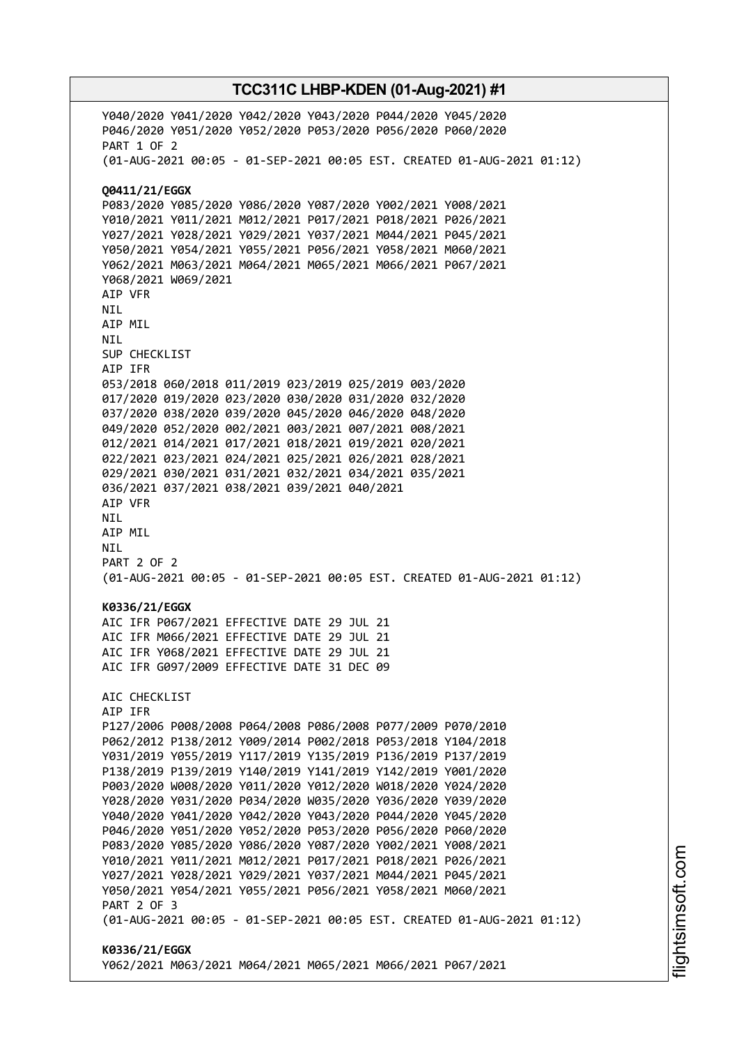Y040/2020 Y041/2020 Y042/2020 Y043/2020 P044/2020 Y045/2020 P046/2020 Y051/2020 Y052/2020 P053/2020 P056/2020 P060/2020 PART 1 OF 2 (01-AUG-2021 00:05 - 01-SEP-2021 00:05 EST. CREATED 01-AUG-2021 01:12) **Q0411/21/EGGX** P083/2020 Y085/2020 Y086/2020 Y087/2020 Y002/2021 Y008/2021 Y010/2021 Y011/2021 M012/2021 P017/2021 P018/2021 P026/2021 Y027/2021 Y028/2021 Y029/2021 Y037/2021 M044/2021 P045/2021 Y050/2021 Y054/2021 Y055/2021 P056/2021 Y058/2021 M060/2021 Y062/2021 M063/2021 M064/2021 M065/2021 M066/2021 P067/2021 Y068/2021 W069/2021 AIP VFR NIL AIP MIL NIL SUP CHECKLIST AIP IFR 053/2018 060/2018 011/2019 023/2019 025/2019 003/2020 017/2020 019/2020 023/2020 030/2020 031/2020 032/2020 037/2020 038/2020 039/2020 045/2020 046/2020 048/2020 049/2020 052/2020 002/2021 003/2021 007/2021 008/2021 012/2021 014/2021 017/2021 018/2021 019/2021 020/2021 022/2021 023/2021 024/2021 025/2021 026/2021 028/2021 029/2021 030/2021 031/2021 032/2021 034/2021 035/2021 036/2021 037/2021 038/2021 039/2021 040/2021 AIP VFR NIL AIP MIL NIL PART 2 OF 2 (01-AUG-2021 00:05 - 01-SEP-2021 00:05 EST. CREATED 01-AUG-2021 01:12) **K0336/21/EGGX** AIC IFR P067/2021 EFFECTIVE DATE 29 JUL 21 AIC IFR M066/2021 EFFECTIVE DATE 29 JUL 21 AIC IFR Y068/2021 EFFECTIVE DATE 29 JUL 21 AIC IFR G097/2009 EFFECTIVE DATE 31 DEC 09 AIC CHECKLIST AIP IFR P127/2006 P008/2008 P064/2008 P086/2008 P077/2009 P070/2010 P062/2012 P138/2012 Y009/2014 P002/2018 P053/2018 Y104/2018 Y031/2019 Y055/2019 Y117/2019 Y135/2019 P136/2019 P137/2019 P138/2019 P139/2019 Y140/2019 Y141/2019 Y142/2019 Y001/2020 P003/2020 W008/2020 Y011/2020 Y012/2020 W018/2020 Y024/2020 Y028/2020 Y031/2020 P034/2020 W035/2020 Y036/2020 Y039/2020 Y040/2020 Y041/2020 Y042/2020 Y043/2020 P044/2020 Y045/2020 P046/2020 Y051/2020 Y052/2020 P053/2020 P056/2020 P060/2020 P083/2020 Y085/2020 Y086/2020 Y087/2020 Y002/2021 Y008/2021 Y010/2021 Y011/2021 M012/2021 P017/2021 P018/2021 P026/2021 Y027/2021 Y028/2021 Y029/2021 Y037/2021 M044/2021 P045/2021 Y050/2021 Y054/2021 Y055/2021 P056/2021 Y058/2021 M060/2021 PART 2 OF 3 (01-AUG-2021 00:05 - 01-SEP-2021 00:05 EST. CREATED 01-AUG-2021 01:12) **K0336/21/EGGX** Y062/2021 M063/2021 M064/2021 M065/2021 M066/2021 P067/2021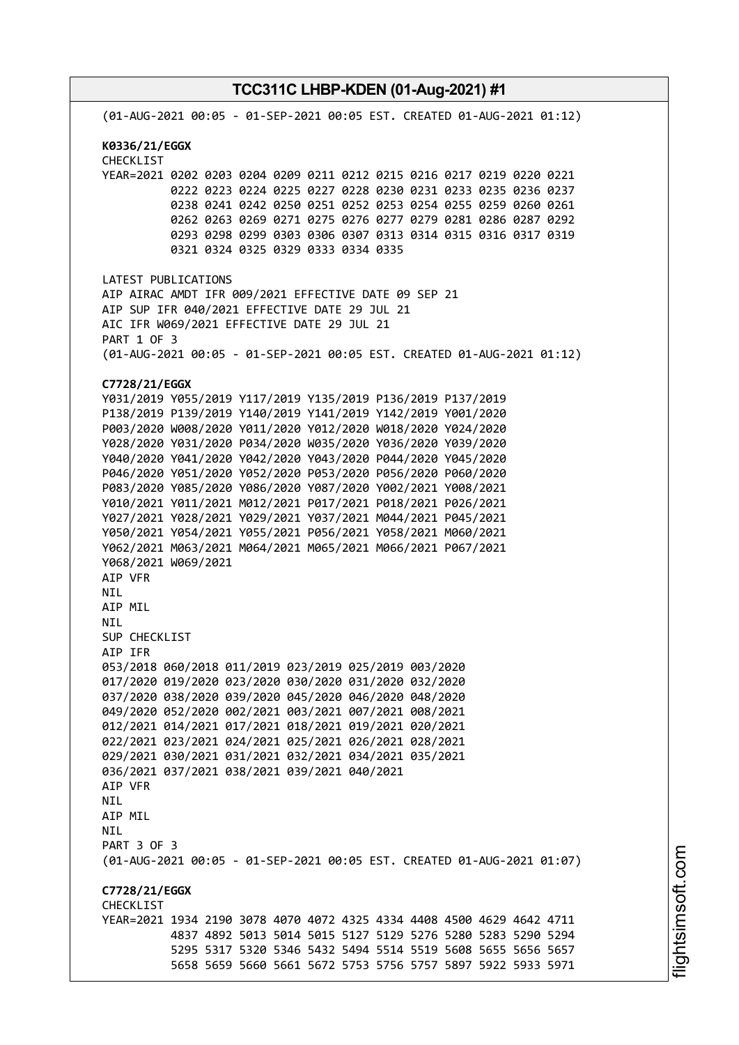**TCC311C LHBP-KDEN (01-Aug-2021) #1** (01-AUG-2021 00:05 - 01-SEP-2021 00:05 EST. CREATED 01-AUG-2021 01:12) **K0336/21/EGGX** CHECKLIST YEAR=2021 0202 0203 0204 0209 0211 0212 0215 0216 0217 0219 0220 0221 0222 0223 0224 0225 0227 0228 0230 0231 0233 0235 0236 0237 0238 0241 0242 0250 0251 0252 0253 0254 0255 0259 0260 0261 0262 0263 0269 0271 0275 0276 0277 0279 0281 0286 0287 0292 0293 0298 0299 0303 0306 0307 0313 0314 0315 0316 0317 0319 0321 0324 0325 0329 0333 0334 0335 LATEST PUBLICATIONS AIP AIRAC AMDT IFR 009/2021 EFFECTIVE DATE 09 SEP 21 AIP SUP IFR 040/2021 EFFECTIVE DATE 29 JUL 21 AIC IFR W069/2021 EFFECTIVE DATE 29 JUL 21 PART 1 OF 3 (01-AUG-2021 00:05 - 01-SEP-2021 00:05 EST. CREATED 01-AUG-2021 01:12) **C7728/21/EGGX** Y031/2019 Y055/2019 Y117/2019 Y135/2019 P136/2019 P137/2019 P138/2019 P139/2019 Y140/2019 Y141/2019 Y142/2019 Y001/2020 P003/2020 W008/2020 Y011/2020 Y012/2020 W018/2020 Y024/2020 Y028/2020 Y031/2020 P034/2020 W035/2020 Y036/2020 Y039/2020 Y040/2020 Y041/2020 Y042/2020 Y043/2020 P044/2020 Y045/2020 P046/2020 Y051/2020 Y052/2020 P053/2020 P056/2020 P060/2020 P083/2020 Y085/2020 Y086/2020 Y087/2020 Y002/2021 Y008/2021 Y010/2021 Y011/2021 M012/2021 P017/2021 P018/2021 P026/2021 Y027/2021 Y028/2021 Y029/2021 Y037/2021 M044/2021 P045/2021 Y050/2021 Y054/2021 Y055/2021 P056/2021 Y058/2021 M060/2021 Y062/2021 M063/2021 M064/2021 M065/2021 M066/2021 P067/2021 Y068/2021 W069/2021 AIP VFR NIL AIP MIL NIL SUP CHECKLIST AIP IFR 053/2018 060/2018 011/2019 023/2019 025/2019 003/2020 017/2020 019/2020 023/2020 030/2020 031/2020 032/2020 037/2020 038/2020 039/2020 045/2020 046/2020 048/2020 049/2020 052/2020 002/2021 003/2021 007/2021 008/2021 012/2021 014/2021 017/2021 018/2021 019/2021 020/2021 022/2021 023/2021 024/2021 025/2021 026/2021 028/2021 029/2021 030/2021 031/2021 032/2021 034/2021 035/2021 036/2021 037/2021 038/2021 039/2021 040/2021 AIP VFR **NTL** AIP MIL NIL PART 3 OF 3 (01-AUG-2021 00:05 - 01-SEP-2021 00:05 EST. CREATED 01-AUG-2021 01:07) **C7728/21/EGGX CHECKLIST** YEAR=2021 1934 2190 3078 4070 4072 4325 4334 4408 4500 4629 4642 4711 4837 4892 5013 5014 5015 5127 5129 5276 5280 5283 5290 5294 5295 5317 5320 5346 5432 5494 5514 5519 5608 5655 5656 5657 5658 5659 5660 5661 5672 5753 5756 5757 5897 5922 5933 5971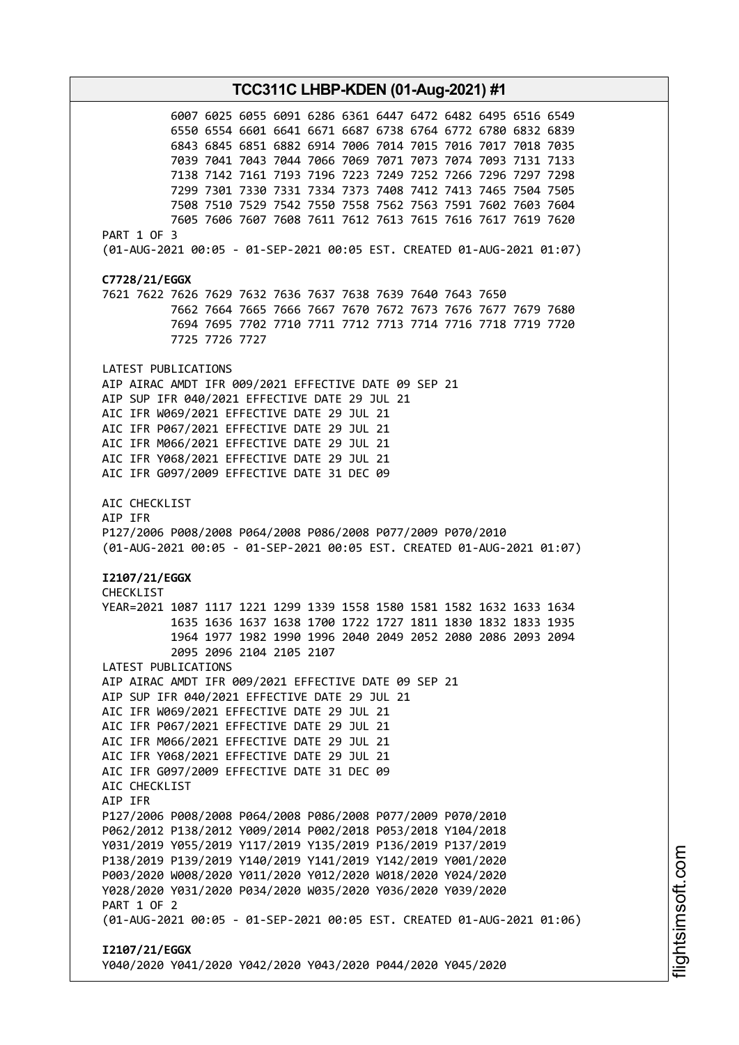**TCC311C LHBP-KDEN (01-Aug-2021) #1** 6007 6025 6055 6091 6286 6361 6447 6472 6482 6495 6516 6549 6550 6554 6601 6641 6671 6687 6738 6764 6772 6780 6832 6839 6843 6845 6851 6882 6914 7006 7014 7015 7016 7017 7018 7035 7039 7041 7043 7044 7066 7069 7071 7073 7074 7093 7131 7133 7138 7142 7161 7193 7196 7223 7249 7252 7266 7296 7297 7298 7299 7301 7330 7331 7334 7373 7408 7412 7413 7465 7504 7505 7508 7510 7529 7542 7550 7558 7562 7563 7591 7602 7603 7604 7605 7606 7607 7608 7611 7612 7613 7615 7616 7617 7619 7620 PART 1 OF 3 (01-AUG-2021 00:05 - 01-SEP-2021 00:05 EST. CREATED 01-AUG-2021 01:07) **C7728/21/EGGX** 7621 7622 7626 7629 7632 7636 7637 7638 7639 7640 7643 7650 7662 7664 7665 7666 7667 7670 7672 7673 7676 7677 7679 7680 7694 7695 7702 7710 7711 7712 7713 7714 7716 7718 7719 7720 7725 7726 7727 LATEST PUBLICATIONS AIP AIRAC AMDT IFR 009/2021 EFFECTIVE DATE 09 SEP 21 AIP SUP IFR 040/2021 EFFECTIVE DATE 29 JUL 21 AIC IFR W069/2021 EFFECTIVE DATE 29 JUL 21 AIC IFR P067/2021 EFFECTIVE DATE 29 JUL 21 AIC IFR M066/2021 EFFECTIVE DATE 29 JUL 21 AIC IFR Y068/2021 EFFECTIVE DATE 29 JUL 21 AIC IFR G097/2009 EFFECTIVE DATE 31 DEC 09 AIC CHECKLIST AIP IFR P127/2006 P008/2008 P064/2008 P086/2008 P077/2009 P070/2010 (01-AUG-2021 00:05 - 01-SEP-2021 00:05 EST. CREATED 01-AUG-2021 01:07) **I2107/21/EGGX** CHECKLIST YEAR=2021 1087 1117 1221 1299 1339 1558 1580 1581 1582 1632 1633 1634 1635 1636 1637 1638 1700 1722 1727 1811 1830 1832 1833 1935 1964 1977 1982 1990 1996 2040 2049 2052 2080 2086 2093 2094 2095 2096 2104 2105 2107 LATEST PUBLICATIONS AIP AIRAC AMDT IFR 009/2021 EFFECTIVE DATE 09 SEP 21 AIP SUP IFR 040/2021 EFFECTIVE DATE 29 JUL 21 AIC IFR W069/2021 EFFECTIVE DATE 29 JUL 21 AIC IFR P067/2021 EFFECTIVE DATE 29 JUL 21 AIC IFR M066/2021 EFFECTIVE DATE 29 JUL 21 AIC IFR Y068/2021 EFFECTIVE DATE 29 JUL 21 AIC IFR G097/2009 EFFECTIVE DATE 31 DEC 09 AIC CHECKLIST AIP IFR P127/2006 P008/2008 P064/2008 P086/2008 P077/2009 P070/2010 P062/2012 P138/2012 Y009/2014 P002/2018 P053/2018 Y104/2018 Y031/2019 Y055/2019 Y117/2019 Y135/2019 P136/2019 P137/2019 P138/2019 P139/2019 Y140/2019 Y141/2019 Y142/2019 Y001/2020 P003/2020 W008/2020 Y011/2020 Y012/2020 W018/2020 Y024/2020 Y028/2020 Y031/2020 P034/2020 W035/2020 Y036/2020 Y039/2020 PART 1 OF 2 (01-AUG-2021 00:05 - 01-SEP-2021 00:05 EST. CREATED 01-AUG-2021 01:06) **I2107/21/EGGX** Y040/2020 Y041/2020 Y042/2020 Y043/2020 P044/2020 Y045/2020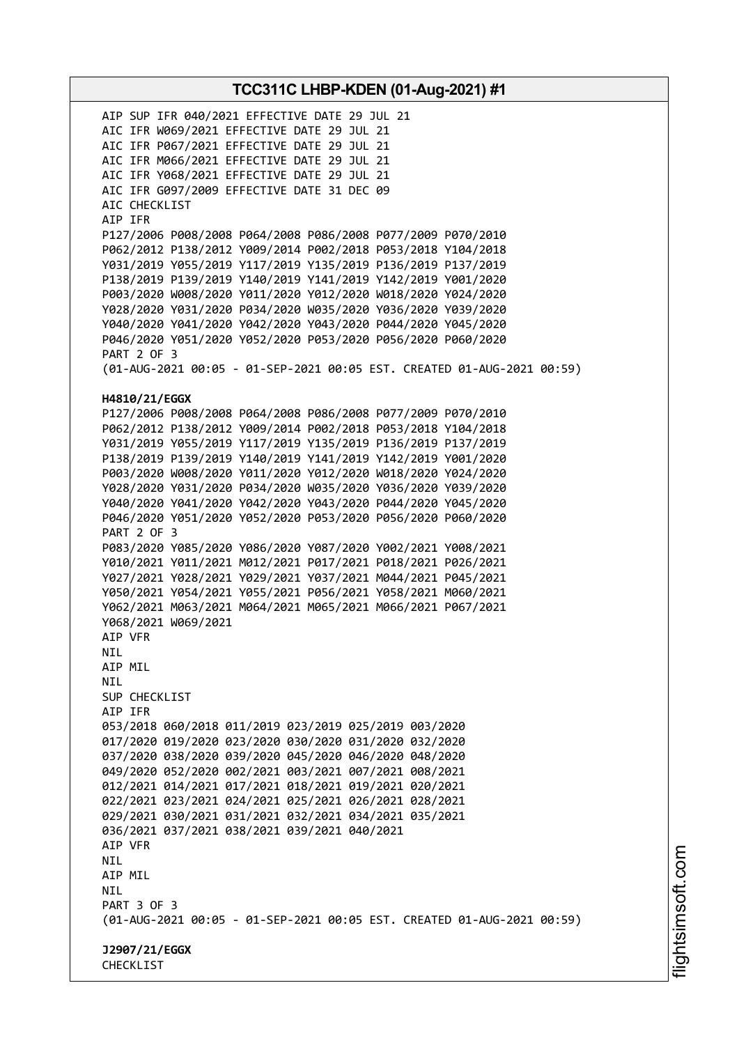AIP SUP IFR 040/2021 EFFECTIVE DATE 29 JUL 21 AIC IFR W069/2021 EFFECTIVE DATE 29 JUL 21 AIC IFR P067/2021 EFFECTIVE DATE 29 JUL 21 AIC IFR M066/2021 EFFECTIVE DATE 29 JUL 21 AIC IFR Y068/2021 EFFECTIVE DATE 29 JUL 21 AIC IFR G097/2009 EFFECTIVE DATE 31 DEC 09 AIC CHECKLIST AIP IFR P127/2006 P008/2008 P064/2008 P086/2008 P077/2009 P070/2010 P062/2012 P138/2012 Y009/2014 P002/2018 P053/2018 Y104/2018 Y031/2019 Y055/2019 Y117/2019 Y135/2019 P136/2019 P137/2019 P138/2019 P139/2019 Y140/2019 Y141/2019 Y142/2019 Y001/2020 P003/2020 W008/2020 Y011/2020 Y012/2020 W018/2020 Y024/2020 Y028/2020 Y031/2020 P034/2020 W035/2020 Y036/2020 Y039/2020 Y040/2020 Y041/2020 Y042/2020 Y043/2020 P044/2020 Y045/2020 P046/2020 Y051/2020 Y052/2020 P053/2020 P056/2020 P060/2020 PART 2 OF 3 (01-AUG-2021 00:05 - 01-SEP-2021 00:05 EST. CREATED 01-AUG-2021 00:59) **H4810/21/EGGX** P127/2006 P008/2008 P064/2008 P086/2008 P077/2009 P070/2010 P062/2012 P138/2012 Y009/2014 P002/2018 P053/2018 Y104/2018 Y031/2019 Y055/2019 Y117/2019 Y135/2019 P136/2019 P137/2019 P138/2019 P139/2019 Y140/2019 Y141/2019 Y142/2019 Y001/2020 P003/2020 W008/2020 Y011/2020 Y012/2020 W018/2020 Y024/2020 Y028/2020 Y031/2020 P034/2020 W035/2020 Y036/2020 Y039/2020 Y040/2020 Y041/2020 Y042/2020 Y043/2020 P044/2020 Y045/2020 P046/2020 Y051/2020 Y052/2020 P053/2020 P056/2020 P060/2020 PART 2 OF 3 P083/2020 Y085/2020 Y086/2020 Y087/2020 Y002/2021 Y008/2021 Y010/2021 Y011/2021 M012/2021 P017/2021 P018/2021 P026/2021 Y027/2021 Y028/2021 Y029/2021 Y037/2021 M044/2021 P045/2021 Y050/2021 Y054/2021 Y055/2021 P056/2021 Y058/2021 M060/2021 Y062/2021 M063/2021 M064/2021 M065/2021 M066/2021 P067/2021 Y068/2021 W069/2021 AIP VFR NIL AIP MIL NIL SUP CHECKLIST AIP IFR 053/2018 060/2018 011/2019 023/2019 025/2019 003/2020 017/2020 019/2020 023/2020 030/2020 031/2020 032/2020 037/2020 038/2020 039/2020 045/2020 046/2020 048/2020 049/2020 052/2020 002/2021 003/2021 007/2021 008/2021 012/2021 014/2021 017/2021 018/2021 019/2021 020/2021 022/2021 023/2021 024/2021 025/2021 026/2021 028/2021 029/2021 030/2021 031/2021 032/2021 034/2021 035/2021 036/2021 037/2021 038/2021 039/2021 040/2021 AIP VFR NIL AIP MIL NIL PART 3 OF 3 (01-AUG-2021 00:05 - 01-SEP-2021 00:05 EST. CREATED 01-AUG-2021 00:59) **J2907/21/EGGX** CHECKLIST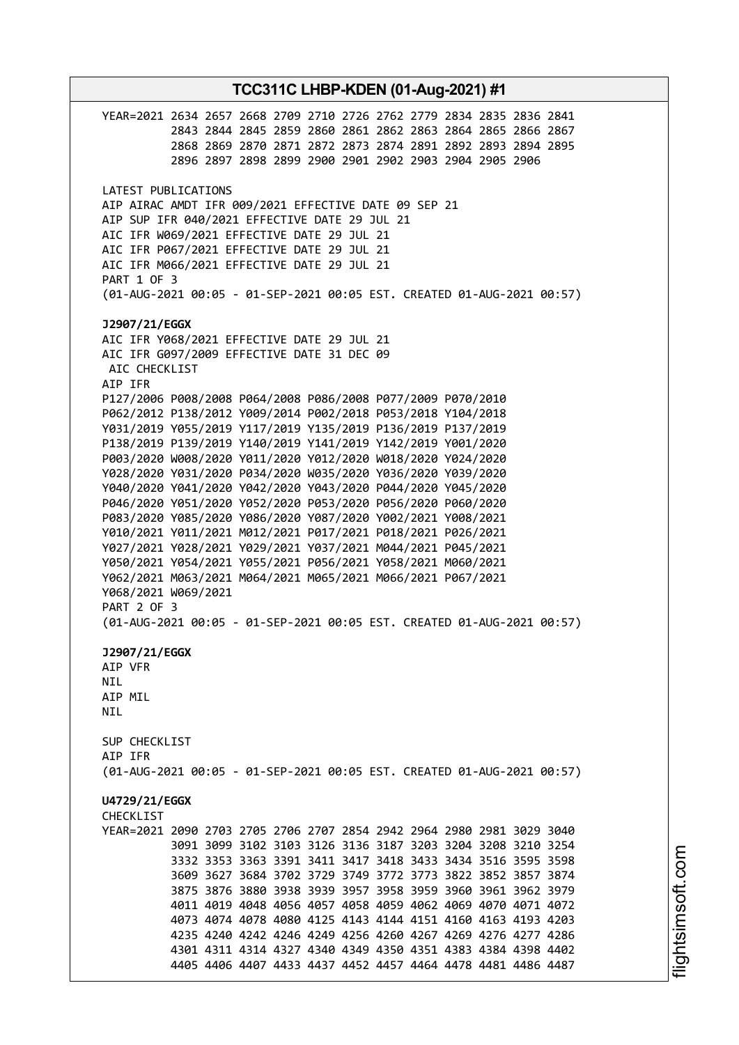**TCC311C LHBP-KDEN (01-Aug-2021) #1** YEAR=2021 2634 2657 2668 2709 2710 2726 2762 2779 2834 2835 2836 2841 2843 2844 2845 2859 2860 2861 2862 2863 2864 2865 2866 2867 2868 2869 2870 2871 2872 2873 2874 2891 2892 2893 2894 2895 2896 2897 2898 2899 2900 2901 2902 2903 2904 2905 2906 LATEST PUBLICATIONS AIP AIRAC AMDT IFR 009/2021 EFFECTIVE DATE 09 SEP 21 AIP SUP IFR 040/2021 EFFECTIVE DATE 29 JUL 21 AIC IFR W069/2021 EFFECTIVE DATE 29 JUL 21 AIC IFR P067/2021 EFFECTIVE DATE 29 JUL 21 AIC IFR M066/2021 EFFECTIVE DATE 29 JUL 21 PART 1 OF 3 (01-AUG-2021 00:05 - 01-SEP-2021 00:05 EST. CREATED 01-AUG-2021 00:57) **J2907/21/EGGX** AIC IFR Y068/2021 EFFECTIVE DATE 29 JUL 21 AIC IFR G097/2009 EFFECTIVE DATE 31 DEC 09 AIC CHECKLIST AIP IFR P127/2006 P008/2008 P064/2008 P086/2008 P077/2009 P070/2010 P062/2012 P138/2012 Y009/2014 P002/2018 P053/2018 Y104/2018 Y031/2019 Y055/2019 Y117/2019 Y135/2019 P136/2019 P137/2019 P138/2019 P139/2019 Y140/2019 Y141/2019 Y142/2019 Y001/2020 P003/2020 W008/2020 Y011/2020 Y012/2020 W018/2020 Y024/2020 Y028/2020 Y031/2020 P034/2020 W035/2020 Y036/2020 Y039/2020 Y040/2020 Y041/2020 Y042/2020 Y043/2020 P044/2020 Y045/2020 P046/2020 Y051/2020 Y052/2020 P053/2020 P056/2020 P060/2020 P083/2020 Y085/2020 Y086/2020 Y087/2020 Y002/2021 Y008/2021 Y010/2021 Y011/2021 M012/2021 P017/2021 P018/2021 P026/2021 Y027/2021 Y028/2021 Y029/2021 Y037/2021 M044/2021 P045/2021 Y050/2021 Y054/2021 Y055/2021 P056/2021 Y058/2021 M060/2021 Y062/2021 M063/2021 M064/2021 M065/2021 M066/2021 P067/2021 Y068/2021 W069/2021 PART 2 OF 3 (01-AUG-2021 00:05 - 01-SEP-2021 00:05 EST. CREATED 01-AUG-2021 00:57) **J2907/21/EGGX** AIP VFR NIL AIP MIL **NTI** SUP CHECKLIST AIP IFR (01-AUG-2021 00:05 - 01-SEP-2021 00:05 EST. CREATED 01-AUG-2021 00:57) **U4729/21/EGGX CHECKLIST** YEAR=2021 2090 2703 2705 2706 2707 2854 2942 2964 2980 2981 3029 3040 3091 3099 3102 3103 3126 3136 3187 3203 3204 3208 3210 3254 3332 3353 3363 3391 3411 3417 3418 3433 3434 3516 3595 3598 3609 3627 3684 3702 3729 3749 3772 3773 3822 3852 3857 3874 3875 3876 3880 3938 3939 3957 3958 3959 3960 3961 3962 3979 4011 4019 4048 4056 4057 4058 4059 4062 4069 4070 4071 4072 4073 4074 4078 4080 4125 4143 4144 4151 4160 4163 4193 4203 4235 4240 4242 4246 4249 4256 4260 4267 4269 4276 4277 4286 4301 4311 4314 4327 4340 4349 4350 4351 4383 4384 4398 4402 4405 4406 4407 4433 4437 4452 4457 4464 4478 4481 4486 4487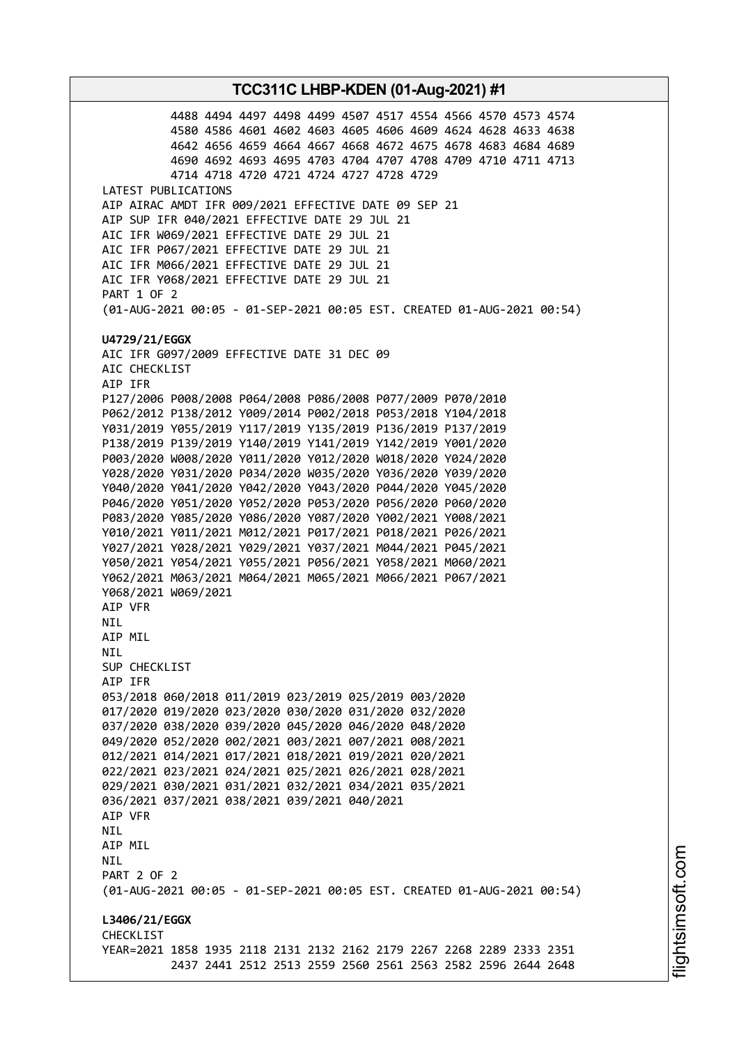4488 4494 4497 4498 4499 4507 4517 4554 4566 4570 4573 4574 4580 4586 4601 4602 4603 4605 4606 4609 4624 4628 4633 4638 4642 4656 4659 4664 4667 4668 4672 4675 4678 4683 4684 4689 4690 4692 4693 4695 4703 4704 4707 4708 4709 4710 4711 4713 4714 4718 4720 4721 4724 4727 4728 4729 LATEST PUBLICATIONS AIP AIRAC AMDT IFR 009/2021 EFFECTIVE DATE 09 SEP 21 AIP SUP IFR 040/2021 EFFECTIVE DATE 29 JUL 21 AIC IFR W069/2021 EFFECTIVE DATE 29 JUL 21 AIC IFR P067/2021 EFFECTIVE DATE 29 JUL 21 AIC IFR M066/2021 EFFECTIVE DATE 29 JUL 21 AIC IFR Y068/2021 EFFECTIVE DATE 29 JUL 21 PART 1 OF 2 (01-AUG-2021 00:05 - 01-SEP-2021 00:05 EST. CREATED 01-AUG-2021 00:54) **U4729/21/EGGX** AIC IFR G097/2009 EFFECTIVE DATE 31 DEC 09 AIC CHECKLIST AIP IFR P127/2006 P008/2008 P064/2008 P086/2008 P077/2009 P070/2010 P062/2012 P138/2012 Y009/2014 P002/2018 P053/2018 Y104/2018 Y031/2019 Y055/2019 Y117/2019 Y135/2019 P136/2019 P137/2019 P138/2019 P139/2019 Y140/2019 Y141/2019 Y142/2019 Y001/2020 P003/2020 W008/2020 Y011/2020 Y012/2020 W018/2020 Y024/2020 Y028/2020 Y031/2020 P034/2020 W035/2020 Y036/2020 Y039/2020 Y040/2020 Y041/2020 Y042/2020 Y043/2020 P044/2020 Y045/2020 P046/2020 Y051/2020 Y052/2020 P053/2020 P056/2020 P060/2020 P083/2020 Y085/2020 Y086/2020 Y087/2020 Y002/2021 Y008/2021 Y010/2021 Y011/2021 M012/2021 P017/2021 P018/2021 P026/2021 Y027/2021 Y028/2021 Y029/2021 Y037/2021 M044/2021 P045/2021 Y050/2021 Y054/2021 Y055/2021 P056/2021 Y058/2021 M060/2021 Y062/2021 M063/2021 M064/2021 M065/2021 M066/2021 P067/2021 Y068/2021 W069/2021 AIP VFR NIL AIP MIL NIL SUP CHECKLIST AIP IFR 053/2018 060/2018 011/2019 023/2019 025/2019 003/2020 017/2020 019/2020 023/2020 030/2020 031/2020 032/2020 037/2020 038/2020 039/2020 045/2020 046/2020 048/2020 049/2020 052/2020 002/2021 003/2021 007/2021 008/2021 012/2021 014/2021 017/2021 018/2021 019/2021 020/2021 022/2021 023/2021 024/2021 025/2021 026/2021 028/2021 029/2021 030/2021 031/2021 032/2021 034/2021 035/2021 036/2021 037/2021 038/2021 039/2021 040/2021 AIP VFR NIL AIP MIL NIL PART 2 OF 2 (01-AUG-2021 00:05 - 01-SEP-2021 00:05 EST. CREATED 01-AUG-2021 00:54) **L3406/21/EGGX CHECKLIST** YEAR=2021 1858 1935 2118 2131 2132 2162 2179 2267 2268 2289 2333 2351 2437 2441 2512 2513 2559 2560 2561 2563 2582 2596 2644 2648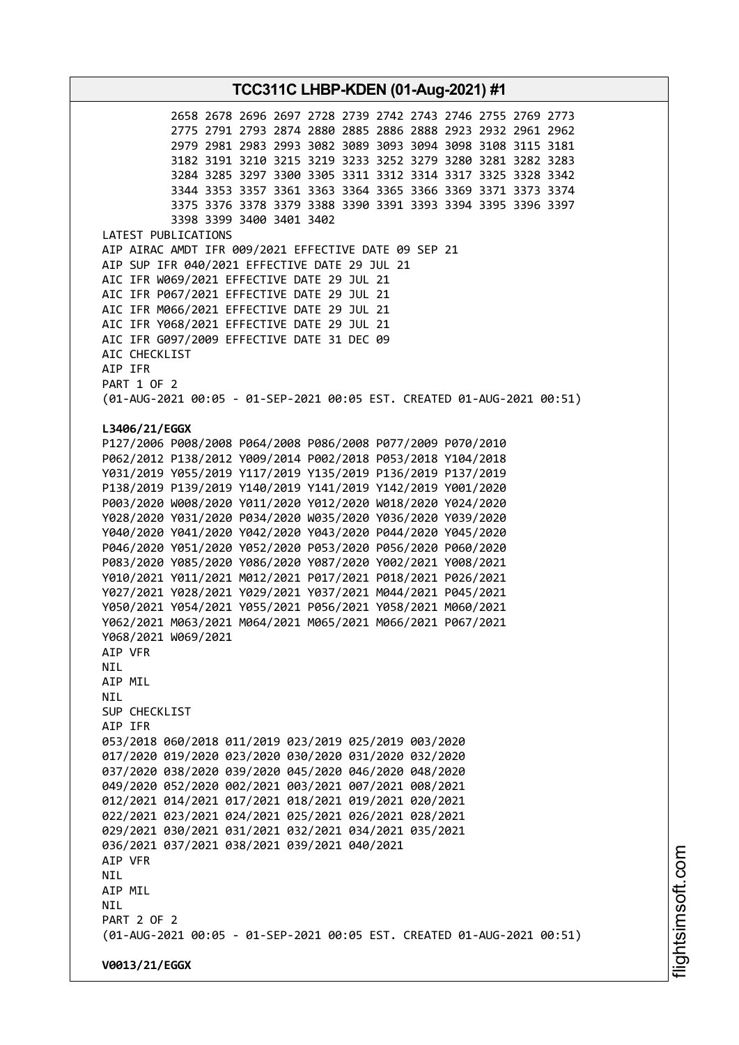2658 2678 2696 2697 2728 2739 2742 2743 2746 2755 2769 2773 2775 2791 2793 2874 2880 2885 2886 2888 2923 2932 2961 2962 2979 2981 2983 2993 3082 3089 3093 3094 3098 3108 3115 3181 3182 3191 3210 3215 3219 3233 3252 3279 3280 3281 3282 3283 3284 3285 3297 3300 3305 3311 3312 3314 3317 3325 3328 3342 3344 3353 3357 3361 3363 3364 3365 3366 3369 3371 3373 3374 3375 3376 3378 3379 3388 3390 3391 3393 3394 3395 3396 3397 3398 3399 3400 3401 3402 LATEST PUBLICATIONS AIP AIRAC AMDT IFR 009/2021 EFFECTIVE DATE 09 SEP 21 AIP SUP IFR 040/2021 EFFECTIVE DATE 29 JUL 21 AIC IFR W069/2021 EFFECTIVE DATE 29 JUL 21 AIC IFR P067/2021 EFFECTIVE DATE 29 JUL 21 AIC IFR M066/2021 EFFECTIVE DATE 29 JUL 21 AIC IFR Y068/2021 EFFECTIVE DATE 29 JUL 21 AIC IFR G097/2009 EFFECTIVE DATE 31 DEC 09 AIC CHECKLIST AIP IFR PART 1 OF 2 (01-AUG-2021 00:05 - 01-SEP-2021 00:05 EST. CREATED 01-AUG-2021 00:51) **L3406/21/EGGX** P127/2006 P008/2008 P064/2008 P086/2008 P077/2009 P070/2010 P062/2012 P138/2012 Y009/2014 P002/2018 P053/2018 Y104/2018 Y031/2019 Y055/2019 Y117/2019 Y135/2019 P136/2019 P137/2019 P138/2019 P139/2019 Y140/2019 Y141/2019 Y142/2019 Y001/2020 P003/2020 W008/2020 Y011/2020 Y012/2020 W018/2020 Y024/2020 Y028/2020 Y031/2020 P034/2020 W035/2020 Y036/2020 Y039/2020 Y040/2020 Y041/2020 Y042/2020 Y043/2020 P044/2020 Y045/2020 P046/2020 Y051/2020 Y052/2020 P053/2020 P056/2020 P060/2020 P083/2020 Y085/2020 Y086/2020 Y087/2020 Y002/2021 Y008/2021 Y010/2021 Y011/2021 M012/2021 P017/2021 P018/2021 P026/2021 Y027/2021 Y028/2021 Y029/2021 Y037/2021 M044/2021 P045/2021 Y050/2021 Y054/2021 Y055/2021 P056/2021 Y058/2021 M060/2021 Y062/2021 M063/2021 M064/2021 M065/2021 M066/2021 P067/2021 Y068/2021 W069/2021 AIP VFR NIL AIP MIL NIL SUP CHECKLIST AIP IFR 053/2018 060/2018 011/2019 023/2019 025/2019 003/2020 017/2020 019/2020 023/2020 030/2020 031/2020 032/2020 037/2020 038/2020 039/2020 045/2020 046/2020 048/2020 049/2020 052/2020 002/2021 003/2021 007/2021 008/2021 012/2021 014/2021 017/2021 018/2021 019/2021 020/2021 022/2021 023/2021 024/2021 025/2021 026/2021 028/2021 029/2021 030/2021 031/2021 032/2021 034/2021 035/2021 036/2021 037/2021 038/2021 039/2021 040/2021 AIP VFR NIL AIP MIL **NTL** PART 2 OF 2 (01-AUG-2021 00:05 - 01-SEP-2021 00:05 EST. CREATED 01-AUG-2021 00:51) **V0013/21/EGGX**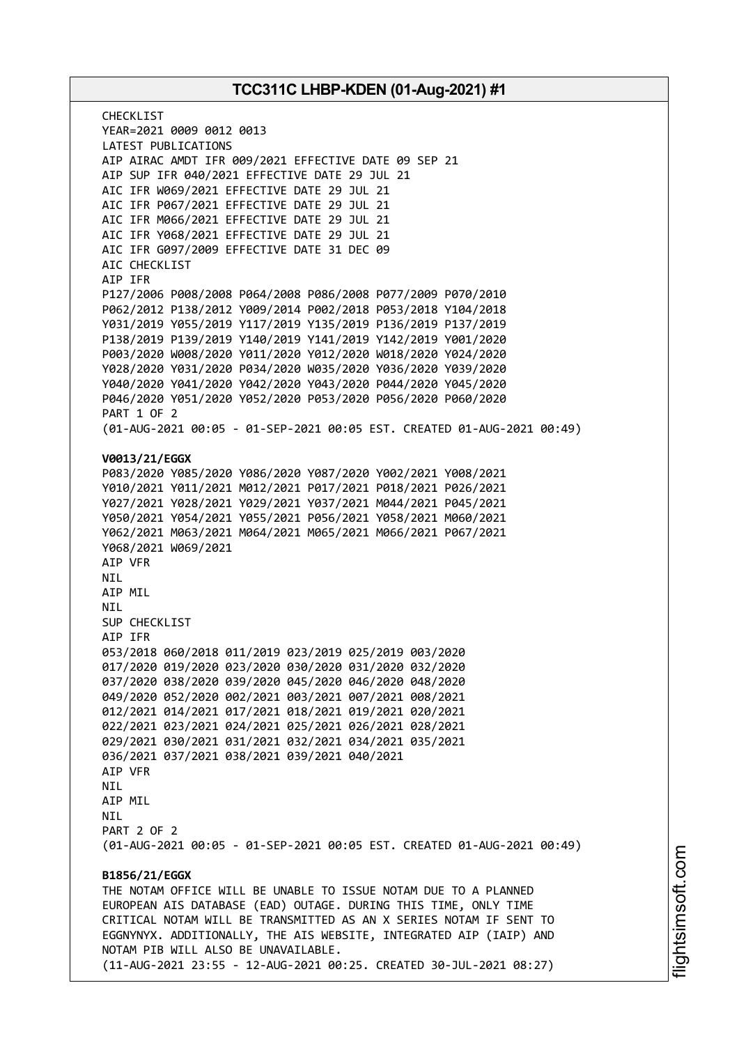CHECKL<sub>IST</sub> YEAR=2021 0009 0012 0013 LATEST PUBLICATIONS AIP AIRAC AMDT IFR 009/2021 EFFECTIVE DATE 09 SEP 21 AIP SUP IFR 040/2021 EFFECTIVE DATE 29 JUL 21 AIC IFR W069/2021 EFFECTIVE DATE 29 JUL 21 AIC IFR P067/2021 EFFECTIVE DATE 29 JUL 21 AIC IFR M066/2021 EFFECTIVE DATE 29 JUL 21 AIC IFR Y068/2021 EFFECTIVE DATE 29 JUL 21 AIC IFR G097/2009 EFFECTIVE DATE 31 DEC 09 AIC CHECKLIST AIP IFR P127/2006 P008/2008 P064/2008 P086/2008 P077/2009 P070/2010 P062/2012 P138/2012 Y009/2014 P002/2018 P053/2018 Y104/2018 Y031/2019 Y055/2019 Y117/2019 Y135/2019 P136/2019 P137/2019 P138/2019 P139/2019 Y140/2019 Y141/2019 Y142/2019 Y001/2020 P003/2020 W008/2020 Y011/2020 Y012/2020 W018/2020 Y024/2020 Y028/2020 Y031/2020 P034/2020 W035/2020 Y036/2020 Y039/2020 Y040/2020 Y041/2020 Y042/2020 Y043/2020 P044/2020 Y045/2020 P046/2020 Y051/2020 Y052/2020 P053/2020 P056/2020 P060/2020 PART 1 OF 2 (01-AUG-2021 00:05 - 01-SEP-2021 00:05 EST. CREATED 01-AUG-2021 00:49) **V0013/21/EGGX** P083/2020 Y085/2020 Y086/2020 Y087/2020 Y002/2021 Y008/2021 Y010/2021 Y011/2021 M012/2021 P017/2021 P018/2021 P026/2021 Y027/2021 Y028/2021 Y029/2021 Y037/2021 M044/2021 P045/2021 Y050/2021 Y054/2021 Y055/2021 P056/2021 Y058/2021 M060/2021 Y062/2021 M063/2021 M064/2021 M065/2021 M066/2021 P067/2021 Y068/2021 W069/2021 AIP VFR NIL AIP MIL **NTI** SUP CHECKLIST AIP IFR 053/2018 060/2018 011/2019 023/2019 025/2019 003/2020 017/2020 019/2020 023/2020 030/2020 031/2020 032/2020 037/2020 038/2020 039/2020 045/2020 046/2020 048/2020 049/2020 052/2020 002/2021 003/2021 007/2021 008/2021 012/2021 014/2021 017/2021 018/2021 019/2021 020/2021 022/2021 023/2021 024/2021 025/2021 026/2021 028/2021 029/2021 030/2021 031/2021 032/2021 034/2021 035/2021 036/2021 037/2021 038/2021 039/2021 040/2021 AIP VFR NIL AIP MIL **NTI** PART 2 OF 2 (01-AUG-2021 00:05 - 01-SEP-2021 00:05 EST. CREATED 01-AUG-2021 00:49) **B1856/21/EGGX** THE NOTAM OFFICE WILL BE UNABLE TO ISSUE NOTAM DUE TO A PLANNED EUROPEAN AIS DATABASE (EAD) OUTAGE. DURING THIS TIME, ONLY TIME CRITICAL NOTAM WILL BE TRANSMITTED AS AN X SERIES NOTAM IF SENT TO EGGNYNYX. ADDITIONALLY, THE AIS WEBSITE, INTEGRATED AIP (IAIP) AND NOTAM PIB WILL ALSO BE UNAVAILABLE. (11-AUG-2021 23:55 - 12-AUG-2021 00:25. CREATED 30-JUL-2021 08:27)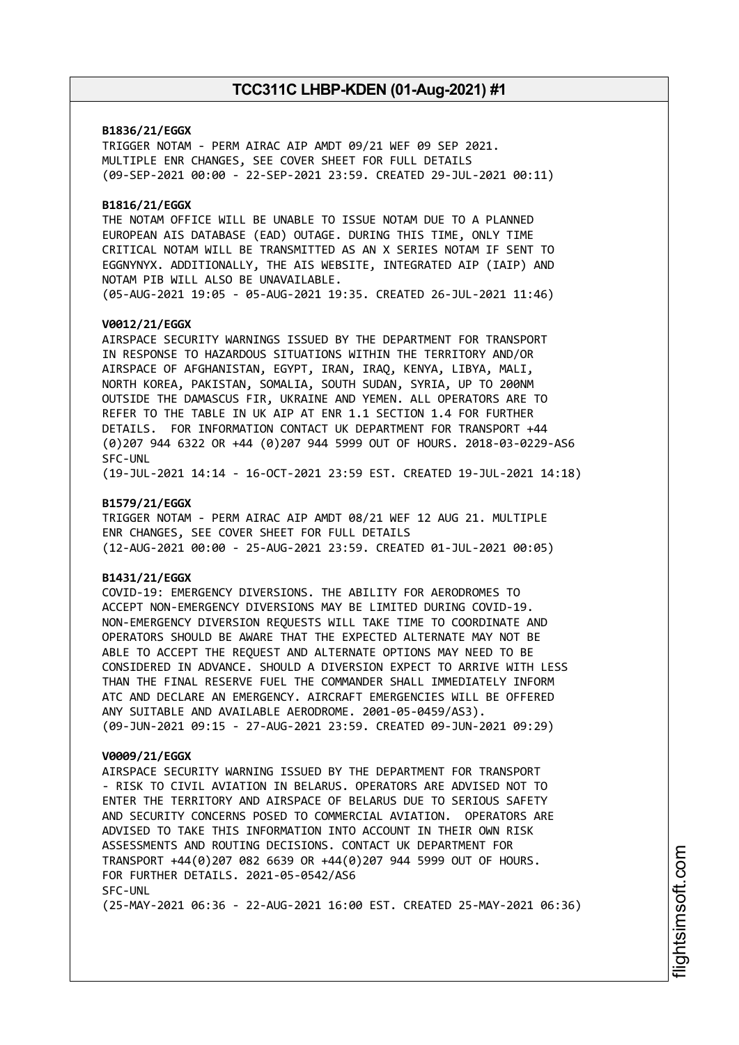### **B1836/21/EGGX**

TRIGGER NOTAM - PERM AIRAC AIP AMDT 09/21 WEF 09 SEP 2021. MULTIPLE ENR CHANGES, SEE COVER SHEET FOR FULL DETAILS (09-SEP-2021 00:00 - 22-SEP-2021 23:59. CREATED 29-JUL-2021 00:11)

# **B1816/21/EGGX**

THE NOTAM OFFICE WILL BE UNABLE TO ISSUE NOTAM DUE TO A PLANNED EUROPEAN AIS DATABASE (EAD) OUTAGE. DURING THIS TIME, ONLY TIME CRITICAL NOTAM WILL BE TRANSMITTED AS AN X SERIES NOTAM IF SENT TO EGGNYNYX. ADDITIONALLY, THE AIS WEBSITE, INTEGRATED AIP (IAIP) AND NOTAM PIB WILL ALSO BE UNAVAILABLE. (05-AUG-2021 19:05 - 05-AUG-2021 19:35. CREATED 26-JUL-2021 11:46)

### **V0012/21/EGGX**

AIRSPACE SECURITY WARNINGS ISSUED BY THE DEPARTMENT FOR TRANSPORT IN RESPONSE TO HAZARDOUS SITUATIONS WITHIN THE TERRITORY AND/OR AIRSPACE OF AFGHANISTAN, EGYPT, IRAN, IRAQ, KENYA, LIBYA, MALI, NORTH KOREA, PAKISTAN, SOMALIA, SOUTH SUDAN, SYRIA, UP TO 200NM OUTSIDE THE DAMASCUS FIR, UKRAINE AND YEMEN. ALL OPERATORS ARE TO REFER TO THE TABLE IN UK AIP AT ENR 1.1 SECTION 1.4 FOR FURTHER DETAILS. FOR INFORMATION CONTACT UK DEPARTMENT FOR TRANSPORT +44 (0)207 944 6322 OR +44 (0)207 944 5999 OUT OF HOURS. 2018-03-0229-AS6 SFC-UNL

(19-JUL-2021 14:14 - 16-OCT-2021 23:59 EST. CREATED 19-JUL-2021 14:18)

### **B1579/21/EGGX**

TRIGGER NOTAM - PERM AIRAC AIP AMDT 08/21 WEF 12 AUG 21. MULTIPLE ENR CHANGES, SEE COVER SHEET FOR FULL DETAILS (12-AUG-2021 00:00 - 25-AUG-2021 23:59. CREATED 01-JUL-2021 00:05)

### **B1431/21/EGGX**

COVID-19: EMERGENCY DIVERSIONS. THE ABILITY FOR AERODROMES TO ACCEPT NON-EMERGENCY DIVERSIONS MAY BE LIMITED DURING COVID-19. NON-EMERGENCY DIVERSION REQUESTS WILL TAKE TIME TO COORDINATE AND OPERATORS SHOULD BE AWARE THAT THE EXPECTED ALTERNATE MAY NOT BE ABLE TO ACCEPT THE REQUEST AND ALTERNATE OPTIONS MAY NEED TO BE CONSIDERED IN ADVANCE. SHOULD A DIVERSION EXPECT TO ARRIVE WITH LESS THAN THE FINAL RESERVE FUEL THE COMMANDER SHALL IMMEDIATELY INFORM ATC AND DECLARE AN EMERGENCY. AIRCRAFT EMERGENCIES WILL BE OFFERED ANY SUITABLE AND AVAILABLE AERODROME. 2001-05-0459/AS3). (09-JUN-2021 09:15 - 27-AUG-2021 23:59. CREATED 09-JUN-2021 09:29)

#### **V0009/21/EGGX**

AIRSPACE SECURITY WARNING ISSUED BY THE DEPARTMENT FOR TRANSPORT - RISK TO CIVIL AVIATION IN BELARUS. OPERATORS ARE ADVISED NOT TO ENTER THE TERRITORY AND AIRSPACE OF BELARUS DUE TO SERIOUS SAFETY AND SECURITY CONCERNS POSED TO COMMERCIAL AVIATION. OPERATORS ARE ADVISED TO TAKE THIS INFORMATION INTO ACCOUNT IN THEIR OWN RISK ASSESSMENTS AND ROUTING DECISIONS. CONTACT UK DEPARTMENT FOR TRANSPORT +44(0)207 082 6639 OR +44(0)207 944 5999 OUT OF HOURS. FOR FURTHER DETAILS. 2021-05-0542/AS6 SFC-UNL (25-MAY-2021 06:36 - 22-AUG-2021 16:00 EST. CREATED 25-MAY-2021 06:36)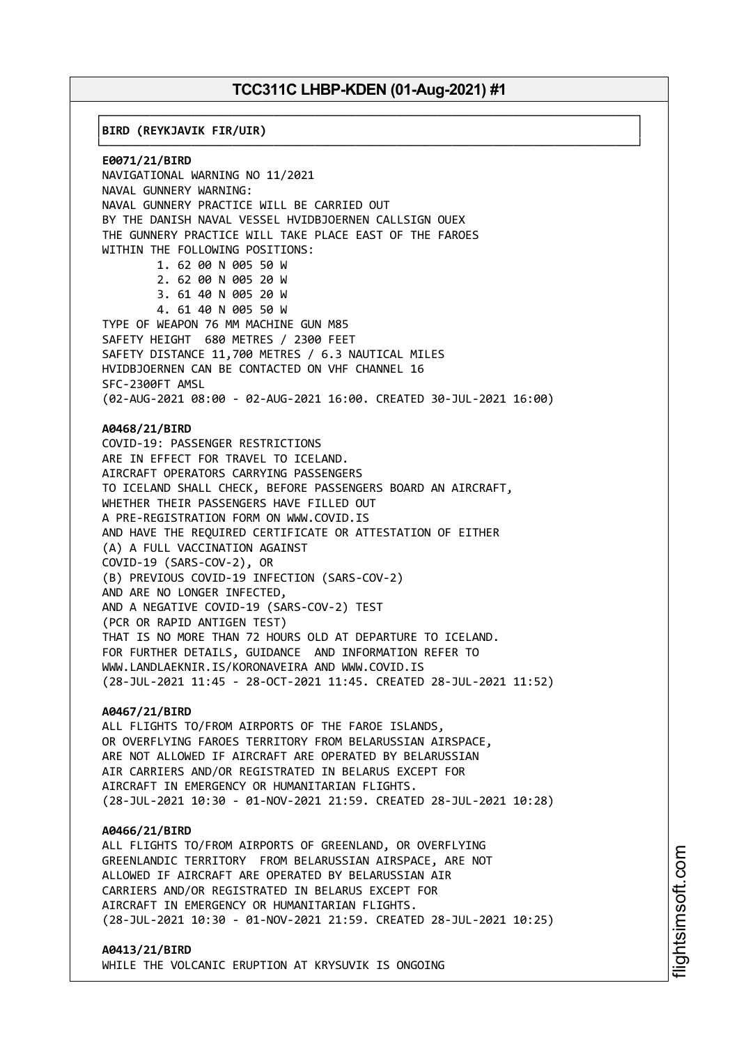┌──────────────────────────────────────────────────────────────────────────────┐

└──────────────────────────────────────────────────────────────────────────────┘

│**BIRD (REYKJAVIK FIR/UIR)** │

**E0071/21/BIRD** NAVIGATIONAL WARNING NO 11/2021 NAVAL GUNNERY WARNING: NAVAL GUNNERY PRACTICE WILL BE CARRIED OUT BY THE DANISH NAVAL VESSEL HVIDBJOERNEN CALLSIGN OUEX THE GUNNERY PRACTICE WILL TAKE PLACE EAST OF THE FAROES WITHIN THE FOLLOWING POSITIONS: 1. 62 00 N 005 50 W 2. 62 00 N 005 20 W 3. 61 40 N 005 20 W 4. 61 40 N 005 50 W TYPE OF WEAPON 76 MM MACHINE GUN M85 SAFETY HEIGHT 680 METRES / 2300 FEET SAFETY DISTANCE 11,700 METRES / 6.3 NAUTICAL MILES HVIDBJOERNEN CAN BE CONTACTED ON VHF CHANNEL 16 SFC-2300FT AMSL (02-AUG-2021 08:00 - 02-AUG-2021 16:00. CREATED 30-JUL-2021 16:00) **A0468/21/BIRD** COVID-19: PASSENGER RESTRICTIONS ARE IN EFFECT FOR TRAVEL TO ICELAND. AIRCRAFT OPERATORS CARRYING PASSENGERS TO ICELAND SHALL CHECK, BEFORE PASSENGERS BOARD AN AIRCRAFT, WHETHER THEIR PASSENGERS HAVE FILLED OUT A PRE-REGISTRATION FORM ON WWW.COVID.IS AND HAVE THE REQUIRED CERTIFICATE OR ATTESTATION OF EITHER (A) A FULL VACCINATION AGAINST COVID-19 (SARS-COV-2), OR (B) PREVIOUS COVID-19 INFECTION (SARS-COV-2) AND ARE NO LONGER INFECTED, AND A NEGATIVE COVID-19 (SARS-COV-2) TEST (PCR OR RAPID ANTIGEN TEST) THAT IS NO MORE THAN 72 HOURS OLD AT DEPARTURE TO ICELAND. FOR FURTHER DETAILS, GUIDANCE AND INFORMATION REFER TO WWW.LANDLAEKNIR.IS/KORONAVEIRA AND WWW.COVID.IS (28-JUL-2021 11:45 - 28-OCT-2021 11:45. CREATED 28-JUL-2021 11:52) **A0467/21/BIRD** ALL FLIGHTS TO/FROM AIRPORTS OF THE FAROE ISLANDS, OR OVERFLYING FAROES TERRITORY FROM BELARUSSIAN AIRSPACE, ARE NOT ALLOWED IF AIRCRAFT ARE OPERATED BY BELARUSSIAN

AIR CARRIERS AND/OR REGISTRATED IN BELARUS EXCEPT FOR AIRCRAFT IN EMERGENCY OR HUMANITARIAN FLIGHTS. (28-JUL-2021 10:30 - 01-NOV-2021 21:59. CREATED 28-JUL-2021 10:28)

#### **A0466/21/BIRD**

ALL FLIGHTS TO/FROM AIRPORTS OF GREENLAND, OR OVERFLYING GREENLANDIC TERRITORY FROM BELARUSSIAN AIRSPACE, ARE NOT ALLOWED IF AIRCRAFT ARE OPERATED BY BELARUSSIAN AIR CARRIERS AND/OR REGISTRATED IN BELARUS EXCEPT FOR AIRCRAFT IN EMERGENCY OR HUMANITARIAN FLIGHTS. (28-JUL-2021 10:30 - 01-NOV-2021 21:59. CREATED 28-JUL-2021 10:25)

#### **A0413/21/BIRD**

WHILE THE VOLCANIC ERUPTION AT KRYSUVIK IS ONGOING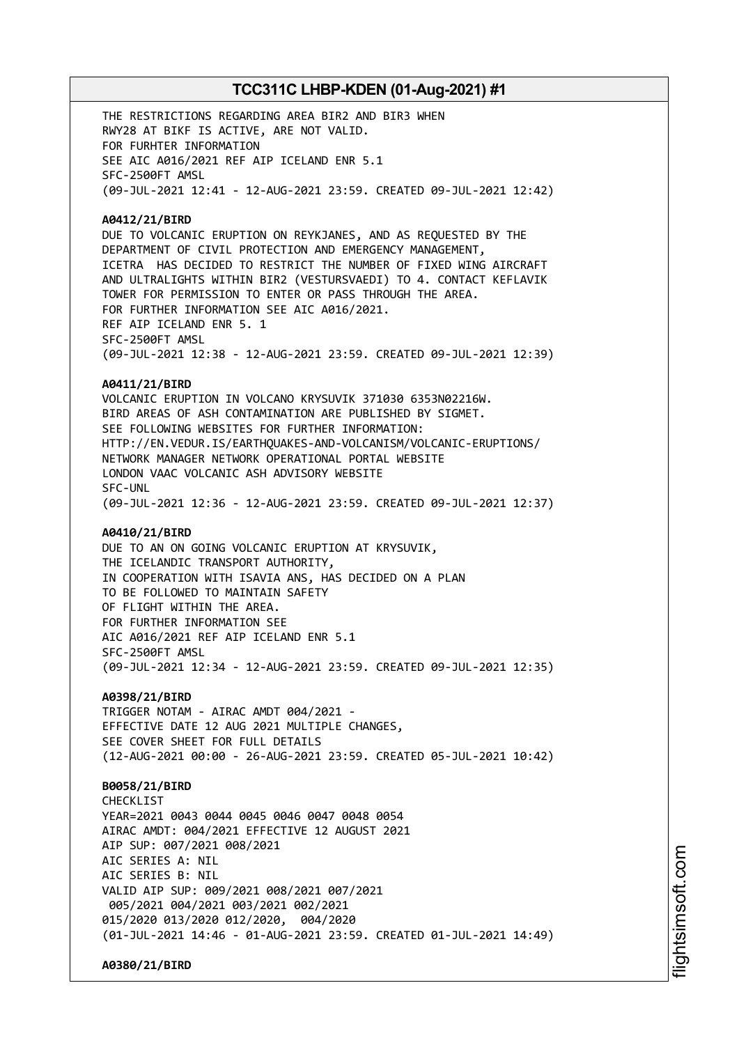THE RESTRICTIONS REGARDING AREA BIR2 AND BIR3 WHEN RWY28 AT BIKF IS ACTIVE, ARE NOT VALID. FOR FURHTER INFORMATION SEE AIC A016/2021 REF AIP ICELAND ENR 5.1 SFC-2500FT AMSL (09-JUL-2021 12:41 - 12-AUG-2021 23:59. CREATED 09-JUL-2021 12:42)

#### **A0412/21/BIRD**

DUE TO VOLCANIC ERUPTION ON REYKJANES, AND AS REQUESTED BY THE DEPARTMENT OF CIVIL PROTECTION AND EMERGENCY MANAGEMENT, ICETRA HAS DECIDED TO RESTRICT THE NUMBER OF FIXED WING AIRCRAFT AND ULTRALIGHTS WITHIN BIR2 (VESTURSVAEDI) TO 4. CONTACT KEFLAVIK TOWER FOR PERMISSION TO ENTER OR PASS THROUGH THE AREA. FOR FURTHER INFORMATION SEE AIC A016/2021. REF AIP ICELAND ENR 5. 1 SFC-2500FT AMSL (09-JUL-2021 12:38 - 12-AUG-2021 23:59. CREATED 09-JUL-2021 12:39)

#### **A0411/21/BIRD**

VOLCANIC ERUPTION IN VOLCANO KRYSUVIK 371030 6353N02216W. BIRD AREAS OF ASH CONTAMINATION ARE PUBLISHED BY SIGMET. SEE FOLLOWING WEBSITES FOR FURTHER INFORMATION: HTTP://EN.VEDUR.IS/EARTHQUAKES-AND-VOLCANISM/VOLCANIC-ERUPTIONS/ NETWORK MANAGER NETWORK OPERATIONAL PORTAL WEBSITE LONDON VAAC VOLCANIC ASH ADVISORY WEBSITE SFC-UNL (09-JUL-2021 12:36 - 12-AUG-2021 23:59. CREATED 09-JUL-2021 12:37)

### **A0410/21/BIRD**

DUE TO AN ON GOING VOLCANIC ERUPTION AT KRYSUVIK, THE ICELANDIC TRANSPORT AUTHORITY, IN COOPERATION WITH ISAVIA ANS, HAS DECIDED ON A PLAN TO BE FOLLOWED TO MAINTAIN SAFETY OF FLIGHT WITHIN THE AREA. FOR FURTHER INFORMATION SEE AIC A016/2021 REF AIP ICELAND ENR 5.1 SFC-2500FT AMSL (09-JUL-2021 12:34 - 12-AUG-2021 23:59. CREATED 09-JUL-2021 12:35)

### **A0398/21/BIRD**

TRIGGER NOTAM - AIRAC AMDT 004/2021 - EFFECTIVE DATE 12 AUG 2021 MULTIPLE CHANGES, SEE COVER SHEET FOR FULL DETAILS (12-AUG-2021 00:00 - 26-AUG-2021 23:59. CREATED 05-JUL-2021 10:42)

### **B0058/21/BIRD**

CHECKL<sub>IST</sub> YEAR=2021 0043 0044 0045 0046 0047 0048 0054 AIRAC AMDT: 004/2021 EFFECTIVE 12 AUGUST 2021 AIP SUP: 007/2021 008/2021 AIC SERIES A: NIL AIC SERIES B: NIL VALID AIP SUP: 009/2021 008/2021 007/2021 005/2021 004/2021 003/2021 002/2021 015/2020 013/2020 012/2020, 004/2020 (01-JUL-2021 14:46 - 01-AUG-2021 23:59. CREATED 01-JUL-2021 14:49)

**A0380/21/BIRD**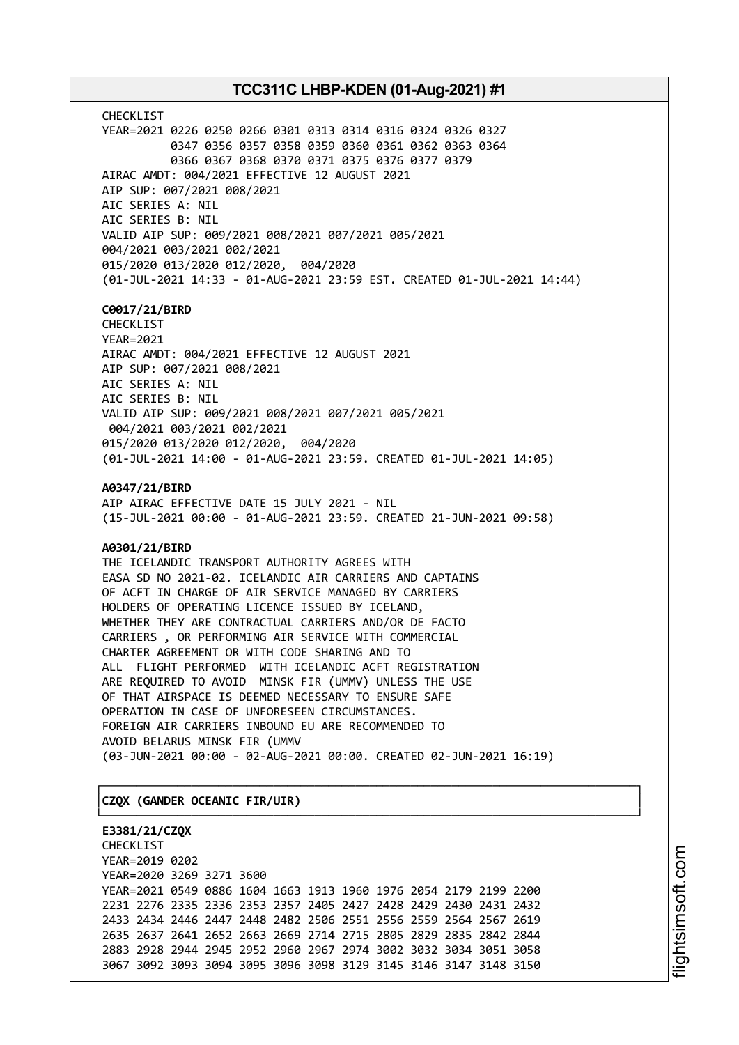CHECKLIST YEAR=2021 0226 0250 0266 0301 0313 0314 0316 0324 0326 0327 0347 0356 0357 0358 0359 0360 0361 0362 0363 0364 0366 0367 0368 0370 0371 0375 0376 0377 0379 AIRAC AMDT: 004/2021 EFFECTIVE 12 AUGUST 2021 AIP SUP: 007/2021 008/2021 AIC SERIES A: NIL AIC SERIES B: NIL VALID AIP SUP: 009/2021 008/2021 007/2021 005/2021 004/2021 003/2021 002/2021 015/2020 013/2020 012/2020, 004/2020 (01-JUL-2021 14:33 - 01-AUG-2021 23:59 EST. CREATED 01-JUL-2021 14:44)

### **C0017/21/BIRD**

CHECKLIST YEAR=2021 AIRAC AMDT: 004/2021 EFFECTIVE 12 AUGUST 2021 AIP SUP: 007/2021 008/2021 AIC SERIES A: NIL AIC SERIES B: NIL VALID AIP SUP: 009/2021 008/2021 007/2021 005/2021 004/2021 003/2021 002/2021 015/2020 013/2020 012/2020, 004/2020 (01-JUL-2021 14:00 - 01-AUG-2021 23:59. CREATED 01-JUL-2021 14:05)

**A0347/21/BIRD**

AIP AIRAC EFFECTIVE DATE 15 JULY 2021 - NIL (15-JUL-2021 00:00 - 01-AUG-2021 23:59. CREATED 21-JUN-2021 09:58)

### **A0301/21/BIRD**

THE ICELANDIC TRANSPORT AUTHORITY AGREES WITH EASA SD NO 2021-02. ICELANDIC AIR CARRIERS AND CAPTAINS OF ACFT IN CHARGE OF AIR SERVICE MANAGED BY CARRIERS HOLDERS OF OPERATING LICENCE ISSUED BY ICELAND, WHETHER THEY ARE CONTRACTUAL CARRIERS AND/OR DE FACTO CARRIERS , OR PERFORMING AIR SERVICE WITH COMMERCIAL CHARTER AGREEMENT OR WITH CODE SHARING AND TO ALL FLIGHT PERFORMED WITH ICELANDIC ACFT REGISTRATION ARE REQUIRED TO AVOID MINSK FIR (UMMV) UNLESS THE USE OF THAT AIRSPACE IS DEEMED NECESSARY TO ENSURE SAFE OPERATION IN CASE OF UNFORESEEN CIRCUMSTANCES. FOREIGN AIR CARRIERS INBOUND EU ARE RECOMMENDED TO AVOID BELARUS MINSK FIR (UMMV (03-JUN-2021 00:00 - 02-AUG-2021 00:00. CREATED 02-JUN-2021 16:19)

┌──────────────────────────────────────────────────────────────────────────────┐

└──────────────────────────────────────────────────────────────────────────────┘

### │**CZQX (GANDER OCEANIC FIR/UIR)** │

**E3381/21/CZQX** CHECKLIST YEAR=2019 0202 YEAR=2020 3269 3271 3600 YEAR=2021 0549 0886 1604 1663 1913 1960 1976 2054 2179 2199 2200 2231 2276 2335 2336 2353 2357 2405 2427 2428 2429 2430 2431 2432 2433 2434 2446 2447 2448 2482 2506 2551 2556 2559 2564 2567 2619 2635 2637 2641 2652 2663 2669 2714 2715 2805 2829 2835 2842 2844 2883 2928 2944 2945 2952 2960 2967 2974 3002 3032 3034 3051 3058 3067 3092 3093 3094 3095 3096 3098 3129 3145 3146 3147 3148 3150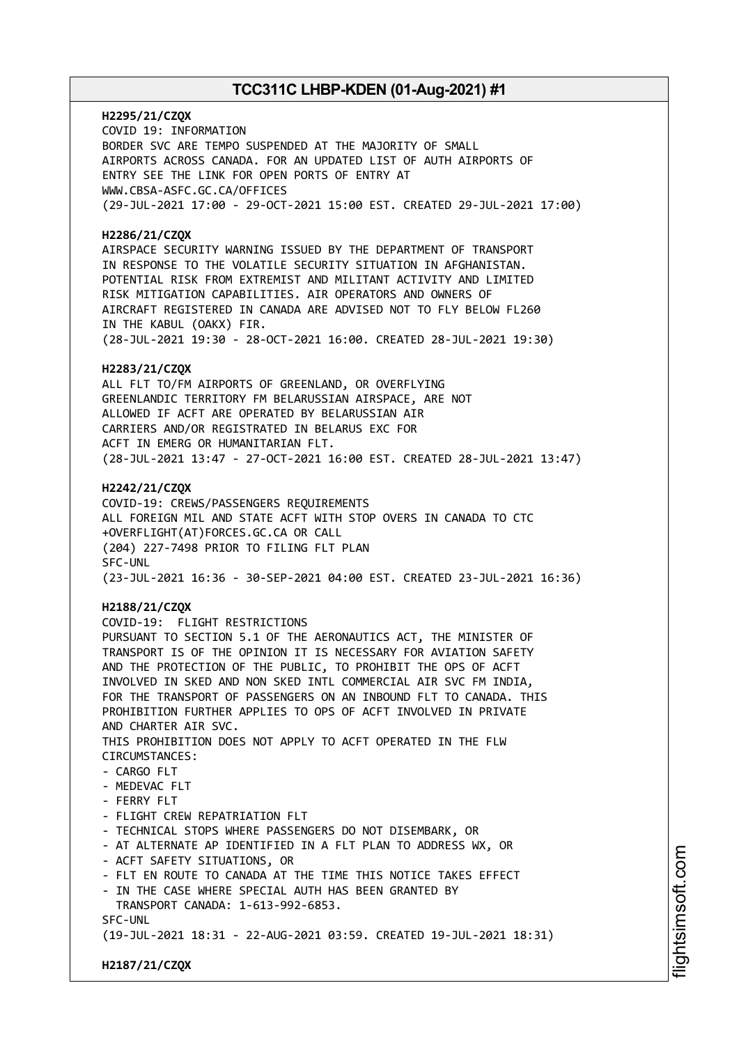**H2295/21/CZQX** COVID 19: INFORMATION BORDER SVC ARE TEMPO SUSPENDED AT THE MAJORITY OF SMALL AIRPORTS ACROSS CANADA. FOR AN UPDATED LIST OF AUTH AIRPORTS OF ENTRY SEE THE LINK FOR OPEN PORTS OF ENTRY AT WWW.CBSA-ASFC.GC.CA/OFFICES (29-JUL-2021 17:00 - 29-OCT-2021 15:00 EST. CREATED 29-JUL-2021 17:00)

### **H2286/21/CZQX**

AIRSPACE SECURITY WARNING ISSUED BY THE DEPARTMENT OF TRANSPORT IN RESPONSE TO THE VOLATILE SECURITY SITUATION IN AFGHANISTAN. POTENTIAL RISK FROM EXTREMIST AND MILITANT ACTIVITY AND LIMITED RISK MITIGATION CAPABILITIES. AIR OPERATORS AND OWNERS OF AIRCRAFT REGISTERED IN CANADA ARE ADVISED NOT TO FLY BELOW FL260 IN THE KABUL (OAKX) FIR. (28-JUL-2021 19:30 - 28-OCT-2021 16:00. CREATED 28-JUL-2021 19:30)

### **H2283/21/CZQX**

ALL FLT TO/FM AIRPORTS OF GREENLAND, OR OVERFLYING GREENLANDIC TERRITORY FM BELARUSSIAN AIRSPACE, ARE NOT ALLOWED IF ACFT ARE OPERATED BY BELARUSSIAN AIR CARRIERS AND/OR REGISTRATED IN BELARUS EXC FOR ACFT IN EMERG OR HUMANITARIAN FLT. (28-JUL-2021 13:47 - 27-OCT-2021 16:00 EST. CREATED 28-JUL-2021 13:47)

### **H2242/21/CZQX**

COVID-19: CREWS/PASSENGERS REQUIREMENTS ALL FOREIGN MIL AND STATE ACFT WITH STOP OVERS IN CANADA TO CTC +OVERFLIGHT(AT)FORCES.GC.CA OR CALL (204) 227-7498 PRIOR TO FILING FLT PLAN SFC-UNL (23-JUL-2021 16:36 - 30-SEP-2021 04:00 EST. CREATED 23-JUL-2021 16:36)

# **H2188/21/CZQX**

COVID-19: FLIGHT RESTRICTIONS PURSUANT TO SECTION 5.1 OF THE AERONAUTICS ACT, THE MINISTER OF TRANSPORT IS OF THE OPINION IT IS NECESSARY FOR AVIATION SAFETY AND THE PROTECTION OF THE PUBLIC, TO PROHIBIT THE OPS OF ACFT INVOLVED IN SKED AND NON SKED INTL COMMERCIAL AIR SVC FM INDIA, FOR THE TRANSPORT OF PASSENGERS ON AN INBOUND FLT TO CANADA. THIS PROHIBITION FURTHER APPLIES TO OPS OF ACFT INVOLVED IN PRIVATE AND CHARTER AIR SVC. THIS PROHIBITION DOES NOT APPLY TO ACFT OPERATED IN THE FLW CIRCUMSTANCES:  $-$  CARGO FLT - MEDEVAC FLT - FERRY FLT - FLIGHT CREW REPATRIATION FLT - TECHNICAL STOPS WHERE PASSENGERS DO NOT DISEMBARK, OR - AT ALTERNATE AP IDENTIFIED IN A FLT PLAN TO ADDRESS WX, OR - ACFT SAFETY SITUATIONS, OR - FLT EN ROUTE TO CANADA AT THE TIME THIS NOTICE TAKES EFFECT - IN THE CASE WHERE SPECIAL AUTH HAS BEEN GRANTED BY TRANSPORT CANADA: 1-613-992-6853. SFC-UNL (19-JUL-2021 18:31 - 22-AUG-2021 03:59. CREATED 19-JUL-2021 18:31)

**H2187/21/CZQX**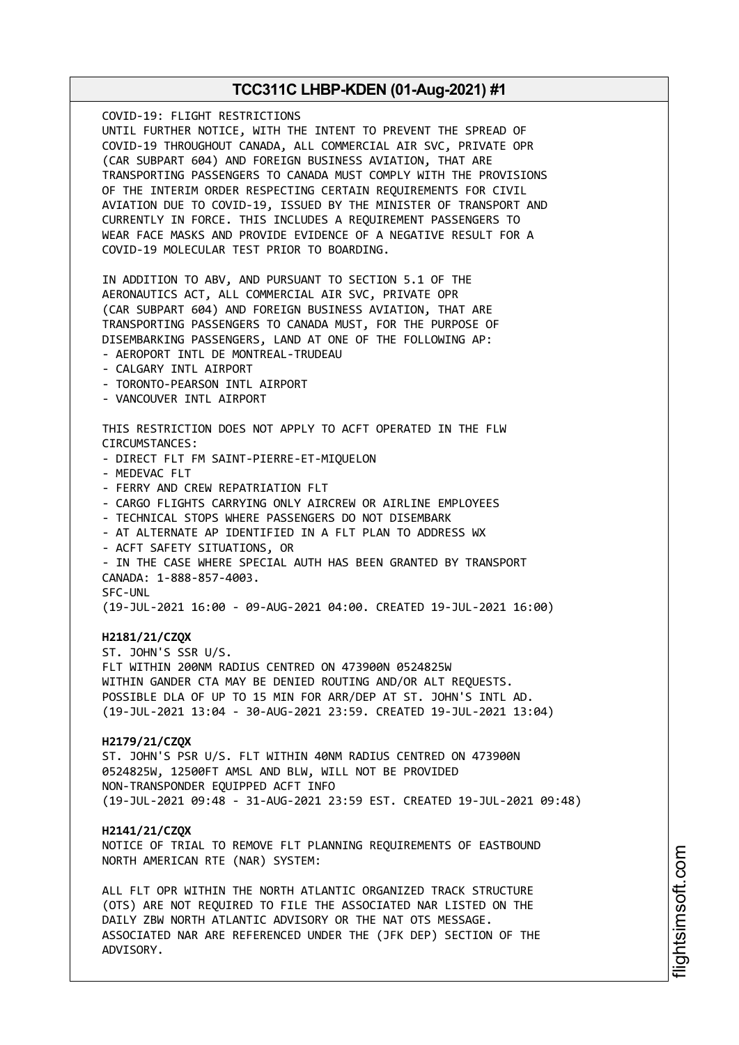COVID-19: FLIGHT RESTRICTIONS UNTIL FURTHER NOTICE, WITH THE INTENT TO PREVENT THE SPREAD OF COVID-19 THROUGHOUT CANADA, ALL COMMERCIAL AIR SVC, PRIVATE OPR (CAR SUBPART 604) AND FOREIGN BUSINESS AVIATION, THAT ARE TRANSPORTING PASSENGERS TO CANADA MUST COMPLY WITH THE PROVISIONS OF THE INTERIM ORDER RESPECTING CERTAIN REQUIREMENTS FOR CIVIL AVIATION DUE TO COVID-19, ISSUED BY THE MINISTER OF TRANSPORT AND CURRENTLY IN FORCE. THIS INCLUDES A REQUIREMENT PASSENGERS TO WEAR FACE MASKS AND PROVIDE EVIDENCE OF A NEGATIVE RESULT FOR A COVID-19 MOLECULAR TEST PRIOR TO BOARDING. IN ADDITION TO ABV, AND PURSUANT TO SECTION 5.1 OF THE AERONAUTICS ACT, ALL COMMERCIAL AIR SVC, PRIVATE OPR (CAR SUBPART 604) AND FOREIGN BUSINESS AVIATION, THAT ARE TRANSPORTING PASSENGERS TO CANADA MUST, FOR THE PURPOSE OF DISEMBARKING PASSENGERS, LAND AT ONE OF THE FOLLOWING AP: - AEROPORT INTL DE MONTREAL-TRUDEAU - CALGARY INTL AIRPORT - TORONTO-PEARSON INTL AIRPORT - VANCOUVER INTL AIRPORT THIS RESTRICTION DOES NOT APPLY TO ACFT OPERATED IN THE FLW CIRCUMSTANCES: - DIRECT FLT FM SAINT-PIERRE-ET-MIQUELON - MEDEVAC FLT - FERRY AND CREW REPATRIATION FLT - CARGO FLIGHTS CARRYING ONLY AIRCREW OR AIRLINE EMPLOYEES - TECHNICAL STOPS WHERE PASSENGERS DO NOT DISEMBARK - AT ALTERNATE AP IDENTIFIED IN A FLT PLAN TO ADDRESS WX - ACFT SAFETY SITUATIONS, OR - IN THE CASE WHERE SPECIAL AUTH HAS BEEN GRANTED BY TRANSPORT CANADA: 1-888-857-4003. SFC-UNL (19-JUL-2021 16:00 - 09-AUG-2021 04:00. CREATED 19-JUL-2021 16:00) **H2181/21/CZQX** ST. JOHN'S SSR U/S. FLT WITHIN 200NM RADIUS CENTRED ON 473900N 0524825W WITHIN GANDER CTA MAY BE DENIED ROUTING AND/OR ALT REQUESTS. POSSIBLE DLA OF UP TO 15 MIN FOR ARR/DEP AT ST. JOHN'S INTL AD. (19-JUL-2021 13:04 - 30-AUG-2021 23:59. CREATED 19-JUL-2021 13:04) **H2179/21/CZQX** ST. JOHN'S PSR U/S. FLT WITHIN 40NM RADIUS CENTRED ON 473900N 0524825W, 12500FT AMSL AND BLW, WILL NOT BE PROVIDED NON-TRANSPONDER EQUIPPED ACFT INFO (19-JUL-2021 09:48 - 31-AUG-2021 23:59 EST. CREATED 19-JUL-2021 09:48) **H2141/21/CZQX** NOTICE OF TRIAL TO REMOVE FLT PLANNING REQUIREMENTS OF EASTBOUND NORTH AMERICAN RTE (NAR) SYSTEM: ALL FLT OPR WITHIN THE NORTH ATLANTIC ORGANIZED TRACK STRUCTURE (OTS) ARE NOT REQUIRED TO FILE THE ASSOCIATED NAR LISTED ON THE DAILY ZBW NORTH ATLANTIC ADVISORY OR THE NAT OTS MESSAGE. ASSOCIATED NAR ARE REFERENCED UNDER THE (JFK DEP) SECTION OF THE ADVISORY.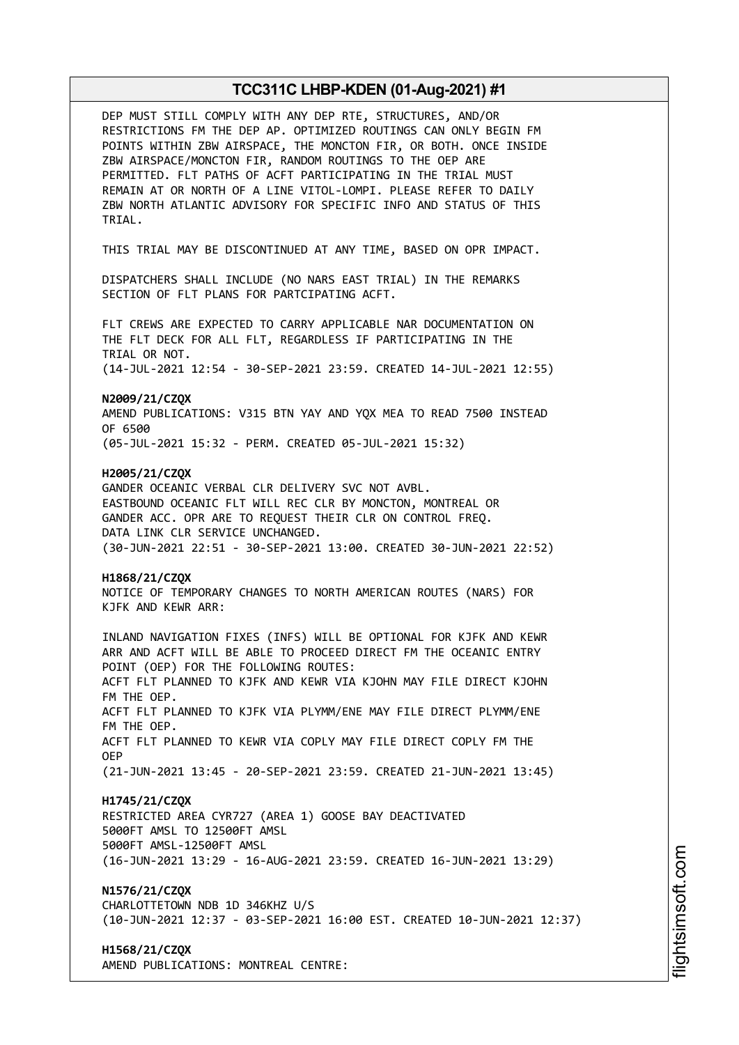| DEP MUST STILL COMPLY WITH ANY DEP RTE, STRUCTURES, AND/OR<br>RESTRICTIONS FM THE DEP AP. OPTIMIZED ROUTINGS CAN ONLY BEGIN FM<br>POINTS WITHIN ZBW AIRSPACE, THE MONCTON FIR, OR BOTH. ONCE INSIDE<br>ZBW AIRSPACE/MONCTON FIR, RANDOM ROUTINGS TO THE OEP ARE<br>PERMITTED. FLT PATHS OF ACFT PARTICIPATING IN THE TRIAL MUST<br>REMAIN AT OR NORTH OF A LINE VITOL-LOMPI. PLEASE REFER TO DAILY<br>ZBW NORTH ATLANTIC ADVISORY FOR SPECIFIC INFO AND STATUS OF THIS<br>TRIAL. |
|----------------------------------------------------------------------------------------------------------------------------------------------------------------------------------------------------------------------------------------------------------------------------------------------------------------------------------------------------------------------------------------------------------------------------------------------------------------------------------|
| THIS TRIAL MAY BE DISCONTINUED AT ANY TIME, BASED ON OPR IMPACT.                                                                                                                                                                                                                                                                                                                                                                                                                 |
| DISPATCHERS SHALL INCLUDE (NO NARS EAST TRIAL) IN THE REMARKS<br>SECTION OF FLT PLANS FOR PARTCIPATING ACFT.                                                                                                                                                                                                                                                                                                                                                                     |
| FLT CREWS ARE EXPECTED TO CARRY APPLICABLE NAR DOCUMENTATION ON<br>THE FLT DECK FOR ALL FLT, REGARDLESS IF PARTICIPATING IN THE<br>TRIAL OR NOT.                                                                                                                                                                                                                                                                                                                                 |
| (14-JUL-2021 12:54 - 30-SEP-2021 23:59. CREATED 14-JUL-2021 12:55)                                                                                                                                                                                                                                                                                                                                                                                                               |
| N2009/21/CZQX<br>AMEND PUBLICATIONS: V315 BTN YAY AND YOX MEA TO READ 7500 INSTEAD<br>OF 6500                                                                                                                                                                                                                                                                                                                                                                                    |
| (05-JUL-2021 15:32 - PERM. CREATED 05-JUL-2021 15:32)                                                                                                                                                                                                                                                                                                                                                                                                                            |
| H2005/21/CZQX<br>GANDER OCEANIC VERBAL CLR DELIVERY SVC NOT AVBL.<br>EASTBOUND OCEANIC FLT WILL REC CLR BY MONCTON, MONTREAL OR<br>GANDER ACC. OPR ARE TO REQUEST THEIR CLR ON CONTROL FREQ.<br>DATA LINK CLR SERVICE UNCHANGED.<br>(30-JUN-2021 22:51 - 30-SEP-2021 13:00. CREATED 30-JUN-2021 22:52)                                                                                                                                                                           |
| H1868/21/CZQX<br>NOTICE OF TEMPORARY CHANGES TO NORTH AMERICAN ROUTES (NARS) FOR<br>KJFK AND KEWR ARR:                                                                                                                                                                                                                                                                                                                                                                           |
| INLAND NAVIGATION FIXES (INFS) WILL BE OPTIONAL FOR KJFK AND KEWR<br>ARR AND ACFT WILL BE ABLE TO PROCEED DIRECT FM THE OCEANIC ENTRY<br>POINT (OEP) FOR THE FOLLOWING ROUTES:<br>ACFT FLT PLANNED TO KJFK AND KEWR VIA KJOHN MAY FILE DIRECT KJOHN<br>FM THE OEP.<br>ACFT FLT PLANNED TO KJFK VIA PLYMM/ENE MAY FILE DIRECT PLYMM/ENE<br>FM THE OEP.                                                                                                                            |
| ACFT FLT PLANNED TO KEWR VIA COPLY MAY FILE DIRECT COPLY FM THE<br><b>OEP</b>                                                                                                                                                                                                                                                                                                                                                                                                    |
| (21-JUN-2021 13:45 - 20-SEP-2021 23:59. CREATED 21-JUN-2021 13:45)                                                                                                                                                                                                                                                                                                                                                                                                               |
| H1745/21/CZQX<br>RESTRICTED AREA CYR727 (AREA 1) GOOSE BAY DEACTIVATED<br>5000FT AMSL TO 12500FT AMSL<br>5000FT AMSL-12500FT AMSL<br>(16-JUN-2021 13:29 - 16-AUG-2021 23:59. CREATED 16-JUN-2021 13:29)                                                                                                                                                                                                                                                                          |
| N1576/21/CZQX<br>CHARLOTTETOWN NDB 1D 346KHZ U/S<br>(10-JUN-2021 12:37 - 03-SEP-2021 16:00 EST. CREATED 10-JUN-2021 12:37)                                                                                                                                                                                                                                                                                                                                                       |
| H1568/21/CZQX<br>AMEND PUBLICATIONS: MONTREAL CENTRE:                                                                                                                                                                                                                                                                                                                                                                                                                            |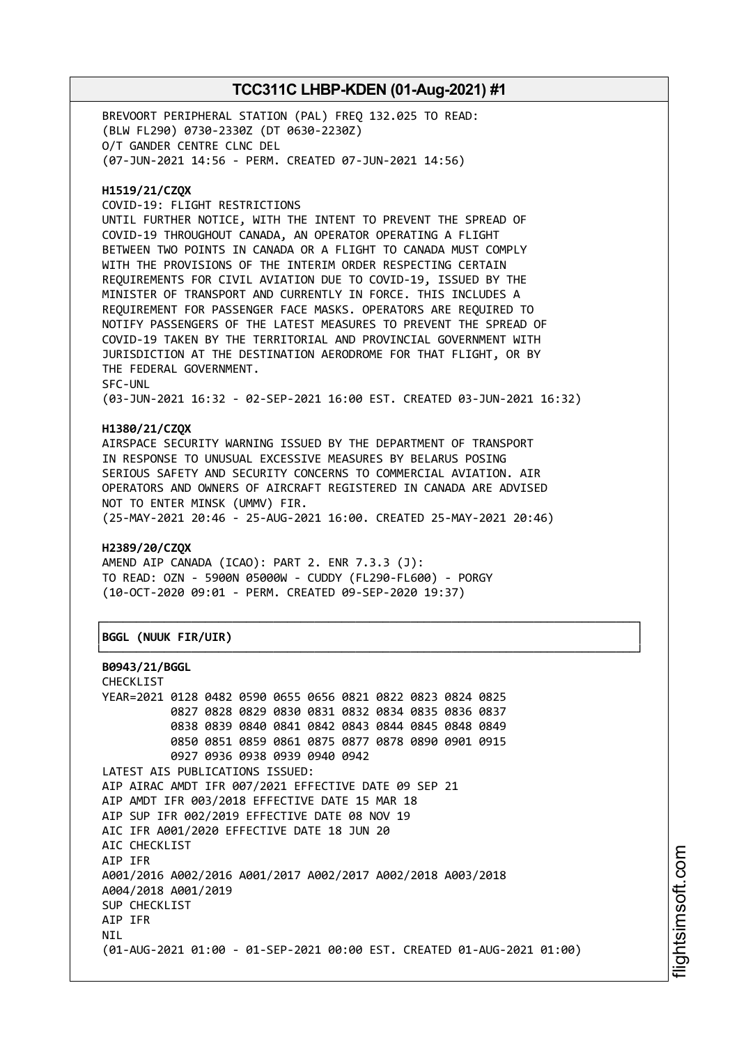BREVOORT PERIPHERAL STATION (PAL) FREQ 132.025 TO READ: (BLW FL290) 0730-2330Z (DT 0630-2230Z) O/T GANDER CENTRE CLNC DEL (07-JUN-2021 14:56 - PERM. CREATED 07-JUN-2021 14:56)

### **H1519/21/CZQX**

COVID-19: FLIGHT RESTRICTIONS

UNTIL FURTHER NOTICE, WITH THE INTENT TO PREVENT THE SPREAD OF COVID-19 THROUGHOUT CANADA, AN OPERATOR OPERATING A FLIGHT BETWEEN TWO POINTS IN CANADA OR A FLIGHT TO CANADA MUST COMPLY WITH THE PROVISIONS OF THE INTERIM ORDER RESPECTING CERTAIN REQUIREMENTS FOR CIVIL AVIATION DUE TO COVID-19, ISSUED BY THE MINISTER OF TRANSPORT AND CURRENTLY IN FORCE. THIS INCLUDES A REQUIREMENT FOR PASSENGER FACE MASKS. OPERATORS ARE REQUIRED TO NOTIFY PASSENGERS OF THE LATEST MEASURES TO PREVENT THE SPREAD OF COVID-19 TAKEN BY THE TERRITORIAL AND PROVINCIAL GOVERNMENT WITH JURISDICTION AT THE DESTINATION AERODROME FOR THAT FLIGHT, OR BY THE FEDERAL GOVERNMENT. SFC-UNL

(03-JUN-2021 16:32 - 02-SEP-2021 16:00 EST. CREATED 03-JUN-2021 16:32)

# **H1380/21/CZQX**

AIRSPACE SECURITY WARNING ISSUED BY THE DEPARTMENT OF TRANSPORT IN RESPONSE TO UNUSUAL EXCESSIVE MEASURES BY BELARUS POSING SERIOUS SAFETY AND SECURITY CONCERNS TO COMMERCIAL AVIATION. AIR OPERATORS AND OWNERS OF AIRCRAFT REGISTERED IN CANADA ARE ADVISED NOT TO ENTER MINSK (UMMV) FIR. (25-MAY-2021 20:46 - 25-AUG-2021 16:00. CREATED 25-MAY-2021 20:46)

┌──────────────────────────────────────────────────────────────────────────────┐

└──────────────────────────────────────────────────────────────────────────────┘

# **H2389/20/CZQX**

AMEND AIP CANADA (ICAO): PART 2. ENR 7.3.3 (J): TO READ: OZN - 5900N 05000W - CUDDY (FL290-FL600) - PORGY (10-OCT-2020 09:01 - PERM. CREATED 09-SEP-2020 19:37)

# │**BGGL (NUUK FIR/UIR)** │

#### **B0943/21/BGGL**

CHECKLIST YEAR=2021 0128 0482 0590 0655 0656 0821 0822 0823 0824 0825 0827 0828 0829 0830 0831 0832 0834 0835 0836 0837 0838 0839 0840 0841 0842 0843 0844 0845 0848 0849 0850 0851 0859 0861 0875 0877 0878 0890 0901 0915 0927 0936 0938 0939 0940 0942 LATEST AIS PUBLICATIONS ISSUED: AIP AIRAC AMDT IFR 007/2021 EFFECTIVE DATE 09 SEP 21 AIP AMDT IFR 003/2018 EFFECTIVE DATE 15 MAR 18 AIP SUP IFR 002/2019 EFFECTIVE DATE 08 NOV 19 AIC IFR A001/2020 EFFECTIVE DATE 18 JUN 20 AIC CHECKLIST AIP IFR A001/2016 A002/2016 A001/2017 A002/2017 A002/2018 A003/2018 A004/2018 A001/2019 SUP CHECKLIST AIP IFR **NTI** (01-AUG-2021 01:00 - 01-SEP-2021 00:00 EST. CREATED 01-AUG-2021 01:00)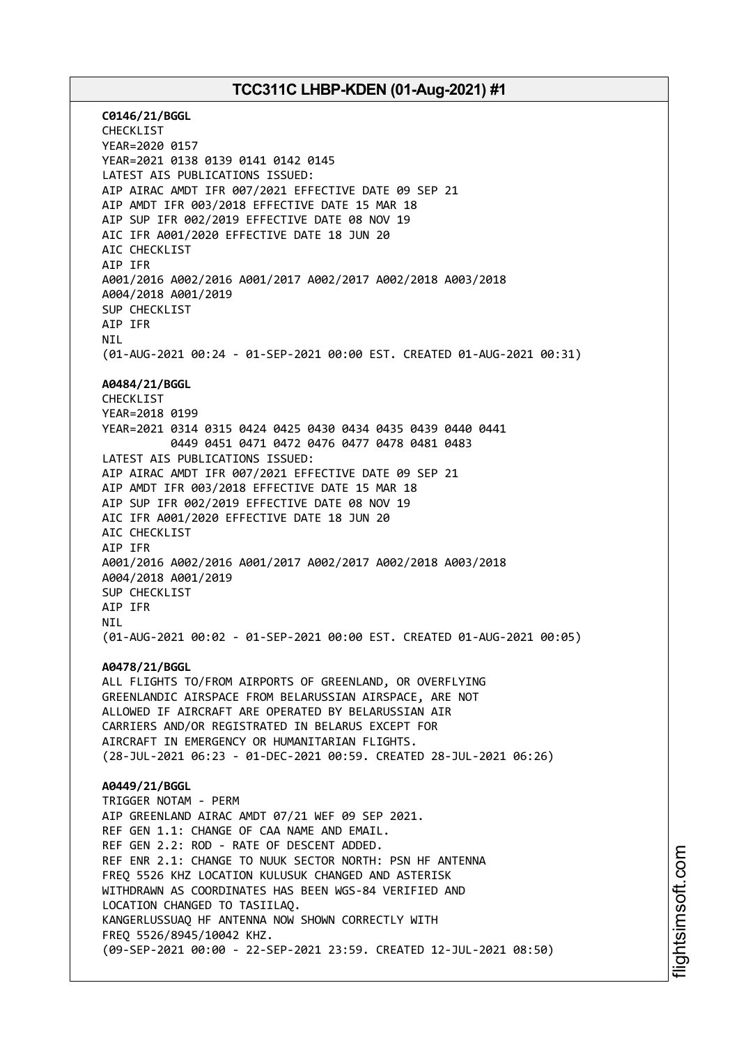**C0146/21/BGGL** CHECKLIST YEAR=2020 0157 YEAR=2021 0138 0139 0141 0142 0145 LATEST AIS PUBLICATIONS ISSUED: AIP AIRAC AMDT IFR 007/2021 EFFECTIVE DATE 09 SEP 21 AIP AMDT IFR 003/2018 EFFECTIVE DATE 15 MAR 18 AIP SUP IFR 002/2019 EFFECTIVE DATE 08 NOV 19 AIC IFR A001/2020 EFFECTIVE DATE 18 JUN 20 AIC CHECKLIST AIP IFR A001/2016 A002/2016 A001/2017 A002/2017 A002/2018 A003/2018 A004/2018 A001/2019 SUP CHECKLIST AIP IFR **NTI** (01-AUG-2021 00:24 - 01-SEP-2021 00:00 EST. CREATED 01-AUG-2021 00:31) **A0484/21/BGGL** CHECKLIST YEAR=2018 0199 YEAR=2021 0314 0315 0424 0425 0430 0434 0435 0439 0440 0441 0449 0451 0471 0472 0476 0477 0478 0481 0483 LATEST AIS PUBLICATIONS ISSUED: AIP AIRAC AMDT IFR 007/2021 EFFECTIVE DATE 09 SEP 21 AIP AMDT IFR 003/2018 EFFECTIVE DATE 15 MAR 18 AIP SUP IFR 002/2019 EFFECTIVE DATE 08 NOV 19 AIC IFR A001/2020 EFFECTIVE DATE 18 JUN 20 AIC CHECKLIST AIP IFR A001/2016 A002/2016 A001/2017 A002/2017 A002/2018 A003/2018 A004/2018 A001/2019 SUP CHECKLIST AIP IFR NIL (01-AUG-2021 00:02 - 01-SEP-2021 00:00 EST. CREATED 01-AUG-2021 00:05) **A0478/21/BGGL** ALL FLIGHTS TO/FROM AIRPORTS OF GREENLAND, OR OVERFLYING GREENLANDIC AIRSPACE FROM BELARUSSIAN AIRSPACE, ARE NOT ALLOWED IF AIRCRAFT ARE OPERATED BY BELARUSSIAN AIR CARRIERS AND/OR REGISTRATED IN BELARUS EXCEPT FOR AIRCRAFT IN EMERGENCY OR HUMANITARIAN FLIGHTS. (28-JUL-2021 06:23 - 01-DEC-2021 00:59. CREATED 28-JUL-2021 06:26) **A0449/21/BGGL** TRIGGER NOTAM - PERM AIP GREENLAND AIRAC AMDT 07/21 WEF 09 SEP 2021. REF GEN 1.1: CHANGE OF CAA NAME AND EMAIL. REF GEN 2.2: ROD - RATE OF DESCENT ADDED. REF ENR 2.1: CHANGE TO NUUK SECTOR NORTH: PSN HF ANTENNA FREQ 5526 KHZ LOCATION KULUSUK CHANGED AND ASTERISK WITHDRAWN AS COORDINATES HAS BEEN WGS-84 VERIFIED AND LOCATION CHANGED TO TASIILAQ. KANGERLUSSUAQ HF ANTENNA NOW SHOWN CORRECTLY WITH FREQ 5526/8945/10042 KHZ. (09-SEP-2021 00:00 - 22-SEP-2021 23:59. CREATED 12-JUL-2021 08:50)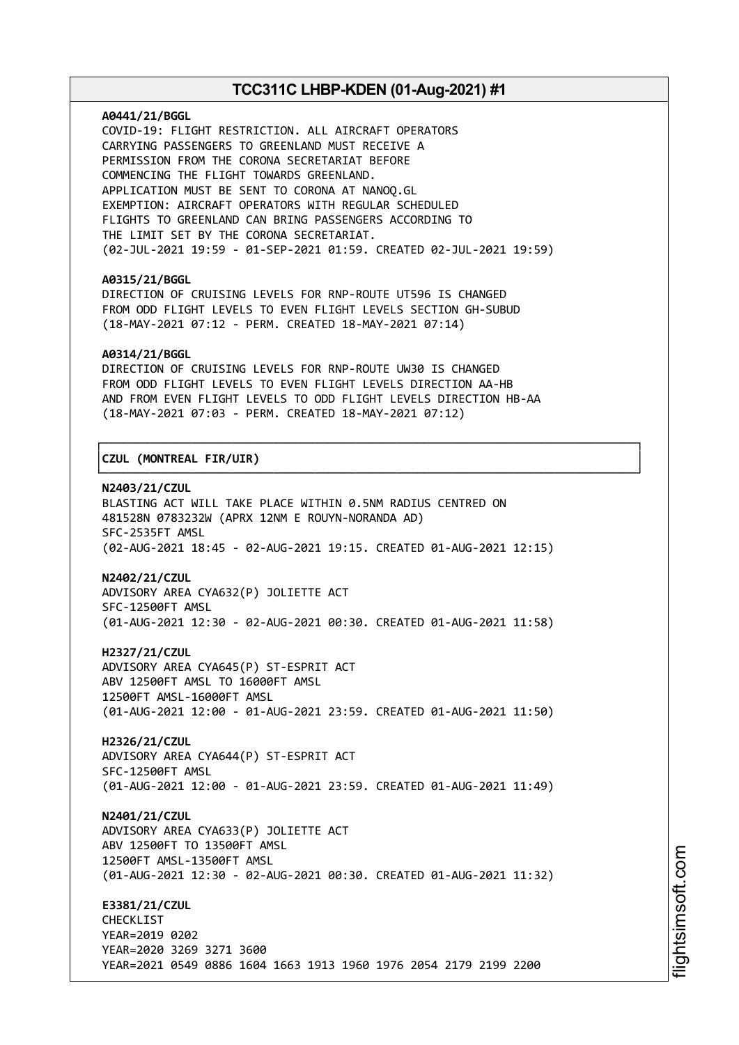#### **A0441/21/BGGL**

COVID-19: FLIGHT RESTRICTION. ALL AIRCRAFT OPERATORS CARRYING PASSENGERS TO GREENLAND MUST RECEIVE A PERMISSION FROM THE CORONA SECRETARIAT BEFORE COMMENCING THE FLIGHT TOWARDS GREENLAND. APPLICATION MUST BE SENT TO CORONA AT NANOQ.GL EXEMPTION: AIRCRAFT OPERATORS WITH REGULAR SCHEDULED FLIGHTS TO GREENLAND CAN BRING PASSENGERS ACCORDING TO THE LIMIT SET BY THE CORONA SECRETARIAT. (02-JUL-2021 19:59 - 01-SEP-2021 01:59. CREATED 02-JUL-2021 19:59)

#### **A0315/21/BGGL**

DIRECTION OF CRUISING LEVELS FOR RNP-ROUTE UT596 IS CHANGED FROM ODD FLIGHT LEVELS TO EVEN FLIGHT LEVELS SECTION GH-SUBUD (18-MAY-2021 07:12 - PERM. CREATED 18-MAY-2021 07:14)

### **A0314/21/BGGL**

DIRECTION OF CRUISING LEVELS FOR RNP-ROUTE UW30 IS CHANGED FROM ODD FLIGHT LEVELS TO EVEN FLIGHT LEVELS DIRECTION AA-HB AND FROM EVEN FLIGHT LEVELS TO ODD FLIGHT LEVELS DIRECTION HB-AA (18-MAY-2021 07:03 - PERM. CREATED 18-MAY-2021 07:12)

┌──────────────────────────────────────────────────────────────────────────────┐

└──────────────────────────────────────────────────────────────────────────────┘

# │**CZUL (MONTREAL FIR/UIR)** │

### **N2403/21/CZUL**

BLASTING ACT WILL TAKE PLACE WITHIN 0.5NM RADIUS CENTRED ON 481528N 0783232W (APRX 12NM E ROUYN-NORANDA AD) SFC-2535FT AMSL (02-AUG-2021 18:45 - 02-AUG-2021 19:15. CREATED 01-AUG-2021 12:15)

#### **N2402/21/CZUL**

ADVISORY AREA CYA632(P) JOLIETTE ACT SFC-12500FT AMSL (01-AUG-2021 12:30 - 02-AUG-2021 00:30. CREATED 01-AUG-2021 11:58)

**H2327/21/CZUL** ADVISORY AREA CYA645(P) ST-ESPRIT ACT ABV 12500FT AMSL TO 16000FT AMSL 12500FT AMSL-16000FT AMSL (01-AUG-2021 12:00 - 01-AUG-2021 23:59. CREATED 01-AUG-2021 11:50)

**H2326/21/CZUL** ADVISORY AREA CYA644(P) ST-ESPRIT ACT SFC-12500FT AMSL (01-AUG-2021 12:00 - 01-AUG-2021 23:59. CREATED 01-AUG-2021 11:49)

**N2401/21/CZUL** ADVISORY AREA CYA633(P) JOLIETTE ACT ABV 12500FT TO 13500FT AMSL 12500FT AMSL-13500FT AMSL (01-AUG-2021 12:30 - 02-AUG-2021 00:30. CREATED 01-AUG-2021 11:32)

**E3381/21/CZUL** CHECKLIST YEAR=2019 0202 YEAR=2020 3269 3271 3600 YEAR=2021 0549 0886 1604 1663 1913 1960 1976 2054 2179 2199 2200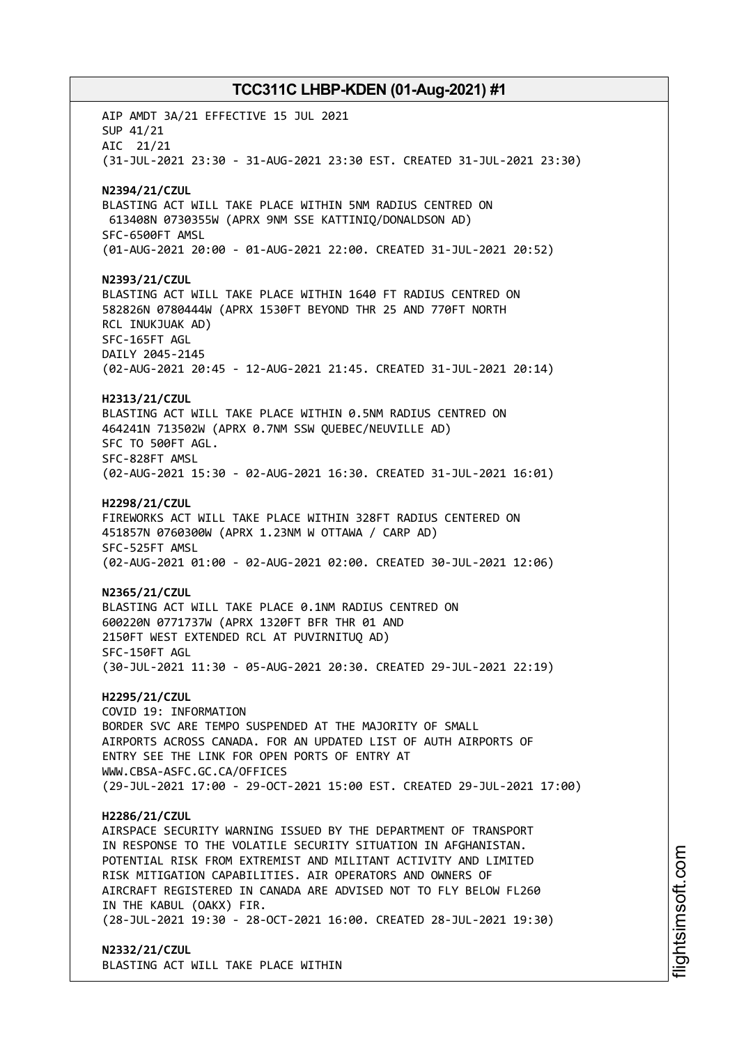AIP AMDT 3A/21 EFFECTIVE 15 JUL 2021 SUP 41/21 AIC 21/21 (31-JUL-2021 23:30 - 31-AUG-2021 23:30 EST. CREATED 31-JUL-2021 23:30) **N2394/21/CZUL** BLASTING ACT WILL TAKE PLACE WITHIN 5NM RADIUS CENTRED ON 613408N 0730355W (APRX 9NM SSE KATTINIQ/DONALDSON AD) SFC-6500FT AMSL (01-AUG-2021 20:00 - 01-AUG-2021 22:00. CREATED 31-JUL-2021 20:52) **N2393/21/CZUL** BLASTING ACT WILL TAKE PLACE WITHIN 1640 FT RADIUS CENTRED ON 582826N 0780444W (APRX 1530FT BEYOND THR 25 AND 770FT NORTH RCL INUKJUAK AD) SFC-165FT AGL DAILY 2045-2145 (02-AUG-2021 20:45 - 12-AUG-2021 21:45. CREATED 31-JUL-2021 20:14) **H2313/21/CZUL** BLASTING ACT WILL TAKE PLACE WITHIN 0.5NM RADIUS CENTRED ON 464241N 713502W (APRX 0.7NM SSW QUEBEC/NEUVILLE AD) SFC TO 500FT AGL. SFC-828FT AMSL (02-AUG-2021 15:30 - 02-AUG-2021 16:30. CREATED 31-JUL-2021 16:01) **H2298/21/CZUL** FIREWORKS ACT WILL TAKE PLACE WITHIN 328FT RADIUS CENTERED ON 451857N 0760300W (APRX 1.23NM W OTTAWA / CARP AD) SFC-525FT AMSL (02-AUG-2021 01:00 - 02-AUG-2021 02:00. CREATED 30-JUL-2021 12:06) **N2365/21/CZUL** BLASTING ACT WILL TAKE PLACE 0.1NM RADIUS CENTRED ON 600220N 0771737W (APRX 1320FT BFR THR 01 AND 2150FT WEST EXTENDED RCL AT PUVIRNITUQ AD) SFC-150FT AGL (30-JUL-2021 11:30 - 05-AUG-2021 20:30. CREATED 29-JUL-2021 22:19) **H2295/21/CZUL** COVID 19: INFORMATION BORDER SVC ARE TEMPO SUSPENDED AT THE MAJORITY OF SMALL AIRPORTS ACROSS CANADA. FOR AN UPDATED LIST OF AUTH AIRPORTS OF ENTRY SEE THE LINK FOR OPEN PORTS OF ENTRY AT WWW.CBSA-ASFC.GC.CA/OFFICES (29-JUL-2021 17:00 - 29-OCT-2021 15:00 EST. CREATED 29-JUL-2021 17:00) **H2286/21/CZUL** AIRSPACE SECURITY WARNING ISSUED BY THE DEPARTMENT OF TRANSPORT IN RESPONSE TO THE VOLATILE SECURITY SITUATION IN AFGHANISTAN. POTENTIAL RISK FROM EXTREMIST AND MILITANT ACTIVITY AND LIMITED RISK MITIGATION CAPABILITIES. AIR OPERATORS AND OWNERS OF AIRCRAFT REGISTERED IN CANADA ARE ADVISED NOT TO FLY BELOW FL260 IN THE KABUL (OAKX) FIR. (28-JUL-2021 19:30 - 28-OCT-2021 16:00. CREATED 28-JUL-2021 19:30) **N2332/21/CZUL** BLASTING ACT WILL TAKE PLACE WITHIN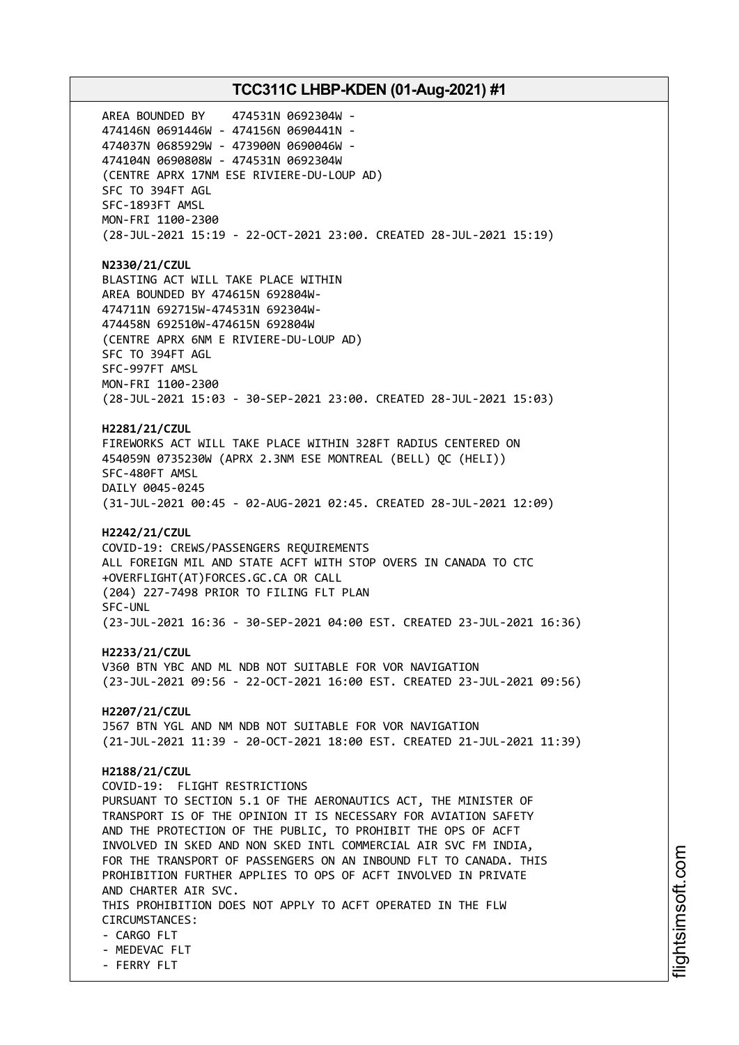AREA BOUNDED BY 474531N 0692304W - 474146N 0691446W - 474156N 0690441N - 474037N 0685929W - 473900N 0690046W - 474104N 0690808W - 474531N 0692304W (CENTRE APRX 17NM ESE RIVIERE-DU-LOUP AD) SFC TO 394FT AGL SFC-1893FT AMSL MON-FRI 1100-2300 (28-JUL-2021 15:19 - 22-OCT-2021 23:00. CREATED 28-JUL-2021 15:19) **N2330/21/CZUL** BLASTING ACT WILL TAKE PLACE WITHIN AREA BOUNDED BY 474615N 692804W-474711N 692715W-474531N 692304W-474458N 692510W-474615N 692804W (CENTRE APRX 6NM E RIVIERE-DU-LOUP AD) SFC TO 394FT AGL SFC-997FT AMSL MON-FRI 1100-2300 (28-JUL-2021 15:03 - 30-SEP-2021 23:00. CREATED 28-JUL-2021 15:03) **H2281/21/CZUL** FIREWORKS ACT WILL TAKE PLACE WITHIN 328FT RADIUS CENTERED ON 454059N 0735230W (APRX 2.3NM ESE MONTREAL (BELL) QC (HELI)) SFC-480FT AMSL DAILY 0045-0245 (31-JUL-2021 00:45 - 02-AUG-2021 02:45. CREATED 28-JUL-2021 12:09) **H2242/21/CZUL** COVID-19: CREWS/PASSENGERS REQUIREMENTS ALL FOREIGN MIL AND STATE ACFT WITH STOP OVERS IN CANADA TO CTC +OVERFLIGHT(AT)FORCES.GC.CA OR CALL (204) 227-7498 PRIOR TO FILING FLT PLAN SFC-UNL (23-JUL-2021 16:36 - 30-SEP-2021 04:00 EST. CREATED 23-JUL-2021 16:36) **H2233/21/CZUL** V360 BTN YBC AND ML NDB NOT SUITABLE FOR VOR NAVIGATION (23-JUL-2021 09:56 - 22-OCT-2021 16:00 EST. CREATED 23-JUL-2021 09:56) **H2207/21/CZUL** J567 BTN YGL AND NM NDB NOT SUITABLE FOR VOR NAVIGATION (21-JUL-2021 11:39 - 20-OCT-2021 18:00 EST. CREATED 21-JUL-2021 11:39) **H2188/21/CZUL** COVID-19: FLIGHT RESTRICTIONS PURSUANT TO SECTION 5.1 OF THE AERONAUTICS ACT, THE MINISTER OF TRANSPORT IS OF THE OPINION IT IS NECESSARY FOR AVIATION SAFETY AND THE PROTECTION OF THE PUBLIC, TO PROHIBIT THE OPS OF ACFT INVOLVED IN SKED AND NON SKED INTL COMMERCIAL AIR SVC FM INDIA, FOR THE TRANSPORT OF PASSENGERS ON AN INBOUND FLT TO CANADA. THIS PROHIBITION FURTHER APPLIES TO OPS OF ACFT INVOLVED IN PRIVATE AND CHARTER AIR SVC. THIS PROHIBITION DOES NOT APPLY TO ACFT OPERATED IN THE FLW CIRCUMSTANCES: - CARGO FLT - MEDEVAC FLT - FERRY FLT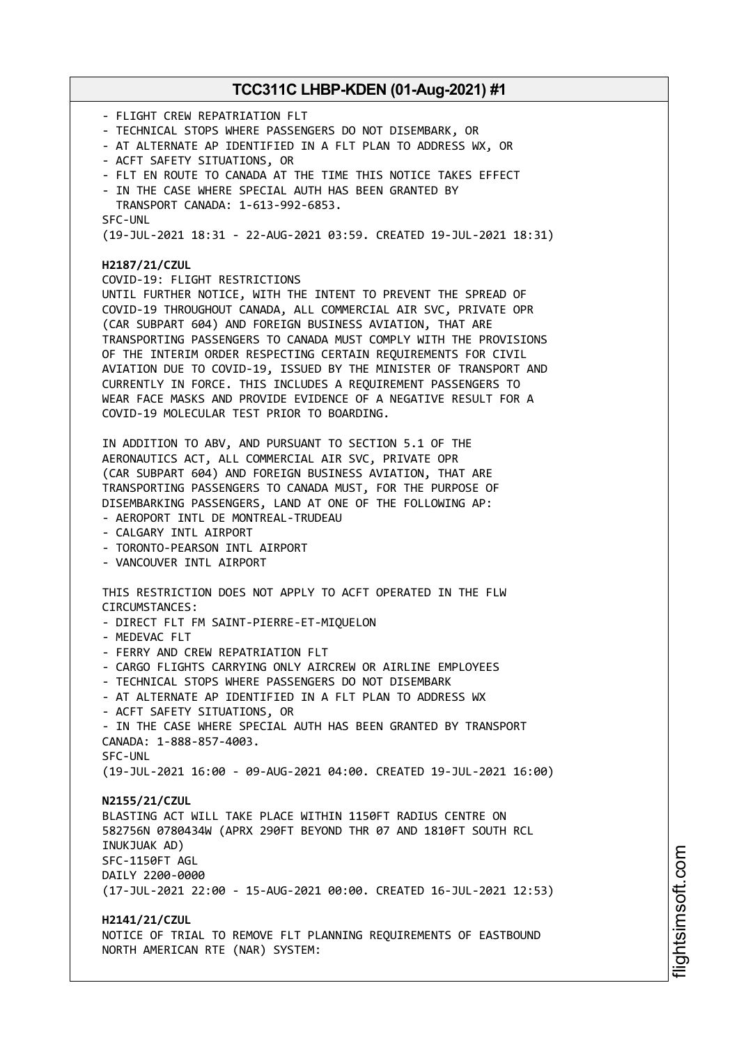- FLIGHT CREW REPATRIATION FLT - TECHNICAL STOPS WHERE PASSENGERS DO NOT DISEMBARK, OR - AT ALTERNATE AP IDENTIFIED IN A FLT PLAN TO ADDRESS WX, OR - ACFT SAFETY SITUATIONS, OR - FLT EN ROUTE TO CANADA AT THE TIME THIS NOTICE TAKES EFFECT - IN THE CASE WHERE SPECIAL AUTH HAS BEEN GRANTED BY TRANSPORT CANADA: 1-613-992-6853. SFC-UNL (19-JUL-2021 18:31 - 22-AUG-2021 03:59. CREATED 19-JUL-2021 18:31) **H2187/21/CZUL** COVID-19: FLIGHT RESTRICTIONS UNTIL FURTHER NOTICE, WITH THE INTENT TO PREVENT THE SPREAD OF COVID-19 THROUGHOUT CANADA, ALL COMMERCIAL AIR SVC, PRIVATE OPR (CAR SUBPART 604) AND FOREIGN BUSINESS AVIATION, THAT ARE TRANSPORTING PASSENGERS TO CANADA MUST COMPLY WITH THE PROVISIONS OF THE INTERIM ORDER RESPECTING CERTAIN REQUIREMENTS FOR CIVIL AVIATION DUE TO COVID-19, ISSUED BY THE MINISTER OF TRANSPORT AND CURRENTLY IN FORCE. THIS INCLUDES A REQUIREMENT PASSENGERS TO WEAR FACE MASKS AND PROVIDE EVIDENCE OF A NEGATIVE RESULT FOR A COVID-19 MOLECULAR TEST PRIOR TO BOARDING. IN ADDITION TO ABV, AND PURSUANT TO SECTION 5.1 OF THE AERONAUTICS ACT, ALL COMMERCIAL AIR SVC, PRIVATE OPR (CAR SUBPART 604) AND FOREIGN BUSINESS AVIATION, THAT ARE TRANSPORTING PASSENGERS TO CANADA MUST, FOR THE PURPOSE OF DISEMBARKING PASSENGERS, LAND AT ONE OF THE FOLLOWING AP: - AEROPORT INTL DE MONTREAL-TRUDEAU - CALGARY INTL AIRPORT - TORONTO-PEARSON INTL AIRPORT - VANCOUVER INTL AIRPORT THIS RESTRICTION DOES NOT APPLY TO ACFT OPERATED IN THE FLW CIRCUMSTANCES: - DIRECT FLT FM SAINT-PIERRE-ET-MIQUELON - MEDEVAC FLT - FERRY AND CREW REPATRIATION FLT - CARGO FLIGHTS CARRYING ONLY AIRCREW OR AIRLINE EMPLOYEES - TECHNICAL STOPS WHERE PASSENGERS DO NOT DISEMBARK - AT ALTERNATE AP IDENTIFIED IN A FLT PLAN TO ADDRESS WX - ACFT SAFETY SITUATIONS, OR - IN THE CASE WHERE SPECIAL AUTH HAS BEEN GRANTED BY TRANSPORT CANADA: 1-888-857-4003. SFC-UNL (19-JUL-2021 16:00 - 09-AUG-2021 04:00. CREATED 19-JUL-2021 16:00) **N2155/21/CZUL** BLASTING ACT WILL TAKE PLACE WITHIN 1150FT RADIUS CENTRE ON 582756N 0780434W (APRX 290FT BEYOND THR 07 AND 1810FT SOUTH RCL INUKJUAK AD) SFC-1150FT AGL DAILY 2200-0000 (17-JUL-2021 22:00 - 15-AUG-2021 00:00. CREATED 16-JUL-2021 12:53) **H2141/21/CZUL** NOTICE OF TRIAL TO REMOVE FLT PLANNING REQUIREMENTS OF EASTBOUND NORTH AMERICAN RTE (NAR) SYSTEM: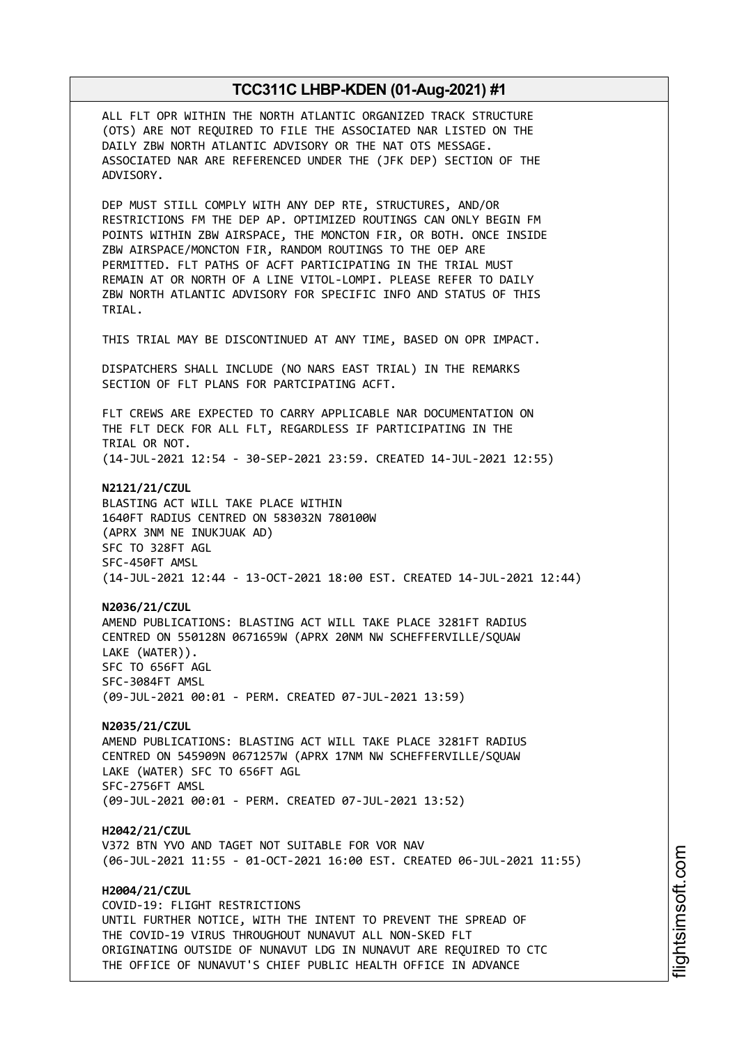ALL FLT OPR WITHIN THE NORTH ATLANTIC ORGANIZED TRACK STRUCTURE (OTS) ARE NOT REQUIRED TO FILE THE ASSOCIATED NAR LISTED ON THE DAILY ZBW NORTH ATLANTIC ADVISORY OR THE NAT OTS MESSAGE. ASSOCIATED NAR ARE REFERENCED UNDER THE (JFK DEP) SECTION OF THE ADVISORY.

DEP MUST STILL COMPLY WITH ANY DEP RTE, STRUCTURES, AND/OR RESTRICTIONS FM THE DEP AP. OPTIMIZED ROUTINGS CAN ONLY BEGIN FM POINTS WITHIN ZBW AIRSPACE, THE MONCTON FIR, OR BOTH. ONCE INSIDE ZBW AIRSPACE/MONCTON FIR, RANDOM ROUTINGS TO THE OEP ARE PERMITTED. FLT PATHS OF ACFT PARTICIPATING IN THE TRIAL MUST REMAIN AT OR NORTH OF A LINE VITOL-LOMPI. PLEASE REFER TO DAILY ZBW NORTH ATLANTIC ADVISORY FOR SPECIFIC INFO AND STATUS OF THIS TRIAL.

THIS TRIAL MAY BE DISCONTINUED AT ANY TIME, BASED ON OPR IMPACT.

DISPATCHERS SHALL INCLUDE (NO NARS EAST TRIAL) IN THE REMARKS SECTION OF FLT PLANS FOR PARTCIPATING ACFT.

FLT CREWS ARE EXPECTED TO CARRY APPLICABLE NAR DOCUMENTATION ON THE FLT DECK FOR ALL FLT, REGARDLESS IF PARTICIPATING IN THE TRIAL OR NOT. (14-JUL-2021 12:54 - 30-SEP-2021 23:59. CREATED 14-JUL-2021 12:55)

**N2121/21/CZUL** BLASTING ACT WILL TAKE PLACE WITHIN 1640FT RADIUS CENTRED ON 583032N 780100W (APRX 3NM NE INUKJUAK AD) SFC TO 328FT AGL SFC-450FT AMSL (14-JUL-2021 12:44 - 13-OCT-2021 18:00 EST. CREATED 14-JUL-2021 12:44)

**N2036/21/CZUL** AMEND PUBLICATIONS: BLASTING ACT WILL TAKE PLACE 3281FT RADIUS CENTRED ON 550128N 0671659W (APRX 20NM NW SCHEFFERVILLE/SQUAW LAKE (WATER)). SFC TO 656FT AGL SFC-3084FT AMSL (09-JUL-2021 00:01 - PERM. CREATED 07-JUL-2021 13:59)

**N2035/21/CZUL** AMEND PUBLICATIONS: BLASTING ACT WILL TAKE PLACE 3281FT RADIUS CENTRED ON 545909N 0671257W (APRX 17NM NW SCHEFFERVILLE/SQUAW LAKE (WATER) SFC TO 656FT AGL SFC-2756FT AMSL (09-JUL-2021 00:01 - PERM. CREATED 07-JUL-2021 13:52)

**H2042/21/CZUL** V372 BTN YVO AND TAGET NOT SUITABLE FOR VOR NAV (06-JUL-2021 11:55 - 01-OCT-2021 16:00 EST. CREATED 06-JUL-2021 11:55)

**H2004/21/CZUL** COVID-19: FLIGHT RESTRICTIONS UNTIL FURTHER NOTICE, WITH THE INTENT TO PREVENT THE SPREAD OF THE COVID-19 VIRUS THROUGHOUT NUNAVUT ALL NON-SKED FLT ORIGINATING OUTSIDE OF NUNAVUT LDG IN NUNAVUT ARE REQUIRED TO CTC THE OFFICE OF NUNAVUT'S CHIEF PUBLIC HEALTH OFFICE IN ADVANCE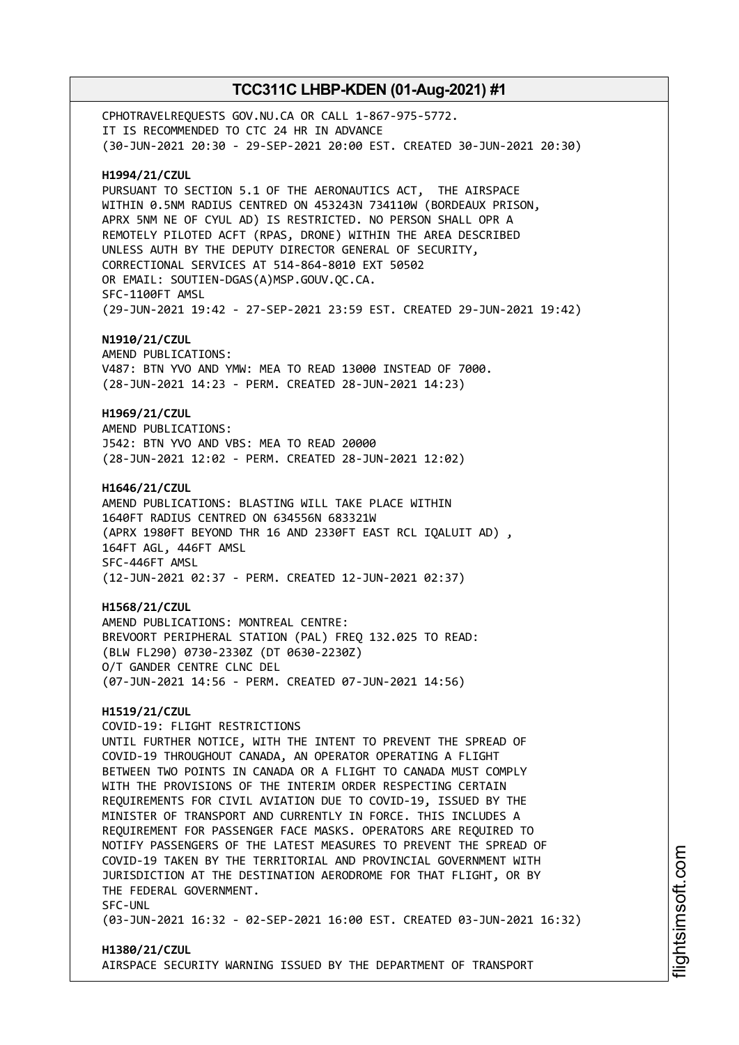CPHOTRAVELREQUESTS GOV.NU.CA OR CALL 1-867-975-5772. IT IS RECOMMENDED TO CTC 24 HR IN ADVANCE (30-JUN-2021 20:30 - 29-SEP-2021 20:00 EST. CREATED 30-JUN-2021 20:30) **H1994/21/CZUL** PURSUANT TO SECTION 5.1 OF THE AERONAUTICS ACT, THE AIRSPACE WITHIN 0.5NM RADIUS CENTRED ON 453243N 734110W (BORDEAUX PRISON, APRX 5NM NE OF CYUL AD) IS RESTRICTED. NO PERSON SHALL OPR A REMOTELY PILOTED ACFT (RPAS, DRONE) WITHIN THE AREA DESCRIBED UNLESS AUTH BY THE DEPUTY DIRECTOR GENERAL OF SECURITY, CORRECTIONAL SERVICES AT 514-864-8010 EXT 50502 OR EMAIL: SOUTIEN-DGAS(A)MSP.GOUV.QC.CA. SFC-1100FT AMSL (29-JUN-2021 19:42 - 27-SEP-2021 23:59 EST. CREATED 29-JUN-2021 19:42) **N1910/21/CZUL** AMEND PUBLICATIONS: V487: BTN YVO AND YMW: MEA TO READ 13000 INSTEAD OF 7000. (28-JUN-2021 14:23 - PERM. CREATED 28-JUN-2021 14:23) **H1969/21/CZUL** AMEND PUBLICATIONS: J542: BTN YVO AND VBS: MEA TO READ 20000 (28-JUN-2021 12:02 - PERM. CREATED 28-JUN-2021 12:02) **H1646/21/CZUL** AMEND PUBLICATIONS: BLASTING WILL TAKE PLACE WITHIN 1640FT RADIUS CENTRED ON 634556N 683321W (APRX 1980FT BEYOND THR 16 AND 2330FT EAST RCL IQALUIT AD) , 164FT AGL, 446FT AMSL SFC-446FT AMSL (12-JUN-2021 02:37 - PERM. CREATED 12-JUN-2021 02:37) **H1568/21/CZUL** AMEND PUBLICATIONS: MONTREAL CENTRE: BREVOORT PERIPHERAL STATION (PAL) FREQ 132.025 TO READ: (BLW FL290) 0730-2330Z (DT 0630-2230Z) O/T GANDER CENTRE CLNC DEL (07-JUN-2021 14:56 - PERM. CREATED 07-JUN-2021 14:56) **H1519/21/CZUL** COVID-19: FLIGHT RESTRICTIONS UNTIL FURTHER NOTICE, WITH THE INTENT TO PREVENT THE SPREAD OF COVID-19 THROUGHOUT CANADA, AN OPERATOR OPERATING A FLIGHT BETWEEN TWO POINTS IN CANADA OR A FLIGHT TO CANADA MUST COMPLY WITH THE PROVISIONS OF THE INTERIM ORDER RESPECTING CERTAIN REQUIREMENTS FOR CIVIL AVIATION DUE TO COVID-19, ISSUED BY THE MINISTER OF TRANSPORT AND CURRENTLY IN FORCE. THIS INCLUDES A REQUIREMENT FOR PASSENGER FACE MASKS. OPERATORS ARE REQUIRED TO NOTIFY PASSENGERS OF THE LATEST MEASURES TO PREVENT THE SPREAD OF COVID-19 TAKEN BY THE TERRITORIAL AND PROVINCIAL GOVERNMENT WITH JURISDICTION AT THE DESTINATION AERODROME FOR THAT FLIGHT, OR BY THE FEDERAL GOVERNMENT. SFC-UNL (03-JUN-2021 16:32 - 02-SEP-2021 16:00 EST. CREATED 03-JUN-2021 16:32)

# **H1380/21/CZUL** AIRSPACE SECURITY WARNING ISSUED BY THE DEPARTMENT OF TRANSPORT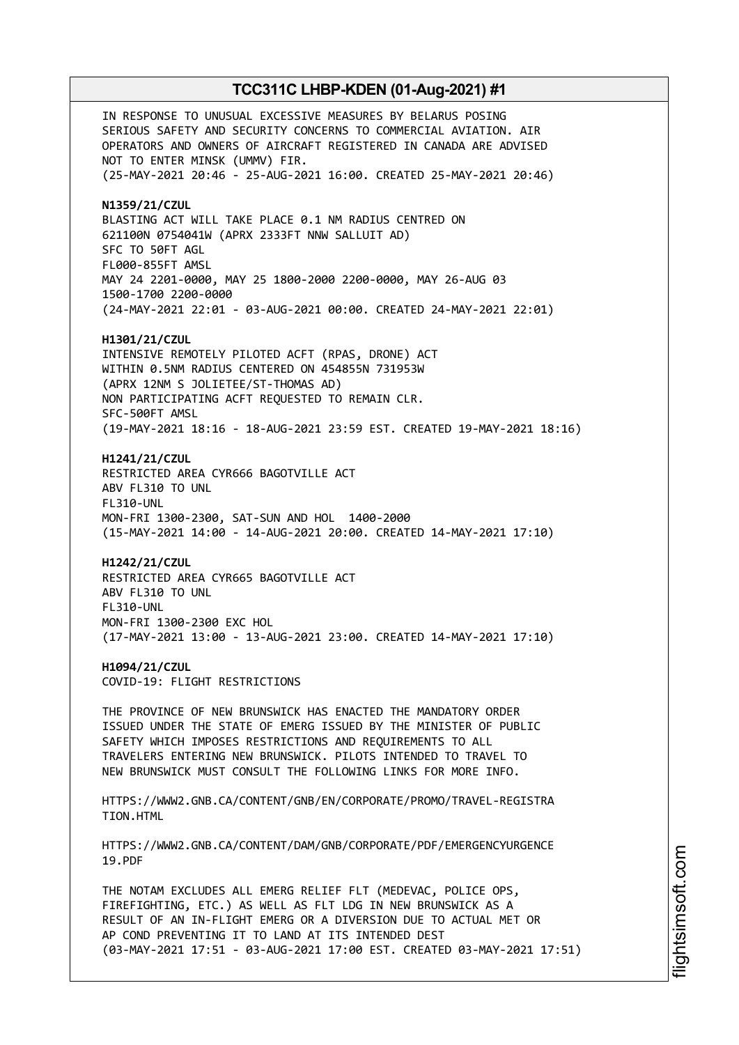IN RESPONSE TO UNUSUAL EXCESSIVE MEASURES BY BELARUS POSING SERIOUS SAFETY AND SECURITY CONCERNS TO COMMERCIAL AVIATION. AIR OPERATORS AND OWNERS OF AIRCRAFT REGISTERED IN CANADA ARE ADVISED NOT TO ENTER MINSK (UMMV) FIR. (25-MAY-2021 20:46 - 25-AUG-2021 16:00. CREATED 25-MAY-2021 20:46) **N1359/21/CZUL** BLASTING ACT WILL TAKE PLACE 0.1 NM RADIUS CENTRED ON 621100N 0754041W (APRX 2333FT NNW SALLUIT AD) SFC TO 50FT AGL FL000-855FT AMSL MAY 24 2201-0000, MAY 25 1800-2000 2200-0000, MAY 26-AUG 03 1500-1700 2200-0000 (24-MAY-2021 22:01 - 03-AUG-2021 00:00. CREATED 24-MAY-2021 22:01) **H1301/21/CZUL** INTENSIVE REMOTELY PILOTED ACFT (RPAS, DRONE) ACT WITHIN 0.5NM RADIUS CENTERED ON 454855N 731953W (APRX 12NM S JOLIETEE/ST-THOMAS AD) NON PARTICIPATING ACFT REQUESTED TO REMAIN CLR. SFC-500FT AMSL (19-MAY-2021 18:16 - 18-AUG-2021 23:59 EST. CREATED 19-MAY-2021 18:16) **H1241/21/CZUL** RESTRICTED AREA CYR666 BAGOTVILLE ACT ABV FL310 TO UNL FL310-UNL MON-FRI 1300-2300, SAT-SUN AND HOL 1400-2000 (15-MAY-2021 14:00 - 14-AUG-2021 20:00. CREATED 14-MAY-2021 17:10) **H1242/21/CZUL** RESTRICTED AREA CYR665 BAGOTVILLE ACT ABV FL310 TO UNL FL310-UNL MON-FRI 1300-2300 EXC HOL (17-MAY-2021 13:00 - 13-AUG-2021 23:00. CREATED 14-MAY-2021 17:10) **H1094/21/CZUL** COVID-19: FLIGHT RESTRICTIONS THE PROVINCE OF NEW BRUNSWICK HAS ENACTED THE MANDATORY ORDER ISSUED UNDER THE STATE OF EMERG ISSUED BY THE MINISTER OF PUBLIC SAFETY WHICH IMPOSES RESTRICTIONS AND REQUIREMENTS TO ALL TRAVELERS ENTERING NEW BRUNSWICK. PILOTS INTENDED TO TRAVEL TO NEW BRUNSWICK MUST CONSULT THE FOLLOWING LINKS FOR MORE INFO. HTTPS://WWW2.GNB.CA/CONTENT/GNB/EN/CORPORATE/PROMO/TRAVEL-REGISTRA TION.HTML HTTPS://WWW2.GNB.CA/CONTENT/DAM/GNB/CORPORATE/PDF/EMERGENCYURGENCE 19.PDF THE NOTAM EXCLUDES ALL EMERG RELIEF FLT (MEDEVAC, POLICE OPS, FIREFIGHTING, ETC.) AS WELL AS FLT LDG IN NEW BRUNSWICK AS A RESULT OF AN IN-FLIGHT EMERG OR A DIVERSION DUE TO ACTUAL MET OR AP COND PREVENTING IT TO LAND AT ITS INTENDED DEST

(03-MAY-2021 17:51 - 03-AUG-2021 17:00 EST. CREATED 03-MAY-2021 17:51)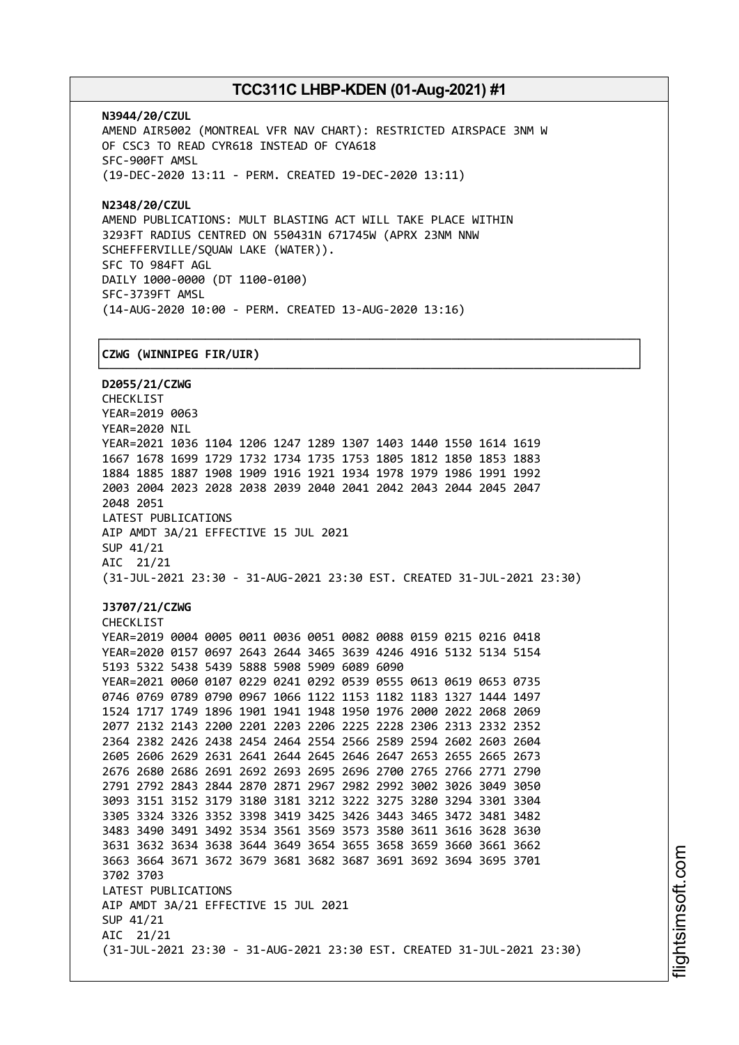┌──────────────────────────────────────────────────────────────────────────────┐

**N3944/20/CZUL** AMEND AIR5002 (MONTREAL VFR NAV CHART): RESTRICTED AIRSPACE 3NM W OF CSC3 TO READ CYR618 INSTEAD OF CYA618 SFC-900FT AMSL (19-DEC-2020 13:11 - PERM. CREATED 19-DEC-2020 13:11)

**N2348/20/CZUL** AMEND PUBLICATIONS: MULT BLASTING ACT WILL TAKE PLACE WITHIN 3293FT RADIUS CENTRED ON 550431N 671745W (APRX 23NM NNW SCHEFFERVILLE/SQUAW LAKE (WATER)). SFC TO 984FT AGL DAILY 1000-0000 (DT 1100-0100) SFC-3739FT AMSL (14-AUG-2020 10:00 - PERM. CREATED 13-AUG-2020 13:16)

# │**CZWG (WINNIPEG FIR/UIR)** │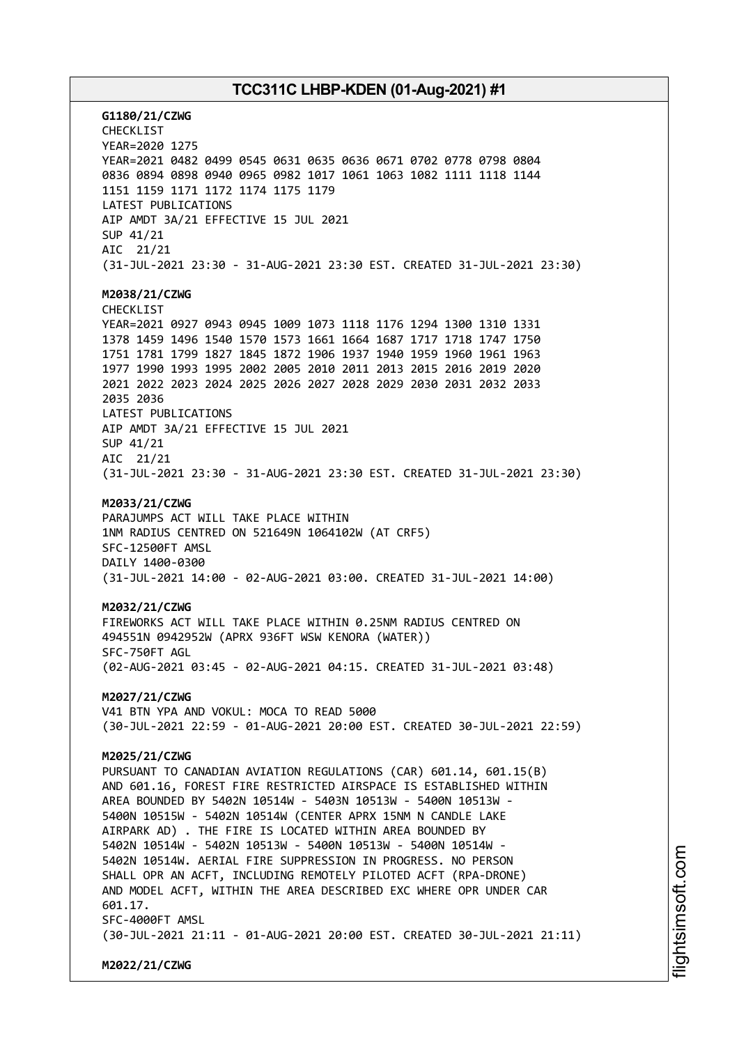**G1180/21/CZWG** CHECKLIST YEAR=2020 1275 YEAR=2021 0482 0499 0545 0631 0635 0636 0671 0702 0778 0798 0804 0836 0894 0898 0940 0965 0982 1017 1061 1063 1082 1111 1118 1144 1151 1159 1171 1172 1174 1175 1179 LATEST PUBLICATIONS AIP AMDT 3A/21 EFFECTIVE 15 JUL 2021 SUP 41/21 AIC 21/21 (31-JUL-2021 23:30 - 31-AUG-2021 23:30 EST. CREATED 31-JUL-2021 23:30) **M2038/21/CZWG** CHECKLIST YEAR=2021 0927 0943 0945 1009 1073 1118 1176 1294 1300 1310 1331 1378 1459 1496 1540 1570 1573 1661 1664 1687 1717 1718 1747 1750 1751 1781 1799 1827 1845 1872 1906 1937 1940 1959 1960 1961 1963 1977 1990 1993 1995 2002 2005 2010 2011 2013 2015 2016 2019 2020 2021 2022 2023 2024 2025 2026 2027 2028 2029 2030 2031 2032 2033 2035 2036 LATEST PUBLICATIONS AIP AMDT 3A/21 EFFECTIVE 15 JUL 2021 SUP 41/21 AIC 21/21 (31-JUL-2021 23:30 - 31-AUG-2021 23:30 EST. CREATED 31-JUL-2021 23:30) **M2033/21/CZWG** PARAJUMPS ACT WILL TAKE PLACE WITHIN 1NM RADIUS CENTRED ON 521649N 1064102W (AT CRF5) SFC-12500FT AMSL DAILY 1400-0300 (31-JUL-2021 14:00 - 02-AUG-2021 03:00. CREATED 31-JUL-2021 14:00) **M2032/21/CZWG** FIREWORKS ACT WILL TAKE PLACE WITHIN 0.25NM RADIUS CENTRED ON 494551N 0942952W (APRX 936FT WSW KENORA (WATER)) SFC-750FT AGL (02-AUG-2021 03:45 - 02-AUG-2021 04:15. CREATED 31-JUL-2021 03:48) **M2027/21/CZWG** V41 BTN YPA AND VOKUL: MOCA TO READ 5000 (30-JUL-2021 22:59 - 01-AUG-2021 20:00 EST. CREATED 30-JUL-2021 22:59) **M2025/21/CZWG** PURSUANT TO CANADIAN AVIATION REGULATIONS (CAR) 601.14, 601.15(B) AND 601.16, FOREST FIRE RESTRICTED AIRSPACE IS ESTABLISHED WITHIN AREA BOUNDED BY 5402N 10514W - 5403N 10513W - 5400N 10513W - 5400N 10515W - 5402N 10514W (CENTER APRX 15NM N CANDLE LAKE AIRPARK AD) . THE FIRE IS LOCATED WITHIN AREA BOUNDED BY 5402N 10514W - 5402N 10513W - 5400N 10513W - 5400N 10514W - 5402N 10514W. AERIAL FIRE SUPPRESSION IN PROGRESS. NO PERSON SHALL OPR AN ACFT, INCLUDING REMOTELY PILOTED ACFT (RPA-DRONE) AND MODEL ACFT, WITHIN THE AREA DESCRIBED EXC WHERE OPR UNDER CAR 601.17. SFC-4000FT AMSL (30-JUL-2021 21:11 - 01-AUG-2021 20:00 EST. CREATED 30-JUL-2021 21:11) **M2022/21/CZWG**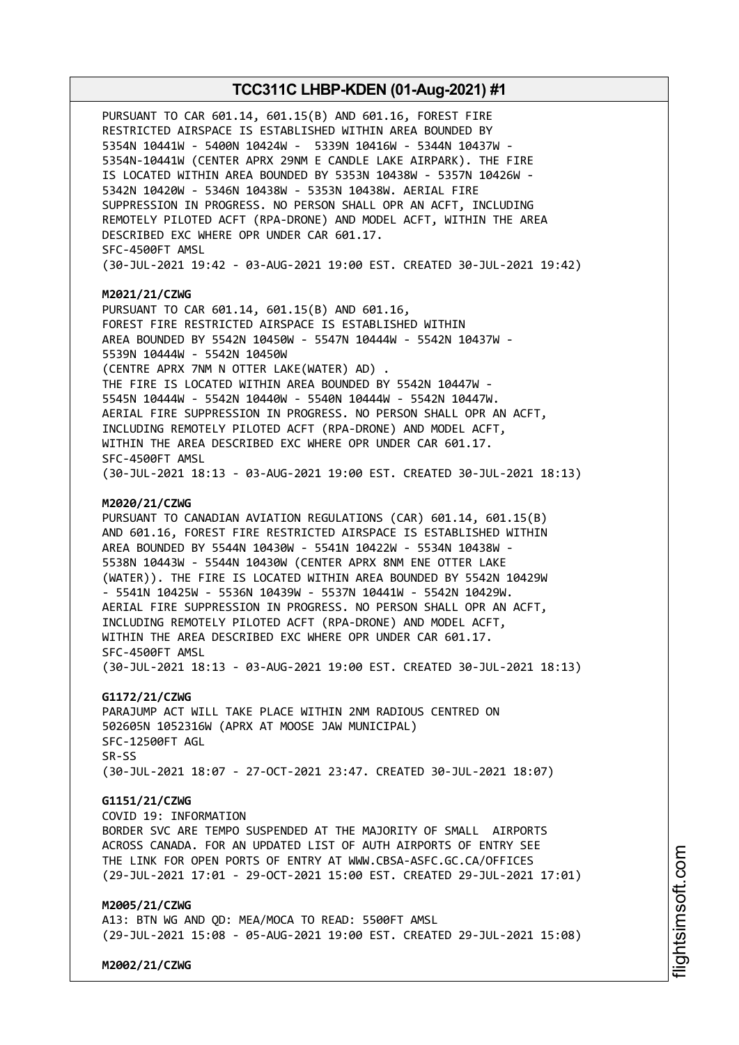PURSUANT TO CAR 601.14, 601.15(B) AND 601.16, FOREST FIRE RESTRICTED AIRSPACE IS ESTABLISHED WITHIN AREA BOUNDED BY 5354N 10441W - 5400N 10424W - 5339N 10416W - 5344N 10437W - 5354N-10441W (CENTER APRX 29NM E CANDLE LAKE AIRPARK). THE FIRE IS LOCATED WITHIN AREA BOUNDED BY 5353N 10438W - 5357N 10426W - 5342N 10420W - 5346N 10438W - 5353N 10438W. AERIAL FIRE SUPPRESSION IN PROGRESS. NO PERSON SHALL OPR AN ACFT, INCLUDING REMOTELY PILOTED ACFT (RPA-DRONE) AND MODEL ACFT, WITHIN THE AREA DESCRIBED EXC WHERE OPR UNDER CAR 601.17. SFC-4500FT AMSL (30-JUL-2021 19:42 - 03-AUG-2021 19:00 EST. CREATED 30-JUL-2021 19:42)

#### **M2021/21/CZWG**

PURSUANT TO CAR 601.14, 601.15(B) AND 601.16, FOREST FIRE RESTRICTED AIRSPACE IS ESTABLISHED WITHIN AREA BOUNDED BY 5542N 10450W - 5547N 10444W - 5542N 10437W - 5539N 10444W - 5542N 10450W (CENTRE APRX 7NM N OTTER LAKE(WATER) AD) . THE FIRE IS LOCATED WITHIN AREA BOUNDED BY 5542N 10447W - 5545N 10444W - 5542N 10440W - 5540N 10444W - 5542N 10447W. AERIAL FIRE SUPPRESSION IN PROGRESS. NO PERSON SHALL OPR AN ACFT, INCLUDING REMOTELY PILOTED ACFT (RPA-DRONE) AND MODEL ACFT, WITHIN THE AREA DESCRIBED EXC WHERE OPR UNDER CAR 601.17. SFC-4500FT AMSL (30-JUL-2021 18:13 - 03-AUG-2021 19:00 EST. CREATED 30-JUL-2021 18:13)

#### **M2020/21/CZWG**

PURSUANT TO CANADIAN AVIATION REGULATIONS (CAR) 601.14, 601.15(B) AND 601.16, FOREST FIRE RESTRICTED AIRSPACE IS ESTABLISHED WITHIN AREA BOUNDED BY 5544N 10430W - 5541N 10422W - 5534N 10438W - 5538N 10443W - 5544N 10430W (CENTER APRX 8NM ENE OTTER LAKE (WATER)). THE FIRE IS LOCATED WITHIN AREA BOUNDED BY 5542N 10429W - 5541N 10425W - 5536N 10439W - 5537N 10441W - 5542N 10429W. AERIAL FIRE SUPPRESSION IN PROGRESS. NO PERSON SHALL OPR AN ACFT, INCLUDING REMOTELY PILOTED ACFT (RPA-DRONE) AND MODEL ACFT, WITHIN THE AREA DESCRIBED EXC WHERE OPR UNDER CAR 601.17. SFC-4500FT AMSL (30-JUL-2021 18:13 - 03-AUG-2021 19:00 EST. CREATED 30-JUL-2021 18:13)

### **G1172/21/CZWG**

PARAJUMP ACT WILL TAKE PLACE WITHIN 2NM RADIOUS CENTRED ON 502605N 1052316W (APRX AT MOOSE JAW MUNICIPAL) SFC-12500FT AGL SR-SS (30-JUL-2021 18:07 - 27-OCT-2021 23:47. CREATED 30-JUL-2021 18:07)

# **G1151/21/CZWG**

COVID 19: INFORMATION BORDER SVC ARE TEMPO SUSPENDED AT THE MAJORITY OF SMALL AIRPORTS ACROSS CANADA. FOR AN UPDATED LIST OF AUTH AIRPORTS OF ENTRY SEE THE LINK FOR OPEN PORTS OF ENTRY AT WWW.CBSA-ASFC.GC.CA/OFFICES

# (29-JUL-2021 17:01 - 29-OCT-2021 15:00 EST. CREATED 29-JUL-2021 17:01)

# **M2005/21/CZWG**

A13: BTN WG AND QD: MEA/MOCA TO READ: 5500FT AMSL (29-JUL-2021 15:08 - 05-AUG-2021 19:00 EST. CREATED 29-JUL-2021 15:08)

**M2002/21/CZWG**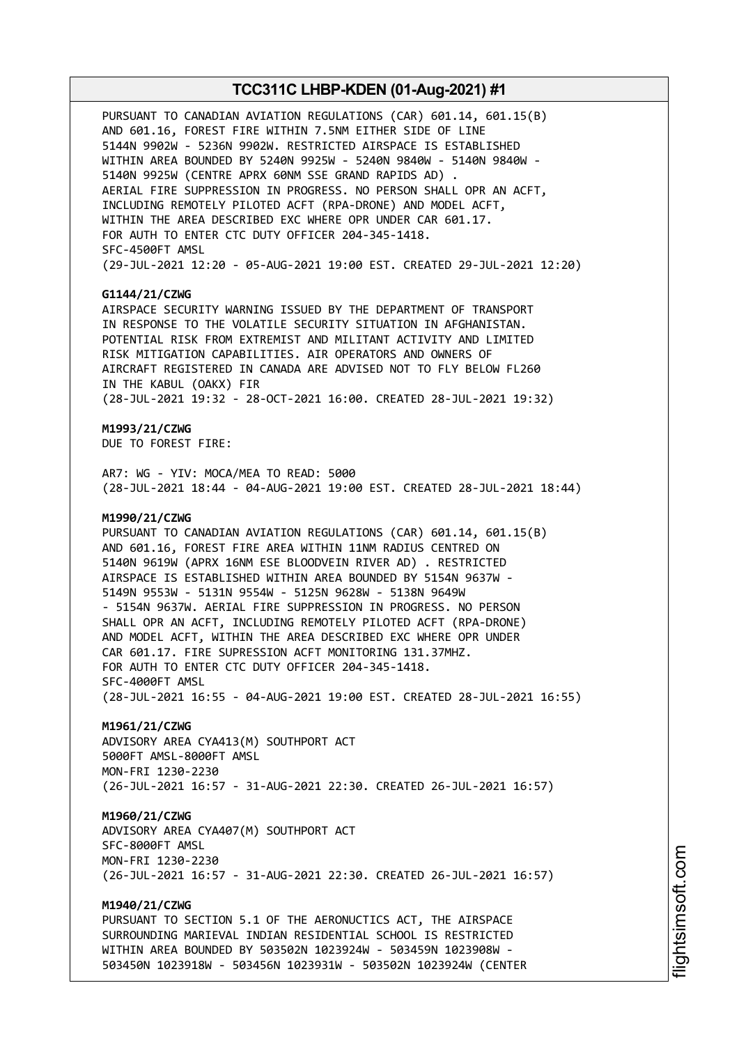PURSUANT TO CANADIAN AVIATION REGULATIONS (CAR) 601.14, 601.15(B) AND 601.16, FOREST FIRE WITHIN 7.5NM EITHER SIDE OF LINE 5144N 9902W - 5236N 9902W. RESTRICTED AIRSPACE IS ESTABLISHED WITHIN AREA BOUNDED BY 5240N 9925W - 5240N 9840W - 5140N 9840W - 5140N 9925W (CENTRE APRX 60NM SSE GRAND RAPIDS AD) . AERIAL FIRE SUPPRESSION IN PROGRESS. NO PERSON SHALL OPR AN ACFT, INCLUDING REMOTELY PILOTED ACFT (RPA-DRONE) AND MODEL ACFT, WITHIN THE AREA DESCRIBED EXC WHERE OPR UNDER CAR 601.17. FOR AUTH TO ENTER CTC DUTY OFFICER 204-345-1418. SFC-4500FT AMSL (29-JUL-2021 12:20 - 05-AUG-2021 19:00 EST. CREATED 29-JUL-2021 12:20)

### **G1144/21/CZWG**

AIRSPACE SECURITY WARNING ISSUED BY THE DEPARTMENT OF TRANSPORT IN RESPONSE TO THE VOLATILE SECURITY SITUATION IN AFGHANISTAN. POTENTIAL RISK FROM EXTREMIST AND MILITANT ACTIVITY AND LIMITED RISK MITIGATION CAPABILITIES. AIR OPERATORS AND OWNERS OF AIRCRAFT REGISTERED IN CANADA ARE ADVISED NOT TO FLY BELOW FL260 IN THE KABUL (OAKX) FIR (28-JUL-2021 19:32 - 28-OCT-2021 16:00. CREATED 28-JUL-2021 19:32)

# **M1993/21/CZWG**

DUE TO FOREST FIRE:

AR7: WG - YIV: MOCA/MEA TO READ: 5000 (28-JUL-2021 18:44 - 04-AUG-2021 19:00 EST. CREATED 28-JUL-2021 18:44)

### **M1990/21/CZWG**

PURSUANT TO CANADIAN AVIATION REGULATIONS (CAR) 601.14, 601.15(B) AND 601.16, FOREST FIRE AREA WITHIN 11NM RADIUS CENTRED ON 5140N 9619W (APRX 16NM ESE BLOODVEIN RIVER AD) . RESTRICTED AIRSPACE IS ESTABLISHED WITHIN AREA BOUNDED BY 5154N 9637W - 5149N 9553W - 5131N 9554W - 5125N 9628W - 5138N 9649W - 5154N 9637W. AERIAL FIRE SUPPRESSION IN PROGRESS. NO PERSON SHALL OPR AN ACFT, INCLUDING REMOTELY PILOTED ACFT (RPA-DRONE) AND MODEL ACFT, WITHIN THE AREA DESCRIBED EXC WHERE OPR UNDER CAR 601.17. FIRE SUPRESSION ACFT MONITORING 131.37MHZ. FOR AUTH TO ENTER CTC DUTY OFFICER 204-345-1418. SFC-4000FT AMSL (28-JUL-2021 16:55 - 04-AUG-2021 19:00 EST. CREATED 28-JUL-2021 16:55)

#### **M1961/21/CZWG**

ADVISORY AREA CYA413(M) SOUTHPORT ACT 5000FT AMSL-8000FT AMSL MON-FRI 1230-2230 (26-JUL-2021 16:57 - 31-AUG-2021 22:30. CREATED 26-JUL-2021 16:57)

### **M1960/21/CZWG**

ADVISORY AREA CYA407(M) SOUTHPORT ACT SFC-8000FT AMSL MON-FRI 1230-2230 (26-JUL-2021 16:57 - 31-AUG-2021 22:30. CREATED 26-JUL-2021 16:57)

### **M1940/21/CZWG**

PURSUANT TO SECTION 5.1 OF THE AERONUCTICS ACT, THE AIRSPACE SURROUNDING MARIEVAL INDIAN RESIDENTIAL SCHOOL IS RESTRICTED WITHIN AREA BOUNDED BY 503502N 1023924W - 503459N 1023908W - 503450N 1023918W - 503456N 1023931W - 503502N 1023924W (CENTER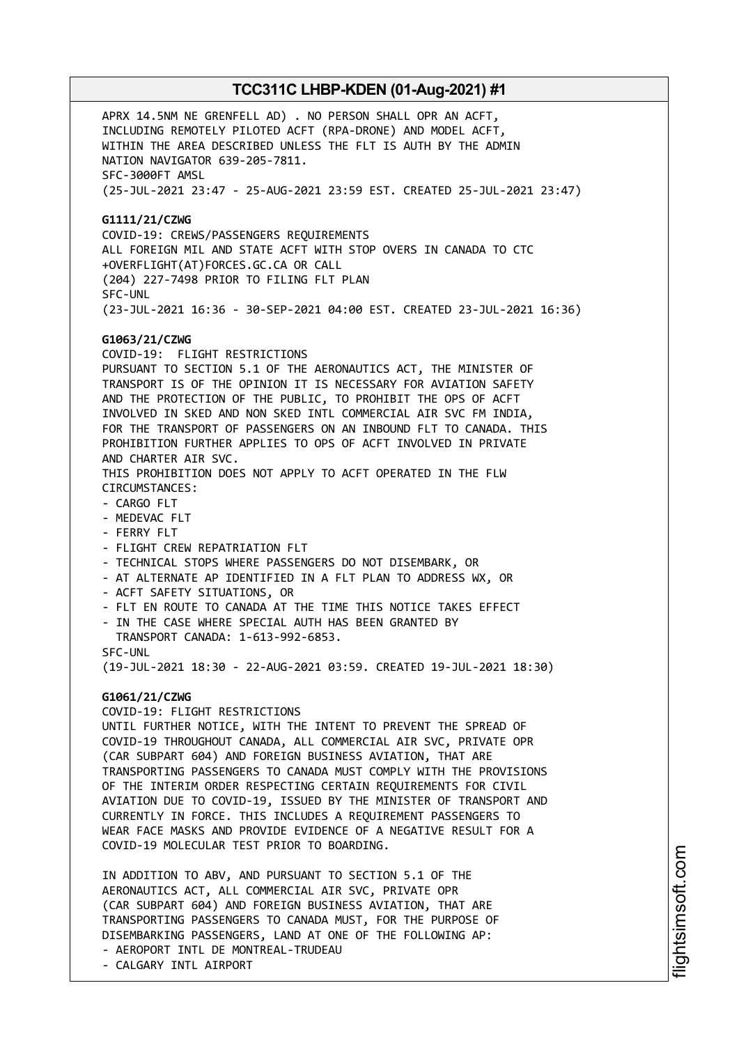APRX 14.5NM NE GRENFELL AD) . NO PERSON SHALL OPR AN ACFT, INCLUDING REMOTELY PILOTED ACFT (RPA-DRONE) AND MODEL ACFT, WITHIN THE AREA DESCRIBED UNLESS THE FLT IS AUTH BY THE ADMIN NATION NAVIGATOR 639-205-7811. SFC-3000FT AMSL (25-JUL-2021 23:47 - 25-AUG-2021 23:59 EST. CREATED 25-JUL-2021 23:47) **G1111/21/CZWG** COVID-19: CREWS/PASSENGERS REQUIREMENTS ALL FOREIGN MIL AND STATE ACFT WITH STOP OVERS IN CANADA TO CTC +OVERFLIGHT(AT)FORCES.GC.CA OR CALL (204) 227-7498 PRIOR TO FILING FLT PLAN SFC-UNL (23-JUL-2021 16:36 - 30-SEP-2021 04:00 EST. CREATED 23-JUL-2021 16:36) **G1063/21/CZWG** COVID-19: FLIGHT RESTRICTIONS PURSUANT TO SECTION 5.1 OF THE AERONAUTICS ACT, THE MINISTER OF TRANSPORT IS OF THE OPINION IT IS NECESSARY FOR AVIATION SAFETY AND THE PROTECTION OF THE PUBLIC, TO PROHIBIT THE OPS OF ACFT INVOLVED IN SKED AND NON SKED INTL COMMERCIAL AIR SVC FM INDIA, FOR THE TRANSPORT OF PASSENGERS ON AN INBOUND FLT TO CANADA. THIS PROHIBITION FURTHER APPLIES TO OPS OF ACFT INVOLVED IN PRIVATE AND CHARTER AIR SVC. THIS PROHIBITION DOES NOT APPLY TO ACFT OPERATED IN THE FLW CIRCUMSTANCES: - CARGO FLT - MEDEVAC FLT - FERRY FLT - FLIGHT CREW REPATRIATION FLT - TECHNICAL STOPS WHERE PASSENGERS DO NOT DISEMBARK, OR - AT ALTERNATE AP IDENTIFIED IN A FLT PLAN TO ADDRESS WX, OR - ACFT SAFETY SITUATIONS, OR - FLT EN ROUTE TO CANADA AT THE TIME THIS NOTICE TAKES EFFECT - IN THE CASE WHERE SPECIAL AUTH HAS BEEN GRANTED BY TRANSPORT CANADA: 1-613-992-6853. SFC-UNL (19-JUL-2021 18:30 - 22-AUG-2021 03:59. CREATED 19-JUL-2021 18:30) **G1061/21/CZWG** COVID-19: FLIGHT RESTRICTIONS UNTIL FURTHER NOTICE, WITH THE INTENT TO PREVENT THE SPREAD OF COVID-19 THROUGHOUT CANADA, ALL COMMERCIAL AIR SVC, PRIVATE OPR (CAR SUBPART 604) AND FOREIGN BUSINESS AVIATION, THAT ARE TRANSPORTING PASSENGERS TO CANADA MUST COMPLY WITH THE PROVISIONS OF THE INTERIM ORDER RESPECTING CERTAIN REQUIREMENTS FOR CIVIL AVIATION DUE TO COVID-19, ISSUED BY THE MINISTER OF TRANSPORT AND CURRENTLY IN FORCE. THIS INCLUDES A REQUIREMENT PASSENGERS TO WEAR FACE MASKS AND PROVIDE EVIDENCE OF A NEGATIVE RESULT FOR A COVID-19 MOLECULAR TEST PRIOR TO BOARDING. IN ADDITION TO ABV, AND PURSUANT TO SECTION 5.1 OF THE AERONAUTICS ACT, ALL COMMERCIAL AIR SVC, PRIVATE OPR (CAR SUBPART 604) AND FOREIGN BUSINESS AVIATION, THAT ARE TRANSPORTING PASSENGERS TO CANADA MUST, FOR THE PURPOSE OF

DISEMBARKING PASSENGERS, LAND AT ONE OF THE FOLLOWING AP: - AEROPORT INTL DE MONTREAL-TRUDEAU

- CALGARY INTL AIRPORT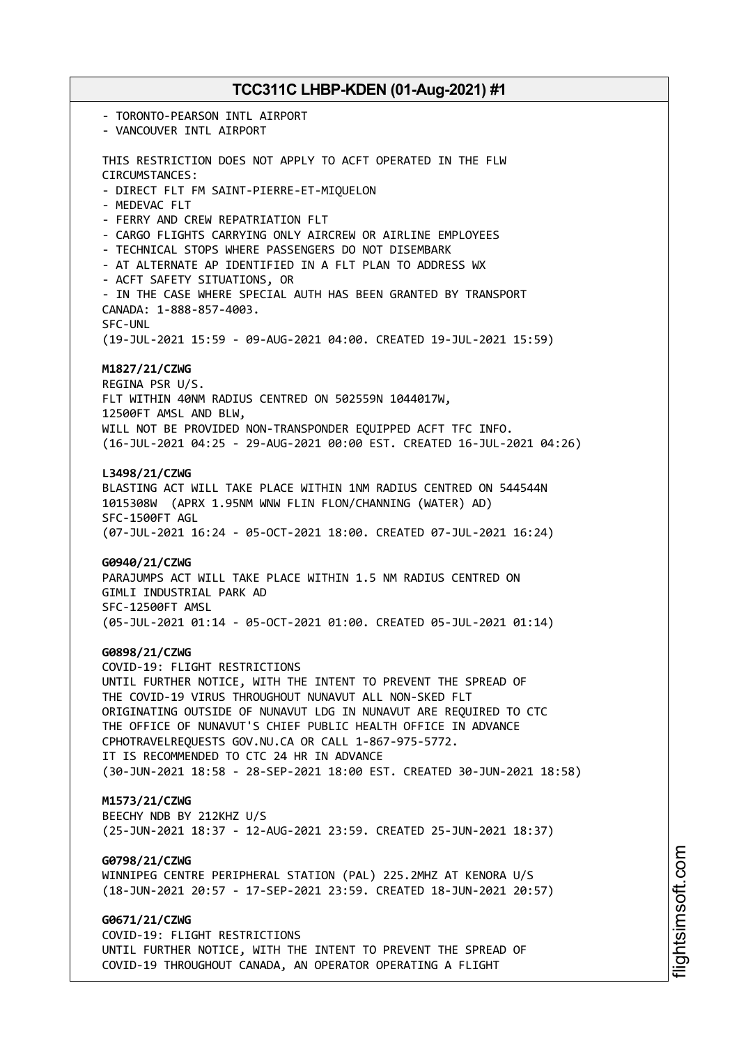- TORONTO-PEARSON INTL AIRPORT - VANCOUVER INTL AIRPORT THIS RESTRICTION DOES NOT APPLY TO ACFT OPERATED IN THE FLW CIRCUMSTANCES: - DIRECT FLT FM SAINT-PIERRE-ET-MIQUELON - MEDEVAC FLT - FERRY AND CREW REPATRIATION FLT - CARGO FLIGHTS CARRYING ONLY AIRCREW OR AIRLINE EMPLOYEES - TECHNICAL STOPS WHERE PASSENGERS DO NOT DISEMBARK - AT ALTERNATE AP IDENTIFIED IN A FLT PLAN TO ADDRESS WX - ACFT SAFETY SITUATIONS, OR - IN THE CASE WHERE SPECIAL AUTH HAS BEEN GRANTED BY TRANSPORT CANADA: 1-888-857-4003. SFC-UNL (19-JUL-2021 15:59 - 09-AUG-2021 04:00. CREATED 19-JUL-2021 15:59) **M1827/21/CZWG** REGINA PSR U/S. FLT WITHIN 40NM RADIUS CENTRED ON 502559N 1044017W, 12500FT AMSL AND BLW, WILL NOT BE PROVIDED NON-TRANSPONDER EQUIPPED ACFT TFC INFO. (16-JUL-2021 04:25 - 29-AUG-2021 00:00 EST. CREATED 16-JUL-2021 04:26) **L3498/21/CZWG** BLASTING ACT WILL TAKE PLACE WITHIN 1NM RADIUS CENTRED ON 544544N 1015308W (APRX 1.95NM WNW FLIN FLON/CHANNING (WATER) AD) SFC-1500FT AGL (07-JUL-2021 16:24 - 05-OCT-2021 18:00. CREATED 07-JUL-2021 16:24) **G0940/21/CZWG** PARAJUMPS ACT WILL TAKE PLACE WITHIN 1.5 NM RADIUS CENTRED ON GIMLI INDUSTRIAL PARK AD SFC-12500FT AMSL (05-JUL-2021 01:14 - 05-OCT-2021 01:00. CREATED 05-JUL-2021 01:14) **G0898/21/CZWG** COVID-19: FLIGHT RESTRICTIONS UNTIL FURTHER NOTICE, WITH THE INTENT TO PREVENT THE SPREAD OF THE COVID-19 VIRUS THROUGHOUT NUNAVUT ALL NON-SKED FLT ORIGINATING OUTSIDE OF NUNAVUT LDG IN NUNAVUT ARE REQUIRED TO CTC THE OFFICE OF NUNAVUT'S CHIEF PUBLIC HEALTH OFFICE IN ADVANCE CPHOTRAVELREQUESTS GOV.NU.CA OR CALL 1-867-975-5772. IT IS RECOMMENDED TO CTC 24 HR IN ADVANCE (30-JUN-2021 18:58 - 28-SEP-2021 18:00 EST. CREATED 30-JUN-2021 18:58) **M1573/21/CZWG** BEECHY NDB BY 212KHZ U/S (25-JUN-2021 18:37 - 12-AUG-2021 23:59. CREATED 25-JUN-2021 18:37) **G0798/21/CZWG** WINNIPEG CENTRE PERIPHERAL STATION (PAL) 225.2MHZ AT KENORA U/S (18-JUN-2021 20:57 - 17-SEP-2021 23:59. CREATED 18-JUN-2021 20:57) **G0671/21/CZWG** COVID-19: FLIGHT RESTRICTIONS UNTIL FURTHER NOTICE, WITH THE INTENT TO PREVENT THE SPREAD OF

COVID-19 THROUGHOUT CANADA, AN OPERATOR OPERATING A FLIGHT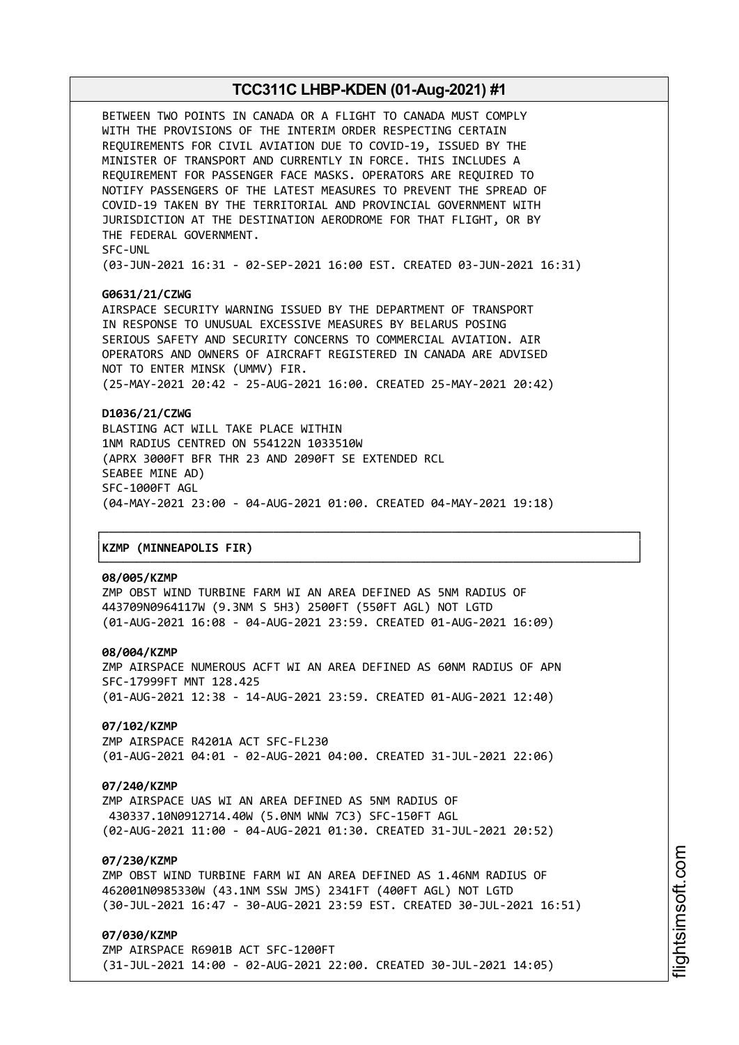BETWEEN TWO POINTS IN CANADA OR A FLIGHT TO CANADA MUST COMPLY WITH THE PROVISIONS OF THE INTERIM ORDER RESPECTING CERTAIN REQUIREMENTS FOR CIVIL AVIATION DUE TO COVID-19, ISSUED BY THE MINISTER OF TRANSPORT AND CURRENTLY IN FORCE. THIS INCLUDES A REQUIREMENT FOR PASSENGER FACE MASKS. OPERATORS ARE REQUIRED TO NOTIFY PASSENGERS OF THE LATEST MEASURES TO PREVENT THE SPREAD OF COVID-19 TAKEN BY THE TERRITORIAL AND PROVINCIAL GOVERNMENT WITH JURISDICTION AT THE DESTINATION AERODROME FOR THAT FLIGHT, OR BY THE FEDERAL GOVERNMENT. SFC-UNL

(03-JUN-2021 16:31 - 02-SEP-2021 16:00 EST. CREATED 03-JUN-2021 16:31)

### **G0631/21/CZWG**

AIRSPACE SECURITY WARNING ISSUED BY THE DEPARTMENT OF TRANSPORT IN RESPONSE TO UNUSUAL EXCESSIVE MEASURES BY BELARUS POSING SERIOUS SAFETY AND SECURITY CONCERNS TO COMMERCIAL AVIATION. AIR OPERATORS AND OWNERS OF AIRCRAFT REGISTERED IN CANADA ARE ADVISED NOT TO ENTER MINSK (UMMV) FIR. (25-MAY-2021 20:42 - 25-AUG-2021 16:00. CREATED 25-MAY-2021 20:42)

### **D1036/21/CZWG**

BLASTING ACT WILL TAKE PLACE WITHIN 1NM RADIUS CENTRED ON 554122N 1033510W (APRX 3000FT BFR THR 23 AND 2090FT SE EXTENDED RCL SEABEE MINE AD) SFC-1000FT AGL (04-MAY-2021 23:00 - 04-AUG-2021 01:00. CREATED 04-MAY-2021 19:18)

┌──────────────────────────────────────────────────────────────────────────────┐

└──────────────────────────────────────────────────────────────────────────────┘

#### │**KZMP (MINNEAPOLIS FIR)** │

#### **08/005/KZMP**

ZMP OBST WIND TURBINE FARM WI AN AREA DEFINED AS 5NM RADIUS OF 443709N0964117W (9.3NM S 5H3) 2500FT (550FT AGL) NOT LGTD (01-AUG-2021 16:08 - 04-AUG-2021 23:59. CREATED 01-AUG-2021 16:09)

#### **08/004/KZMP**

ZMP AIRSPACE NUMEROUS ACFT WI AN AREA DEFINED AS 60NM RADIUS OF APN SFC-17999FT MNT 128.425 (01-AUG-2021 12:38 - 14-AUG-2021 23:59. CREATED 01-AUG-2021 12:40)

### **07/102/KZMP**

ZMP AIRSPACE R4201A ACT SFC-FL230 (01-AUG-2021 04:01 - 02-AUG-2021 04:00. CREATED 31-JUL-2021 22:06)

### **07/240/KZMP**

ZMP AIRSPACE UAS WI AN AREA DEFINED AS 5NM RADIUS OF 430337.10N0912714.40W (5.0NM WNW 7C3) SFC-150FT AGL (02-AUG-2021 11:00 - 04-AUG-2021 01:30. CREATED 31-JUL-2021 20:52)

# **07/230/KZMP**

ZMP OBST WIND TURBINE FARM WI AN AREA DEFINED AS 1.46NM RADIUS OF 462001N0985330W (43.1NM SSW JMS) 2341FT (400FT AGL) NOT LGTD (30-JUL-2021 16:47 - 30-AUG-2021 23:59 EST. CREATED 30-JUL-2021 16:51)

### **07/030/KZMP**

ZMP AIRSPACE R6901B ACT SFC-1200FT (31-JUL-2021 14:00 - 02-AUG-2021 22:00. CREATED 30-JUL-2021 14:05)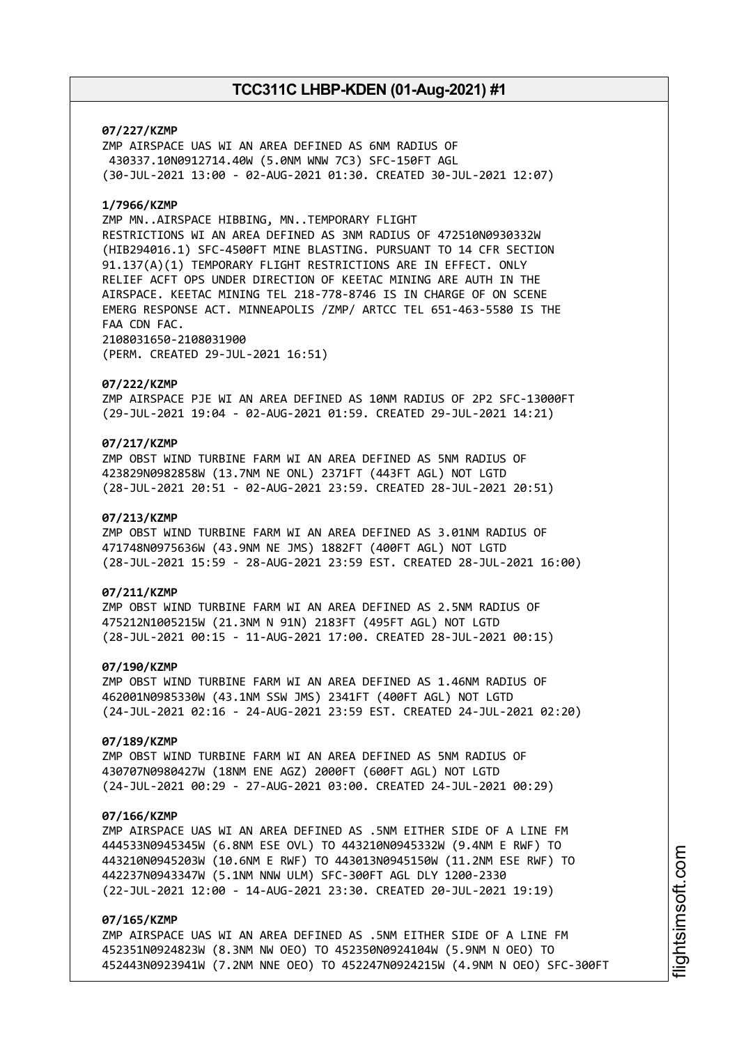### **07/227/KZMP**

ZMP AIRSPACE UAS WI AN AREA DEFINED AS 6NM RADIUS OF 430337.10N0912714.40W (5.0NM WNW 7C3) SFC-150FT AGL (30-JUL-2021 13:00 - 02-AUG-2021 01:30. CREATED 30-JUL-2021 12:07)

### **1/7966/KZMP**

ZMP MN..AIRSPACE HIBBING, MN..TEMPORARY FLIGHT RESTRICTIONS WI AN AREA DEFINED AS 3NM RADIUS OF 472510N0930332W (HIB294016.1) SFC-4500FT MINE BLASTING. PURSUANT TO 14 CFR SECTION 91.137(A)(1) TEMPORARY FLIGHT RESTRICTIONS ARE IN EFFECT. ONLY RELIEF ACFT OPS UNDER DIRECTION OF KEETAC MINING ARE AUTH IN THE AIRSPACE. KEETAC MINING TEL 218-778-8746 IS IN CHARGE OF ON SCENE EMERG RESPONSE ACT. MINNEAPOLIS /ZMP/ ARTCC TEL 651-463-5580 IS THE FAA CDN FAC. 2108031650-2108031900

(PERM. CREATED 29-JUL-2021 16:51)

#### **07/222/KZMP**

ZMP AIRSPACE PJE WI AN AREA DEFINED AS 10NM RADIUS OF 2P2 SFC-13000FT (29-JUL-2021 19:04 - 02-AUG-2021 01:59. CREATED 29-JUL-2021 14:21)

# **07/217/KZMP**

ZMP OBST WIND TURBINE FARM WI AN AREA DEFINED AS 5NM RADIUS OF 423829N0982858W (13.7NM NE ONL) 2371FT (443FT AGL) NOT LGTD (28-JUL-2021 20:51 - 02-AUG-2021 23:59. CREATED 28-JUL-2021 20:51)

### **07/213/KZMP**

ZMP OBST WIND TURBINE FARM WI AN AREA DEFINED AS 3.01NM RADIUS OF 471748N0975636W (43.9NM NE JMS) 1882FT (400FT AGL) NOT LGTD (28-JUL-2021 15:59 - 28-AUG-2021 23:59 EST. CREATED 28-JUL-2021 16:00)

### **07/211/KZMP**

ZMP OBST WIND TURBINE FARM WI AN AREA DEFINED AS 2.5NM RADIUS OF 475212N1005215W (21.3NM N 91N) 2183FT (495FT AGL) NOT LGTD (28-JUL-2021 00:15 - 11-AUG-2021 17:00. CREATED 28-JUL-2021 00:15)

### **07/190/KZMP**

ZMP OBST WIND TURBINE FARM WI AN AREA DEFINED AS 1.46NM RADIUS OF 462001N0985330W (43.1NM SSW JMS) 2341FT (400FT AGL) NOT LGTD (24-JUL-2021 02:16 - 24-AUG-2021 23:59 EST. CREATED 24-JUL-2021 02:20)

#### **07/189/KZMP**

ZMP OBST WIND TURBINE FARM WI AN AREA DEFINED AS 5NM RADIUS OF 430707N0980427W (18NM ENE AGZ) 2000FT (600FT AGL) NOT LGTD (24-JUL-2021 00:29 - 27-AUG-2021 03:00. CREATED 24-JUL-2021 00:29)

### **07/166/KZMP**

ZMP AIRSPACE UAS WI AN AREA DEFINED AS .5NM EITHER SIDE OF A LINE FM 444533N0945345W (6.8NM ESE OVL) TO 443210N0945332W (9.4NM E RWF) TO 443210N0945203W (10.6NM E RWF) TO 443013N0945150W (11.2NM ESE RWF) TO 442237N0943347W (5.1NM NNW ULM) SFC-300FT AGL DLY 1200-2330 (22-JUL-2021 12:00 - 14-AUG-2021 23:30. CREATED 20-JUL-2021 19:19)

### **07/165/KZMP**

ZMP AIRSPACE UAS WI AN AREA DEFINED AS .5NM EITHER SIDE OF A LINE FM 452351N0924823W (8.3NM NW OEO) TO 452350N0924104W (5.9NM N OEO) TO 452443N0923941W (7.2NM NNE OEO) TO 452247N0924215W (4.9NM N OEO) SFC-300FT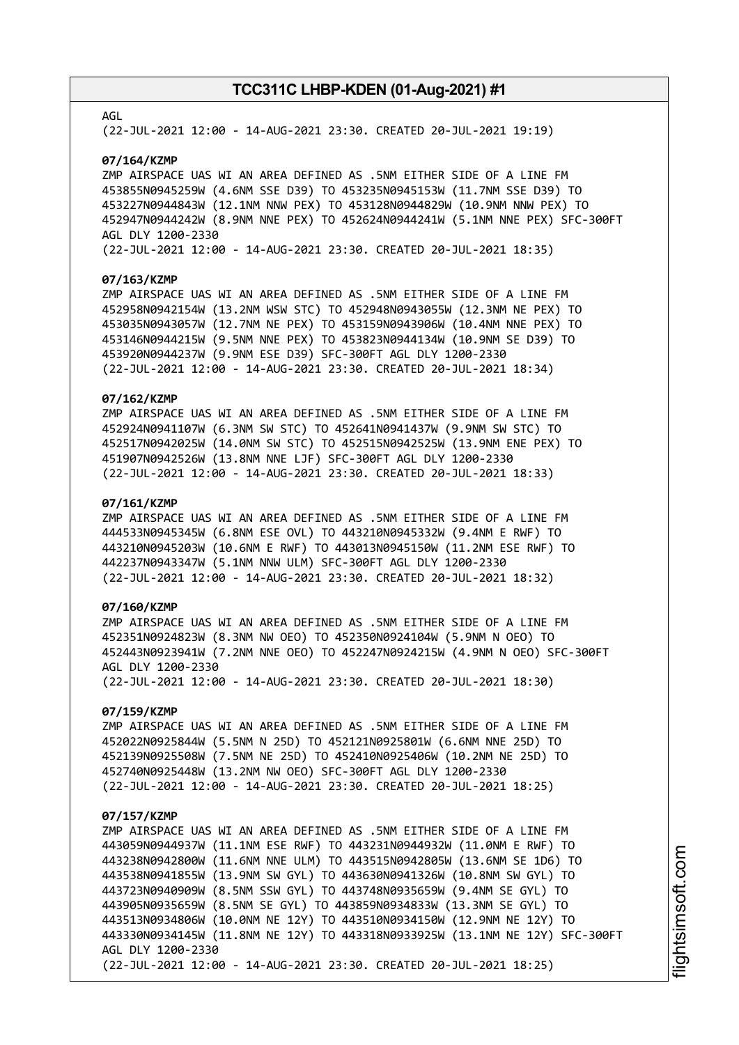### AGL

(22-JUL-2021 12:00 - 14-AUG-2021 23:30. CREATED 20-JUL-2021 19:19)

#### **07/164/KZMP**

ZMP AIRSPACE UAS WI AN AREA DEFINED AS .5NM EITHER SIDE OF A LINE FM 453855N0945259W (4.6NM SSE D39) TO 453235N0945153W (11.7NM SSE D39) TO 453227N0944843W (12.1NM NNW PEX) TO 453128N0944829W (10.9NM NNW PEX) TO 452947N0944242W (8.9NM NNE PEX) TO 452624N0944241W (5.1NM NNE PEX) SFC-300FT AGL DLY 1200-2330

(22-JUL-2021 12:00 - 14-AUG-2021 23:30. CREATED 20-JUL-2021 18:35)

### **07/163/KZMP**

ZMP AIRSPACE UAS WI AN AREA DEFINED AS .5NM EITHER SIDE OF A LINE FM 452958N0942154W (13.2NM WSW STC) TO 452948N0943055W (12.3NM NE PEX) TO 453035N0943057W (12.7NM NE PEX) TO 453159N0943906W (10.4NM NNE PEX) TO 453146N0944215W (9.5NM NNE PEX) TO 453823N0944134W (10.9NM SE D39) TO 453920N0944237W (9.9NM ESE D39) SFC-300FT AGL DLY 1200-2330 (22-JUL-2021 12:00 - 14-AUG-2021 23:30. CREATED 20-JUL-2021 18:34)

### **07/162/KZMP**

ZMP AIRSPACE UAS WI AN AREA DEFINED AS .5NM EITHER SIDE OF A LINE FM 452924N0941107W (6.3NM SW STC) TO 452641N0941437W (9.9NM SW STC) TO 452517N0942025W (14.0NM SW STC) TO 452515N0942525W (13.9NM ENE PEX) TO 451907N0942526W (13.8NM NNE LJF) SFC-300FT AGL DLY 1200-2330 (22-JUL-2021 12:00 - 14-AUG-2021 23:30. CREATED 20-JUL-2021 18:33)

#### **07/161/KZMP**

ZMP AIRSPACE UAS WI AN AREA DEFINED AS .5NM EITHER SIDE OF A LINE FM 444533N0945345W (6.8NM ESE OVL) TO 443210N0945332W (9.4NM E RWF) TO 443210N0945203W (10.6NM E RWF) TO 443013N0945150W (11.2NM ESE RWF) TO 442237N0943347W (5.1NM NNW ULM) SFC-300FT AGL DLY 1200-2330 (22-JUL-2021 12:00 - 14-AUG-2021 23:30. CREATED 20-JUL-2021 18:32)

# **07/160/KZMP**

ZMP AIRSPACE UAS WI AN AREA DEFINED AS .5NM EITHER SIDE OF A LINE FM 452351N0924823W (8.3NM NW OEO) TO 452350N0924104W (5.9NM N OEO) TO 452443N0923941W (7.2NM NNE OEO) TO 452247N0924215W (4.9NM N OEO) SFC-300FT AGL DLY 1200-2330 (22-JUL-2021 12:00 - 14-AUG-2021 23:30. CREATED 20-JUL-2021 18:30)

# **07/159/KZMP**

ZMP AIRSPACE UAS WI AN AREA DEFINED AS .5NM EITHER SIDE OF A LINE FM 452022N0925844W (5.5NM N 25D) TO 452121N0925801W (6.6NM NNE 25D) TO 452139N0925508W (7.5NM NE 25D) TO 452410N0925406W (10.2NM NE 25D) TO 452740N0925448W (13.2NM NW OEO) SFC-300FT AGL DLY 1200-2330 (22-JUL-2021 12:00 - 14-AUG-2021 23:30. CREATED 20-JUL-2021 18:25)

#### **07/157/KZMP**

ZMP AIRSPACE UAS WI AN AREA DEFINED AS .5NM EITHER SIDE OF A LINE FM 443059N0944937W (11.1NM ESE RWF) TO 443231N0944932W (11.0NM E RWF) TO 443238N0942800W (11.6NM NNE ULM) TO 443515N0942805W (13.6NM SE 1D6) TO 443538N0941855W (13.9NM SW GYL) TO 443630N0941326W (10.8NM SW GYL) TO 443723N0940909W (8.5NM SSW GYL) TO 443748N0935659W (9.4NM SE GYL) TO 443905N0935659W (8.5NM SE GYL) TO 443859N0934833W (13.3NM SE GYL) TO 443513N0934806W (10.0NM NE 12Y) TO 443510N0934150W (12.9NM NE 12Y) TO 443330N0934145W (11.8NM NE 12Y) TO 443318N0933925W (13.1NM NE 12Y) SFC-300FT AGL DLY 1200-2330 (22-JUL-2021 12:00 - 14-AUG-2021 23:30. CREATED 20-JUL-2021 18:25)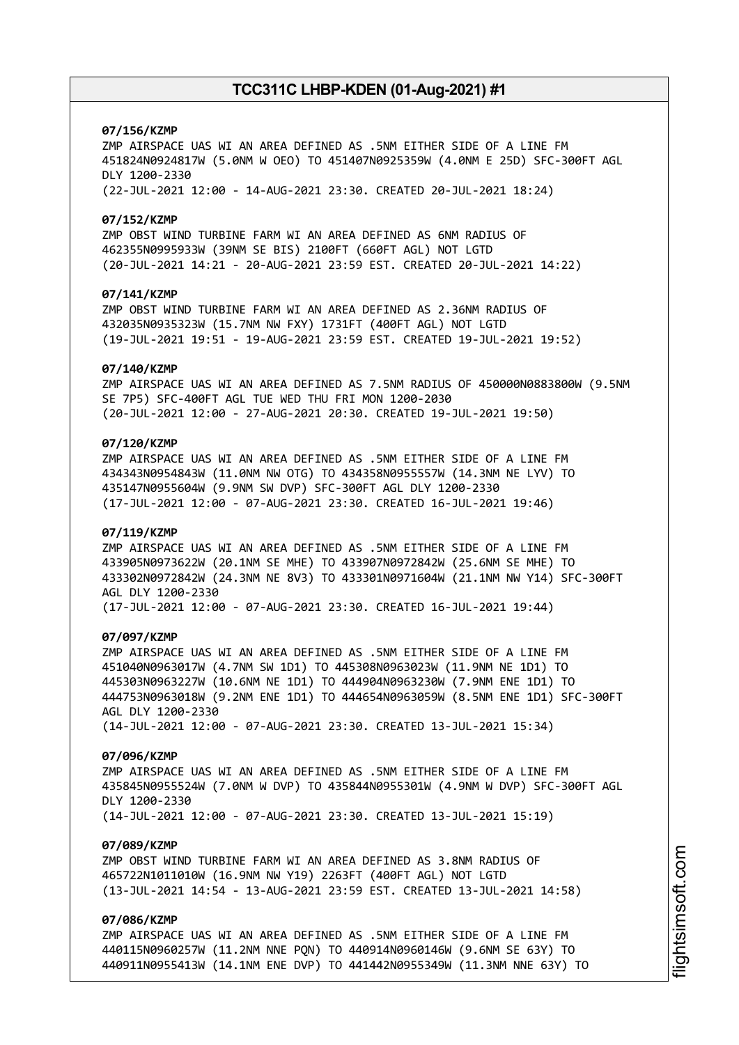### **07/156/KZMP**

ZMP AIRSPACE UAS WI AN AREA DEFINED AS .5NM EITHER SIDE OF A LINE FM 451824N0924817W (5.0NM W OEO) TO 451407N0925359W (4.0NM E 25D) SFC-300FT AGL DLY 1200-2330 (22-JUL-2021 12:00 - 14-AUG-2021 23:30. CREATED 20-JUL-2021 18:24)

### **07/152/KZMP**

ZMP OBST WIND TURBINE FARM WI AN AREA DEFINED AS 6NM RADIUS OF 462355N0995933W (39NM SE BIS) 2100FT (660FT AGL) NOT LGTD (20-JUL-2021 14:21 - 20-AUG-2021 23:59 EST. CREATED 20-JUL-2021 14:22)

### **07/141/KZMP**

ZMP OBST WIND TURBINE FARM WI AN AREA DEFINED AS 2.36NM RADIUS OF 432035N0935323W (15.7NM NW FXY) 1731FT (400FT AGL) NOT LGTD (19-JUL-2021 19:51 - 19-AUG-2021 23:59 EST. CREATED 19-JUL-2021 19:52)

#### **07/140/KZMP**

ZMP AIRSPACE UAS WI AN AREA DEFINED AS 7.5NM RADIUS OF 450000N0883800W (9.5NM SE 7P5) SFC-400FT AGL TUE WED THU FRI MON 1200-2030 (20-JUL-2021 12:00 - 27-AUG-2021 20:30. CREATED 19-JUL-2021 19:50)

## **07/120/KZMP**

ZMP AIRSPACE UAS WI AN AREA DEFINED AS .5NM EITHER SIDE OF A LINE FM 434343N0954843W (11.0NM NW OTG) TO 434358N0955557W (14.3NM NE LYV) TO 435147N0955604W (9.9NM SW DVP) SFC-300FT AGL DLY 1200-2330 (17-JUL-2021 12:00 - 07-AUG-2021 23:30. CREATED 16-JUL-2021 19:46)

### **07/119/KZMP**

ZMP AIRSPACE UAS WI AN AREA DEFINED AS .5NM EITHER SIDE OF A LINE FM 433905N0973622W (20.1NM SE MHE) TO 433907N0972842W (25.6NM SE MHE) TO 433302N0972842W (24.3NM NE 8V3) TO 433301N0971604W (21.1NM NW Y14) SFC-300FT AGL DLY 1200-2330 (17-JUL-2021 12:00 - 07-AUG-2021 23:30. CREATED 16-JUL-2021 19:44)

#### **07/097/KZMP**

ZMP AIRSPACE UAS WI AN AREA DEFINED AS .5NM EITHER SIDE OF A LINE FM 451040N0963017W (4.7NM SW 1D1) TO 445308N0963023W (11.9NM NE 1D1) TO 445303N0963227W (10.6NM NE 1D1) TO 444904N0963230W (7.9NM ENE 1D1) TO 444753N0963018W (9.2NM ENE 1D1) TO 444654N0963059W (8.5NM ENE 1D1) SFC-300FT AGL DLY 1200-2330 (14-JUL-2021 12:00 - 07-AUG-2021 23:30. CREATED 13-JUL-2021 15:34)

### **07/096/KZMP**

ZMP AIRSPACE UAS WI AN AREA DEFINED AS .5NM EITHER SIDE OF A LINE FM 435845N0955524W (7.0NM W DVP) TO 435844N0955301W (4.9NM W DVP) SFC-300FT AGL DLY 1200-2330 (14-JUL-2021 12:00 - 07-AUG-2021 23:30. CREATED 13-JUL-2021 15:19)

### **07/089/KZMP**

ZMP OBST WIND TURBINE FARM WI AN AREA DEFINED AS 3.8NM RADIUS OF 465722N1011010W (16.9NM NW Y19) 2263FT (400FT AGL) NOT LGTD (13-JUL-2021 14:54 - 13-AUG-2021 23:59 EST. CREATED 13-JUL-2021 14:58)

## **07/086/KZMP**

ZMP AIRSPACE UAS WI AN AREA DEFINED AS .5NM EITHER SIDE OF A LINE FM 440115N0960257W (11.2NM NNE PQN) TO 440914N0960146W (9.6NM SE 63Y) TO 440911N0955413W (14.1NM ENE DVP) TO 441442N0955349W (11.3NM NNE 63Y) TO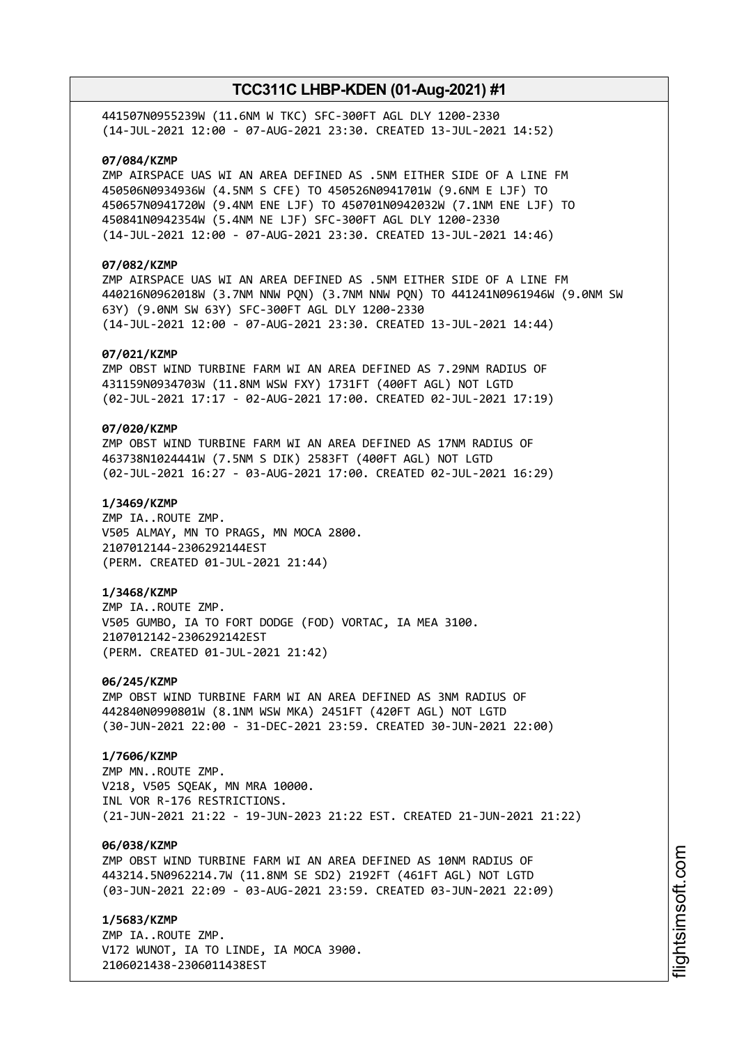441507N0955239W (11.6NM W TKC) SFC-300FT AGL DLY 1200-2330 (14-JUL-2021 12:00 - 07-AUG-2021 23:30. CREATED 13-JUL-2021 14:52)

## **07/084/KZMP**

ZMP AIRSPACE UAS WI AN AREA DEFINED AS .5NM EITHER SIDE OF A LINE FM 450506N0934936W (4.5NM S CFE) TO 450526N0941701W (9.6NM E LJF) TO 450657N0941720W (9.4NM ENE LJF) TO 450701N0942032W (7.1NM ENE LJF) TO 450841N0942354W (5.4NM NE LJF) SFC-300FT AGL DLY 1200-2330 (14-JUL-2021 12:00 - 07-AUG-2021 23:30. CREATED 13-JUL-2021 14:46)

## **07/082/KZMP**

ZMP AIRSPACE UAS WI AN AREA DEFINED AS .5NM EITHER SIDE OF A LINE FM 440216N0962018W (3.7NM NNW PQN) (3.7NM NNW PQN) TO 441241N0961946W (9.0NM SW 63Y) (9.0NM SW 63Y) SFC-300FT AGL DLY 1200-2330 (14-JUL-2021 12:00 - 07-AUG-2021 23:30. CREATED 13-JUL-2021 14:44)

### **07/021/KZMP**

ZMP OBST WIND TURBINE FARM WI AN AREA DEFINED AS 7.29NM RADIUS OF 431159N0934703W (11.8NM WSW FXY) 1731FT (400FT AGL) NOT LGTD (02-JUL-2021 17:17 - 02-AUG-2021 17:00. CREATED 02-JUL-2021 17:19)

## **07/020/KZMP**

ZMP OBST WIND TURBINE FARM WI AN AREA DEFINED AS 17NM RADIUS OF 463738N1024441W (7.5NM S DIK) 2583FT (400FT AGL) NOT LGTD (02-JUL-2021 16:27 - 03-AUG-2021 17:00. CREATED 02-JUL-2021 16:29)

### **1/3469/KZMP**

ZMP IA..ROUTE ZMP. V505 ALMAY, MN TO PRAGS, MN MOCA 2800. 2107012144-2306292144EST (PERM. CREATED 01-JUL-2021 21:44)

### **1/3468/KZMP**

ZMP IA..ROUTE ZMP. V505 GUMBO, IA TO FORT DODGE (FOD) VORTAC, IA MEA 3100. 2107012142-2306292142EST (PERM. CREATED 01-JUL-2021 21:42)

#### **06/245/KZMP**

ZMP OBST WIND TURBINE FARM WI AN AREA DEFINED AS 3NM RADIUS OF 442840N0990801W (8.1NM WSW MKA) 2451FT (420FT AGL) NOT LGTD (30-JUN-2021 22:00 - 31-DEC-2021 23:59. CREATED 30-JUN-2021 22:00)

## **1/7606/KZMP**

ZMP MN..ROUTE ZMP. V218, V505 SQEAK, MN MRA 10000. INL VOR R-176 RESTRICTIONS. (21-JUN-2021 21:22 - 19-JUN-2023 21:22 EST. CREATED 21-JUN-2021 21:22)

### **06/038/KZMP**

ZMP OBST WIND TURBINE FARM WI AN AREA DEFINED AS 10NM RADIUS OF 443214.5N0962214.7W (11.8NM SE SD2) 2192FT (461FT AGL) NOT LGTD (03-JUN-2021 22:09 - 03-AUG-2021 23:59. CREATED 03-JUN-2021 22:09)

**1/5683/KZMP** ZMP IA..ROUTE ZMP. V172 WUNOT, IA TO LINDE, IA MOCA 3900. 2106021438-2306011438EST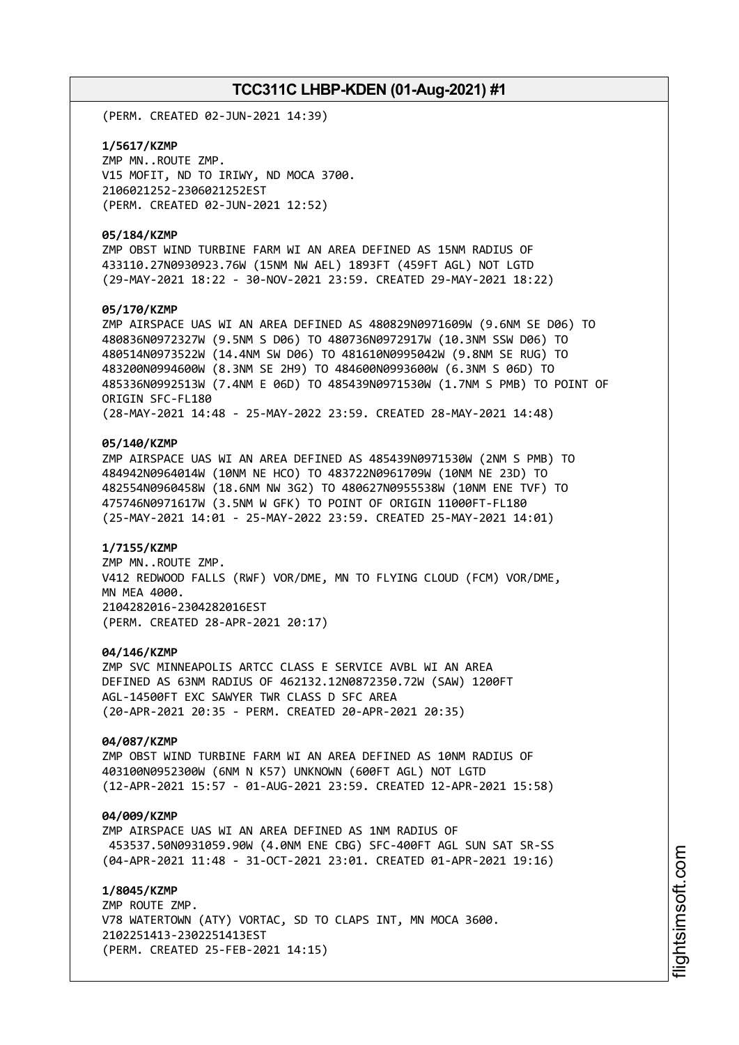(PERM. CREATED 02-JUN-2021 14:39)

**1/5617/KZMP** ZMP MN..ROUTE ZMP. V15 MOFIT, ND TO IRIWY, ND MOCA 3700. 2106021252-2306021252EST (PERM. CREATED 02-JUN-2021 12:52)

### **05/184/KZMP**

ZMP OBST WIND TURBINE FARM WI AN AREA DEFINED AS 15NM RADIUS OF 433110.27N0930923.76W (15NM NW AEL) 1893FT (459FT AGL) NOT LGTD (29-MAY-2021 18:22 - 30-NOV-2021 23:59. CREATED 29-MAY-2021 18:22)

### **05/170/KZMP**

ZMP AIRSPACE UAS WI AN AREA DEFINED AS 480829N0971609W (9.6NM SE D06) TO 480836N0972327W (9.5NM S D06) TO 480736N0972917W (10.3NM SSW D06) TO 480514N0973522W (14.4NM SW D06) TO 481610N0995042W (9.8NM SE RUG) TO 483200N0994600W (8.3NM SE 2H9) TO 484600N0993600W (6.3NM S 06D) TO 485336N0992513W (7.4NM E 06D) TO 485439N0971530W (1.7NM S PMB) TO POINT OF ORIGIN SFC-FL180 (28-MAY-2021 14:48 - 25-MAY-2022 23:59. CREATED 28-MAY-2021 14:48)

### **05/140/KZMP**

ZMP AIRSPACE UAS WI AN AREA DEFINED AS 485439N0971530W (2NM S PMB) TO 484942N0964014W (10NM NE HCO) TO 483722N0961709W (10NM NE 23D) TO 482554N0960458W (18.6NM NW 3G2) TO 480627N0955538W (10NM ENE TVF) TO 475746N0971617W (3.5NM W GFK) TO POINT OF ORIGIN 11000FT-FL180 (25-MAY-2021 14:01 - 25-MAY-2022 23:59. CREATED 25-MAY-2021 14:01)

### **1/7155/KZMP**

ZMP MN..ROUTE ZMP. V412 REDWOOD FALLS (RWF) VOR/DME, MN TO FLYING CLOUD (FCM) VOR/DME, MN MEA 4000. 2104282016-2304282016EST (PERM. CREATED 28-APR-2021 20:17)

### **04/146/KZMP**

ZMP SVC MINNEAPOLIS ARTCC CLASS E SERVICE AVBL WI AN AREA DEFINED AS 63NM RADIUS OF 462132.12N0872350.72W (SAW) 1200FT AGL-14500FT EXC SAWYER TWR CLASS D SFC AREA (20-APR-2021 20:35 - PERM. CREATED 20-APR-2021 20:35)

### **04/087/KZMP**

ZMP OBST WIND TURBINE FARM WI AN AREA DEFINED AS 10NM RADIUS OF 403100N0952300W (6NM N K57) UNKNOWN (600FT AGL) NOT LGTD (12-APR-2021 15:57 - 01-AUG-2021 23:59. CREATED 12-APR-2021 15:58)

### **04/009/KZMP**

ZMP AIRSPACE UAS WI AN AREA DEFINED AS 1NM RADIUS OF 453537.50N0931059.90W (4.0NM ENE CBG) SFC-400FT AGL SUN SAT SR-SS (04-APR-2021 11:48 - 31-OCT-2021 23:01. CREATED 01-APR-2021 19:16)

**1/8045/KZMP** ZMP ROUTE ZMP. V78 WATERTOWN (ATY) VORTAC, SD TO CLAPS INT, MN MOCA 3600. 2102251413-2302251413EST (PERM. CREATED 25-FEB-2021 14:15)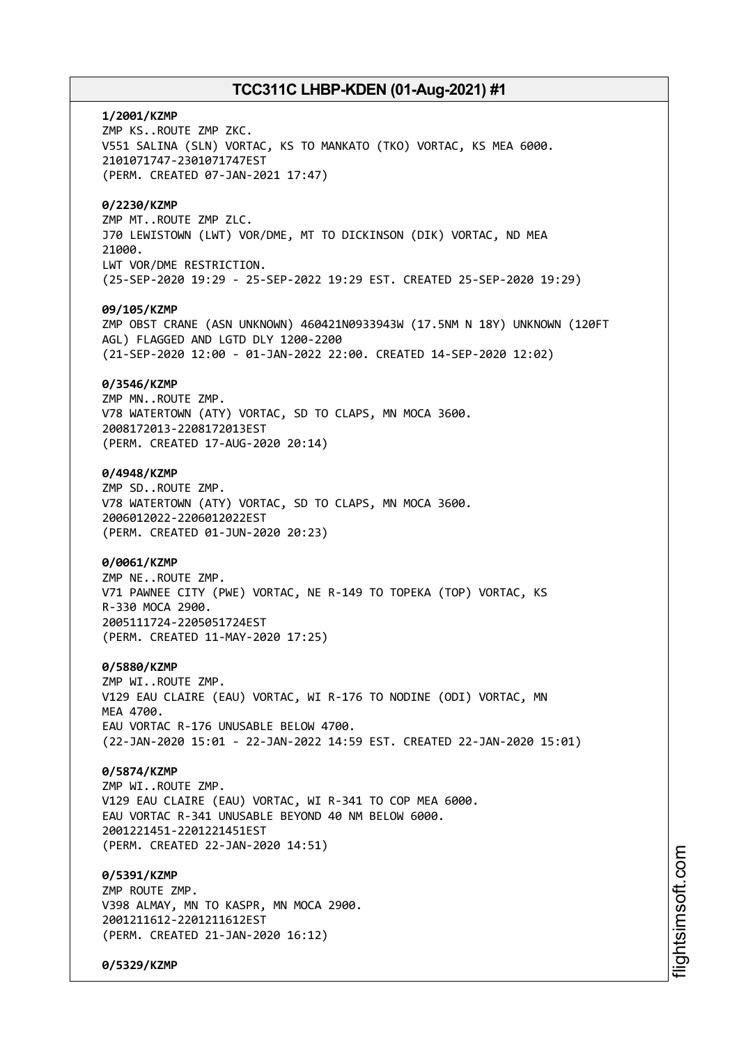# **1/2001/KZMP** ZMP KS..ROUTE ZMP ZKC. V551 SALINA (SLN) VORTAC, KS TO MANKATO (TKO) VORTAC, KS MEA 6000. 2101071747-2301071747EST (PERM. CREATED 07-JAN-2021 17:47) **0/2230/KZMP** ZMP MT..ROUTE ZMP ZLC. J70 LEWISTOWN (LWT) VOR/DME, MT TO DICKINSON (DIK) VORTAC, ND MEA 21000. LWT VOR/DME RESTRICTION. (25-SEP-2020 19:29 - 25-SEP-2022 19:29 EST. CREATED 25-SEP-2020 19:29) **09/105/KZMP** ZMP OBST CRANE (ASN UNKNOWN) 460421N0933943W (17.5NM N 18Y) UNKNOWN (120FT AGL) FLAGGED AND LGTD DLY 1200-2200 (21-SEP-2020 12:00 - 01-JAN-2022 22:00. CREATED 14-SEP-2020 12:02) **0/3546/KZMP** ZMP MN..ROUTE ZMP. V78 WATERTOWN (ATY) VORTAC, SD TO CLAPS, MN MOCA 3600. 2008172013-2208172013EST (PERM. CREATED 17-AUG-2020 20:14) **0/4948/KZMP** ZMP SD..ROUTE ZMP. V78 WATERTOWN (ATY) VORTAC, SD TO CLAPS, MN MOCA 3600. 2006012022-2206012022EST (PERM. CREATED 01-JUN-2020 20:23) **0/0061/KZMP** ZMP NE..ROUTE ZMP. V71 PAWNEE CITY (PWE) VORTAC, NE R-149 TO TOPEKA (TOP) VORTAC, KS R-330 MOCA 2900. 2005111724-2205051724EST (PERM. CREATED 11-MAY-2020 17:25) **0/5880/KZMP** ZMP WI..ROUTE ZMP. V129 EAU CLAIRE (EAU) VORTAC, WI R-176 TO NODINE (ODI) VORTAC, MN **MFA 4700** EAU VORTAC R-176 UNUSABLE BELOW 4700. (22-JAN-2020 15:01 - 22-JAN-2022 14:59 EST. CREATED 22-JAN-2020 15:01) **0/5874/KZMP** ZMP WI..ROUTE ZMP. V129 EAU CLAIRE (EAU) VORTAC, WI R-341 TO COP MEA 6000. EAU VORTAC R-341 UNUSABLE BEYOND 40 NM BELOW 6000. 2001221451-2201221451EST (PERM. CREATED 22-JAN-2020 14:51) **0/5391/KZMP** ZMP ROUTE ZMP. V398 ALMAY, MN TO KASPR, MN MOCA 2900. 2001211612-2201211612EST (PERM. CREATED 21-JAN-2020 16:12)

**0/5329/KZMP**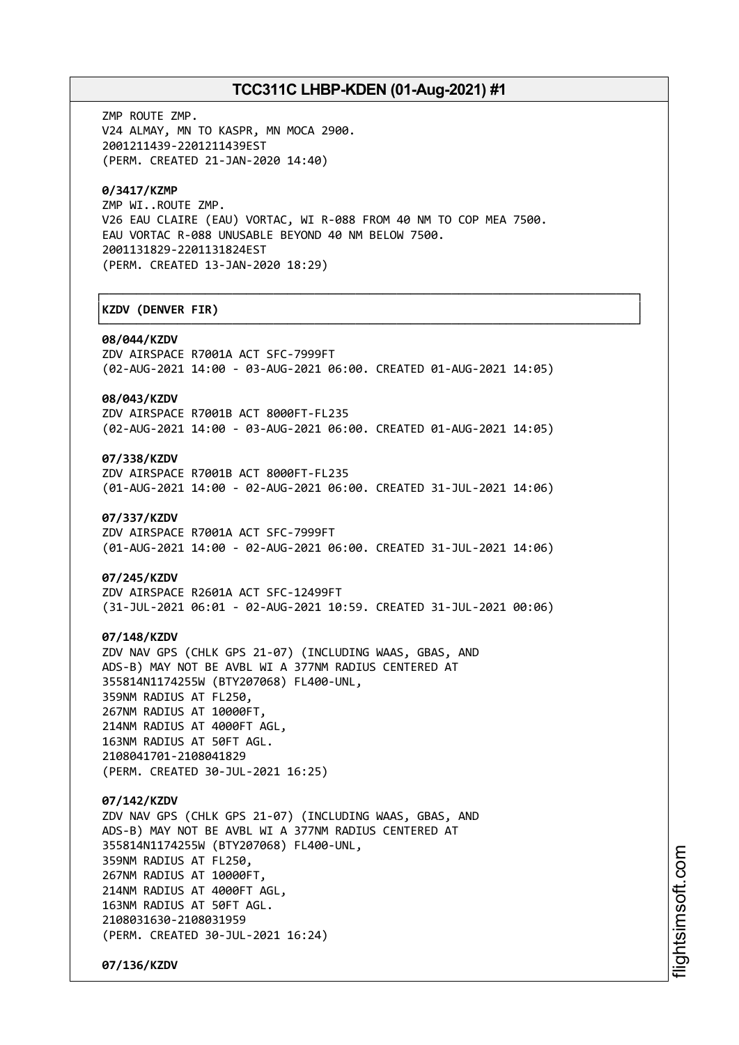┌──────────────────────────────────────────────────────────────────────────────┐

└──────────────────────────────────────────────────────────────────────────────┘

ZMP ROUTE ZMP. V24 ALMAY, MN TO KASPR, MN MOCA 2900. 2001211439-2201211439EST (PERM. CREATED 21-JAN-2020 14:40)

## **0/3417/KZMP**

ZMP WI..ROUTE ZMP. V26 EAU CLAIRE (EAU) VORTAC, WI R-088 FROM 40 NM TO COP MEA 7500. EAU VORTAC R-088 UNUSABLE BEYOND 40 NM BELOW 7500. 2001131829-2201131824EST (PERM. CREATED 13-JAN-2020 18:29)

## │**KZDV (DENVER FIR)** │

#### **08/044/KZDV**

ZDV AIRSPACE R7001A ACT SFC-7999FT (02-AUG-2021 14:00 - 03-AUG-2021 06:00. CREATED 01-AUG-2021 14:05)

### **08/043/KZDV**

ZDV AIRSPACE R7001B ACT 8000FT-FL235 (02-AUG-2021 14:00 - 03-AUG-2021 06:00. CREATED 01-AUG-2021 14:05)

## **07/338/KZDV**

ZDV AIRSPACE R7001B ACT 8000FT-FL235 (01-AUG-2021 14:00 - 02-AUG-2021 06:00. CREATED 31-JUL-2021 14:06)

#### **07/337/KZDV**

ZDV AIRSPACE R7001A ACT SFC-7999FT (01-AUG-2021 14:00 - 02-AUG-2021 06:00. CREATED 31-JUL-2021 14:06)

### **07/245/KZDV**

ZDV AIRSPACE R2601A ACT SFC-12499FT (31-JUL-2021 06:01 - 02-AUG-2021 10:59. CREATED 31-JUL-2021 00:06)

### **07/148/KZDV**

ZDV NAV GPS (CHLK GPS 21-07) (INCLUDING WAAS, GBAS, AND ADS-B) MAY NOT BE AVBL WI A 377NM RADIUS CENTERED AT 355814N1174255W (BTY207068) FL400-UNL, 359NM RADIUS AT FL250, 267NM RADIUS AT 10000FT, 214NM RADIUS AT 4000FT AGL, 163NM RADIUS AT 50FT AGL. 2108041701-2108041829

(PERM. CREATED 30-JUL-2021 16:25)

# **07/142/KZDV**

ZDV NAV GPS (CHLK GPS 21-07) (INCLUDING WAAS, GBAS, AND ADS-B) MAY NOT BE AVBL WI A 377NM RADIUS CENTERED AT 355814N1174255W (BTY207068) FL400-UNL, 359NM RADIUS AT FL250, 267NM RADIUS AT 10000FT, 214NM RADIUS AT 4000FT AGL, 163NM RADIUS AT 50FT AGL. 2108031630-2108031959 (PERM. CREATED 30-JUL-2021 16:24)

**07/136/KZDV**

i⊒<br>⊫ htsim soft.c om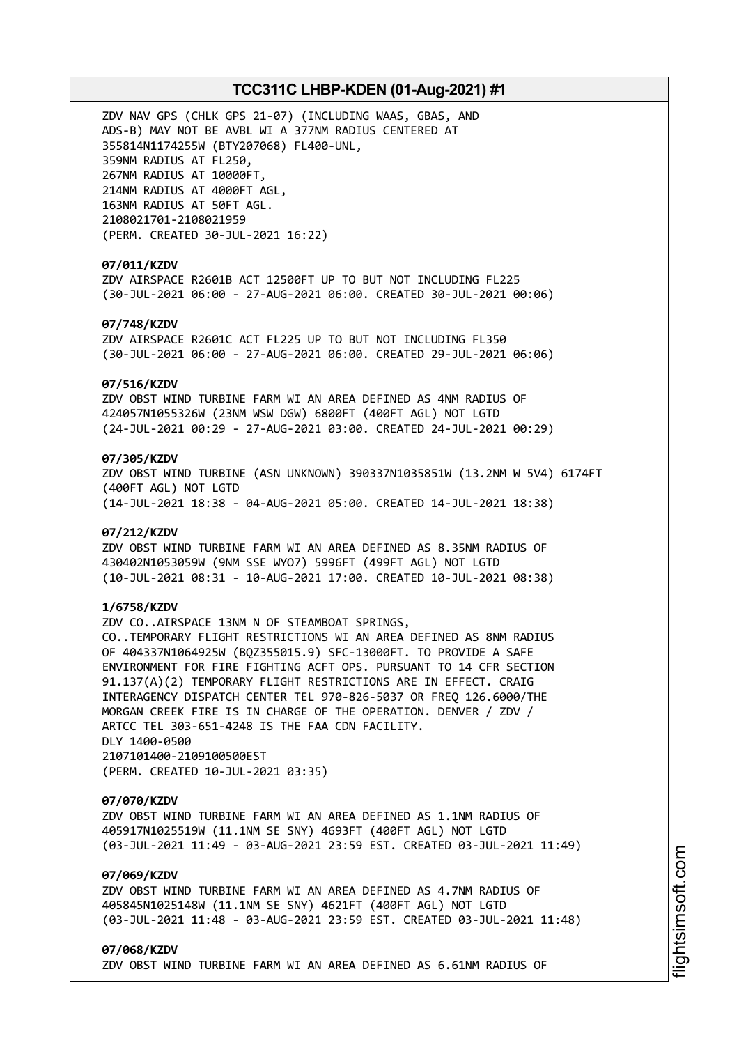ZDV NAV GPS (CHLK GPS 21-07) (INCLUDING WAAS, GBAS, AND ADS-B) MAY NOT BE AVBL WI A 377NM RADIUS CENTERED AT 355814N1174255W (BTY207068) FL400-UNL, 359NM RADIUS AT FL250, 267NM RADIUS AT 10000FT, 214NM RADIUS AT 4000FT AGL, 163NM RADIUS AT 50FT AGL. 2108021701-2108021959 (PERM. CREATED 30-JUL-2021 16:22)

## **07/011/KZDV**

ZDV AIRSPACE R2601B ACT 12500FT UP TO BUT NOT INCLUDING FL225 (30-JUL-2021 06:00 - 27-AUG-2021 06:00. CREATED 30-JUL-2021 00:06)

## **07/748/KZDV**

ZDV AIRSPACE R2601C ACT FL225 UP TO BUT NOT INCLUDING FL350 (30-JUL-2021 06:00 - 27-AUG-2021 06:00. CREATED 29-JUL-2021 06:06)

### **07/516/KZDV**

ZDV OBST WIND TURBINE FARM WI AN AREA DEFINED AS 4NM RADIUS OF 424057N1055326W (23NM WSW DGW) 6800FT (400FT AGL) NOT LGTD (24-JUL-2021 00:29 - 27-AUG-2021 03:00. CREATED 24-JUL-2021 00:29)

## **07/305/KZDV**

ZDV OBST WIND TURBINE (ASN UNKNOWN) 390337N1035851W (13.2NM W 5V4) 6174FT (400FT AGL) NOT LGTD (14-JUL-2021 18:38 - 04-AUG-2021 05:00. CREATED 14-JUL-2021 18:38)

### **07/212/KZDV**

ZDV OBST WIND TURBINE FARM WI AN AREA DEFINED AS 8.35NM RADIUS OF 430402N1053059W (9NM SSE WYO7) 5996FT (499FT AGL) NOT LGTD (10-JUL-2021 08:31 - 10-AUG-2021 17:00. CREATED 10-JUL-2021 08:38)

### **1/6758/KZDV**

ZDV CO..AIRSPACE 13NM N OF STEAMBOAT SPRINGS, CO..TEMPORARY FLIGHT RESTRICTIONS WI AN AREA DEFINED AS 8NM RADIUS OF 404337N1064925W (BQZ355015.9) SFC-13000FT. TO PROVIDE A SAFE ENVIRONMENT FOR FIRE FIGHTING ACFT OPS. PURSUANT TO 14 CFR SECTION 91.137(A)(2) TEMPORARY FLIGHT RESTRICTIONS ARE IN EFFECT. CRAIG INTERAGENCY DISPATCH CENTER TEL 970-826-5037 OR FREQ 126.6000/THE MORGAN CREEK FIRE IS IN CHARGE OF THE OPERATION. DENVER / ZDV / ARTCC TEL 303-651-4248 IS THE FAA CDN FACILITY. DLY 1400-0500 2107101400-2109100500EST (PERM. CREATED 10-JUL-2021 03:35)

#### **07/070/KZDV**

ZDV OBST WIND TURBINE FARM WI AN AREA DEFINED AS 1.1NM RADIUS OF 405917N1025519W (11.1NM SE SNY) 4693FT (400FT AGL) NOT LGTD (03-JUL-2021 11:49 - 03-AUG-2021 23:59 EST. CREATED 03-JUL-2021 11:49)

## **07/069/KZDV**

ZDV OBST WIND TURBINE FARM WI AN AREA DEFINED AS 4.7NM RADIUS OF 405845N1025148W (11.1NM SE SNY) 4621FT (400FT AGL) NOT LGTD (03-JUL-2021 11:48 - 03-AUG-2021 23:59 EST. CREATED 03-JUL-2021 11:48)

### **07/068/KZDV**

ZDV OBST WIND TURBINE FARM WI AN AREA DEFINED AS 6.61NM RADIUS OF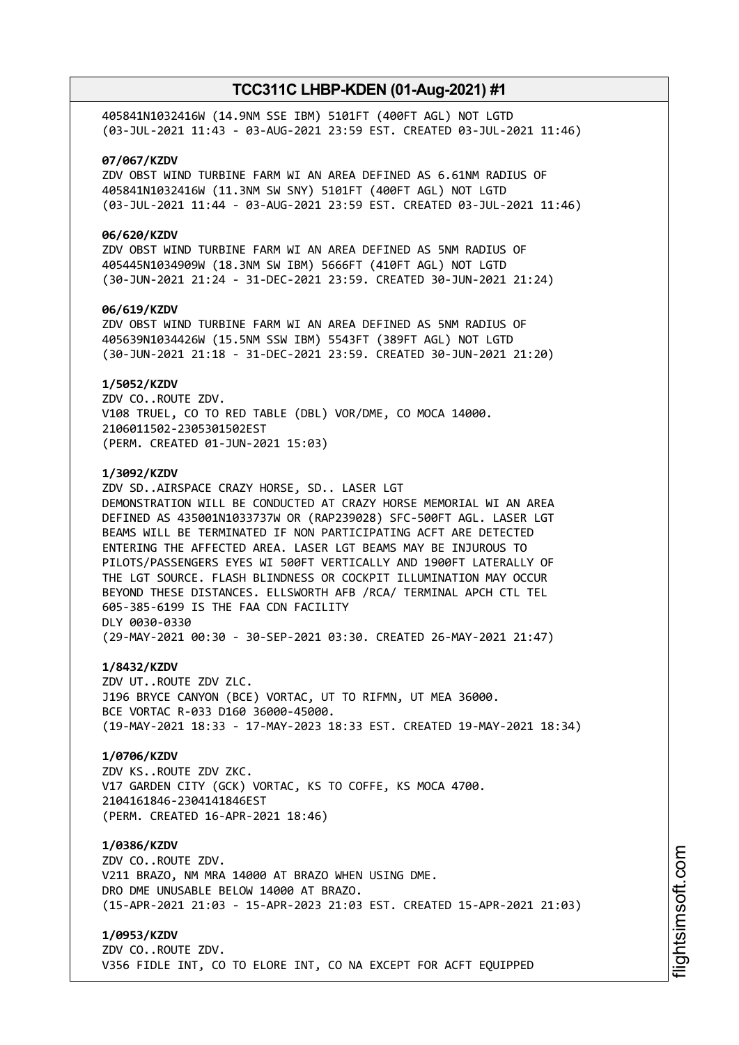405841N1032416W (14.9NM SSE IBM) 5101FT (400FT AGL) NOT LGTD (03-JUL-2021 11:43 - 03-AUG-2021 23:59 EST. CREATED 03-JUL-2021 11:46)

### **07/067/KZDV**

ZDV OBST WIND TURBINE FARM WI AN AREA DEFINED AS 6.61NM RADIUS OF 405841N1032416W (11.3NM SW SNY) 5101FT (400FT AGL) NOT LGTD (03-JUL-2021 11:44 - 03-AUG-2021 23:59 EST. CREATED 03-JUL-2021 11:46)

### **06/620/KZDV**

ZDV OBST WIND TURBINE FARM WI AN AREA DEFINED AS 5NM RADIUS OF 405445N1034909W (18.3NM SW IBM) 5666FT (410FT AGL) NOT LGTD (30-JUN-2021 21:24 - 31-DEC-2021 23:59. CREATED 30-JUN-2021 21:24)

### **06/619/KZDV**

ZDV OBST WIND TURBINE FARM WI AN AREA DEFINED AS 5NM RADIUS OF 405639N1034426W (15.5NM SSW IBM) 5543FT (389FT AGL) NOT LGTD (30-JUN-2021 21:18 - 31-DEC-2021 23:59. CREATED 30-JUN-2021 21:20)

### **1/5052/KZDV**

ZDV CO..ROUTE ZDV. V108 TRUEL, CO TO RED TABLE (DBL) VOR/DME, CO MOCA 14000. 2106011502-2305301502EST (PERM. CREATED 01-JUN-2021 15:03)

### **1/3092/KZDV**

ZDV SD..AIRSPACE CRAZY HORSE, SD.. LASER LGT DEMONSTRATION WILL BE CONDUCTED AT CRAZY HORSE MEMORIAL WI AN AREA DEFINED AS 435001N1033737W OR (RAP239028) SFC-500FT AGL. LASER LGT BEAMS WILL BE TERMINATED IF NON PARTICIPATING ACFT ARE DETECTED ENTERING THE AFFECTED AREA. LASER LGT BEAMS MAY BE INJUROUS TO PILOTS/PASSENGERS EYES WI 500FT VERTICALLY AND 1900FT LATERALLY OF THE LGT SOURCE. FLASH BLINDNESS OR COCKPIT ILLUMINATION MAY OCCUR BEYOND THESE DISTANCES. ELLSWORTH AFB /RCA/ TERMINAL APCH CTL TEL 605-385-6199 IS THE FAA CDN FACILITY DLY 0030-0330 (29-MAY-2021 00:30 - 30-SEP-2021 03:30. CREATED 26-MAY-2021 21:47)

## **1/8432/KZDV**

ZDV UT..ROUTE ZDV ZLC. J196 BRYCE CANYON (BCE) VORTAC, UT TO RIFMN, UT MEA 36000. BCE VORTAC R-033 D160 36000-45000. (19-MAY-2021 18:33 - 17-MAY-2023 18:33 EST. CREATED 19-MAY-2021 18:34)

### **1/0706/KZDV**

ZDV KS..ROUTE ZDV ZKC. V17 GARDEN CITY (GCK) VORTAC, KS TO COFFE, KS MOCA 4700. 2104161846-2304141846EST (PERM. CREATED 16-APR-2021 18:46)

### **1/0386/KZDV**

ZDV CO..ROUTE ZDV. V211 BRAZO, NM MRA 14000 AT BRAZO WHEN USING DME. DRO DME UNUSABLE BELOW 14000 AT BRAZO. (15-APR-2021 21:03 - 15-APR-2023 21:03 EST. CREATED 15-APR-2021 21:03)

## **1/0953/KZDV**

ZDV CO..ROUTE ZDV. V356 FIDLE INT, CO TO ELORE INT, CO NA EXCEPT FOR ACFT EQUIPPED